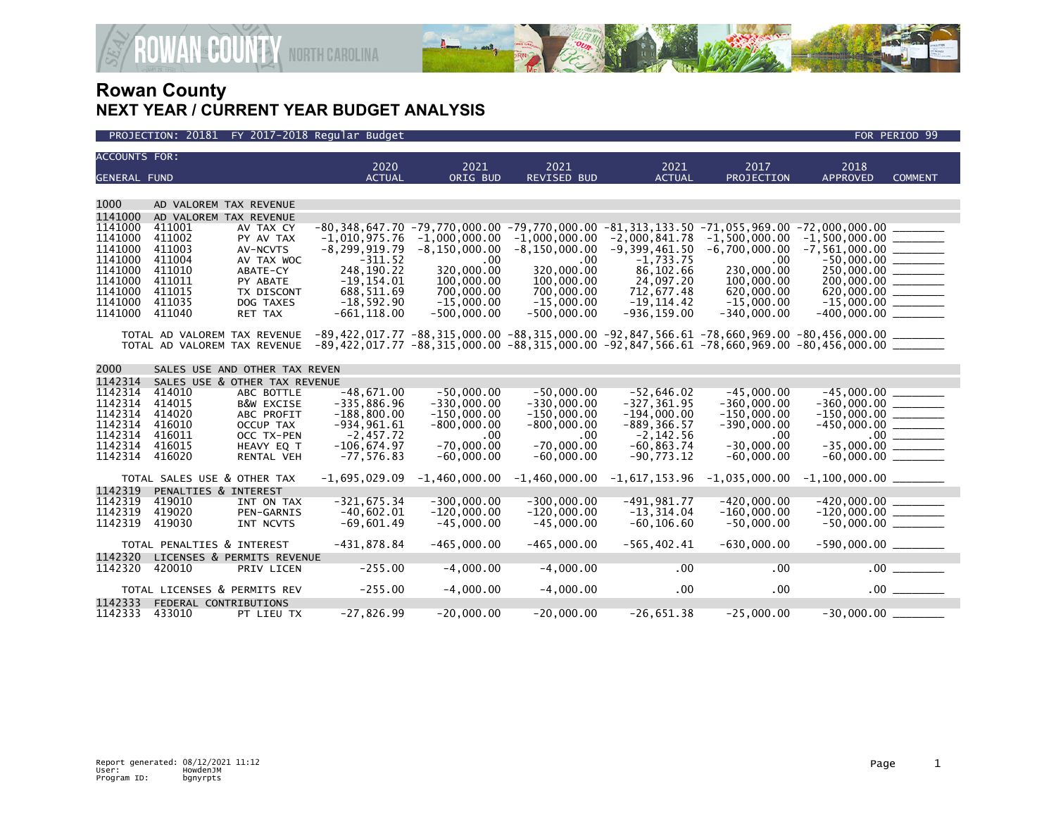



| <b>ACCOUNTS FOR:</b> |                                  |                               | 2020                                                                                                                           | 2021                                 | 2021               | 2021                                                                                      | 2017                               | 2018                      |                |
|----------------------|----------------------------------|-------------------------------|--------------------------------------------------------------------------------------------------------------------------------|--------------------------------------|--------------------|-------------------------------------------------------------------------------------------|------------------------------------|---------------------------|----------------|
| <b>GENERAL FUND</b>  |                                  |                               | <b>ACTUAL</b>                                                                                                                  | ORIG BUD                             | <b>REVISED BUD</b> | <b>ACTUAL</b>                                                                             | PROJECTION                         | <b>APPROVED</b>           | <b>COMMENT</b> |
|                      |                                  |                               |                                                                                                                                |                                      |                    |                                                                                           |                                    |                           |                |
| 1000                 | AD VALOREM TAX REVENUE           |                               |                                                                                                                                |                                      |                    |                                                                                           |                                    |                           |                |
| 1141000              |                                  |                               |                                                                                                                                |                                      |                    |                                                                                           |                                    |                           |                |
| 1141000              | AD VALOREM TAX REVENUE<br>411001 |                               |                                                                                                                                |                                      |                    | -80,348,647.70 -79,770,000.00 -79,770,000.00 -81,313,133.50 -71,055,969.00 -72,000,000.00 |                                    |                           |                |
| 1141000              | 411002                           | AV TAX CY<br>PY AV TAX        | $-1,010,975.76$                                                                                                                |                                      | $-1,000,000.00$    | $-2,000,841.78$                                                                           |                                    | $-1,500,000.00$ _________ |                |
| 1141000              | 411003                           | AV-NCVTS                      | $-8, 299, 919.79$                                                                                                              | $-1,000,000.00$<br>$-8, 150, 000.00$ | $-8,150,000.00$    | $-9,399,461.50$                                                                           | $-1,500,000.00$<br>$-6,700,000.00$ |                           |                |
| 1141000              | 411004                           | AV TAX WOC                    | $-311.52$                                                                                                                      | .00                                  | .00                | $-1,733.75$                                                                               | .00                                | $-50.000.00$              |                |
| 1141000              | 411010                           | ABATE-CY                      | 248,190.22                                                                                                                     | 320,000,00                           | 320,000.00         | 86,102.66                                                                                 | 230,000.00                         | 250,000.00 _______        |                |
| 1141000              | 411011                           | PY ABATE                      | $-19, 154.01$                                                                                                                  | 100,000.00                           | 100,000.00         | 24,097.20                                                                                 | 100,000.00                         | 200,000.00                |                |
| 1141000              | 411015                           | TX DISCONT                    | 688,511.69                                                                                                                     | 700,000.00                           | 700,000.00         | 712,677.48                                                                                | 620,000.00                         | $620,000.00$ _______      |                |
| 1141000              | 411035                           | DOG TAXES                     | $-18,592.90$                                                                                                                   | $-15.000.00$                         | $-15.000.00$       | $-19.114.42$                                                                              | $-15,000.00$                       | $-15,000.00$ ________     |                |
| 1141000              | 411040                           | RET TAX                       | $-661, 118.00$                                                                                                                 | $-500,000.00$                        | $-500,000.00$      | $-936, 159.00$                                                                            | $-340,000.00$                      |                           |                |
|                      |                                  |                               |                                                                                                                                |                                      |                    |                                                                                           |                                    |                           |                |
|                      |                                  |                               | TOTAL AD VALOREM TAX REVENUE -89,422,017.77 -88,315,000.00 -88,315,000.00 -92,847,566.61 -78,660,969.00 -80,456,000.00 _______ |                                      |                    |                                                                                           |                                    |                           |                |
|                      |                                  |                               | TOTAL AD VALOREM TAX REVENUE -89.422.017.77 -88.315.000.00 -88.315.000.00 -92.847.566.61 -78.660.969.00 -80.456.000.00 _______ |                                      |                    |                                                                                           |                                    |                           |                |
|                      |                                  |                               |                                                                                                                                |                                      |                    |                                                                                           |                                    |                           |                |
| 2000                 |                                  | SALES USE AND OTHER TAX REVEN |                                                                                                                                |                                      |                    |                                                                                           |                                    |                           |                |
| 1142314              |                                  | SALES USE & OTHER TAX REVENUE |                                                                                                                                |                                      |                    |                                                                                           |                                    |                           |                |
| 1142314              | 414010                           | ABC BOTTLE                    | $-48,671.00$                                                                                                                   | $-50.000.00$                         | $-50,000.00$       | $-52,646.02$                                                                              | $-45,000.00$                       | $-45.000.00$              |                |
| 1142314              | 414015                           | <b>B&amp;W EXCISE</b>         | $-335,886.96$                                                                                                                  | $-330.000.00$                        | $-330,000.00$      | $-327, 361.95$                                                                            | $-360,000.00$                      | $-360.000.00$             |                |
| 1142314              | 414020                           | ABC PROFIT                    | $-188,800.00$                                                                                                                  | $-150,000.00$                        | $-150,000.00$      | $-194,000.00$                                                                             | $-150,000.00$                      | $-150,000.00$ ________    |                |
| 1142314              | 416010                           | <b>OCCUP TAX</b>              | $-934.961.61$                                                                                                                  | $-800.000.00$                        | $-800.000.00$      | $-889.366.57$                                                                             | $-390.000.00$                      |                           |                |
| 1142314              | 416011                           | OCC TX-PEN                    | $-2,457.72$                                                                                                                    | .00                                  | $.00 \times$       | $-2, 142.56$                                                                              | .00                                |                           |                |
| 1142314              | 416015                           | HEAVY EQ T                    | $-106,674.97$                                                                                                                  | $-70.000.00$                         | $-70.000.00$       | $-60,863.74$                                                                              | $-30,000.00$                       | $-35,000.00$ _________    |                |
| 1142314              | 416020                           | RENTAL VEH                    | $-77, 576.83$                                                                                                                  | $-60,000.00$                         | $-60,000.00$       | $-90,773.12$                                                                              | $-60,000.00$                       |                           |                |
|                      |                                  |                               |                                                                                                                                |                                      |                    |                                                                                           |                                    |                           |                |
|                      | TOTAL SALES USE & OTHER TAX      |                               | $-1,695,029.09$                                                                                                                | $-1,460,000.00$                      | $-1,460,000.00$    | -1,617,153.96                                                                             | $-1,035,000.00$                    | $-1,100,000.00$ ________  |                |
| 1142319              | PENALTIES & INTEREST             |                               |                                                                                                                                |                                      |                    |                                                                                           |                                    |                           |                |
| 1142319              | 419010                           | INT ON TAX                    | $-321,675.34$                                                                                                                  | $-300.000.00$                        | $-300.000.00$      | $-491.981.77$                                                                             | $-420,000.00$                      | $-420,000.00$             |                |
| 1142319              | 419020                           | <b>PEN-GARNIS</b>             | $-40,602.01$                                                                                                                   | $-120,000.00$                        | $-120,000.00$      | $-13, 314.04$                                                                             | $-160,000.00$                      | $-120,000.00$ ________    |                |
| 1142319              | 419030                           | INT NCVTS                     | $-69,601.49$                                                                                                                   | $-45,000.00$                         | $-45,000.00$       | $-60, 106.60$                                                                             | $-50,000.00$                       | $-50,000.00$ ________     |                |
|                      |                                  |                               |                                                                                                                                |                                      |                    |                                                                                           |                                    |                           |                |
|                      | TOTAL PENALTIES & INTEREST       |                               | $-431,878.84$                                                                                                                  | $-465.000.00$                        | $-465,000.00$      | $-565, 402.41$                                                                            | $-630,000.00$                      | $-590,000.00$ ________    |                |
| 1142320              |                                  | LICENSES & PERMITS REVENUE    |                                                                                                                                |                                      |                    |                                                                                           |                                    |                           |                |
| 1142320              | 420010                           | PRIV LICEN                    | $-255.00$                                                                                                                      | $-4.000.00$                          | $-4.000.00$        | $.00 \,$                                                                                  | .00                                |                           | .00            |
|                      |                                  |                               |                                                                                                                                |                                      |                    |                                                                                           |                                    |                           |                |
|                      |                                  | TOTAL LICENSES & PERMITS REV  | $-255.00$                                                                                                                      | $-4,000.00$                          | $-4,000.00$        | $.00 \,$                                                                                  | .00                                |                           | $.00$ $\qquad$ |
| 1142333              | FEDERAL CONTRIBUTIONS            |                               |                                                                                                                                |                                      |                    |                                                                                           |                                    |                           |                |
| 1142333              | 433010                           | PT LIEU TX                    | $-27,826.99$                                                                                                                   | $-20,000.00$                         | $-20,000.00$       | $-26,651.38$                                                                              | $-25,000.00$                       |                           |                |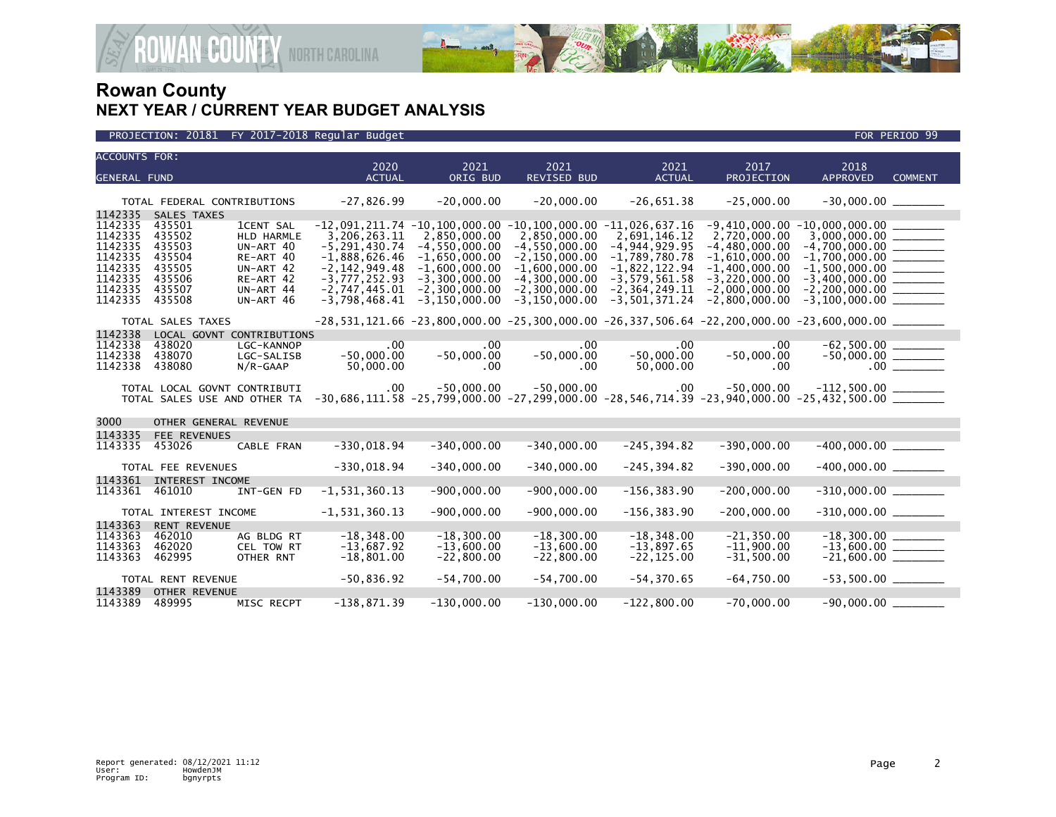

### PROJECTION: 20181 FY 2017-2018 Regular Budget FOR PERIOD 99

| <b>ACCOUNTS FOR:</b> |                                       |                                | 2020                               | 2021                                 | 2021                                                                                | 2021                                   | 2017                               | 2018                                                                                                                                                                                                       |                |
|----------------------|---------------------------------------|--------------------------------|------------------------------------|--------------------------------------|-------------------------------------------------------------------------------------|----------------------------------------|------------------------------------|------------------------------------------------------------------------------------------------------------------------------------------------------------------------------------------------------------|----------------|
| <b>GENERAL FUND</b>  |                                       |                                | <b>ACTUAL</b>                      | ORIG BUD                             | REVISED BUD                                                                         | <b>ACTUAL</b>                          | PROJECTION                         | <b>APPROVED</b>                                                                                                                                                                                            | <b>COMMENT</b> |
|                      |                                       |                                |                                    |                                      |                                                                                     |                                        |                                    |                                                                                                                                                                                                            |                |
|                      | TOTAL FEDERAL CONTRIBUTIONS           |                                | $-27,826.99$                       | $-20,000.00$                         | $-20,000.00$                                                                        | $-26,651.38$                           | $-25,000.00$                       | $-30,000.00$ ________                                                                                                                                                                                      |                |
| 1142335              | SALES TAXES                           |                                |                                    |                                      |                                                                                     |                                        |                                    |                                                                                                                                                                                                            |                |
| 1142335<br>1142335   | 435501<br>435502                      | <b>1CENT SAL</b><br>HLD HARMLE | 3,206,263.11                       | 2,850,000.00                         | $-12,091,211.74$ $-10,100,000.00$ $-10,100,000.00$ $-11,026,637.16$<br>2,850,000.00 | 2,691,146.12                           | 2,720,000.00                       | $-9,410,000.00 - 10,000,000.00$                                                                                                                                                                            |                |
| 1142335              | 435503                                | UN-ART 40                      | $-5, 291, 430.74$                  | $-4, 550, 000.00$                    | $-4,550,000.00$                                                                     | $-4, 944, 929.95$                      | $-4,480,000.00$                    |                                                                                                                                                                                                            |                |
| 1142335              | 435504                                | RE-ART 40                      | $-1,888,626.46$                    | $-1,650,000.00$                      | $-2, 150, 000.00$                                                                   | $-1,789,780.78$                        | $-1,610,000.00$                    |                                                                                                                                                                                                            |                |
| 1142335              | 435505                                | UN-ART 42                      | $-2, 142, 949.48$                  | $-1,600,000.00$                      | $-1,600,000.00$                                                                     | $-1,822,122.94$                        | $-1,400,000.00$                    | $-1,500,000.00$ ________                                                                                                                                                                                   |                |
| 1142335<br>1142335   | 435506<br>435507                      | RE-ART 42                      | $-3,777,252.93$                    | $-3,300,000.00$                      | $-4, 300, 000.00$                                                                   | $-3,579,561.58$                        | $-3,220,000.00$                    |                                                                                                                                                                                                            |                |
| 1142335              | 435508                                | UN-ART 44<br>UN-ART 46         | $-2,747,445.01$<br>$-3,798,468.41$ | $-2,300,000.00$<br>$-3, 150, 000.00$ | $-2, 300, 000.00$<br>$-3, 150, 000.00$                                              | $-2, 364, 249.11$<br>$-3, 501, 371.24$ | $-2,000,000.00$<br>$-2,800,000.00$ | $-2, 200, 000.00$ _________<br>$-3,100,000.00$ _______                                                                                                                                                     |                |
|                      |                                       |                                |                                    |                                      |                                                                                     |                                        |                                    |                                                                                                                                                                                                            |                |
|                      | TOTAL SALES TAXES                     |                                |                                    |                                      |                                                                                     |                                        |                                    | $-28,531,121.66$ $-23,800,000.00$ $-25,300,000.00$ $-26,337,506.64$ $-22,200,000.00$ $-23,600,000.00$ $\ldots$                                                                                             |                |
| 1142338              | LOCAL GOVNT                           | <b>CONTRIBUTIONS</b>           |                                    |                                      |                                                                                     |                                        |                                    |                                                                                                                                                                                                            |                |
| 1142338<br>1142338   | 438020<br>438070                      | LGC-KANNOP                     | $.00 \,$<br>$-50,000.00$           | $.00 \ \,$<br>$-50,000.00$           | $.00 \,$<br>$-50,000.00$                                                            | .00<br>$-50,000.00$                    | $.00 \,$<br>$-50,000.00$           | $-62,500.00$<br>$-50,000.00$<br>$\overline{\qquad \qquad }$<br>00                                                                                                                                          |                |
| 1142338              | 438080                                | LGC-SALISB<br>$N/R$ -GAAP      | 50,000.00                          | .00                                  | .00                                                                                 | 50,000.00                              | .00                                |                                                                                                                                                                                                            |                |
|                      |                                       |                                |                                    |                                      |                                                                                     |                                        |                                    |                                                                                                                                                                                                            |                |
|                      | TOTAL LOCAL GOVNT CONTRIBUTI          |                                |                                    |                                      |                                                                                     |                                        |                                    | $-50,000$ $-50,000$ $-50,000$ $-50,000$ $-50,000$ $-50,000$ $-50,000$ $-112,500.00$ $-20,686,111.58$ $-25,799,000.00$ $-27,299,000.00$ $-28,546,714.39$ $-23,940,000.00$ $-25,432,500.00$ $-25,432,500.00$ |                |
|                      | TOTAL SALES USE AND OTHER TA          |                                |                                    |                                      |                                                                                     |                                        |                                    |                                                                                                                                                                                                            |                |
| 3000                 | OTHER GENERAL REVENUE                 |                                |                                    |                                      |                                                                                     |                                        |                                    |                                                                                                                                                                                                            |                |
| 1143335              | FEE REVENUES                          |                                |                                    |                                      |                                                                                     |                                        |                                    |                                                                                                                                                                                                            |                |
| 1143335              | 453026                                | CABLE FRAN                     | $-330,018.94$                      | $-340,000.00$                        | $-340,000.00$                                                                       | $-245, 394.82$                         | $-390,000.00$                      | $-400,000.00$ ________                                                                                                                                                                                     |                |
|                      |                                       |                                |                                    |                                      |                                                                                     |                                        |                                    | $-400,000.00$ _________                                                                                                                                                                                    |                |
| 1143361              | TOTAL FEE REVENUES<br>INTEREST INCOME |                                | $-330,018.94$                      | $-340,000.00$                        | $-340,000.00$                                                                       | $-245, 394.82$                         | $-390,000.00$                      |                                                                                                                                                                                                            |                |
| 1143361              | 461010                                | INT-GEN FD                     | $-1, 531, 360.13$                  | $-900,000.00$                        | $-900,000.00$                                                                       | $-156, 383.90$                         | $-200,000.00$                      | $-310,000.00$ ________                                                                                                                                                                                     |                |
|                      |                                       |                                |                                    |                                      |                                                                                     |                                        |                                    |                                                                                                                                                                                                            |                |
|                      | TOTAL INTEREST INCOME                 |                                | $-1, 531, 360.13$                  | $-900,000.00$                        | $-900,000.00$                                                                       | $-156, 383.90$                         | $-200,000.00$                      | $-310,000.00$ ________                                                                                                                                                                                     |                |
| 1143363              | <b>RENT REVENUE</b>                   |                                |                                    |                                      |                                                                                     |                                        |                                    |                                                                                                                                                                                                            |                |
| 1143363<br>1143363   | 462010<br>462020                      | AG BLDG RT<br>CEL TOW RT       | $-18, 348.00$<br>$-13,687.92$      | $-18, 300.00$<br>$-13,600.00$        | $-18, 300.00$<br>$-13.600.00$                                                       | $-18, 348.00$<br>$-13,897.65$          | $-21, 350.00$<br>$-11,900.00$      | $-18,300.00$<br>$-13,600.00$                                                                                                                                                                               |                |
| 1143363              | 462995                                | OTHER RNT                      | $-18,801.00$                       | $-22,800.00$                         | $-22,800.00$                                                                        | $-22, 125.00$                          | $-31,500.00$                       |                                                                                                                                                                                                            |                |
|                      |                                       |                                |                                    |                                      |                                                                                     |                                        |                                    |                                                                                                                                                                                                            |                |
|                      | TOTAL RENT REVENUE                    |                                | $-50,836.92$                       | $-54,700.00$                         | $-54,700.00$                                                                        | $-54, 370.65$                          | $-64,750.00$                       | $-53,500.00$ ________                                                                                                                                                                                      |                |
| 1143389              | <b>OTHER REVENUE</b>                  |                                |                                    |                                      |                                                                                     |                                        |                                    |                                                                                                                                                                                                            |                |
| 1143389              | 489995                                | MISC RECPT                     | $-138,871.39$                      | $-130,000.00$                        | $-130,000.00$                                                                       | $-122,800.00$                          | $-70,000.00$                       | $-90,000.00$                                                                                                                                                                                               |                |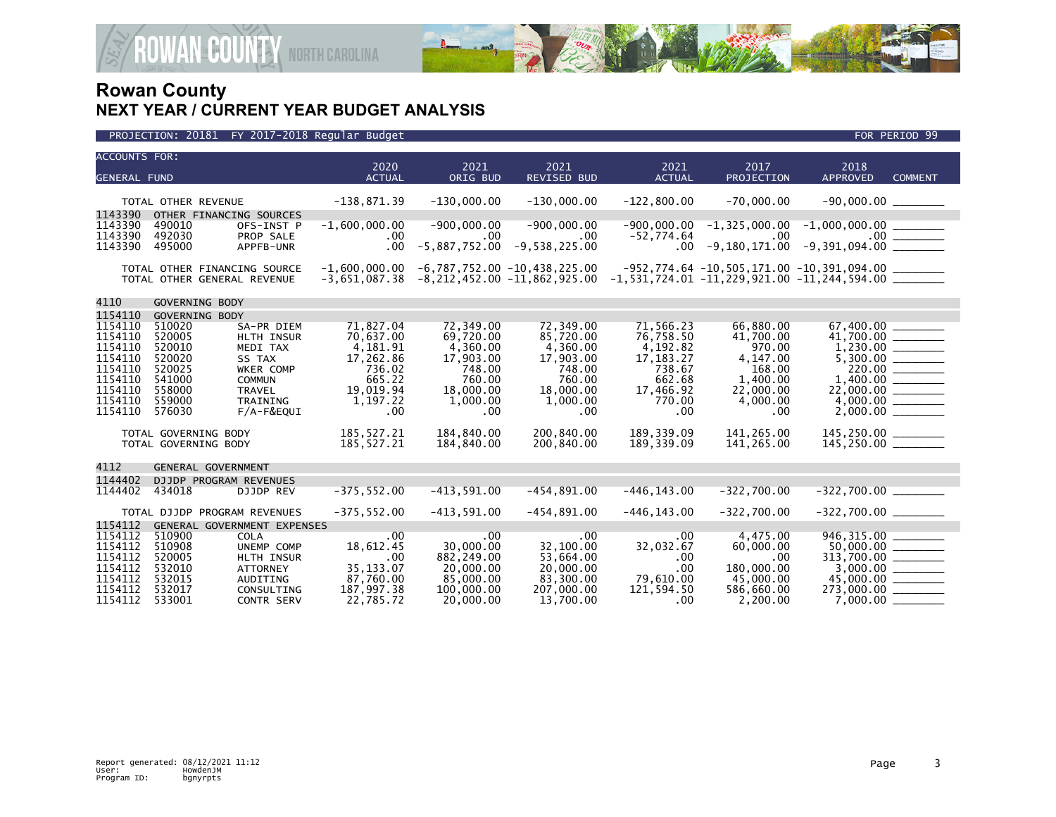

| <b>ACCOUNTS FOR:</b> |                                                             |                                 |                                    |                         |                                                                      |                          |                        |                                                                                                                        |                                         |
|----------------------|-------------------------------------------------------------|---------------------------------|------------------------------------|-------------------------|----------------------------------------------------------------------|--------------------------|------------------------|------------------------------------------------------------------------------------------------------------------------|-----------------------------------------|
| <b>GENERAL FUND</b>  |                                                             |                                 | 2020<br><b>ACTUAL</b>              | 2021<br>ORIG BUD        | 2021<br><b>REVISED BUD</b>                                           | 2021<br><b>ACTUAL</b>    | 2017<br>PROJECTION     | 2018<br><b>APPROVED</b>                                                                                                | <b>COMMENT</b>                          |
|                      |                                                             |                                 |                                    |                         |                                                                      |                          |                        |                                                                                                                        |                                         |
|                      | TOTAL OTHER REVENUE                                         |                                 | $-138,871.39$                      | $-130,000.00$           | $-130,000.00$                                                        | $-122,800.00$            | $-70,000.00$           | $-90,000.00$ ________                                                                                                  |                                         |
| 1143390<br>1143390   | OTHER FINANCING SOURCES<br>490010                           | OFS-INST P                      | $-1,600,000.00$                    | $-900,000.00$           | $-900,000.00$                                                        | $-900,000.00$            |                        | $-1,325,000.00$ $-1,000,000.00$ $\qquad \qquad$                                                                        |                                         |
| 1143390<br>1143390   | 492030<br>495000                                            | PROP SALE<br>APPFB-UNR          | $.00 \,$<br>$.00 \times$           | .00<br>$-5,887,752.00$  | $.00 \,$<br>$-9,538,225.00$                                          | $-52,774.64$<br>$.00\,$  | $.00 \,$               |                                                                                                                        | $.00$ $\frac{1}{\sqrt{1-\frac{1}{2}}}\$ |
|                      | TOTAL OTHER FINANCING SOURCE<br>TOTAL OTHER GENERAL REVENUE |                                 | $-1,600,000.00$<br>$-3,651,087.38$ |                         | $-6,787,752.00 -10,438,225.00$<br>$-8, 212, 452.00 -11, 862, 925.00$ |                          |                        | $-952, 774.64 -10, 505, 171.00 -10, 391, 094.00$ _________<br>$-1,531,724.01$ $-11,229,921.00$ $-11,244,594.00$ $\_\_$ |                                         |
| 4110                 | <b>GOVERNING BODY</b>                                       |                                 |                                    |                         |                                                                      |                          |                        |                                                                                                                        |                                         |
| 1154110              | GOVERNING BODY                                              |                                 |                                    |                         |                                                                      |                          |                        |                                                                                                                        |                                         |
| 1154110<br>1154110   | 510020<br>520005                                            | SA-PR DIEM<br><b>HLTH INSUR</b> | 71.827.04<br>70,637.00             | 72.349.00<br>69,720.00  | 72.349.00<br>85,720.00                                               | 71.566.23<br>76,758.50   | 66,880.00<br>41,700.00 | 67.400.00                                                                                                              |                                         |
| 1154110<br>1154110   | 520010<br>520020                                            | MEDI TAX<br>SS TAX              | 4,181.91<br>17,262.86              | 4,360.00<br>17,903.00   | 4,360.00<br>17,903.00                                                | 4,192.82<br>17, 183. 27  | 970.00<br>4,147.00     |                                                                                                                        |                                         |
| 1154110<br>1154110   | 520025<br>541000                                            | WKER COMP<br><b>COMMUN</b>      | 736.02<br>665.22                   | 748.00<br>760.00        | 748.00<br>760.00                                                     | 738.67<br>662.68         | 168.00<br>1,400.00     | 1,400.00 _______                                                                                                       | 220.00                                  |
| 1154110<br>1154110   | 558000<br>559000                                            | <b>TRAVEL</b><br>TRAINING       | 19,019.94<br>1,197.22              | 18,000.00<br>1,000.00   | 18,000.00<br>1,000.00                                                | 17,466.92<br>770.00      | 22,000.00<br>4,000.00  |                                                                                                                        |                                         |
| 1154110              | 576030                                                      | F/A-F&EQUI                      | .00                                | $.00 \,$                | .00                                                                  | .00                      | .00                    |                                                                                                                        |                                         |
|                      | TOTAL GOVERNING BODY                                        |                                 | 185,527.21<br>185,527.21           | 184,840.00              | 200,840.00                                                           | 189,339.09<br>189,339.09 | 141,265.00             | 145,250.00 ________<br>145,250.00 ________                                                                             |                                         |
|                      | TOTAL GOVERNING BODY                                        |                                 |                                    | 184,840.00              | 200,840.00                                                           |                          | 141,265.00             |                                                                                                                        |                                         |
| 4112                 | GENERAL GOVERNMENT                                          |                                 |                                    |                         |                                                                      |                          |                        |                                                                                                                        |                                         |
| 1144402              | DJJDP PROGRAM REVENUES                                      |                                 |                                    |                         |                                                                      |                          |                        |                                                                                                                        |                                         |
| 1144402              | 434018                                                      | <b>DJJDP REV</b>                | $-375, 552.00$                     | $-413,591.00$           | $-454, 891.00$                                                       | $-446, 143.00$           | $-322,700.00$          | $-322,700.00$ _________                                                                                                |                                         |
|                      | TOTAL DJJDP PROGRAM REVENUES                                |                                 | $-375, 552.00$                     | $-413,591.00$           | $-454,891.00$                                                        | $-446, 143.00$           | $-322,700.00$          | $-322,700.00$ ________                                                                                                 |                                         |
| 1154112              | GENERAL GOVERNMENT EXPENSES                                 |                                 |                                    |                         |                                                                      |                          |                        |                                                                                                                        |                                         |
| 1154112              | 510900                                                      | <b>COLA</b>                     | .00                                | .00                     | .00                                                                  | .00                      | 4,475.00               | 946, 315.00                                                                                                            |                                         |
| 1154112              | 510908                                                      | UNEMP COMP                      | 18,612.45                          | 30,000.00               | 32,100.00                                                            | 32,032.67                | 60,000.00              |                                                                                                                        |                                         |
| 1154112              | 520005                                                      | HLTH INSUR                      | .00                                | 882,249.00              | 53,664.00                                                            | .00                      | .00                    | $313,700.00$ $\overline{\hspace{1.5cm}}$<br>3,000.00 $\overline{\hspace{1.5cm}}$                                       |                                         |
| 1154112              | 532010                                                      | <b>ATTORNEY</b>                 | 35, 133.07                         | 20,000.00               | 20,000.00                                                            | .00                      | 180,000.00             |                                                                                                                        |                                         |
| 1154112              | 532015                                                      | AUDITING                        | 87,760.00                          | 85,000.00               | 83,300.00                                                            | 79.610.00                | 45,000,00              | 45,000.00 ______                                                                                                       |                                         |
| 1154112<br>1154112   | 532017<br>533001                                            | CONSULTING<br>CONTR SERV        | 187,997.38<br>22,785.72            | 100,000.00<br>20,000.00 | 207,000.00<br>13,700.00                                              | 121,594.50<br>.00        | 586,660.00<br>2,200.00 | $273,000.00$ ________<br>7,000.00                                                                                      |                                         |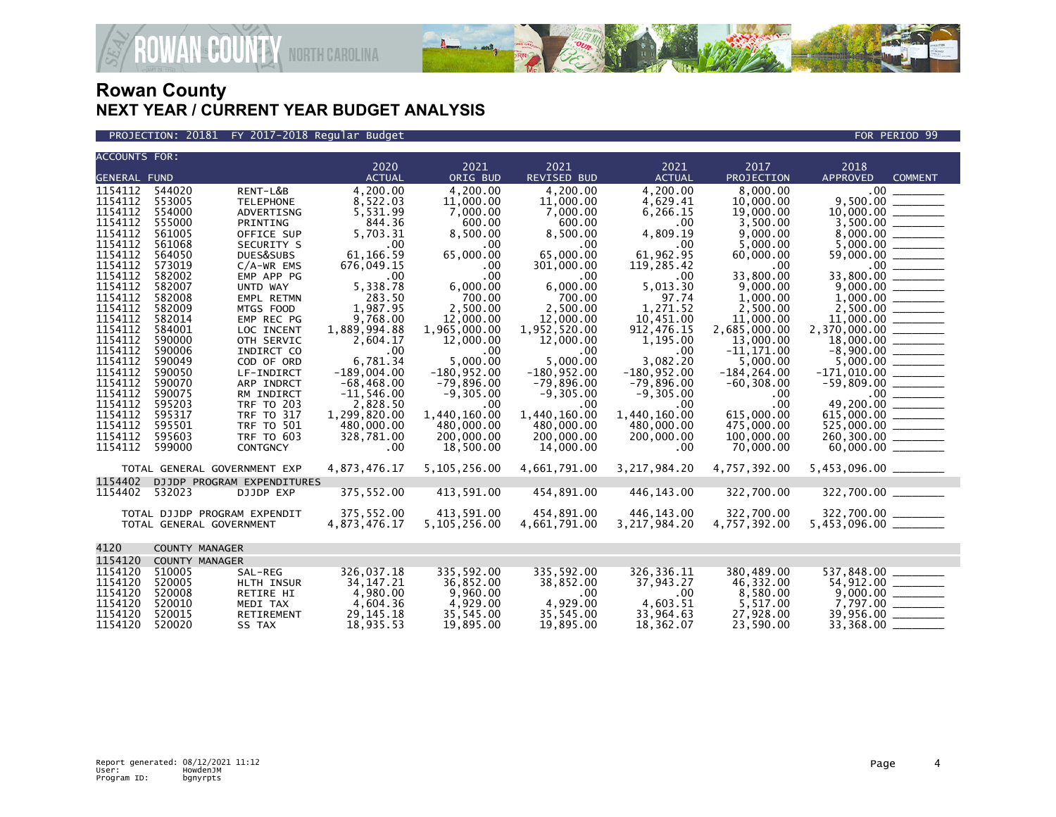

**ECOUNTY** NORTH CAROLINA

PROJECTION: 20181 FY 2017-2018 Regular Budget FOR PERIOD 99

| <b>ACCOUNTS FOR:</b> |                       |                              |                          |                           |                           |                         |                           |                                             |                             |
|----------------------|-----------------------|------------------------------|--------------------------|---------------------------|---------------------------|-------------------------|---------------------------|---------------------------------------------|-----------------------------|
|                      |                       |                              | 2020                     | 2021                      | 2021                      | 2021                    | 2017                      | 2018                                        |                             |
| <b>GENERAL FUND</b>  |                       |                              | <b>ACTUAL</b>            | ORIG BUD                  | REVISED BUD               | <b>ACTUAL</b>           | PROJECTION                | <b>APPROVED</b>                             | <b>COMMENT</b>              |
| 1154112              | 544020                | RENT-L&B                     | 4,200.00                 | 4,200.00                  | 4.200.00                  | 4,200.00                | 8,000.00                  |                                             |                             |
| 1154112              | 553005                | <b>TELEPHONE</b>             | 8,522.03                 | 11,000.00                 | 11,000.00                 | 4,629.41                | 10,000.00                 |                                             | 9,500.00 _______            |
| 1154112              | 554000                | ADVERTISNG                   | 5,531.99                 | 7,000.00                  | 7,000.00                  | 6,266.15                | 19,000.00                 | 10,000.00 _______                           |                             |
| 1154112              | 555000                | PRINTING                     | 844.36                   | 600.00                    | 600.00                    | .00                     | 3,500.00                  |                                             |                             |
| 1154112              | 561005                | OFFICE SUP                   | 5,703.31                 | 8,500.00                  | 8.500.00                  | 4,809.19                | 9.000.00                  |                                             |                             |
| 1154112              | 561068                | SECURITY S                   | .00                      | .00                       | .00                       | .00                     | 5,000.00                  |                                             |                             |
| 1154112              | 564050                | DUES&SUBS                    | 61,166.59                | 65,000.00                 | 65,000.00                 | 61,962.95               | 60,000.00                 | 59,000.00 ______                            |                             |
| 1154112              | 573019                | $C/A-WR$ EMS                 | 676,049.15               | .00                       | 301,000.00                | 119,285.42              | $.00 \,$                  |                                             |                             |
| 1154112              | 582002                | EMP APP PG                   | .00                      | .00                       | $.00 \,$                  | .00                     | 33,800.00                 |                                             |                             |
| 1154112              | 582007                | UNTD WAY                     | 5,338.78                 | 6,000.00                  | 6,000.00                  | 5,013.30                | 9,000.00                  |                                             |                             |
| 1154112              | 582008                | EMPL RETMN                   | 283.50                   | 700.00                    | 700.00                    | 97.74                   | 1,000.00                  |                                             |                             |
| 1154112              | 582009                | MTGS FOOD                    | 1,987.95                 | 2,500.00                  | 2,500.00                  | 1,271.52                | 2,500.00                  |                                             |                             |
| 1154112              | 582014                | EMP REC PG                   | 9,768.00                 | 12,000.00                 | 12,000.00                 | 10,451.00               | 11,000.00                 | $11,000.00$ ________                        |                             |
| 1154112<br>1154112   | 584001<br>590000      | LOC INCENT<br>OTH SERVIC     | 1,889,994.88<br>2.604.17 | 1,965,000.00<br>12,000.00 | 1,952,520.00<br>12,000.00 | 912, 476.15<br>1,195.00 | 2,685,000.00<br>13,000.00 | 2,370,000.00 ______<br>$18,000.00$ ________ |                             |
| 1154112              | 590006                | INDIRCT CO                   | .00                      | $.00 \,$                  | $.00 \,$                  | .00                     | $-11, 171.00$             |                                             |                             |
| 1154112              | 590049                | COD OF ORD                   | 6,781.34                 | 5,000.00                  | 5,000.00                  | 3,082.20                | 5,000.00                  |                                             |                             |
| 1154112              | 590050                | LF-INDIRCT                   | $-189,004.00$            | $-180, 952.00$            | $-180,952.00$             | $-180, 952.00$          | $-184, 264.00$            |                                             |                             |
| 1154112              | 590070                | ARP INDRCT                   | $-68.468.00$             | $-79,896.00$              | $-79,896.00$              | $-79,896.00$            | $-60, 308.00$             | $-59,809.00$ _______                        |                             |
| 1154112              | 590075                | RM INDIRCT                   | $-11,546.00$             | $-9.305.00$               | $-9.305.00$               | $-9.305.00$             | .00                       |                                             |                             |
| 1154112              | 595203                | <b>TRF TO 203</b>            | 2,828.50                 | .00                       | $.00 \,$                  | .00                     | .00                       |                                             |                             |
| 1154112              | 595317                | <b>TRF TO 317</b>            | 1,299,820.00             | 1,440,160.00              | 1,440,160.00              | 1,440,160.00            | 615,000.00                | 615,000.00 ______                           |                             |
| 1154112              | 595501                | <b>TRF TO 501</b>            | 480,000,00               | 480,000.00                | 480,000.00                | 480,000,00              | 475,000.00                | 525,000.00 ______                           |                             |
| 1154112              | 595603                | <b>TRF TO 603</b>            | 328,781.00               | 200,000.00                | 200,000.00                | 200,000.00              | 100,000.00                | 260,300.00                                  |                             |
| 1154112              | 599000                | <b>CONTGNCY</b>              | .00                      | 18,500.00                 | 14,000.00                 | .00                     | 70,000.00                 |                                             |                             |
|                      |                       | TOTAL GENERAL GOVERNMENT EXP | 4,873,476.17             | 5,105,256.00              | 4,661,791.00              | 3,217,984.20            | 4,757,392.00              | 5,453,096.00 _______                        |                             |
| 1154402              |                       | DJJDP PROGRAM EXPENDITURES   |                          |                           |                           |                         |                           |                                             |                             |
| 1154402              | 532023                | DJJDP EXP                    | 375,552.00               | 413,591.00                | 454,891.00                | 446,143.00              | 322,700.00                | 322,700.00                                  |                             |
|                      |                       |                              |                          |                           |                           |                         |                           |                                             |                             |
|                      |                       | TOTAL DJJDP PROGRAM EXPENDIT | 375,552.00               | 413,591.00                | 454,891.00                | 446,143.00              | 322,700.00                | 322,700.00                                  |                             |
|                      |                       | TOTAL GENERAL GOVERNMENT     | 4,873,476.17             | 5, 105, 256.00            | 4,661,791.00              | 3, 217, 984. 20         | 4,757,392.00              | $5,453,096.00$ ________                     |                             |
| 4120                 | <b>COUNTY MANAGER</b> |                              |                          |                           |                           |                         |                           |                                             |                             |
| 1154120              | <b>COUNTY MANAGER</b> |                              |                          |                           |                           |                         |                           |                                             |                             |
| 1154120              | 510005                | SAL-REG                      | 326,037.18               | 335,592.00                | 335,592.00                | 326, 336. 11            | 380,489.00                |                                             |                             |
| 1154120              | 520005                | HLTH INSUR                   | 34, 147. 21              | 36,852.00                 | 38,852.00                 | 37,943.27               | 46,332.00                 | 54,912.00 ______                            |                             |
| 1154120              | 520008                | <b>RETIRE HI</b>             | 4,980.00                 | 9,960.00                  | .00.                      | .00                     | 8,580.00                  |                                             | $\frac{9,000.00}{7,797.00}$ |
| 1154120              | 520010                | MEDI TAX                     | 4,604.36                 | 4,929.00                  | 4,929.00                  | 4,603.51                | 5,517.00                  |                                             |                             |
| 1154120              | 520015                | RETIREMENT                   | 29.145.18                | 35,545.00                 | 35.545.00                 | 33.964.63               | 27.928.00                 | 39,956.00 _______                           |                             |
| 1154120              | 520020                | SS TAX                       | 18,935.53                | 19,895.00                 | 19,895.00                 | 18,362.07               | 23,590.00                 | $33,368.00$ ________                        |                             |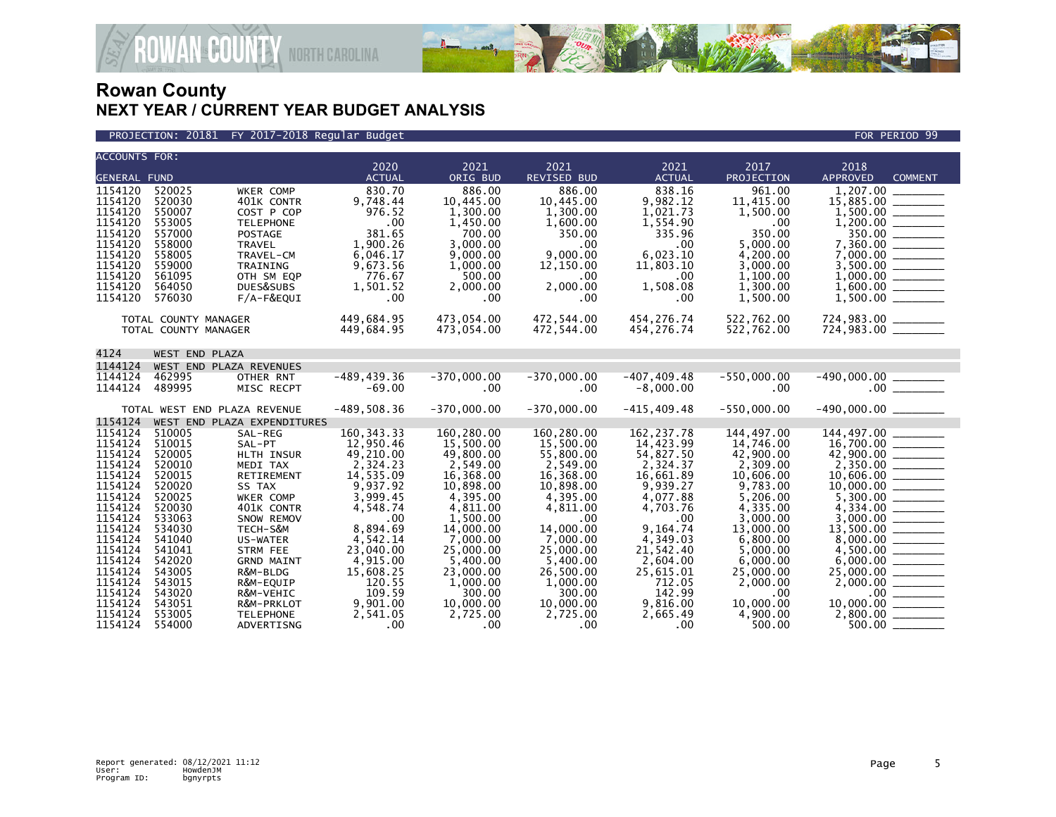

### PROJECTION: 20181 FY 2017-2018 Regular Budget FOR PERIOD 99

| <b>ACCOUNTS FOR:</b> |                      |                                    | 2020                  | 2021                  | 2021                      | 2021                  | 2017                  | 2018                                       |
|----------------------|----------------------|------------------------------------|-----------------------|-----------------------|---------------------------|-----------------------|-----------------------|--------------------------------------------|
| <b>GENERAL FUND</b>  |                      |                                    | <b>ACTUAL</b>         | ORIG BUD              | <b>REVISED BUD</b>        | <b>ACTUAL</b>         | PROJECTION            | <b>APPROVED</b><br><b>COMMENT</b>          |
| 1154120              | 520025               | WKER COMP                          | 830.70                | 886.00                | 886.00                    | 838.16                | 961.00                |                                            |
| 1154120              | 520030               | 401K CONTR                         | 9,748.44              | 10,445.00             | 10,445.00                 | 9,982.12              | 11,415.00             |                                            |
| 1154120              | 550007               | COST P COP                         | 976.52                | 1,300.00              | 1,300.00                  | 1,021.73              | 1,500.00              |                                            |
| 1154120<br>1154120   | 553005<br>557000     | <b>TELEPHONE</b><br><b>POSTAGE</b> | .00<br>381.65         | 1,450.00<br>700.00    | 1,600.00<br>350.00        | 1,554.90<br>335.96    | .00<br>350.00         |                                            |
| 1154120              | 558000               | <b>TRAVEL</b>                      | 1,900.26              | 3,000.00              | $.00 \,$                  | .00                   | 5,000.00              |                                            |
| 1154120              | 558005               | TRAVEL-CM                          | 6,046.17              | 9,000.00              | 9.000.00                  | 6,023.10              | 4,200.00              | $7,360.00$<br>$7,360.00$<br>$7,000.00$     |
| 1154120              | 559000               | TRAINING                           | 9,673.56              | 1,000.00              | 12,150.00                 | 11,803.10             | 3,000.00              |                                            |
| 1154120              | 561095               | OTH SM EQP                         | 776.67                | 500.00                | $.00 \,$                  | .00                   | 1,100.00              |                                            |
| 1154120<br>1154120   | 564050<br>576030     | DUES&SUBS                          | 1,501.52              | 2,000.00              | 2,000.00                  | 1,508.08<br>.00       | 1,300.00<br>1,500.00  |                                            |
|                      |                      | F/A-F&EQUI                         | .00                   | .00                   | .00                       |                       |                       |                                            |
|                      | TOTAL COUNTY MANAGER |                                    | 449,684.95            | 473,054.00            | 472,544.00                | 454,276.74            | 522,762.00            | 724,983.00 ________<br>724,983.00 ________ |
|                      | TOTAL COUNTY MANAGER |                                    | 449,684.95            | 473,054.00            | 472,544.00                | 454,276.74            | 522,762.00            |                                            |
| 4124                 | WEST END PLAZA       |                                    |                       |                       |                           |                       |                       |                                            |
| 1144124              |                      | WEST END PLAZA REVENUES            |                       |                       |                           |                       |                       |                                            |
| 1144124              | 462995               | OTHER RNT                          | -489,439.36           | $-370,000.00$         | $-370,000.00$             | $-407, 409.48$        | $-550,000.00$         |                                            |
| 1144124              | 489995               | MISC RECPT                         | $-69.00$              | $.00 \,$              | $.00 \,$                  | $-8,000.00$           | $.00 \,$              |                                            |
|                      |                      | TOTAL WEST END PLAZA REVENUE       | $-489,508.36$         | $-370,000.00$         | $-370,000.00$             | $-415, 409.48$        | $-550,000.00$         |                                            |
| 1154124              |                      | WEST END PLAZA EXPENDITURES        |                       |                       |                           |                       |                       |                                            |
| 1154124              | 510005               | SAL-REG                            | 160, 343. 33          | 160,280.00            | 160,280.00                | 162, 237. 78          | 144,497.00            |                                            |
| 1154124<br>1154124   | 510015<br>520005     | SAL-PT                             | 12,950.46             | 15,500.00             | 15,500.00                 | 14,423.99             | 14,746.00             |                                            |
| 1154124              | 520010               | HLTH INSUR<br>MEDI TAX             | 49,210.00<br>2,324.23 | 49,800.00<br>2,549.00 | 55,800.00<br>2,549.00     | 54,827.50<br>2,324.37 | 42,900.00<br>2,309.00 |                                            |
| 1154124              | 520015               | RETIREMENT                         | 14,535.09             | 16,368.00             | 16,368.00                 | 16,661.89             | 10,606.00             |                                            |
| 1154124              | 520020               | SS TAX                             | 9,937.92              | 10,898.00             | 10,898.00                 | 9,939.27              | 9,783.00              |                                            |
| 1154124              | 520025               | WKER COMP                          | 3,999.45              | 4,395.00              | 4,395.00                  | 4,077.88              | 5,206.00              |                                            |
| 1154124              | 520030               | 401K CONTR                         | 4,548.74              | 4,811.00              | 4,811.00                  | 4,703.76              | 4,335.00              |                                            |
| 1154124<br>1154124   | 533063<br>534030     | SNOW REMOV<br>TECH-S&M             | .00<br>8,894.69       | 1,500.00<br>14,000.00 | $.00 \times$<br>14,000.00 | .00<br>9,164.74       | 3,000.00<br>13,000.00 |                                            |
| 1154124              | 541040               | US-WATER                           | 4,542.14              | 7.000.00              | 7.000.00                  | 4,349.03              | 6,800.00              |                                            |
| 1154124              | 541041               | <b>STRM FEE</b>                    | 23,040.00             | 25,000,00             | 25,000,00                 | 21,542.40             | 5.000.00              |                                            |
| 1154124              | 542020               | <b>GRND MAINT</b>                  | 4,915.00              | 5,400.00              | 5,400.00                  | 2,604.00              | 6,000.00              |                                            |
| 1154124              | 543005               | R&M-BLDG                           | 15,608.25             | 23,000.00             | 26,500.00                 | 25,615.01             | 25,000.00             |                                            |
| 1154124<br>1154124   | 543015               | R&M-EQUIP                          | 120.55<br>109.59      | 1,000.00              | 1,000.00                  | 712.05                | 2,000.00              |                                            |
| 1154124              | 543020<br>543051     | R&M-VEHIC<br>R&M-PRKLOT            | 9,901.00              | 300.00<br>10,000.00   | 300.00<br>10,000.00       | 142.99<br>9,816.00    | $.00 \,$<br>10,000,00 |                                            |
| 1154124              | 553005               | <b>TELEPHONE</b>                   | 2,541.05              | 2,725.00              | 2,725.00                  | 2,665.49              | 4,900.00              | $2,800.00$ ________                        |
| 1154124              | 554000               | ADVERTISNG                         | .00                   | $.00 \times$          | $.00 \,$                  | $.00 \times$          | 500.00                | 500.00                                     |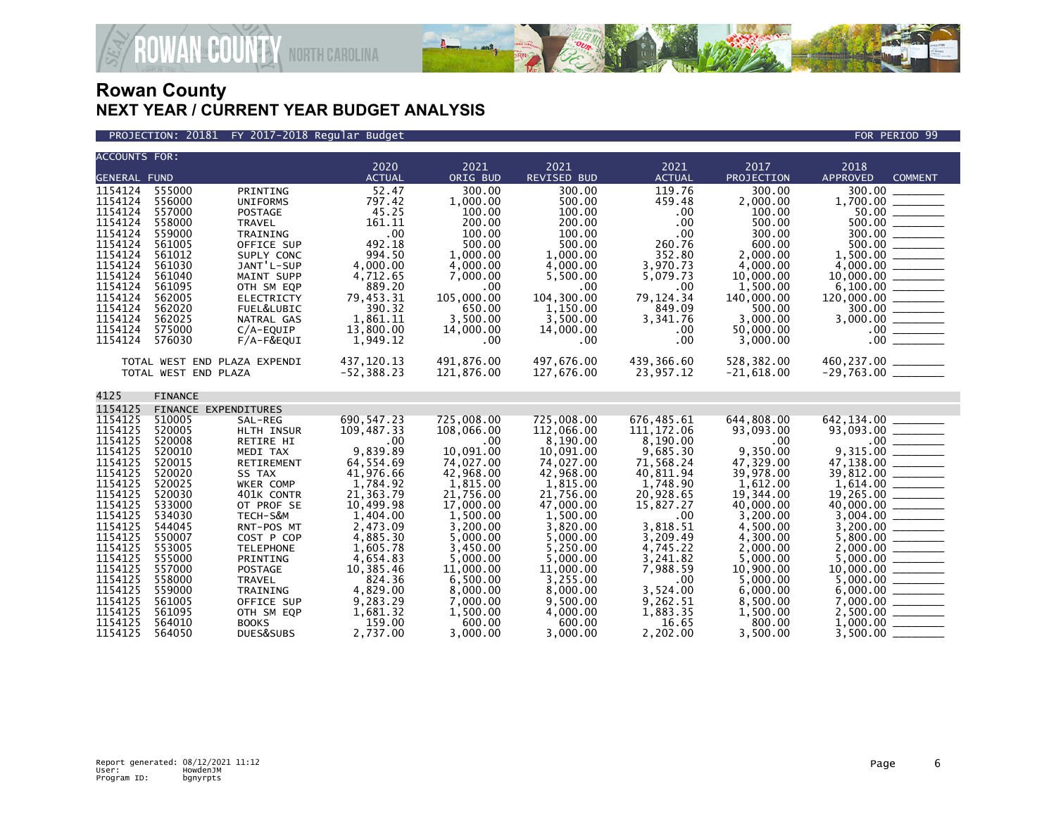

**AN&COUNTY NORTH CAROLINA** 

| <b>ACCOUNTS FOR:</b>                                                                                                                                                         |                                                                                                                                                              |                                                                                                                                                                                                                            | 2020                                                                                                                                                                                            | 2021                                                                                                                                                                                              | 2021                                                                                                                                                                                                   | 2021                                                                                                                                                                                        | 2017                                                                                                                                                                                            | 2018                                                                                                                                                                                                                                                                                                                                                                                                                                                                                                                                                                                                                                                                                                     |
|------------------------------------------------------------------------------------------------------------------------------------------------------------------------------|--------------------------------------------------------------------------------------------------------------------------------------------------------------|----------------------------------------------------------------------------------------------------------------------------------------------------------------------------------------------------------------------------|-------------------------------------------------------------------------------------------------------------------------------------------------------------------------------------------------|---------------------------------------------------------------------------------------------------------------------------------------------------------------------------------------------------|--------------------------------------------------------------------------------------------------------------------------------------------------------------------------------------------------------|---------------------------------------------------------------------------------------------------------------------------------------------------------------------------------------------|-------------------------------------------------------------------------------------------------------------------------------------------------------------------------------------------------|----------------------------------------------------------------------------------------------------------------------------------------------------------------------------------------------------------------------------------------------------------------------------------------------------------------------------------------------------------------------------------------------------------------------------------------------------------------------------------------------------------------------------------------------------------------------------------------------------------------------------------------------------------------------------------------------------------|
| <b>GENERAL FUND</b>                                                                                                                                                          |                                                                                                                                                              |                                                                                                                                                                                                                            | <b>ACTUAL</b>                                                                                                                                                                                   | ORIG BUD                                                                                                                                                                                          | <b>REVISED BUD</b>                                                                                                                                                                                     | <b>ACTUAL</b>                                                                                                                                                                               | PROJECTION                                                                                                                                                                                      | <b>APPROVED</b><br><b>COMMENT</b>                                                                                                                                                                                                                                                                                                                                                                                                                                                                                                                                                                                                                                                                        |
| 1154124<br>1154124<br>1154124<br>1154124<br>1154124<br>1154124<br>1154124<br>1154124<br>1154124<br>1154124<br>1154124<br>1154124<br>1154124<br>1154124<br>1154124            | 555000<br>556000<br>557000<br>558000<br>559000<br>561005<br>561012<br>561030<br>561040<br>561095<br>562005<br>562020<br>562025<br>575000<br>576030           | PRINTING<br><b>UNIFORMS</b><br>POSTAGE<br><b>TRAVEL</b><br>TRAINING<br>OFFICE SUP<br>SUPLY CONC<br>JANT'L-SUP<br>MAINT SUPP<br>OTH SM EQP<br><b>ELECTRICTY</b><br>FUEL&LUBIC<br>NATRAL GAS<br>$C/A$ -EQUIP<br>$F/A-F&EQUI$ | 52.47<br>797.42<br>45.25<br>161.11<br>.00<br>492.18<br>994.50<br>4,000.00<br>4,712.65<br>889.20<br>79,453.31<br>390.32<br>1,861.11<br>13,800.00<br>1,949.12                                     | 300.00<br>1,000.00<br>100.00<br>200.00<br>100.00<br>500.00<br>1,000.00<br>4,000.00<br>7,000.00<br>.00<br>105,000.00<br>650.00<br>3,500.00<br>14,000.00<br>.00                                     | 300.00<br>500.00<br>100.00<br>200.00<br>100.00<br>500.00<br>1,000.00<br>4,000.00<br>5,500.00<br>$.00 \,$<br>104,300.00<br>1,150.00<br>3,500.00<br>14,000.00<br>$.00 \,$                                | 119.76<br>459.48<br>.00<br>.00<br>.00<br>260.76<br>352.80<br>3,970.73<br>5,079.73<br>.00<br>79, 124. 34<br>849.09<br>3,341.76<br>.00<br>.00                                                 | 300.00<br>2,000.00<br>100.00<br>500.00<br>300.00<br>600.00<br>2,000.00<br>4.000.00<br>10,000.00<br>1,500.00<br>140,000.00<br>500.00<br>3.000.00<br>50,000.00<br>3,000.00                        | 300.00<br>$1,700.00$<br>50.00<br>10,000.00<br>$\begin{array}{cccccccccc} \multicolumn{2}{c}{} & \multicolumn{2}{c}{} & \multicolumn{2}{c}{} & \multicolumn{2}{c}{} & \multicolumn{2}{c}{} & \multicolumn{2}{c}{} & \multicolumn{2}{c}{} & \multicolumn{2}{c}{} & \multicolumn{2}{c}{} & \multicolumn{2}{c}{} & \multicolumn{2}{c}{} & \multicolumn{2}{c}{} & \multicolumn{2}{c}{} & \multicolumn{2}{c}{} & \multicolumn{2}{c}{} & \multicolumn{2}{c}{} & \multicolumn{2}{c}{} & \multicolumn{2}{c}{} & \multicolumn{2}{c}{} & \mult$<br>6,100.00<br>$\begin{array}{c} \begin{array}{c} \begin{array}{c} \begin{array}{c} \end{array} \\ \end{array} \end{array} \end{array}$<br>$120,000.00$<br>$300.00$ |
|                                                                                                                                                                              | TOTAL WEST END PLAZA EXPENDI<br>TOTAL WEST END PLAZA                                                                                                         |                                                                                                                                                                                                                            | 437, 120. 13<br>$-52, 388.23$                                                                                                                                                                   | 491,876.00<br>121,876.00                                                                                                                                                                          | 497,676.00<br>127,676.00                                                                                                                                                                               | 439,366.60<br>23,957.12                                                                                                                                                                     | 528,382.00<br>$-21,618.00$                                                                                                                                                                      | 460,237.00 ________<br>-29,763.00 ________                                                                                                                                                                                                                                                                                                                                                                                                                                                                                                                                                                                                                                                               |
| 4125                                                                                                                                                                         | <b>FINANCE</b>                                                                                                                                               |                                                                                                                                                                                                                            |                                                                                                                                                                                                 |                                                                                                                                                                                                   |                                                                                                                                                                                                        |                                                                                                                                                                                             |                                                                                                                                                                                                 |                                                                                                                                                                                                                                                                                                                                                                                                                                                                                                                                                                                                                                                                                                          |
| 1154125                                                                                                                                                                      | FINANCE EXPENDITURES                                                                                                                                         |                                                                                                                                                                                                                            |                                                                                                                                                                                                 |                                                                                                                                                                                                   |                                                                                                                                                                                                        |                                                                                                                                                                                             |                                                                                                                                                                                                 |                                                                                                                                                                                                                                                                                                                                                                                                                                                                                                                                                                                                                                                                                                          |
| 1154125<br>1154125<br>1154125<br>1154125<br>1154125<br>1154125<br>1154125<br>1154125<br>1154125<br>1154125<br>1154125<br>1154125<br>1154125<br>1154125<br>1154125<br>1154125 | 510005<br>520005<br>520008<br>520010<br>520015<br>520020<br>520025<br>520030<br>533000<br>534030<br>544045<br>550007<br>553005<br>555000<br>557000<br>558000 | SAL-REG<br>HLTH INSUR<br>RETIRE HI<br>MEDI TAX<br>RETIREMENT<br>SS TAX<br>WKER COMP<br>401K CONTR<br>OT PROF SE<br>TECH-S&M<br>RNT-POS MT<br>COST P COP<br><b>TELEPHONE</b><br>PRINTING<br>POSTAGE<br><b>TRAVEL</b>        | 690, 547.23<br>109,487.33<br>.00<br>9,839.89<br>64,554.69<br>41.976.66<br>1,784.92<br>21,363.79<br>10,499.98<br>1,404.00<br>2,473.09<br>4,885.30<br>1,605.78<br>4,654.83<br>10,385.46<br>824.36 | 725,008.00<br>108,066.00<br>.00<br>10.091.00<br>74,027.00<br>42,968.00<br>1,815.00<br>21,756.00<br>17,000.00<br>1,500.00<br>3.200.00<br>5,000.00<br>3,450.00<br>5,000.00<br>11,000.00<br>6.500.00 | 725,008.00<br>112,066.00<br>8,190.00<br>10.091.00<br>74,027.00<br>42,968.00<br>1,815.00<br>21,756.00<br>47,000.00<br>1,500.00<br>3,820.00<br>5,000.00<br>5,250.00<br>5,000.00<br>11,000.00<br>3.255.00 | 676,485.61<br>111, 172.06<br>8,190.00<br>9,685.30<br>71,568.24<br>40.811.94<br>1,748.90<br>20,928.65<br>15,827.27<br>.00<br>3.818.51<br>3,209.49<br>4,745.22<br>3,241.82<br>7,988.59<br>.00 | 644,808.00<br>93,093.00<br>.00<br>9.350.00<br>47,329.00<br>39.978.00<br>1,612.00<br>19,344.00<br>40,000.00<br>3,200.00<br>4,500.00<br>4,300.00<br>2,000.00<br>5,000.00<br>10,900.00<br>5.000.00 | 642,134.00<br>$\begin{array}{r} \n 93,093.00 \n 0.00 \n 0.315.00 \n 0.00 \n 0.00 \n 0.00 \n \end{array}$<br>39,812.00 ________<br>40,000.00 ______                                                                                                                                                                                                                                                                                                                                                                                                                                                                                                                                                       |
| 1154125<br>1154125<br>1154125<br>1154125<br>1154125                                                                                                                          | 559000<br>561005<br>561095<br>564010<br>564050                                                                                                               | TRAINING<br>OFFICE SUP<br>OTH SM EQP<br><b>BOOKS</b><br>DUES&SUBS                                                                                                                                                          | 4,829.00<br>9,283.29<br>1,681.32<br>159.00<br>2,737.00                                                                                                                                          | 8,000.00<br>7,000.00<br>1,500.00<br>600.00<br>3.000.00                                                                                                                                            | 8,000.00<br>9,500.00<br>4,000.00<br>600.00<br>3.000.00                                                                                                                                                 | 3,524.00<br>9,262.51<br>1,883.35<br>16.65<br>2,202.00                                                                                                                                       | 6,000.00<br>8,500.00<br>1,500.00<br>800.00<br>3.500.00                                                                                                                                          | 2,500.00<br>1,000.00<br>3,500.00                                                                                                                                                                                                                                                                                                                                                                                                                                                                                                                                                                                                                                                                         |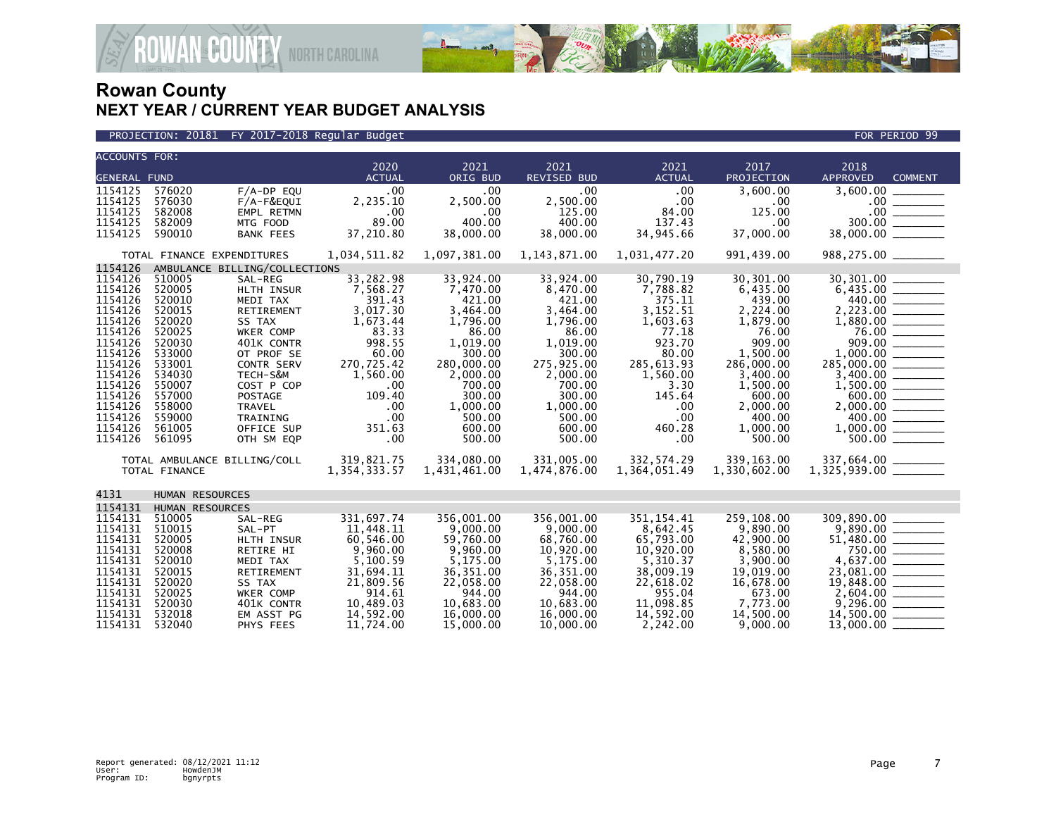

**GOUNTY** NORTH CAROLINA

| <b>ACCOUNTS FOR:</b>                                                                                                                                                         |                                                                                                                                                              |                                                                                                                                                                                                                       | 2020                                                                                                                                                          | 2021                                                                                                                                                                           | 2021                                                                                                                                                                           | 2021                                                                                                                                                           | 2017                                                                                                                                                                               | 2018                                                          |                                                         |
|------------------------------------------------------------------------------------------------------------------------------------------------------------------------------|--------------------------------------------------------------------------------------------------------------------------------------------------------------|-----------------------------------------------------------------------------------------------------------------------------------------------------------------------------------------------------------------------|---------------------------------------------------------------------------------------------------------------------------------------------------------------|--------------------------------------------------------------------------------------------------------------------------------------------------------------------------------|--------------------------------------------------------------------------------------------------------------------------------------------------------------------------------|----------------------------------------------------------------------------------------------------------------------------------------------------------------|------------------------------------------------------------------------------------------------------------------------------------------------------------------------------------|---------------------------------------------------------------|---------------------------------------------------------|
| <b>GENERAL FUND</b>                                                                                                                                                          |                                                                                                                                                              |                                                                                                                                                                                                                       | <b>ACTUAL</b>                                                                                                                                                 | ORIG BUD                                                                                                                                                                       | REVISED BUD                                                                                                                                                                    | <b>ACTUAL</b>                                                                                                                                                  | PROJECTION                                                                                                                                                                         | <b>APPROVED</b>                                               | <b>COMMENT</b>                                          |
| 1154125<br>1154125<br>1154125<br>1154125<br>1154125                                                                                                                          | 576020<br>576030<br>582008<br>582009<br>590010                                                                                                               | $F/A-DP$ EQU<br>F/A-F&EQUI<br>EMPL RETMN<br>MTG FOOD<br><b>BANK FEES</b>                                                                                                                                              | .00<br>2,235.10<br>.00<br>89.00<br>37,210.80                                                                                                                  | .00<br>2,500.00<br>.00<br>400.00<br>38,000.00                                                                                                                                  | .00 <sub>1</sub><br>2,500.00<br>125.00<br>400.00<br>38,000.00                                                                                                                  | .00<br>.00<br>84.00<br>137.43<br>34,945.66                                                                                                                     | 3,600.00<br>.00.<br>125.00<br>.00<br>37,000.00                                                                                                                                     | 3,600.00                                                      | $\frac{100}{300.00}$                                    |
|                                                                                                                                                                              | TOTAL FINANCE EXPENDITURES                                                                                                                                   |                                                                                                                                                                                                                       | 1,034,511.82                                                                                                                                                  | 1,097,381.00                                                                                                                                                                   | 1, 143, 871.00                                                                                                                                                                 | 1,031,477.20                                                                                                                                                   | 991,439.00                                                                                                                                                                         |                                                               |                                                         |
| 1154126                                                                                                                                                                      |                                                                                                                                                              | AMBULANCE BILLING/COLLECTIONS                                                                                                                                                                                         |                                                                                                                                                               |                                                                                                                                                                                |                                                                                                                                                                                |                                                                                                                                                                |                                                                                                                                                                                    |                                                               |                                                         |
| 1154126<br>1154126<br>1154126<br>1154126<br>1154126<br>1154126<br>1154126<br>1154126<br>1154126<br>1154126<br>1154126<br>1154126<br>1154126<br>1154126<br>1154126<br>1154126 | 510005<br>520005<br>520010<br>520015<br>520020<br>520025<br>520030<br>533000<br>533001<br>534030<br>550007<br>557000<br>558000<br>559000<br>561005<br>561095 | SAL-REG<br>HLTH INSUR<br>MEDI TAX<br><b>RETIREMENT</b><br>SS TAX<br>WKER COMP<br>401K CONTR<br>OT PROF SE<br><b>CONTR SERV</b><br>TECH-S&M<br>COST P COP<br>POSTAGE<br>TRAVEL<br>TRAINING<br>OFFICE SUP<br>OTH SM EQP | 33,282.98<br>7,568.27<br>391.43<br>3,017.30<br>1,673.44<br>83.33<br>998.55<br>60.00<br>270,725.42<br>1,560.00<br>.00<br>109.40<br>.00<br>.00<br>351.63<br>.00 | 33,924.00<br>7,470.00<br>421.00<br>3.464.00<br>1,796.00<br>86.00<br>1,019.00<br>300.00<br>280,000.00<br>2,000.00<br>700.00<br>300.00<br>1,000.00<br>500.00<br>600.00<br>500.00 | 33,924.00<br>8,470.00<br>421.00<br>3.464.00<br>1,796.00<br>86.00<br>1,019.00<br>300.00<br>275,925.00<br>2,000.00<br>700.00<br>300.00<br>1,000.00<br>500.00<br>600.00<br>500.00 | 30,790.19<br>7,788.82<br>375.11<br>3.152.51<br>1,603.63<br>77.18<br>923.70<br>80.00<br>285,613.93<br>1,560.00<br>3.30<br>145.64<br>.00<br>.00<br>460.28<br>.00 | 30,301.00<br>6,435.00<br>439.00<br>2,224.00<br>1,879.00<br>76.00<br>909.00<br>1,500.00<br>286,000.00<br>3,400.00<br>1,500.00<br>600.00<br>2,000.00<br>400.00<br>1,000.00<br>500.00 | 2,223.00<br>285,000.00 ______                                 | 76.00<br>909.00<br>$2,000.00$ $\overline{\hspace{1cm}}$ |
|                                                                                                                                                                              | TOTAL AMBULANCE BILLING/COLL<br>TOTAL FINANCE                                                                                                                |                                                                                                                                                                                                                       | 319,821.75<br>1,354,333.57                                                                                                                                    | 334,080.00<br>1,431,461.00                                                                                                                                                     | 331,005.00<br>1,474,876.00                                                                                                                                                     | 332, 574.29<br>1,364,051.49                                                                                                                                    | 339,163.00<br>1,330,602.00                                                                                                                                                         | 337,664.00 ________<br>$1,325,939.00$ ________                |                                                         |
| 4131                                                                                                                                                                         | HUMAN RESOURCES                                                                                                                                              |                                                                                                                                                                                                                       |                                                                                                                                                               |                                                                                                                                                                                |                                                                                                                                                                                |                                                                                                                                                                |                                                                                                                                                                                    |                                                               |                                                         |
| 1154131                                                                                                                                                                      | HUMAN RESOURCES                                                                                                                                              |                                                                                                                                                                                                                       |                                                                                                                                                               |                                                                                                                                                                                |                                                                                                                                                                                |                                                                                                                                                                |                                                                                                                                                                                    |                                                               |                                                         |
| 1154131<br>1154131<br>1154131<br>1154131<br>1154131<br>1154131<br>1154131<br>1154131<br>1154131<br>1154131<br>1154131                                                        | 510005<br>510015<br>520005<br>520008<br>520010<br>520015<br>520020<br>520025<br>520030<br>532018<br>532040                                                   | SAL-REG<br>SAL-PT<br>HLTH INSUR<br>RETIRE HI<br>MEDI TAX<br>RETIREMENT<br>SS TAX<br><b>WKER COMP</b><br>401K CONTR<br>EM ASST PG<br>PHYS FEES                                                                         | 331,697.74<br>11,448.11<br>60,546.00<br>9,960.00<br>5,100.59<br>31,694.11<br>21,809.56<br>914.61<br>10,489.03<br>14,592.00<br>11,724.00                       | 356.001.00<br>9,000,00<br>59,760.00<br>9,960.00<br>5,175.00<br>36, 351.00<br>22,058.00<br>944.00<br>10,683.00<br>16,000.00<br>15,000.00                                        | 356.001.00<br>9.000.00<br>68,760.00<br>10,920.00<br>5,175.00<br>36, 351.00<br>22,058.00<br>944.00<br>10,683.00<br>16,000.00<br>10,000.00                                       | 351.154.41<br>8,642.45<br>65,793.00<br>10,920.00<br>5.310.37<br>38,009.19<br>22,618.02<br>955.04<br>11,098.85<br>14,592.00<br>2,242.00                         | 259.108.00<br>9,890.00<br>42,900.00<br>8,580.00<br>3,900.00<br>19,019.00<br>16,678.00<br>673.00<br>7,773.00<br>14,500.00<br>9,000.00                                               | 309.890.00<br>19,848.00<br>14,500.00 _______<br>$13,000.00$ _ | 750.00 ______<br>4,637.00 _______                       |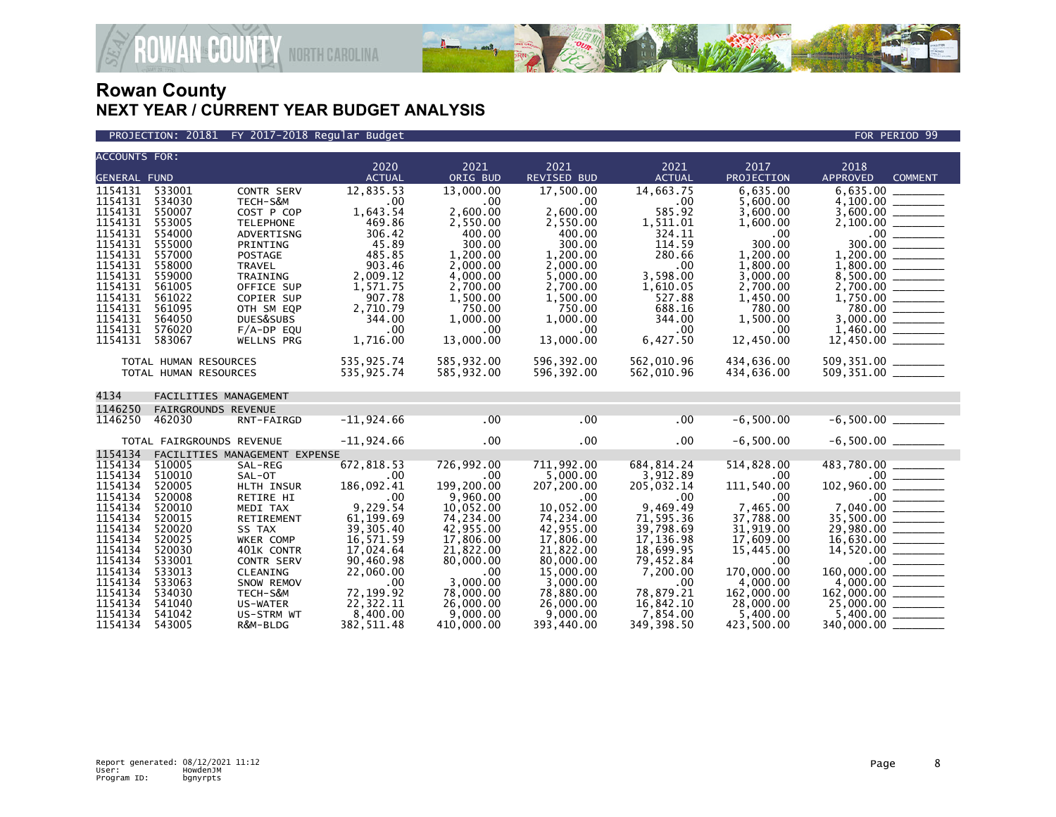

PROJECTION: 20181 FY 2017-2018 Regular Budget FOR PERIOD 99

| <b>ACCOUNTS FOR:</b> |                                      |                                 | 2020                   | 2021                 | 2021                   | 2021                   | 2017                 | 2018                                                                                                                                                                                                                                                                                                                                                                                                                                                                                                |
|----------------------|--------------------------------------|---------------------------------|------------------------|----------------------|------------------------|------------------------|----------------------|-----------------------------------------------------------------------------------------------------------------------------------------------------------------------------------------------------------------------------------------------------------------------------------------------------------------------------------------------------------------------------------------------------------------------------------------------------------------------------------------------------|
| <b>GENERAL FUND</b>  |                                      |                                 | <b>ACTUAL</b>          | ORIG BUD             | <b>REVISED BUD</b>     | <b>ACTUAL</b>          | PROJECTION           | <b>APPROVED</b><br><b>COMMENT</b>                                                                                                                                                                                                                                                                                                                                                                                                                                                                   |
| 1154131              | 533001                               | <b>CONTR SERV</b>               | 12,835.53              | 13,000.00            | 17.500.00              | 14.663.75              | 6.635.00             | 6.635.00                                                                                                                                                                                                                                                                                                                                                                                                                                                                                            |
| 1154131              | 534030                               | TECH-S&M                        | .00                    | .00                  | $.00 \,$               | $.00 \,$               | 5,600.00             | 4.100.00                                                                                                                                                                                                                                                                                                                                                                                                                                                                                            |
| 1154131              | 550007                               | COST P COP                      | 1,643.54               | 2,600.00             | 2,600.00               | 585.92                 | 3,600.00             |                                                                                                                                                                                                                                                                                                                                                                                                                                                                                                     |
| 1154131              | 553005                               | <b>TELEPHONE</b>                | 469.86                 | 2,550.00             | 2,550.00               | 1,511.01               | 1,600.00             |                                                                                                                                                                                                                                                                                                                                                                                                                                                                                                     |
| 1154131              | 554000                               | ADVERTISNG                      | 306.42                 | 400.00               | 400.00                 | 324.11                 | .00                  | $.00$ $\qquad$                                                                                                                                                                                                                                                                                                                                                                                                                                                                                      |
| 1154131              | 555000                               | PRINTING                        | 45.89                  | 300.00               | 300.00                 | 114.59                 | 300.00               | 300.00                                                                                                                                                                                                                                                                                                                                                                                                                                                                                              |
| 1154131<br>1154131   | 557000<br>558000                     | <b>POSTAGE</b><br><b>TRAVEL</b> | 485.85<br>903.46       | 1,200.00<br>2.000.00 | 1,200.00<br>2.000.00   | 280.66<br>.00          | 1,200.00<br>1,800.00 | 1.800.00                                                                                                                                                                                                                                                                                                                                                                                                                                                                                            |
| 1154131              | 559000                               | TRAINING                        | 2,009.12               | 4,000.00             | 5,000.00               | 3,598.00               | 3,000.00             | 8,500.00                                                                                                                                                                                                                                                                                                                                                                                                                                                                                            |
| 1154131              | 561005                               | OFFICE SUP                      | 1,571.75               | 2,700.00             | 2,700.00               | 1,610.05               | 2,700.00             |                                                                                                                                                                                                                                                                                                                                                                                                                                                                                                     |
| 1154131              | 561022                               | COPIER SUP                      | 907.78                 | 1,500.00             | 1,500.00               | 527.88                 | 1,450.00             |                                                                                                                                                                                                                                                                                                                                                                                                                                                                                                     |
| 1154131              | 561095                               | OTH SM EQP                      | 2,710.79               | 750.00               | 750.00                 | 688.16                 | 780.00               |                                                                                                                                                                                                                                                                                                                                                                                                                                                                                                     |
| 1154131              | 564050                               | DUES&SUBS                       | 344.00                 | 1,000.00             | 1,000.00               | 344.00                 | 1,500.00             |                                                                                                                                                                                                                                                                                                                                                                                                                                                                                                     |
| 1154131              | 576020                               | $F/A-DP$ EQU                    | .00                    | .00                  | $.00 \,$               | $.00 \times$           | .00                  |                                                                                                                                                                                                                                                                                                                                                                                                                                                                                                     |
| 1154131              | 583067                               | WELLNS PRG                      | 1,716.00               | 13,000.00            | 13,000.00              | 6,427.50               | 12,450.00            |                                                                                                                                                                                                                                                                                                                                                                                                                                                                                                     |
|                      | TOTAL HUMAN RESOURCES                |                                 | 535,925.74             | 585,932.00           | 596,392.00             | 562,010.96             | 434,636.00           | 509,351.00 _______                                                                                                                                                                                                                                                                                                                                                                                                                                                                                  |
|                      | TOTAL HUMAN RESOURCES                |                                 | 535,925.74             | 585,932.00           | 596,392.00             | 562,010.96             | 434,636.00           |                                                                                                                                                                                                                                                                                                                                                                                                                                                                                                     |
|                      |                                      |                                 |                        |                      |                        |                        |                      |                                                                                                                                                                                                                                                                                                                                                                                                                                                                                                     |
| 4134                 | FACILITIES MANAGEMENT                |                                 |                        |                      |                        |                        |                      |                                                                                                                                                                                                                                                                                                                                                                                                                                                                                                     |
| 1146250<br>1146250   | <b>FAIRGROUNDS REVENUE</b><br>462030 |                                 |                        | .00                  | .00                    | .00                    | $-6,500.00$          |                                                                                                                                                                                                                                                                                                                                                                                                                                                                                                     |
|                      |                                      | RNT-FAIRGD                      | $-11,924.66$           |                      |                        |                        |                      |                                                                                                                                                                                                                                                                                                                                                                                                                                                                                                     |
|                      | TOTAL FAIRGROUNDS REVENUE            |                                 | $-11,924.66$           | $.00 \,$             | $.00 \,$               | $.00 \,$               | $-6,500.00$          |                                                                                                                                                                                                                                                                                                                                                                                                                                                                                                     |
| 1154134              |                                      | FACILITIES MANAGEMENT EXPENSE   |                        |                      |                        |                        |                      |                                                                                                                                                                                                                                                                                                                                                                                                                                                                                                     |
| 1154134              | 510005                               | SAL-REG                         | 672,818.53             | 726,992.00           | 711.992.00             | 684, 814.24            | 514,828.00           | 483.780.00                                                                                                                                                                                                                                                                                                                                                                                                                                                                                          |
| 1154134<br>1154134   | 510010<br>520005                     | SAL-OT<br>HLTH INSUR            | .00<br>186,092.41      | .00<br>199.200.00    | 5,000.00<br>207,200.00 | 3,912.89<br>205,032.14 | .00<br>111,540.00    | 102,960.00                                                                                                                                                                                                                                                                                                                                                                                                                                                                                          |
| 1154134              | 520008                               | RETIRE HI                       | .00                    | 9,960.00             | $.00 \,$               | .00                    | .00                  |                                                                                                                                                                                                                                                                                                                                                                                                                                                                                                     |
| 1154134              | 520010                               | MEDI TAX                        | 9,229.54               | 10,052.00            | 10,052.00              | 9,469.49               | 7,465.00             |                                                                                                                                                                                                                                                                                                                                                                                                                                                                                                     |
| 1154134              | 520015                               | RETIREMENT                      | 61,199.69              | 74,234.00            | 74,234.00              | 71,595.36              | 37,788.00            |                                                                                                                                                                                                                                                                                                                                                                                                                                                                                                     |
| 1154134              | 520020                               | SS TAX                          | 39, 305.40             | 42,955.00            | 42,955.00              | 39,798.69              | 31,919.00            | 29,980.00<br>$\begin{array}{cccccccccc} \multicolumn{2}{c}{} & \multicolumn{2}{c}{} & \multicolumn{2}{c}{} & \multicolumn{2}{c}{} & \multicolumn{2}{c}{} & \multicolumn{2}{c}{} & \multicolumn{2}{c}{} & \multicolumn{2}{c}{} & \multicolumn{2}{c}{} & \multicolumn{2}{c}{} & \multicolumn{2}{c}{} & \multicolumn{2}{c}{} & \multicolumn{2}{c}{} & \multicolumn{2}{c}{} & \multicolumn{2}{c}{} & \multicolumn{2}{c}{} & \multicolumn{2}{c}{} & \multicolumn{2}{c}{} & \multicolumn{2}{c}{} & \mult$ |
| 1154134              | 520025                               | WKER COMP                       | 16,571.59              | 17,806.00            | 17,806.00              | 17, 136.98             | 17,609.00            |                                                                                                                                                                                                                                                                                                                                                                                                                                                                                                     |
| 1154134              | 520030                               | 401K CONTR                      | 17,024.64              | 21,822.00            | 21,822.00              | 18,699.95              | 15,445.00            |                                                                                                                                                                                                                                                                                                                                                                                                                                                                                                     |
| 1154134<br>1154134   | 533001<br>533013                     | <b>CONTR SERV</b><br>CLEANING   | 90,460.98<br>22,060.00 | 80,000,00<br>.00     | 80,000.00<br>15,000.00 | 79,452.84<br>7,200.00  | .00<br>170,000.00    | 160,000.00                                                                                                                                                                                                                                                                                                                                                                                                                                                                                          |
| 1154134              | 533063                               | SNOW REMOV                      | .00                    | 3,000.00             | 3,000.00               | .00                    | 4,000.00             |                                                                                                                                                                                                                                                                                                                                                                                                                                                                                                     |
| 1154134              | 534030                               | TECH-S&M                        | 72,199.92              | 78,000.00            | 78,880.00              | 78,879.21              | 162,000.00           | 162,000.00                                                                                                                                                                                                                                                                                                                                                                                                                                                                                          |
| 1154134              | 541040                               | US-WATER                        | 22,322.11              | 26,000.00            | 26,000.00              | 16,842.10              | 28,000.00            |                                                                                                                                                                                                                                                                                                                                                                                                                                                                                                     |
| 1154134              | 541042                               | US-STRM WT                      | 8,400.00               | 9,000.00             | 9,000.00               | 7,854.00               | 5,400.00             | 5,400.00                                                                                                                                                                                                                                                                                                                                                                                                                                                                                            |
| 1154134              | 543005                               | R&M-BLDG                        | 382, 511.48            | 410,000.00           | 393,440,00             | 349, 398.50            | 423,500.00           | 340,000,00                                                                                                                                                                                                                                                                                                                                                                                                                                                                                          |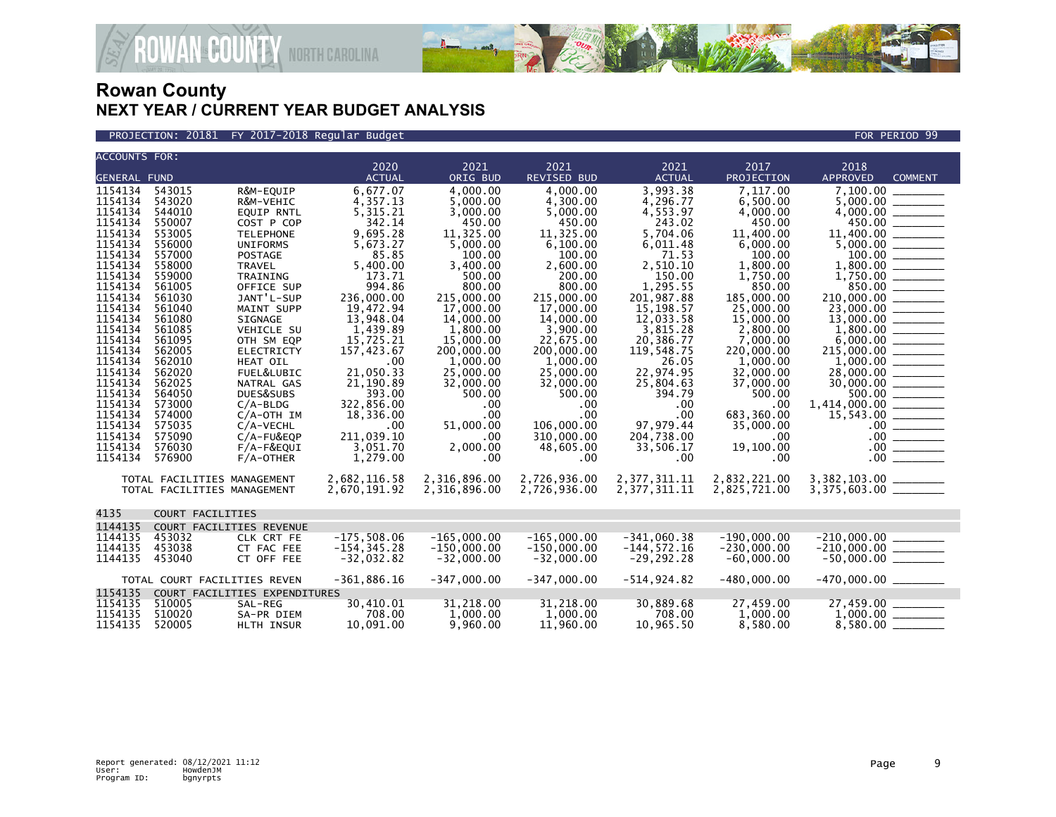

PROJECTION: 20181 FY 2017-2018 Regular Budget FOR PERIOD 99

| <b>ACCOUNTS FOR:</b> |                              |                               |                |               |               |                |               |                                   |
|----------------------|------------------------------|-------------------------------|----------------|---------------|---------------|----------------|---------------|-----------------------------------|
|                      |                              |                               | 2020           | 2021          | 2021          | 2021           | 2017          | 2018                              |
| <b>GENERAL FUND</b>  |                              |                               | <b>ACTUAL</b>  | ORIG BUD      | REVISED BUD   | <b>ACTUAL</b>  | PROJECTION    | <b>APPROVED</b><br><b>COMMENT</b> |
| 1154134              | 543015                       | R&M-EQUIP                     | 6,677.07       | 4.000.00      | 4.000.00      | 3,993.38       | 7.117.00      | 7.100.00                          |
| 1154134              | 543020                       | R&M-VEHIC                     | 4,357.13       | 5.000.00      | 4,300.00      | 4,296.77       | 6,500.00      |                                   |
| 1154134              | 544010                       | <b>EQUIP RNTL</b>             | 5,315.21       | 3,000.00      | 5,000.00      | 4,553.97       | 4,000.00      |                                   |
| 1154134              | 550007                       | COST P COP                    | 342.14         | 450.00        | 450.00        | 243.02         | 450.00        | 450.00                            |
| 1154134              | 553005                       | <b>TELEPHONE</b>              | 9,695.28       | 11,325.00     | 11,325.00     | 5,704.06       | 11,400,00     | 11,400.00 _______                 |
| 1154134              | 556000                       | <b>UNIFORMS</b>               | 5,673.27       | 5,000.00      | 6,100.00      | 6,011.48       | 6,000.00      |                                   |
| 1154134              | 557000                       | <b>POSTAGE</b>                | 85.85          | 100.00        | 100.00        | 71.53          | 100.00        |                                   |
| 1154134              | 558000                       | <b>TRAVEL</b>                 | 5,400.00       | 3,400.00      | 2,600.00      | 2,510.10       | 1,800.00      |                                   |
| 1154134              | 559000                       | TRAINING                      | 173.71         | 500.00        | 200.00        | 150.00         | 1,750.00      |                                   |
| 1154134              | 561005                       | OFFICE SUP                    | 994.86         | 800.00        | 800.00        | 1,295.55       | 850.00        |                                   |
| 1154134              | 561030                       | JANT'L-SUP                    | 236,000.00     | 215,000.00    | 215,000.00    | 201.987.88     | 185,000.00    | 210,000.00 ______                 |
| 1154134              | 561040                       | MAINT SUPP                    | 19,472.94      | 17,000.00     | 17,000.00     | 15, 198. 57    | 25,000.00     |                                   |
| 1154134              | 561080                       | SIGNAGE                       | 13,948.04      | 14,000.00     | 14,000.00     | 12,033.58      | 15,000.00     |                                   |
| 1154134              | 561085                       | <b>VEHICLE SU</b>             | 1,439.89       | 1,800.00      | 3,900.00      | 3,815.28       | 2,800.00      |                                   |
| 1154134              | 561095                       | OTH SM EQP                    | 15,725.21      | 15,000.00     | 22,675.00     | 20,386.77      | 7,000.00      |                                   |
| 1154134              | 562005                       | <b>ELECTRICTY</b>             | 157,423.67     | 200,000.00    | 200,000.00    | 119,548.75     | 220,000.00    |                                   |
| 1154134              | 562010                       | HEAT OIL                      | .00            | 1,000.00      | 1,000.00      | 26.05          | 1,000.00      |                                   |
| 1154134              | 562020                       | FUEL&LUBIC                    | 21.050.33      | 25,000.00     | 25,000.00     | 22,974.95      | 32,000.00     | 28,000.00 _______                 |
| 1154134              | 562025                       | NATRAL GAS                    | 21,190.89      | 32,000.00     | 32,000.00     | 25,804.63      | 37,000.00     |                                   |
| 1154134              | 564050                       | DUES&SUBS                     | 393.00         | 500.00        | 500.00        | 394.79         | 500.00        | 500.00                            |
| 1154134              | 573000                       | $C/A-BLDG$                    | 322,856.00     | .00           | .00           | .00            | .00           |                                   |
| 1154134              | 574000                       | $C/A$ -OTH IM                 | 18,336.00      | $.00 \,$      | $.00 \times$  | .00            | 683,360.00    |                                   |
| 1154134              | 575035                       | C/A-VECHL                     | .00.           | 51,000.00     | 106,000.00    | 97,979.44      | 35,000.00     | $.00$ _______                     |
| 1154134              | 575090                       | $C/A$ -FU&EQP                 | 211,039.10     | .00           | 310,000.00    | 204,738.00     | $.00 \,$      |                                   |
| 1154134              | 576030                       | F/A-F&EQUI                    | 3,051.70       | 2,000.00      | 48,605.00     | 33,506.17      | 19,100.00     |                                   |
| 1154134              | 576900                       | $F/A$ -OTHER                  | 1,279.00       | .00           | .00           | .00            | $.00 \,$      | 00                                |
|                      | TOTAL FACILITIES MANAGEMENT  |                               | 2,682,116.58   | 2,316,896.00  | 2,726,936.00  | 2,377,311.11   | 2,832,221.00  | 3,382,103.00 ________             |
|                      | TOTAL FACILITIES MANAGEMENT  |                               | 2,670,191.92   | 2,316,896.00  | 2,726,936.00  | 2,377,311.11   | 2,825,721.00  | $3,375,603.00$ ________           |
|                      |                              |                               |                |               |               |                |               |                                   |
| 4135                 | COURT FACILITIES             |                               |                |               |               |                |               |                                   |
| 1144135              |                              | COURT FACILITIES REVENUE      |                |               |               |                |               |                                   |
| 1144135              | 453032                       | CLK CRT FE                    | $-175.508.06$  | $-165.000.00$ | $-165.000.00$ | $-341.060.38$  | $-190.000.00$ |                                   |
| 1144135              | 453038                       | CT FAC FEE                    | $-154, 345.28$ | $-150,000.00$ | $-150,000.00$ | $-144, 572.16$ | $-230,000.00$ |                                   |
| 1144135              | 453040                       | CT OFF FEE                    | $-32,032.82$   | $-32,000.00$  | $-32,000.00$  | $-29, 292.28$  | $-60,000.00$  |                                   |
|                      | TOTAL COURT FACILITIES REVEN |                               | $-361,886.16$  | $-347,000.00$ | $-347,000.00$ | $-514, 924.82$ | $-480,000.00$ |                                   |
| 1154135              |                              | COURT FACILITIES EXPENDITURES |                |               |               |                |               |                                   |
| 1154135              | 510005                       | SAL-REG                       | 30,410.01      | 31,218.00     | 31,218.00     | 30,889.68      | 27,459.00     |                                   |
| 1154135              | 510020                       | SA-PR DIEM                    | 708.00         | 1,000.00      | 1,000.00      | 708.00         | 1.000.00      |                                   |
| 1154135              | 520005                       | <b>HLTH INSUR</b>             | 10.091.00      | 9,960.00      | 11,960.00     | 10.965.50      | 8,580.00      | $8,580.00$ __                     |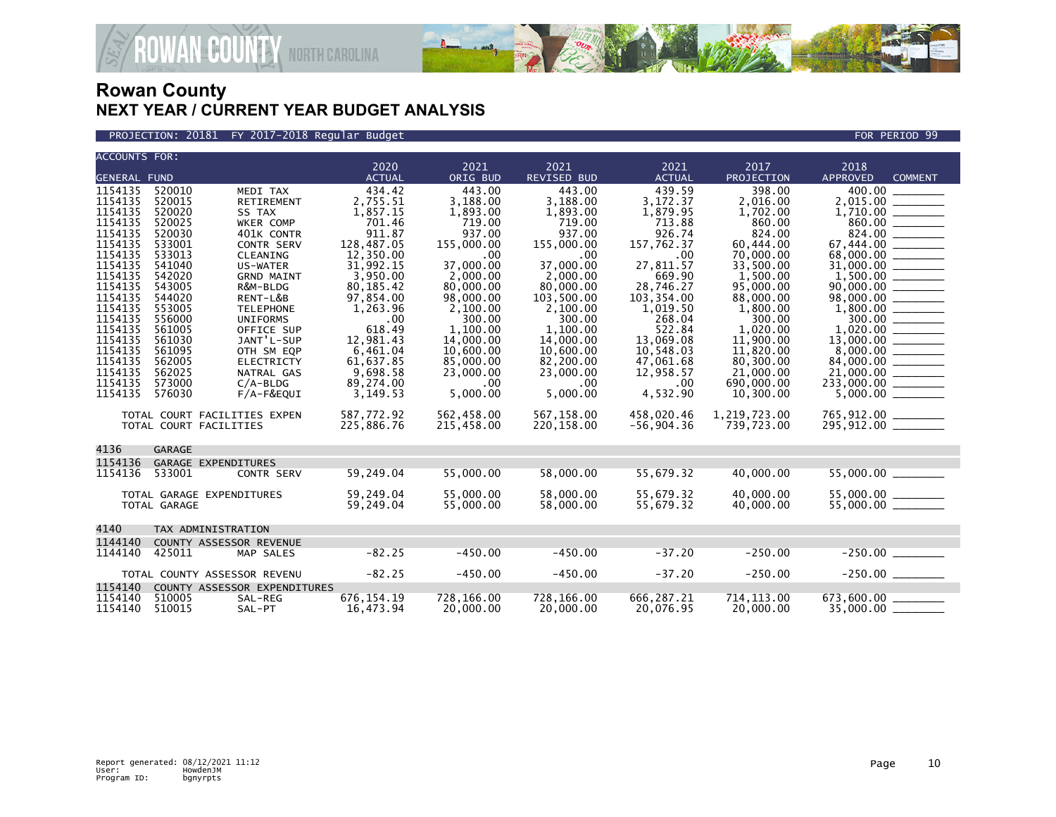

PROJECTION: 20181 FY 2017-2018 Regular Budget FOR PERIOD 99

| <b>ACCOUNTS FOR:</b> |                              |                              | 2020                   | 2021                   | 2021                    | 2021                    | 2017                   | 2018                              |  |
|----------------------|------------------------------|------------------------------|------------------------|------------------------|-------------------------|-------------------------|------------------------|-----------------------------------|--|
| <b>GENERAL FUND</b>  |                              |                              | <b>ACTUAL</b>          | ORIG BUD               | REVISED BUD             | <b>ACTUAL</b>           | PROJECTION             | <b>APPROVED</b><br><b>COMMENT</b> |  |
| 1154135              | 520010                       | MEDI TAX                     | 434.42                 | 443.00                 | 443.00                  | 439.59                  | 398.00                 | 400.00                            |  |
| 1154135              | 520015                       | RETIREMENT                   | 2,755.51               | 3,188.00               | 3,188.00                | 3,172.37                | 2,016.00               | 2,015.00 _______                  |  |
| 1154135              | 520020                       | SS TAX                       | 1,857.15               | 1,893.00               | 1,893.00                | 1,879.95                | 1,702.00               |                                   |  |
| 1154135              | 520025                       | <b>WKER COMP</b>             | 701.46                 | 719.00                 | 719.00                  | 713.88                  | 860.00                 | 860.00 ________                   |  |
| 1154135              | 520030                       | 401K CONTR                   | 911.87                 | 937.00                 | 937.00                  | 926.74                  | 824.00                 |                                   |  |
| 1154135              | 533001                       | <b>CONTR SERV</b>            | 128,487.05             | 155,000.00             | 155,000.00              | 157,762.37              | 60,444.00              |                                   |  |
| 1154135              | 533013                       | CLEANING                     | 12,350.00              | .00                    | .00                     | .00                     | 70,000.00              | 68,000.00 _______                 |  |
| 1154135              | 541040                       | <b>US-WATER</b>              | 31,992.15              | 37,000.00              | 37,000,00               | 27,811.57               | 33,500.00              |                                   |  |
| 1154135<br>1154135   | 542020<br>543005             | <b>GRND MAINT</b>            | 3,950.00               | 2,000.00               | 2,000.00                | 669.90                  | 1,500.00               |                                   |  |
| 1154135              | 544020                       | R&M-BLDG<br>RENT-L&B         | 80,185.42<br>97,854.00 | 80,000.00<br>98,000.00 | 80,000.00<br>103,500.00 | 28,746.27<br>103,354.00 | 95,000.00<br>88,000.00 | $90,000.00$ _________             |  |
| 1154135              | 553005                       | <b>TELEPHONE</b>             | 1,263.96               | 2,100.00               | 2,100.00                | 1,019.50                | 1,800.00               |                                   |  |
| 1154135              | 556000                       | <b>UNIFORMS</b>              | .00                    | 300.00                 | 300.00                  | 268.04                  | 300.00                 |                                   |  |
| 1154135              | 561005                       | OFFICE SUP                   | 618.49                 | 1.100.00               | 1.100.00                | 522.84                  | 1.020.00               |                                   |  |
| 1154135              | 561030                       | JANT'L-SUP                   | 12,981.43              | 14,000.00              | 14,000.00               | 13,069.08               | 11,900.00              |                                   |  |
| 1154135              | 561095                       | OTH SM EQP                   | 6,461.04               | 10,600.00              | 10,600.00               | 10,548.03               | 11,820.00              |                                   |  |
| 1154135              | 562005                       | <b>ELECTRICTY</b>            | 61,637.85              | 85,000.00              | 82,200.00               | 47,061.68               | 80,300.00              |                                   |  |
| 1154135              | 562025                       | NATRAL GAS                   | 9,698.58               | 23,000.00              | 23,000.00               | 12,958.57               | 21,000.00              |                                   |  |
| 1154135              | 573000                       | $C/A-BLDG$                   | 89,274.00              | .00                    | $.00 \,$                | .00                     | 690,000,00             |                                   |  |
| 1154135              | 576030                       | F/A-F&EQUI                   | 3,149.53               | 5,000.00               | 5,000.00                | 4,532.90                | 10.300.00              |                                   |  |
|                      | TOTAL COURT FACILITIES EXPEN |                              | 587,772.92             | 562,458.00             | 567,158.00              | 458,020.46              | 1,219,723.00           | 765,912.00 ______                 |  |
|                      | TOTAL COURT FACILITIES       |                              | 225,886.76             | 215,458.00             | 220,158.00              | $-56,904.36$            | 739,723.00             | 295,912.00 _______                |  |
|                      |                              |                              |                        |                        |                         |                         |                        |                                   |  |
| 4136                 | <b>GARAGE</b>                |                              |                        |                        |                         |                         |                        |                                   |  |
| 1154136              | GARAGE EXPENDITURES          |                              |                        |                        |                         |                         |                        |                                   |  |
| 1154136              | 533001                       | <b>CONTR SERV</b>            | 59,249.04              | 55,000.00              | 58,000.00               | 55,679.32               | 40,000.00              | 55,000.00 _______                 |  |
|                      | TOTAL GARAGE EXPENDITURES    |                              | 59,249.04              | 55,000.00              | 58,000,00               | 55,679.32               | 40,000.00              |                                   |  |
|                      | TOTAL GARAGE                 |                              | 59,249.04              | 55,000.00              | 58,000.00               | 55,679.32               | 40,000.00              |                                   |  |
|                      |                              |                              |                        |                        |                         |                         |                        |                                   |  |
| 4140                 | TAX ADMINISTRATION           |                              |                        |                        |                         |                         |                        |                                   |  |
| 1144140              | COUNTY ASSESSOR REVENUE      |                              |                        |                        |                         |                         |                        |                                   |  |
| 1144140              | 425011                       | MAP SALES                    | $-82.25$               | $-450.00$              | $-450.00$               | $-37.20$                | $-250.00$              |                                   |  |
|                      | TOTAL COUNTY ASSESSOR REVENU |                              | $-82.25$               | $-450.00$              | $-450.00$               | $-37.20$                | $-250.00$              |                                   |  |
| 1154140              |                              | COUNTY ASSESSOR EXPENDITURES |                        |                        |                         |                         |                        |                                   |  |
| 1154140              | 510005                       | SAL-REG                      | 676, 154.19            | 728,166.00             | 728,166.00              | 666,287.21              | 714, 113.00            |                                   |  |
| 1154140              | 510015                       | SAL-PT                       | 16,473.94              | 20,000.00              | 20,000.00               | 20,076.95               | 20,000.00              | 35,000.00 __                      |  |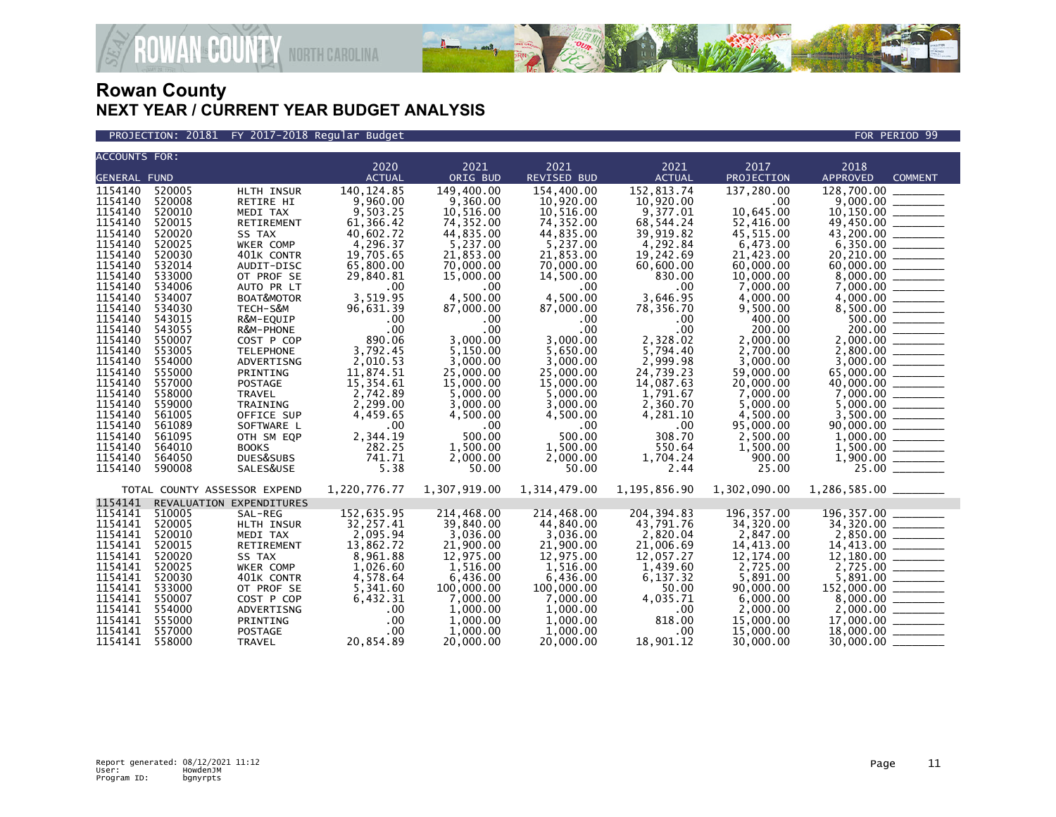

PROJECTION: 20181 FY 2017-2018 Regular Budget FOR PERIOD 99

| <b>ACCOUNTS FOR:</b> |                  |                              |                       |                        |                        |                       |                       |                                                                                                                                                                                                                                                                        |
|----------------------|------------------|------------------------------|-----------------------|------------------------|------------------------|-----------------------|-----------------------|------------------------------------------------------------------------------------------------------------------------------------------------------------------------------------------------------------------------------------------------------------------------|
|                      |                  |                              | 2020                  | 2021                   | 2021                   | 2021                  | 2017                  | 2018                                                                                                                                                                                                                                                                   |
| <b>GENERAL FUND</b>  |                  |                              | <b>ACTUAL</b>         | ORIG BUD               | <b>REVISED BUD</b>     | <b>ACTUAL</b>         | PROJECTION            | <b>APPROVED</b><br><b>COMMENT</b>                                                                                                                                                                                                                                      |
| 1154140              | 520005           | HLTH INSUR                   | 140, 124.85           | 149,400.00             | 154,400.00             | 152,813.74            | 137,280.00            | 128,700.00 _______                                                                                                                                                                                                                                                     |
| 1154140              | 520008           | RETIRE HI                    | 9,960.00              | 9,360.00               | 10,920.00              | 10,920.00             | .00                   |                                                                                                                                                                                                                                                                        |
| 1154140              | 520010           | MEDI TAX                     | 9,503.25              | 10,516.00              | 10,516.00              | 9,377.01              | 10,645.00             |                                                                                                                                                                                                                                                                        |
| 1154140              | 520015           | RETIREMENT                   | 61,366.42             | 74,352.00              | 74,352.00              | 68,544.24             | 52,416.00             |                                                                                                                                                                                                                                                                        |
| 1154140              | 520020           | SS TAX                       | 40,602.72             | 44,835.00              | 44,835.00              | 39,919.82             | 45,515.00             |                                                                                                                                                                                                                                                                        |
| 1154140              | 520025           | WKER COMP                    | 4, 296.37             | 5,237.00               | 5,237.00               | 4,292.84              | 6,473.00              | $49,450.00$<br>$43,200.00$<br>$6,350.00$                                                                                                                                                                                                                               |
| 1154140              | 520030           | 401K CONTR                   | 19,705.65             | 21,853.00              | 21,853.00              | 19,242.69             | 21,423.00             |                                                                                                                                                                                                                                                                        |
| 1154140              | 532014           | AUDIT-DISC                   | 65,800.00             | 70,000.00              | 70.000.00              | 60.600.00             | 60,000,00             |                                                                                                                                                                                                                                                                        |
| 1154140              | 533000           | OT PROF SE                   | 29,840.81             | 15,000.00              | 14,500.00              | 830.00                | 10,000.00             |                                                                                                                                                                                                                                                                        |
| 1154140              | 534006           | AUTO PR LT                   | .00                   | .00                    | .00                    | .00                   | 7,000.00              |                                                                                                                                                                                                                                                                        |
| 1154140              | 534007           | BOAT&MOTOR                   | 3,519.95              | 4,500.00               | 4,500.00               | 3.646.95              | 4,000.00              |                                                                                                                                                                                                                                                                        |
| 1154140              | 534030           | TECH-S&M                     | 96,631.39             | 87,000.00              | 87,000.00              | 78,356.70             | 9,500.00              |                                                                                                                                                                                                                                                                        |
| 1154140              | 543015           | R&M-EQUIP                    | .00                   | .00                    | .00                    | $.00 \,$              | 400.00                |                                                                                                                                                                                                                                                                        |
| 1154140              | 543055           | R&M-PHONE                    | .00                   | .00                    | .00                    | $.00 \,$              | 200.00                | $\begin{array}{r} 8,500.00 \ \hline 500.00 \ \hline 200.00 \ \hline 2,000.00 \ \hline 2,800.00 \ \hline \end{array}$                                                                                                                                                   |
| 1154140<br>1154140   | 550007<br>553005 | COST P COP                   | 890.06<br>3,792.45    | 3,000.00               | 3.000.00               | 2,328.02              | 2,000.00<br>2.700.00  |                                                                                                                                                                                                                                                                        |
| 1154140              |                  | <b>TELEPHONE</b>             |                       | 5,150.00               | 5,650.00               | 5,794.40              |                       |                                                                                                                                                                                                                                                                        |
| 1154140              | 554000<br>555000 | ADVERTISNG<br>PRINTING       | 2,010.53<br>11,874.51 | 3,000.00<br>25,000.00  | 3,000.00<br>25,000.00  | 2,999.98<br>24.739.23 | 3,000.00<br>59,000.00 |                                                                                                                                                                                                                                                                        |
| 1154140              | 557000           | POSTAGE                      | 15,354.61             | 15,000.00              | 15,000.00              | 14,087.63             | 20,000.00             |                                                                                                                                                                                                                                                                        |
| 1154140              | 558000           | TRAVEL                       | 2,742.89              | 5,000.00               | 5,000.00               | 1,791.67              | 7,000.00              |                                                                                                                                                                                                                                                                        |
| 1154140              | 559000           | TRAINING                     | 2,299.00              | 3,000.00               | 3,000.00               | 2,360.70              | 5,000.00              |                                                                                                                                                                                                                                                                        |
| 1154140              | 561005           | OFFICE SUP                   | 4,459.65              | 4,500.00               | 4,500.00               | 4,281.10              | 4,500.00              |                                                                                                                                                                                                                                                                        |
| 1154140              | 561089           | SOFTWARE L                   | .00                   | .00                    | $.00 \,$               | $.00 \,$              | 95,000,00             |                                                                                                                                                                                                                                                                        |
| 1154140              | 561095           | OTH SM EQP                   | 2,344.19              | 500.00                 | 500.00                 | 308.70                | 2,500.00              |                                                                                                                                                                                                                                                                        |
| 1154140              | 564010           | <b>BOOKS</b>                 | 282.25                | 1,500.00               | 1,500.00               | 550.64                | 1,500.00              |                                                                                                                                                                                                                                                                        |
| 1154140              | 564050           | DUES&SUBS                    | 741.71                | 2,000.00               | 2,000.00               | 1,704.24              | 900.00                |                                                                                                                                                                                                                                                                        |
| 1154140              | 590008           | SALES&USE                    | 5.38                  | 50.00                  | 50.00                  | 2.44                  | 25.00                 | $\begin{array}{r} 2,800.00 \ \hline 3,000.00 \ \hline 5,000.00 \ \hline 65,000.00 \ \hline 7,000.00 \ \hline 7,000.00 \ \hline 5,000.00 \ \hline 3,500.00 \ \hline 3,500.00 \ \hline 1,000.00 \ \hline 1,500.00 \ \hline 1,500.00 \ \hline 25.00 \ \hline \end{array}$ |
|                      |                  |                              |                       |                        |                        |                       |                       |                                                                                                                                                                                                                                                                        |
|                      |                  | TOTAL COUNTY ASSESSOR EXPEND | 1,220,776.77          | 1,307,919.00           | 1,314,479.00           | 1,195,856.90          | 1,302,090.00          | $1,286,585.00$ _________                                                                                                                                                                                                                                               |
| 1154141              |                  | REVALUATION EXPENDITURES     |                       |                        |                        |                       |                       |                                                                                                                                                                                                                                                                        |
| 1154141              | 510005           | SAL-REG                      | 152,635.95            | 214,468.00             | 214,468.00             | 204, 394.83           | 196,357.00            |                                                                                                                                                                                                                                                                        |
| 1154141              | 520005           | HLTH INSUR                   | 32,257.41             | 39,840.00              | 44,840.00              | 43,791.76             | 34,320.00             |                                                                                                                                                                                                                                                                        |
| 1154141              | 520010           | MEDI TAX                     | 2,095.94              | 3,036.00               | 3,036.00               | 2,820.04              | 2,847.00              |                                                                                                                                                                                                                                                                        |
| 1154141<br>1154141   | 520015           | RETIREMENT                   | 13,862.72             | 21,900.00<br>12,975.00 | 21,900.00<br>12,975.00 | 21,006.69             | 14,413.00             |                                                                                                                                                                                                                                                                        |
| 1154141              | 520020<br>520025 | SS TAX                       | 8,961.88              |                        | 1,516.00               | 12,057.27             | 12,174.00<br>2,725.00 |                                                                                                                                                                                                                                                                        |
| 1154141              | 520030           | WKER COMP<br>401K CONTR      | 1,026.60<br>4,578.64  | 1,516.00<br>6,436.00   | 6,436.00               | 1,439.60<br>6,137.32  | 5,891.00              | $2,850.00$<br>$14,413.00$<br>$12,180.00$<br>$2,725.00$<br>$152,900.00$<br>$8,000.00$<br>$2,000.00$<br>$17,000.00$<br>$17,000.00$                                                                                                                                       |
| 1154141              | 533000           | OT PROF SE                   | 5,341.60              | 100,000.00             | 100,000.00             | 50.00                 | 90,000.00             |                                                                                                                                                                                                                                                                        |
| 1154141              | 550007           | COST P COP                   | 6,432.31              | 7,000.00               | 7,000.00               | 4,035.71              | 6,000.00              |                                                                                                                                                                                                                                                                        |
| 1154141              | 554000           | ADVERTISNG                   | .00                   | 1,000.00               | 1,000.00               | $.00 \,$              | 2,000.00              |                                                                                                                                                                                                                                                                        |
| 1154141              | 555000           | PRINTING                     | .00                   | 1,000.00               | 1,000.00               | 818.00                | 15,000.00             |                                                                                                                                                                                                                                                                        |
| 1154141              | 557000           | POSTAGE                      | .00                   | 1.000.00               | 1.000.00               | $.00 \,$              | 15,000,00             |                                                                                                                                                                                                                                                                        |
| 1154141              | 558000           | TRAVEL                       | 20,854.89             | 20,000.00              | 20,000,00              | 18,901.12             | 30,000.00             |                                                                                                                                                                                                                                                                        |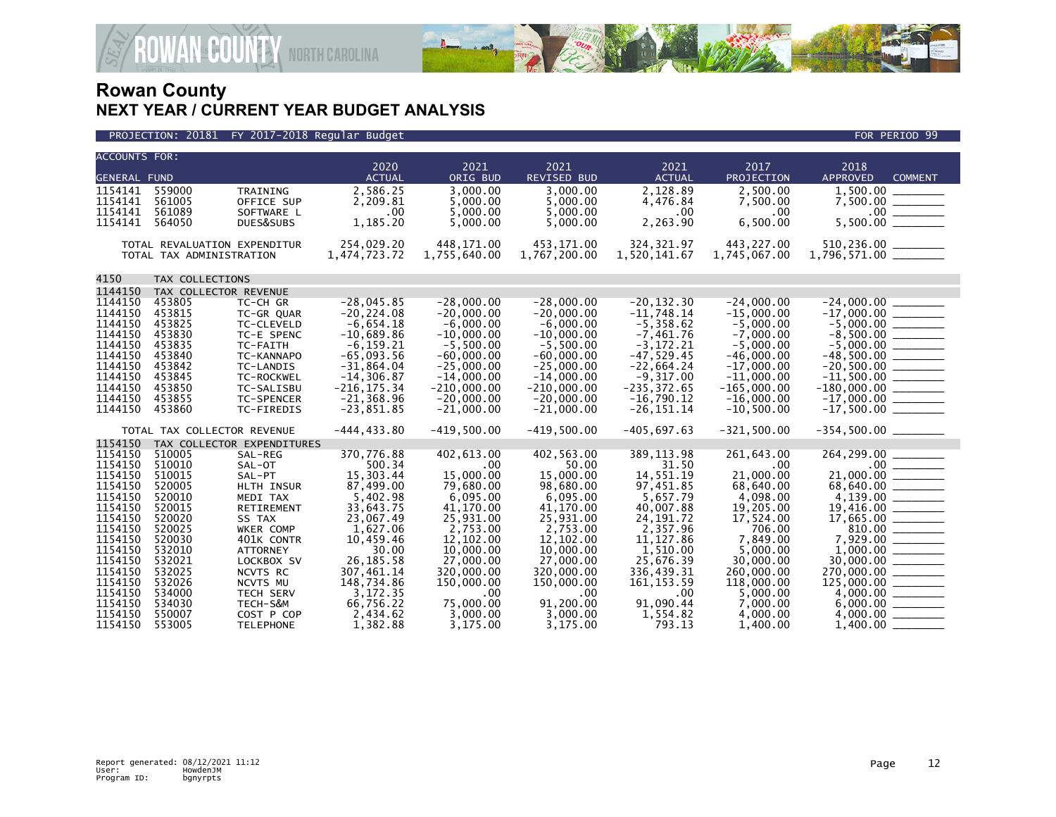

| <b>ACCOUNTS FOR:</b> |                              |                            |                                 |                               |                               |                               |                               |                                   |
|----------------------|------------------------------|----------------------------|---------------------------------|-------------------------------|-------------------------------|-------------------------------|-------------------------------|-----------------------------------|
|                      |                              |                            | 2020                            | 2021                          | 2021                          | 2021                          | 2017                          | 2018                              |
| <b>GENERAL FUND</b>  |                              |                            | <b>ACTUAL</b>                   | ORIG BUD                      | REVISED BUD                   | <b>ACTUAL</b>                 | PROJECTION                    | <b>APPROVED</b><br><b>COMMENT</b> |
| 1154141              | 559000                       | TRAINING                   | 2,586.25                        | 3.000.00                      | 3.000.00                      | 2,128.89                      | 2.500.00                      |                                   |
| 1154141              | 561005                       | OFFICE SUP                 | 2,209.81                        | 5.000.00                      | 5.000.00                      | 4,476.84                      | 7,500.00                      |                                   |
| 1154141<br>1154141   | 561089<br>564050             | SOFTWARE L<br>DUES&SUBS    | .00<br>1,185.20                 | 5,000.00<br>5,000.00          | 5,000.00<br>5,000.00          | $.00 \,$<br>2,263.90          | $.00 \,$<br>6,500.00          |                                   |
|                      |                              |                            |                                 |                               |                               |                               |                               |                                   |
|                      | TOTAL REVALUATION EXPENDITUR |                            | 254,029.20                      | 448.171.00                    | 453.171.00                    | 324, 321.97                   | 443,227.00                    |                                   |
|                      | TOTAL TAX ADMINISTRATION     |                            | 1,474,723.72                    | 1,755,640.00                  | 1,767,200.00                  | 1,520,141.67                  | 1,745,067.00                  |                                   |
|                      |                              |                            |                                 |                               |                               |                               |                               |                                   |
| 4150                 | TAX COLLECTIONS              |                            |                                 |                               |                               |                               |                               |                                   |
| 1144150              | TAX COLLECTOR REVENUE        |                            |                                 |                               |                               |                               |                               |                                   |
| 1144150              | 453805                       | TC-CH GR                   | $-28,045.85$                    | $-28,000.00$                  | $-28,000.00$                  | $-20, 132.30$                 | $-24,000.00$                  |                                   |
| 1144150              | 453815                       | TC-GR QUAR                 | $-20, 224.08$                   | $-20.000.00$                  | $-20.000.00$                  | $-11,748.14$                  | $-15.000.00$                  |                                   |
| 1144150              | 453825                       | TC-CLEVELD                 | $-6,654.18$                     | $-6.000.00$                   | $-6.000.00$                   | $-5,358.62$                   | $-5.000.00$                   |                                   |
| 1144150              | 453830                       | TC-E SPENC                 | $-10,689.86$                    | $-10,000.00$                  | $-10,000.00$                  | $-7,461.76$                   | $-7,000.00$                   |                                   |
| 1144150              | 453835                       | TC-FAITH                   | $-6, 159.21$                    | $-5,500.00$                   | $-5,500.00$                   | $-3, 172.21$                  | $-5,000.00$                   |                                   |
| 1144150              | 453840                       | TC-KANNAPO                 | $-65.093.56$                    | $-60.000.00$                  | $-60.000.00$                  | $-47, 529.45$                 | $-46,000,00$                  | $-48,500.00$<br>$-20,500.00$      |
| 1144150              | 453842                       | TC-LANDIS                  | $-31,864.04$                    | $-25,000.00$                  | $-25,000.00$                  | $-22,664.24$                  | $-17,000.00$                  |                                   |
| 1144150<br>1144150   | 453845<br>453850             | TC-ROCKWEL<br>TC-SALISBU   | $-14, 306.87$<br>$-216, 175.34$ | $-14,000.00$<br>$-210,000.00$ | $-14,000.00$<br>$-210,000.00$ | $-9,317.00$<br>$-235, 372.65$ | $-11,000.00$<br>$-165,000.00$ | $-180,000.00$ ________            |
| 1144150              | 453855                       | TC-SPENCER                 | $-21,368.96$                    | $-20.000.00$                  | $-20.000.00$                  | $-16.790.12$                  | $-16.000.00$                  | $-17,000.00$ ________             |
| 1144150              | 453860                       | TC-FIREDIS                 | $-23,851.85$                    | $-21,000.00$                  | $-21,000.00$                  | $-26, 151.14$                 | $-10,500.00$                  | $-17,500.00$ ________             |
|                      |                              |                            |                                 |                               |                               |                               |                               |                                   |
|                      | TOTAL TAX COLLECTOR REVENUE  |                            | $-444, 433.80$                  | $-419,500.00$                 | $-419.500.00$                 | $-405,697.63$                 | $-321.500.00$                 | $-354,500.00$ _________           |
| 1154150              |                              | TAX COLLECTOR EXPENDITURES |                                 |                               |                               |                               |                               |                                   |
| 1154150              | 510005                       | SAL-REG                    | 370,776.88                      | 402,613.00                    | 402,563.00                    | 389, 113.98                   | 261,643.00                    |                                   |
| 1154150              | 510010                       | SAL-OT                     | 500.34                          | .00                           | 50.00                         | 31.50                         | $.00 \,$                      |                                   |
| 1154150              | 510015                       | SAL-PT                     | 15,303.44                       | 15,000.00                     | 15,000.00                     | 14,551.19                     | 21,000.00                     |                                   |
| 1154150              | 520005                       | HLTH INSUR                 | 87,499.00                       | 79,680.00                     | 98,680.00                     | 97,451.85                     | 68,640.00                     |                                   |
| 1154150              | 520010                       | MEDI TAX                   | 5,402.98                        | 6,095.00                      | 6,095.00                      | 5,657.79                      | 4,098.00                      | $4,139.00$<br>19,416.00           |
| 1154150              | 520015                       | RETIREMENT                 | 33,643.75                       | 41,170.00                     | 41,170.00                     | 40,007.88                     | 19,205.00                     |                                   |
| 1154150<br>1154150   | 520020<br>520025             | SS TAX<br>WKER COMP        | 23,067.49                       | 25.931.00                     | 25,931.00<br>2,753.00         | 24.191.72                     | 17,524.00<br>706.00           | 17,665.00 _______                 |
| 1154150              | 520030                       | 401K CONTR                 | 1,627.06<br>10,459.46           | 2,753.00<br>12,102.00         | 12,102.00                     | 2,357.96<br>11, 127.86        | 7,849.00                      |                                   |
| 1154150              | 532010                       | <b>ATTORNEY</b>            | 30.00                           | 10,000.00                     | 10,000.00                     | 1,510.00                      | 5.000.00                      |                                   |
| 1154150              | 532021                       | LOCKBOX SV                 | 26, 185. 58                     | 27,000.00                     | 27,000.00                     | 25,676.39                     | 30,000.00                     |                                   |
| 1154150              | 532025                       | NCVTS RC                   | 307,461.14                      | 320,000.00                    | 320,000.00                    | 336,439.31                    | 260,000.00                    | $30,000.00$<br>270,000.00         |
| 1154150              | 532026                       | NCVTS MU                   | 148,734.86                      | 150,000.00                    | 150,000,00                    | 161, 153.59                   | 118,000,00                    |                                   |
| 1154150              | 534000                       | <b>TECH SERV</b>           | 3,172.35                        | .00                           | .00.                          | .00                           | 5,000.00                      |                                   |
| 1154150              | 534030                       | TECH-S&M                   | 66,756.22                       | 75,000.00                     | 91,200.00                     | 91,090.44                     | 7,000.00                      |                                   |
| 1154150              | 550007                       | COST P COP                 | 2,434.62                        | 3,000.00                      | 3,000.00                      | 1,554.82                      | 4,000.00                      |                                   |
| 1154150              | 553005                       | <b>TELEPHONE</b>           | 1.382.88                        | 3.175.00                      | 3.175.00                      | 793.13                        | 1.400.00                      | $1,400.00$ $-$                    |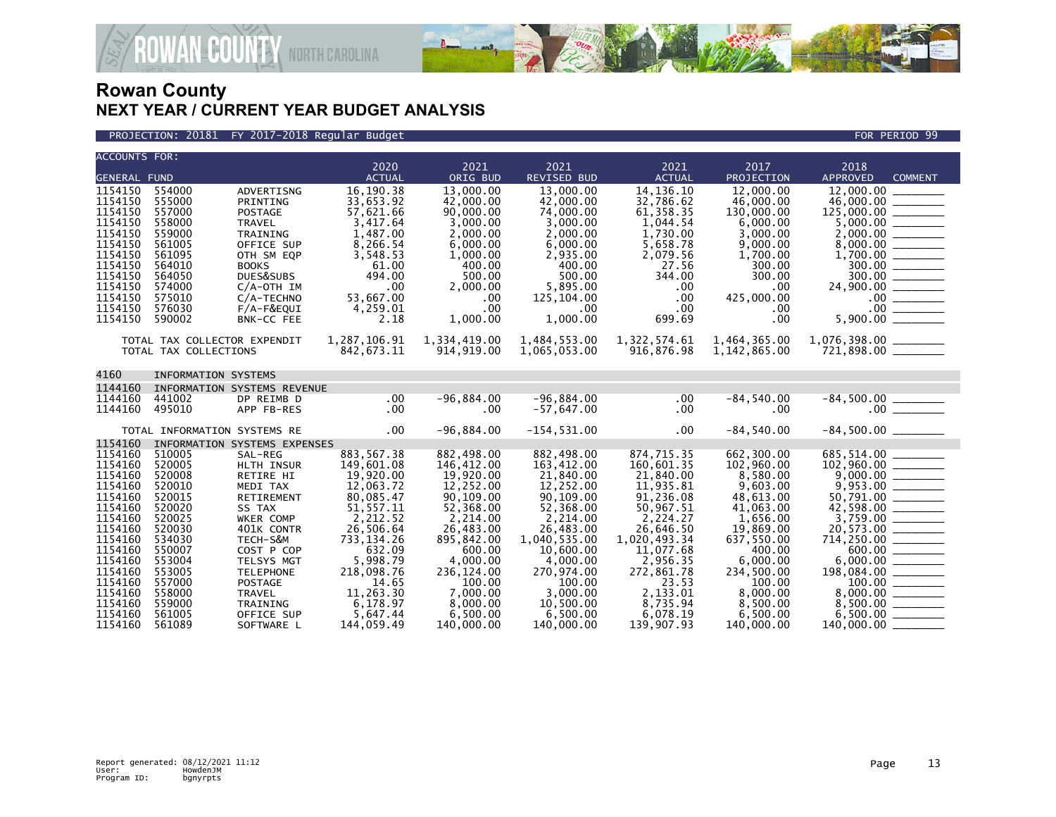

AN<sup>&</sup> COUNTY NORTH CAROLINA

| <b>ACCOUNTS FOR:</b> |                              |                   |               |              |                |               |               |                                            |
|----------------------|------------------------------|-------------------|---------------|--------------|----------------|---------------|---------------|--------------------------------------------|
|                      |                              |                   | 2020          | 2021         | 2021           | 2021          | 2017          | 2018                                       |
| <b>GENERAL FUND</b>  |                              |                   | <b>ACTUAL</b> | ORIG BUD     | REVISED BUD    | <b>ACTUAL</b> | PROJECTION    | <b>APPROVED</b><br><b>COMMENT</b>          |
| 1154150              | 554000                       | ADVERTISNG        | 16,190.38     | 13,000.00    | 13,000.00      | 14, 136. 10   | 12,000,00     | 12,000,00                                  |
| 1154150              | 555000                       | PRINTING          | 33,653.92     | 42,000,00    | 42,000.00      | 32,786.62     | 46,000,00     | 46,000.00 _______                          |
| 1154150              | 557000                       | POSTAGE           | 57,621.66     | 90,000.00    | 74,000.00      | 61, 358.35    | 130,000.00    |                                            |
| 1154150              | 558000                       | <b>TRAVEL</b>     | 3,417.64      | 3,000.00     | 3,000.00       | 1,044.54      | 6,000.00      |                                            |
| 1154150              | 559000                       | TRAINING          | 1,487.00      | 2,000.00     | 2,000.00       | 1,730.00      | 3,000.00      |                                            |
| 1154150              | 561005                       | OFFICE SUP        | 8,266.54      | 6,000,00     | 6,000.00       | 5,658.78      | 9,000.00      |                                            |
| 1154150              | 561095                       | OTH SM EQP        | 3,548.53      | 1,000.00     | 2,935.00       | 2,079.56      | 1,700.00      |                                            |
| 1154150              | 564010                       | <b>BOOKS</b>      | 61.00         | 400.00       | 400.00         | 27.56         | 300.00        |                                            |
| 1154150              | 564050                       | DUES&SUBS         | 494.00        | 500.00       | 500.00         | 344.00        | 300.00        | $\frac{300.00}{300.00} \ \frac{\ \ }{200}$ |
| 1154150              | 574000                       | $C/A$ -OTH IM     | .00           | 2,000.00     | 5,895.00       | .00           | .00.          | 24,900.00 _______                          |
| 1154150              | 575010                       | C/A-TECHNO        | 53,667.00     | .00          | 125,104.00     | $.00 \,$      | 425,000.00    |                                            |
| 1154150              | 576030                       | F/A-F&EQUI        | 4,259.01      | .00          | $.00 \ \,$     | $.00 \,$      | $.00 \,$      | 5,900.00                                   |
| 1154150              | 590002                       | <b>BNK-CC FEE</b> | 2.18          | 1,000.00     | 1,000.00       | 699.69        | .00           |                                            |
|                      |                              |                   |               |              |                |               |               |                                            |
|                      | TOTAL TAX COLLECTOR EXPENDIT |                   | 1,287,106.91  | 1,334,419.00 | 1,484,553.00   | 1,322,574.61  | 1,464,365.00  |                                            |
|                      | TOTAL TAX COLLECTIONS        |                   | 842,673.11    | 914, 919.00  | 1,065,053.00   | 916,876.98    | 1,142,865.00  | $721,898.00$ ________                      |
|                      |                              |                   |               |              |                |               |               |                                            |
| 4160                 | <b>INFORMATION SYSTEMS</b>   |                   |               |              |                |               |               |                                            |
| 1144160              | INFORMATION SYSTEMS REVENUE  |                   |               |              |                |               |               |                                            |
| 1144160              | 441002                       | DP REIMB D        | .00           | $-96.884.00$ | $-96,884.00$   | .00           | $-84, 540.00$ |                                            |
| 1144160              | 495010                       | APP FB-RES        | $.00 \,$      | $.00 \,$     | $-57,647.00$   | $.00 \,$      | .00           |                                            |
|                      |                              |                   |               |              |                |               |               |                                            |
|                      | TOTAL INFORMATION SYSTEMS RE |                   | .00           | $-96,884.00$ | $-154, 531.00$ | $.00 \,$      | $-84,540.00$  | $-84,500.00$ _________                     |
| 1154160              | INFORMATION SYSTEMS EXPENSES |                   |               |              |                |               |               |                                            |
| 1154160              | 510005                       | SAL-REG           | 883,567.38    | 882,498.00   | 882,498.00     | 874,715.35    | 662,300.00    | 685,514.00                                 |
| 1154160              | 520005                       | HLTH INSUR        | 149,601.08    | 146,412.00   | 163,412.00     | 160,601.35    | 102,960.00    |                                            |
| 1154160              | 520008                       | RETIRE HI         | 19,920.00     | 19,920.00    | 21,840.00      | 21,840.00     | 8,580.00      |                                            |
| 1154160              | 520010                       | MEDI TAX          | 12,063.72     | 12,252.00    | 12,252.00      | 11,935.81     | 9,603.00      |                                            |
| 1154160              | 520015                       | <b>RETIREMENT</b> | 80,085.47     | 90,109.00    | 90,109.00      | 91,236.08     | 48,613.00     |                                            |
| 1154160              | 520020                       | SS TAX            | 51, 557.11    | 52,368.00    | 52,368.00      | 50,967.51     | 41,063.00     |                                            |
| 1154160              | 520025                       | <b>WKER COMP</b>  | 2.212.52      | 2.214.00     | 2.214.00       | 2.224.27      | 1.656.00      |                                            |
| 1154160              | 520030                       | 401K CONTR        | 26,506.64     | 26,483.00    | 26,483.00      | 26,646.50     | 19,869.00     | 20,573.00 ________                         |
| 1154160              | 534030                       | TECH-S&M          | 733, 134.26   | 895,842.00   | 1,040,535.00   | 1,020,493.34  | 637,550.00    |                                            |
| 1154160              | 550007                       | COST P COP        | 632.09        | 600.00       | 10.600.00      | 11,077.68     | 400.00        | $714,250.00$ $\underbrace{600.00}$         |
| 1154160              | 553004                       | TELSYS MGT        | 5,998.79      | 4,000.00     | 4,000.00       | 2,956.35      | 6,000.00      | $6,000.00$<br>198,084.00                   |
| 1154160              | 553005                       | <b>TELEPHONE</b>  | 218,098.76    | 236,124.00   | 270,974.00     | 272,861.78    | 234,500.00    |                                            |
| 1154160              | 557000                       | <b>POSTAGE</b>    | 14.65         | 100.00       | 100.00         | 23.53         | 100.00        |                                            |
| 1154160              | 558000                       | <b>TRAVEL</b>     | 11,263.30     | 7,000.00     | 3,000.00       | 2,133.01      | 8,000.00      |                                            |
| 1154160              | 559000                       | TRAINING          | 6,178.97      | 8,000.00     | 10,500.00      | 8,735.94      | 8,500.00      |                                            |
| 1154160              | 561005                       | OFFICE SUP        | 5,647.44      | 6,500.00     | 6,500.00       | 6,078.19      | 6,500.00      | 6,500.00                                   |
| 1154160              | 561089                       | SOFTWARE L        | 144,059.49    | 140,000.00   | 140,000.00     | 139.907.93    | 140,000,00    | 140,000.00                                 |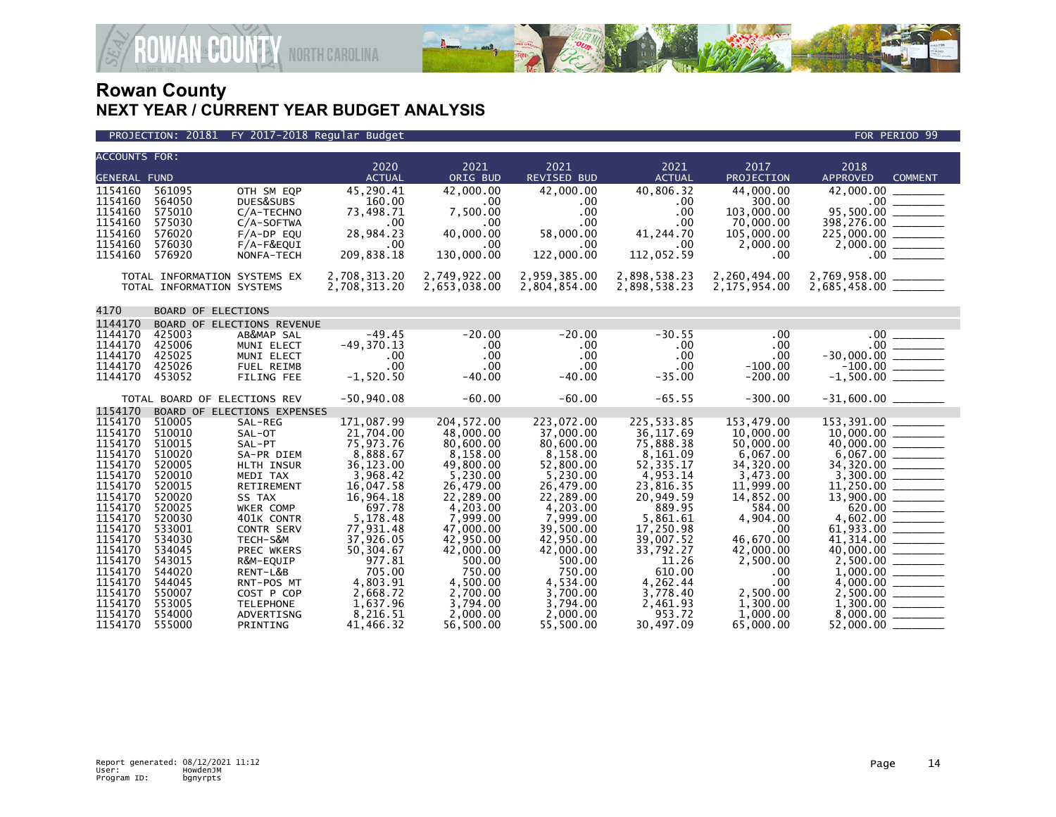

| <b>ACCOUNTS FOR:</b> |                              |                             |                       |                      |                            |                     |                      |                                                                                       |
|----------------------|------------------------------|-----------------------------|-----------------------|----------------------|----------------------------|---------------------|----------------------|---------------------------------------------------------------------------------------|
|                      |                              |                             | 2020<br><b>ACTUAL</b> | 2021<br>ORIG BUD     | 2021<br><b>REVISED BUD</b> | 2021                | 2017<br>PROJECTION   | 2018<br><b>APPROVED</b>                                                               |
| <b>GENERAL FUND</b>  |                              |                             |                       |                      |                            | <b>ACTUAL</b>       |                      | <b>COMMENT</b>                                                                        |
| 1154160              | 561095                       | OTH SM EQP                  | 45,290.41             | 42.000.00            | 42,000.00                  | 40,806.32           | 44,000,00            | 42,000,00                                                                             |
| 1154160<br>1154160   | 564050                       | DUES&SUBS                   | 160.00<br>73,498.71   | .00<br>7,500.00      | .00<br>.00                 | .00<br>.00          | 300.00<br>103,000.00 |                                                                                       |
| 1154160              | 575010<br>575030             | C/A-TECHNO<br>$C/A$ -SOFTWA | .00                   | .00                  | $.00 \,$                   | .00                 | 70,000.00            |                                                                                       |
| 1154160              | 576020                       | $F/A-DP$ EQU                | 28,984.23             | 40,000.00            | 58,000.00                  | 41,244.70           | 105,000.00           |                                                                                       |
| 1154160              | 576030                       | F/A-F&EQUI                  | .00                   | .00.                 | .00                        | .00                 | 2,000.00             | $225,000.00$<br>2,000.00                                                              |
| 1154160              | 576920                       | NONFA-TECH                  | 209,838.18            | 130,000.00           | 122,000.00                 | 112,052.59          | $.00 \,$             | $.00$ $\overline{\phantom{1.00}}$                                                     |
|                      |                              |                             |                       |                      |                            |                     |                      |                                                                                       |
|                      | TOTAL INFORMATION SYSTEMS EX |                             | 2,708,313.20          | 2,749,922.00         | 2,959,385.00               | 2,898,538.23        | 2,260,494.00         | 2,769,958.00 ________<br>2,685,458.00 ________                                        |
|                      | TOTAL INFORMATION SYSTEMS    |                             | 2,708,313.20          | 2,653,038.00         | 2,804,854.00               | 2,898,538.23        | 2,175,954.00         |                                                                                       |
|                      |                              |                             |                       |                      |                            |                     |                      |                                                                                       |
| 4170                 | <b>BOARD OF ELECTIONS</b>    |                             |                       |                      |                            |                     |                      |                                                                                       |
| 1144170              |                              | BOARD OF ELECTIONS REVENUE  |                       |                      |                            |                     |                      |                                                                                       |
| 1144170              | 425003                       | AB&MAP SAL                  | $-49.45$              | $-20.00$             | $-20.00$                   | $-30.55$            | .00                  | $.00$ $\qquad \qquad$                                                                 |
| 1144170              | 425006                       | MUNI ELECT                  | $-49, 370.13$         | .00                  | .00                        | $.00 \,$            | .00                  | $-30,000.00$<br>$-100.00$<br>$-1,500.00$                                              |
| 1144170              | 425025                       | MUNI ELECT                  | $.00 \,$              | .00                  | $.00 \,$                   | $.00 \,$            | .00                  |                                                                                       |
| 1144170              | 425026                       | <b>FUEL REIMB</b>           | .00<br>$-1,520.50$    | .00                  | .00                        | .00                 | $-100.00$            |                                                                                       |
| 1144170              | 453052                       | <b>FILING FEE</b>           |                       | $-40.00$             | $-40.00$                   | $-35.00$            | $-200.00$            |                                                                                       |
|                      | TOTAL BOARD OF ELECTIONS REV |                             | $-50,940.08$          | $-60.00$             | $-60.00$                   | $-65.55$            | $-300.00$            | $-31,600.00$ ________                                                                 |
| 1154170              |                              | BOARD OF ELECTIONS EXPENSES |                       |                      |                            |                     |                      |                                                                                       |
| 1154170              | 510005                       | SAL-REG                     | 171.087.99            | 204.572.00           | 223,072.00                 | 225,533.85          | 153.479.00           |                                                                                       |
| 1154170              | 510010                       | SAL-OT                      | 21,704.00             | 48,000.00            | 37,000.00                  | 36,117.69           | 10,000.00            | $10,000.00$<br>$40,000.00$<br>$6,067.00$<br>$34,320.00$<br>$34,320.00$<br>$34,300.00$ |
| 1154170              | 510015                       | SAL-PT                      | 75,973.76             | 80,600.00            | 80,600.00                  | 75,888.38           | 50,000.00            |                                                                                       |
| 1154170              | 510020                       | SA-PR DIEM                  | 8,888.67              | 8,158.00             | 8,158.00                   | 8,161.09            | 6,067.00             |                                                                                       |
| 1154170              | 520005                       | HLTH INSUR                  | 36,123.00             | 49,800,00            | 52,800.00                  | 52, 335.17          | 34,320.00            |                                                                                       |
| 1154170              | 520010                       | MEDI TAX                    | 3,968.42              | 5,230.00             | 5,230.00                   | 4,953.14            | 3,473.00             |                                                                                       |
| 1154170              | 520015                       | RETIREMENT                  | 16,047.58             | 26,479.00            | 26,479.00                  | 23,816.35           | 11,999.00            |                                                                                       |
| 1154170<br>1154170   | 520020<br>520025             | SS TAX                      | 16,964.18<br>697.78   | 22,289.00            | 22,289.00                  | 20,949.59<br>889.95 | 14,852.00<br>584.00  | $\frac{13,900.00}{620.00}$                                                            |
| 1154170              | 520030                       | WKER COMP<br>401K CONTR     | 5,178.48              | 4,203.00<br>7.999.00 | 4,203.00<br>7,999.00       | 5,861.61            | 4.904.00             |                                                                                       |
| 1154170              | 533001                       | CONTR SERV                  | 77,931.48             | 47,000.00            | 39,500.00                  | 17,250.98           | .00                  | 4,602.00 _______                                                                      |
| 1154170              | 534030                       | TECH-S&M                    | 37,926.05             | 42,950.00            | 42,950.00                  | 39,007.52           | 46,670.00            |                                                                                       |
| 1154170              | 534045                       | PREC WKERS                  | 50,304.67             | 42,000.00            | 42,000.00                  | 33,792.27           | 42,000.00            | 40,000.00 _______                                                                     |
| 1154170              | 543015                       | R&M-EQUIP                   | 977.81                | 500.00               | 500.00                     | 11.26               | 2,500.00             |                                                                                       |
| 1154170              | 544020                       | RENT-L&B                    | 705.00                | 750.00               | 750.00                     | 610.00              | .00                  |                                                                                       |
| 1154170              | 544045                       | RNT-POS MT                  | 4,803.91              | 4,500.00             | 4,534.00                   | 4,262.44            | .00                  |                                                                                       |
| 1154170              | 550007                       | COST P COP                  | 2,668.72              | 2,700.00             | 3,700.00                   | 3,778.40            | 2,500.00             |                                                                                       |
| 1154170              | 553005                       | <b>TELEPHONE</b>            | 1,637.96              | 3,794.00             | 3,794.00                   | 2,461.93            | 1,300.00             | $2,500.00$ ________<br>1,300.00 ________                                              |
| 1154170              | 554000                       | ADVERTISNG                  | 8,216.51              | 2,000.00             | 2,000.00                   | 953.72              | 1,000.00             |                                                                                       |
| 1154170              | 555000                       | PRINTING                    | 41.466.32             | 56,500.00            | 55,500.00                  | 30.497.09           | 65,000,00            | 52,000.00                                                                             |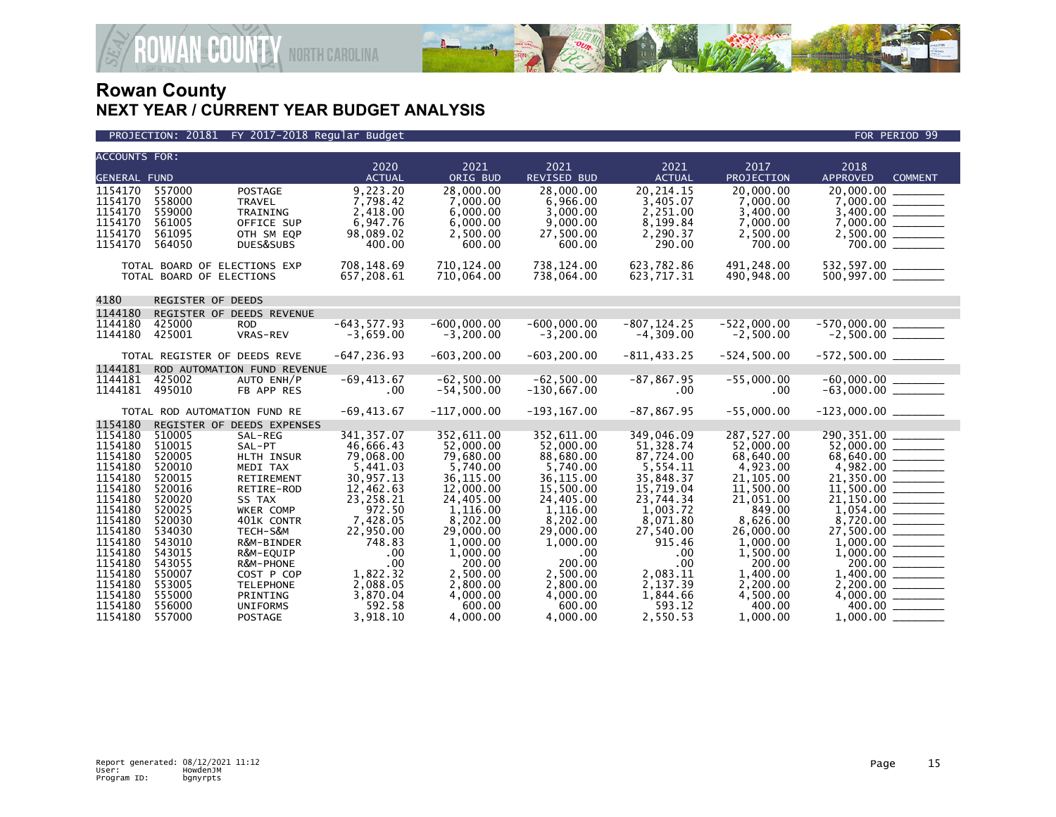

PROJECTION: 20181 FY 2017-2018 Regular Budget FOR PERIOD 99

| <b>ACCOUNTS FOR:</b>                                                                                                             |                                                                                                                      |                                                                                                                                                                  | 2020                                                                                                                                                | 2021                                                                                                                                                            | 2021                                                                                                                                                      | 2021                                                                                                                                                 | 2017                                                                                                                                                          | 2018                                                                                    |
|----------------------------------------------------------------------------------------------------------------------------------|----------------------------------------------------------------------------------------------------------------------|------------------------------------------------------------------------------------------------------------------------------------------------------------------|-----------------------------------------------------------------------------------------------------------------------------------------------------|-----------------------------------------------------------------------------------------------------------------------------------------------------------------|-----------------------------------------------------------------------------------------------------------------------------------------------------------|------------------------------------------------------------------------------------------------------------------------------------------------------|---------------------------------------------------------------------------------------------------------------------------------------------------------------|-----------------------------------------------------------------------------------------|
| <b>GENERAL FUND</b>                                                                                                              |                                                                                                                      |                                                                                                                                                                  | <b>ACTUAL</b>                                                                                                                                       | ORIG BUD                                                                                                                                                        | <b>REVISED BUD</b>                                                                                                                                        | <b>ACTUAL</b>                                                                                                                                        | PROJECTION                                                                                                                                                    | <b>APPROVED</b><br><b>COMMENT</b>                                                       |
| 1154170<br>1154170<br>1154170<br>1154170<br>1154170<br>1154170                                                                   | 557000<br>558000<br>559000<br>561005<br>561095<br>564050                                                             | <b>POSTAGE</b><br><b>TRAVEL</b><br>TRAINING<br>OFFICE SUP<br>OTH SM EQP<br>DUES&SUBS                                                                             | 9,223.20<br>7,798.42<br>2,418.00<br>6,947.76<br>98,089.02<br>400.00                                                                                 | 28,000.00<br>7,000.00<br>6.000.00<br>6,000.00<br>2,500.00<br>600.00                                                                                             | 28,000.00<br>6,966.00<br>3,000.00<br>9,000.00<br>27,500.00<br>600.00                                                                                      | 20,214.15<br>3,405.07<br>2,251.00<br>8,199.84<br>2,290.37<br>290.00                                                                                  | 20.000.00<br>7,000.00<br>3,400.00<br>7,000.00<br>2,500.00<br>700.00                                                                                           | 20,000.00<br>$2,500.00$ ________                                                        |
|                                                                                                                                  | TOTAL BOARD OF ELECTIONS EXP<br>TOTAL BOARD OF ELECTIONS                                                             |                                                                                                                                                                  | 708,148.69<br>657,208.61                                                                                                                            | 710, 124.00<br>710,064.00                                                                                                                                       | 738,124.00<br>738,064.00                                                                                                                                  | 623,782.86<br>623,717.31                                                                                                                             | 491,248.00<br>490,948.00                                                                                                                                      |                                                                                         |
| 4180                                                                                                                             | REGISTER OF DEEDS                                                                                                    |                                                                                                                                                                  |                                                                                                                                                     |                                                                                                                                                                 |                                                                                                                                                           |                                                                                                                                                      |                                                                                                                                                               |                                                                                         |
| 1144180<br>1144180<br>1144180                                                                                                    | 425000<br>425001                                                                                                     | REGISTER OF DEEDS REVENUE<br><b>ROD</b><br>VRAS-REV                                                                                                              | $-643.577.93$<br>$-3,659.00$                                                                                                                        | $-600.000.00$<br>$-3,200.00$                                                                                                                                    | $-600.000.00$<br>$-3,200.00$                                                                                                                              | $-807.124.25$<br>$-4,309.00$                                                                                                                         | $-522.000.00$<br>$-2,500.00$                                                                                                                                  |                                                                                         |
|                                                                                                                                  | TOTAL REGISTER OF DEEDS REVE                                                                                         |                                                                                                                                                                  | $-647, 236.93$                                                                                                                                      | $-603, 200.00$                                                                                                                                                  | $-603, 200.00$                                                                                                                                            | $-811, 433.25$                                                                                                                                       | $-524, 500.00$                                                                                                                                                | $-572,500.00$ ________                                                                  |
| 1144181<br>1144181<br>1144181                                                                                                    | 425002<br>495010                                                                                                     | ROD AUTOMATION FUND REVENUE<br>AUTO ENH/P<br>FB APP RES                                                                                                          | $-69, 413.67$<br>$.00 \,$                                                                                                                           | $-62,500.00$<br>$-54,500.00$                                                                                                                                    | $-62,500.00$<br>$-130,667.00$                                                                                                                             | $-87, 867.95$<br>$.00 \,$                                                                                                                            | $-55,000.00$<br>.00                                                                                                                                           | $-60,000.00$ _________<br>-63,000.00 ________                                           |
|                                                                                                                                  | TOTAL ROD AUTOMATION FUND RE                                                                                         |                                                                                                                                                                  | $-69, 413.67$                                                                                                                                       | $-117,000.00$                                                                                                                                                   | $-193, 167.00$                                                                                                                                            | $-87, 867.95$                                                                                                                                        | $-55,000.00$                                                                                                                                                  | $-123,000.00$ ________                                                                  |
| 1154180                                                                                                                          |                                                                                                                      | REGISTER OF DEEDS EXPENSES                                                                                                                                       |                                                                                                                                                     |                                                                                                                                                                 |                                                                                                                                                           |                                                                                                                                                      |                                                                                                                                                               |                                                                                         |
| 1154180<br>1154180<br>1154180<br>1154180<br>1154180<br>1154180<br>1154180<br>1154180<br>1154180<br>1154180<br>1154180<br>1154180 | 510015<br>520005<br>520010<br>520015<br>520016<br>520020<br>520025<br>520030<br>534030<br>543010<br>543015<br>543055 | SAL-REG<br>SAL-PT<br>HLTH INSUR<br>MEDI TAX<br>RETIREMENT<br>RETIRE-ROD<br>SS TAX<br>WKER COMP<br>401K CONTR<br>TECH-S&M<br>R&M-BINDER<br>R&M-EQUIP<br>R&M-PHONE | 341, 357.07<br>46,666.43<br>79,068.00<br>5,441.03<br>30,957.13<br>12,462.63<br>23,258.21<br>972.50<br>7,428.05<br>22,950.00<br>748.83<br>.00<br>.00 | 352,611.00<br>52,000.00<br>79,680.00<br>5,740.00<br>36, 115.00<br>12,000.00<br>24,405.00<br>1,116.00<br>8,202.00<br>29,000.00<br>1,000.00<br>1,000.00<br>200.00 | 352,611.00<br>52.000.00<br>88,680.00<br>5,740.00<br>36,115.00<br>15,500.00<br>24,405.00<br>1,116.00<br>8.202.00<br>29,000.00<br>1,000.00<br>.00<br>200.00 | 349,046.09<br>51,328.74<br>87,724.00<br>5,554.11<br>35,848.37<br>15,719.04<br>23,744.34<br>1,003.72<br>8,071.80<br>27,540.00<br>915.46<br>.00<br>.00 | 287,527.00<br>52,000,00<br>68,640.00<br>4,923.00<br>21, 105.00<br>11,500.00<br>21,051.00<br>849.00<br>8.626.00<br>26,000.00<br>1,000.00<br>1,500.00<br>200.00 | 290,351.00<br>$68,640.00$ $   -$ 4,982.00<br>$21,150.00$ ________<br>27,500.00 ________ |
| 1154180<br>1154180<br>1154180<br>1154180<br>1154180                                                                              | 550007<br>553005<br>555000<br>556000<br>557000                                                                       | COST P COP<br><b>TELEPHONE</b><br>PRINTING<br><b>UNIFORMS</b><br><b>POSTAGE</b>                                                                                  | 1,822.32<br>2,088.05<br>3,870.04<br>592.58<br>3.918.10                                                                                              | 2,500.00<br>2,800.00<br>4,000.00<br>600.00<br>4.000.00                                                                                                          | 2,500.00<br>2,800.00<br>4,000.00<br>600.00<br>4.000.00                                                                                                    | 2,083.11<br>2,137.39<br>1,844.66<br>593.12<br>2,550.53                                                                                               | 1,400.00<br>2,200.00<br>4,500.00<br>400.00<br>1.000.00                                                                                                        | 400.00 _______<br>$1,000.00$ $\_\_$                                                     |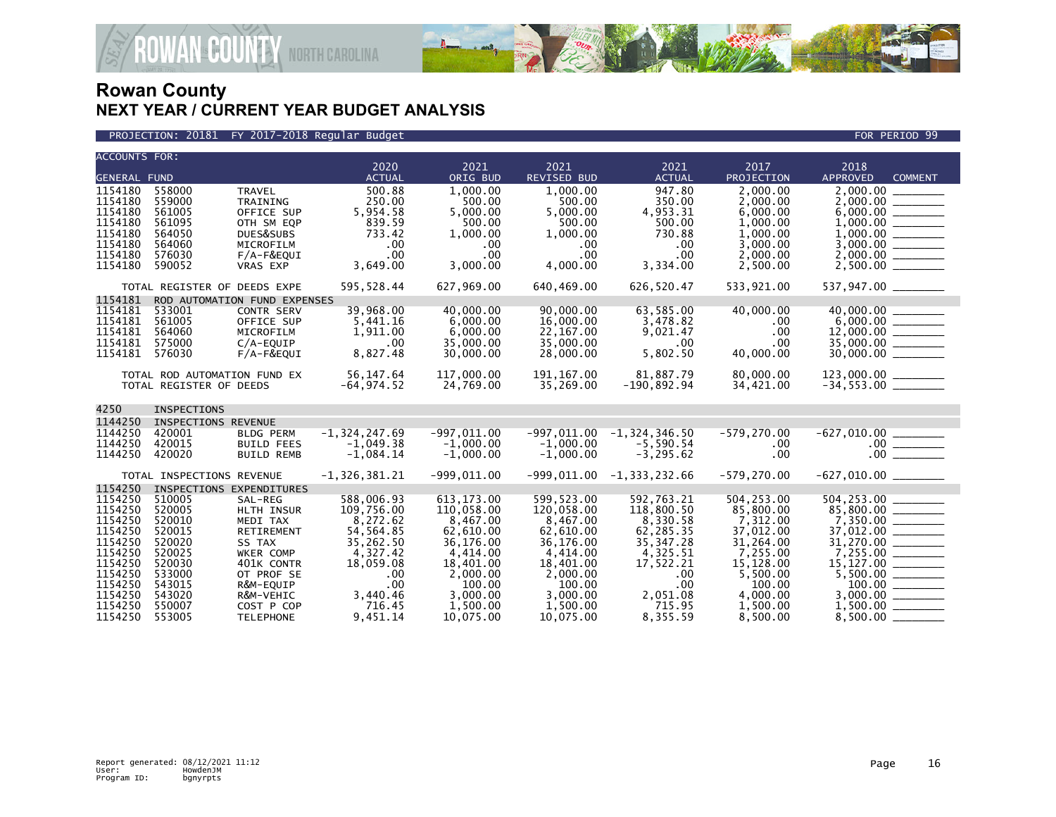

#### PROJECTION: 20181 FY 2017-2018 Regular Budget FOR PERIOD 99

|                    | <b>ACCOUNTS FOR:</b>          |                              |                        |                        |                            |                             |                       |                                                                                                                                                                                                                                                                                                                                                                                                                                     |
|--------------------|-------------------------------|------------------------------|------------------------|------------------------|----------------------------|-----------------------------|-----------------------|-------------------------------------------------------------------------------------------------------------------------------------------------------------------------------------------------------------------------------------------------------------------------------------------------------------------------------------------------------------------------------------------------------------------------------------|
|                    |                               |                              | 2020<br><b>ACTUAL</b>  | 2021<br>ORIG BUD       | 2021<br><b>REVISED BUD</b> | 2021<br><b>ACTUAL</b>       | 2017<br>PROJECTION    | 2018<br><b>APPROVED</b>                                                                                                                                                                                                                                                                                                                                                                                                             |
| 1154180            | <b>GENERAL FUND</b><br>558000 |                              | 500.88                 | 1,000.00               | 1,000.00                   | 947.80                      | 2,000.00              | <b>COMMENT</b><br>2,000.00                                                                                                                                                                                                                                                                                                                                                                                                          |
| 1154180            | 559000                        | <b>TRAVEL</b><br>TRAINING    | 250.00                 | 500.00                 | 500.00                     | 350.00                      | 2.000.00              |                                                                                                                                                                                                                                                                                                                                                                                                                                     |
| 1154180            | 561005                        | OFFICE SUP                   | 5,954.58               | 5,000.00               | 5,000.00                   | 4,953.31                    | 6,000.00              |                                                                                                                                                                                                                                                                                                                                                                                                                                     |
| 1154180            | 561095                        | OTH SM EQP                   | 839.59                 | 500.00                 | 500.00                     | 500.00                      | 1,000.00              |                                                                                                                                                                                                                                                                                                                                                                                                                                     |
| 1154180            | 564050                        | DUES&SUBS                    | 733.42                 | 1,000.00               | 1,000.00                   | 730.88                      | 1,000.00              |                                                                                                                                                                                                                                                                                                                                                                                                                                     |
| 1154180            | 564060                        | MICROFILM                    | .00                    | .00                    | .00                        | $.00 \,$                    | 3,000.00              |                                                                                                                                                                                                                                                                                                                                                                                                                                     |
| 1154180            | 576030                        | F/A-F&EQUI                   | .00                    | $.00 \,$               | .00                        | .00                         | 2,000.00              |                                                                                                                                                                                                                                                                                                                                                                                                                                     |
| 1154180            | 590052                        | <b>VRAS EXP</b>              | 3,649.00               | 3,000.00               | 4,000.00                   | 3,334.00                    | 2,500.00              |                                                                                                                                                                                                                                                                                                                                                                                                                                     |
|                    | TOTAL REGISTER OF DEEDS EXPE  |                              | 595, 528.44            | 627,969.00             | 640,469.00                 | 626,520.47                  | 533,921.00            | 537,947.00                                                                                                                                                                                                                                                                                                                                                                                                                          |
| 1154181            |                               | ROD AUTOMATION FUND EXPENSES |                        |                        |                            |                             |                       |                                                                                                                                                                                                                                                                                                                                                                                                                                     |
| 1154181            | 533001                        | <b>CONTR SERV</b>            | 39,968.00              | 40,000,00              | 90,000,00                  | 63.585.00                   | 40,000.00             | 40,000.00 _____                                                                                                                                                                                                                                                                                                                                                                                                                     |
| 1154181            | 561005                        | OFFICE SUP                   | 5,441.16               | 6,000.00               | 16,000.00                  | 3,478.82                    | .00                   |                                                                                                                                                                                                                                                                                                                                                                                                                                     |
| 1154181<br>1154181 | 564060<br>575000              | MICROFILM<br>C/A-EQUIP       | 1,911.00<br>.00        | 6,000.00<br>35,000.00  | 22,167.00<br>35,000.00     | 9,021.47<br>.00             | .00<br>.00            |                                                                                                                                                                                                                                                                                                                                                                                                                                     |
| 1154181            | 576030                        | F/A-F&EQUI                   | 8,827.48               | 30,000.00              | 28,000.00                  | 5,802.50                    | 40,000.00             | $30,000.00$ ________                                                                                                                                                                                                                                                                                                                                                                                                                |
|                    |                               |                              |                        |                        |                            |                             |                       |                                                                                                                                                                                                                                                                                                                                                                                                                                     |
|                    | TOTAL ROD AUTOMATION FUND EX  |                              | 56,147.64              | 117,000,00             | 191.167.00                 | 81.887.79                   | 80,000.00             | $123,000.00$ _______                                                                                                                                                                                                                                                                                                                                                                                                                |
|                    | TOTAL REGISTER OF DEEDS       |                              | $-64, 974.52$          | 24,769.00              | 35,269.00                  | $-190.892.94$               | 34,421.00             | $-34,553.00$ ________                                                                                                                                                                                                                                                                                                                                                                                                               |
| 4250               | INSPECTIONS                   |                              |                        |                        |                            |                             |                       |                                                                                                                                                                                                                                                                                                                                                                                                                                     |
| 1144250            | INSPECTIONS REVENUE           |                              |                        |                        |                            |                             |                       |                                                                                                                                                                                                                                                                                                                                                                                                                                     |
| 1144250            | 420001                        | <b>BLDG PERM</b>             | $-1, 324, 247.69$      | $-997.011.00$          | $-997.011.00$              | $-1.324.346.50$             | $-579.270.00$         |                                                                                                                                                                                                                                                                                                                                                                                                                                     |
| 1144250            | 420015                        | <b>BUILD FEES</b>            | $-1,049.38$            | $-1,000.00$            | $-1,000.00$                | $-5,590.54$                 | .00.                  | $\begin{array}{c c} .00 & \overline{\hspace{1.5cm}} \\ \hline \rule{0cm}{0.15cm} & 00 & \overline{\hspace{1.5cm}} \\ \hline \rule{0cm}{0.15cm} & 00 & \overline{\hspace{1.5cm}} \\ \hline \rule{0cm}{0.15cm} & 00 & \overline{\hspace{1.5cm}} \\ \hline \rule{0cm}{0.15cm} & 00 & \overline{\hspace{1.5cm}} \\ \hline \rule{0cm}{0.15cm} & 00 & \overline{\hspace{1.5cm}} \\ \hline \rule{0cm}{0.15cm} & 00 & \overline{\hspace{1.$ |
| 1144250            | 420020                        | <b>BUILD REMB</b>            | $-1,084.14$            | $-1,000.00$            | $-1,000.00$                | $-3, 295.62$                | .00                   |                                                                                                                                                                                                                                                                                                                                                                                                                                     |
|                    | TOTAL INSPECTIONS REVENUE     |                              | $-1,326,381.21$        | $-999,011.00$          |                            | $-999,011.00 -1,333,232.66$ | $-579, 270.00$        |                                                                                                                                                                                                                                                                                                                                                                                                                                     |
| 1154250            |                               | INSPECTIONS EXPENDITURES     |                        |                        |                            |                             |                       |                                                                                                                                                                                                                                                                                                                                                                                                                                     |
| 1154250            | 510005                        | SAL-REG                      | 588,006.93             | 613, 173.00            | 599,523.00                 | 592.763.21                  | 504,253.00            | 504,253.00                                                                                                                                                                                                                                                                                                                                                                                                                          |
| 1154250<br>1154250 | 520005<br>520010              | HLTH INSUR<br>MEDI TAX       | 109,756.00<br>8,272.62 | 110,058.00<br>8,467.00 | 120,058.00<br>8,467.00     | 118,800.50<br>8,330.58      | 85,800.00<br>7,312.00 | 85,800.00 _______                                                                                                                                                                                                                                                                                                                                                                                                                   |
| 1154250            | 520015                        | RETIREMENT                   | 54,564.85              | 62,610.00              | 62,610.00                  | 62,285.35                   | 37,012.00             |                                                                                                                                                                                                                                                                                                                                                                                                                                     |
| 1154250            | 520020                        | SS TAX                       | 35,262.50              | 36,176.00              | 36,176.00                  | 35, 347. 28                 | 31,264.00             |                                                                                                                                                                                                                                                                                                                                                                                                                                     |
| 1154250            | 520025                        | WKER COMP                    | 4,327.42               | 4,414.00               | 4,414.00                   | 4,325.51                    | 7,255.00              |                                                                                                                                                                                                                                                                                                                                                                                                                                     |
| 1154250            | 520030                        | 401K CONTR                   | 18,059.08              | 18,401.00              | 18,401.00                  | 17,522.21                   | 15,128.00             |                                                                                                                                                                                                                                                                                                                                                                                                                                     |
| 1154250            | 533000                        | OT PROF SE                   | .00                    | 2,000.00               | 2,000.00                   | .00                         | 5,500.00              |                                                                                                                                                                                                                                                                                                                                                                                                                                     |
| 1154250            | 543015                        | R&M-EQUIP                    | .00                    | 100.00                 | 100.00                     | .00                         | 100.00                |                                                                                                                                                                                                                                                                                                                                                                                                                                     |
| 1154250<br>1154250 | 543020<br>550007              | R&M-VEHIC<br>COST P COP      | 3,440.46<br>716.45     | 3,000.00<br>1,500.00   | 3,000.00<br>1,500.00       | 2,051.08<br>715.95          | 4,000.00<br>1,500.00  |                                                                                                                                                                                                                                                                                                                                                                                                                                     |
| 1154250            | 553005                        | <b>TELEPHONE</b>             | 9.451.14               | 10.075.00              | 10.075.00                  | 8,355.59                    | 8.500.00              | $8,500.00$ $-$                                                                                                                                                                                                                                                                                                                                                                                                                      |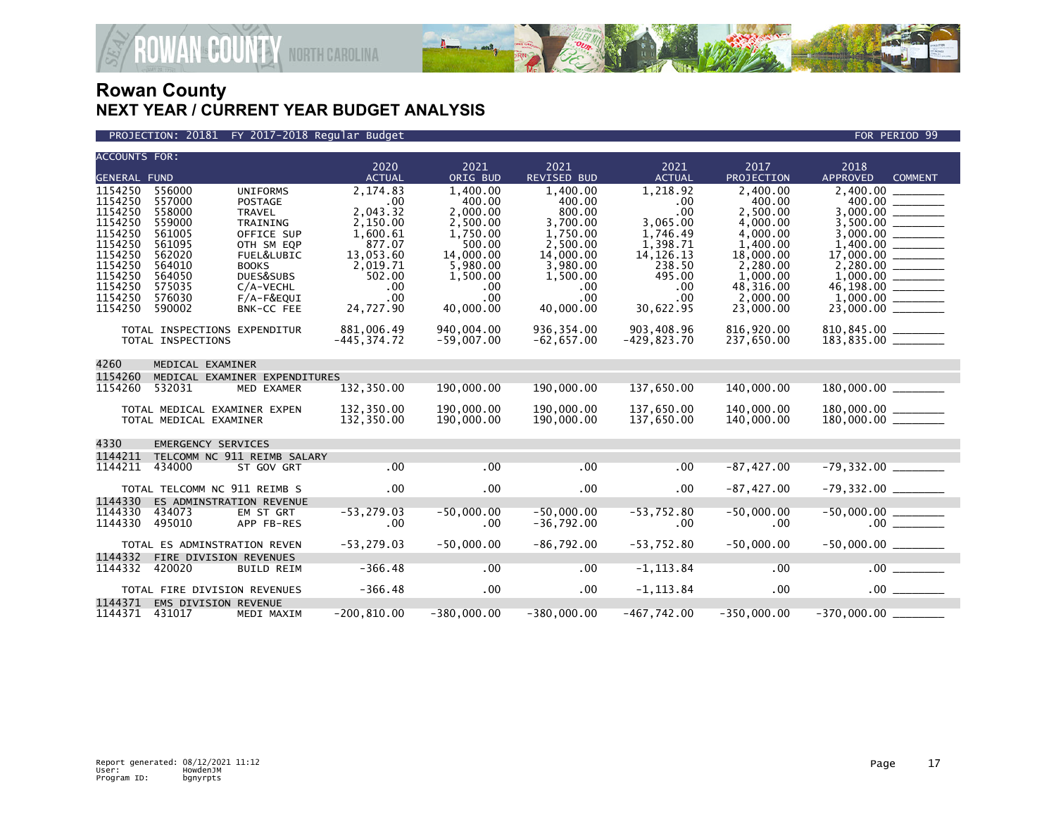

### PROJECTION: 20181 FY 2017-2018 Regular Budget FOR PERIOD 99

| <b>ACCOUNTS FOR:</b>                                |                                                          |                                                                                     | 2020                                                | 2021                                                   | 2021                                                      | 2021                                               | 2017                                                       | 2018                              |  |  |  |
|-----------------------------------------------------|----------------------------------------------------------|-------------------------------------------------------------------------------------|-----------------------------------------------------|--------------------------------------------------------|-----------------------------------------------------------|----------------------------------------------------|------------------------------------------------------------|-----------------------------------|--|--|--|
| <b>GENERAL FUND</b>                                 |                                                          |                                                                                     | <b>ACTUAL</b>                                       | ORIG BUD                                               | <b>REVISED BUD</b>                                        | <b>ACTUAL</b>                                      | PROJECTION                                                 | <b>APPROVED</b><br><b>COMMENT</b> |  |  |  |
| 1154250<br>1154250<br>1154250<br>1154250<br>1154250 | 556000<br>557000<br>558000<br>559000<br>561005           | <b>UNIFORMS</b><br><b>POSTAGE</b><br><b>TRAVEL</b><br><b>TRAINING</b><br>OFFICE SUP | 2.174.83<br>.00<br>2,043.32<br>2,150.00<br>1,600.61 | 1.400.00<br>400.00<br>2,000.00<br>2,500.00<br>1.750.00 | 1,400.00<br>400.00<br>800.00<br>3.700.00<br>1,750.00      | 1.218.92<br>.00<br>.00<br>3,065.00<br>1,746.49     | 2.400.00<br>400.00<br>2,500.00<br>4,000.00<br>4,000.00     | 2.400.00<br>400.00<br>3.000.00    |  |  |  |
| 1154250<br>1154250<br>1154250<br>1154250<br>1154250 | 561095<br>562020<br>564010<br>564050<br>575035           | OTH SM EQP<br>FUEL&LUBIC<br><b>BOOKS</b><br>DUES&SUBS<br>$C/A-VECHL$                | 877.07<br>13,053.60<br>2,019.71<br>502.00<br>.00    | 500.00<br>14,000.00<br>5,980.00<br>1,500.00<br>.00     | 2,500.00<br>14,000.00<br>3,980.00<br>1,500.00<br>$.00 \,$ | 1,398.71<br>14, 126. 13<br>238.50<br>495.00<br>.00 | 1,400.00<br>18,000.00<br>2,280.00<br>1,000.00<br>48,316.00 | 1,400.00                          |  |  |  |
| 1154250<br>1154250                                  | 576030<br>590002                                         | F/A-F&EQUI<br>BNK-CC FEE                                                            | .00<br>24,727.90                                    | .00<br>40.000.00                                       | .00.<br>40,000.00                                         | .00<br>30,622.95                                   | 2,000.00<br>23,000.00                                      |                                   |  |  |  |
|                                                     | TOTAL INSPECTIONS EXPENDITUR<br>TOTAL INSPECTIONS        |                                                                                     | 881,006.49<br>$-445, 374.72$                        | 940,004,00<br>$-59,007.00$                             | 936, 354.00<br>$-62,657.00$                               | 903,408.96<br>$-429,823.70$                        | 816,920.00<br>237,650.00                                   | $810, 845.00$<br>$183, 835.00$    |  |  |  |
| 4260<br>MEDICAL EXAMINER                            |                                                          |                                                                                     |                                                     |                                                        |                                                           |                                                    |                                                            |                                   |  |  |  |
| 1154260<br>1154260                                  | 532031                                                   | MEDICAL EXAMINER EXPENDITURES<br>MED EXAMER                                         | 132,350.00                                          | 190,000.00                                             | 190,000.00                                                | 137,650.00                                         | 140,000.00                                                 |                                   |  |  |  |
|                                                     | TOTAL MEDICAL EXAMINER EXPEN<br>TOTAL MEDICAL EXAMINER   |                                                                                     | 132,350.00<br>132,350.00                            | 190,000.00<br>190,000.00                               | 190,000,00<br>190,000.00                                  | 137,650.00<br>137,650.00                           | 140,000.00<br>140,000.00                                   |                                   |  |  |  |
| 4330                                                | <b>EMERGENCY SERVICES</b>                                |                                                                                     |                                                     |                                                        |                                                           |                                                    |                                                            |                                   |  |  |  |
| 1144211                                             |                                                          | TELCOMM NC 911 REIMB SALARY                                                         |                                                     |                                                        |                                                           |                                                    |                                                            |                                   |  |  |  |
| 1144211                                             | 434000                                                   | ST GOV GRT                                                                          | .00                                                 | .00                                                    | .00                                                       | .00                                                | $-87,427.00$                                               | $-79,332.00$ _________            |  |  |  |
| 1144330                                             | TOTAL TELCOMM NC 911 REIMB S<br>ES ADMINSTRATION REVENUE |                                                                                     | .00                                                 | $.00 \,$                                               | $.00 \,$                                                  | $.00 \times$                                       | $-87,427.00$                                               | $-79,332.00$ _________            |  |  |  |
| 1144330<br>1144330                                  | 434073<br>495010                                         | EM ST GRT<br>APP FB-RES                                                             | $-53, 279.03$<br>.00                                | $-50,000.00$<br>.00                                    | $-50.000.00$<br>$-36,792.00$                              | $-53,752.80$<br>.00                                | $-50,000.00$<br>.00                                        |                                   |  |  |  |
|                                                     | TOTAL ES ADMINSTRATION REVEN                             |                                                                                     | $-53, 279.03$                                       | $-50,000.00$                                           | $-86,792.00$                                              | $-53,752.80$                                       | $-50,000.00$                                               | $-50,000.00$ ________             |  |  |  |
| 1144332<br>1144332                                  | FIRE DIVISION REVENUES<br>420020                         | <b>BUILD REIM</b>                                                                   | $-366.48$                                           | .00                                                    | .00                                                       | $-1, 113.84$                                       | .00                                                        |                                   |  |  |  |
|                                                     | TOTAL FIRE DIVISION REVENUES                             |                                                                                     | $-366.48$                                           | $.00 \,$                                               | $.00 \,$                                                  | $-1, 113.84$                                       | $.00 \,$                                                   | .00                               |  |  |  |
| 1144371                                             | EMS DIVISION REVENUE                                     |                                                                                     |                                                     |                                                        |                                                           |                                                    |                                                            |                                   |  |  |  |
| 1144371 431017                                      |                                                          | MEDI MAXIM                                                                          | $-200, 810.00$                                      | $-380,000.00$                                          | $-380,000.00$                                             | -467,742.00                                        | $-350,000.00$                                              |                                   |  |  |  |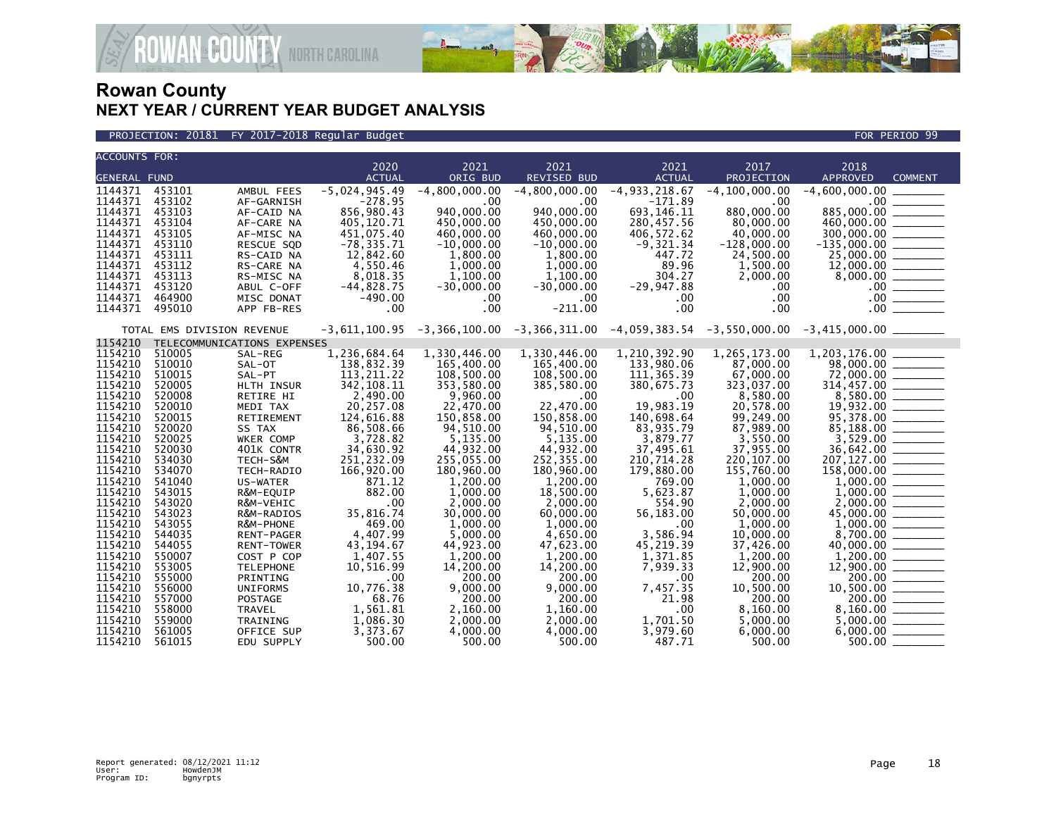

PROJECTION: 20181 FY 2017-2018 Regular Budget FOR PERIOD 99

| <b>ACCOUNTS FOR:</b>          |                            |                                      | 2020                           | 2021                           | 2021                           | 2021                           | 2017                                                                                                     | 2018                                                                                                                                                                                                                                                                                                                                                                                                                                                                            |                |
|-------------------------------|----------------------------|--------------------------------------|--------------------------------|--------------------------------|--------------------------------|--------------------------------|----------------------------------------------------------------------------------------------------------|---------------------------------------------------------------------------------------------------------------------------------------------------------------------------------------------------------------------------------------------------------------------------------------------------------------------------------------------------------------------------------------------------------------------------------------------------------------------------------|----------------|
| <b>GENERAL FUND</b>           |                            |                                      | <b>ACTUAL</b>                  | ORIG BUD                       | <b>REVISED BUD</b>             | <b>ACTUAL</b>                  | PROJECTION                                                                                               | <b>APPROVED</b>                                                                                                                                                                                                                                                                                                                                                                                                                                                                 | <b>COMMENT</b> |
| 1144371                       | 453101                     | AMBUL FEES                           | $-5,024,945.49$                | $-4,800,000.00$                | $-4,800,000.00$                | $-4, 933, 218.67$              | $-4, 100, 000.00$                                                                                        | $-4,600,000.00$                                                                                                                                                                                                                                                                                                                                                                                                                                                                 |                |
| 1144371                       | 453102                     | AF-GARNISH                           | $-278.95$                      | .00                            | .00                            | $-171.89$                      | .00                                                                                                      |                                                                                                                                                                                                                                                                                                                                                                                                                                                                                 |                |
| 1144371                       | 453103                     | AF-CAID NA                           | 856,980.43                     | 940,000.00                     | 940,000.00                     | 693, 146. 11                   | 880,000.00                                                                                               | 885,000.00                                                                                                                                                                                                                                                                                                                                                                                                                                                                      |                |
| 1144371                       | 453104                     | AF-CARE NA                           | 405,120.71                     | 450,000.00                     | 450,000.00                     | 280,457.56                     | 80,000.00                                                                                                | 885,000.00<br>460,000.00                                                                                                                                                                                                                                                                                                                                                                                                                                                        |                |
| 1144371                       | 453105                     | AF-MISC NA                           | 451,075.40                     | 460,000.00                     | 460,000.00                     | 406,572.62                     | 40,000.00                                                                                                |                                                                                                                                                                                                                                                                                                                                                                                                                                                                                 |                |
| 1144371                       | 453110                     | RESCUE SQD                           | $-78, 335.71$                  | $-10,000.00$                   | $-10,000.00$                   | $-9,321.34$                    | $-128,000.00$                                                                                            |                                                                                                                                                                                                                                                                                                                                                                                                                                                                                 |                |
| 1144371                       | 453111                     | RS-CAID NA                           | 12,842.60                      | 1,800.00                       | 1,800.00                       | 447.72                         | 24,500.00                                                                                                |                                                                                                                                                                                                                                                                                                                                                                                                                                                                                 |                |
| 1144371                       | 453112                     | RS-CARE NA                           | 4,550.46                       | 1,000.00                       | 1,000.00                       | 89.96                          | 1,500.00                                                                                                 |                                                                                                                                                                                                                                                                                                                                                                                                                                                                                 |                |
| 1144371                       | 453113                     | RS-MISC NA                           | 8,018.35                       | 1,100.00                       | 1,100.00                       | 304.27                         | 2,000.00                                                                                                 | $\begin{array}{r} 12,000.00 \overline{0} & \overline{0} & \overline{0} & \overline{0} & \overline{0} & \overline{0} & \overline{0} & \overline{0} & \overline{0} & \overline{0} & \overline{0} & \overline{0} & \overline{0} & \overline{0} & \overline{0} & \overline{0} & \overline{0} & \overline{0} & \overline{0} & \overline{0} & \overline{0} & \overline{0} & \overline{0} & \overline{0} & \overline{0} & \overline{0} & \overline{0} & \overline{0} & \overline{0} &$ |                |
| 1144371                       | 453120                     | ABUL C-OFF                           | $-44,828.75$                   | $-30,000.00$                   | $-30,000.00$                   | $-29,947.88$                   | .00.                                                                                                     |                                                                                                                                                                                                                                                                                                                                                                                                                                                                                 |                |
| 1144371                       | 464900                     | MISC DONAT                           | $-490.00$                      | .00                            | .00.                           | $.00 \,$                       | .00                                                                                                      |                                                                                                                                                                                                                                                                                                                                                                                                                                                                                 |                |
| 1144371                       | 495010                     | APP FB-RES                           | $.00 \,$                       | .00                            | $-211.00$                      | $.00 \,$                       | .00.                                                                                                     |                                                                                                                                                                                                                                                                                                                                                                                                                                                                                 |                |
|                               | TOTAL EMS DIVISION REVENUE |                                      |                                |                                |                                |                                | $-3,611,100.95$ $-3,366,100.00$ $-3,366,311.00$ $-4,059,383.54$ $-3,550,000.00$ $-3,415,000.00$ $\ldots$ |                                                                                                                                                                                                                                                                                                                                                                                                                                                                                 |                |
| 1154210                       |                            | TELECOMMUNICATIONS EXPENSES          |                                |                                |                                |                                |                                                                                                          |                                                                                                                                                                                                                                                                                                                                                                                                                                                                                 |                |
| 1154210                       | 510005                     | SAL-REG                              | 1,236,684.64                   | 1,330,446.00                   | 1,330,446.00                   | 1,210,392.90                   | 1,265,173.00                                                                                             |                                                                                                                                                                                                                                                                                                                                                                                                                                                                                 |                |
| 1154210                       | 510010                     | SAL-OT                               | 138,832.39                     | 165,400.00                     | 165,400.00                     | 133,980.06                     | 87,000.00                                                                                                | 98,000.00 ______                                                                                                                                                                                                                                                                                                                                                                                                                                                                |                |
| 1154210<br>1154210            | 510015<br>520005           | SAL-PT                               | 113, 211.22                    | 108,500.00                     | 108,500.00                     | 111, 365.39                    | 67,000.00                                                                                                |                                                                                                                                                                                                                                                                                                                                                                                                                                                                                 |                |
| 1154210                       | 520008                     | HLTH INSUR<br>RETIRE HI              | 342, 108.11<br>2,490.00        | 353,580.00<br>9,960.00         | 385,580.00<br>.00              | 380,675.73<br>$.00 \,$         | 323,037.00<br>8,580.00                                                                                   | $72,000.00$<br>314,457.00<br>8,580.00                                                                                                                                                                                                                                                                                                                                                                                                                                           |                |
| 1154210                       | 520010                     | MEDI TAX                             | 20,257.08                      | 22,470.00                      | 22,470.00                      | 19,983.19                      | 20,578.00                                                                                                |                                                                                                                                                                                                                                                                                                                                                                                                                                                                                 |                |
| 1154210                       | 520015                     | RETIREMENT                           | 124,616.88                     | 150,858.00                     | 150,858.00                     | 140,698.64                     | 99,249.00                                                                                                | $19,932.00$ $\overline{\hspace{1.5cm}}$<br>95,378.00                                                                                                                                                                                                                                                                                                                                                                                                                            |                |
| 1154210                       | 520020                     | SS TAX                               | 86,508.66                      | 94,510.00                      | 94,510.00                      | 83,935.79                      | 87,989.00                                                                                                | 85,188.00 _______                                                                                                                                                                                                                                                                                                                                                                                                                                                               |                |
| 1154210                       | 520025                     | WKER COMP                            | 3.728.82                       | 5,135.00                       | 5,135.00                       | 3.879.77                       | 3.550.00                                                                                                 |                                                                                                                                                                                                                                                                                                                                                                                                                                                                                 |                |
| 1154210                       | 520030                     | 401K CONTR                           | 34,630.92                      | 44,932.00                      | 44,932.00                      | 37,495.61                      | 37,955.00                                                                                                | $3,529.00$<br>36,642.00<br>207,127.00                                                                                                                                                                                                                                                                                                                                                                                                                                           |                |
| 1154210                       | 534030                     | TECH-S&M                             | 251,232.09                     | 255,055.00                     | 252,355.00                     | 210,714.28                     | 220, 107.00                                                                                              |                                                                                                                                                                                                                                                                                                                                                                                                                                                                                 |                |
| 1154210                       | 534070                     | TECH-RADIO                           | 166,920.00                     | 180,960.00                     | 180,960.00                     | 179,880.00                     | 155,760.00                                                                                               | $158,000.00$ _________                                                                                                                                                                                                                                                                                                                                                                                                                                                          |                |
| 1154210                       | 541040                     | US-WATER                             | 871.12                         | 1,200.00                       | 1,200.00                       | 769.00                         | 1,000.00                                                                                                 |                                                                                                                                                                                                                                                                                                                                                                                                                                                                                 |                |
| 1154210                       | 543015                     | R&M-EQUIP                            | 882.00                         | 1,000.00                       | 18,500.00                      | 5,623.87                       | 1,000.00                                                                                                 |                                                                                                                                                                                                                                                                                                                                                                                                                                                                                 |                |
| 1154210                       | 543020                     | R&M-VEHIC                            | .00                            | 2,000.00                       | 2,000.00                       | 554.90                         | 2.000.00                                                                                                 |                                                                                                                                                                                                                                                                                                                                                                                                                                                                                 |                |
| 1154210                       | 543023                     | R&M-RADIOS                           | 35,816.74                      | 30,000.00                      | 60,000.00                      | 56,183.00                      | 50,000.00                                                                                                | $2,000.00$<br>45,000.00                                                                                                                                                                                                                                                                                                                                                                                                                                                         |                |
| 1154210                       | 543055                     | R&M-PHONE                            | 469.00                         | 1,000.00                       | 1,000.00                       | .00                            | 1,000.00                                                                                                 |                                                                                                                                                                                                                                                                                                                                                                                                                                                                                 |                |
| 1154210                       | 544035                     | <b>RENT-PAGER</b>                    | 4,407.99                       | 5,000.00                       | 4,650.00                       | 3.586.94                       | 10,000.00                                                                                                |                                                                                                                                                                                                                                                                                                                                                                                                                                                                                 |                |
| 1154210                       | 544055                     | <b>RENT-TOWER</b>                    | 43, 194. 67                    | 44,923.00                      | 47,623.00                      | 45,219.39                      | 37,426.00                                                                                                |                                                                                                                                                                                                                                                                                                                                                                                                                                                                                 |                |
| 1154210                       | 550007                     | COST P COP                           | 1,407.55                       | 1,200.00                       | 1,200.00                       | 1,371.85                       | 1,200.00                                                                                                 |                                                                                                                                                                                                                                                                                                                                                                                                                                                                                 |                |
| 1154210                       | 553005                     | <b>TELEPHONE</b>                     | 10,516.99                      | 14,200.00                      | 14,200.00                      | 7,939.33                       | 12,900.00                                                                                                | $1,200.00$<br>12,900.00                                                                                                                                                                                                                                                                                                                                                                                                                                                         |                |
| 1154210                       | 555000                     | PRINTING                             | .00                            | 200.00                         | 200.00                         | $.00 \,$                       | 200.00                                                                                                   |                                                                                                                                                                                                                                                                                                                                                                                                                                                                                 |                |
| 1154210                       | 556000                     | <b>UNIFORMS</b>                      | 10,776.38                      | 9,000.00                       | 9,000.00                       | 7,457.35                       | 10,500.00                                                                                                |                                                                                                                                                                                                                                                                                                                                                                                                                                                                                 |                |
| 1154210                       | 557000                     | <b>POSTAGE</b>                       | 68.76                          | 200.00                         | 200.00                         | 21.98                          | 200.00                                                                                                   |                                                                                                                                                                                                                                                                                                                                                                                                                                                                                 | 200.00 _______ |
| 1154210                       | 558000                     | <b>TRAVEL</b>                        | 1,561.81                       | 2,160.00                       | 1,160.00                       | $.00 \,$                       | 8,160.00                                                                                                 |                                                                                                                                                                                                                                                                                                                                                                                                                                                                                 |                |
|                               |                            |                                      |                                |                                |                                |                                |                                                                                                          |                                                                                                                                                                                                                                                                                                                                                                                                                                                                                 |                |
|                               |                            |                                      |                                |                                |                                |                                |                                                                                                          |                                                                                                                                                                                                                                                                                                                                                                                                                                                                                 |                |
| 1154210<br>1154210<br>1154210 | 559000<br>561005<br>561015 | TRAINING<br>OFFICE SUP<br>EDU SUPPLY | 1,086.30<br>3,373.67<br>500.00 | 2,000.00<br>4,000.00<br>500.00 | 2,000.00<br>4,000.00<br>500.00 | 1,701.50<br>3,979.60<br>487.71 | 5,000.00<br>6,000.00<br>500.00                                                                           | $6,000.00$ ________                                                                                                                                                                                                                                                                                                                                                                                                                                                             | 500.00         |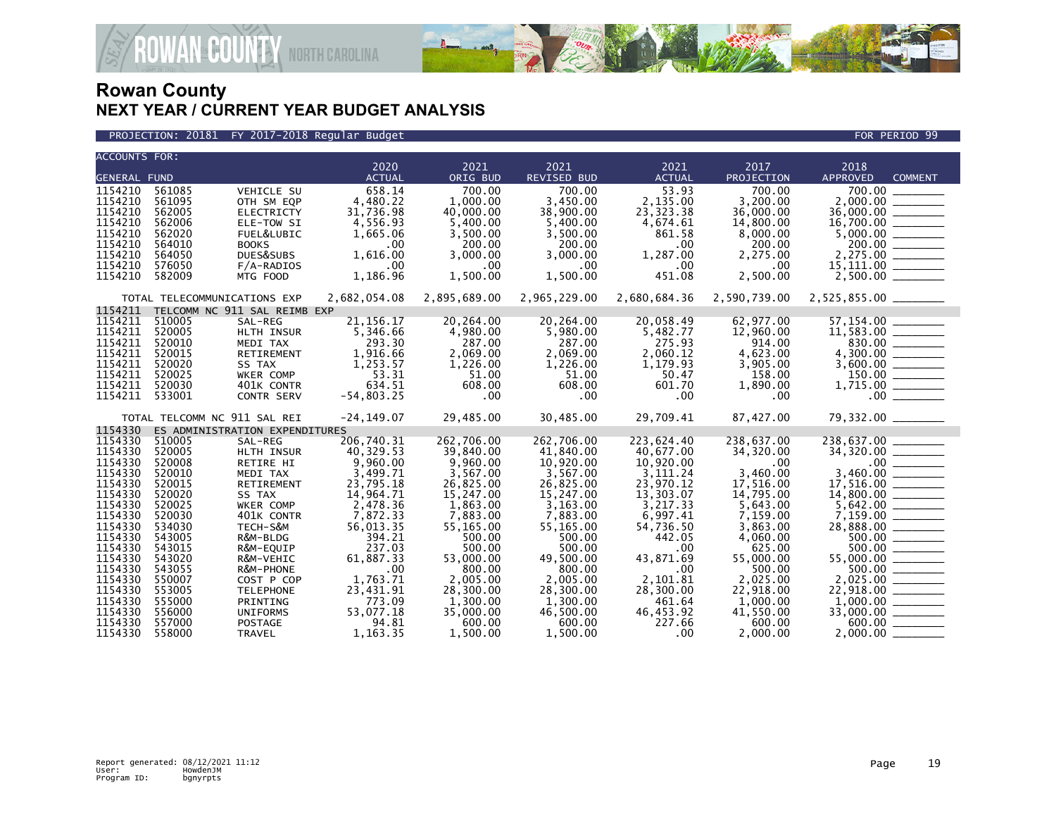

**GOUNTY** NORTH CAROLINA

| <b>ACCOUNTS FOR:</b> |                  |                                |                       |                       |                       |                       |                      |                                   |
|----------------------|------------------|--------------------------------|-----------------------|-----------------------|-----------------------|-----------------------|----------------------|-----------------------------------|
|                      |                  |                                | 2020                  | 2021                  | 2021                  | 2021                  | 2017                 | 2018                              |
| <b>GENERAL FUND</b>  |                  |                                | <b>ACTUAL</b>         | ORIG BUD              | REVISED BUD           | <b>ACTUAL</b>         | PROJECTION           | <b>APPROVED</b><br><b>COMMENT</b> |
| 1154210              | 561085           | <b>VEHICLE SU</b>              | 658.14                | 700.00                | 700.00                | 53.93                 | 700.00               | 700.00                            |
| 1154210              | 561095           | OTH SM EQP                     | 4,480.22              | 1.000.00              | 3,450.00              | 2,135.00              | 3.200.00             | 2,000.00                          |
| 1154210              | 562005           | <b>ELECTRICTY</b>              | 31,736.98             | 40,000.00             | 38,900.00             | 23, 323. 38           | 36,000.00            | 36,000.00                         |
| 1154210              | 562006           | ELE-TOW SI                     | 4,556.93              | 5,400.00              | 5,400.00              | 4,674.61              | 14,800.00            |                                   |
| 1154210              | 562020           | FUEL&LUBIC                     | 1.665.06              | 3.500.00              | 3.500.00              | 861.58                | 8.000.00             |                                   |
| 1154210<br>1154210   | 564010           | <b>BOOKS</b>                   | $.00 \times$          | 200.00                | 200.00                | $.00 \,$<br>1.287.00  | 200.00               |                                   |
| 1154210              | 564050<br>576050 | DUES&SUBS                      | 1,616.00              | 3,000.00              | 3,000.00              |                       | 2,275.00             | 2,275.00                          |
| 1154210              | 582009           | $F/A-RADIOS$<br>MTG FOOD       | $.00 \,$<br>1,186.96  | .00<br>1,500.00       | .00<br>1,500.00       | $.00 \,$<br>451.08    | .00<br>2,500.00      | 15,111.00 _______                 |
|                      |                  |                                |                       |                       |                       |                       |                      |                                   |
|                      |                  | TOTAL TELECOMMUNICATIONS EXP   | 2,682,054.08          | 2,895,689.00          | 2,965,229.00          | 2,680,684.36          | 2,590,739.00         | 2,525,855.00 _______              |
| 1154211              |                  | TELCOMM NC 911 SAL REIMB EXP   |                       |                       |                       |                       |                      |                                   |
| 1154211              | 510005           | SAL-REG                        | 21, 156. 17           | 20,264.00             | 20,264.00             | 20,058.49             | 62,977.00            |                                   |
| 1154211              | 520005           | HLTH INSUR                     | 5,346.66              | 4,980.00              | 5,980.00              | 5,482.77              | 12,960.00            |                                   |
| 1154211              | 520010           | MEDI TAX                       | 293.30                | 287.00                | 287.00                | 275.93                | 914.00               |                                   |
| 1154211              | 520015           | RETIREMENT                     | 1,916.66              | 2,069.00              | 2,069.00              | 2.060.12              | 4.623.00             |                                   |
| 1154211              | 520020           | SS TAX                         | 1,253.57              | 1,226.00              | 1,226.00              | 1,179.93              | 3,905.00             |                                   |
| 1154211              | 520025           | <b>WKER COMP</b>               | 53.31                 | 51.00                 | 51.00                 | 50.47                 | 158.00               | 150.00                            |
| 1154211              | 520030           | 401K CONTR                     | 634.51                | 608.00                | 608.00                | 601.70                | 1,890.00             |                                   |
| 1154211              | 533001           | CONTR SERV                     | $-54,803.25$          | .00                   | .00                   | $.00 \,$              | .00                  |                                   |
|                      |                  | TOTAL TELCOMM NC 911 SAL REI   | $-24, 149.07$         | 29,485.00             | 30,485.00             | 29,709.41             | 87,427.00            | 79,332.00 _______                 |
| 1154330              |                  | ES ADMINISTRATION EXPENDITURES |                       |                       |                       |                       |                      |                                   |
| 1154330              | 510005           | SAL-REG                        | 206,740.31            | 262,706.00            | 262,706.00            | 223,624.40            | 238,637.00           |                                   |
| 1154330              | 520005           | HLTH INSUR                     | 40,329.53             | 39,840.00             | 41,840.00             | 40.677.00             | 34,320.00            |                                   |
| 1154330              | 520008           | RETIRE HI                      | 9,960.00              | 9,960.00              | 10,920.00             | 10,920.00             | .00.                 | $\frac{00}{3,460.00}$             |
| 1154330              | 520010           | MEDI TAX                       | 3.499.71              | 3.567.00              | 3.567.00              | 3.111.24              | 3,460.00             |                                   |
| 1154330              | 520015           | RETIREMENT                     | 23,795.18             | 26,825.00             | 26,825.00             | 23,970.12             | 17,516.00            |                                   |
| 1154330              | 520020           | SS TAX                         | 14,964.71             | 15,247.00             | 15,247.00             | 13,303.07             | 14,795.00            |                                   |
| 1154330<br>1154330   | 520025           | WKER COMP                      | 2,478.36              | 1.863.00              | 3.163.00              | 3.217.33              | 5.643.00             |                                   |
| 1154330              | 520030<br>534030 | 401K CONTR<br>TECH-S&M         | 7,872.33<br>56,013.35 | 7,883.00<br>55,165.00 | 7,883.00<br>55,165.00 | 6.997.41<br>54,736.50 | 7,159.00<br>3,863.00 |                                   |
| 1154330              | 543005           | R&M-BLDG                       | 394.21                | 500.00                | 500.00                | 442.05                | 4,060.00             |                                   |
| 1154330              | 543015           | R&M-EQUIP                      | 237.03                | 500.00                | 500.00                | $.00 \,$              | 625.00               | 500.00                            |
| 1154330              | 543020           | R&M-VEHIC                      | 61,887.33             | 53,000.00             | 49,500.00             | 43,871.69             | 55,000.00            | 55,000.00 _______                 |
| 1154330              | 543055           | R&M-PHONE                      | .00                   | 800.00                | 800.00                | $.00 \,$              | 500.00               | 500.00 _______                    |
| 1154330              | 550007           | COST P COP                     | 1,763.71              | 2,005.00              | 2,005.00              | 2,101.81              | 2,025.00             | 2,025.00                          |
| 1154330              | 553005           | <b>TELEPHONE</b>               | 23,431.91             | 28,300.00             | 28,300.00             | 28,300.00             | 22,918.00            |                                   |
| 1154330              | 555000           | PRINTING                       | 773.09                | 1,300.00              | 1.300.00              | 461.64                | 1,000.00             |                                   |
| 1154330              | 556000           | <b>UNIFORMS</b>                | 53,077.18             | 35,000.00             | 46,500.00             | 46,453.92             | 41,550.00            |                                   |
| 1154330              | 557000           | POSTAGE                        | 94.81                 | 600.00                | 600.00                | 227.66                | 600.00               | 600.00 ______                     |
| 1154330              | 558000           | <b>TRAVEL</b>                  | 1.163.35              | 1.500.00              | 1.500.00              | .00                   | 2.000.00             | 2.000.00                          |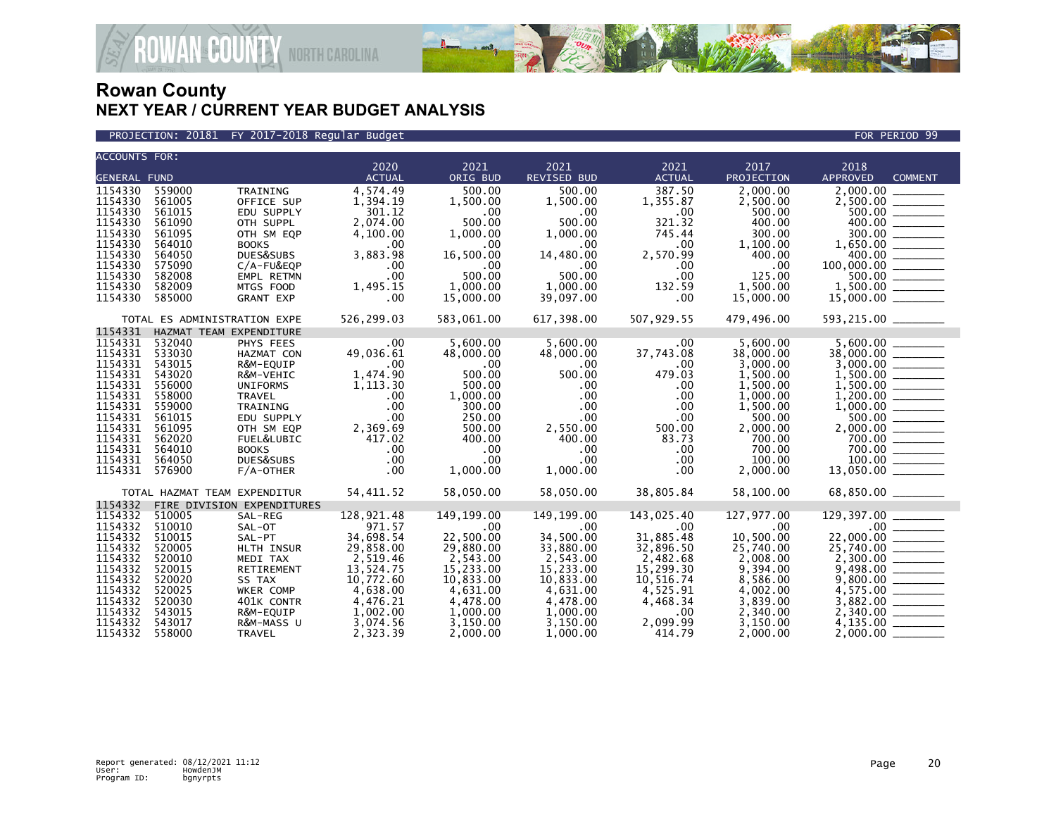

PROJECTION: 20181 FY 2017-2018 Regular Budget FOR PERIOD 99

| <b>ACCOUNTS FOR:</b>                                                                                                                        |                                                                                                                                                                |                                                                                                                                                                                          | 2020                                                                                                                                             | 2021                                                                                                                                           | 2021                                                                                                                                                              | 2021                                                                                                                                        | 2017                                                                                                                                                           | 2018                                                                                         |                |
|---------------------------------------------------------------------------------------------------------------------------------------------|----------------------------------------------------------------------------------------------------------------------------------------------------------------|------------------------------------------------------------------------------------------------------------------------------------------------------------------------------------------|--------------------------------------------------------------------------------------------------------------------------------------------------|------------------------------------------------------------------------------------------------------------------------------------------------|-------------------------------------------------------------------------------------------------------------------------------------------------------------------|---------------------------------------------------------------------------------------------------------------------------------------------|----------------------------------------------------------------------------------------------------------------------------------------------------------------|----------------------------------------------------------------------------------------------|----------------|
| <b>GENERAL FUND</b>                                                                                                                         |                                                                                                                                                                |                                                                                                                                                                                          | <b>ACTUAL</b>                                                                                                                                    | ORIG BUD                                                                                                                                       | <b>REVISED BUD</b>                                                                                                                                                | <b>ACTUAL</b>                                                                                                                               | PROJECTION                                                                                                                                                     | <b>APPROVED</b>                                                                              | <b>COMMENT</b> |
| 1154330<br>1154330<br>1154330<br>1154330<br>1154330<br>1154330<br>1154330<br>1154330<br>1154330<br>1154330<br>1154330                       | 559000<br>561005<br>561015<br>561090<br>561095<br>564010<br>564050<br>575090<br>582008<br>582009<br>585000                                                     | TRAINING<br>OFFICE SUP<br>EDU SUPPLY<br>OTH SUPPL<br>OTH SM EQP<br><b>BOOKS</b><br>DUES&SUBS<br>C/A-FU&EQP<br>EMPL RETMN<br>MTGS FOOD<br><b>GRANT EXP</b>                                | 4,574.49<br>1,394.19<br>301.12<br>2,074.00<br>4,100.00<br>.00<br>3,883.98<br>.00<br>.00<br>1,495.15<br>.00                                       | 500.00<br>1,500.00<br>.00<br>500.00<br>1,000.00<br>.00<br>16,500.00<br>.00<br>500.00<br>1,000.00<br>15,000.00                                  | 500.00<br>1,500.00<br>.00<br>500.00<br>1,000.00<br>.00<br>14,480.00<br>.00<br>500.00<br>1,000.00<br>39,097.00                                                     | 387.50<br>1,355.87<br>.00<br>321.32<br>745.44<br>$.00 \,$<br>2,570.99<br>$.00 \,$<br>$.00 \,$<br>132.59<br>.00                              | 2,000.00<br>2,500.00<br>500.00<br>400.00<br>300.00<br>1,100.00<br>400.00<br>.00<br>125.00<br>1,500.00<br>15,000.00                                             | 2,000.00<br>100,000,00<br>$\begin{array}{c} 7.7600.00 \end{array}$ =<br>$15,000.00$ ________ | $300.00$       |
|                                                                                                                                             | TOTAL ES ADMINISTRATION EXPE                                                                                                                                   |                                                                                                                                                                                          | 526,299.03                                                                                                                                       | 583,061.00                                                                                                                                     | 617,398.00                                                                                                                                                        | 507,929.55                                                                                                                                  | 479,496.00                                                                                                                                                     | 593,215.00 _______                                                                           |                |
| 1154331                                                                                                                                     | HAZMAT TEAM EXPENDITURE                                                                                                                                        |                                                                                                                                                                                          |                                                                                                                                                  |                                                                                                                                                |                                                                                                                                                                   |                                                                                                                                             |                                                                                                                                                                |                                                                                              |                |
| 1154331<br>1154331<br>1154331<br>1154331<br>1154331<br>1154331<br>1154331<br>1154331<br>1154331<br>1154331<br>1154331<br>1154331<br>1154331 | 532040<br>533030<br>543015<br>543020<br>556000<br>558000<br>559000<br>561015<br>561095<br>562020<br>564010<br>564050<br>576900<br>TOTAL HAZMAT TEAM EXPENDITUR | PHYS FEES<br>HAZMAT CON<br>R&M-EQUIP<br>R&M-VEHIC<br><b>UNIFORMS</b><br><b>TRAVEL</b><br>TRAINING<br>EDU SUPPLY<br>OTH SM EQP<br>FUEL&LUBIC<br><b>BOOKS</b><br>DUES&SUBS<br>$F/A$ -OTHER | $.00 \,$<br>49,036.61<br>.00<br>1,474.90<br>1,113.30<br>.00<br>.00<br>.00<br>2,369.69<br>417.02<br>.00<br>$.00 \,$<br>$.00 \,$<br>54,411.52      | 5,600.00<br>48,000.00<br>.00<br>500.00<br>500.00<br>1,000.00<br>300.00<br>250.00<br>500.00<br>400.00<br>.00<br>.00<br>1,000.00<br>58,050.00    | 5,600.00<br>48,000.00<br>.00.<br>500.00<br>$.00 \,$<br>$.00 \,$<br>$.00 \times$<br>$.00 \,$<br>2,550.00<br>400.00<br>.00<br>$.00 \times$<br>1,000.00<br>58,050.00 | $.00 \,$<br>37,743.08<br>$.00 \,$<br>479.03<br>.00<br>.00<br>.00<br>.00<br>500.00<br>83.73<br>.00<br>.00<br>.00<br>38,805.84                | 5,600.00<br>38,000.00<br>3,000.00<br>1,500.00<br>1,500.00<br>1,000.00<br>1,500.00<br>500.00<br>2,000.00<br>700.00<br>700.00<br>100.00<br>2,000.00<br>58,100.00 | 5,600.00<br>500.00 ______<br>700.00<br>68,850.00 ______                                      |                |
| 1154332                                                                                                                                     |                                                                                                                                                                | FIRE DIVISION EXPENDITURES                                                                                                                                                               |                                                                                                                                                  |                                                                                                                                                |                                                                                                                                                                   |                                                                                                                                             |                                                                                                                                                                |                                                                                              |                |
| 1154332<br>1154332<br>1154332<br>1154332<br>1154332<br>1154332<br>1154332<br>1154332<br>1154332<br>1154332<br>1154332<br>1154332            | 510005<br>510010<br>510015<br>520005<br>520010<br>520015<br>520020<br>520025<br>520030<br>543015<br>543017<br>558000                                           | SAL-REG<br>SAL-OT<br>SAL-PT<br>HLTH INSUR<br>MEDI TAX<br>RETIREMENT<br>SS TAX<br>WKER COMP<br>401K CONTR<br>R&M-EQUIP<br>R&M-MASS U<br><b>TRAVEL</b>                                     | 128,921.48<br>971.57<br>34,698.54<br>29,858.00<br>2,519.46<br>13,524.75<br>10,772.60<br>4,638.00<br>4,476.21<br>1,002.00<br>3,074.56<br>2,323.39 | 149, 199.00<br>.00<br>22,500.00<br>29,880.00<br>2,543.00<br>15,233.00<br>10.833.00<br>4,631.00<br>4,478.00<br>1,000.00<br>3,150.00<br>2,000.00 | 149, 199.00<br>.00<br>34,500.00<br>33,880.00<br>2,543.00<br>15,233.00<br>10.833.00<br>4,631.00<br>4,478.00<br>1,000.00<br>3,150.00<br>1.000.00                    | 143,025.40<br>.00<br>31,885.48<br>32,896.50<br>2,482.68<br>15,299.30<br>10,516.74<br>4,525.91<br>4,468.34<br>$.00 \,$<br>2,099.99<br>414.79 | 127,977.00<br>.00<br>10,500.00<br>25,740.00<br>2,008.00<br>9,394.00<br>8,586.00<br>4,002.00<br>3,839.00<br>2,340.00<br>3,150.00<br>2.000.00                    | 4,135.00<br>2.000.00                                                                         |                |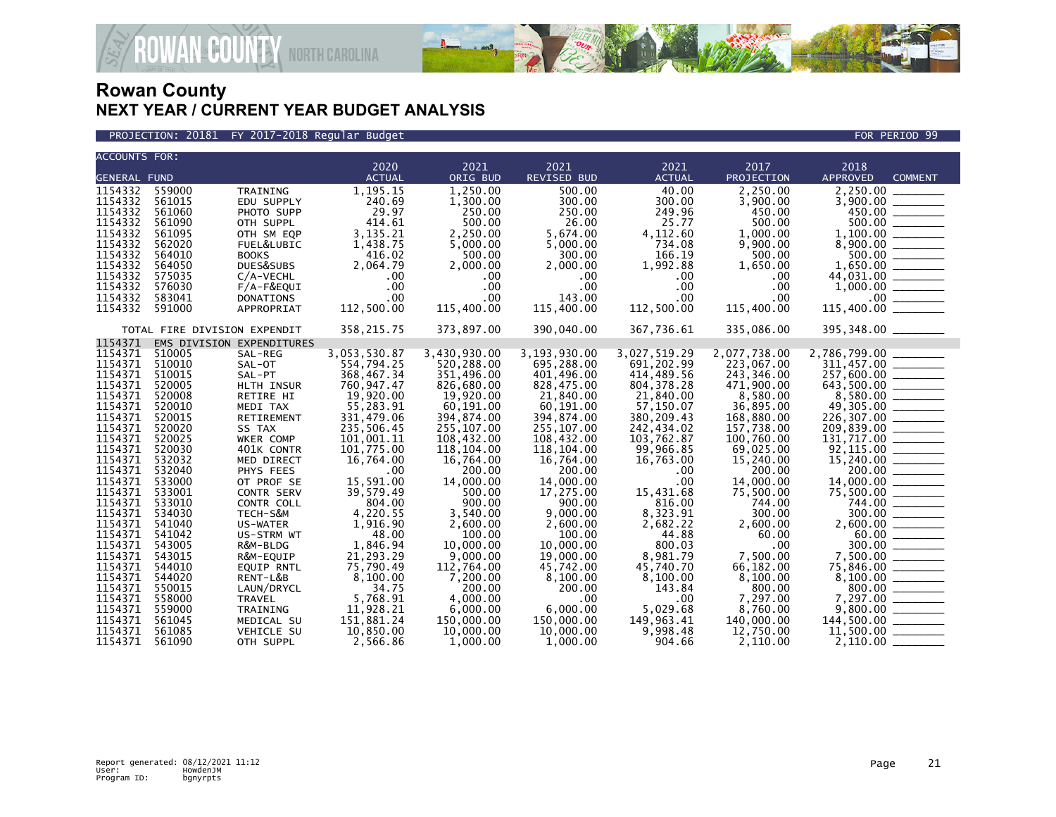

PROJECTION: 20181 FY 2017-2018 Regular Budget FOR PERIOD 99

| <b>ACCOUNTS FOR:</b> |                              |                           | 2020                    | 2021                    |                         | 2021                    | 2017                    | 2018                                                                                                     |
|----------------------|------------------------------|---------------------------|-------------------------|-------------------------|-------------------------|-------------------------|-------------------------|----------------------------------------------------------------------------------------------------------|
| <b>GENERAL FUND</b>  |                              |                           | <b>ACTUAL</b>           | ORIG BUD                | 2021<br>REVISED BUD     | <b>ACTUAL</b>           | PROJECTION              | APPROVED<br><b>COMMENT</b>                                                                               |
| 1154332              | 559000                       | TRAINING                  | 1,195.15                | 1.250.00                | 500.00                  | 40.00                   | 2,250.00                |                                                                                                          |
| 1154332              | 561015                       | EDU SUPPLY                | 240.69                  | 1,300.00                | 300.00                  | 300.00                  | 3,900.00                |                                                                                                          |
| 1154332              | 561060                       | PHOTO SUPP                | 29.97                   | 250.00                  | 250.00                  | 249.96                  | 450.00                  |                                                                                                          |
| 1154332              | 561090                       | OTH SUPPL                 | 414.61                  | 500.00                  | 26.00                   | 25.77                   | 500.00                  | $3,900.00$<br>450.00                                                                                     |
| 1154332              | 561095                       | OTH SM EQP                | 3,135.21                | 2,250.00                | 5,674.00                | 4,112.60                | 1,000.00                |                                                                                                          |
| 1154332              | 562020                       | FUEL&LUBIC                | 1,438.75                | 5,000.00                | 5,000.00                | 734.08                  | 9,900.00                |                                                                                                          |
| 1154332              | 564010                       | <b>BOOKS</b>              | 416.02                  | 500.00                  | 300.00                  | 166.19                  | 500.00                  | $1,100.00$<br>8,900.00                                                                                   |
| 1154332              | 564050                       | DUES&SUBS                 | 2.064.79                | 2.000.00                | 2.000.00                | 1,992.88                | 1,650.00                | $1,650.00$<br>$44,031.00$<br>$1,000.00$                                                                  |
| 1154332              | 575035                       | C/A-VECHL                 | $.00 \times$            | $.00 \,$                | $.00 \,$                | $.00 \,$                | $.00 \,$                |                                                                                                          |
| 1154332              | 576030                       | F/A-F&EQUI                | .00                     | .00                     | $.00 \,$                | $.00 \,$                | .00                     |                                                                                                          |
| 1154332              | 583041                       | <b>DONATIONS</b>          | .00                     | .00                     | 143.00                  | .00                     | .00                     |                                                                                                          |
| 1154332              | 591000                       | APPROPRIAT                | 112,500.00              | 115,400.00              | 115,400.00              | 112,500.00              | 115,400.00              |                                                                                                          |
|                      |                              |                           |                         |                         |                         |                         |                         |                                                                                                          |
|                      | TOTAL FIRE DIVISION EXPENDIT |                           | 358, 215.75             | 373,897.00              | 390,040.00              | 367,736.61              | 335,086.00              | 395,348.00 _______                                                                                       |
| 1154371              |                              | EMS DIVISION EXPENDITURES |                         |                         |                         |                         |                         |                                                                                                          |
| 1154371              | 510005                       | SAL-REG                   | 3,053,530.87            | 3,430,930.00            | 3,193,930.00            | 3,027,519.29            | 2,077,738.00            | 2,786,799.00                                                                                             |
| 1154371 510010       |                              | SAL-OT                    | 554,794.25              | 520,288.00              | 695,288.00              | 691,202.99              | 223,067.00              | 311,457.00 ______                                                                                        |
| 1154371              | 510015                       | SAL-PT                    | 368,467.34              | 351,496.00              | 401,496.00              | 414,489.56              | 243,346.00              |                                                                                                          |
| 1154371              | 520005                       | HLTH INSUR                | 760,947.47              | 826,680.00              | 828,475.00              | 804, 378.28             | 471.900.00              |                                                                                                          |
| 1154371<br>1154371   | 520008                       | RETIRE HI                 | 19,920.00               | 19,920.00               | 21,840.00               | 21,840.00               | 8.580.00                | $\begin{array}{r} 257,600.00 \\ 643,500.00 \\ 8,580.00 \\ 49,305.00 \\ 226,307.00 \\ \hline \end{array}$ |
| 1154371              | 520010<br>520015             | MEDI TAX<br>RETIREMENT    | 55,283.91<br>331,479.06 | 60,191.00<br>394,874.00 | 60,191.00<br>394,874.00 | 57,150.07<br>380,209.43 | 36,895.00<br>168,880.00 |                                                                                                          |
| 1154371              | 520020                       | SS TAX                    | 235,506.45              | 255,107.00              | 255, 107.00             | 242,434.02              | 157,738.00              | 209,839.00 ______                                                                                        |
| 1154371              | 520025                       | WKER COMP                 | 101,001.11              | 108,432.00              | 108,432.00              | 103,762.87              | 100,760.00              |                                                                                                          |
| 1154371              | 520030                       | 401K CONTR                | 101,775.00              | 118,104.00              | 118,104.00              | 99,966.85               | 69,025.00               | $131, 717.00$<br>$92, 115.00$<br>$15, 240.00$<br>$200.00$<br>$14, 000.00$<br>$75, 504.00$                |
| 1154371              | 532032                       | MED DIRECT                | 16,764.00               | 16,764.00               | 16,764.00               | 16,763.00               | 15,240.00               |                                                                                                          |
| 1154371              | 532040                       | PHYS FEES                 | .00                     | 200.00                  | 200.00                  | .00                     | 200.00                  |                                                                                                          |
| 1154371              | 533000                       | OT PROF SE                | 15,591.00               | 14,000.00               | 14,000.00               | .00                     | 14,000.00               |                                                                                                          |
| 1154371              | 533001                       | CONTR SERV                | 39,579.49               | 500.00                  | 17,275.00               | 15,431.68               | 75,500.00               |                                                                                                          |
| 1154371              | 533010                       | CONTR COLL                | 804.00                  | 900.00                  | 900.00                  | 816.00                  | 744.00                  |                                                                                                          |
| 1154371              | 534030                       | TECH-S&M                  | 4,220.55                | 3,540.00                | 9,000.00                | 8,323.91                | 300.00                  | $744.00$<br>300.00                                                                                       |
| 1154371              | 541040                       | US-WATER                  | 1,916.90                | 2,600.00                | 2,600.00                | 2,682.22                | 2,600.00                |                                                                                                          |
| 1154371              | 541042                       | US-STRM WT                | 48.00                   | 100.00                  | 100.00                  | 44.88                   | 60.00                   | $\frac{60.00}{300.00}$                                                                                   |
| 1154371              | 543005                       | R&M-BLDG                  | 1,846.94                | 10,000.00               | 10,000.00               | 800.03                  | $.00 \times$            |                                                                                                          |
| 1154371              | 543015                       | R&M-EQUIP                 | 21,293.29               | 9,000.00                | 19,000.00               | 8,981.79                | 7,500.00                | 7,500.00 _______                                                                                         |
| 1154371              | 544010                       | <b>EOUIP RNTL</b>         | 75.790.49               | 112.764.00              | 45.742.00               | 45.740.70               | 66.182.00               |                                                                                                          |
| 1154371              | 544020                       | RENT-L&B                  | 8,100.00                | 7,200.00                | 8,100.00                | 8,100.00                | 8.100.00                |                                                                                                          |
| 1154371              | 550015                       | LAUN/DRYCL                | 34.75                   | 200.00                  | 200.00                  | 143.84                  | 800.00                  | $75,846.00$<br>$8,100.00$<br>$8,100.00$<br>$7,297.00$<br>$9,800.00$<br>$144,500.00$                      |
| 1154371              | 558000                       | <b>TRAVEL</b>             | 5,768.91                | 4.000.00                | .00                     | $.00 \,$                | 7.297.00                |                                                                                                          |
| 1154371              | 559000                       | TRAINING                  | 11,928.21               | 6,000.00                | 6,000.00                | 5,029.68                | 8,760.00                |                                                                                                          |
| 1154371              | 561045                       | MEDICAL SU                | 151,881.24              | 150,000.00              | 150,000.00              | 149,963.41              | 140,000.00              |                                                                                                          |
| 1154371              | 561085                       | <b>VEHICLE SU</b>         | 10,850.00               | 10,000.00               | 10,000.00               | 9,998.48                | 12,750.00               |                                                                                                          |
| 1154371              | 561090                       | OTH SUPPL                 | 2,566.86                | 1,000.00                | 1,000.00                | 904.66                  | 2,110.00                |                                                                                                          |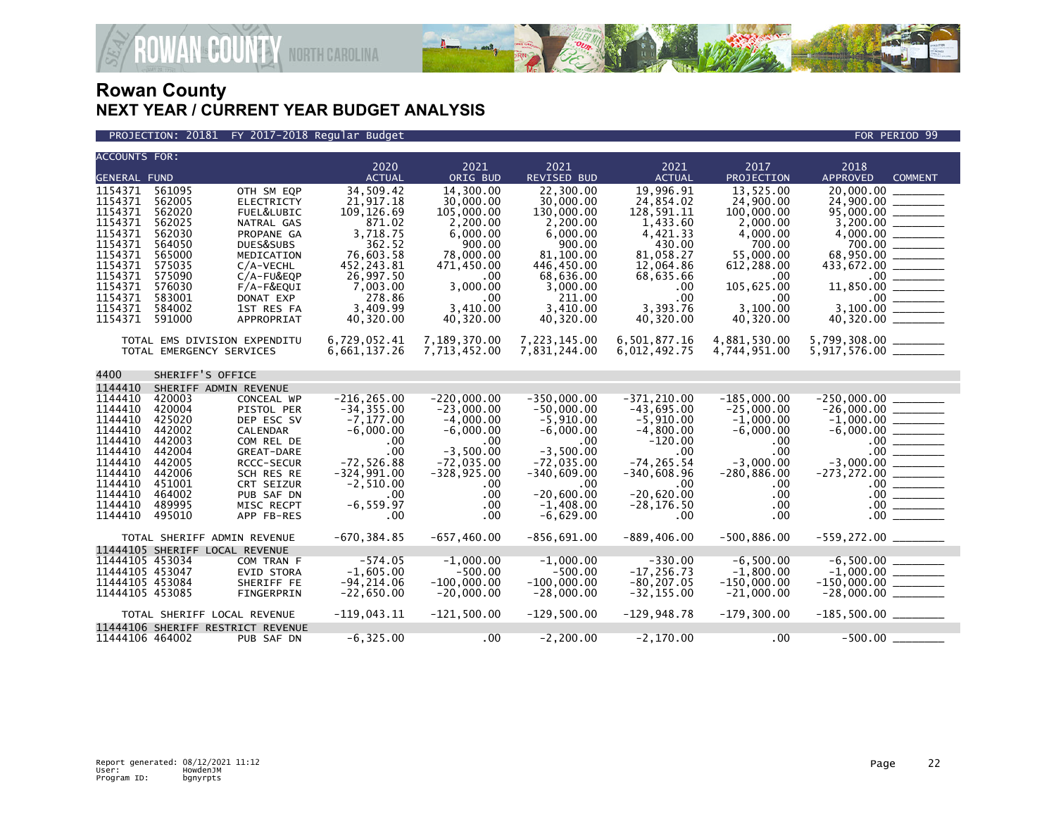

**JAN<sup>®</sup>COUNTY** NORTH CAROLINA

| <b>ACCOUNTS FOR:</b>                                                                                                                        |                                                                                                                                |                                                                                                                                                                                                    | 2020                                                                                                                                                          | 2021                                                                                                                                                  | 2021                                                                                                                                                                         | 2021                                                                                                                                                                            | 2017                                                                                                                                                   | 2018                                                                                                                       |                                                |
|---------------------------------------------------------------------------------------------------------------------------------------------|--------------------------------------------------------------------------------------------------------------------------------|----------------------------------------------------------------------------------------------------------------------------------------------------------------------------------------------------|---------------------------------------------------------------------------------------------------------------------------------------------------------------|-------------------------------------------------------------------------------------------------------------------------------------------------------|------------------------------------------------------------------------------------------------------------------------------------------------------------------------------|---------------------------------------------------------------------------------------------------------------------------------------------------------------------------------|--------------------------------------------------------------------------------------------------------------------------------------------------------|----------------------------------------------------------------------------------------------------------------------------|------------------------------------------------|
| <b>GENERAL FUND</b>                                                                                                                         |                                                                                                                                |                                                                                                                                                                                                    | <b>ACTUAL</b>                                                                                                                                                 | ORIG BUD                                                                                                                                              | <b>REVISED BUD</b>                                                                                                                                                           | <b>ACTUAL</b>                                                                                                                                                                   | PROJECTION                                                                                                                                             | <b>APPROVED</b>                                                                                                            | <b>COMMENT</b>                                 |
| 1154371<br>1154371<br>1154371<br>1154371<br>1154371<br>1154371<br>1154371<br>1154371<br>1154371<br>1154371<br>1154371<br>1154371<br>1154371 | 561095<br>562005<br>562020<br>562025<br>562030<br>564050<br>565000<br>575035<br>575090<br>576030<br>583001<br>584002<br>591000 | OTH SM EQP<br><b>ELECTRICTY</b><br>FUEL&LUBIC<br>NATRAL GAS<br>PROPANE GA<br>DUES&SUBS<br>MEDICATION<br>$C/A-VECHL$<br>C/A-FU&EQP<br>$F/A-F&EQUI$<br>DONAT EXP<br>1ST RES FA<br>APPROPRIAT         | 34,509.42<br>21.917.18<br>109, 126.69<br>871.02<br>3,718.75<br>362.52<br>76,603.58<br>452, 243.81<br>26,997.50<br>7,003.00<br>278.86<br>3,409.99<br>40,320.00 | 14,300.00<br>30,000,00<br>105,000,00<br>2,200.00<br>6,000.00<br>900.00<br>78,000.00<br>471,450.00<br>.00.<br>3,000.00<br>.00<br>3.410.00<br>40,320.00 | 22,300.00<br>30,000,00<br>130,000.00<br>2,200.00<br>6.000.00<br>900.00<br>81,100.00<br>446,450.00<br>68,636.00<br>3,000.00<br>211.00<br>3.410.00<br>40,320.00                | 19,996.91<br>24.854.02<br>128,591.11<br>1,433.60<br>4,421.33<br>430.00<br>81,058.27<br>12,064.86<br>68,635.66<br>.00<br>.00<br>3,393.76<br>40,320.00                            | 13,525.00<br>24,900,00<br>100,000.00<br>2,000.00<br>4.000.00<br>700.00<br>55,000.00<br>612,288.00<br>.00<br>105,625.00<br>.00<br>3.100.00<br>40,320.00 | 20,000.00<br>24.900.00<br>700.00<br>68,950.00 ______<br>433,672.00 _______<br>$11,850.00$ ________<br>$40,320.00$ ________ |                                                |
| 4400                                                                                                                                        | SHERIFF'S OFFICE                                                                                                               | TOTAL EMS DIVISION EXPENDITU<br>TOTAL EMERGENCY SERVICES                                                                                                                                           | 6,729,052.41<br>6,661,137.26                                                                                                                                  | 7,189,370.00<br>7,713,452.00                                                                                                                          | 7,223,145.00<br>7,831,244.00                                                                                                                                                 | 6,501,877.16<br>6,012,492.75                                                                                                                                                    | 4,881,530.00<br>4,744,951.00                                                                                                                           | 5,799,308.00 _______<br>$5,917,576.00$ ________                                                                            |                                                |
|                                                                                                                                             |                                                                                                                                |                                                                                                                                                                                                    |                                                                                                                                                               |                                                                                                                                                       |                                                                                                                                                                              |                                                                                                                                                                                 |                                                                                                                                                        |                                                                                                                            |                                                |
| 1144410<br>1144410<br>1144410<br>1144410<br>1144410<br>1144410<br>1144410<br>1144410<br>1144410<br>1144410<br>1144410<br>1144410<br>1144410 | 420003<br>420004<br>425020<br>442002<br>442003<br>442004<br>442005<br>442006<br>451001<br>464002<br>489995<br>495010           | SHERIFF ADMIN REVENUE<br>CONCEAL WP<br>PISTOL PER<br>DEP ESC SV<br><b>CALENDAR</b><br>COM REL DE<br>GREAT-DARE<br>RCCC-SECUR<br>SCH RES RE<br>CRT SEIZUR<br>PUB SAF DN<br>MISC RECPT<br>APP FB-RES | $-216, 265.00$<br>$-34.355.00$<br>$-7, 177.00$<br>$-6,000.00$<br>.00<br>.00<br>$-72,526.88$<br>$-324,991.00$<br>$-2,510.00$<br>.00<br>$-6, 559.97$<br>.00     | $-220,000.00$<br>$-23.000.00$<br>$-4.000.00$<br>$-6,000.00$<br>.00<br>$-3,500.00$<br>$-72,035.00$<br>$-328, 925.00$<br>$.00 \,$<br>.00<br>.00<br>.00  | $-350,000.00$<br>$-50.000.00$<br>$-5,910.00$<br>$-6,000.00$<br>$.00 \,$<br>$-3,500.00$<br>$-72,035.00$<br>$-340,609.00$<br>.00<br>$-20,600.00$<br>$-1,408.00$<br>$-6,629.00$ | $-371, 210.00$<br>$-43.695.00$<br>$-5,910.00$<br>$-4,800.00$<br>$-120.00$<br>$.00 \times$<br>$-74, 265.54$<br>$-340,608.96$<br>$.00 \,$<br>$-20,620.00$<br>$-28, 176.50$<br>.00 | $-185,000.00$<br>$-25.000.00$<br>$-1.000.00$<br>$-6,000.00$<br>.00<br>.00<br>$-3,000.00$<br>$-280, 886.00$<br>.00.<br>.00<br>.00<br>.00                | $-250,000.00$<br>$-26,000.00$ _______<br>$-1,000.00$ ________<br>$-3,000.00$ $\overline{\hspace{1cm}}$                     | $.00$ $\hspace{0.08cm}-\hspace{0.08cm}$<br>.00 |
|                                                                                                                                             |                                                                                                                                | TOTAL SHERIFF ADMIN REVENUE                                                                                                                                                                        | $-670, 384.85$                                                                                                                                                | $-657, 460.00$                                                                                                                                        | $-856,691.00$                                                                                                                                                                | $-889, 406.00$                                                                                                                                                                  | $-500,886.00$                                                                                                                                          |                                                                                                                            |                                                |
| 11444105 453034<br>11444105 453047<br>11444105 453084<br>11444105 453085                                                                    |                                                                                                                                | 11444105 SHERIFF LOCAL REVENUE<br>COM TRAN F<br>EVID STORA<br>SHERIFF FE<br>FINGERPRIN<br>TOTAL SHERIFF LOCAL REVENUE                                                                              | $-574.05$<br>$-1,605.00$<br>$-94, 214.06$<br>$-22,650.00$<br>$-119,043.11$                                                                                    | $-1.000.00$<br>$-500.00$<br>$-100,000.00$<br>$-20,000.00$<br>$-121.500.00$                                                                            | $-1.000.00$<br>$-500.00$<br>$-100,000.00$<br>$-28,000.00$<br>$-129,500.00$                                                                                                   | $-330.00$<br>$-17, 256.73$<br>$-80, 207.05$<br>$-32, 155.00$<br>$-129,948.78$                                                                                                   | $-6.500.00$<br>$-1,800.00$<br>$-150,000.00$<br>$-21,000.00$<br>$-179,300.00$                                                                           | $-28,000.00$ ________<br>$-185,500.00$ ________                                                                            |                                                |
| 11444106 464002                                                                                                                             |                                                                                                                                | 11444106 SHERIFF RESTRICT REVENUE<br>PUB SAF DN                                                                                                                                                    | $-6, 325.00$                                                                                                                                                  | $.00 \,$                                                                                                                                              | $-2, 200.00$                                                                                                                                                                 | -2,170.00                                                                                                                                                                       | .00                                                                                                                                                    | -500.00                                                                                                                    |                                                |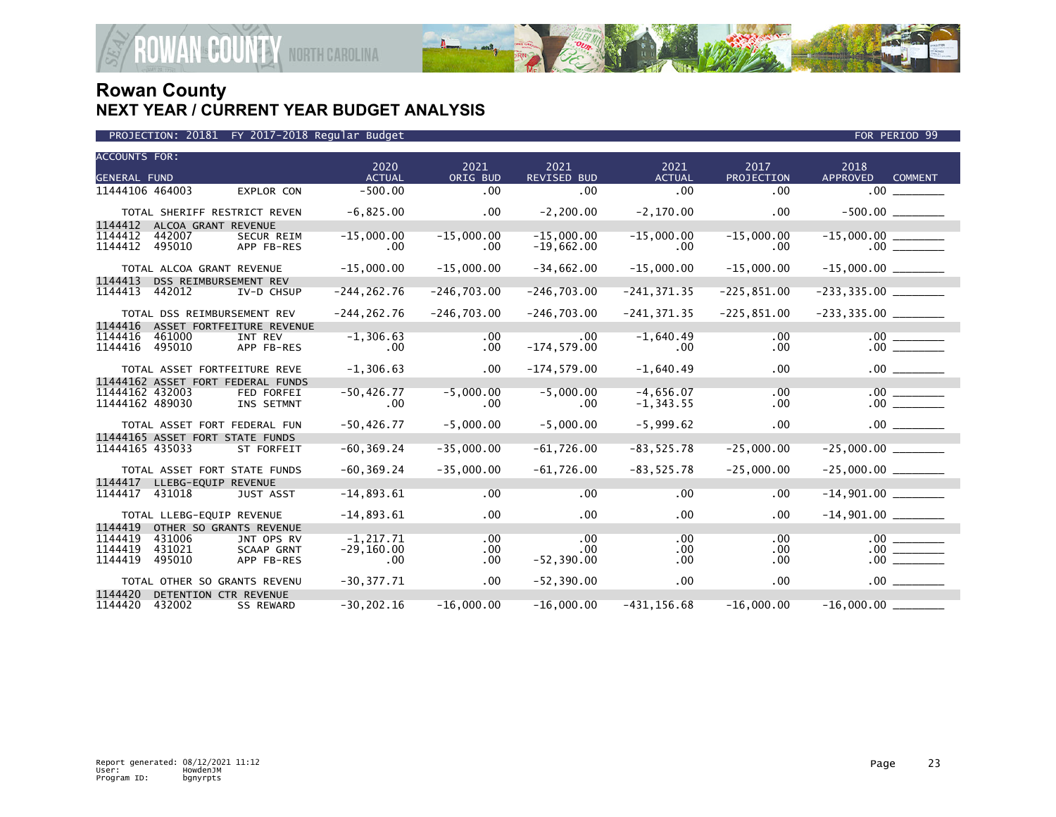

|  | PROJECTION: 20181 FY 2017-2018 Regular Budget |  |
|--|-----------------------------------------------|--|
|  |                                               |  |

| <b>ACCOUNTS FOR:</b><br><b>GENERAL FUND</b> |                                 |                                   | 2020<br><b>ACTUAL</b> | 2021<br>ORIG BUD | 2021<br><b>REVISED BUD</b> | 2021<br><b>ACTUAL</b> | 2017<br>PROJECTION | 2018<br><b>APPROVED</b> | <b>COMMENT</b> |
|---------------------------------------------|---------------------------------|-----------------------------------|-----------------------|------------------|----------------------------|-----------------------|--------------------|-------------------------|----------------|
|                                             |                                 |                                   |                       |                  |                            |                       |                    |                         |                |
| 11444106 464003                             |                                 | EXPLOR CON                        | $-500.00$             | .00              | .00                        | .00                   | .00                | $.00 \,$                |                |
|                                             | TOTAL SHERIFF RESTRICT REVEN    |                                   | $-6,825.00$           | .00              | $-2, 200.00$               | $-2,170.00$           | $.00 \,$           |                         |                |
| 1144412                                     | ALCOA GRANT REVENUE             |                                   |                       |                  |                            |                       |                    |                         |                |
| 1144412                                     | 442007                          | <b>SECUR REIM</b>                 | $-15,000.00$          | $-15,000.00$     | $-15,000.00$               | $-15,000.00$          | $-15,000.00$       |                         |                |
| 1144412                                     | 495010                          | APP FB-RES                        | .00                   | .00.             | $-19,662.00$               | .00                   | $.00 \,$           |                         | .00            |
|                                             | TOTAL ALCOA GRANT REVENUE       |                                   | $-15,000.00$          | $-15,000.00$     | $-34,662.00$               | $-15,000.00$          | $-15,000.00$       |                         |                |
| 1144413                                     | DSS REIMBURSEMENT REV           |                                   |                       |                  |                            |                       |                    |                         |                |
| 1144413                                     | 442012                          | IV-D CHSUP                        | $-244, 262.76$        | $-246,703.00$    | $-246,703.00$              | $-241, 371.35$        | $-225,851.00$      |                         |                |
|                                             | TOTAL DSS REIMBURSEMENT REV     |                                   | $-244, 262.76$        | $-246,703.00$    | $-246,703.00$              | $-241, 371.35$        | $-225,851.00$      |                         |                |
| 1144416                                     |                                 | ASSET FORTFEITURE REVENUE         |                       |                  |                            |                       |                    |                         |                |
| 1144416                                     | 461000                          | INT REV                           | $-1, 306.63$          | .00              | .00                        | $-1,640.49$           | .00                |                         |                |
| 1144416                                     | 495010                          | APP FB-RES                        | .00                   | $.00 \,$         | $-174, 579.00$             | .00                   | .00.               |                         |                |
|                                             | TOTAL ASSET FORTFEITURE REVE    |                                   | $-1, 306.63$          | .00              | $-174,579.00$              | $-1,640.49$           | $.00 \,$           |                         | $.00$ $\qquad$ |
|                                             |                                 | 11444162 ASSET FORT FEDERAL FUNDS |                       |                  |                            |                       |                    |                         |                |
| 11444162 432003                             |                                 | <b>FED FORFEI</b>                 | $-50, 426.77$         | $-5,000.00$      | $-5,000.00$                | $-4,656.07$           | .00                |                         |                |
| 11444162 489030                             |                                 | INS SETMNT                        | .00.                  | .00              | .00                        | $-1, 343.55$          | $.00 \,$           |                         |                |
|                                             | TOTAL ASSET FORT FEDERAL FUN    |                                   | $-50, 426.77$         | $-5,000.00$      | $-5,000.00$                | $-5,999.62$           | $.00 \,$           |                         | 00             |
|                                             | 11444165 ASSET FORT STATE FUNDS |                                   |                       |                  |                            |                       |                    |                         |                |
| 11444165 435033                             |                                 | ST FORFEIT                        | $-60, 369.24$         | $-35,000.00$     | $-61,726.00$               | $-83, 525.78$         | $-25,000.00$       | $-25,000.00$ ________   |                |
|                                             | TOTAL ASSET FORT STATE FUNDS    |                                   | $-60, 369.24$         | $-35,000.00$     | $-61,726.00$               | $-83,525.78$          | $-25,000.00$       |                         |                |
| 1144417                                     | LLEBG-EQUIP REVENUE             |                                   |                       |                  |                            |                       |                    |                         |                |
| 1144417                                     | 431018                          | <b>JUST ASST</b>                  | $-14,893.61$          | .00              | .00                        | .00                   | .00                | $-14,901.00$            |                |
|                                             | TOTAL LLEBG-EQUIP REVENUE       |                                   | $-14,893.61$          | .00              | $.00 \,$                   | $.00 \,$              | .00                |                         |                |
| 1144419                                     | OTHER SO GRANTS REVENUE         |                                   |                       |                  |                            |                       |                    |                         |                |
| 1144419                                     | 431006                          | JNT OPS RV                        | $-1, 217.71$          | .00              | .00                        | .00                   | .00                |                         | .00            |
| 1144419                                     | 431021                          | <b>SCAAP GRNT</b>                 | $-29, 160.00$         | .00              | $.00 \,$                   | .00                   | $.00 \,$           |                         |                |
| 1144419                                     | 495010                          | APP FB-RES                        | .00                   | .00              | $-52, 390.00$              | .00                   | $.00 \cdot$        |                         |                |
|                                             | TOTAL OTHER SO GRANTS REVENU    |                                   | $-30, 377.71$         | $.00 \times$     | $-52, 390.00$              | .00                   | $.00 \,$           |                         | .00            |
| 1144420                                     | DETENTION CTR REVENUE           |                                   |                       |                  |                            |                       |                    |                         |                |
| 1144420                                     | 432002                          | <b>SS REWARD</b>                  | $-30, 202.16$         | $-16,000.00$     | $-16,000.00$               | $-431, 156.68$        | $-16,000.00$       | $-16,000.00$            |                |

FOR PERIOD 99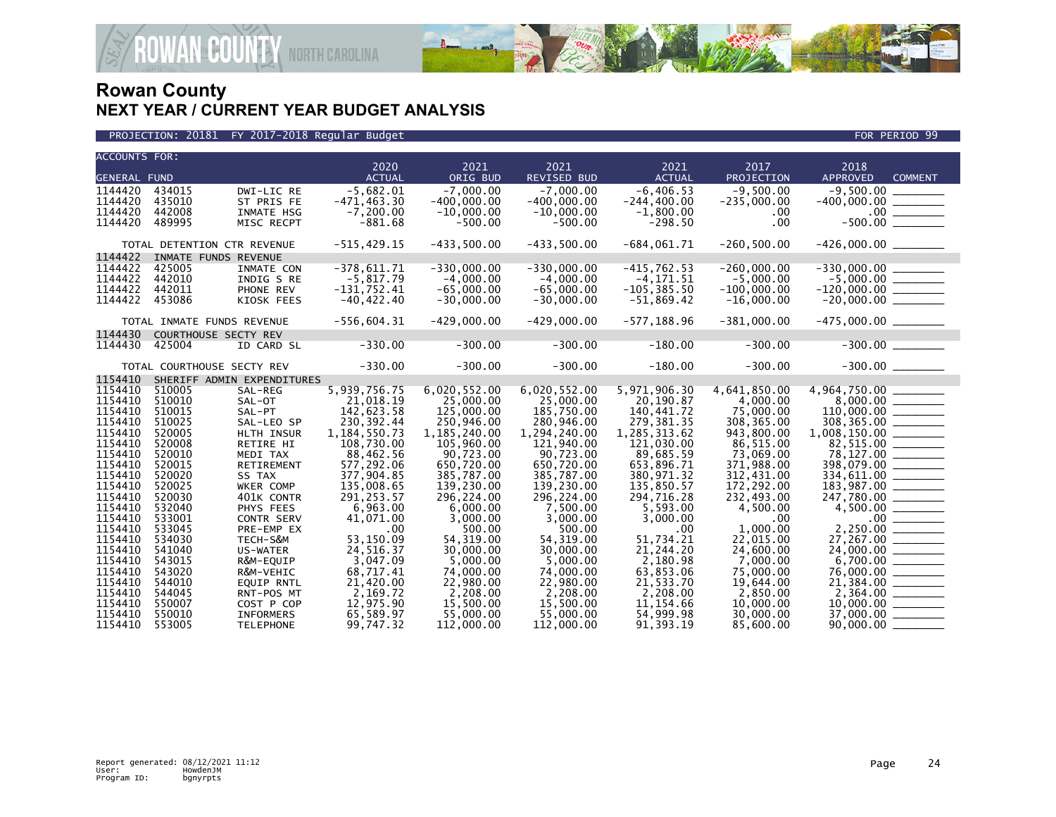

| <b>ACCOUNTS FOR:</b><br>2020<br>2021<br>2021<br>2021<br>2017<br>2018<br><b>ACTUAL</b><br><b>ACTUAL</b><br>PROJECTION<br><b>GENERAL FUND</b><br>ORIG BUD<br>REVISED BUD<br>APPROVED<br><b>COMMENT</b><br>$-5,682.01$<br>$-7,000.00$<br>$-7,000.00$<br>$-6, 406.53$<br>$-9,500.00$<br>$-9,500.00$<br>1144420<br>434015<br>DWI-LIC RE<br>1144420<br>$-471, 463.30$<br>$-400,000.00$<br>$-400,000.00$<br>$-244, 400.00$<br>435010<br>ST PRIS FE<br>$-235,000.00$<br>$-400,000.00$ _________<br>1144420<br>$-7, 200.00$<br>442008<br>INMATE HSG<br>$-10,000.00$<br>$-10,000.00$<br>$-1,800.00$<br>.00<br>1144420<br>489995<br>$-881.68$<br>$-500.00$<br>$-500.00$<br>$-298.50$<br>.00<br>MISC RECPT<br>$-515, 429.15$<br>$-433,500.00$<br>$-433,500.00$<br>$-684,061.71$<br>$-260, 500.00$<br>TOTAL DETENTION CTR REVENUE<br>1144422<br>INMATE FUNDS REVENUE<br>1144422<br>$-378,611.71$<br>$-330,000.00$<br>$-330,000.00$<br>$-415,762.53$<br>$-260,000.00$<br>$-330,000.00$ _________<br>425005<br>INMATE CON<br>1144422<br>442010<br>$-5,817.79$<br>$-4,000.00$<br>$-4,000.00$<br>$-4, 171.51$<br>$-5,000.00$<br>$-5,000.00$ _________<br>INDIG S RE<br>1144422<br>442011<br>$-131,752.41$<br>$-65,000.00$<br>$-65,000.00$<br>$-105, 385.50$<br>$-120,000.00$<br>$-20,000.00$<br>PHONE REV<br>$-100,000.00$<br>1144422<br>$-30,000.00$<br>453086<br>KIOSK FEES<br>$-40, 422.40$<br>$-30,000.00$<br>$-51,869.42$<br>$-16,000.00$<br>$-556,604.31$<br>$-429,000.00$<br>$-429,000.00$<br>$-577, 188.96$<br>$-381,000.00$<br>$-475,000.00$ _________<br>TOTAL INMATE FUNDS REVENUE<br>1144430<br>COURTHOUSE SECTY REV<br>$-300.00$<br>$-180.00$<br>$-300.00$<br>$-300.00$<br>1144430<br>$-330.00$<br>$-300.00$<br>425004<br>ID CARD SL<br>$-330.00$<br>$-300.00$<br>$-180.00$<br>$-300.00$<br>$-300.00$<br>TOTAL COURTHOUSE SECTY REV<br>1154410<br>SHERIFF ADMIN EXPENDITURES<br>5,939,756.75<br>1154410<br>6,020,552.00<br>6,020,552.00<br>5,971,906.30<br>4,641,850.00<br>4,964,750.00 ______<br>510005<br>SAL-REG<br>1154410<br>510010<br>21.018.19<br>25,000,00<br>25,000.00<br>20,190.87<br>4,000,00<br>SAL-OT<br>1154410<br>142,623.58<br>140,441.72<br>$110,000.00$<br>308,365.00<br>510015<br>SAL-PT<br>125,000.00<br>185,750.00<br>75,000.00<br>230,392.44<br>250,946.00<br>1154410<br>280,946.00<br>279, 381.35<br>308, 365.00<br>510025<br>SAL-LEO SP<br>1154410<br>520005<br>1, 184, 550. 73<br>1,185,240.00<br>1,285,313.62<br>943,800.00<br>1,008,150.00 _______<br>HLTH INSUR<br>1,294,240.00<br>1154410<br>82,515.00 ______<br>520008<br>108,730.00<br>121,940.00<br>121,030.00<br>86,515.00<br>RETIRE HI<br>105,960.00<br>1154410<br>88,462.56<br>90,723.00<br>73,069.00<br>78,127.00 _______<br>520010<br>90,723.00<br>89,685.59<br>MEDI TAX<br>1154410<br>520015<br>577,292.06<br>398,079.00 _______<br>RETIREMENT<br>650,720.00<br>650,720.00<br>653,896.71<br>371,988.00<br>1154410<br>520020<br>SS TAX<br>377,904.85<br>385,787.00<br>385,787.00<br>380,971.32<br>312,431.00<br>334,611.00 _______<br>183,987.00 _______<br>1154410<br>135,008.65<br>139,230.00<br>135,850.57<br>172,292.00<br>520025<br>WKER COMP<br>139,230.00<br>291, 253.57<br>1154410<br>520030<br>296,224.00<br>296,224.00<br>294,716.28<br>232,493.00<br>401K CONTR |                   |           |           |           |            |           |  |  |  |  |
|-------------------------------------------------------------------------------------------------------------------------------------------------------------------------------------------------------------------------------------------------------------------------------------------------------------------------------------------------------------------------------------------------------------------------------------------------------------------------------------------------------------------------------------------------------------------------------------------------------------------------------------------------------------------------------------------------------------------------------------------------------------------------------------------------------------------------------------------------------------------------------------------------------------------------------------------------------------------------------------------------------------------------------------------------------------------------------------------------------------------------------------------------------------------------------------------------------------------------------------------------------------------------------------------------------------------------------------------------------------------------------------------------------------------------------------------------------------------------------------------------------------------------------------------------------------------------------------------------------------------------------------------------------------------------------------------------------------------------------------------------------------------------------------------------------------------------------------------------------------------------------------------------------------------------------------------------------------------------------------------------------------------------------------------------------------------------------------------------------------------------------------------------------------------------------------------------------------------------------------------------------------------------------------------------------------------------------------------------------------------------------------------------------------------------------------------------------------------------------------------------------------------------------------------------------------------------------------------------------------------------------------------------------------------------------------------------------------------------------------------------------------------------------------------------------------------------------------------------------------------------------------------------------------------------------------------------------------------------------------------------------------------------------------------------------------------------------------------------------------------------------------------------------------------------------------------------------------------------------------------------------------|-------------------|-----------|-----------|-----------|------------|-----------|--|--|--|--|
|                                                                                                                                                                                                                                                                                                                                                                                                                                                                                                                                                                                                                                                                                                                                                                                                                                                                                                                                                                                                                                                                                                                                                                                                                                                                                                                                                                                                                                                                                                                                                                                                                                                                                                                                                                                                                                                                                                                                                                                                                                                                                                                                                                                                                                                                                                                                                                                                                                                                                                                                                                                                                                                                                                                                                                                                                                                                                                                                                                                                                                                                                                                                                                                                                                                             |                   |           |           |           |            |           |  |  |  |  |
|                                                                                                                                                                                                                                                                                                                                                                                                                                                                                                                                                                                                                                                                                                                                                                                                                                                                                                                                                                                                                                                                                                                                                                                                                                                                                                                                                                                                                                                                                                                                                                                                                                                                                                                                                                                                                                                                                                                                                                                                                                                                                                                                                                                                                                                                                                                                                                                                                                                                                                                                                                                                                                                                                                                                                                                                                                                                                                                                                                                                                                                                                                                                                                                                                                                             |                   |           |           |           |            |           |  |  |  |  |
|                                                                                                                                                                                                                                                                                                                                                                                                                                                                                                                                                                                                                                                                                                                                                                                                                                                                                                                                                                                                                                                                                                                                                                                                                                                                                                                                                                                                                                                                                                                                                                                                                                                                                                                                                                                                                                                                                                                                                                                                                                                                                                                                                                                                                                                                                                                                                                                                                                                                                                                                                                                                                                                                                                                                                                                                                                                                                                                                                                                                                                                                                                                                                                                                                                                             |                   |           |           |           |            |           |  |  |  |  |
|                                                                                                                                                                                                                                                                                                                                                                                                                                                                                                                                                                                                                                                                                                                                                                                                                                                                                                                                                                                                                                                                                                                                                                                                                                                                                                                                                                                                                                                                                                                                                                                                                                                                                                                                                                                                                                                                                                                                                                                                                                                                                                                                                                                                                                                                                                                                                                                                                                                                                                                                                                                                                                                                                                                                                                                                                                                                                                                                                                                                                                                                                                                                                                                                                                                             |                   |           |           |           |            |           |  |  |  |  |
|                                                                                                                                                                                                                                                                                                                                                                                                                                                                                                                                                                                                                                                                                                                                                                                                                                                                                                                                                                                                                                                                                                                                                                                                                                                                                                                                                                                                                                                                                                                                                                                                                                                                                                                                                                                                                                                                                                                                                                                                                                                                                                                                                                                                                                                                                                                                                                                                                                                                                                                                                                                                                                                                                                                                                                                                                                                                                                                                                                                                                                                                                                                                                                                                                                                             |                   |           |           |           |            |           |  |  |  |  |
|                                                                                                                                                                                                                                                                                                                                                                                                                                                                                                                                                                                                                                                                                                                                                                                                                                                                                                                                                                                                                                                                                                                                                                                                                                                                                                                                                                                                                                                                                                                                                                                                                                                                                                                                                                                                                                                                                                                                                                                                                                                                                                                                                                                                                                                                                                                                                                                                                                                                                                                                                                                                                                                                                                                                                                                                                                                                                                                                                                                                                                                                                                                                                                                                                                                             |                   |           |           |           |            |           |  |  |  |  |
|                                                                                                                                                                                                                                                                                                                                                                                                                                                                                                                                                                                                                                                                                                                                                                                                                                                                                                                                                                                                                                                                                                                                                                                                                                                                                                                                                                                                                                                                                                                                                                                                                                                                                                                                                                                                                                                                                                                                                                                                                                                                                                                                                                                                                                                                                                                                                                                                                                                                                                                                                                                                                                                                                                                                                                                                                                                                                                                                                                                                                                                                                                                                                                                                                                                             |                   |           |           |           |            |           |  |  |  |  |
|                                                                                                                                                                                                                                                                                                                                                                                                                                                                                                                                                                                                                                                                                                                                                                                                                                                                                                                                                                                                                                                                                                                                                                                                                                                                                                                                                                                                                                                                                                                                                                                                                                                                                                                                                                                                                                                                                                                                                                                                                                                                                                                                                                                                                                                                                                                                                                                                                                                                                                                                                                                                                                                                                                                                                                                                                                                                                                                                                                                                                                                                                                                                                                                                                                                             |                   |           |           |           |            |           |  |  |  |  |
|                                                                                                                                                                                                                                                                                                                                                                                                                                                                                                                                                                                                                                                                                                                                                                                                                                                                                                                                                                                                                                                                                                                                                                                                                                                                                                                                                                                                                                                                                                                                                                                                                                                                                                                                                                                                                                                                                                                                                                                                                                                                                                                                                                                                                                                                                                                                                                                                                                                                                                                                                                                                                                                                                                                                                                                                                                                                                                                                                                                                                                                                                                                                                                                                                                                             |                   |           |           |           |            |           |  |  |  |  |
|                                                                                                                                                                                                                                                                                                                                                                                                                                                                                                                                                                                                                                                                                                                                                                                                                                                                                                                                                                                                                                                                                                                                                                                                                                                                                                                                                                                                                                                                                                                                                                                                                                                                                                                                                                                                                                                                                                                                                                                                                                                                                                                                                                                                                                                                                                                                                                                                                                                                                                                                                                                                                                                                                                                                                                                                                                                                                                                                                                                                                                                                                                                                                                                                                                                             |                   |           |           |           |            |           |  |  |  |  |
|                                                                                                                                                                                                                                                                                                                                                                                                                                                                                                                                                                                                                                                                                                                                                                                                                                                                                                                                                                                                                                                                                                                                                                                                                                                                                                                                                                                                                                                                                                                                                                                                                                                                                                                                                                                                                                                                                                                                                                                                                                                                                                                                                                                                                                                                                                                                                                                                                                                                                                                                                                                                                                                                                                                                                                                                                                                                                                                                                                                                                                                                                                                                                                                                                                                             |                   |           |           |           |            |           |  |  |  |  |
|                                                                                                                                                                                                                                                                                                                                                                                                                                                                                                                                                                                                                                                                                                                                                                                                                                                                                                                                                                                                                                                                                                                                                                                                                                                                                                                                                                                                                                                                                                                                                                                                                                                                                                                                                                                                                                                                                                                                                                                                                                                                                                                                                                                                                                                                                                                                                                                                                                                                                                                                                                                                                                                                                                                                                                                                                                                                                                                                                                                                                                                                                                                                                                                                                                                             |                   |           |           |           |            |           |  |  |  |  |
|                                                                                                                                                                                                                                                                                                                                                                                                                                                                                                                                                                                                                                                                                                                                                                                                                                                                                                                                                                                                                                                                                                                                                                                                                                                                                                                                                                                                                                                                                                                                                                                                                                                                                                                                                                                                                                                                                                                                                                                                                                                                                                                                                                                                                                                                                                                                                                                                                                                                                                                                                                                                                                                                                                                                                                                                                                                                                                                                                                                                                                                                                                                                                                                                                                                             |                   |           |           |           |            |           |  |  |  |  |
|                                                                                                                                                                                                                                                                                                                                                                                                                                                                                                                                                                                                                                                                                                                                                                                                                                                                                                                                                                                                                                                                                                                                                                                                                                                                                                                                                                                                                                                                                                                                                                                                                                                                                                                                                                                                                                                                                                                                                                                                                                                                                                                                                                                                                                                                                                                                                                                                                                                                                                                                                                                                                                                                                                                                                                                                                                                                                                                                                                                                                                                                                                                                                                                                                                                             |                   |           |           |           |            |           |  |  |  |  |
|                                                                                                                                                                                                                                                                                                                                                                                                                                                                                                                                                                                                                                                                                                                                                                                                                                                                                                                                                                                                                                                                                                                                                                                                                                                                                                                                                                                                                                                                                                                                                                                                                                                                                                                                                                                                                                                                                                                                                                                                                                                                                                                                                                                                                                                                                                                                                                                                                                                                                                                                                                                                                                                                                                                                                                                                                                                                                                                                                                                                                                                                                                                                                                                                                                                             |                   |           |           |           |            |           |  |  |  |  |
|                                                                                                                                                                                                                                                                                                                                                                                                                                                                                                                                                                                                                                                                                                                                                                                                                                                                                                                                                                                                                                                                                                                                                                                                                                                                                                                                                                                                                                                                                                                                                                                                                                                                                                                                                                                                                                                                                                                                                                                                                                                                                                                                                                                                                                                                                                                                                                                                                                                                                                                                                                                                                                                                                                                                                                                                                                                                                                                                                                                                                                                                                                                                                                                                                                                             |                   |           |           |           |            |           |  |  |  |  |
|                                                                                                                                                                                                                                                                                                                                                                                                                                                                                                                                                                                                                                                                                                                                                                                                                                                                                                                                                                                                                                                                                                                                                                                                                                                                                                                                                                                                                                                                                                                                                                                                                                                                                                                                                                                                                                                                                                                                                                                                                                                                                                                                                                                                                                                                                                                                                                                                                                                                                                                                                                                                                                                                                                                                                                                                                                                                                                                                                                                                                                                                                                                                                                                                                                                             |                   |           |           |           |            |           |  |  |  |  |
|                                                                                                                                                                                                                                                                                                                                                                                                                                                                                                                                                                                                                                                                                                                                                                                                                                                                                                                                                                                                                                                                                                                                                                                                                                                                                                                                                                                                                                                                                                                                                                                                                                                                                                                                                                                                                                                                                                                                                                                                                                                                                                                                                                                                                                                                                                                                                                                                                                                                                                                                                                                                                                                                                                                                                                                                                                                                                                                                                                                                                                                                                                                                                                                                                                                             |                   |           |           |           |            |           |  |  |  |  |
|                                                                                                                                                                                                                                                                                                                                                                                                                                                                                                                                                                                                                                                                                                                                                                                                                                                                                                                                                                                                                                                                                                                                                                                                                                                                                                                                                                                                                                                                                                                                                                                                                                                                                                                                                                                                                                                                                                                                                                                                                                                                                                                                                                                                                                                                                                                                                                                                                                                                                                                                                                                                                                                                                                                                                                                                                                                                                                                                                                                                                                                                                                                                                                                                                                                             |                   |           |           |           |            |           |  |  |  |  |
|                                                                                                                                                                                                                                                                                                                                                                                                                                                                                                                                                                                                                                                                                                                                                                                                                                                                                                                                                                                                                                                                                                                                                                                                                                                                                                                                                                                                                                                                                                                                                                                                                                                                                                                                                                                                                                                                                                                                                                                                                                                                                                                                                                                                                                                                                                                                                                                                                                                                                                                                                                                                                                                                                                                                                                                                                                                                                                                                                                                                                                                                                                                                                                                                                                                             |                   |           |           |           |            |           |  |  |  |  |
|                                                                                                                                                                                                                                                                                                                                                                                                                                                                                                                                                                                                                                                                                                                                                                                                                                                                                                                                                                                                                                                                                                                                                                                                                                                                                                                                                                                                                                                                                                                                                                                                                                                                                                                                                                                                                                                                                                                                                                                                                                                                                                                                                                                                                                                                                                                                                                                                                                                                                                                                                                                                                                                                                                                                                                                                                                                                                                                                                                                                                                                                                                                                                                                                                                                             |                   |           |           |           |            |           |  |  |  |  |
|                                                                                                                                                                                                                                                                                                                                                                                                                                                                                                                                                                                                                                                                                                                                                                                                                                                                                                                                                                                                                                                                                                                                                                                                                                                                                                                                                                                                                                                                                                                                                                                                                                                                                                                                                                                                                                                                                                                                                                                                                                                                                                                                                                                                                                                                                                                                                                                                                                                                                                                                                                                                                                                                                                                                                                                                                                                                                                                                                                                                                                                                                                                                                                                                                                                             |                   |           |           |           |            |           |  |  |  |  |
|                                                                                                                                                                                                                                                                                                                                                                                                                                                                                                                                                                                                                                                                                                                                                                                                                                                                                                                                                                                                                                                                                                                                                                                                                                                                                                                                                                                                                                                                                                                                                                                                                                                                                                                                                                                                                                                                                                                                                                                                                                                                                                                                                                                                                                                                                                                                                                                                                                                                                                                                                                                                                                                                                                                                                                                                                                                                                                                                                                                                                                                                                                                                                                                                                                                             |                   |           |           |           |            |           |  |  |  |  |
|                                                                                                                                                                                                                                                                                                                                                                                                                                                                                                                                                                                                                                                                                                                                                                                                                                                                                                                                                                                                                                                                                                                                                                                                                                                                                                                                                                                                                                                                                                                                                                                                                                                                                                                                                                                                                                                                                                                                                                                                                                                                                                                                                                                                                                                                                                                                                                                                                                                                                                                                                                                                                                                                                                                                                                                                                                                                                                                                                                                                                                                                                                                                                                                                                                                             |                   |           |           |           |            |           |  |  |  |  |
|                                                                                                                                                                                                                                                                                                                                                                                                                                                                                                                                                                                                                                                                                                                                                                                                                                                                                                                                                                                                                                                                                                                                                                                                                                                                                                                                                                                                                                                                                                                                                                                                                                                                                                                                                                                                                                                                                                                                                                                                                                                                                                                                                                                                                                                                                                                                                                                                                                                                                                                                                                                                                                                                                                                                                                                                                                                                                                                                                                                                                                                                                                                                                                                                                                                             |                   |           |           |           |            |           |  |  |  |  |
|                                                                                                                                                                                                                                                                                                                                                                                                                                                                                                                                                                                                                                                                                                                                                                                                                                                                                                                                                                                                                                                                                                                                                                                                                                                                                                                                                                                                                                                                                                                                                                                                                                                                                                                                                                                                                                                                                                                                                                                                                                                                                                                                                                                                                                                                                                                                                                                                                                                                                                                                                                                                                                                                                                                                                                                                                                                                                                                                                                                                                                                                                                                                                                                                                                                             |                   |           |           |           |            |           |  |  |  |  |
|                                                                                                                                                                                                                                                                                                                                                                                                                                                                                                                                                                                                                                                                                                                                                                                                                                                                                                                                                                                                                                                                                                                                                                                                                                                                                                                                                                                                                                                                                                                                                                                                                                                                                                                                                                                                                                                                                                                                                                                                                                                                                                                                                                                                                                                                                                                                                                                                                                                                                                                                                                                                                                                                                                                                                                                                                                                                                                                                                                                                                                                                                                                                                                                                                                                             |                   |           |           |           |            |           |  |  |  |  |
|                                                                                                                                                                                                                                                                                                                                                                                                                                                                                                                                                                                                                                                                                                                                                                                                                                                                                                                                                                                                                                                                                                                                                                                                                                                                                                                                                                                                                                                                                                                                                                                                                                                                                                                                                                                                                                                                                                                                                                                                                                                                                                                                                                                                                                                                                                                                                                                                                                                                                                                                                                                                                                                                                                                                                                                                                                                                                                                                                                                                                                                                                                                                                                                                                                                             |                   |           |           |           |            |           |  |  |  |  |
|                                                                                                                                                                                                                                                                                                                                                                                                                                                                                                                                                                                                                                                                                                                                                                                                                                                                                                                                                                                                                                                                                                                                                                                                                                                                                                                                                                                                                                                                                                                                                                                                                                                                                                                                                                                                                                                                                                                                                                                                                                                                                                                                                                                                                                                                                                                                                                                                                                                                                                                                                                                                                                                                                                                                                                                                                                                                                                                                                                                                                                                                                                                                                                                                                                                             |                   |           |           |           |            |           |  |  |  |  |
|                                                                                                                                                                                                                                                                                                                                                                                                                                                                                                                                                                                                                                                                                                                                                                                                                                                                                                                                                                                                                                                                                                                                                                                                                                                                                                                                                                                                                                                                                                                                                                                                                                                                                                                                                                                                                                                                                                                                                                                                                                                                                                                                                                                                                                                                                                                                                                                                                                                                                                                                                                                                                                                                                                                                                                                                                                                                                                                                                                                                                                                                                                                                                                                                                                                             |                   |           |           |           |            |           |  |  |  |  |
| PHYS FEES                                                                                                                                                                                                                                                                                                                                                                                                                                                                                                                                                                                                                                                                                                                                                                                                                                                                                                                                                                                                                                                                                                                                                                                                                                                                                                                                                                                                                                                                                                                                                                                                                                                                                                                                                                                                                                                                                                                                                                                                                                                                                                                                                                                                                                                                                                                                                                                                                                                                                                                                                                                                                                                                                                                                                                                                                                                                                                                                                                                                                                                                                                                                                                                                                                                   | 1154410<br>532040 | 6,963.00  | 6,000.00  | 7,500.00  | 5,593.00   | 4,500.00  |  |  |  |  |
| 1154410<br>41,071.00<br>3,000.00<br>533001<br><b>CONTR SERV</b><br>3,000.00<br>3,000.00<br>.00                                                                                                                                                                                                                                                                                                                                                                                                                                                                                                                                                                                                                                                                                                                                                                                                                                                                                                                                                                                                                                                                                                                                                                                                                                                                                                                                                                                                                                                                                                                                                                                                                                                                                                                                                                                                                                                                                                                                                                                                                                                                                                                                                                                                                                                                                                                                                                                                                                                                                                                                                                                                                                                                                                                                                                                                                                                                                                                                                                                                                                                                                                                                                              |                   |           |           |           |            |           |  |  |  |  |
| 1154410<br>1,000.00<br>533045<br>.00<br>500.00<br>500.00<br>.00<br>PRE-EMP EX<br>1154410                                                                                                                                                                                                                                                                                                                                                                                                                                                                                                                                                                                                                                                                                                                                                                                                                                                                                                                                                                                                                                                                                                                                                                                                                                                                                                                                                                                                                                                                                                                                                                                                                                                                                                                                                                                                                                                                                                                                                                                                                                                                                                                                                                                                                                                                                                                                                                                                                                                                                                                                                                                                                                                                                                                                                                                                                                                                                                                                                                                                                                                                                                                                                                    |                   |           |           |           |            |           |  |  |  |  |
| 53,150.09<br>54, 319.00<br>54, 319.00<br>534030<br>TECH-S&M<br>51,734.21<br>22,015.00                                                                                                                                                                                                                                                                                                                                                                                                                                                                                                                                                                                                                                                                                                                                                                                                                                                                                                                                                                                                                                                                                                                                                                                                                                                                                                                                                                                                                                                                                                                                                                                                                                                                                                                                                                                                                                                                                                                                                                                                                                                                                                                                                                                                                                                                                                                                                                                                                                                                                                                                                                                                                                                                                                                                                                                                                                                                                                                                                                                                                                                                                                                                                                       |                   |           |           |           |            |           |  |  |  |  |
| 1154410<br>24,516.37<br>30,000.00<br>30,000,00<br>21,244.20<br>24,600,00<br>541040<br><b>US-WATER</b>                                                                                                                                                                                                                                                                                                                                                                                                                                                                                                                                                                                                                                                                                                                                                                                                                                                                                                                                                                                                                                                                                                                                                                                                                                                                                                                                                                                                                                                                                                                                                                                                                                                                                                                                                                                                                                                                                                                                                                                                                                                                                                                                                                                                                                                                                                                                                                                                                                                                                                                                                                                                                                                                                                                                                                                                                                                                                                                                                                                                                                                                                                                                                       |                   |           |           |           |            |           |  |  |  |  |
| 1154410<br>543015<br>3,047.09<br>5,000.00<br>5,000.00<br>2,180.98<br>7,000.00<br>R&M-EQUIP<br>1154410                                                                                                                                                                                                                                                                                                                                                                                                                                                                                                                                                                                                                                                                                                                                                                                                                                                                                                                                                                                                                                                                                                                                                                                                                                                                                                                                                                                                                                                                                                                                                                                                                                                                                                                                                                                                                                                                                                                                                                                                                                                                                                                                                                                                                                                                                                                                                                                                                                                                                                                                                                                                                                                                                                                                                                                                                                                                                                                                                                                                                                                                                                                                                       |                   |           |           |           |            |           |  |  |  |  |
| 68,717.41<br>74,000.00<br>74,000.00<br>63,853.06<br>75,000.00<br>543020<br>R&M-VEHIC<br>1154410<br>21,420.00<br>22,980.00<br>21,533.70<br>19.644.00<br>544010                                                                                                                                                                                                                                                                                                                                                                                                                                                                                                                                                                                                                                                                                                                                                                                                                                                                                                                                                                                                                                                                                                                                                                                                                                                                                                                                                                                                                                                                                                                                                                                                                                                                                                                                                                                                                                                                                                                                                                                                                                                                                                                                                                                                                                                                                                                                                                                                                                                                                                                                                                                                                                                                                                                                                                                                                                                                                                                                                                                                                                                                                               |                   |           |           |           |            |           |  |  |  |  |
| 22,980.00<br><b>EQUIP RNTL</b><br>1154410<br>2,169.72<br>2,208.00<br>2,208.00<br>2,208.00<br>2,850.00<br>544045                                                                                                                                                                                                                                                                                                                                                                                                                                                                                                                                                                                                                                                                                                                                                                                                                                                                                                                                                                                                                                                                                                                                                                                                                                                                                                                                                                                                                                                                                                                                                                                                                                                                                                                                                                                                                                                                                                                                                                                                                                                                                                                                                                                                                                                                                                                                                                                                                                                                                                                                                                                                                                                                                                                                                                                                                                                                                                                                                                                                                                                                                                                                             |                   |           |           |           |            |           |  |  |  |  |
| $\frac{2}{10}$ , 364.00<br>RNT-POS MT<br>COST P COP                                                                                                                                                                                                                                                                                                                                                                                                                                                                                                                                                                                                                                                                                                                                                                                                                                                                                                                                                                                                                                                                                                                                                                                                                                                                                                                                                                                                                                                                                                                                                                                                                                                                                                                                                                                                                                                                                                                                                                                                                                                                                                                                                                                                                                                                                                                                                                                                                                                                                                                                                                                                                                                                                                                                                                                                                                                                                                                                                                                                                                                                                                                                                                                                         | 1154410<br>550007 | 12,975.90 | 15,500.00 | 15,500.00 | 11, 154.66 | 10,000.00 |  |  |  |  |
|                                                                                                                                                                                                                                                                                                                                                                                                                                                                                                                                                                                                                                                                                                                                                                                                                                                                                                                                                                                                                                                                                                                                                                                                                                                                                                                                                                                                                                                                                                                                                                                                                                                                                                                                                                                                                                                                                                                                                                                                                                                                                                                                                                                                                                                                                                                                                                                                                                                                                                                                                                                                                                                                                                                                                                                                                                                                                                                                                                                                                                                                                                                                                                                                                                                             |                   |           |           |           |            |           |  |  |  |  |
| 1154410<br>55,000.00<br>37,000.00 _______<br>550010<br><b>INFORMERS</b><br>65,589.97<br>55,000,00<br>54,999.98<br>30,000.00                                                                                                                                                                                                                                                                                                                                                                                                                                                                                                                                                                                                                                                                                                                                                                                                                                                                                                                                                                                                                                                                                                                                                                                                                                                                                                                                                                                                                                                                                                                                                                                                                                                                                                                                                                                                                                                                                                                                                                                                                                                                                                                                                                                                                                                                                                                                                                                                                                                                                                                                                                                                                                                                                                                                                                                                                                                                                                                                                                                                                                                                                                                                 |                   |           |           |           |            |           |  |  |  |  |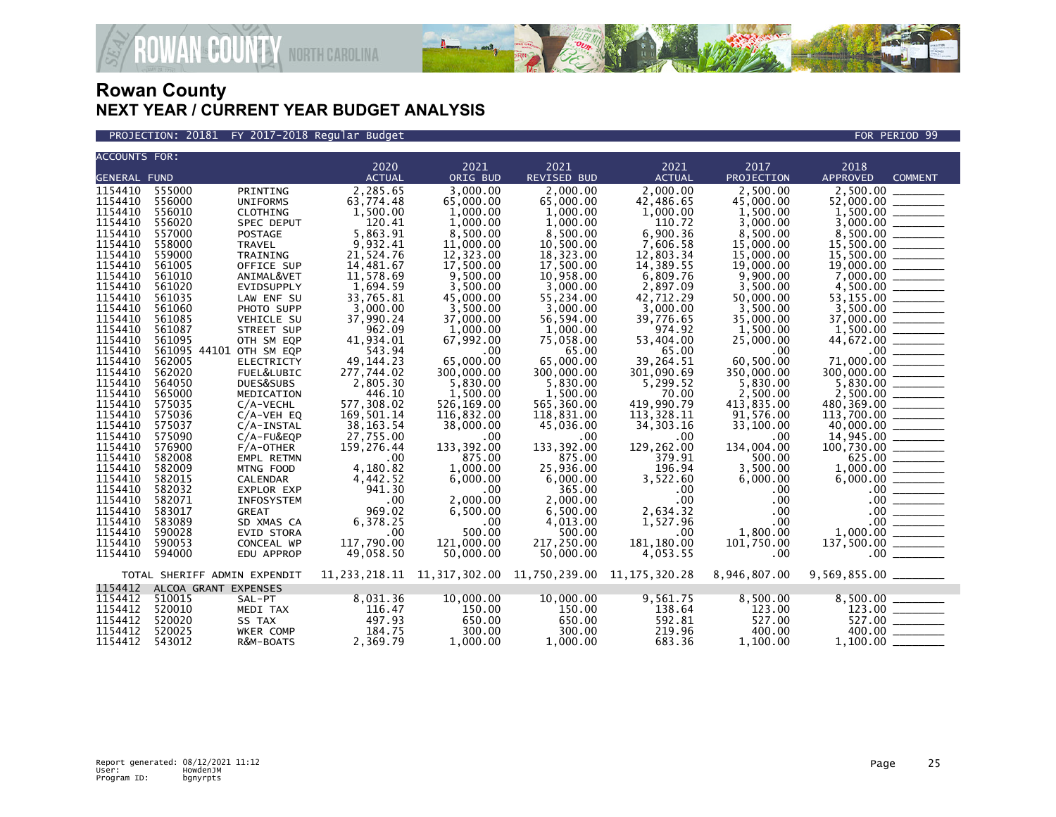

**AN<sup>&</sup>COUNTY** NORTH CAROLINA

| <b>ACCOUNTS FOR:</b> |        |                              |               |             |                                                                 |               |              |                                                                                                                                                                                                                                                                                                                                                                                                                                                                                                     |
|----------------------|--------|------------------------------|---------------|-------------|-----------------------------------------------------------------|---------------|--------------|-----------------------------------------------------------------------------------------------------------------------------------------------------------------------------------------------------------------------------------------------------------------------------------------------------------------------------------------------------------------------------------------------------------------------------------------------------------------------------------------------------|
|                      |        |                              | 2020          | 2021        | 2021                                                            | 2021          | 2017         | 2018                                                                                                                                                                                                                                                                                                                                                                                                                                                                                                |
| <b>GENERAL FUND</b>  |        |                              | <b>ACTUAL</b> | ORIG BUD    | REVISED BUD                                                     | <b>ACTUAL</b> | PROJECTION   | <b>APPROVED</b><br><b>COMMENT</b>                                                                                                                                                                                                                                                                                                                                                                                                                                                                   |
| 1154410              | 555000 | PRINTING                     | 2,285.65      | 3.000.00    | 2.000.00                                                        | 2,000.00      | 2.500.00     | 2,500.00                                                                                                                                                                                                                                                                                                                                                                                                                                                                                            |
| 1154410              | 556000 | <b>UNIFORMS</b>              | 63,774.48     | 65,000.00   | 65,000.00                                                       | 42,486.65     | 45,000.00    | 52,000.00                                                                                                                                                                                                                                                                                                                                                                                                                                                                                           |
| 1154410              | 556010 | CLOTHING                     | 1,500.00      | 1,000.00    | 1,000.00                                                        | 1,000.00      | 1,500.00     |                                                                                                                                                                                                                                                                                                                                                                                                                                                                                                     |
| 1154410              | 556020 | SPEC DEPUT                   | 120.41        | 1,000.00    | 1,000.00                                                        | 110.72        | 3,000.00     |                                                                                                                                                                                                                                                                                                                                                                                                                                                                                                     |
| 1154410              | 557000 | <b>POSTAGE</b>               | 5,863.91      | 8,500.00    | 8,500.00                                                        | 6,900.36      | 8,500.00     | 8,500.00                                                                                                                                                                                                                                                                                                                                                                                                                                                                                            |
| 1154410              | 558000 | <b>TRAVEL</b>                | 9,932.41      | 11,000.00   | 10.500.00                                                       | 7.606.58      | 15,000,00    |                                                                                                                                                                                                                                                                                                                                                                                                                                                                                                     |
| 1154410              | 559000 | TRAINING                     | 21,524.76     | 12,323.00   | 18,323.00                                                       | 12,803.34     | 15,000.00    | 15,500.00                                                                                                                                                                                                                                                                                                                                                                                                                                                                                           |
| 1154410              | 561005 | OFFICE SUP                   | 14,481.67     | 17,500.00   | 17.500.00                                                       | 14,389.55     | 19,000,00    |                                                                                                                                                                                                                                                                                                                                                                                                                                                                                                     |
| 1154410              | 561010 | ANIMAL&VET                   | 11,578.69     | 9.500.00    | 10,958.00                                                       | 6,809.76      | 9.900.00     |                                                                                                                                                                                                                                                                                                                                                                                                                                                                                                     |
| 1154410              | 561020 | EVIDSUPPLY                   | 1,694.59      | 3,500.00    | 3,000.00                                                        | 2,897.09      | 3,500.00     |                                                                                                                                                                                                                                                                                                                                                                                                                                                                                                     |
| 1154410              | 561035 | LAW ENF SU                   | 33,765.81     | 45,000.00   | 55,234.00                                                       | 42,712.29     | 50,000.00    | 53,155.00<br>$\begin{array}{cccccccccc} \multicolumn{2}{c}{} & \multicolumn{2}{c}{} & \multicolumn{2}{c}{} & \multicolumn{2}{c}{} & \multicolumn{2}{c}{} & \multicolumn{2}{c}{} & \multicolumn{2}{c}{} & \multicolumn{2}{c}{} & \multicolumn{2}{c}{} & \multicolumn{2}{c}{} & \multicolumn{2}{c}{} & \multicolumn{2}{c}{} & \multicolumn{2}{c}{} & \multicolumn{2}{c}{} & \multicolumn{2}{c}{} & \multicolumn{2}{c}{} & \multicolumn{2}{c}{} & \multicolumn{2}{c}{} & \multicolumn{2}{c}{} & \mult$ |
| 1154410              | 561060 | PHOTO SUPP                   | 3,000.00      | 3,500.00    | 3,000.00                                                        | 3,000.00      | 3,500.00     |                                                                                                                                                                                                                                                                                                                                                                                                                                                                                                     |
| 1154410              | 561085 | VEHICLE SU                   | 37,990.24     | 37,000.00   | 56,594.00                                                       | 39,776.65     | 35,000.00    | 37,000.00 ________                                                                                                                                                                                                                                                                                                                                                                                                                                                                                  |
| 1154410              | 561087 | STREET SUP                   | 962.09        | 1,000.00    | 1,000.00                                                        | 974.92        | 1,500.00     |                                                                                                                                                                                                                                                                                                                                                                                                                                                                                                     |
| 1154410              | 561095 | OTH SM EQP                   | 41,934.01     | 67,992.00   | 75,058.00                                                       | 53,404.00     | 25,000.00    | 44,672.00 _______                                                                                                                                                                                                                                                                                                                                                                                                                                                                                   |
| 1154410              |        | 561095 44101 OTH SM EQP      | 543.94        | .00         | 65.00                                                           | 65.00         | .00          |                                                                                                                                                                                                                                                                                                                                                                                                                                                                                                     |
| 1154410              | 562005 | <b>ELECTRICTY</b>            | 49, 144, 23   | 65,000,00   | 65.000.00                                                       | 39,264.51     | 60.500.00    | 71,000,00                                                                                                                                                                                                                                                                                                                                                                                                                                                                                           |
| 1154410              | 562020 | FUEL&LUBIC                   | 277.744.02    | 300,000,00  | 300,000,00                                                      | 301.090.69    | 350,000.00   |                                                                                                                                                                                                                                                                                                                                                                                                                                                                                                     |
| 1154410              | 564050 | DUES&SUBS                    | 2,805.30      | 5,830.00    | 5,830.00                                                        | 5.299.52      | 5,830.00     |                                                                                                                                                                                                                                                                                                                                                                                                                                                                                                     |
| 1154410              | 565000 | MEDICATION                   | 446.10        | 1,500.00    | 1,500.00                                                        | 70.00         | 2,500.00     |                                                                                                                                                                                                                                                                                                                                                                                                                                                                                                     |
| 1154410              | 575035 | $C/A-VECHL$                  | 577.308.02    | 526,169.00  | 565,360.00                                                      | 419.990.79    | 413,835.00   |                                                                                                                                                                                                                                                                                                                                                                                                                                                                                                     |
| 1154410              | 575036 | $C/A-VEH$ EQ                 | 169,501.14    | 116,832.00  | 118,831.00                                                      | 113,328.11    | 91,576.00    | $113,700.00$ ________                                                                                                                                                                                                                                                                                                                                                                                                                                                                               |
| 1154410              | 575037 | $C/A$ -INSTAL                | 38, 163. 54   | 38,000.00   | 45,036.00                                                       | 34, 303. 16   | 33,100.00    |                                                                                                                                                                                                                                                                                                                                                                                                                                                                                                     |
| 1154410              | 575090 | C/A-FU&EQP                   | 27,755.00     | .00.        | .00.                                                            | .00           | .00          |                                                                                                                                                                                                                                                                                                                                                                                                                                                                                                     |
| 1154410              | 576900 | $F/A$ -OTHER                 | 159,276.44    | 133, 392.00 | 133,392.00                                                      | 129,262.00    | 134,004.00   |                                                                                                                                                                                                                                                                                                                                                                                                                                                                                                     |
| 1154410              | 582008 | EMPL RETMN                   | .00           | 875.00      | 875.00                                                          | 379.91        | 500.00       | 625.00                                                                                                                                                                                                                                                                                                                                                                                                                                                                                              |
| 1154410              | 582009 | MTNG FOOD                    | 4,180.82      | 1,000.00    | 25,936.00                                                       | 196.94        | 3,500.00     | 1,000.00                                                                                                                                                                                                                                                                                                                                                                                                                                                                                            |
| 1154410              | 582015 | CALENDAR                     | 4,442.52      | 6,000.00    | 6,000.00                                                        | 3,522.60      | 6,000.00     | 6,000.00                                                                                                                                                                                                                                                                                                                                                                                                                                                                                            |
| 1154410              | 582032 | EXPLOR EXP                   | 941.30        | .00         | 365.00                                                          | .00           | .00          | $.00 \,$                                                                                                                                                                                                                                                                                                                                                                                                                                                                                            |
| 1154410              | 582071 | INFOSYSTEM                   | .00           | 2.000.00    | 2.000.00                                                        | .00           | .00          |                                                                                                                                                                                                                                                                                                                                                                                                                                                                                                     |
| 1154410              | 583017 | <b>GREAT</b>                 | 969.02        | 6,500.00    | 6,500.00                                                        | 2,634.32      | .00          |                                                                                                                                                                                                                                                                                                                                                                                                                                                                                                     |
| 1154410              | 583089 | SD XMAS CA                   | 6.378.25      | .00         | 4,013.00                                                        | 1,527.96      | .00          | $.00 \,$                                                                                                                                                                                                                                                                                                                                                                                                                                                                                            |
| 1154410              | 590028 | <b>EVID STORA</b>            | .00           | 500.00      | 500.00                                                          | $.00 \,$      | 1,800.00     | 1.000.00                                                                                                                                                                                                                                                                                                                                                                                                                                                                                            |
| 1154410              | 590053 | CONCEAL WP                   | 117,790.00    | 121,000.00  | 217,250.00                                                      | 181, 180.00   | 101,750.00   | 137,500.00 ______                                                                                                                                                                                                                                                                                                                                                                                                                                                                                   |
| 1154410              | 594000 | EDU APPROP                   | 49,058.50     | 50,000.00   | 50,000.00                                                       | 4,053.55      | .00          | .00                                                                                                                                                                                                                                                                                                                                                                                                                                                                                                 |
|                      |        |                              |               |             |                                                                 |               |              |                                                                                                                                                                                                                                                                                                                                                                                                                                                                                                     |
|                      |        | TOTAL SHERIFF ADMIN EXPENDIT |               |             | 11, 233, 218.11 11, 317, 302.00 11, 750, 239.00 11, 175, 320.28 |               | 8,946,807.00 |                                                                                                                                                                                                                                                                                                                                                                                                                                                                                                     |
| 1154412              |        | ALCOA GRANT EXPENSES         |               |             |                                                                 |               |              |                                                                                                                                                                                                                                                                                                                                                                                                                                                                                                     |
| 1154412              | 510015 | SAL-PT                       | 8,031.36      | 10,000.00   | 10,000.00                                                       | 9,561.75      | 8,500.00     | 8,500.00                                                                                                                                                                                                                                                                                                                                                                                                                                                                                            |
| 1154412              | 520010 | MEDI TAX                     | 116.47        | 150.00      | 150.00                                                          | 138.64        | 123.00       |                                                                                                                                                                                                                                                                                                                                                                                                                                                                                                     |
| 1154412              | 520020 | SS TAX                       | 497.93        | 650.00      | 650.00                                                          | 592.81        | 527.00       |                                                                                                                                                                                                                                                                                                                                                                                                                                                                                                     |
| 1154412              | 520025 | <b>WKER COMP</b>             | 184.75        | 300.00      | 300.00                                                          | 219.96        | 400.00       | 400.00                                                                                                                                                                                                                                                                                                                                                                                                                                                                                              |
| 1154412              | 543012 | R&M-BOATS                    | 2,369.79      | 1,000.00    | 1,000.00                                                        | 683.36        | 1,100.00     | 1,100.00                                                                                                                                                                                                                                                                                                                                                                                                                                                                                            |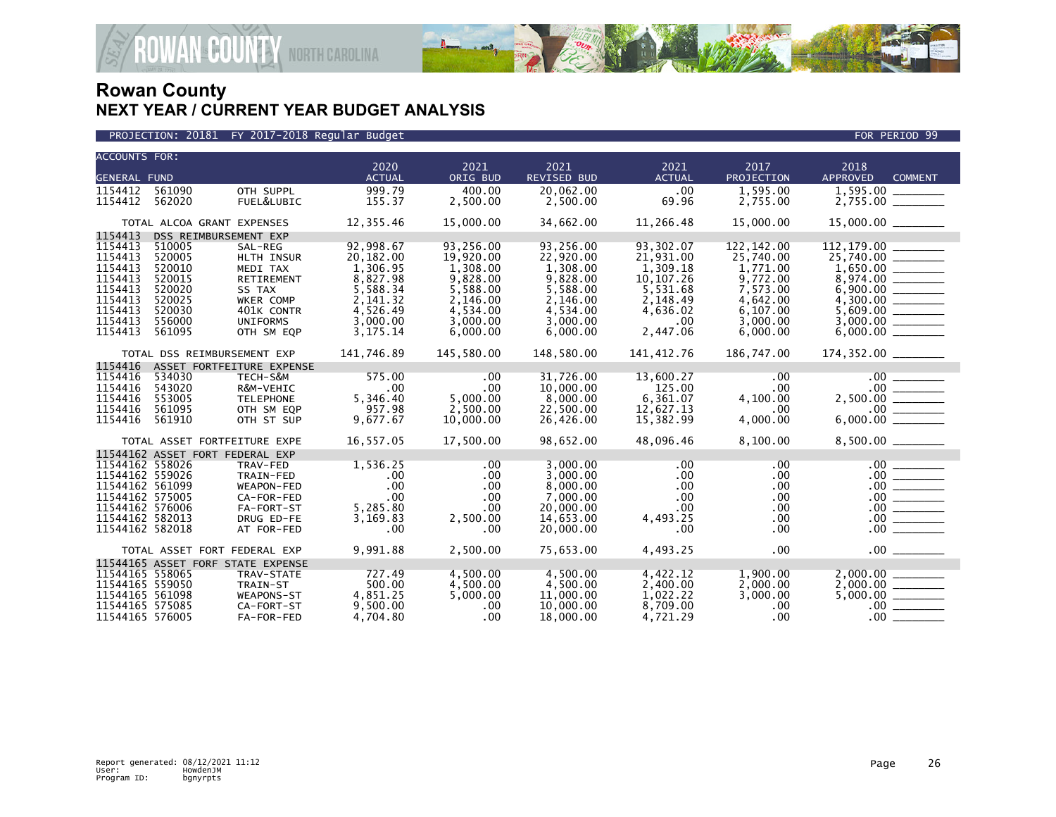

| <b>ACCOUNTS FOR:</b> |        |                                   |               |            |                    |               |            |                                       |
|----------------------|--------|-----------------------------------|---------------|------------|--------------------|---------------|------------|---------------------------------------|
|                      |        |                                   | 2020          | 2021       | 2021               | 2021          | 2017       | 2018                                  |
| <b>GENERAL FUND</b>  |        |                                   | <b>ACTUAL</b> | ORIG BUD   | <b>REVISED BUD</b> | <b>ACTUAL</b> | PROJECTION | <b>APPROVED</b><br><b>COMMENT</b>     |
| 1154412              | 561090 | OTH SUPPL                         | 999.79        | 400.00     | 20,062.00          | .00           | 1,595.00   | 1,595.00                              |
| 1154412              | 562020 | FUEL&LUBIC                        | 155.37        | 2,500.00   | 2,500.00           | 69.96         | 2,755.00   | $2,755.00$ $\overline{\phantom{277}}$ |
|                      |        | TOTAL ALCOA GRANT EXPENSES        | 12,355.46     | 15,000.00  | 34,662.00          | 11,266.48     | 15,000.00  |                                       |
| 1154413              |        | DSS REIMBURSEMENT EXP             |               |            |                    |               |            |                                       |
| 1154413              | 510005 | SAL-REG                           | 92,998.67     | 93.256.00  | 93.256.00          | 93.302.07     | 122.142.00 | 112,179.00                            |
| 1154413              | 520005 | <b>HLTH INSUR</b>                 | 20,182.00     | 19,920.00  | 22.920.00          | 21.931.00     | 25,740.00  | 25.740.00                             |
| 1154413              | 520010 | MEDI TAX                          | 1,306.95      | 1,308.00   | 1,308.00           | 1,309.18      | 1,771.00   |                                       |
| 1154413              | 520015 | <b>RETIREMENT</b>                 | 8,827.98      | 9,828.00   | 9,828.00           | 10, 107. 26   | 9,772.00   |                                       |
| 1154413              | 520020 | SS TAX                            | 5,588.34      | 5,588.00   | 5,588.00           | 5,531.68      | 7,573.00   |                                       |
| 1154413              | 520025 | WKER COMP                         | 2,141.32      | 2,146.00   | 2,146.00           | 2,148.49      | 4,642.00   |                                       |
| 1154413              | 520030 | 401K CONTR                        | 4.526.49      | 4.534.00   | 4.534.00           | 4,636.02      | 6.107.00   | 5.609.00                              |
| 1154413              | 556000 | <b>UNIFORMS</b>                   | 3,000.00      | 3.000.00   | 3.000.00           | .00           | 3.000.00   |                                       |
| 1154413              | 561095 | OTH SM EOP                        | 3, 175. 14    | 6,000.00   | 6,000.00           | 2,447.06      | 6,000.00   |                                       |
|                      |        | TOTAL DSS REIMBURSEMENT EXP       | 141,746.89    | 145,580.00 | 148,580.00         | 141,412.76    | 186,747.00 |                                       |
| 1154416              |        | ASSET FORTFEITURE EXPENSE         |               |            |                    |               |            |                                       |
| 1154416              | 534030 | TECH-S&M                          | 575.00        | .00        | 31,726.00          | 13,600.27     | .00        |                                       |
| 1154416              | 543020 | R&M-VEHIC                         | .00           | .00        | 10,000.00          | 125.00        | .00        |                                       |
| 1154416              | 553005 | <b>TELEPHONE</b>                  | 5,346.40      | 5,000.00   | 8,000.00           | 6,361.07      | 4,100.00   |                                       |
| 1154416              | 561095 | OTH SM EQP                        | 957.98        | 2,500.00   | 22,500.00          | 12,627.13     | .00        |                                       |
| 1154416              | 561910 | OTH ST SUP                        | 9,677.67      | 10,000.00  | 26,426.00          | 15,382.99     | 4,000.00   |                                       |
|                      |        | TOTAL ASSET FORTFEITURE EXPE      | 16,557.05     | 17.500.00  | 98,652.00          | 48,096.46     | 8,100.00   | 8.500.00                              |
|                      |        | 11544162 ASSET FORT FEDERAL EXP   |               |            |                    |               |            |                                       |
| 11544162 558026      |        | TRAV-FED                          | 1,536.25      | .00        | 3.000.00           | .00           | .00        | .00                                   |
| 11544162 559026      |        | TRAIN-FED                         | $.00 \,$      | $.00 \,$   | 3,000.00           | $.00 \,$      | .00        |                                       |
| 11544162 561099      |        | <b>WEAPON-FED</b>                 | .00           | .00        | 8,000,00           | .00           | .00        | $.00$ $\qquad$                        |
| 11544162 575005      |        | CA-FOR-FED                        | .00           | .00        | 7,000.00           | .00           | .00        |                                       |
| 11544162 576006      |        | FA-FORT-ST                        | 5,285.80      | .00        | 20,000.00          | .00           | .00        |                                       |
| 11544162 582013      |        | DRUG ED-FE                        | 3,169.83      | 2.500.00   | 14,653.00          | 4,493.25      | .00        | .00                                   |
| 11544162 582018      |        | AT FOR-FED                        | .00           | .00        | 20,000.00          | .00           | .00        | $.00$ $\qquad$                        |
|                      |        | TOTAL ASSET FORT FEDERAL EXP      | 9,991.88      | 2.500.00   | 75.653.00          | 4,493.25      | .00        | 00                                    |
|                      |        | 11544165 ASSET FORF STATE EXPENSE |               |            |                    |               |            |                                       |
| 11544165 558065      |        | TRAV-STATE                        | 727.49        | 4,500.00   | 4,500.00           | 4,422.12      | 1,900.00   | 2.000.00                              |
| 11544165 559050      |        | TRAIN-ST                          | 500.00        | 4,500.00   | 4,500.00           | 2,400.00      | 2,000.00   |                                       |
| 11544165 561098      |        | WEAPONS-ST                        | 4,851.25      | 5,000.00   | 11,000.00          | 1,022.22      | 3,000.00   |                                       |
| 11544165 575085      |        | CA-FORT-ST                        | 9,500.00      | .00        | 10,000.00          | 8,709.00      | .00        |                                       |
| 11544165 576005      |        | FA-FOR-FED                        | 4.704.80      | .00        | 18,000,00          | 4.721.29      | .00        | $.00 \,$                              |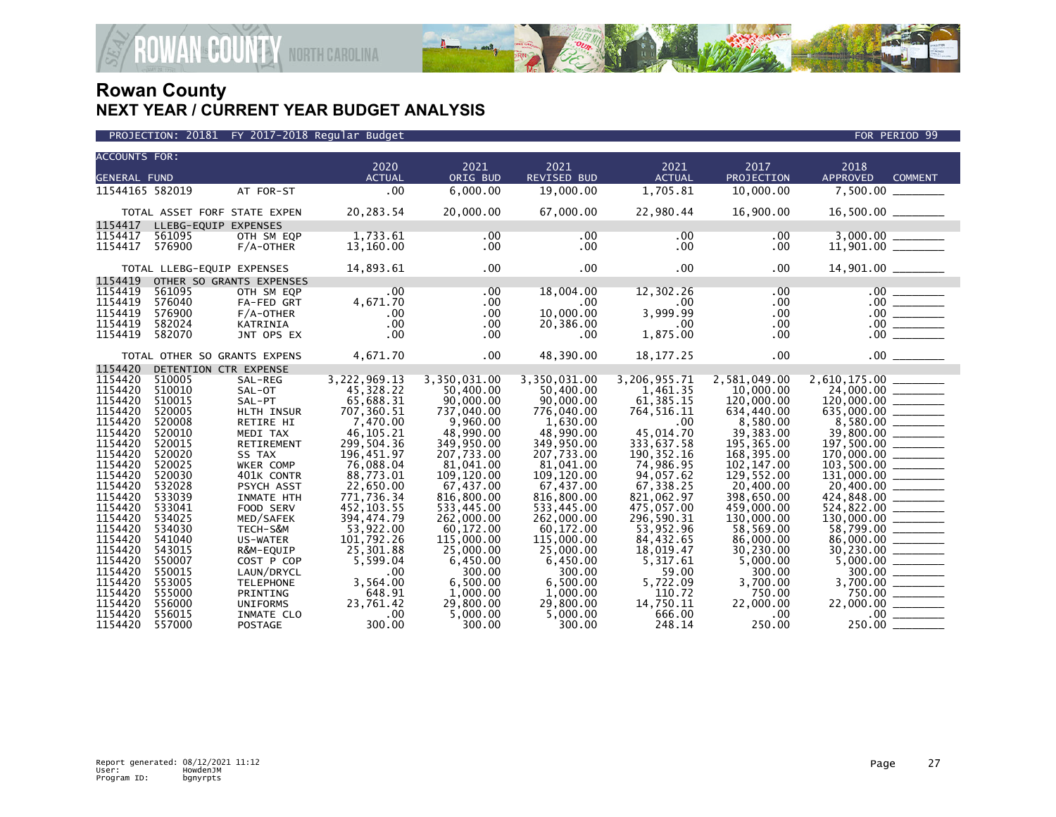

|                      |                            |                              | PROJECTION: 20181 FY 2017-2018 Regular Budget |                         |                         |                         |                         | FOR PERIOD 99                                                                                                                                                                                                                                                           |
|----------------------|----------------------------|------------------------------|-----------------------------------------------|-------------------------|-------------------------|-------------------------|-------------------------|-------------------------------------------------------------------------------------------------------------------------------------------------------------------------------------------------------------------------------------------------------------------------|
| <b>ACCOUNTS FOR:</b> |                            |                              |                                               |                         |                         |                         |                         |                                                                                                                                                                                                                                                                         |
|                      |                            |                              | 2020                                          | 2021                    | 2021                    | 2021                    | 2017                    | 2018                                                                                                                                                                                                                                                                    |
| <b>GENERAL FUND</b>  |                            |                              | <b>ACTUAL</b>                                 | ORIG BUD                | <b>REVISED BUD</b>      | <b>ACTUAL</b>           | PROJECTION              | <b>APPROVED</b><br><b>COMMENT</b>                                                                                                                                                                                                                                       |
| 11544165 582019      |                            | AT FOR-ST                    | .00                                           | 6,000.00                | 19,000.00               | 1,705.81                | 10,000.00               | 7,500.00                                                                                                                                                                                                                                                                |
|                      |                            | TOTAL ASSET FORF STATE EXPEN | 20,283.54                                     | 20,000.00               | 67,000.00               | 22,980.44               | 16,900.00               | $16,500.00$ ________                                                                                                                                                                                                                                                    |
| 1154417              | LLEBG-EQUIP EXPENSES       |                              |                                               |                         |                         |                         |                         |                                                                                                                                                                                                                                                                         |
| 1154417              | 561095                     | OTH SM EQP                   | 1,733.61                                      | .00                     | .00                     | .00                     | .00                     |                                                                                                                                                                                                                                                                         |
| 1154417              | 576900                     | F/A-OTHER                    | 13,160.00                                     | $.00 \,$                | $.00 \times$            | $.00 \,$                | .00.                    |                                                                                                                                                                                                                                                                         |
|                      | TOTAL LLEBG-EQUIP EXPENSES |                              | 14,893.61                                     | $.00 \,$                | $.00 \,$                | $.00 \,$                | .00                     | 14,901.00 _______                                                                                                                                                                                                                                                       |
| 1154419              |                            | OTHER SO GRANTS EXPENSES     |                                               |                         |                         |                         |                         |                                                                                                                                                                                                                                                                         |
| 1154419              | 561095                     | OTH SM EOP                   | $.00 \times$                                  | $.00 \,$                | 18,004.00               | 12,302.26               | .00                     | $\begin{array}{c c} 00 & \overline{\hspace{1cm}} \\ \hline 00 & \overline{\hspace{1cm}} \\ 00 & \overline{\hspace{1cm}} \\ 00 & \overline{\hspace{1cm}} \\ 00 & \overline{\hspace{1cm}} \\ 00 & \overline{\hspace{1cm}} \\ 00 & \overline{\hspace{1cm}} \\ \end{array}$ |
| 1154419              | 576040                     | FA-FED GRT                   | 4,671.70                                      | $.00 \,$                | .00                     | $.00 \,$                | .00                     |                                                                                                                                                                                                                                                                         |
| 1154419              | 576900                     | $F/A$ -OTHER                 | .00                                           | .00                     | 10,000.00               | 3,999.99                | .00                     |                                                                                                                                                                                                                                                                         |
| 1154419              | 582024                     | KATRINIA                     | .00                                           | .00                     | 20,386.00               | .00                     | .00                     |                                                                                                                                                                                                                                                                         |
| 1154419              | 582070                     | JNT OPS EX                   | .00                                           | .00                     | .00                     | 1,875.00                | .00.                    |                                                                                                                                                                                                                                                                         |
|                      |                            | TOTAL OTHER SO GRANTS EXPENS | 4,671.70                                      | $.00 \,$                | 48,390.00               | 18, 177. 25             | .00                     | .00                                                                                                                                                                                                                                                                     |
| 1154420              | DETENTION CTR EXPENSE      |                              |                                               |                         |                         |                         |                         |                                                                                                                                                                                                                                                                         |
| 1154420              | 510005                     | SAL-REG                      | 3,222,969.13                                  | 3,350,031.00            | 3,350,031.00            | 3,206,955.71            | 2,581,049.00            |                                                                                                                                                                                                                                                                         |
| 1154420              | 510010                     | SAL-OT                       | 45,328.22                                     | 50,400.00               | 50,400.00               | 1,461.35                | 10,000,00               | $\begin{array}{ c c } \hline 24,000.00 & \text{---} \ \hline 120,000.00 & \text{---} \ \hline 635,000.00 & \text{---} \ \hline 8,580.00 & \text{---} \ \hline \end{array}$                                                                                              |
| 1154420              | 510015                     | SAL-PT                       | 65,688.31                                     | 90,000.00               | 90,000.00               | 61,385.15               | 120,000.00              |                                                                                                                                                                                                                                                                         |
| 1154420              | 520005                     | HLTH INSUR                   | 707,360.51                                    | 737,040.00              | 776,040.00              | 764,516.11              | 634,440.00              |                                                                                                                                                                                                                                                                         |
| 1154420              | 520008                     | <b>RETIRE HI</b>             | 7.470.00                                      | 9.960.00                | 1.630.00                | .00                     | 8.580.00                |                                                                                                                                                                                                                                                                         |
| 1154420<br>1154420   | 520010<br>520015           | MEDI TAX<br>RETIREMENT       | 46,105.21<br>299,504.36                       | 48,990.00<br>349,950.00 | 48,990.00<br>349,950.00 | 45,014.70<br>333,637.58 | 39,383.00<br>195,365.00 | 39,800.00 ______                                                                                                                                                                                                                                                        |
| 1154420              | 520020                     | SS TAX                       | 196,451.97                                    | 207,733.00              | 207,733.00              | 190, 352.16             | 168,395.00              | $197,500.00$<br>170,000.00                                                                                                                                                                                                                                              |
| 1154420              | 520025                     | WKER COMP                    | 76,088.04                                     | 81,041.00               | 81,041.00               | 74,986.95               | 102, 147.00             |                                                                                                                                                                                                                                                                         |
| 1154420              | 520030                     | 401K CONTR                   | 88,773.01                                     | 109,120.00              | 109,120.00              | 94,057.62               | 129,552.00              | $\overline{103,500.00}$                                                                                                                                                                                                                                                 |
| 1154420              | 532028                     | PSYCH ASST                   | 22,650.00                                     | 67,437.00               | 67,437.00               | 67,338.25               | 20,400.00               | 20,400.00 _______                                                                                                                                                                                                                                                       |
| 1154420              | 533039                     | <b>INMATE HTH</b>            | 771,736.34                                    | 816,800.00              | 816,800.00              | 821,062.97              | 398.650.00              |                                                                                                                                                                                                                                                                         |
| 1154420              | 533041                     | FOOD SERV                    | 452, 103.55                                   | 533,445.00              | 533,445.00              | 475,057.00              | 459,000.00              |                                                                                                                                                                                                                                                                         |
| 1154420              | 534025                     | MED/SAFEK                    | 394,474.79                                    | 262,000.00              | 262,000.00              | 296,590.31              | 130,000.00              |                                                                                                                                                                                                                                                                         |
| 1154420              | 534030                     | TECH-S&M                     | 53,922.00                                     | 60,172.00               | 60,172.00               | 53,952.96               | 58,569.00               | $130,000.00$<br>58,799.00                                                                                                                                                                                                                                               |
| 1154420              | 541040                     | US-WATER                     | 101,792.26                                    | 115,000.00              | 115,000.00              | 84,432.65               | 86,000.00               |                                                                                                                                                                                                                                                                         |
| 1154420              | 543015                     | R&M-EQUIP                    | 25,301.88                                     | 25,000.00               | 25,000,00               | 18,019.47               | 30.230.00               |                                                                                                                                                                                                                                                                         |
| 1154420              | 550007                     | COST P COP                   | 5,599.04                                      | 6,450.00                | 6,450.00                | 5,317.61                | 5,000.00                |                                                                                                                                                                                                                                                                         |
| 1154420              | 550015                     | LAUN/DRYCL                   | .00                                           | 300.00                  | 300.00                  | 59.00                   | 300.00                  |                                                                                                                                                                                                                                                                         |
| 1154420              | 553005                     | <b>TELEPHONE</b>             | 3,564.00                                      | 6,500.00                | 6,500.00                | 5,722.09                | 3,700.00                | $\begin{array}{r} 30,230.00 \ \hline 5,000.00 \ \hline 300.00 \ \hline \end{array}$                                                                                                                                                                                     |
| 1154420              | 555000                     | PRINTING                     | 648.91                                        | 1,000.00                | 1,000.00                | 110.72                  | 750.00                  | $750.00$ $\overline{\phantom{256657}}$                                                                                                                                                                                                                                  |
| 1154420              | 556000                     | <b>UNIFORMS</b>              | 23,761.42                                     | 29,800.00               | 29,800.00               | 14,750.11               | 22,000.00               | 22,000.00 ______                                                                                                                                                                                                                                                        |
| 1154420              | 556015                     | INMATE CLO                   | .00                                           | 5,000.00                | 5.000.00                | 666.00                  | .00.                    | $\frac{.00}{.00}$                                                                                                                                                                                                                                                       |
| 1154420              | 557000                     | <b>POSTAGE</b>               | 300.00                                        | 300.00                  | 300.00                  | 248.14                  | 250.00                  | 250.00                                                                                                                                                                                                                                                                  |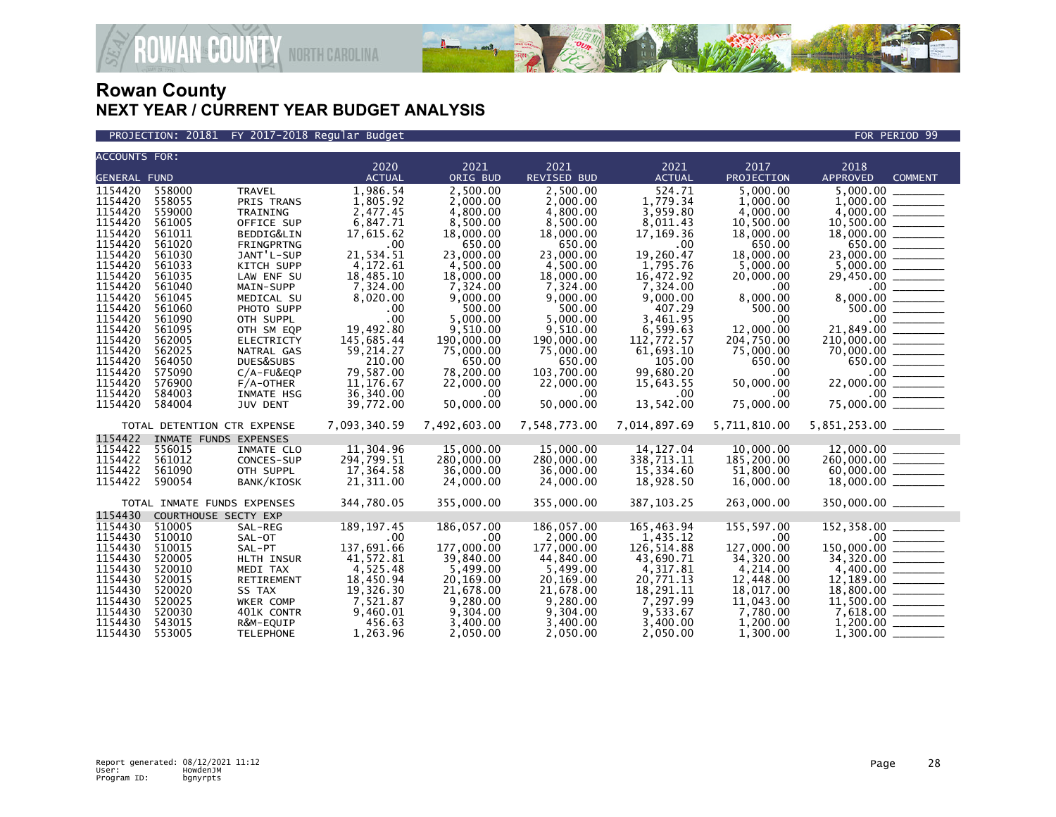

PROJECTION: 20181 FY 2017-2018 Regular Budget FOR PERIOD 99

| <b>ACCOUNTS FOR:</b> |                  |                             |                        |                      |                      |                       |                       |                                  |                                                         |
|----------------------|------------------|-----------------------------|------------------------|----------------------|----------------------|-----------------------|-----------------------|----------------------------------|---------------------------------------------------------|
|                      |                  |                             | 2020<br><b>ACTUAL</b>  | 2021<br>ORIG BUD     | 2021                 | 2021<br><b>ACTUAL</b> | 2017                  | 2018                             | <b>COMMENT</b>                                          |
| <b>GENERAL FUND</b>  |                  |                             |                        |                      | <b>REVISED BUD</b>   |                       | PROJECTION            | APPROVED                         |                                                         |
| 1154420              | 558000           | <b>TRAVEL</b>               | 1,986.54               | 2,500.00             | 2,500.00             | 524.71                | 5,000.00              | 5,000.00                         |                                                         |
| 1154420              | 558055           | PRIS TRANS                  | 1,805.92               | 2.000.00             | 2,000.00             | 1,779.34              | 1.000.00              |                                  |                                                         |
| 1154420<br>1154420   | 559000<br>561005 | TRAINING<br>OFFICE SUP      | 2,477.45<br>6,847.71   | 4,800.00<br>8,500.00 | 4,800.00<br>8,500.00 | 3,959.80<br>8,011.43  | 4,000.00<br>10,500.00 | 4,000.00                         |                                                         |
| 1154420              | 561011           | BEDDIG&LIN                  | 17,615.62              | 18,000.00            | 18,000.00            | 17,169.36             | 18,000.00             |                                  |                                                         |
| 1154420              | 561020           | FRINGPRTNG                  | .00                    | 650.00               | 650.00               | .00                   | 650.00                |                                  | 650.00 _______                                          |
| 1154420              | 561030           | JANT'L-SUP                  | 21,534.51              | 23,000.00            | 23,000.00            | 19,260.47             | 18,000.00             | 23,000.00 _______                |                                                         |
| 1154420              | 561033           | <b>KITCH SUPP</b>           | 4,172.61               | 4,500.00             | 4,500.00             | 1.795.76              | 5,000.00              |                                  |                                                         |
| 1154420              | 561035           | LAW ENF SU                  | 18,485.10              | 18,000.00            | 18,000.00            | 16,472.92             | 20,000.00             | 29,450.00 _______                |                                                         |
| 1154420              | 561040           | MAIN-SUPP                   | 7,324.00               | 7,324.00             | 7,324.00             | 7,324.00              | .00                   |                                  |                                                         |
| 1154420              | 561045           | MEDICAL SU                  | 8,020.00               | 9,000.00             | 9,000.00             | 9,000.00              | 8,000.00              |                                  |                                                         |
| 1154420              | 561060           | PHOTO SUPP                  | .00                    | 500.00               | 500.00               | 407.29                | 500.00                |                                  | 500.00 ______                                           |
| 1154420              | 561090           | OTH SUPPL                   | .00                    | 5,000.00             | 5,000.00             | 3.461.95              | .00                   | $\frac{1}{21,849.00}$            |                                                         |
| 1154420              | 561095           | OTH SM EQP                  | 19,492.80              | 9.510.00             | 9.510.00             | 6,599.63              | 12,000.00             |                                  |                                                         |
| 1154420              | 562005           | <b>ELECTRICTY</b>           | 145,685.44             | 190,000.00           | 190,000.00           | 112,772.57            | 204,750.00            | $210,000.00$ _________           |                                                         |
| 1154420              | 562025           | NATRAL GAS                  | 59,214.27              | 75,000.00            | 75,000.00            | 61,693.10             | 75,000.00             |                                  |                                                         |
| 1154420              | 564050           | DUES&SUBS                   | 210.00                 | 650.00               | 650.00               | 105.00                | 650.00                |                                  | 650.00 _______                                          |
| 1154420              | 575090           | C/A-FU&EQP                  | 79,587.00              | 78,200.00            | 103,700.00           | 99,680.20             | .00                   |                                  |                                                         |
| 1154420              | 576900           | $F/A$ -OTHER                | 11, 176.67             | 22,000.00            | 22,000.00            | 15,643.55             | 50,000.00             |                                  |                                                         |
| 1154420<br>1154420   | 584003<br>584004 | INMATE HSG                  | 36,340.00<br>39,772.00 | .00<br>50,000.00     | .00<br>50,000.00     | .00<br>13,542.00      | .00<br>75,000.00      | 75,000.00                        | $\begin{array}{c}\n 00 \\  \hline\n 0.00\n \end{array}$ |
|                      |                  | <b>JUV DENT</b>             |                        |                      |                      |                       |                       |                                  |                                                         |
|                      |                  | TOTAL DETENTION CTR EXPENSE | 7,093,340.59           | 7,492,603.00         | 7,548,773.00         | 7,014,897.69          | 5,711,810.00          | 5,851,253.00 ________            |                                                         |
| 1154422              |                  | INMATE FUNDS EXPENSES       |                        |                      |                      |                       |                       |                                  |                                                         |
| 1154422              | 556015           | INMATE CLO                  | 11,304.96              | 15,000.00            | 15,000.00            | 14, 127.04            | 10,000.00             | 12,000.00                        |                                                         |
| 1154422              | 561012           | CONCES-SUP                  | 294,799.51             | 280,000.00           | 280,000.00           | 338,713.11            | 185,200.00            | $260,000.00$ _______             |                                                         |
| 1154422              | 561090           | OTH SUPPL                   | 17,364.58              | 36,000,00            | 36,000,00            | 15,334.60             | 51.800.00             | $60,000.00$ _________            |                                                         |
| 1154422              | 590054           | BANK/KIOSK                  | 21,311.00              | 24,000.00            | 24,000.00            | 18,928.50             | 16,000.00             | $18,000.00$ _______              |                                                         |
|                      |                  | TOTAL INMATE FUNDS EXPENSES | 344,780.05             | 355,000.00           | 355,000.00           | 387, 103.25           | 263,000.00            | 350,000.00 ______                |                                                         |
| 1154430              |                  | COURTHOUSE SECTY EXP        |                        |                      |                      |                       |                       |                                  |                                                         |
| 1154430              | 510005           | SAL-REG                     | 189, 197.45            | 186,057.00           | 186,057.00           | 165,463.94            | 155,597.00            | $152, 358.00$ _________          |                                                         |
| 1154430              | 510010           | SAL-OT                      | .00                    | .00                  | 2,000.00             | 1,435.12              | .00                   |                                  |                                                         |
| 1154430              | 510015           | SAL-PT                      | 137,691.66             | 177,000.00           | 177,000.00           | 126,514.88            | 127,000.00            | 150,000.00 _______               |                                                         |
| 1154430              | 520005           | HLTH INSUR                  | 41,572.81              | 39,840.00            | 44,840.00            | 43,690.71             | 34,320.00             |                                  |                                                         |
| 1154430              | 520010           | MEDI TAX                    | 4,525.48               | 5,499.00             | 5,499.00             | 4,317.81              | 4,214.00              |                                  |                                                         |
| 1154430              | 520015           | RETIREMENT                  | 18,450.94              | 20,169.00            | 20,169.00            | 20,771.13             | 12,448.00             |                                  |                                                         |
| 1154430              | 520020           | SS TAX                      | 19,326.30              | 21,678.00            | 21,678.00            | 18,291.11             | 18,017.00             |                                  |                                                         |
| 1154430              | 520025           | WKER COMP                   | 7,521.87               | 9,280.00             | 9,280.00             | 7,297.99              | 11,043.00             |                                  |                                                         |
| 1154430              | 520030           | 401K CONTR                  | 9,460.01               | 9,304.00             | 9,304.00             | 9,533.67              | 7,780.00              |                                  |                                                         |
| 1154430<br>1154430   | 543015<br>553005 | R&M-EQUIP                   | 456.63<br>1,263.96     | 3,400.00<br>2,050.00 | 3,400.00<br>2,050.00 | 3,400.00<br>2,050.00  | 1,200.00<br>1.300.00  | $1,200.00$ _________<br>1,300.00 |                                                         |
|                      |                  | <b>TELEPHONE</b>            |                        |                      |                      |                       |                       |                                  |                                                         |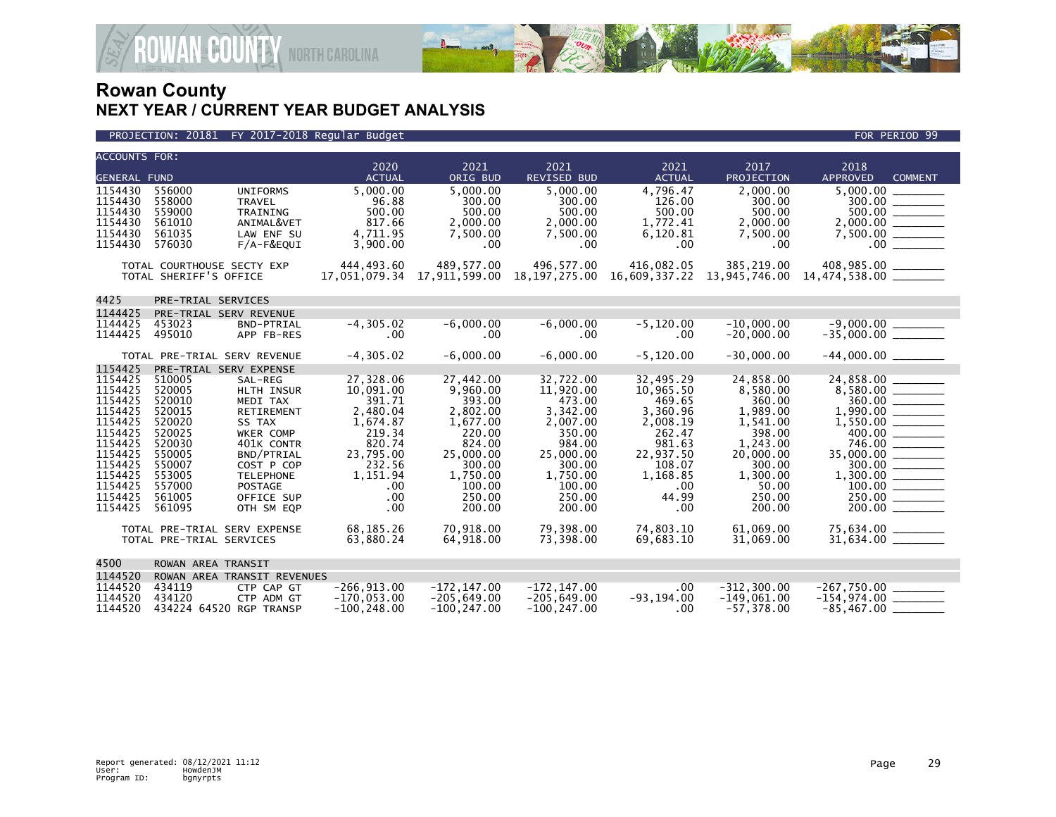

### PROJECTION: 20181 FY 2017-2018 Regular Budget FOR PERIOD 99

| <b>ACCOUNTS FOR:</b> |                          |                                      |                       |                    |                             |                       |                    |                                           |
|----------------------|--------------------------|--------------------------------------|-----------------------|--------------------|-----------------------------|-----------------------|--------------------|-------------------------------------------|
| <b>GENERAL FUND</b>  |                          |                                      | 2020<br><b>ACTUAL</b> | 2021<br>ORIG BUD   | 2021<br>REVISED BUD         | 2021<br><b>ACTUAL</b> | 2017<br>PROJECTION | 2018<br><b>APPROVED</b><br><b>COMMENT</b> |
| 1154430              | 556000                   | <b>UNIFORMS</b>                      | 5.000.00              | 5.000.00           | 5.000.00                    | 4.796.47              | 2.000.00           |                                           |
| 1154430              | 558000                   | <b>TRAVEL</b>                        | 96.88                 | 300.00             | 300.00                      | 126.00                | 300.00             | 300.00                                    |
| 1154430              | 559000                   | TRAINING                             | 500.00                | 500.00             | 500.00                      | 500.00                | 500.00             |                                           |
| 1154430              | 561010                   | ANIMAL&VET                           | 817.66                | 2,000.00           | 2,000.00                    | 1,772.41              | 2,000.00           |                                           |
| 1154430<br>1154430   | 561035<br>576030         | LAW ENF SU<br>$F/A-F\&EQUI$          | 4,711.95<br>3,900.00  | 7,500.00<br>.00    | 7,500.00<br>.00.            | 6,120.81<br>$.00 \,$  | 7,500.00<br>.00.   | $.00$ $\qquad \qquad$                     |
|                      |                          |                                      |                       |                    |                             |                       |                    |                                           |
|                      |                          | TOTAL COURTHOUSE SECTY EXP           | 444,493.60            | 489,577.00         | 496.577.00                  |                       |                    |                                           |
|                      | TOTAL SHERIFF'S OFFICE   |                                      | 17,051,079.34         |                    | 17,911,599.00 18,197,275.00 |                       |                    |                                           |
|                      |                          |                                      |                       |                    |                             |                       |                    |                                           |
| 4425                 | PRE-TRIAL SERVICES       |                                      |                       |                    |                             |                       |                    |                                           |
| 1144425<br>1144425   | 453023                   | PRE-TRIAL SERV REVENUE<br>BND-PTRIAL | $-4, 305.02$          | $-6,000.00$        | $-6,000.00$                 | $-5, 120.00$          | $-10.000.00$       |                                           |
| 1144425              | 495010                   | APP FB-RES                           | .00                   | .00                | .00                         | $.00 \,$              | $-20,000.00$       |                                           |
|                      |                          |                                      |                       |                    |                             |                       |                    |                                           |
|                      |                          | TOTAL PRE-TRIAL SERV REVENUE         | $-4, 305.02$          | $-6,000.00$        | $-6,000.00$                 | $-5, 120.00$          | $-30,000.00$       |                                           |
| 1154425              |                          | PRE-TRIAL SERV EXPENSE               |                       |                    |                             |                       |                    |                                           |
| 1154425              | 510005                   | SAL-REG                              | 27,328.06             | 27,442.00          | 32,722.00                   | 32,495.29             | 24,858.00          | $24,858.00$ _________                     |
| 1154425<br>1154425   | 520005<br>520010         | <b>HLTH INSUR</b><br>MEDI TAX        | 10,091.00<br>391.71   | 9,960.00<br>393.00 | 11,920,00<br>473.00         | 10,965.50<br>469.65   | 8,580.00<br>360.00 |                                           |
| 1154425              | 520015                   | RETIREMENT                           | 2,480.04              | 2,802.00           | 3,342.00                    | 3,360.96              | 1,989.00           |                                           |
| 1154425              | 520020                   | SS TAX                               | 1,674.87              | 1,677.00           | 2,007.00                    | 2,008.19              | 1,541.00           |                                           |
| 1154425              | 520025                   | WKER COMP                            | 219.34                | 220.00             | 350.00                      | 262.47                | 398.00             |                                           |
| 1154425              | 520030                   | 401K CONTR                           | 820.74                | 824.00             | 984.00                      | 981.63                | 1,243.00           |                                           |
| 1154425              | 550005                   | BND/PTRIAL                           | 23,795.00             | 25,000.00          | 25,000.00                   | 22,937.50             | 20,000,00          | 35,000.00 ________                        |
| 1154425<br>1154425   | 550007<br>553005         | COST P COP<br><b>TELEPHONE</b>       | 232.56<br>1,151.94    | 300.00<br>1,750.00 | 300.00<br>1,750.00          | 108.07<br>1,168.85    | 300.00<br>1,300.00 | 300.00                                    |
| 1154425              | 557000                   | <b>POSTAGE</b>                       | .00                   | 100.00             | 100.00                      | $.00 \,$              | 50.00              |                                           |
| 1154425              | 561005                   | OFFICE SUP                           | .00                   | 250.00             | 250.00                      | 44.99                 | 250.00             | 250.00                                    |
| 1154425              | 561095                   | OTH SM EQP                           | .00                   | 200.00             | 200.00                      | $.00 \,$              | 200.00             |                                           |
|                      |                          | TOTAL PRE-TRIAL SERV EXPENSE         | 68,185.26             | 70,918.00          | 79,398.00                   | 74,803.10             | 61,069.00          |                                           |
|                      | TOTAL PRE-TRIAL SERVICES |                                      | 63,880.24             | 64,918.00          | 73,398.00                   | 69,683.10             | 31,069.00          | $31,634.00$ _________                     |
|                      |                          |                                      |                       |                    |                             |                       |                    |                                           |
| 4500                 | ROWAN AREA TRANSIT       |                                      |                       |                    |                             |                       |                    |                                           |
| 1144520              |                          | ROWAN AREA TRANSIT REVENUES          |                       |                    |                             |                       |                    |                                           |
| 1144520              | 434119                   | CTP CAP GT                           | $-266, 913.00$        | $-172, 147.00$     | $-172, 147.00$              | .00.                  | $-312, 300.00$     | $-267,750.00$                             |
| 1144520              | 434120                   | CTP ADM GT                           | $-170,053.00$         | $-205,649.00$      | $-205,649.00$               | $-93, 194.00$         | $-149,061.00$      | $-154,974.00$ ________                    |
| 1144520              |                          | 434224 64520 RGP TRANSP              | $-100, 248.00$        | $-100.247.00$      | $-100.247.00$               | $.00 \,$              | $-57,378.00$       | $-85,467.00$ ______                       |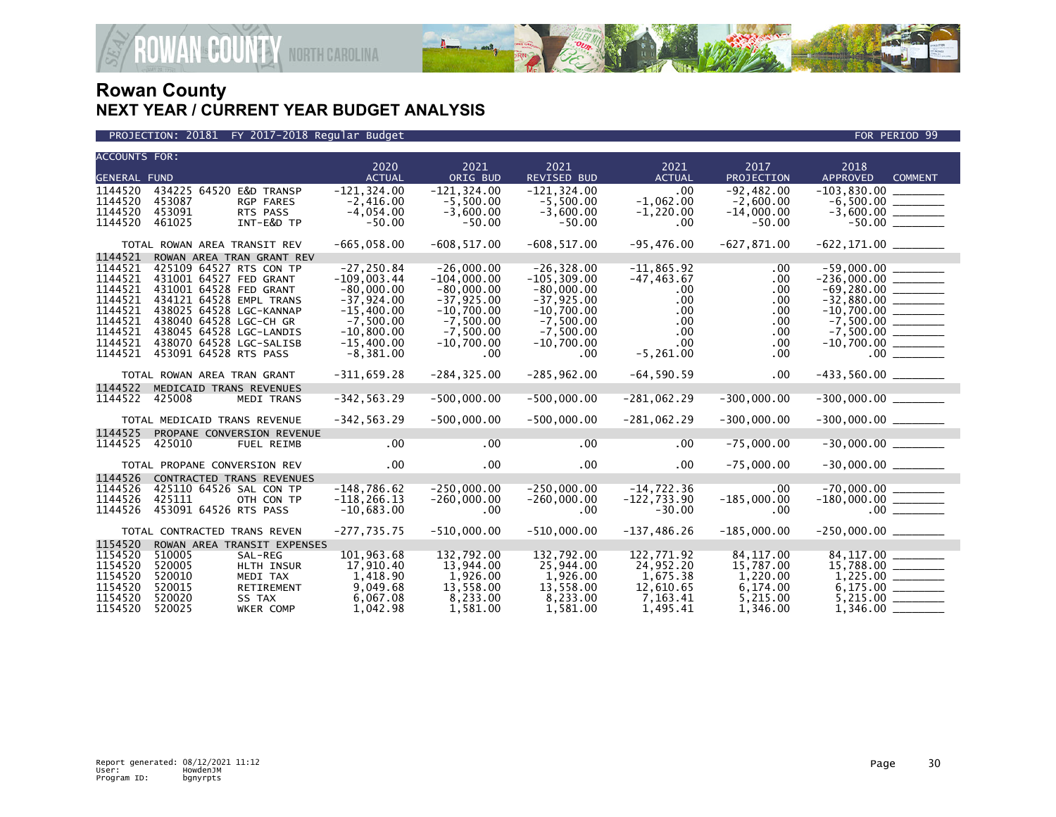

PROJECTION: 20181 FY 2017-2018 Regular Budget FOR PERIOD 99

| <b>ACCOUNTS FOR:</b> |                                                             | 2020                            | 2021                           | 2021                           | 2021                          | 2017                        | 2018                              |
|----------------------|-------------------------------------------------------------|---------------------------------|--------------------------------|--------------------------------|-------------------------------|-----------------------------|-----------------------------------|
| <b>GENERAL FUND</b>  |                                                             | <b>ACTUAL</b>                   | ORIG BUD                       | <b>REVISED BUD</b>             | <b>ACTUAL</b>                 | PROJECTION                  | <b>APPROVED</b><br><b>COMMENT</b> |
| 1144520              | 434225 64520 E&D TRANSP                                     | $-121, 324.00$                  | $-121, 324.00$                 | $-121, 324.00$                 | .00                           | $-92,482.00$                |                                   |
| 1144520<br>1144520   | 453087<br>RGP FARES<br>453091<br>RTS PASS                   | $-2,416.00$<br>$-4,054.00$      | $-5,500.00$<br>$-3,600.00$     | $-5.500.00$<br>$-3,600.00$     | $-1,062.00$<br>$-1,220.00$    | $-2,600.00$<br>$-14,000.00$ |                                   |
| 1144520              | 461025<br>INT-E&D TP                                        | $-50.00$                        | $-50.00$                       | $-50.00$                       | .00                           | $-50.00$                    | $-50.00$                          |
|                      | TOTAL ROWAN AREA TRANSIT REV                                | $-665,058.00$                   | $-608, 517.00$                 | $-608, 517.00$                 | $-95,476.00$                  | $-627,871.00$               |                                   |
| 1144521              | ROWAN AREA TRAN GRANT REV                                   |                                 |                                |                                |                               |                             |                                   |
| 1144521              | 425109 64527 RTS CON TP                                     | $-27, 250.84$                   | $-26,000.00$                   | $-26, 328.00$                  | $-11,865.92$                  | $.00 \,$                    | $-59,000.00$ _______              |
| 1144521              | 431001 64527 FED GRANT                                      | $-109.003.44$                   | $-104,000.00$                  | $-105, 309.00$                 | $-47, 463.67$                 | .00.                        | $-236,000.00$ _________           |
| 1144521<br>1144521   | 431001 64528 FED GRANT<br>434121 64528 EMPL TRANS           | $-80,000.00$<br>$-37,924.00$    | $-80,000.00$<br>$-37,925.00$   | $-80,000.00$<br>$-37,925.00$   | $.00 \,$<br>$.00 \,$          | .00.<br>.00.                |                                   |
| 1144521              | 438025 64528 LGC-KANNAP                                     | $-15,400.00$                    | $-10.700.00$                   | $-10.700.00$                   | $.00 \times$                  | .00.                        |                                   |
| 1144521              | 438040 64528 LGC-CH GR                                      | $-7,500.00$                     | $-7.500.00$                    | $-7.500.00$                    | $.00 \,$                      | .00.                        |                                   |
| 1144521              | 438045 64528 LGC-LANDIS                                     | $-10,800.00$                    | $-7,500.00$                    | $-7,500.00$                    | $.00 \,$                      | .00                         |                                   |
| 1144521<br>1144521   | 438070 64528 LGC-SALISB<br>453091 64528 RTS PASS            | $-15,400.00$<br>$-8,381.00$     | $-10,700.00$<br>$.00 \,$       | $-10,700.00$<br>$.00 \cdot$    | $.00 \,$<br>$-5, 261.00$      | .00.<br>.00.                |                                   |
|                      |                                                             |                                 |                                |                                |                               |                             |                                   |
|                      | TOTAL ROWAN AREA TRAN GRANT                                 | $-311,659.28$                   | $-284, 325.00$                 | $-285,962.00$                  | $-64,590.59$                  | .00                         | $-433,560.00$ ________            |
| 1144522              | MEDICAID TRANS REVENUES                                     |                                 |                                |                                |                               |                             |                                   |
| 1144522              | 425008<br><b>MEDI TRANS</b>                                 | $-342, 563.29$                  | $-500,000.00$                  | $-500,000.00$                  | $-281,062.29$                 | $-300.000.00$               | $-300,000.00$ _________           |
|                      | TOTAL MEDICAID TRANS REVENUE                                | $-342, 563.29$                  | $-500,000.00$                  | $-500,000.00$                  | $-281,062.29$                 | $-300,000.00$               | $-300,000.00$ ________            |
| 1144525              | PROPANE CONVERSION REVENUE                                  |                                 |                                |                                |                               |                             |                                   |
| 1144525              | 425010<br>FUEL REIMB                                        | .00                             | .00                            | .00                            | .00                           | $-75,000.00$                | $-30,000.00$ ________             |
|                      | TOTAL PROPANE CONVERSION REV                                | .00                             | $.00 \,$                       | .00 <sub>1</sub>               | $.00 \times$                  | $-75,000.00$                | $-30,000.00$ ________             |
| 1144526              | <b>CONTRACTED TRANS REVENUES</b>                            |                                 |                                |                                |                               |                             |                                   |
| 1144526<br>1144526   | 425110 64526 SAL CON TP<br>425111<br>OTH CON TP             | $-148,786.62$<br>$-118, 266.13$ | $-250.000.00$<br>$-260,000.00$ | $-250.000.00$<br>$-260,000.00$ | $-14,722.36$<br>$-122,733.90$ | $.00 \,$<br>$-185,000.00$   | $-180,000.00$ ________            |
| 1144526              | 453091 64526 RTS PASS                                       | $-10,683.00$                    | .00                            | $.00 \,$                       | $-30.00$                      | .00                         |                                   |
|                      |                                                             | $-277,735.75$                   | $-510,000.00$                  | $-510,000.00$                  | $-137, 486.26$                | $-185,000.00$               |                                   |
| 1154520              | TOTAL CONTRACTED TRANS REVEN<br>ROWAN AREA TRANSIT EXPENSES |                                 |                                |                                |                               |                             | $-250,000.00$ ________            |
| 1154520              | 510005<br>SAL-REG                                           | 101,963.68                      | 132,792.00                     | 132,792.00                     | 122,771.92                    | 84,117.00                   |                                   |
| 1154520              | 520005<br>HLTH INSUR                                        | 17,910.40                       | 13,944.00                      | 25,944.00                      | 24,952.20                     | 15,787.00                   |                                   |
| 1154520              | 520010<br>MEDI TAX                                          | 1,418.90                        | 1.926.00                       | 1.926.00                       | 1,675.38                      | 1,220.00                    |                                   |
| 1154520<br>1154520   | 520015<br>RETIREMENT<br>520020<br>SS TAX                    | 9,049.68<br>6,067.08            | 13,558.00<br>8,233.00          | 13,558.00<br>8,233.00          | 12,610.65<br>7,163.41         | 6,174.00<br>5,215.00        |                                   |
| 1154520              | 520025<br>WKER COMP                                         | 1.042.98                        | 1.581.00                       | 1.581.00                       | 1,495.41                      | 1,346.00                    | $1,346.00$ $-$                    |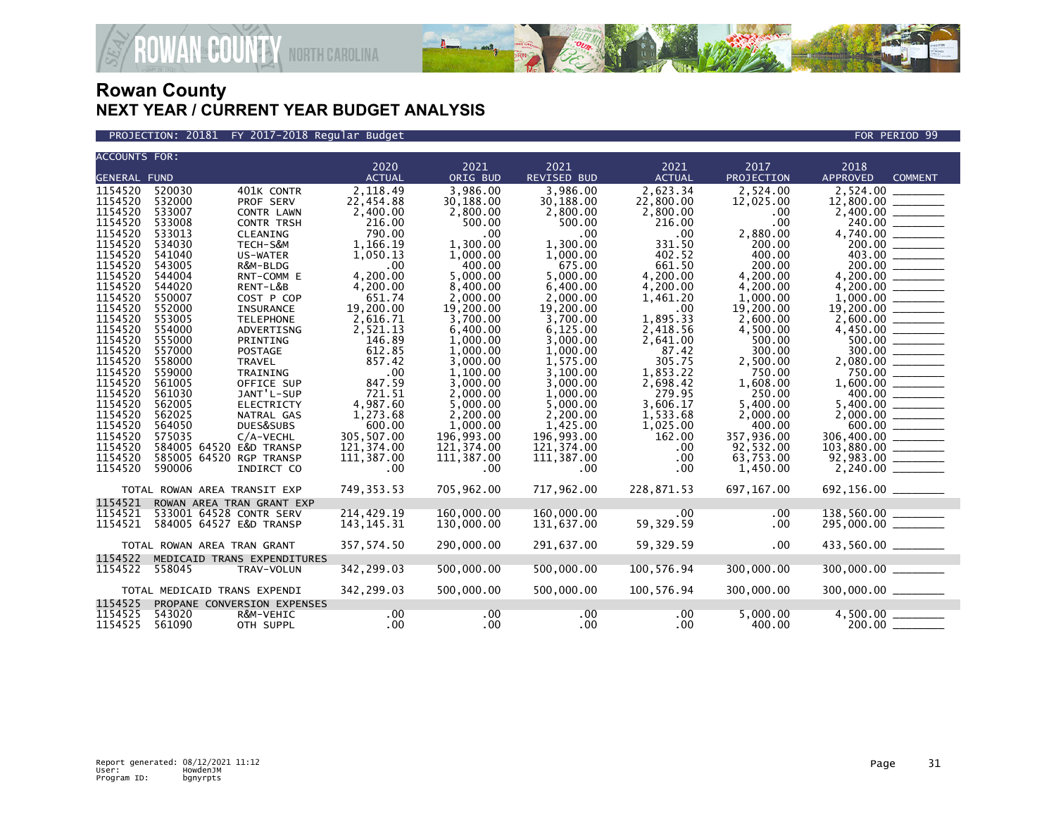

PROJECTION: 20181 FY 2017-2018 Regular Budget FOR PERIOD 99

|                              | <b>ACCOUNTS FOR:</b> |  |                              | 2020          | 2021                 | $\sqrt{2021}$        | 2021               | 2017               | 2018                   |                |
|------------------------------|----------------------|--|------------------------------|---------------|----------------------|----------------------|--------------------|--------------------|------------------------|----------------|
|                              | <b>GENERAL FUND</b>  |  |                              | <b>ACTUAL</b> | ORIG BUD             | <b>REVISED BUD</b>   | <b>ACTUAL</b>      | PROJECTION         | <b>APPROVED</b>        | <b>COMMENT</b> |
| 1154520                      | 520030               |  | 401K CONTR                   | 2,118.49      | 3,986.00             | 3,986.00             | 2,623.34           | 2,524.00           | 2,524.00               |                |
| 1154520                      | 532000               |  | PROF SERV                    | 22,454.88     | 30,188.00            | 30,188.00            | 22,800.00          | 12,025.00          |                        |                |
| 1154520                      | 533007               |  | CONTR LAWN                   | 2,400.00      | 2,800.00             | 2,800.00             | 2,800.00           | .00                |                        |                |
| 1154520                      | 533008               |  | <b>CONTR TRSH</b>            | 216.00        | 500.00               | 500.00               | 216.00             | .00                |                        |                |
| 1154520                      | 533013               |  | CLEANING                     | 790.00        | .00                  | .00                  | .00                | 2,880.00           |                        |                |
| 1154520                      | 534030               |  | TECH-S&M                     | 1,166.19      | 1,300.00             | 1,300.00             | 331.50             | 200.00             |                        | 200.00         |
| 1154520                      | 541040               |  | US-WATER                     | 1,050.13      | 1,000.00             | 1,000.00             | 402.52             | 400.00             |                        | 403.00         |
| 1154520                      | 543005               |  | R&M-BLDG                     | .00           | 400.00               | 675.00               | 661.50             | 200.00             |                        | 200.00         |
| 1154520                      | 544004               |  | RNT-COMM E                   | 4,200.00      | 5,000.00             | 5,000.00             | 4,200.00           | 4,200.00           | 4,200.00               |                |
| 1154520                      | 544020               |  | RENT-L&B                     | 4,200.00      | 8,400.00             | 6,400.00             | 4,200.00           | 4,200.00           | 4,200.00               |                |
| 1154520                      | 550007               |  | COST P COP                   | 651.74        | 2.000.00             | 2.000.00             | 1,461.20           | 1.000.00           | 1,000.00               |                |
| 1154520                      | 552000               |  | INSURANCE                    | 19,200.00     | 19,200.00            | 19,200.00            | .00                | 19,200.00          |                        |                |
| 1154520                      | 553005               |  | <b>TELEPHONE</b>             | 2,616.71      | 3,700.00             | 3,700.00             | 1,895.33           | 2,600.00           |                        |                |
| 1154520                      | 554000               |  | ADVERTISNG                   | 2,521.13      | 6,400.00             | 6,125.00             | 2,418.56           | 4,500.00           | 4,450.00               |                |
| 1154520                      | 555000               |  | PRINTING                     | 146.89        | 1,000.00             | 3.000.00             | 2,641.00           | 500.00             |                        | 500.00         |
| 1154520                      | 557000               |  | POSTAGE                      | 612.85        | 1,000.00             | 1,000.00             | 87.42              | 300.00             |                        |                |
| 1154520                      | 558000               |  | <b>TRAVEL</b>                | 857.42        | 3,000.00             | 1,575.00             | 305.75             | 2,500.00           |                        |                |
| 1154520<br>1154520           | 559000<br>561005     |  | <b>TRAINING</b>              | .00<br>847.59 | 1,100.00<br>3,000,00 | 3,100.00<br>3.000.00 | 1,853.22           | 750.00<br>1,608.00 |                        | 750.00         |
| 1154520                      | 561030               |  | OFFICE SUP<br>JANT'L-SUP     | 721.51        | 2,000.00             | 1,000.00             | 2,698.42<br>279.95 | 250.00             | 400.00                 |                |
| 1154520                      | 562005               |  | <b>ELECTRICTY</b>            | 4,987.60      | 5,000.00             | 5,000.00             | 3,606.17           | 5,400.00           | 5,400.00               |                |
| 1154520                      | 562025               |  | NATRAL GAS                   | 1,273.68      | 2,200.00             | 2,200.00             | 1,533.68           | 2,000.00           |                        |                |
| 1154520                      | 564050               |  | DUES&SUBS                    | 600.00        | 1.000.00             | 1.425.00             | 1,025.00           | 400.00             |                        | 600.00         |
| 1154520                      | 575035               |  | C/A-VECHL                    | 305,507.00    | 196,993.00           | 196,993.00           | 162.00             | 357,936.00         |                        |                |
| 1154520                      |                      |  | 584005 64520 E&D TRANSP      | 121,374.00    | 121,374.00           | 121,374.00           | .00                | 92,532.00          | $103,880.00$ _________ |                |
| 1154520                      |                      |  | 585005 64520 RGP TRANSP      | 111,387.00    | 111,387.00           | 111,387.00           | .00                | 63,753.00          |                        |                |
| 1154520                      | 590006               |  | INDIRCT CO                   | .00           | $.00 \ \,$           | .00                  | .00                | 1,450.00           |                        |                |
|                              |                      |  |                              |               |                      |                      |                    |                    |                        |                |
|                              |                      |  | TOTAL ROWAN AREA TRANSIT EXP | 749,353.53    | 705,962.00           | 717,962.00           | 228,871.53         | 697,167.00         |                        |                |
| 1154521                      |                      |  | ROWAN AREA TRAN GRANT EXP    |               |                      |                      |                    |                    |                        |                |
| 1154521                      |                      |  | 533001 64528 CONTR SERV      | 214,429.19    | 160,000,00           | 160.000.00           | .00                | .00                | 138,560.00             |                |
| 1154521                      |                      |  | 584005 64527 E&D TRANSP      | 143, 145. 31  | 130,000.00           | 131,637.00           | 59,329.59          | .00                |                        |                |
|                              |                      |  | TOTAL ROWAN AREA TRAN GRANT  | 357, 574.50   | 290,000,00           | 291,637.00           | 59,329.59          | .00                | 433,560.00 _______     |                |
|                              |                      |  |                              |               |                      |                      |                    |                    |                        |                |
| 1154522                      |                      |  | MEDICAID TRANS EXPENDITURES  |               |                      |                      |                    |                    |                        |                |
| 1154522                      | 558045               |  | TRAV-VOLUN                   | 342,299.03    | 500,000.00           | 500,000.00           | 100,576.94         | 300,000.00         | 300,000.00             |                |
| TOTAL MEDICAID TRANS EXPENDI |                      |  |                              | 342,299.03    | 500,000.00           | 500,000.00           | 100,576.94         | 300,000,00         | 300,000.00 ______      |                |
| 1154525                      |                      |  | PROPANE CONVERSION EXPENSES  |               |                      |                      |                    |                    |                        |                |
| 1154525                      | 543020               |  | R&M-VEHIC                    | .00           | .00                  | .00                  | $.00 \,$           | 5,000.00           |                        |                |
| 1154525                      | 561090               |  | OTH SUPPL                    | $.00 \,$      | $.00 \,$             | $.00 \ \,$           | $.00 \,$           | 400.00             |                        |                |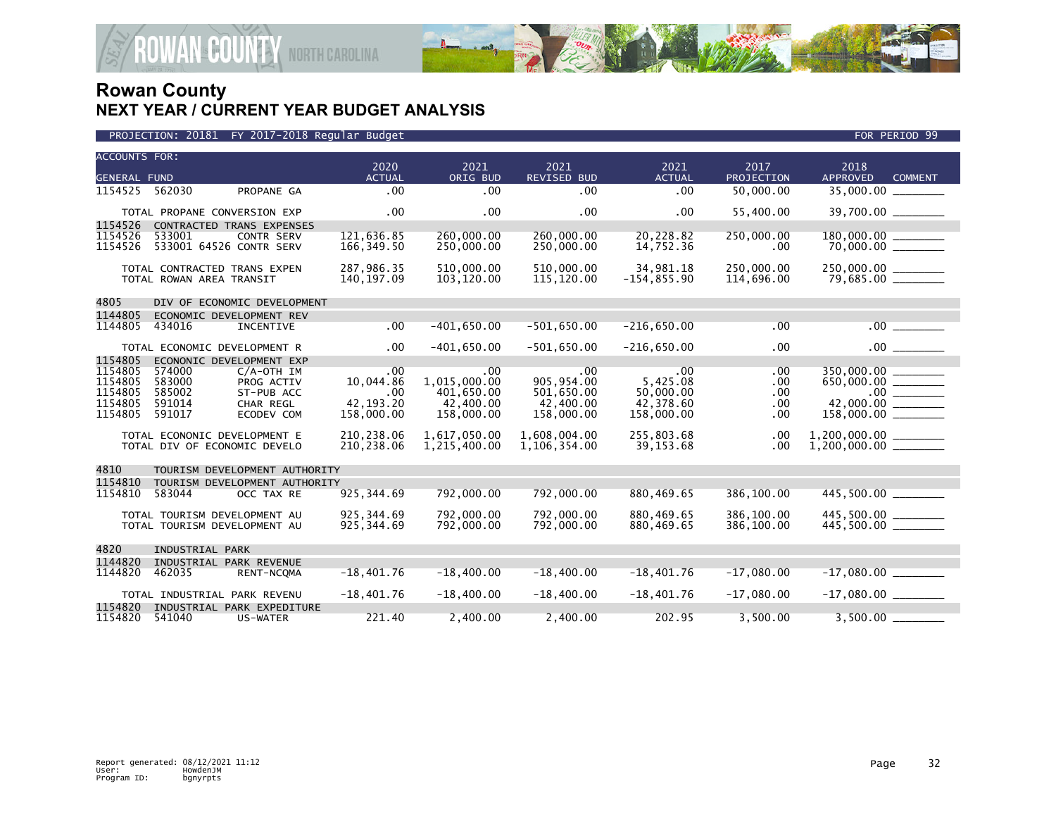

| PROJECTION: 20181 FY 2017-2018 Regular Budget | FOR PERIOD 99 |
|-----------------------------------------------|---------------|

| <b>ACCOUNTS FOR:</b> |                                   |                               | 2020                      | 2021                     | 2021                     | 2021                   | 2017              | 2018                     |                |
|----------------------|-----------------------------------|-------------------------------|---------------------------|--------------------------|--------------------------|------------------------|-------------------|--------------------------|----------------|
| <b>GENERAL FUND</b>  |                                   |                               | <b>ACTUAL</b>             | ORIG BUD                 | <b>REVISED BUD</b>       | <b>ACTUAL</b>          | <b>PROJECTION</b> | <b>APPROVED</b>          | <b>COMMENT</b> |
| 1154525              | 562030                            | PROPANE GA                    | .00                       | .00                      | .00                      | .00                    | 50,000.00         |                          |                |
|                      | TOTAL PROPANE CONVERSION EXP      |                               | .00                       | .00                      | .00                      | $.00 \,$               | 55,400.00         | 39,700.00 _______        |                |
| 1154526              |                                   | CONTRACTED TRANS EXPENSES     |                           |                          |                          |                        |                   |                          |                |
| 1154526<br>1154526   | 533001<br>533001 64526 CONTR SERV | <b>CONTR SERV</b>             | 121,636.85<br>166, 349.50 | 260,000.00<br>250,000.00 | 260,000,00<br>250,000.00 | 20,228.82<br>14,752.36 | 250,000.00<br>.00 | 180,000.00 ______        |                |
|                      | TOTAL CONTRACTED TRANS EXPEN      |                               | 287.986.35                | 510,000.00               | 510.000.00               | 34,981.18              | 250,000,00        | 250,000.00 _______       |                |
|                      | TOTAL ROWAN AREA TRANSIT          |                               | 140, 197.09               | 103,120.00               | 115,120.00               | $-154, 855.90$         | 114,696.00        | 79,685.00 _______        |                |
| 4805                 |                                   | DIV OF ECONOMIC DEVELOPMENT   |                           |                          |                          |                        |                   |                          |                |
| 1144805              | ECONOMIC DEVELOPMENT REV          |                               |                           |                          |                          |                        |                   |                          |                |
| 1144805              | 434016                            | INCENTIVE                     | .00 <sub>1</sub>          | $-401,650.00$            | $-501,650.00$            | $-216,650.00$          | .00               |                          | .00            |
|                      | TOTAL ECONOMIC DEVELOPMENT R      |                               | $.00 \,$                  | $-401,650.00$            | $-501,650.00$            | $-216,650.00$          | .00               |                          | $.00$ $\qquad$ |
| 1154805              | ECONONIC DEVELOPMENT EXP          |                               |                           |                          |                          |                        |                   |                          |                |
| 1154805              | 574000                            | $C/A$ -OTH IM                 | .00                       | .00                      | $.00 \times$             | .00                    | .00.              | 350,000.00               |                |
| 1154805              | 583000                            | PROG ACTIV                    | 10,044.86                 | 1,015,000.00             | 905,954.00               | 5,425.08               | .00.              | $650,000.00$ $-$ 000.000 |                |
| 1154805              | 585002                            | ST-PUB ACC                    | .00                       | 401,650.00               | 501,650.00               | 50,000.00              | .00               |                          |                |
| 1154805              | 591014                            | CHAR REGL                     | 42.193.20                 | 42,400.00                | 42,400.00                | 42,378.60              | .00               |                          |                |
| 1154805              | 591017                            | ECODEV COM                    | 158,000.00                | 158,000.00               | 158,000.00               | 158,000.00             | .00               |                          |                |
|                      | TOTAL ECONONIC DEVELOPMENT E      |                               | 210,238.06                | 1,617,050.00             | 1,608,004.00             | 255,803.68             | .00               |                          |                |
|                      | TOTAL DIV OF ECONOMIC DEVELO      |                               | 210,238.06                | 1,215,400.00             | 1,106,354.00             | 39,153.68              | .00               |                          |                |
| 4810                 |                                   | TOURISM DEVELOPMENT AUTHORITY |                           |                          |                          |                        |                   |                          |                |
| 1154810              |                                   | TOURISM DEVELOPMENT AUTHORITY |                           |                          |                          |                        |                   |                          |                |
| 1154810              | 583044                            | OCC TAX RE                    | 925, 344.69               | 792,000.00               | 792,000.00               | 880,469.65             | 386,100.00        | 445,500.00               |                |
|                      | TOTAL TOURISM DEVELOPMENT AU      |                               | 925.344.69                | 792,000,00               | 792,000.00               | 880.469.65             | 386,100.00        |                          |                |
|                      | TOTAL TOURISM DEVELOPMENT AU      |                               | 925, 344.69               | 792,000.00               | 792,000.00               | 880,469.65             | 386,100.00        |                          |                |
|                      |                                   |                               |                           |                          |                          |                        |                   |                          |                |
| 4820                 | INDUSTRIAL PARK                   |                               |                           |                          |                          |                        |                   |                          |                |
| 1144820              | INDUSTRIAL PARK REVENUE           |                               |                           |                          |                          |                        |                   |                          |                |
| 1144820              | 462035                            | RENT-NCQMA                    | $-18,401.76$              | $-18,400.00$             | $-18,400.00$             | $-18,401.76$           | $-17,080.00$      |                          |                |
|                      | TOTAL INDUSTRIAL PARK REVENU      |                               | $-18,401.76$              | $-18,400.00$             | $-18,400.00$             | $-18,401.76$           | $-17,080.00$      |                          |                |
| 1154820              |                                   | INDUSTRIAL PARK EXPEDITURE    |                           |                          |                          |                        |                   |                          |                |
| 1154820              | 541040                            | US-WATER                      | 221.40                    | 2,400.00                 | 2,400.00                 | 202.95                 | 3,500.00          | 3,500.00                 |                |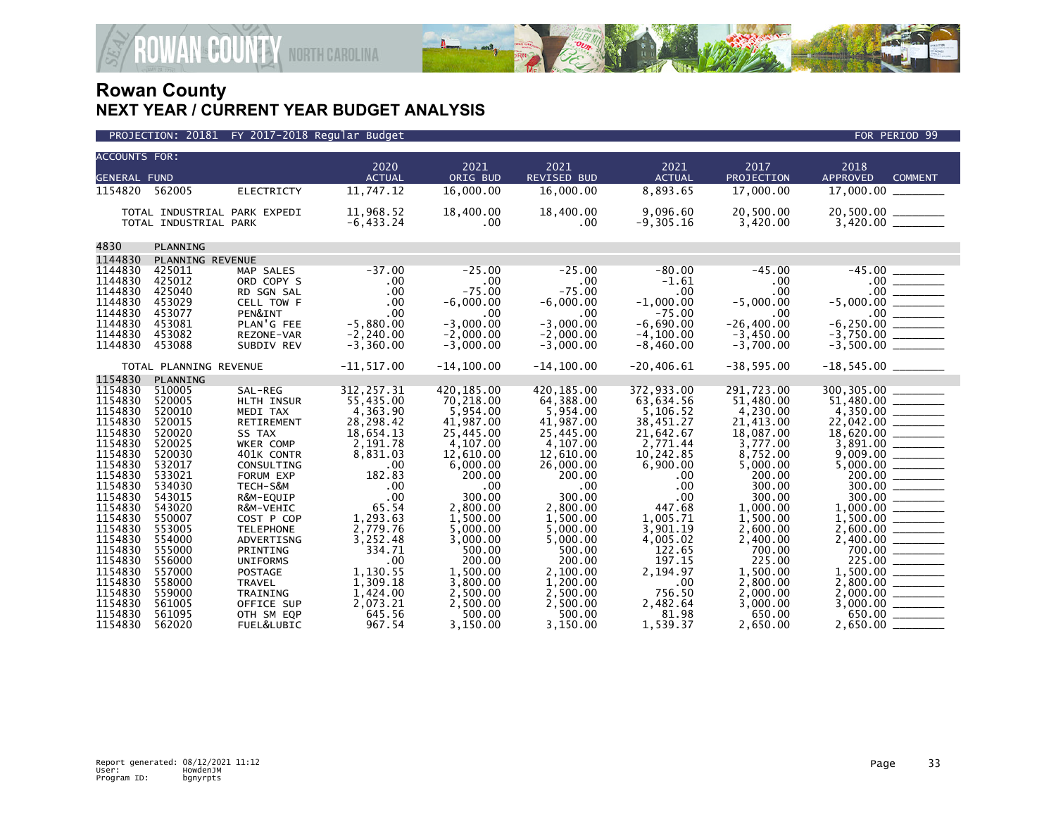

|                                                                           | PROJECTION: 20181                                                  |                                                                                      | FY 2017-2018 Regular Budget                                                            |                                                                                         |                                                                                        |                                                                                        |                                                                                       | FOR PERIOD 99                                                                           |
|---------------------------------------------------------------------------|--------------------------------------------------------------------|--------------------------------------------------------------------------------------|----------------------------------------------------------------------------------------|-----------------------------------------------------------------------------------------|----------------------------------------------------------------------------------------|----------------------------------------------------------------------------------------|---------------------------------------------------------------------------------------|-----------------------------------------------------------------------------------------|
| <b>ACCOUNTS FOR:</b>                                                      |                                                                    |                                                                                      |                                                                                        |                                                                                         |                                                                                        |                                                                                        |                                                                                       |                                                                                         |
| <b>GENERAL FUND</b>                                                       |                                                                    |                                                                                      | 2020<br><b>ACTUAL</b>                                                                  | 2021<br>ORIG BUD                                                                        | 2021<br><b>REVISED BUD</b>                                                             | 2021<br><b>ACTUAL</b>                                                                  | 2017<br><b>PROJECTION</b>                                                             | 2018<br><b>APPROVED</b><br><b>COMMENT</b>                                               |
| 1154820 562005                                                            |                                                                    | <b>ELECTRICTY</b>                                                                    | 11,747.12                                                                              | 16,000.00                                                                               | 16,000.00                                                                              | 8,893.65                                                                               | 17,000.00                                                                             | 17,000.00                                                                               |
|                                                                           | TOTAL INDUSTRIAL PARK                                              | TOTAL INDUSTRIAL PARK EXPEDI                                                         | 11,968.52<br>$-6,433.24$                                                               | 18,400.00<br>.00                                                                        | 18,400.00<br>.00                                                                       | 9.096.60<br>$-9,305.16$                                                                | 20,500.00<br>3,420.00                                                                 |                                                                                         |
| 4830                                                                      | PLANNING                                                           |                                                                                      |                                                                                        |                                                                                         |                                                                                        |                                                                                        |                                                                                       |                                                                                         |
| 1144830                                                                   | PLANNING REVENUE                                                   |                                                                                      |                                                                                        |                                                                                         |                                                                                        |                                                                                        |                                                                                       |                                                                                         |
| 1144830<br>1144830<br>1144830<br>1144830<br>1144830                       | 425011<br>425012<br>425040<br>453029<br>453077                     | MAP SALES<br>ORD COPY S<br>RD SGN SAL<br>CELL TOW F<br>PEN&INT                       | $-37.00$<br>.00<br>.00<br>.00<br>.00                                                   | $-25.00$<br>.00<br>$-75.00$<br>$-6,000.00$<br>.00                                       | $-25.00$<br>$.00 \times$<br>$-75.00$<br>$-6.000.00$<br>$.00 \times$                    | $-80.00$<br>$-1.61$<br>.00<br>$-1,000.00$<br>$-75.00$                                  | $-45.00$<br>$.00 \,$<br>.00<br>$-5,000.00$<br>.00                                     | $-45.00$                                                                                |
| 1144830<br>1144830<br>1144830                                             | 453081<br>453082<br>453088                                         | PLAN'G FEE<br>REZONE-VAR<br>SUBDIV REV                                               | $-5,880.00$<br>$-2, 240.00$<br>$-3,360.00$                                             | $-3,000.00$<br>$-2,000.00$<br>$-3,000.00$                                               | $-3.000.00$<br>$-2,000.00$<br>$-3,000.00$                                              | $-6.690.00$<br>$-4, 100.00$<br>$-8,460.00$                                             | $-26, 400.00$<br>$-3,450.00$<br>$-3,700.00$                                           | $-6,250.00$                                                                             |
|                                                                           | TOTAL PLANNING REVENUE                                             |                                                                                      | $-11, 517.00$                                                                          | $-14, 100.00$                                                                           | $-14, 100.00$                                                                          | $-20, 406.61$                                                                          | $-38,595.00$                                                                          | $-18,545.00$ ________                                                                   |
| 1154830                                                                   | PLANNING                                                           |                                                                                      |                                                                                        |                                                                                         |                                                                                        |                                                                                        |                                                                                       |                                                                                         |
| 1154830<br>1154830<br>1154830<br>1154830<br>1154830<br>1154830<br>1154830 | 510005<br>520005<br>520010<br>520015<br>520020<br>520025<br>520030 | SAL-REG<br>HLTH INSUR<br>MEDI TAX<br>RETIREMENT<br>SS TAX<br>WKER COMP<br>401K CONTR | 312, 257.31<br>55,435.00<br>4,363.90<br>28,298.42<br>18,654.13<br>2,191.78<br>8,831.03 | 420, 185.00<br>70,218.00<br>5,954.00<br>41,987.00<br>25,445.00<br>4,107.00<br>12,610.00 | 420.185.00<br>64,388.00<br>5,954.00<br>41,987.00<br>25,445.00<br>4,107.00<br>12,610.00 | 372,933.00<br>63,634.56<br>5,106.52<br>38,451.27<br>21,642.67<br>2,771.44<br>10,242.85 | 291,723.00<br>51,480.00<br>4,230.00<br>21,413.00<br>18,087.00<br>3,777.00<br>8,752.00 | 300, 305.00 _____<br>$51,480.00$<br>$4,350.00$<br>$22,042.00$<br>3,891.00               |
| 1154830<br>1154830<br>1154830<br>1154830                                  | 532017<br>533021<br>534030<br>543015                               | CONSULTING<br>FORUM EXP<br>TECH-S&M<br>R&M-EQUIP                                     | .00<br>182.83<br>.00<br>.00                                                            | 6,000.00<br>200.00<br>.00<br>300.00                                                     | 26,000.00<br>200.00<br>$.00 \,$<br>300.00                                              | 6,900.00<br>.00<br>.00<br>.00                                                          | 5,000.00<br>200.00<br>300.00<br>300.00                                                | $9,009.00$ ________<br>5,000.00 ________<br>200.00<br>300.00<br>300.00<br>$\frac{1}{1}$ |
| 1154830<br>1154830<br>1154830<br>1154830                                  | 543020<br>550007<br>553005<br>554000                               | R&M-VEHIC<br>COST P COP<br><b>TELEPHONE</b><br>ADVERTISNG                            | 65.54<br>1,293.63<br>2,779.76<br>3,252.48                                              | 2,800.00<br>1,500.00<br>5,000.00<br>3,000.00                                            | 2,800.00<br>1,500.00<br>5,000.00<br>5,000.00                                           | 447.68<br>1,005.71<br>3,901.19<br>4,005.02                                             | 1,000.00<br>1,500.00<br>2,600.00<br>2,400.00                                          | 1,500.00<br>$\overline{\phantom{a}}$                                                    |
| 1154830<br>1154830<br>1154830<br>1154830                                  | 555000<br>556000<br>557000<br>558000                               | PRINTING<br><b>UNIFORMS</b><br><b>POSTAGE</b><br><b>TRAVEL</b>                       | 334.71<br>.00<br>1,130.55<br>1,309.18                                                  | 500.00<br>200.00<br>1,500.00<br>3,800.00                                                | 500.00<br>200.00<br>2,100.00<br>1.200.00                                               | 122.65<br>197.15<br>2,194.97<br>.00                                                    | 700.00<br>225.00<br>1,500.00<br>2.800.00                                              | 700.00<br>225.00<br>1,500.00                                                            |
| 1154830<br>1154830<br>1154830<br>1154830                                  | 559000<br>561005<br>561095<br>562020                               | TRAINING<br>OFFICE SUP<br>OTH SM EQP<br>FUEL&LUBIC                                   | 1,424.00<br>2,073.21<br>645.56<br>967.54                                               | 2,500.00<br>2,500.00<br>500.00<br>3.150.00                                              | 2,500.00<br>2,500.00<br>500.00<br>3.150.00                                             | 756.50<br>2,482.64<br>81.98<br>1,539.37                                                | 2,000.00<br>3,000.00<br>650.00<br>2.650.00                                            | 650.00 _______<br>2,650.00                                                              |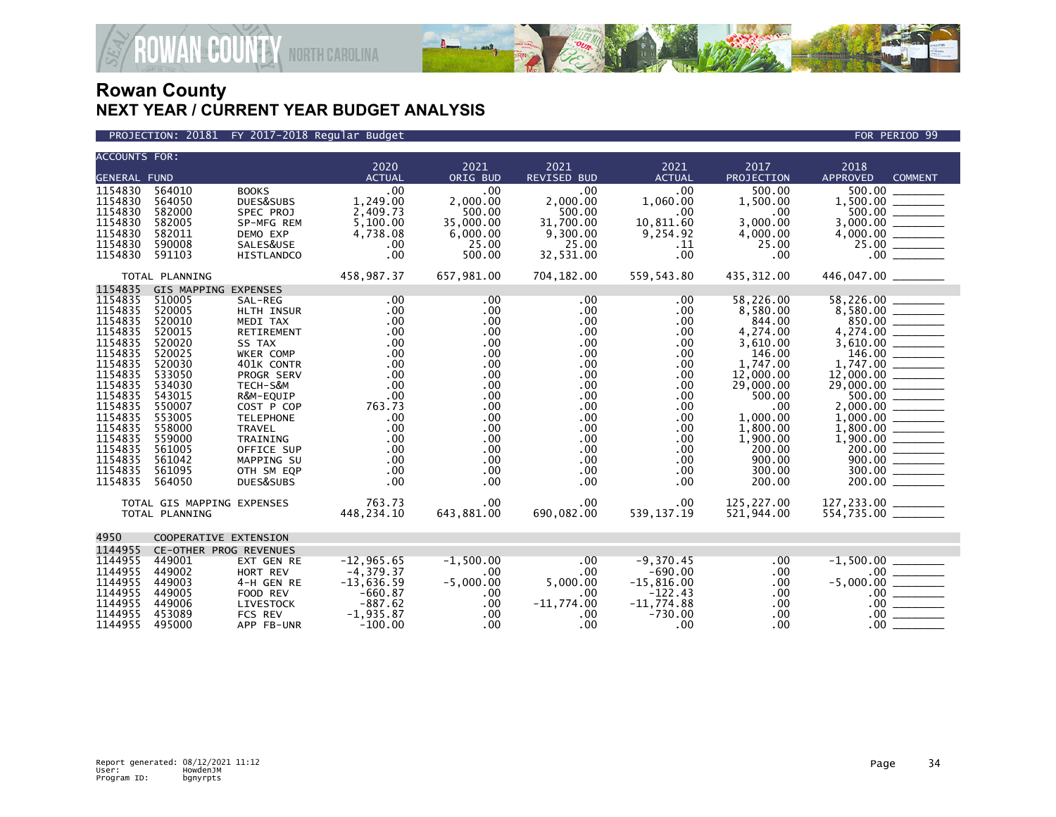



| <b>ACCOUNTS FOR:</b>                                                                                                                                                                                          |                                                                                                                                                                                                                 |                                                                                                                                                                                                                                                          |                                                                                                                                    |                                                                                                                                                                                                                         |                                                                                                                                                                                                                        |                                                                                                                            |                                                                                                                                                                                                      |                                                                                                                                              |
|---------------------------------------------------------------------------------------------------------------------------------------------------------------------------------------------------------------|-----------------------------------------------------------------------------------------------------------------------------------------------------------------------------------------------------------------|----------------------------------------------------------------------------------------------------------------------------------------------------------------------------------------------------------------------------------------------------------|------------------------------------------------------------------------------------------------------------------------------------|-------------------------------------------------------------------------------------------------------------------------------------------------------------------------------------------------------------------------|------------------------------------------------------------------------------------------------------------------------------------------------------------------------------------------------------------------------|----------------------------------------------------------------------------------------------------------------------------|------------------------------------------------------------------------------------------------------------------------------------------------------------------------------------------------------|----------------------------------------------------------------------------------------------------------------------------------------------|
| <b>GENERAL FUND</b>                                                                                                                                                                                           |                                                                                                                                                                                                                 |                                                                                                                                                                                                                                                          | 2020<br><b>ACTUAL</b>                                                                                                              | 2021<br>ORIG BUD                                                                                                                                                                                                        | 2021<br><b>REVISED BUD</b>                                                                                                                                                                                             | 2021<br><b>ACTUAL</b>                                                                                                      | 2017<br>PROJECTION                                                                                                                                                                                   | 2018<br><b>APPROVED</b><br><b>COMMENT</b>                                                                                                    |
| 1154830<br>1154830<br>1154830<br>1154830<br>1154830<br>1154830<br>1154830                                                                                                                                     | 564010<br>564050<br>582000<br>582005<br>582011<br>590008<br>591103                                                                                                                                              | <b>BOOKS</b><br>DUES&SUBS<br>SPEC PROJ<br>SP-MFG REM<br>DEMO EXP<br>SALES&USE<br><b>HISTLANDCO</b>                                                                                                                                                       | .00<br>1,249.00<br>2,409.73<br>5,100.00<br>4,738.08<br>.00<br>.00                                                                  | .00<br>2,000.00<br>500.00<br>35,000.00<br>6,000.00<br>25.00<br>500.00                                                                                                                                                   | .00<br>2,000.00<br>500.00<br>31,700.00<br>9,300.00<br>25.00<br>32,531.00                                                                                                                                               | .00<br>1,060.00<br>.00<br>10,811.60<br>9,254.92<br>.11<br>.00                                                              | 500.00<br>1,500.00<br>.00<br>3,000.00<br>4,000.00<br>25.00<br>.00                                                                                                                                    | 500.00<br>500.00<br>.00                                                                                                                      |
| TOTAL PLANNING                                                                                                                                                                                                |                                                                                                                                                                                                                 | 458,987.37                                                                                                                                                                                                                                               | 657,981.00                                                                                                                         | 704,182.00                                                                                                                                                                                                              | 559,543.80                                                                                                                                                                                                             | 435,312.00                                                                                                                 | 446,047.00 ________                                                                                                                                                                                  |                                                                                                                                              |
| 1154835<br>1154835<br>1154835<br>1154835<br>1154835<br>1154835<br>1154835<br>1154835<br>1154835<br>1154835<br>1154835<br>1154835<br>1154835<br>1154835<br>1154835<br>1154835<br>1154835<br>1154835<br>1154835 | <b>GIS MAPPING EXPENSES</b><br>510005<br>520005<br>520010<br>520015<br>520020<br>520025<br>520030<br>533050<br>534030<br>543015<br>550007<br>553005<br>558000<br>559000<br>561005<br>561042<br>561095<br>564050 | SAL-REG<br>HLTH INSUR<br>MEDI TAX<br>RETIREMENT<br>SS TAX<br>WKER COMP<br>401K CONTR<br>PROGR SERV<br>TECH-S&M<br>R&M-EQUIP<br>COST P COP<br><b>TELEPHONE</b><br><b>TRAVEL</b><br><b>TRAINING</b><br>OFFICE SUP<br>MAPPING SU<br>OTH SM EQP<br>DUES&SUBS | $.00 \,$<br>.00<br>.00<br>.00<br>.00<br>.00<br>.00<br>.00<br>.00<br>.00<br>763.73<br>.00<br>.00<br>.00<br>.00<br>.00<br>.00<br>.00 | .00<br>$.00 \,$<br>$.00 \,$<br>$.00 \,$<br>$.00 \,$<br>$.00 \,$<br>$.00 \,$<br>$.00 \,$<br>$.00 \times$<br>$.00 \,$<br>$.00 \,$<br>$.00 \,$<br>$.00 \,$<br>$.00 \,$<br>$.00 \,$<br>$.00 \,$<br>$.00 \,$<br>$.00 \times$ | $.00 \ \,$<br>$.00 \,$<br>$.00 \,$<br>$.00 \,$<br>$.00 \,$<br>$.00 \times$<br>$.00 \,$<br>$.00 \times$<br>$.00 \times$<br>$.00 \,$<br>.00<br>$.00 \,$<br>$.00 \times$<br>.00<br>$.00 \times$<br>$.00 \,$<br>.00<br>.00 | .00<br>.00<br>.00<br>.00<br>.00<br>.00<br>.00<br>.00<br>.00<br>.00<br>.00<br>.00<br>.00<br>.00<br>.00<br>.00<br>.00<br>.00 | 58,226.00<br>8,580.00<br>844.00<br>4,274.00<br>3,610.00<br>146.00<br>1,747.00<br>12,000.00<br>29,000.00<br>500.00<br>.00<br>1,000.00<br>1,800.00<br>1,900.00<br>200.00<br>900.00<br>300.00<br>200.00 | 58,226.00<br>850.00<br>$4,274.00$<br>$3,610.00$<br>$\frac{12,000.00}{29,000.00}$<br>1,000.00<br>$200.00$ $\frac{1}{200}$<br>300.00<br>200.00 |
|                                                                                                                                                                                                               | TOTAL GIS MAPPING EXPENSES<br>TOTAL PLANNING                                                                                                                                                                    |                                                                                                                                                                                                                                                          | 763.73<br>448,234.10                                                                                                               | $.00 \times$<br>643,881.00                                                                                                                                                                                              | .00<br>690,082.00                                                                                                                                                                                                      | .00<br>539, 137. 19                                                                                                        | 125,227.00<br>521,944.00                                                                                                                                                                             | $127, 233.00$ _________<br>554,735.00 _________                                                                                              |
| 4950                                                                                                                                                                                                          | COOPERATIVE EXTENSION                                                                                                                                                                                           |                                                                                                                                                                                                                                                          |                                                                                                                                    |                                                                                                                                                                                                                         |                                                                                                                                                                                                                        |                                                                                                                            |                                                                                                                                                                                                      |                                                                                                                                              |
| 1144955<br>1144955<br>1144955<br>1144955<br>1144955<br>1144955<br>1144955<br>1144955                                                                                                                          | CE-OTHER PROG REVENUES<br>449001<br>449002<br>449003<br>449005<br>449006<br>453089<br>495000                                                                                                                    | EXT GEN RE<br>HORT REV<br>4-H GEN RE<br>FOOD REV<br>LIVESTOCK<br>FCS REV<br>APP FB-UNR                                                                                                                                                                   | $-12, 965.65$<br>$-4, 379.37$<br>$-13,636.59$<br>$-660.87$<br>$-887.62$<br>$-1,935.87$<br>$-100.00$                                | $-1,500.00$<br>$.00 \,$<br>$-5,000.00$<br>$.00 \,$<br>$.00 \,$<br>$.00 \,$<br>$.00 \times$                                                                                                                              | .00<br>.00<br>5,000.00<br>.00.<br>$-11,774.00$<br>.00.<br>$.00 \,$                                                                                                                                                     | $-9,370.45$<br>$-690.00$<br>$-15,816.00$<br>$-122.43$<br>$-11,774.88$<br>$-730.00$<br>.00                                  | .00<br>.00<br>.00<br>.00<br>.00<br>.00<br>.00                                                                                                                                                        | $-1,500.00$<br>$.00 \,$<br>$-5,000.00$<br>$.00 \,$<br>$.00 \,$<br>.00.<br>$.00 \,$                                                           |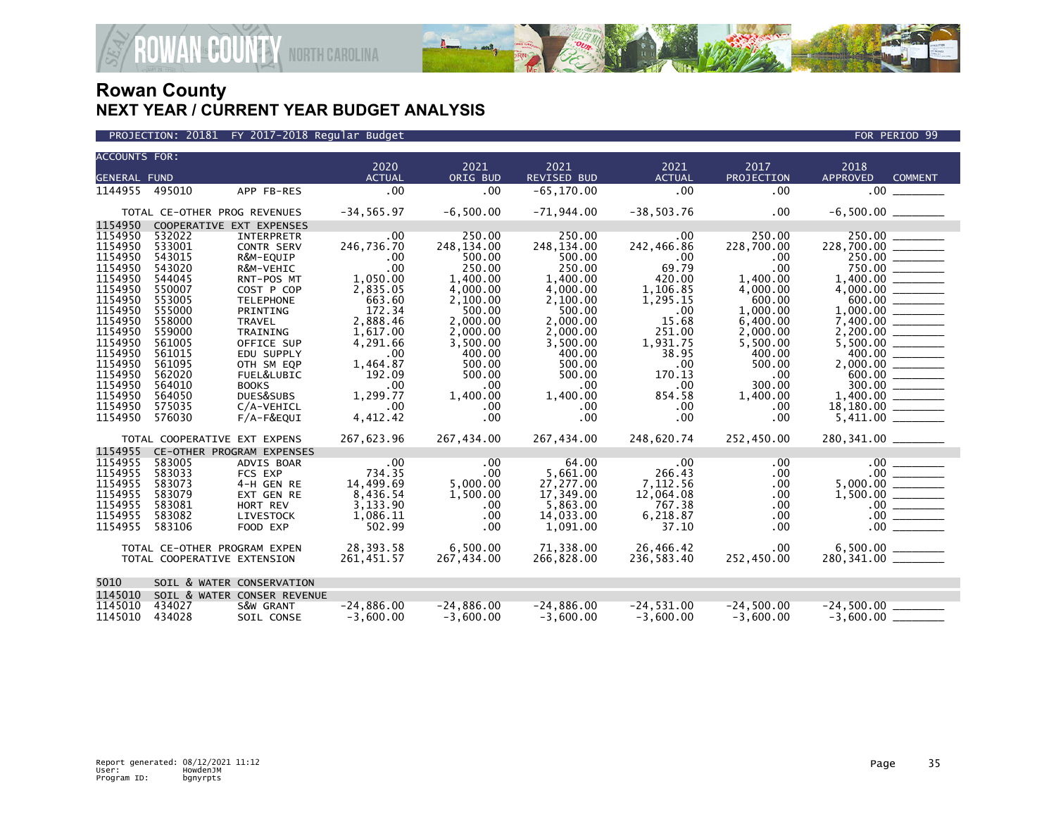

| <b>ACCOUNTS FOR:</b>                 |                              |                             | 2020                 | 2021                 | 2021                  | 2021                | 2017            | 2018                                                                                                                                                                                                                                                                                                                                                                                                                                                                                                              |  |
|--------------------------------------|------------------------------|-----------------------------|----------------------|----------------------|-----------------------|---------------------|-----------------|-------------------------------------------------------------------------------------------------------------------------------------------------------------------------------------------------------------------------------------------------------------------------------------------------------------------------------------------------------------------------------------------------------------------------------------------------------------------------------------------------------------------|--|
| <b>GENERAL FUND</b>                  |                              |                             | <b>ACTUAL</b>        | ORIG BUD             | <b>REVISED BUD</b>    | <b>ACTUAL</b>       | PROJECTION      | <b>APPROVED</b><br><b>COMMENT</b>                                                                                                                                                                                                                                                                                                                                                                                                                                                                                 |  |
| 1144955 495010                       |                              | APP FB-RES                  | .00                  | .00                  | $-65, 170.00$         | .00                 | .00             | .00                                                                                                                                                                                                                                                                                                                                                                                                                                                                                                               |  |
|                                      |                              |                             |                      |                      |                       |                     |                 |                                                                                                                                                                                                                                                                                                                                                                                                                                                                                                                   |  |
| TOTAL CE-OTHER PROG REVENUES         |                              |                             | $-34, 565.97$        | $-6,500.00$          | $-71,944.00$          | $-38,503.76$        | .00             |                                                                                                                                                                                                                                                                                                                                                                                                                                                                                                                   |  |
| 1154950                              |                              |                             |                      |                      |                       |                     |                 |                                                                                                                                                                                                                                                                                                                                                                                                                                                                                                                   |  |
| 1154950                              | 532022                       | <b>INTERPRETR</b>           | .00.                 | 250.00               | 250.00                | $.00 \,$            | 250.00          | 250.00                                                                                                                                                                                                                                                                                                                                                                                                                                                                                                            |  |
| 1154950                              | 533001                       | <b>CONTR SERV</b>           | 246,736.70           | 248,134.00           | 248,134.00            | 242,466.86          | 228,700.00      |                                                                                                                                                                                                                                                                                                                                                                                                                                                                                                                   |  |
| 1154950                              | 543015                       | R&M-EQUIP                   | .00                  | 500.00               | 500.00                | .00                 | .00             | 250.00                                                                                                                                                                                                                                                                                                                                                                                                                                                                                                            |  |
| 1154950<br>1154950                   | 543020<br>544045             | R&M-VEHIC<br>RNT-POS MT     | .00<br>1,050.00      | 250.00               | 250.00                | 69.79<br>420.00     | .00<br>1,400.00 | 750.00<br>1,400.00                                                                                                                                                                                                                                                                                                                                                                                                                                                                                                |  |
| 1154950                              | 550007                       | COST P COP                  | 2,835.05             | 1,400.00<br>4,000.00 | 1,400.00<br>4,000.00  | 1,106.85            | 4,000.00        |                                                                                                                                                                                                                                                                                                                                                                                                                                                                                                                   |  |
| 1154950                              | 553005                       | <b>TELEPHONE</b>            | 663.60               | 2,100.00             | 2,100.00              | 1,295.15            | 600.00          |                                                                                                                                                                                                                                                                                                                                                                                                                                                                                                                   |  |
| 1154950                              | 555000                       | PRINTING                    | 172.34               | 500.00               | 500.00                | .00                 | 1,000.00        |                                                                                                                                                                                                                                                                                                                                                                                                                                                                                                                   |  |
| 1154950                              | 558000                       | <b>TRAVEL</b>               | 2,888.46             | 2.000.00             | 2.000.00              | 15.68               | 6,400.00        |                                                                                                                                                                                                                                                                                                                                                                                                                                                                                                                   |  |
| 1154950                              | 559000                       | TRAINING                    | 1,617.00             | 2,000.00             | 2,000.00              | 251.00              | 2,000.00        |                                                                                                                                                                                                                                                                                                                                                                                                                                                                                                                   |  |
| 1154950                              | 561005                       | OFFICE SUP                  | 4,291.66             | 3,500.00             | 3,500.00              | 1,931.75            | 5,500.00        |                                                                                                                                                                                                                                                                                                                                                                                                                                                                                                                   |  |
| 1154950                              | 561015                       | EDU SUPPLY                  | .00                  | 400.00               | 400.00                | 38.95               | 400.00          | 400.00 ______                                                                                                                                                                                                                                                                                                                                                                                                                                                                                                     |  |
| 1154950                              | 561095                       | OTH SM EQP                  | 1,464.87             | 500.00               | 500.00                | .00                 | 500.00          |                                                                                                                                                                                                                                                                                                                                                                                                                                                                                                                   |  |
| 1154950<br>1154950                   | 562020                       | FUEL&LUBIC                  | 192.09               | 500.00               | 500.00                | 170.13<br>.00       | .00<br>300.00   | 600.00                                                                                                                                                                                                                                                                                                                                                                                                                                                                                                            |  |
| 1154950                              | 564010<br>564050             | <b>BOOKS</b><br>DUES&SUBS   | .00<br>1,299.77      | .00<br>1,400.00      | $.00 \,$<br>1,400.00  | 854.58              | 1,400.00        |                                                                                                                                                                                                                                                                                                                                                                                                                                                                                                                   |  |
| 1154950                              | 575035                       | C/A-VEHICL                  | .00                  | .00                  | .00                   | .00                 | .00             | 18,180.00<br>$\label{eq:1} \begin{array}{lll} \hline \textbf{1}_{\text{max}} & \textbf{1}_{\text{max}} & \textbf{1}_{\text{max}} \\ \hline \textbf{1}_{\text{max}} & \textbf{1}_{\text{max}} & \textbf{1}_{\text{max}} & \textbf{1}_{\text{max}} \\ \hline \textbf{1}_{\text{max}} & \textbf{1}_{\text{max}} & \textbf{1}_{\text{max}} & \textbf{1}_{\text{max}} \\ \hline \textbf{1}_{\text{max}} & \textbf{1}_{\text{max}} & \textbf{1}_{\text{max}} & \textbf{1}_{\text{max}} \\ \hline \textbf{1}_{\text{max$ |  |
| 1154950                              | 576030                       | $F/A-F\&EQUI$               | 4,412.42             | .00                  | .00                   | .00                 | .00             |                                                                                                                                                                                                                                                                                                                                                                                                                                                                                                                   |  |
|                                      |                              |                             |                      |                      |                       |                     |                 |                                                                                                                                                                                                                                                                                                                                                                                                                                                                                                                   |  |
|                                      | TOTAL COOPERATIVE EXT EXPENS |                             | 267,623.96           | 267,434.00           | 267,434.00            | 248,620.74          | 252,450.00      | 280, 341.00 _______                                                                                                                                                                                                                                                                                                                                                                                                                                                                                               |  |
| 1154955<br>CE-OTHER PROGRAM EXPENSES |                              |                             |                      |                      |                       |                     |                 |                                                                                                                                                                                                                                                                                                                                                                                                                                                                                                                   |  |
| 1154955                              | 583005                       | ADVIS BOAR                  | .00                  | .00                  | 64.00                 | .00                 | .00             | .00                                                                                                                                                                                                                                                                                                                                                                                                                                                                                                               |  |
| 1154955                              | 583033                       | FCS EXP                     | 734.35               | .00                  | 5,661.00              | 266.43              | .00             | .00 <sub>1</sub>                                                                                                                                                                                                                                                                                                                                                                                                                                                                                                  |  |
| 1154955                              | 583073                       | 4-H GEN RE                  | 14,499.69            | 5,000.00             | 27,277.00             | 7,112.56            | .00             | 5,000.00                                                                                                                                                                                                                                                                                                                                                                                                                                                                                                          |  |
| 1154955<br>1154955                   | 583079<br>583081             | EXT GEN RE<br>HORT REV      | 8,436.54<br>3.133.90 | 1,500.00<br>.00      | 17,349.00<br>5.863.00 | 12,064.08<br>767.38 | .00<br>.00      | 1,500.00<br>$\frac{100}{00}$                                                                                                                                                                                                                                                                                                                                                                                                                                                                                      |  |
| 1154955                              | 583082                       | LIVESTOCK                   | 1,086.11             | .00                  | 14,033.00             | 6,218.87            | .00             | $.00 \,$<br>$\begin{tabular}{ccccc} \multicolumn{2}{c }{\textbf{1} & \multicolumn{2}{c }{\textbf{2} & \multicolumn{2}{c }{\textbf{3} & \multicolumn{2}{c }{\textbf{4} & \multicolumn{2}{c }{\textbf{5} & \multicolumn{2}{c }{\textbf{6} & \multicolumn{2}{c }{\textbf{6} & \multicolumn{2}{c }{\textbf{6} & \multicolumn{2}{c }{\textbf{6} & \multicolumn{2}{c }{\textbf{6} & \multicolumn{2}{c }{\textbf{6} & \multicolumn{2}{c }{\textbf{6} & \multicolumn{2}{$                                                 |  |
| 1154955                              | 583106                       | FOOD EXP                    | 502.99               | .00                  | 1,091.00              | 37.10               | .00             | .00 <sub>1</sub>                                                                                                                                                                                                                                                                                                                                                                                                                                                                                                  |  |
|                                      |                              |                             |                      |                      |                       |                     |                 |                                                                                                                                                                                                                                                                                                                                                                                                                                                                                                                   |  |
| TOTAL CE-OTHER PROGRAM EXPEN         |                              |                             | 28,393.58            | 6,500.00             | 71,338.00             | 26,466.42           | $.00 \,$        |                                                                                                                                                                                                                                                                                                                                                                                                                                                                                                                   |  |
|                                      | TOTAL COOPERATIVE EXTENSION  |                             | 261,451.57           | 267,434.00           | 266,828.00            | 236,583.40          | 252,450.00      |                                                                                                                                                                                                                                                                                                                                                                                                                                                                                                                   |  |
|                                      |                              |                             |                      |                      |                       |                     |                 |                                                                                                                                                                                                                                                                                                                                                                                                                                                                                                                   |  |
| 5010<br>SOIL & WATER CONSERVATION    |                              |                             |                      |                      |                       |                     |                 |                                                                                                                                                                                                                                                                                                                                                                                                                                                                                                                   |  |
| 1145010                              |                              | SOIL & WATER CONSER REVENUE |                      |                      |                       |                     |                 |                                                                                                                                                                                                                                                                                                                                                                                                                                                                                                                   |  |
| 1145010                              | 434027                       | S&W GRANT                   | $-24,886.00$         | $-24,886.00$         | $-24,886.00$          | $-24,531.00$        | $-24,500.00$    | $-24,500.00$                                                                                                                                                                                                                                                                                                                                                                                                                                                                                                      |  |
| 1145010                              | 434028                       | SOIL CONSE                  | $-3.600.00$          | $-3.600.00$          | $-3.600.00$           | $-3.600.00$         | $-3.600.00$     | $-3.600.00$                                                                                                                                                                                                                                                                                                                                                                                                                                                                                                       |  |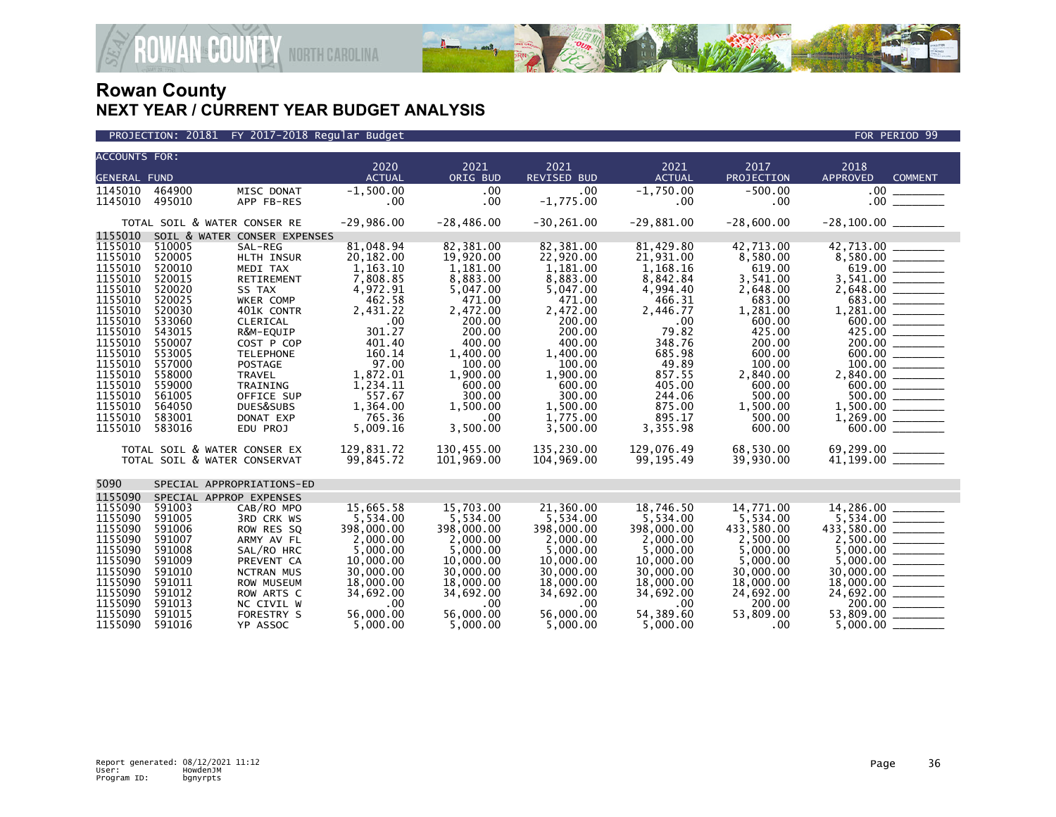



### PROJECTION: 20181 FY 2017-2018 Regular Budget FOR PERIOD 99 (FOR PERIOD 99 FOR PERIOD 99 FOR PERIOD 99 FOR PERIOD 99

| <b>ACCOUNTS FOR:</b> |                              |                              |                       |                  |                            |                       |                    |                                            |  |  |
|----------------------|------------------------------|------------------------------|-----------------------|------------------|----------------------------|-----------------------|--------------------|--------------------------------------------|--|--|
| <b>GENERAL FUND</b>  |                              |                              | 2020<br><b>ACTUAL</b> | 2021<br>ORIG BUD | 2021<br><b>REVISED BUD</b> | 2021<br><b>ACTUAL</b> | 2017<br>PROJECTION | 2018<br><b>APPROVED</b><br><b>COMMENT</b>  |  |  |
| 1145010              |                              |                              |                       |                  | .00.                       |                       |                    |                                            |  |  |
|                      | 464900                       | MISC DONAT                   | $-1,500.00$           | .00              |                            | $-1.750.00$           | $-500.00$          | .00 <sub>1</sub>                           |  |  |
| 1145010              | 495010                       | APP FB-RES                   | .00                   | .00              | $-1,775.00$                | .00                   | $.00 \,$           | .00 <sub>1</sub>                           |  |  |
|                      |                              | TOTAL SOIL & WATER CONSER RE | $-29,986.00$          | $-28,486.00$     | $-30, 261.00$              | $-29,881.00$          | $-28,600.00$       |                                            |  |  |
| 1155010              | SOIL & WATER CONSER EXPENSES |                              |                       |                  |                            |                       |                    |                                            |  |  |
| 1155010              | 510005                       | SAL-REG                      | 81,048.94             | 82,381.00        | 82,381.00                  | 81,429.80             | 42,713.00          | 42,713.00                                  |  |  |
| 1155010              | 520005                       | <b>HLTH INSUR</b>            | 20,182.00             | 19,920.00        | 22,920.00                  | 21,931.00             | 8,580.00           |                                            |  |  |
| 1155010              | 520010                       | MEDI TAX                     | 1,163.10              | 1,181.00         | 1,181.00                   | 1,168.16              | 619.00             | 619.00 _______                             |  |  |
| 1155010              | 520015                       | RETIREMENT                   | 7,808.85              | 8,883.00         | 8,883.00                   | 8,842.84              | 3,541.00           | 3,541.00 _______                           |  |  |
| 1155010              | 520020                       | SS TAX                       | 4,972.91              | 5,047.00         | 5,047.00                   | 4,994.40              | 2,648.00           |                                            |  |  |
| 1155010              | 520025                       | WKER COMP                    | 462.58                | 471.00           | 471.00                     | 466.31                | 683.00             |                                            |  |  |
| 1155010              | 520030                       | 401K CONTR                   | 2,431.22              | 2,472.00         | 2,472.00                   | 2,446.77              | 1,281.00           |                                            |  |  |
| 1155010              | 533060                       | CLERICAL                     | .00                   | 200.00           | 200.00                     | .00                   | 600.00             |                                            |  |  |
| 1155010              | 543015                       | R&M-EQUIP                    | 301.27                | 200.00           | 200.00                     | 79.82                 | 425.00             | 425.00                                     |  |  |
| 1155010              | 550007                       | COST P COP                   | 401.40                | 400.00           | 400.00                     | 348.76                | 200.00             | 200.00                                     |  |  |
| 1155010              | 553005                       | <b>TELEPHONE</b>             | 160.14                | 1,400.00         | 1.400.00                   | 685.98                | 600.00             | 600.00                                     |  |  |
| 1155010              | 557000                       | <b>POSTAGE</b>               | 97.00                 | 100.00           | 100.00                     | 49.89                 | 100.00             |                                            |  |  |
| 1155010              | 558000                       | <b>TRAVEL</b>                | 1,872.01              | 1,900.00         | 1,900.00                   | 857.55                | 2,840.00           | 2,840.00 _______                           |  |  |
| 1155010              | 559000                       | TRAINING                     | 1,234.11              | 600.00           | 600.00                     | 405.00                | 600.00             | 600.00 ________                            |  |  |
| 1155010              | 561005                       | OFFICE SUP                   | 557.67                | 300.00           | 300.00                     | 244.06                | 500.00             | $500.00$ _______                           |  |  |
| 1155010              | 564050                       | DUES&SUBS                    | 1,364.00              | 1,500.00         | 1,500.00                   | 875.00                | 1,500.00           |                                            |  |  |
| 1155010              | 583001                       | DONAT EXP                    | 765.36                | $.00 \times$     | 1,775.00                   | 895.17                | 500.00             | 1,269.00<br>$\overline{\phantom{a}}$       |  |  |
| 1155010              | 583016                       | EDU PROJ                     | 5,009.16              | 3,500.00         | 3,500.00                   | 3,355.98              | 600.00             |                                            |  |  |
|                      |                              | TOTAL SOIL & WATER CONSER EX | 129,831.72            | 130,455.00       | 135,230.00                 | 129,076.49            | 68,530.00          |                                            |  |  |
|                      |                              | TOTAL SOIL & WATER CONSERVAT | 99,845.72             | 101,969.00       | 104,969.00                 | 99,195.49             | 39,930.00          | $69,299.00$<br>41,199.00                   |  |  |
|                      |                              |                              |                       |                  |                            |                       |                    |                                            |  |  |
| 5090                 |                              | SPECIAL APPROPRIATIONS-ED    |                       |                  |                            |                       |                    |                                            |  |  |
| 1155090              |                              | SPECIAL APPROP EXPENSES      |                       |                  |                            |                       |                    |                                            |  |  |
| 1155090              | 591003                       | CAB/RO MPO                   | 15.665.58             | 15.703.00        | 21,360.00                  | 18.746.50             | 14,771.00          | 14,286.00                                  |  |  |
| 1155090              | 591005                       | <b>3RD CRK WS</b>            | 5,534.00              | 5.534.00         | 5.534.00                   | 5.534.00              | 5.534.00           |                                            |  |  |
| 1155090              | 591006                       | ROW RES SQ                   | 398,000.00            | 398,000.00       | 398,000.00                 | 398,000.00            | 433,580.00         | 433,580.00                                 |  |  |
| 1155090              | 591007                       | ARMY AV FL                   | 2,000.00              | 2,000.00         | 2,000.00                   | 2,000.00              | 2,500.00           |                                            |  |  |
| 1155090              | 591008                       | SAL/RO HRC                   | 5,000.00              | 5,000.00         | 5,000.00                   | 5,000.00              | 5,000.00           |                                            |  |  |
| 1155090              | 591009                       | PREVENT CA                   | 10,000.00             | 10,000.00        | 10,000.00                  | 10,000.00             | 5,000.00           | 5,000.00                                   |  |  |
| 1155090              | 591010                       | <b>NCTRAN MUS</b>            | 30,000.00             | 30,000.00        | 30,000.00                  | 30,000.00             | 30,000.00          | 30,000.00                                  |  |  |
| 1155090              | 591011                       | <b>ROW MUSEUM</b>            | 18,000.00             | 18,000.00        | 18,000.00                  | 18,000.00             | 18,000,00          | 18,000.00 ______                           |  |  |
| 1155090              | 591012                       | ROW ARTS C                   | 34,692.00             | 34,692.00        | 34,692.00                  | 34,692.00             | 24,692.00          | 24,692.00 _______                          |  |  |
| 1155090              | 591013                       | NC CIVIL W                   | .00                   | .00              | .00                        | .00                   | 200.00             | $200.00$ $\frac{\phantom{0}}{\phantom{0}}$ |  |  |
| 1155090              | 591015                       | FORESTRY S                   | 56,000.00             | 56,000,00        | 56,000,00                  | 54,389.60             | 53,809.00          | 53,809.00                                  |  |  |
| 1155090              | 591016                       | YP ASSOC                     | 5.000.00              | 5.000.00         | 5.000.00                   | 5.000.00              | .00                | 5.000.00                                   |  |  |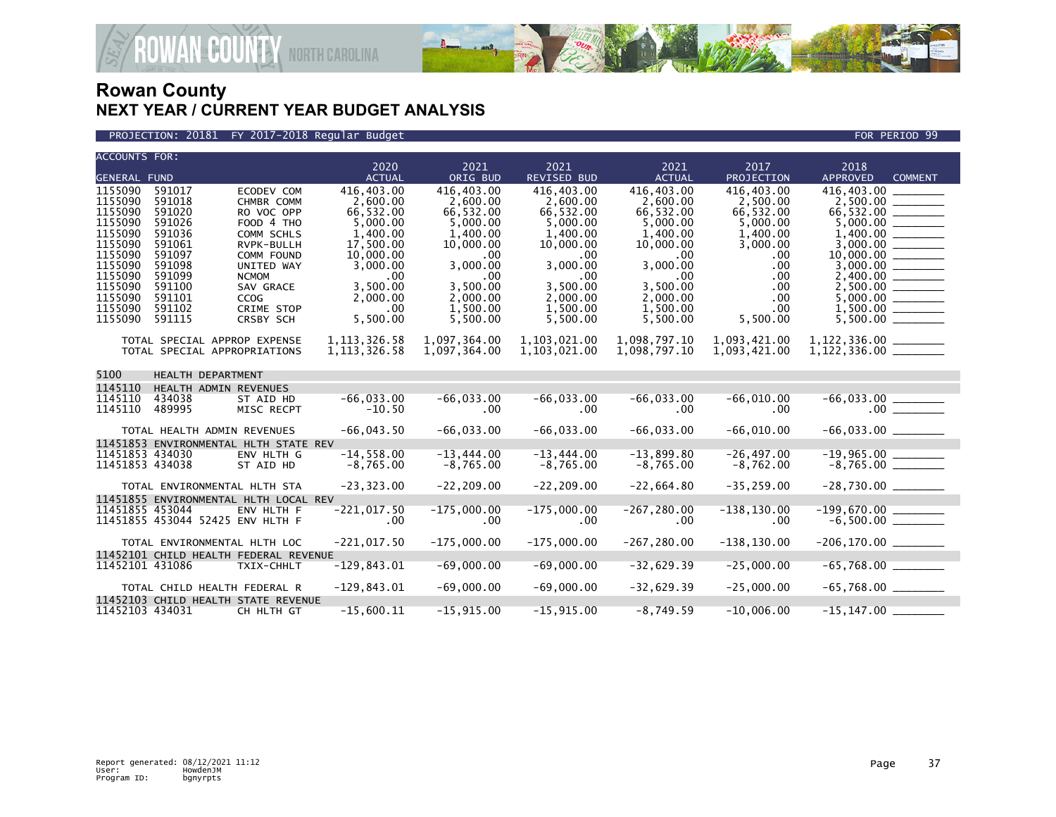

#### PROJECTION: 20181 FY 2017-2018 Regular Budget FOR PERIOD 99

| <b>ACCOUNTS FOR:</b>                                                                                                                        |                                                                                                                                |                                                                                                                                                                                     | 2020                                                                                                                                                | 2021                                                                                                                                                        | 2021                                                                                                                                                        | 2021                                                                                                                                               | 2017                                                                                                                          | 2018                              |  |
|---------------------------------------------------------------------------------------------------------------------------------------------|--------------------------------------------------------------------------------------------------------------------------------|-------------------------------------------------------------------------------------------------------------------------------------------------------------------------------------|-----------------------------------------------------------------------------------------------------------------------------------------------------|-------------------------------------------------------------------------------------------------------------------------------------------------------------|-------------------------------------------------------------------------------------------------------------------------------------------------------------|----------------------------------------------------------------------------------------------------------------------------------------------------|-------------------------------------------------------------------------------------------------------------------------------|-----------------------------------|--|
| <b>GENERAL FUND</b>                                                                                                                         |                                                                                                                                |                                                                                                                                                                                     | <b>ACTUAL</b>                                                                                                                                       | ORIG BUD                                                                                                                                                    | <b>REVISED BUD</b>                                                                                                                                          | <b>ACTUAL</b>                                                                                                                                      | <b>PROJECTION</b>                                                                                                             | <b>APPROVED</b><br><b>COMMENT</b> |  |
| 1155090<br>1155090<br>1155090<br>1155090<br>1155090<br>1155090<br>1155090<br>1155090<br>1155090<br>1155090<br>1155090<br>1155090<br>1155090 | 591017<br>591018<br>591020<br>591026<br>591036<br>591061<br>591097<br>591098<br>591099<br>591100<br>591101<br>591102<br>591115 | ECODEV COM<br>CHMBR COMM<br>RO VOC OPP<br>FOOD 4 THO<br>COMM SCHLS<br>RVPK-BULLH<br>COMM FOUND<br>UNITED WAY<br><b>NCMOM</b><br>SAV GRACE<br>CCOG<br><b>CRIME STOP</b><br>CRSBY SCH | 416,403.00<br>2.600.00<br>66,532.00<br>5,000.00<br>1.400.00<br>17,500.00<br>10,000.00<br>3,000.00<br>.00<br>3,500.00<br>2,000.00<br>.00<br>5,500.00 | 416,403.00<br>2,600.00<br>66,532.00<br>5,000.00<br>1.400.00<br>10,000.00<br>.00<br>3,000.00<br>$.00 \times$<br>3,500.00<br>2.000.00<br>1,500.00<br>5,500.00 | 416,403.00<br>2,600.00<br>66,532.00<br>5,000.00<br>1.400.00<br>10,000.00<br>$.00 \times$<br>3,000.00<br>.00<br>3,500.00<br>2,000.00<br>1,500.00<br>5,500.00 | 416,403.00<br>2,600.00<br>66,532.00<br>5,000.00<br>1,400.00<br>10,000.00<br>.00<br>3,000.00<br>.00<br>3,500.00<br>2,000.00<br>1,500.00<br>5,500.00 | 416,403.00<br>2,500.00<br>66,532.00<br>5,000.00<br>1,400.00<br>3,000.00<br>.00<br>.00<br>.00<br>.00<br>.00<br>.00<br>5,500.00 | 416,403.00<br>1.400.00            |  |
|                                                                                                                                             |                                                                                                                                | TOTAL SPECIAL APPROP EXPENSE<br>TOTAL SPECIAL APPROPRIATIONS                                                                                                                        | 1, 113, 326.58<br>1, 113, 326.58                                                                                                                    | 1,097,364.00<br>1,097,364.00                                                                                                                                | 1,103,021.00<br>1,103,021.00                                                                                                                                | 1,098,797.10<br>1,098,797.10                                                                                                                       | 1,093,421.00<br>1,093,421.00                                                                                                  | 1,122,336.00 ______               |  |
| 5100                                                                                                                                        | HEALTH DEPARTMENT                                                                                                              |                                                                                                                                                                                     |                                                                                                                                                     |                                                                                                                                                             |                                                                                                                                                             |                                                                                                                                                    |                                                                                                                               |                                   |  |
| 1145110                                                                                                                                     |                                                                                                                                | HEALTH ADMIN REVENUES                                                                                                                                                               |                                                                                                                                                     |                                                                                                                                                             |                                                                                                                                                             |                                                                                                                                                    |                                                                                                                               |                                   |  |
| 1145110<br>1145110                                                                                                                          | 434038<br>489995                                                                                                               | ST AID HD<br>MISC RECPT                                                                                                                                                             | $-66,033.00$<br>$-10.50$                                                                                                                            | $-66,033.00$<br>.00                                                                                                                                         | $-66,033.00$<br>$.00 \,$                                                                                                                                    | $-66,033.00$<br>.00                                                                                                                                | $-66,010.00$<br>.00                                                                                                           | $.00$ $\qquad$                    |  |
|                                                                                                                                             |                                                                                                                                | TOTAL HEALTH ADMIN REVENUES                                                                                                                                                         | $-66,043.50$                                                                                                                                        | $-66,033.00$                                                                                                                                                | $-66,033.00$                                                                                                                                                | $-66,033.00$                                                                                                                                       | $-66,010.00$                                                                                                                  |                                   |  |
|                                                                                                                                             |                                                                                                                                | 11451853 ENVIRONMENTAL HLTH STATE REV                                                                                                                                               |                                                                                                                                                     |                                                                                                                                                             |                                                                                                                                                             |                                                                                                                                                    |                                                                                                                               |                                   |  |
|                                                                                                                                             | 11451853 434030<br>11451853 434038                                                                                             | ENV HLTH G<br>ST AID HD                                                                                                                                                             | $-14.558.00$<br>$-8,765.00$                                                                                                                         | $-13,444.00$<br>$-8,765.00$                                                                                                                                 | $-13,444.00$<br>$-8,765.00$                                                                                                                                 | $-13,899.80$<br>$-8,765.00$                                                                                                                        | $-26, 497.00$<br>$-8,762.00$                                                                                                  |                                   |  |
|                                                                                                                                             |                                                                                                                                | TOTAL ENVIRONMENTAL HLTH STA                                                                                                                                                        | $-23, 323.00$                                                                                                                                       | $-22, 209.00$                                                                                                                                               | $-22, 209.00$                                                                                                                                               | $-22,664.80$                                                                                                                                       | $-35, 259.00$                                                                                                                 | $-28,730.00$ _________            |  |
|                                                                                                                                             | 11451855 453044                                                                                                                | 11451855 ENVIRONMENTAL HLTH LOCAL REV<br>ENV HLTH F<br>11451855 453044 52425 ENV HLTH F                                                                                             | $-221,017.50$<br>.00                                                                                                                                | $-175,000.00$<br>.00                                                                                                                                        | $-175,000.00$<br>$.00 \,$                                                                                                                                   | $-267, 280.00$<br>.00                                                                                                                              | $-138, 130.00$<br>.00                                                                                                         |                                   |  |
|                                                                                                                                             |                                                                                                                                | TOTAL ENVIRONMENTAL HLTH LOC                                                                                                                                                        | $-221,017.50$                                                                                                                                       | $-175,000.00$                                                                                                                                               | $-175,000.00$                                                                                                                                               | $-267, 280.00$                                                                                                                                     | $-138, 130.00$                                                                                                                |                                   |  |
|                                                                                                                                             |                                                                                                                                | 11452101 CHILD HEALTH FEDERAL REVENUE                                                                                                                                               |                                                                                                                                                     |                                                                                                                                                             |                                                                                                                                                             |                                                                                                                                                    |                                                                                                                               |                                   |  |
|                                                                                                                                             | 11452101 431086                                                                                                                | TXIX-CHHLT                                                                                                                                                                          | $-129,843.01$                                                                                                                                       | $-69,000.00$                                                                                                                                                | $-69,000.00$                                                                                                                                                | $-32,629.39$                                                                                                                                       | $-25,000.00$                                                                                                                  |                                   |  |
|                                                                                                                                             |                                                                                                                                |                                                                                                                                                                                     |                                                                                                                                                     |                                                                                                                                                             |                                                                                                                                                             |                                                                                                                                                    | $-25,000.00$                                                                                                                  | $-65,768.00$ _________            |  |
|                                                                                                                                             |                                                                                                                                | TOTAL CHILD HEALTH FEDERAL R<br>11452103 CHILD HEALTH STATE REVENUE                                                                                                                 | $-129,843.01$                                                                                                                                       | $-69,000.00$                                                                                                                                                | $-69,000.00$                                                                                                                                                | $-32,629.39$                                                                                                                                       |                                                                                                                               |                                   |  |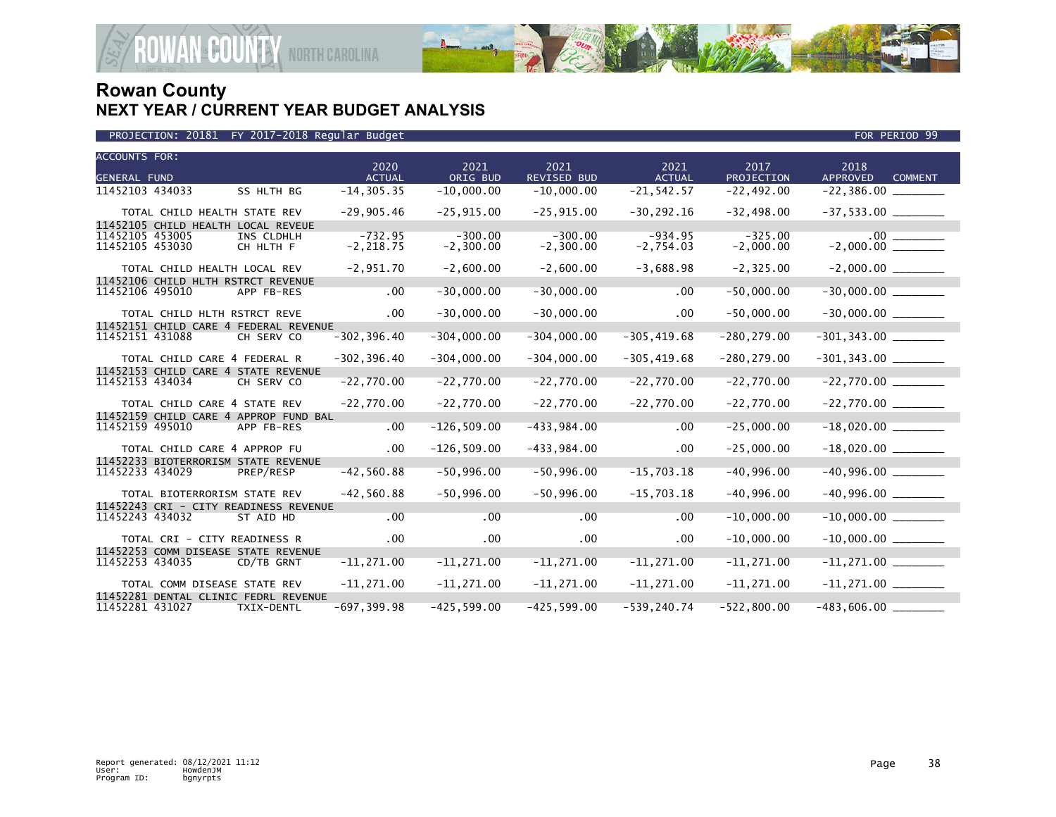

|                                    | PROJECTION: 20181 FY 2017-2018 Regular Budget                 |                           |                           |                          |                          |                          | FOR PERIOD 99                             |
|------------------------------------|---------------------------------------------------------------|---------------------------|---------------------------|--------------------------|--------------------------|--------------------------|-------------------------------------------|
| ACCOUNTS FOR:<br>GENERAL FUND      |                                                               | 2020<br><b>ACTUAL</b>     | 2021<br>ORIG BUD          | 2021<br>REVISED BUD      | 2021<br><b>ACTUAL</b>    | 2017<br>PROJECTION       | 2018<br><b>APPROVED</b><br><b>COMMENT</b> |
| 11452103 434033                    | SS HLTH BG                                                    | $-14, 305.35$             | $-10,000.00$              | $-10,000.00$             | $-21, 542.57$            | $-22,492.00$             |                                           |
|                                    | TOTAL CHILD HEALTH STATE REV                                  | $-29,905.46$              | $-25, 915.00$             | $-25,915.00$             | $-30, 292.16$            | $-32,498.00$             |                                           |
| 11452105 453005<br>11452105 453030 | 11452105 CHILD HEALTH LOCAL REVEUE<br>INS CLDHLH<br>CH HLTH F | $-732.95$<br>$-2, 218.75$ | $-300.00$<br>$-2, 300.00$ | $-300.00$<br>$-2,300.00$ | $-934.95$<br>$-2,754.03$ | $-325.00$<br>$-2,000.00$ | .00<br>$-2,000.00$                        |
|                                    | TOTAL CHILD HEALTH LOCAL REV                                  | $-2,951.70$               | $-2,600.00$               | $-2,600.00$              | $-3,688.98$              | $-2, 325.00$             |                                           |
| 11452106 495010                    | 11452106 CHILD HLTH RSTRCT REVENUE<br>APP FB-RES              | .00                       | $-30,000.00$              | $-30,000.00$             | .00                      | $-50,000.00$             |                                           |
|                                    | TOTAL CHILD HLTH RSTRCT REVE                                  | .00                       | $-30,000.00$              | $-30,000.00$             | .00                      | $-50,000.00$             |                                           |
| 11452151 431088                    | 11452151 CHILD CARE 4 FEDERAL REVENUE<br>CH SERV CO           | $-302, 396.40$            | $-304,000.00$             | $-304,000.00$            | $-305, 419.68$           | $-280, 279.00$           |                                           |
|                                    | TOTAL CHILD CARE 4 FEDERAL R                                  | $-302, 396.40$            | $-304,000.00$             | $-304,000.00$            | $-305, 419.68$           | $-280, 279.00$           |                                           |
| 11452153 434034                    | 11452153 CHILD CARE 4 STATE REVENUE<br>CH SERV CO             | $-22,770.00$              | $-22,770.00$              | $-22,770.00$             | $-22,770.00$             | $-22,770.00$             | $-22,770.00$                              |
|                                    | TOTAL CHILD CARE 4 STATE REV                                  | $-22,770.00$              | $-22,770.00$              | $-22,770.00$             | $-22,770.00$             | $-22,770.00$             |                                           |
|                                    | 11452159 CHILD CARE 4 APPROP FUND BAL                         |                           |                           |                          |                          |                          |                                           |
| 11452159 495010                    | APP FB-RES                                                    | .00                       | $-126, 509.00$            | $-433,984.00$            | .00                      | $-25,000.00$             |                                           |
|                                    | TOTAL CHILD CARE 4 APPROP FU                                  | .00                       | $-126, 509.00$            | $-433,984.00$            | $.00 \,$                 | $-25,000.00$             |                                           |
| 11452233 434029                    | 11452233 BIOTERRORISM STATE REVENUE<br>PREP/RESP              | $-42,560.88$              | $-50,996.00$              | $-50,996.00$             | $-15,703.18$             | $-40,996.00$             | $-40,996.00$                              |
|                                    | TOTAL BIOTERRORISM STATE REV                                  | $-42,560.88$              | $-50,996.00$              | $-50,996.00$             | $-15,703.18$             | $-40,996.00$             |                                           |
| 11452243 434032                    | 11452243 CRI - CITY READINESS REVENUE<br>ST AID HD            | $.00 \,$                  | .00                       | .00                      | .00                      | $-10,000.00$             | $-10,000.00$                              |
|                                    | TOTAL CRI - CITY READINESS R                                  | .00                       | $.00 \,$                  | $.00 \times$             | .00                      | $-10,000.00$             |                                           |
| 11452253 434035                    | 11452253 COMM DISEASE STATE REVENUE<br>CD/TB GRNT             | $-11,271.00$              | $-11,271.00$              | $-11,271.00$             | $-11,271.00$             | $-11,271.00$             |                                           |
|                                    | TOTAL COMM DISEASE STATE REV                                  | $-11,271.00$              | $-11,271.00$              | $-11,271.00$             | $-11,271.00$             | $-11,271.00$             |                                           |
| 11452281 431027                    | 11452281 DENTAL CLINIC FEDRL REVENUE<br>TXIX-DENTL            | $-697, 399.98$            | $-425, 599.00$            | $-425, 599.00$           | $-539.240.74$            | $-522,800.00$            | $-483,606.00$                             |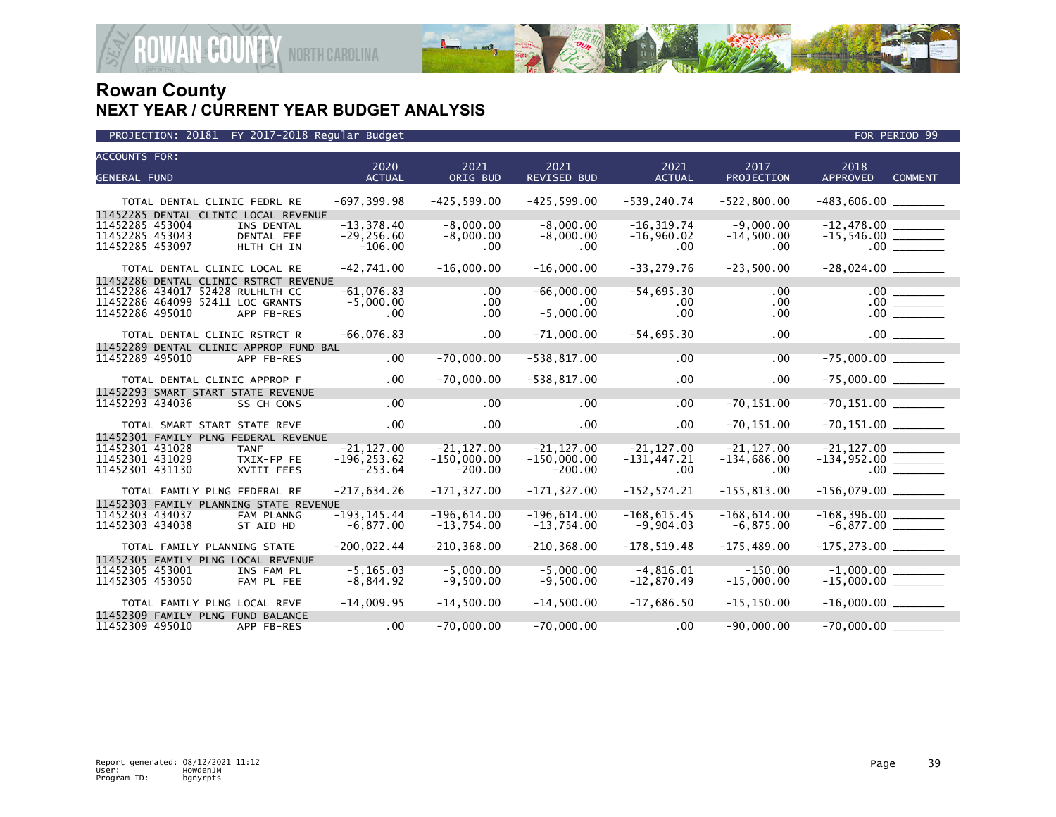

| <b>ACCOUNTS FOR:</b>                   | 2020           | 2021           | 2021           | 2021           | 2017           | 2018                              |
|----------------------------------------|----------------|----------------|----------------|----------------|----------------|-----------------------------------|
| <b>GENERAL FUND</b>                    | <b>ACTUAL</b>  | ORIG BUD       | REVISED BUD    | <b>ACTUAL</b>  | PROJECTION     | <b>APPROVED</b><br><b>COMMENT</b> |
|                                        |                |                |                |                |                |                                   |
| TOTAL DENTAL CLINIC FEDRL RE           | $-697, 399.98$ | $-425, 599.00$ | $-425,599.00$  | $-539, 240.74$ | $-522,800.00$  |                                   |
| 11452285 DENTAL CLINIC LOCAL REVENUE   |                |                |                |                |                |                                   |
| 11452285 453004<br>INS DENTAL          | $-13.378.40$   | $-8,000.00$    | $-8,000.00$    | $-16, 319.74$  | $-9.000.00$    | $-12,478.00$                      |
| 11452285 453043<br>DENTAL FEE          | $-29, 256.60$  | $-8,000.00$    | $-8,000.00$    | $-16,960.02$   | $-14,500.00$   |                                   |
| 11452285 453097<br>HLTH CH IN          | $-106.00$      | $.00 \,$       | .00            | $.00 \,$       | $.00 \,$       | .00                               |
| TOTAL DENTAL CLINIC LOCAL RE           | $-42,741.00$   | $-16,000.00$   | $-16,000.00$   | $-33, 279.76$  | $-23,500.00$   |                                   |
| 11452286 DENTAL CLINIC RSTRCT REVENUE  |                |                |                |                |                |                                   |
| 11452286 434017 52428 RULHLTH CC       | $-61,076.83$   | .00            | $-66,000.00$   | $-54,695.30$   | .00            | $\frac{00}{00}$                   |
| 11452286 464099 52411 LOC GRANTS       | $-5,000.00$    | $.00 \,$       | $.00 \,$       | .00            | $.00 \,$       |                                   |
| 11452286 495010<br>APP FB-RES          | .00            | $.00 \,$       | $-5,000.00$    | .00            | $.00 \,$       |                                   |
| TOTAL DENTAL CLINIC RSTRCT R           | $-66,076.83$   | $.00 \,$       | $-71,000.00$   | $-54,695.30$   | .00            |                                   |
| 11452289 DENTAL CLINIC APPROP FUND BAL |                |                |                |                |                |                                   |
| 11452289 495010<br>APP FB-RES          | .00            | $-70,000.00$   | $-538, 817.00$ | .00            | .00            | $-75,000.00$ _________            |
| TOTAL DENTAL CLINIC APPROP F           | $.00 \,$       | $-70,000.00$   | $-538, 817.00$ | .00            | $.00 \,$       | $-75,000.00$ _________            |
| 11452293 SMART START STATE REVENUE     |                |                |                |                |                |                                   |
| 11452293 434036<br>SS CH CONS          | .00            | .00            | $.00 \times$   | .00            | $-70, 151.00$  | $-70, 151.00$ _________           |
| TOTAL SMART START STATE REVE           | .00            | $.00 \times$   | $.00 \times$   | .00            | $-70, 151.00$  |                                   |
| 11452301 FAMILY PLNG FEDERAL REVENUE   |                |                |                |                |                |                                   |
| 11452301 431028<br><b>TANF</b>         | $-21.127.00$   | $-21.127.00$   | $-21.127.00$   | $-21.127.00$   | $-21.127.00$   |                                   |
| 11452301 431029<br>TXIX-FP FE          | $-196, 253.62$ | $-150,000.00$  | $-150,000.00$  | $-131, 447.21$ | $-134,686.00$  |                                   |
| 11452301 431130<br>XVIII FEES          | $-253.64$      | $-200.00$      | $-200.00$      | .00            | $.00 \,$       |                                   |
| TOTAL FAMILY PLNG FEDERAL RE           | $-217,634.26$  | $-171, 327.00$ | $-171, 327.00$ | $-152, 574.21$ | $-155, 813.00$ | $-156,079.00$ ________            |
| 11452303 FAMILY PLANNING STATE REVENUE |                |                |                |                |                |                                   |
| 11452303 434037<br>FAM PLANNG          | $-193, 145.44$ | $-196,614.00$  | $-196,614.00$  | $-168, 615.45$ | $-168,614.00$  |                                   |
| 11452303 434038<br>ST AID HD           | $-6,877.00$    | $-13,754.00$   | $-13,754.00$   | $-9,904.03$    | $-6,875.00$    |                                   |
| TOTAL FAMILY PLANNING STATE            | $-200,022.44$  | $-210, 368.00$ | $-210, 368.00$ | $-178, 519.48$ | $-175,489.00$  | $-175, 273.00$ ________           |
| 11452305 FAMILY PLNG LOCAL REVENUE     |                |                |                |                |                |                                   |
| 11452305 453001<br>INS FAM PL          | $-5, 165.03$   | $-5,000.00$    | $-5,000.00$    | $-4,816.01$    | $-150.00$      |                                   |
| 11452305 453050<br>FAM PL FEE          | $-8,844.92$    | $-9,500.00$    | $-9,500.00$    | $-12,870.49$   | $-15,000.00$   |                                   |
|                                        |                |                |                |                |                |                                   |
| TOTAL FAMILY PLNG LOCAL REVE           | $-14,009.95$   | $-14,500.00$   | $-14,500.00$   | $-17,686.50$   | $-15, 150.00$  | $-16,000.00$ _________            |
| 11452309 FAMILY PLNG FUND BALANCE      |                |                |                |                |                |                                   |
| 11452309 495010<br>APP FB-RES          | .00            | $-70,000.00$   | $-70,000.00$   | $.00 \,$       | $-90,000.00$   | $-70,000.00$ __                   |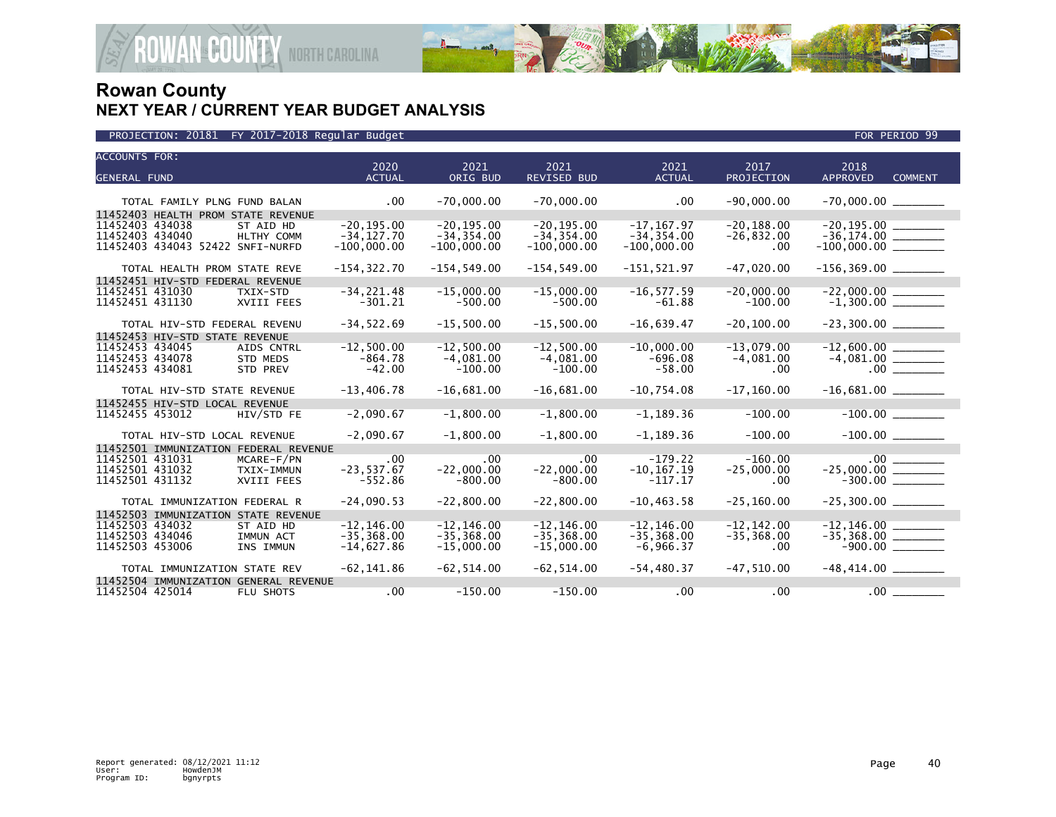

| <b>ACCOUNTS FOR:</b>                  |                       |                  |                     |                       |                    | 2018                                  |                |
|---------------------------------------|-----------------------|------------------|---------------------|-----------------------|--------------------|---------------------------------------|----------------|
| <b>GENERAL FUND</b>                   | 2020<br><b>ACTUAL</b> | 2021<br>ORIG BUD | 2021<br>REVISED BUD | 2021<br><b>ACTUAL</b> | 2017<br>PROJECTION | <b>APPROVED</b>                       | <b>COMMENT</b> |
|                                       |                       |                  |                     |                       |                    |                                       |                |
| TOTAL FAMILY PLNG FUND BALAN          | $.00 \,$              | $-70,000.00$     | $-70,000.00$        | $.00 \,$              | $-90,000.00$       |                                       |                |
| 11452403 HEALTH PROM STATE REVENUE    |                       |                  |                     |                       |                    |                                       |                |
| 11452403 434038<br>ST AID HD          | $-20.195.00$          | $-20.195.00$     | $-20.195.00$        | $-17.167.97$          | $-20.188.00$       | $-20,195.00$                          |                |
| 11452403 434040<br>HLTHY COMM         | $-34, 127.70$         | $-34, 354.00$    | $-34, 354.00$       | $-34, 354.00$         | $-26,832.00$       |                                       |                |
| 11452403 434043 52422 SNFI-NURFD      | $-100,000.00$         | $-100,000.00$    | $-100,000.00$       | $-100,000.00$         | .00                | $-100,000.00$ _________               |                |
| TOTAL HEALTH PROM STATE REVE          | $-154, 322.70$        | $-154, 549.00$   | $-154, 549.00$      | $-151, 521.97$        | $-47.020.00$       | $-156, 369.00$ ________               |                |
| 11452451 HIV-STD FEDERAL REVENUE      |                       |                  |                     |                       |                    |                                       |                |
| 11452451 431030<br>TXIX-STD           | $-34, 221.48$         | $-15,000.00$     | $-15,000.00$        | $-16, 577.59$         | $-20.000.00$       | $-22,000.00$<br>$-1,300.00$           |                |
| 11452451 431130<br>XVIII FEES         | $-301.21$             | $-500.00$        | $-500.00$           | $-61.88$              | $-100.00$          |                                       |                |
| TOTAL HIV-STD FEDERAL REVENU          | $-34, 522.69$         | $-15,500.00$     | $-15,500.00$        | $-16,639.47$          | $-20, 100.00$      | $-23,300.00$ ________                 |                |
| 11452453 HIV-STD STATE REVENUE        |                       |                  |                     |                       |                    |                                       |                |
| 11452453 434045<br>AIDS CNTRL         | $-12.500.00$          | $-12.500.00$     | $-12.500.00$        | $-10,000.00$          | $-13.079.00$       | $-12,600.00$                          |                |
| 11452453 434078<br><b>STD MEDS</b>    | $-864.78$             | $-4.081.00$      | $-4.081.00$         | $-696.08$             | $-4,081.00$        |                                       |                |
| 11452453 434081<br>STD PREV           | $-42.00$              | $-100.00$        | $-100.00$           | $-58.00$              | .00                |                                       |                |
| TOTAL HIV-STD STATE REVENUE           | $-13,406.78$          | $-16,681.00$     | $-16,681.00$        | $-10,754.08$          | $-17, 160.00$      |                                       |                |
| 11452455 HIV-STD LOCAL REVENUE        |                       |                  |                     |                       |                    |                                       |                |
| 11452455 453012<br>HIV/STD FE         | $-2,090.67$           | $-1,800.00$      | $-1,800.00$         | $-1, 189.36$          | $-100.00$          |                                       |                |
| TOTAL HIV-STD LOCAL REVENUE           | $-2,090.67$           | $-1,800.00$      | $-1,800.00$         | $-1,189.36$           | $-100.00$          |                                       |                |
| 11452501 IMMUNIZATION FEDERAL REVENUE |                       |                  |                     |                       |                    |                                       |                |
| 11452501 431031<br>MCARE-F/PN         | .00                   | .00              | .00                 | $-179.22$             | $-160.00$          | $-25,000.00$<br>-25,000.00<br>-300.00 |                |
| 11452501 431032<br>TXIX-IMMUN         | $-23, 537.67$         | $-22,000.00$     | $-22,000.00$        | $-10, 167.19$         | $-25,000.00$       |                                       |                |
| 11452501 431132<br>XVIII FEES         | $-552.86$             | $-800.00$        | $-800.00$           | $-117.17$             | .00                |                                       |                |
| TOTAL IMMUNIZATION FEDERAL R          | $-24,090.53$          | $-22.800.00$     | $-22.800.00$        | $-10.463.58$          | $-25.160.00$       |                                       |                |
| 11452503 IMMUNIZATION STATE REVENUE   |                       |                  |                     |                       |                    |                                       |                |
| 11452503 434032<br>ST AID HD          | $-12.146.00$          | $-12.146.00$     | $-12.146.00$        | $-12, 146.00$         | $-12.142.00$       | $-12, 146.00$                         |                |
| 11452503 434046<br>IMMUN ACT          | $-35, 368.00$         | $-35, 368.00$    | $-35, 368.00$       | $-35, 368.00$         | $-35, 368.00$      | $-35,368.00$ _________                |                |
| 11452503 453006<br>INS IMMUN          | $-14,627.86$          | $-15,000.00$     | $-15,000.00$        | $-6,966.37$           | .00                |                                       |                |
| TOTAL IMMUNIZATION STATE REV          | $-62, 141.86$         | $-62, 514.00$    | $-62, 514.00$       | $-54, 480.37$         | $-47,510.00$       | $-48,414.00$ ________                 |                |
| 11452504 IMMUNIZATION GENERAL REVENUE |                       |                  |                     |                       |                    |                                       |                |
| 11452504 425014<br>FLU SHOTS          | .00                   | $-150.00$        | $-150.00$           | $.00 \,$              | .00                |                                       | .00            |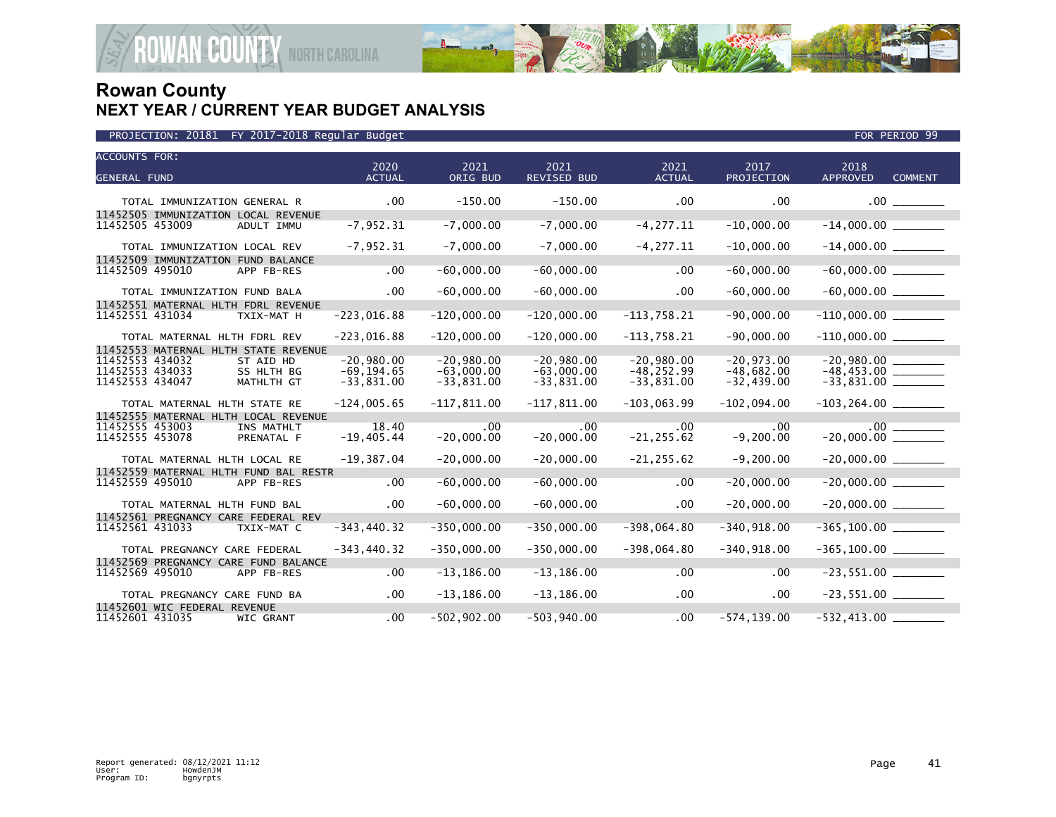

| <b>ACCOUNTS FOR:</b>               |                              |                                                   | 2020                         | 2021                         | 2021                         | 2021                          | 2017                         | 2018                     |                |
|------------------------------------|------------------------------|---------------------------------------------------|------------------------------|------------------------------|------------------------------|-------------------------------|------------------------------|--------------------------|----------------|
| <b>GENERAL FUND</b>                |                              |                                                   | <b>ACTUAL</b>                | ORIG BUD                     | <b>REVISED BUD</b>           | <b>ACTUAL</b>                 | <b>PROJECTION</b>            | <b>APPROVED</b>          | <b>COMMENT</b> |
|                                    | TOTAL IMMUNIZATION GENERAL R |                                                   | $.00 \times$                 | $-150.00$                    | $-150.00$                    | $.00 \,$                      | .00                          |                          | $.00$ ______   |
| 11452505 453009                    |                              | 11452505 IMMUNIZATION LOCAL REVENUE<br>ADULT IMMU | $-7,952.31$                  | $-7,000.00$                  | $-7,000.00$                  | $-4, 277.11$                  | $-10,000.00$                 |                          |                |
|                                    | TOTAL IMMUNIZATION LOCAL REV |                                                   | $-7,952.31$                  | $-7,000.00$                  | $-7,000.00$                  | $-4, 277.11$                  | $-10,000.00$                 |                          |                |
| 11452509 495010                    |                              | 11452509 IMMUNIZATION FUND BALANCE<br>APP FB-RES  | .00                          | $-60,000.00$                 | $-60,000.00$                 | .00                           | $-60,000.00$                 |                          |                |
|                                    | TOTAL IMMUNIZATION FUND BALA |                                                   | $.00 \,$                     | $-60,000.00$                 | $-60,000.00$                 | $.00 \,$                      | $-60,000.00$                 |                          |                |
|                                    |                              | 11452551 MATERNAL HLTH FDRL REVENUE               |                              |                              |                              |                               |                              |                          |                |
| 11452551 431034                    |                              | TXIX-MAT H                                        | $-223,016.88$                | $-120,000.00$                | $-120,000.00$                | $-113,758.21$                 | $-90,000.00$                 | $-110,000.00$            |                |
|                                    | TOTAL MATERNAL HLTH FDRL REV |                                                   | $-223,016.88$                | $-120,000.00$                | $-120,000.00$                | $-113,758.21$                 | $-90,000.00$                 |                          |                |
|                                    |                              | 11452553 MATERNAL HLTH STATE REVENUE              |                              |                              |                              |                               |                              |                          |                |
| 11452553 434032<br>11452553 434033 |                              | ST AID HD<br>SS HLTH BG                           | $-20.980.00$<br>$-69.194.65$ | $-20,980.00$<br>$-63,000.00$ | $-20,980.00$<br>$-63,000.00$ | $-20,980.00$<br>$-48, 252.99$ | $-20,973.00$<br>$-48,682.00$ |                          |                |
| 11452553 434047                    |                              | MATHLTH GT                                        | $-33,831.00$                 | $-33,831.00$                 | $-33,831.00$                 | $-33,831.00$                  | $-32, 439.00$                |                          |                |
|                                    | TOTAL MATERNAL HLTH STATE RE |                                                   | $-124,005.65$                | $-117,811.00$                | $-117,811.00$                | $-103,063.99$                 | $-102,094.00$                | $-103, 264.00$ _________ |                |
|                                    |                              | 11452555 MATERNAL HLTH LOCAL REVENUE              |                              |                              |                              |                               |                              |                          |                |
| 11452555 453003<br>11452555 453078 |                              | INS MATHLT<br>PRENATAL F                          | 18.40<br>$-19,405.44$        | $.00 \,$<br>$-20,000.00$     | .00<br>$-20,000.00$          | .00<br>$-21, 255.62$          | .00<br>$-9, 200.00$          |                          |                |
|                                    | TOTAL MATERNAL HLTH LOCAL RE |                                                   | $-19,387.04$                 | $-20,000.00$                 | $-20,000.00$                 | $-21, 255.62$                 | $-9,200.00$                  |                          |                |
|                                    |                              | 11452559 MATERNAL HLTH FUND BAL RESTR             |                              |                              |                              |                               |                              |                          |                |
| 11452559 495010                    |                              | APP FB-RES                                        | .00                          | $-60,000.00$                 | $-60,000.00$                 | .00                           | $-20,000.00$                 | $-20,000.00$             |                |
|                                    | TOTAL MATERNAL HLTH FUND BAL |                                                   | $.00 \,$                     | $-60,000.00$                 | $-60,000.00$                 | .00                           | $-20,000.00$                 | $-20,000.00$ _________   |                |
|                                    |                              | 11452561 PREGNANCY CARE FEDERAL REV               |                              |                              |                              |                               |                              |                          |                |
| 11452561 431033                    |                              | TXIX-MAT C                                        | $-343, 440.32$               | $-350,000.00$                | $-350,000.00$                | $-398,064.80$                 | $-340, 918.00$               |                          |                |
|                                    | TOTAL PREGNANCY CARE FEDERAL |                                                   | $-343, 440.32$               | $-350,000.00$                | $-350,000.00$                | $-398,064.80$                 | $-340, 918.00$               | $-365, 100.00$ _________ |                |
| 11452569 495010                    |                              | 11452569 PREGNANCY CARE FUND BALANCE              | .00                          | $-13, 186.00$                | $-13, 186.00$                | .00                           | .00                          |                          |                |
|                                    |                              | APP FB-RES                                        |                              |                              |                              |                               |                              |                          |                |
|                                    | TOTAL PREGNANCY CARE FUND BA |                                                   | .00                          | $-13, 186.00$                | $-13, 186.00$                | $.00 \times$                  | $.00 \,$                     | $-23,551.00$ ________    |                |
| 11452601 431035                    | 11452601 WIC FEDERAL REVENUE | WIC GRANT                                         | .00 <sub>1</sub>             | $-502,902.00$                | $-503,940.00$                | .00                           | $-574, 139.00$               | $-532,413.00$ $-$        |                |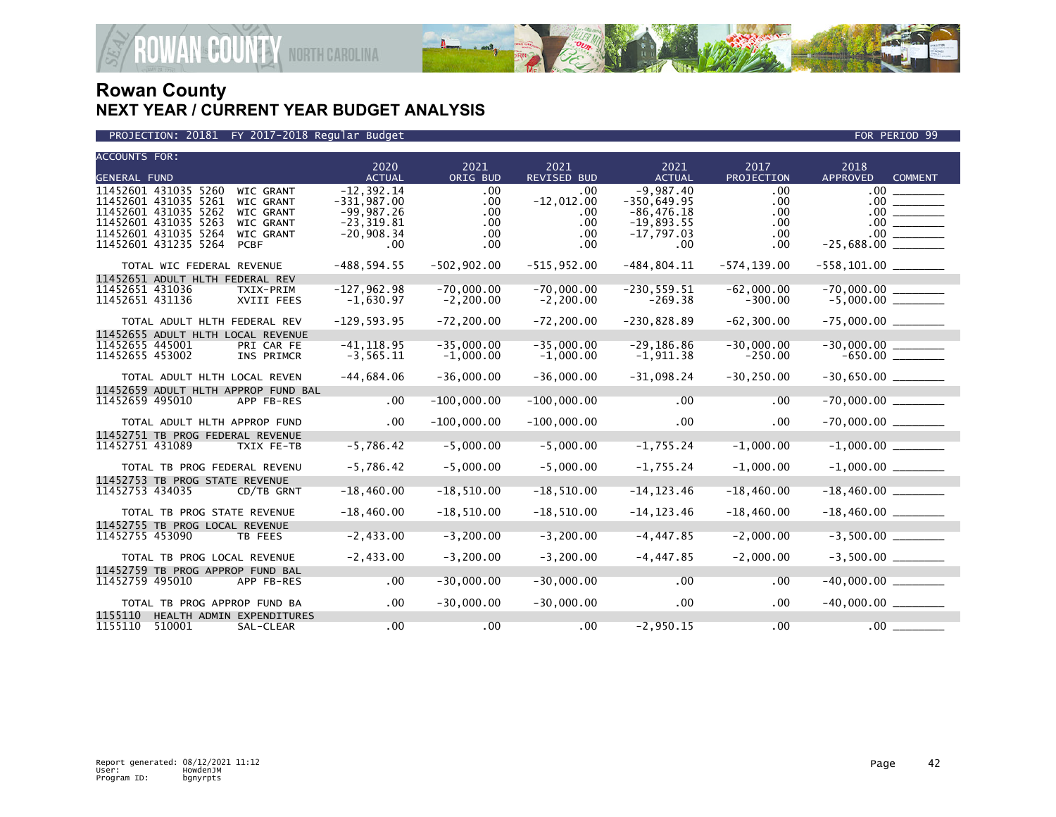

| <b>ACCOUNTS FOR:</b>                                                                 | 2020                          | 2021                        | 2021                        | 2021                          | 2017                      | 2018                              |
|--------------------------------------------------------------------------------------|-------------------------------|-----------------------------|-----------------------------|-------------------------------|---------------------------|-----------------------------------|
| <b>GENERAL FUND</b>                                                                  | <b>ACTUAL</b>                 | ORIG BUD                    | <b>REVISED BUD</b>          | <b>ACTUAL</b>                 | PROJECTION                | <b>APPROVED</b><br><b>COMMENT</b> |
| 11452601 431035 5260<br><b>WIC GRANT</b>                                             | $-12.392.14$                  | .00                         | .00.                        | $-9,987.40$                   | .00                       | $.00 \,$                          |
| 11452601 431035 5261<br><b>WIC GRANT</b>                                             | $-331,987.00$                 | .00                         | $-12,012.00$                | $-350,649.95$                 | .00                       | .00.                              |
| 11452601 431035 5262<br><b>WIC GRANT</b><br>11452601 431035 5263<br><b>WIC GRANT</b> | $-99,987.26$<br>$-23, 319.81$ | .00<br>.00                  | .00<br>.00                  | $-86, 476.18$<br>$-19,893.55$ | .00<br>.00                | $.00 \,$                          |
| 11452601 431035 5264<br><b>WIC GRANT</b>                                             | $-20,908.34$                  | .00                         | .00                         | $-17,797.03$                  | .00.                      | .00 <sub>1</sub>                  |
| 11452601 431235 5264<br><b>PCBF</b>                                                  | .00                           | .00                         | $.00 \,$                    | .00.                          | .00.                      | $-25,688.00$                      |
|                                                                                      |                               |                             |                             |                               |                           |                                   |
| TOTAL WIC FEDERAL REVENUE                                                            | $-488, 594.55$                | $-502, 902.00$              | $-515,952.00$               | $-484, 804.11$                | $-574, 139.00$            | $-558, 101.00$ _________          |
| 11452651 ADULT HLTH FEDERAL REV                                                      |                               | $-70,000.00$                | $-70,000.00$                |                               |                           |                                   |
| 11452651 431036<br>TXIX-PRIM<br>11452651 431136<br>XVIII FEES                        | $-127,962.98$<br>$-1,630.97$  | $-2, 200.00$                | $-2, 200.00$                | $-230, 559.51$<br>$-269.38$   | $-62,000.00$<br>$-300.00$ | $-70,000.00$<br>-5,000.00         |
|                                                                                      |                               |                             |                             |                               |                           |                                   |
| TOTAL ADULT HLTH FEDERAL REV                                                         | $-129,593.95$                 | $-72, 200.00$               | $-72, 200.00$               | $-230,828.89$                 | $-62, 300.00$             |                                   |
| 11452655 ADULT HLTH LOCAL REVENUE                                                    |                               |                             |                             |                               |                           |                                   |
| 11452655 445001<br>PRI CAR FE<br>11452655 453002<br>INS PRIMCR                       | $-41, 118.95$<br>$-3, 565.11$ | $-35,000.00$<br>$-1,000.00$ | $-35,000.00$<br>$-1,000.00$ | $-29, 186.86$<br>$-1,911.38$  | $-30,000.00$<br>$-250.00$ |                                   |
|                                                                                      |                               |                             |                             |                               |                           |                                   |
| TOTAL ADULT HLTH LOCAL REVEN                                                         | $-44,684.06$                  | $-36,000.00$                | $-36,000.00$                | $-31,098.24$                  | $-30, 250.00$             |                                   |
| 11452659 ADULT HLTH APPROP FUND BAL                                                  |                               |                             |                             |                               |                           |                                   |
| 11452659 495010<br>APP FB-RES                                                        | .00                           | $-100,000.00$               | $-100,000.00$               | .00                           | .00                       |                                   |
| TOTAL ADULT HLTH APPROP FUND                                                         | $.00 \,$                      | $-100,000.00$               | $-100,000.00$               | $.00 \times$                  | .00                       |                                   |
| 11452751 TB PROG FEDERAL REVENUE                                                     |                               |                             |                             |                               |                           |                                   |
| 11452751 431089<br>TXIX FE-TB                                                        | $-5,786.42$                   | $-5,000.00$                 | $-5,000.00$                 | $-1,755.24$                   | $-1,000.00$               | $-1,000.00$                       |
|                                                                                      |                               |                             |                             |                               |                           |                                   |
| TOTAL TB PROG FEDERAL REVENU                                                         | $-5,786.42$                   | $-5,000.00$                 | $-5,000.00$                 | $-1,755.24$                   | $-1,000.00$               |                                   |
| 11452753 TB PROG STATE REVENUE<br>11452753 434035<br>CD/TB GRNT                      | $-18,460.00$                  | $-18,510.00$                | $-18,510.00$                | $-14, 123.46$                 | $-18,460.00$              |                                   |
|                                                                                      |                               |                             |                             |                               |                           |                                   |
| TOTAL TB PROG STATE REVENUE                                                          | $-18,460.00$                  | $-18, 510.00$               | $-18,510.00$                | $-14, 123.46$                 | $-18,460.00$              |                                   |
| 11452755 TB PROG LOCAL REVENUE                                                       |                               |                             |                             |                               |                           |                                   |
| 11452755 453090<br>TB FEES                                                           | $-2,433.00$                   | $-3, 200.00$                | $-3, 200.00$                | $-4, 447.85$                  | $-2,000.00$               |                                   |
| TOTAL TB PROG LOCAL REVENUE                                                          | $-2,433.00$                   | $-3, 200.00$                | $-3,200.00$                 | $-4, 447.85$                  | $-2,000.00$               |                                   |
| 11452759 TB PROG APPROP FUND BAL                                                     |                               |                             |                             |                               |                           |                                   |
| 11452759 495010<br>APP FB-RES                                                        | .00                           | $-30,000.00$                | $-30,000.00$                | $.00 \,$                      | .00                       |                                   |
|                                                                                      |                               |                             |                             |                               |                           |                                   |
| TOTAL TB PROG APPROP FUND BA                                                         | .00                           | $-30,000.00$                | $-30,000.00$                | .00                           | .00                       |                                   |
| 1155110<br>HEALTH ADMIN EXPENDITURES                                                 |                               |                             |                             |                               |                           |                                   |
| 1155110<br>510001<br>SAL-CLEAR                                                       | .00                           | .00                         | .00                         | $-2,950.15$                   | .00                       | $.00 \,$                          |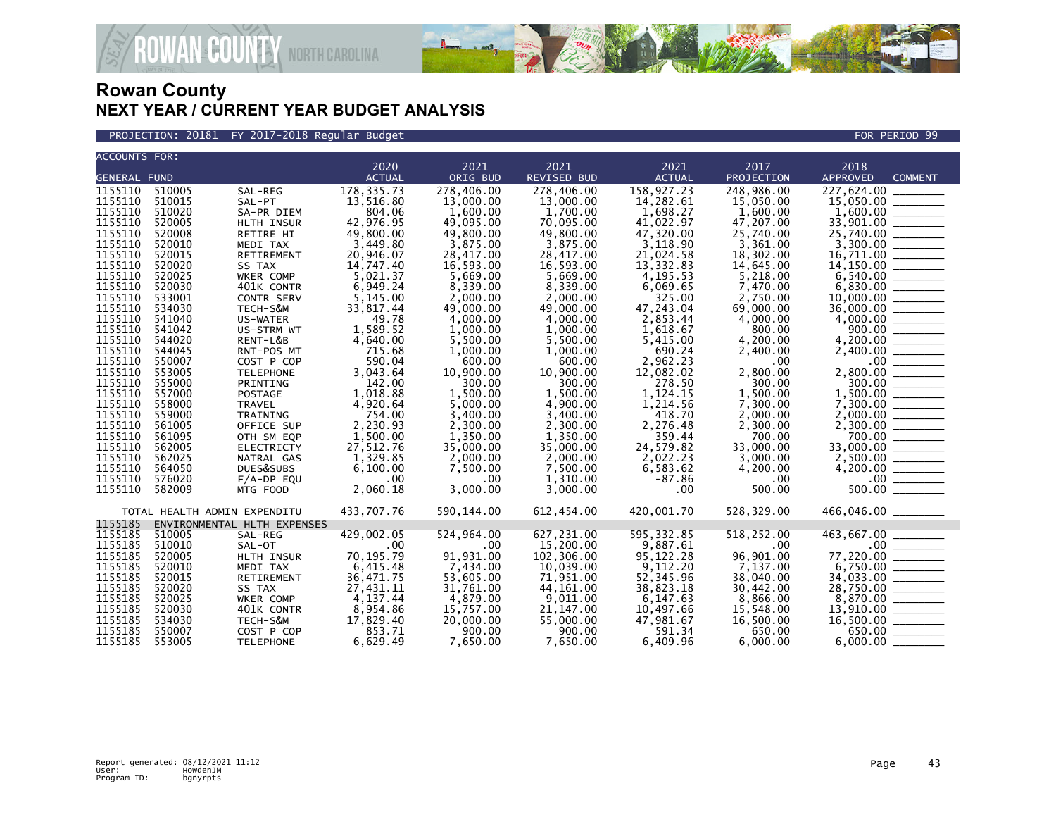

PROJECTION: 20181 FY 2017-2018 Regular Budget FOR PERIOD 99

| <b>ACCOUNTS FOR:</b> |                              |                             | 2020          | 2021        | 2021               | 2021          | 2017       | 2018                                                                                                                                                                                                                                                                                                                                                                                                                                                                                   |
|----------------------|------------------------------|-----------------------------|---------------|-------------|--------------------|---------------|------------|----------------------------------------------------------------------------------------------------------------------------------------------------------------------------------------------------------------------------------------------------------------------------------------------------------------------------------------------------------------------------------------------------------------------------------------------------------------------------------------|
| <b>GENERAL FUND</b>  |                              |                             | <b>ACTUAL</b> | ORIG BUD    | <b>REVISED BUD</b> | <b>ACTUAL</b> | PROJECTION | <b>APPROVED</b><br><b>COMMENT</b>                                                                                                                                                                                                                                                                                                                                                                                                                                                      |
| 1155110              | 510005                       |                             |               | 278,406.00  | 278,406.00         | 158,927.23    | 248,986.00 | 227,624.00                                                                                                                                                                                                                                                                                                                                                                                                                                                                             |
|                      |                              | SAL-REG                     | 178, 335.73   |             |                    |               |            |                                                                                                                                                                                                                                                                                                                                                                                                                                                                                        |
| 1155110              | 510015                       | SAL-PT                      | 13,516.80     | 13,000.00   | 13,000.00          | 14,282.61     | 15,050.00  |                                                                                                                                                                                                                                                                                                                                                                                                                                                                                        |
| 1155110              | 510020                       | SA-PR DIEM                  | 804.06        | 1,600.00    | 1,700.00           | 1,698.27      | 1,600.00   |                                                                                                                                                                                                                                                                                                                                                                                                                                                                                        |
| 1155110              | 520005                       | HLTH INSUR                  | 42,976.95     | 49,095.00   | 70,095.00          | 41,022.97     | 47,207.00  |                                                                                                                                                                                                                                                                                                                                                                                                                                                                                        |
| 1155110              | 520008                       | RETIRE HI                   | 49,800.00     | 49,800.00   | 49,800.00          | 47,320.00     | 25,740.00  | 25,740.00 _______                                                                                                                                                                                                                                                                                                                                                                                                                                                                      |
| 1155110              | 520010                       | MEDI TAX                    | 3.449.80      | 3,875.00    | 3.875.00           | 3.118.90      | 3,361.00   |                                                                                                                                                                                                                                                                                                                                                                                                                                                                                        |
| 1155110              | 520015                       | <b>RETIREMENT</b>           | 20,946.07     | 28,417.00   | 28,417.00          | 21,024.58     | 18,302.00  |                                                                                                                                                                                                                                                                                                                                                                                                                                                                                        |
| 1155110              | 520020                       | SS TAX                      | 14,747.40     | 16.593.00   | 16,593.00          | 13,332.83     | 14,645.00  |                                                                                                                                                                                                                                                                                                                                                                                                                                                                                        |
| 1155110              | 520025                       | WKER COMP                   | 5,021.37      | 5,669.00    | 5.669.00           | 4,195.53      | 5,218.00   |                                                                                                                                                                                                                                                                                                                                                                                                                                                                                        |
| 1155110              | 520030                       | 401K CONTR                  | 6,949.24      | 8,339.00    | 8,339.00           | 6,069.65      | 7,470.00   |                                                                                                                                                                                                                                                                                                                                                                                                                                                                                        |
| 1155110              | 533001                       | CONTR SERV                  | 5,145.00      | 2.000.00    | 2.000.00           | 325.00        | 2,750.00   |                                                                                                                                                                                                                                                                                                                                                                                                                                                                                        |
| 1155110              | 534030                       | TECH-S&M                    | 33,817.44     | 49,000.00   | 49,000.00          | 47,243.04     | 69,000.00  | 36,000.00                                                                                                                                                                                                                                                                                                                                                                                                                                                                              |
| 1155110              | 541040                       | US-WATER                    | 49.78         | 4,000.00    | 4,000.00           | 2,853.44      | 4,000.00   |                                                                                                                                                                                                                                                                                                                                                                                                                                                                                        |
| 1155110              | 541042                       | US-STRM WT                  | 1,589.52      | 1,000.00    | 1,000.00           | 1,618.67      | 800.00     |                                                                                                                                                                                                                                                                                                                                                                                                                                                                                        |
| 1155110              | 544020                       | RENT-L&B                    | 4,640.00      | 5,500.00    | 5,500.00           | 5,415.00      | 4,200.00   | 4,200.00 ________                                                                                                                                                                                                                                                                                                                                                                                                                                                                      |
| 1155110              | 544045                       | RNT-POS MT                  | 715.68        | 1,000.00    | 1,000.00           | 690.24        | 2,400.00   | 2,400.00                                                                                                                                                                                                                                                                                                                                                                                                                                                                               |
| 1155110              | 550007                       | COST P COP                  | 590.04        | 600.00      | 600.00             | 2,962.23      | .00        | .00                                                                                                                                                                                                                                                                                                                                                                                                                                                                                    |
| 1155110              | 553005                       | <b>TELEPHONE</b>            | 3,043.64      | 10.900.00   | 10,900.00          | 12,082.02     | 2,800.00   |                                                                                                                                                                                                                                                                                                                                                                                                                                                                                        |
| 1155110              | 555000                       | PRINTING                    | 142.00        | 300.00      | 300.00             | 278.50        | 300.00     | 300.00 ______                                                                                                                                                                                                                                                                                                                                                                                                                                                                          |
| 1155110              | 557000                       | POSTAGE                     | 1,018.88      | 1,500.00    | 1,500.00           | 1,124.15      | 1,500.00   |                                                                                                                                                                                                                                                                                                                                                                                                                                                                                        |
| 1155110              | 558000                       | <b>TRAVEL</b>               | 4,920.64      | 5.000.00    | 4,900.00           | 1,214.56      | 7.300.00   |                                                                                                                                                                                                                                                                                                                                                                                                                                                                                        |
| 1155110              | 559000                       | TRAINING                    | 754.00        | 3,400.00    | 3,400.00           | 418.70        | 2,000.00   |                                                                                                                                                                                                                                                                                                                                                                                                                                                                                        |
| 1155110              | 561005                       | OFFICE SUP                  | 2,230.93      | 2,300.00    | 2,300.00           | 2,276.48      | 2,300.00   |                                                                                                                                                                                                                                                                                                                                                                                                                                                                                        |
| 1155110              | 561095                       | OTH SM EQP                  | 1,500.00      | 1,350.00    | 1,350.00           | 359.44        | 700.00     | 700.00                                                                                                                                                                                                                                                                                                                                                                                                                                                                                 |
| 1155110              | 562005                       | ELECTRICTY                  | 27,512.76     | 35,000.00   | 35,000.00          | 24,579.82     | 33,000.00  | 33,000.00 _______                                                                                                                                                                                                                                                                                                                                                                                                                                                                      |
| 1155110              | 562025                       | NATRAL GAS                  | 1,329.85      | 2,000.00    | 2,000.00           | 2,022.23      | 3,000.00   |                                                                                                                                                                                                                                                                                                                                                                                                                                                                                        |
| 1155110              | 564050                       | DUES&SUBS                   | 6,100.00      | 7,500.00    | 7,500.00           | 6,583.62      | 4,200.00   | $4,200.00$<br>$-00$<br>$500.00$                                                                                                                                                                                                                                                                                                                                                                                                                                                        |
| 1155110              | 576020                       | $F/A-DP$ EQU                | .00           | $.00 \,$    | 1,310.00           | $-87.86$      | .00        |                                                                                                                                                                                                                                                                                                                                                                                                                                                                                        |
| 1155110              | 582009                       | MTG FOOD                    | 2,060.18      | 3,000.00    | 3,000.00           | $.00 \times$  | 500.00     |                                                                                                                                                                                                                                                                                                                                                                                                                                                                                        |
|                      | TOTAL HEALTH ADMIN EXPENDITU |                             | 433,707.76    | 590, 144.00 | 612,454.00         | 420.001.70    | 528,329.00 | 466,046.00 _______                                                                                                                                                                                                                                                                                                                                                                                                                                                                     |
| 1155185              |                              | ENVIRONMENTAL HLTH EXPENSES |               |             |                    |               |            |                                                                                                                                                                                                                                                                                                                                                                                                                                                                                        |
| 1155185              | 510005                       | SAL-REG                     | 429,002.05    | 524,964.00  | 627,231.00         | 595,332.85    | 518,252.00 | 463,667.00                                                                                                                                                                                                                                                                                                                                                                                                                                                                             |
| 1155185              | 510010                       | SAL-OT                      | .00           | .00         | 15,200,00          | 9,887.61      | .00        | $.00 \,$<br>$\frac{1}{2} \left( \frac{1}{2} \right) \left( \frac{1}{2} \right) \left( \frac{1}{2} \right) \left( \frac{1}{2} \right) \left( \frac{1}{2} \right) \left( \frac{1}{2} \right) \left( \frac{1}{2} \right) \left( \frac{1}{2} \right) \left( \frac{1}{2} \right) \left( \frac{1}{2} \right) \left( \frac{1}{2} \right) \left( \frac{1}{2} \right) \left( \frac{1}{2} \right) \left( \frac{1}{2} \right) \left( \frac{1}{2} \right) \left( \frac{1}{2} \right) \left( \frac$ |
| 1155185              | 520005                       | HLTH INSUR                  | 70,195.79     | 91,931.00   | 102,306.00         | 95,122.28     | 96,901.00  | $\overline{\phantom{a}}$<br>77,220.00                                                                                                                                                                                                                                                                                                                                                                                                                                                  |
| 1155185              | 520010                       | MEDI TAX                    | 6,415.48      | 7,434.00    | 10,039.00          | 9,112.20      | 7,137.00   |                                                                                                                                                                                                                                                                                                                                                                                                                                                                                        |
| 1155185              | 520015                       | RETIREMENT                  | 36,471.75     | 53,605.00   | 71,951.00          | 52,345.96     | 38,040.00  |                                                                                                                                                                                                                                                                                                                                                                                                                                                                                        |
| 1155185              | 520020                       | SS TAX                      | 27,431.11     | 31,761.00   | 44,161.00          | 38,823.18     | 30,442.00  | $6,750.00$<br>34,033.00<br>28,750.00                                                                                                                                                                                                                                                                                                                                                                                                                                                   |
| 1155185              | 520025                       | WKER COMP                   | 4,137.44      | 4,879.00    | 9,011.00           | 6,147.63      | 8,866.00   |                                                                                                                                                                                                                                                                                                                                                                                                                                                                                        |
| 1155185              | 520030                       | 401K CONTR                  | 8,954.86      | 15,757.00   | 21, 147, 00        | 10,497.66     | 15,548.00  |                                                                                                                                                                                                                                                                                                                                                                                                                                                                                        |
| 1155185              | 534030                       | TECH-S&M                    | 17,829.40     | 20,000.00   | 55,000.00          | 47,981.67     | 16,500.00  | $16,500.00$ ________                                                                                                                                                                                                                                                                                                                                                                                                                                                                   |
| 1155185              | 550007                       | COST P COP                  | 853.71        | 900.00      | 900.00             | 591.34        | 650.00     | 650.00                                                                                                                                                                                                                                                                                                                                                                                                                                                                                 |
| 1155185              | 553005                       | <b>TELEPHONE</b>            | 6,629.49      | 7,650.00    | 7,650.00           | 6,409.96      | 6.000.00   | 6.000.00                                                                                                                                                                                                                                                                                                                                                                                                                                                                               |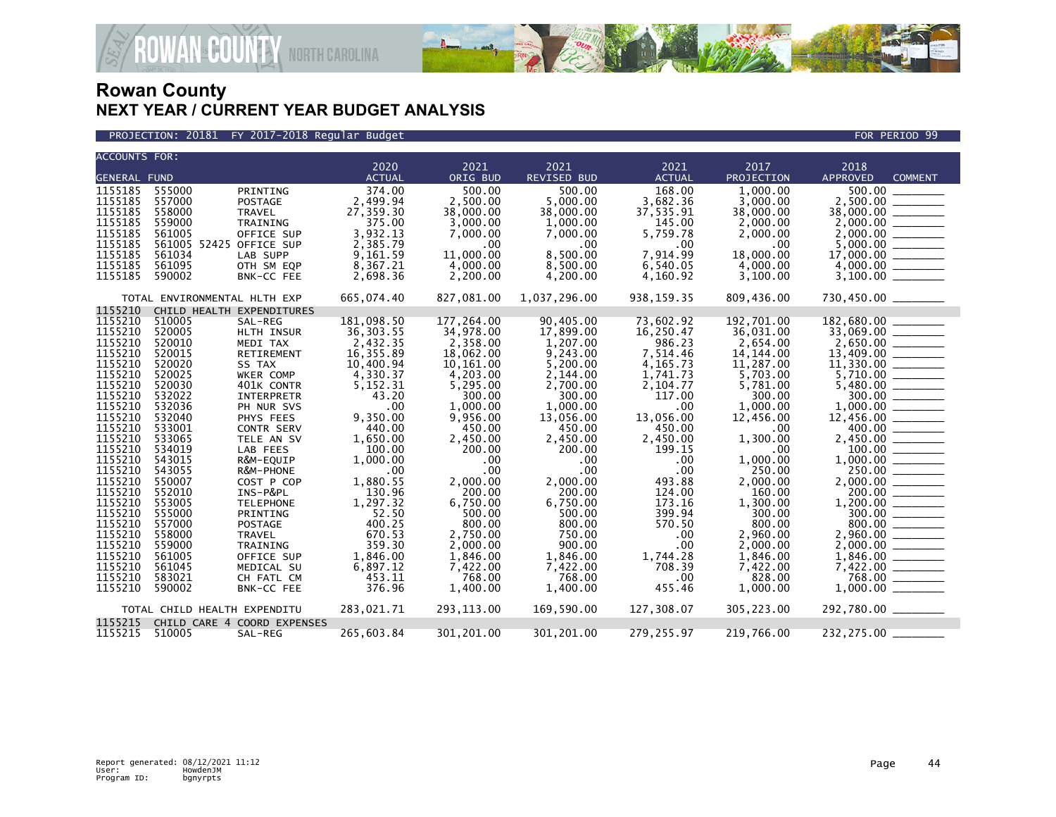

PROJECTION: 20181 FY 2017-2018 Regular Budget FOR PERIOD 99

| <b>ACCOUNTS FOR:</b> |                              |                             | 2020              | 2021                 | 2021               | 2021               | 2017                 | 2018                                                                      |
|----------------------|------------------------------|-----------------------------|-------------------|----------------------|--------------------|--------------------|----------------------|---------------------------------------------------------------------------|
| <b>GENERAL FUND</b>  |                              |                             | <b>ACTUAL</b>     | ORIG BUD             | REVISED BUD        | <b>ACTUAL</b>      | PROJECTION           | APPROVED<br><b>COMMENT</b>                                                |
| 1155185              | 555000                       | PRINTING                    | 374.00            | 500.00               | 500.00             | 168.00             | 1.000.00             | 500.00                                                                    |
| 1155185              | 557000                       | <b>POSTAGE</b>              | 2,499.94          | 2,500.00             | 5,000.00           | 3,682.36           | 3,000.00             |                                                                           |
| 1155185              | 558000                       | <b>TRAVEL</b>               | 27,359.30         | 38,000.00            | 38,000.00          | 37,535.91          | 38,000.00            |                                                                           |
| 1155185              | 559000                       | TRAINING                    | 375.00            | 3,000.00             | 1,000.00           | 145.00             | 2,000.00             |                                                                           |
| 1155185              | 561005                       | OFFICE SUP                  | 3,932.13          | 7,000.00             | 7,000.00           | 5,759.78           | 2,000.00             |                                                                           |
| 1155185              |                              | 561005 52425 OFFICE SUP     | 2,385.79          | $.00 \,$             | .00.               | $.00 \,$           | $.00 \,$             |                                                                           |
| 1155185              | 561034                       | LAB SUPP                    | 9,161.59          | 11,000.00            | 8.500.00           | 7.914.99           | 18,000.00            | $\frac{5,000.00}{17,000.00}$                                              |
| 1155185              | 561095                       | OTH SM EQP                  | 8,367.21          | 4,000.00             | 8,500.00           | 6,540.05           | 4,000.00             |                                                                           |
| 1155185              | 590002                       | BNK-CC FEE                  | 2,698.36          | 2,200.00             | 4,200.00           | 4,160.92           | 3,100.00             |                                                                           |
|                      |                              |                             |                   |                      |                    |                    |                      |                                                                           |
|                      | TOTAL ENVIRONMENTAL HLTH EXP |                             | 665,074.40        | 827,081.00           | 1,037,296.00       | 938,159.35         | 809,436.00           | 730,450.00 ________                                                       |
| 1155210              |                              | CHILD HEALTH EXPENDITURES   |                   |                      |                    |                    |                      |                                                                           |
| 1155210              | 510005                       | SAL-REG                     | 181,098.50        | 177,264.00           | 90.405.00          | 73,602.92          | 192.701.00           | 182,680.00                                                                |
| 1155210              | 520005                       | HLTH INSUR                  | 36, 303.55        | 34,978.00            | 17,899.00          | 16,250.47          | 36,031.00            | 33,069.00 ______                                                          |
| 1155210              | 520010                       | MEDI TAX                    | 2.432.35          | 2,358.00             | 1.207.00           | 986.23             | 2,654.00             | $2,650.00$ $\overline{\phantom{0}}$<br>13,409.00 $\overline{\phantom{0}}$ |
| 1155210              | 520015                       | RETIREMENT                  | 16,355.89         | 18,062.00            | 9,243.00           | 7,514.46           | 14, 144, 00          |                                                                           |
| 1155210<br>1155210   | 520020                       | SS TAX                      | 10,400.94         | 10,161.00            | 5,200.00           | 4,165.73           | 11,287.00            |                                                                           |
| 1155210              | 520025<br>520030             | WKER COMP                   | 4,330.37          | 4,203.00<br>5,295.00 | 2,144.00           | 1,741.73           | 5,703.00<br>5,781.00 |                                                                           |
| 1155210              | 532022                       | 401K CONTR<br>INTERPRETR    | 5,152.31<br>43.20 | 300.00               | 2,700.00<br>300.00 | 2,104.77<br>117.00 | 300.00               | $5,480.00$ $\overline{\hspace{1cm}}$ 300.00 $\overline{\hspace{1cm}}$     |
| 1155210              | 532036                       | PH NUR SVS                  | .00               | 1,000.00             | 1,000.00           | .00                | 1,000.00             |                                                                           |
| 1155210              | 532040                       | PHYS FEES                   | 9,350.00          | 9,956.00             | 13,056.00          | 13,056.00          | 12,456.00            |                                                                           |
| 1155210              | 533001                       | CONTR SERV                  | 440.00            | 450.00               | 450.00             | 450.00             | .00                  | 400.00                                                                    |
| 1155210              | 533065                       | TELE AN SV                  | 1.650.00          | 2,450.00             | 2,450.00           | 2,450.00           | 1.300.00             |                                                                           |
| 1155210              | 534019                       | LAB FEES                    | 100.00            | 200.00               | 200.00             | 199.15             | .00                  |                                                                           |
| 1155210              | 543015                       | R&M-EQUIP                   | 1,000.00          | $.00 \,$             | $.00 \cdot$        | $.00 \,$           | 1,000.00             | $2,450.00$<br>$100.00$<br>$1,000.00$                                      |
| 1155210              | 543055                       | R&M-PHONE                   | .00               | $.00 \,$             | .00                | .00                | 250.00               | 250.00                                                                    |
| 1155210              | 550007                       | COST P COP                  | 1.880.55          | 2.000.00             | 2.000.00           | 493.88             | 2,000.00             |                                                                           |
| 1155210              | 552010                       | INS-P&PL                    | 130.96            | 200.00               | 200.00             | 124.00             | 160.00               |                                                                           |
| 1155210              | 553005                       | <b>TELEPHONE</b>            | 1,297.32          | 6,750.00             | 6,750.00           | 173.16             | 1,300.00             |                                                                           |
| 1155210              | 555000                       | PRINTING                    | 52.50             | 500.00               | 500.00             | 399.94             | 300.00               |                                                                           |
| 1155210              | 557000                       | <b>POSTAGE</b>              | 400.25            | 800.00               | 800.00             | 570.50             | 800.00               | 800.00 _______                                                            |
| 1155210              | 558000                       | TRAVEL                      | 670.53            | 2,750.00             | 750.00             | .00                | 2,960.00             | 2,960.00 _______                                                          |
| 1155210              | 559000                       | TRAINING                    | 359.30            | 2,000,00             | 900.00             | $.00 \,$           | 2,000,00             |                                                                           |
| 1155210              | 561005                       | OFFICE SUP                  | 1,846.00          | 1,846.00             | 1,846.00           | 1,744.28           | 1,846.00             |                                                                           |
| 1155210              | 561045                       | MEDICAL SU                  | 6,897.12          | 7,422.00             | 7,422.00           | 708.39             | 7,422.00             |                                                                           |
| 1155210              | 583021                       | CH FATL CM                  | 453.11            | 768.00               | 768.00             | $.00 \,$           | 828.00               |                                                                           |
| 1155210              | 590002                       | BNK-CC FEE                  | 376.96            | 1,400.00             | 1,400.00           | 455.46             | 1,000.00             |                                                                           |
|                      | TOTAL CHILD HEALTH EXPENDITU |                             | 283,021.71        | 293,113.00           | 169,590.00         | 127,308.07         | 305,223.00           | 292,780.00 _______                                                        |
| 1155215              |                              | CHILD CARE 4 COORD EXPENSES |                   |                      |                    |                    |                      |                                                                           |
| 1155215 510005       |                              | SAL-REG                     | 265,603.84        | 301,201.00           | 301,201.00         | 279,255.97         | 219,766.00           | 232,275.00                                                                |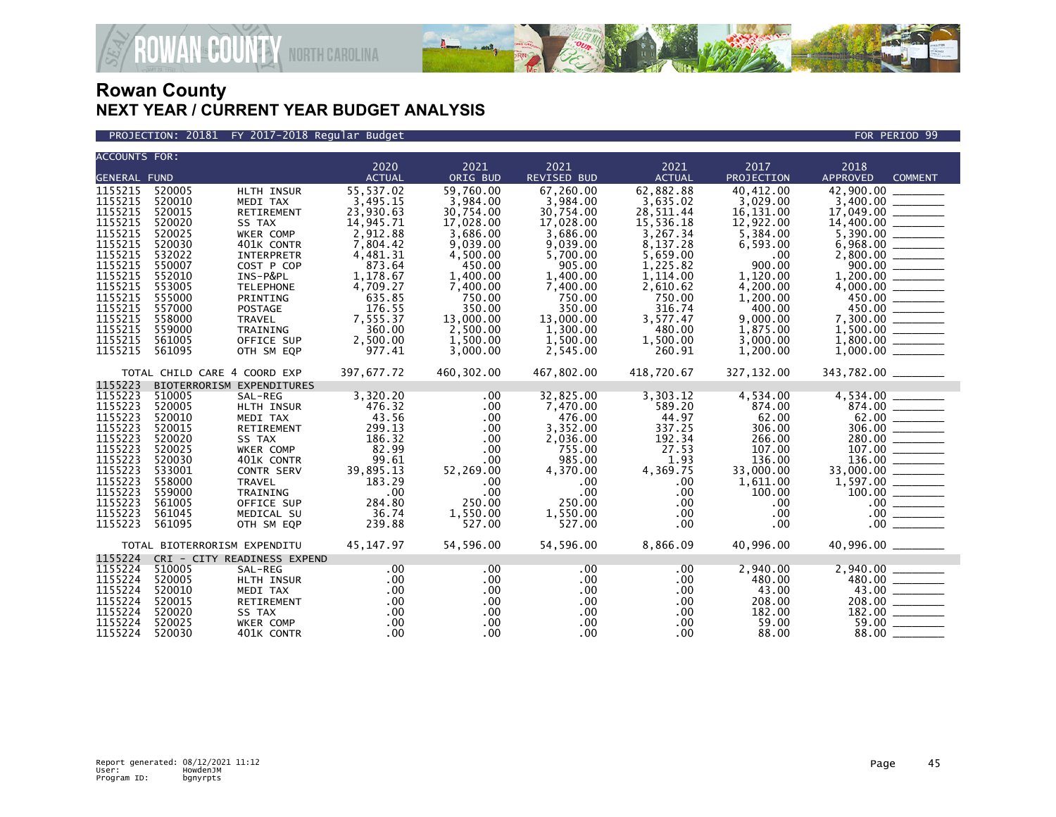

#### PROJECTION: 20181 FY 2017-2018 Regular Budget FOR PERIOD 99

| <b>ACCOUNTS FOR:</b> |                  |                              |                    |                      |                    |                    |                      |                                                                                                                                                                               |
|----------------------|------------------|------------------------------|--------------------|----------------------|--------------------|--------------------|----------------------|-------------------------------------------------------------------------------------------------------------------------------------------------------------------------------|
|                      |                  |                              | 2020               | 2021                 | 2021               | 2021               | 2017                 | 2018                                                                                                                                                                          |
| <b>GENERAL FUND</b>  |                  |                              | <b>ACTUAL</b>      | ORIG BUD             | <b>REVISED BUD</b> | <b>ACTUAL</b>      | PROJECTION           | <b>APPROVED</b><br><b>COMMENT</b>                                                                                                                                             |
| 1155215              | 520005           | HLTH INSUR                   | 55,537.02          | 59,760.00            | 67,260.00          | 62,882.88          | 40.412.00            | 42,900.00 _____                                                                                                                                                               |
| 1155215              | 520010           | MEDI TAX                     | 3,495.15           | 3,984.00             | 3,984.00           | 3,635.02           | 3,029.00             |                                                                                                                                                                               |
| 1155215              | 520015           | RETIREMENT                   | 23,930.63          | 30,754.00            | 30,754.00          | 28,511.44          | 16,131.00            |                                                                                                                                                                               |
| 1155215              | 520020           | SS TAX                       | 14,945.71          | 17,028.00            | 17,028.00          | 15,536.18          | 12,922.00            |                                                                                                                                                                               |
| 1155215              | 520025           | WKER COMP                    | 2,912.88           | 3,686.00             | 3,686.00           | 3,267.34           | 5,384.00             | $\begin{array}{r} 5,390.00 \\ 6,968.00 \\ 2,800.00 \\ 900.00 \end{array}$                                                                                                     |
| 1155215              | 520030           | 401K CONTR                   | 7,804.42           | 9,039.00             | 9,039.00           | 8,137.28           | 6,593.00             |                                                                                                                                                                               |
| 1155215              | 532022           | INTERPRETR                   | 4,481.31           | 4,500.00             | 5,700.00           | 5,659.00           | $.00 \,$             |                                                                                                                                                                               |
| 1155215              | 550007           | COST P COP                   | 873.64             | 450.00               | 905.00             | 1,225.82           | 900.00               |                                                                                                                                                                               |
| 1155215              | 552010           | INS-P&PL                     | 1,178.67           | 1,400.00             | 1,400.00           | 1,114.00           | 1,120.00             | $1,200.00$<br>$4,000.00$<br>$450.00$<br>$450.00$<br>$7,300.00$                                                                                                                |
| 1155215              | 553005           | <b>TELEPHONE</b>             | 4,709.27           | 7,400.00             | 7,400.00           | 2,610.62           | 4,200.00             |                                                                                                                                                                               |
| 1155215              | 555000           | PRINTING                     | 635.85             | 750.00               | 750.00             | 750.00             | 1,200.00             |                                                                                                                                                                               |
| 1155215<br>1155215   | 557000<br>558000 | <b>POSTAGE</b>               | 176.55             | 350.00               | 350.00             | 316.74             | 400.00               |                                                                                                                                                                               |
|                      |                  | TRAVEL                       | 7,555.37           | 13,000.00            | 13,000.00          | 3,577.47           | 9,000.00             |                                                                                                                                                                               |
| 1155215<br>1155215   | 559000<br>561005 | TRAINING                     | 360.00<br>2,500.00 | 2,500.00             | 1,300.00           | 480.00<br>1,500.00 | 1,875.00             | $1,500.00$<br>$1,800.00$<br>$1,000.00$                                                                                                                                        |
| 1155215              | 561095           | OFFICE SUP                   | 977.41             | 1,500.00<br>3,000.00 | 1,500.00           | 260.91             | 3,000.00<br>1,200.00 |                                                                                                                                                                               |
|                      |                  | OTH SM EQP                   |                    |                      | 2,545.00           |                    |                      |                                                                                                                                                                               |
|                      |                  | TOTAL CHILD CARE 4 COORD EXP | 397,677.72         | 460,302.00           | 467,802.00         | 418,720.67         | 327,132.00           | 343,782.00 ________                                                                                                                                                           |
| 1155223              |                  | BIOTERRORISM EXPENDITURES    |                    |                      |                    |                    |                      |                                                                                                                                                                               |
| 1155223              | 510005           | SAL-REG                      | 3,320.20           | .00                  | 32,825.00          | 3,303.12           | 4,534.00             | $\frac{4,534.00}{874.00}$<br>$\frac{62.00}{306.00}$<br>$\frac{280.00}{200}$                                                                                                   |
| 1155223              | 520005           | HLTH INSUR                   | 476.32             | $.00 \times$         | 7,470.00           | 589.20             | 874.00               |                                                                                                                                                                               |
| 1155223              | 520010           | MEDI TAX                     | 43.56              | $.00 \,$             | 476.00             | 44.97              | 62.00                |                                                                                                                                                                               |
| 1155223              | 520015           | RETIREMENT                   | 299.13             | $.00 \,$             | 3,352.00           | 337.25             | 306.00               |                                                                                                                                                                               |
| 1155223              | 520020           | SS TAX                       | 186.32             | $.00 \,$             | 2,036.00           | 192.34             | 266.00               |                                                                                                                                                                               |
| 1155223              | 520025           | WKER COMP                    | 82.99              | .00                  | 755.00             | 27.53              | 107.00               |                                                                                                                                                                               |
| 1155223              | 520030           | 401K CONTR                   | 99.61              | .00                  | 985.00             | 1.93               | 136.00               |                                                                                                                                                                               |
| 1155223              | 533001           | CONTR SERV                   | 39,895.13          | 52,269.00            | 4,370.00           | 4,369.75           | 33,000.00            |                                                                                                                                                                               |
| 1155223              | 558000           | <b>TRAVEL</b>                | 183.29             | .00                  | $.00 \times$       | .00                | 1,611.00             |                                                                                                                                                                               |
| 1155223              | 559000           | TRAINING                     | .00                | .00                  | .00                | .00                | 100.00               |                                                                                                                                                                               |
| 1155223              | 561005           | OFFICE SUP                   | 284.80             | 250.00               | 250.00             | .00                | $.00 \,$             |                                                                                                                                                                               |
| 1155223<br>1155223   | 561045           | MEDICAL SU                   | 36.74              | 1,550.00             | 1,550.00           | $.00 \,$           | $.00 \,$             |                                                                                                                                                                               |
|                      | 561095           | OTH SM EQP                   | 239.88             | 527.00               | 527.00             | .00                | $.00 \,$             | $\begin{array}{r} 200.00 \ \hline 107.00 \ \hline 136.00 \ \hline 33,000.00 \ \hline 1,597.00 \ \hline 100.00 \ \hline 0.00 \ \hline 0.00 \ \hline 0.00 \ \hline \end{array}$ |
|                      |                  | TOTAL BIOTERRORISM EXPENDITU | 45,147.97          | 54,596.00            | 54,596.00          | 8,866.09           | 40,996.00            | 40,996.00 _______                                                                                                                                                             |
| 1155224              |                  | CRI - CITY READINESS EXPEND  |                    |                      |                    |                    |                      |                                                                                                                                                                               |
| 1155224              | 510005           | SAL-REG                      | $.00 \,$           | $.00 \,$             | $.00 \,$           | .00                | 2,940.00             | $\begin{array}{r} 2,940.00 \\ 480.00 \\ 43.00 \\ 208.00 \\ 182.00 \\ \hline \end{array}$                                                                                      |
| 1155224              | 520005           | HLTH INSUR                   | .00                | $.00 \,$             | .00                | $.00 \,$           | 480.00               |                                                                                                                                                                               |
| 1155224              | 520010           | MEDI TAX                     | .00                | $.00 \,$             | $.00 \,$           | $.00 \,$           | 43.00                |                                                                                                                                                                               |
| 1155224              | 520015           | RETIREMENT                   | .00                | .00                  | $.00 \,$           | .00                | 208.00               |                                                                                                                                                                               |
| 1155224              | 520020           | SS TAX                       | .00                | $.00 \,$             | .00                | .00.               | 182.00               |                                                                                                                                                                               |
| 1155224              | 520025           | WKER COMP                    | .00                | $.00 \,$             | $.00 \,$           | .00.               | 59.00                | 59.00                                                                                                                                                                         |
| 1155224              | 520030           | 401K CONTR                   | .00                | .00                  | $.00 \times$       | .00 <sub>1</sub>   | 88.00                | 88.00                                                                                                                                                                         |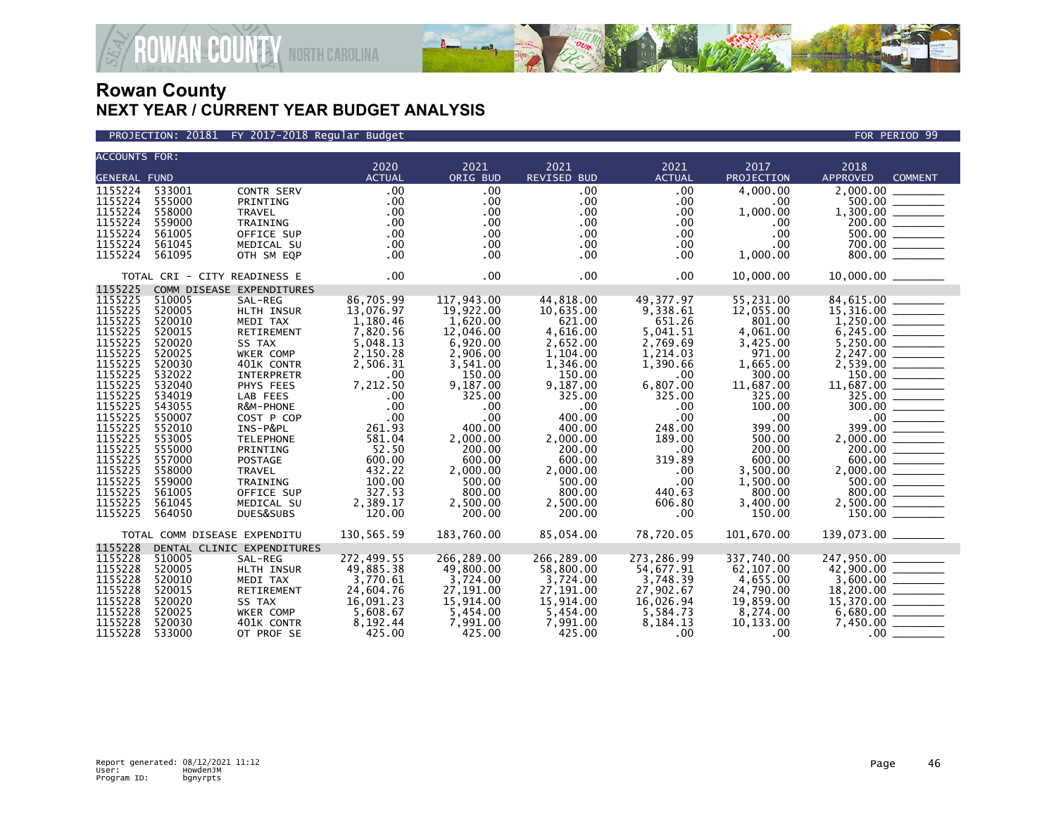



| <b>ACCOUNTS FOR:</b> |                              |                            |               |              |                    |               |                  |                                                                                                                                                                                  |
|----------------------|------------------------------|----------------------------|---------------|--------------|--------------------|---------------|------------------|----------------------------------------------------------------------------------------------------------------------------------------------------------------------------------|
|                      |                              |                            | 2020          | 2021         | 2021               | 2021          | 2017             | 2018                                                                                                                                                                             |
| <b>GENERAL FUND</b>  |                              |                            | <b>ACTUAL</b> | ORIG BUD     | <b>REVISED BUD</b> | <b>ACTUAL</b> | PROJECTION       | <b>APPROVED</b><br><b>COMMENT</b>                                                                                                                                                |
| 1155224              | 533001                       | CONTR SERV                 | .00           | .00          | .00                | .00           | 4,000.00         | 2,000.00                                                                                                                                                                         |
| 1155224              | 555000                       | PRINTING                   | .00           | $.00 \,$     | .00                | .00           | .00              | 500.00                                                                                                                                                                           |
| 1155224              | 558000                       | <b>TRAVEL</b>              | .00           | .00          | $.00 \times$       | .00           | 1,000.00         |                                                                                                                                                                                  |
| 1155224              | 559000                       | TRAINING                   | .00           | $.00 \,$     | $.00 \,$           | $.00 \,$      | $.00 \,$         |                                                                                                                                                                                  |
| 1155224              | 561005                       | OFFICE SUP                 | .00           | $.00 \,$     | $.00 \times$       | $.00 \,$      | .00              | $1,300.00$<br>$200.00$<br>$500.00$<br>$700.00$<br>$800.00$                                                                                                                       |
| 1155224              | 561045                       | MEDICAL SU                 | .00           | $.00 \times$ | $.00 \,$           | $.00 \,$      | .00.             |                                                                                                                                                                                  |
| 1155224              | 561095                       | OTH SM EQP                 | .00           | $.00 \,$     | $.00 \,$           | .00           | 1,000.00         |                                                                                                                                                                                  |
|                      | TOTAL CRI - CITY READINESS E |                            | .00           | $.00 \times$ | $.00 \times$       | .00           | 10,000.00        | 10,000.00 _______                                                                                                                                                                |
| 1155225              |                              | COMM DISEASE EXPENDITURES  |               |              |                    |               |                  |                                                                                                                                                                                  |
| 1155225              | 510005                       | SAL-REG                    | 86,705.99     | 117,943.00   | 44,818.00          | 49,377.97     | 55,231.00        | 84,615.00 ________                                                                                                                                                               |
| 1155225              | 520005                       | HLTH INSUR                 | 13,076.97     | 19,922.00    | 10,635.00          | 9,338.61      | 12,055.00        | $15,316.00$<br>1,250.00<br>6,245.00                                                                                                                                              |
| 1155225              | 520010                       | MEDI TAX                   | 1,180.46      | 1,620.00     | 621.00             | 651.26        | 801.00           |                                                                                                                                                                                  |
| 1155225              | 520015                       | RETIREMENT                 | 7,820.56      | 12,046.00    | 4,616.00           | 5,041.51      | 4,061.00         |                                                                                                                                                                                  |
| 1155225              | 520020                       | SS TAX                     | 5,048.13      | 6,920.00     | 2,652.00           | 2,769.69      | 3,425.00         | $5,250.00$<br>2,247.00                                                                                                                                                           |
| 1155225              | 520025                       | WKER COMP                  | 2,150.28      | 2,906.00     | 1,104.00           | 1,214.03      | 971.00           |                                                                                                                                                                                  |
| 1155225              | 520030                       | 401K CONTR                 | 2,506.31      | 3,541.00     | 1,346.00           | 1,390.66      | 1,665.00         |                                                                                                                                                                                  |
| 1155225              | 532022                       | <b>INTERPRETR</b>          | $.00 \,$      | 150.00       | 150.00             | .00           | 300.00           |                                                                                                                                                                                  |
| 1155225              | 532040                       | PHYS FEES                  | 7,212.50      | 9,187.00     | 9,187.00           | 6,807.00      | 11,687.00        |                                                                                                                                                                                  |
| 1155225              | 534019                       | LAB FEES                   | .00           | 325.00       | 325.00             | 325.00        | 325.00           |                                                                                                                                                                                  |
| 1155225              | 543055                       | R&M-PHONE                  | .00           | .00          | .00.               | .00           | 100.00           |                                                                                                                                                                                  |
| 1155225              | 550007                       | COST P COP                 | .00           | .00          | 400.00             | .00           | .00.             |                                                                                                                                                                                  |
| 1155225              | 552010                       | INS-P&PL                   | 261.93        | 400.00       | 400.00             | 248.00        | 399.00           |                                                                                                                                                                                  |
| 1155225              | 553005                       | <b>TELEPHONE</b>           | 581.04        | 2,000.00     | 2,000.00           | 189.00        | 500.00           | $\begin{array}{r} 300.00 \ \hline 399.00 \ \hline 2,000.00 \ \hline 200.00 \ \hline 200.00 \ \hline 500.00 \ \hline 500.00 \ \hline 800.00 \ \hline 800.00 \ \hline \end{array}$ |
| 1155225              | 555000                       | PRINTING                   | 52.50         | 200.00       | 200.00             | $.00 \times$  | 200.00           |                                                                                                                                                                                  |
| 1155225              | 557000                       | <b>POSTAGE</b>             | 600.00        | 600.00       | 600.00             | 319.89        | 600.00           |                                                                                                                                                                                  |
| 1155225              | 558000                       | <b>TRAVEL</b>              | 432.22        | 2,000.00     | 2.000.00           | .00           | 3,500.00         |                                                                                                                                                                                  |
| 1155225              | 559000                       | TRAINING                   | 100.00        | 500.00       | 500.00             | $.00 \times$  | 1,500.00         |                                                                                                                                                                                  |
| 1155225              | 561005                       | OFFICE SUP                 | 327.53        | 800.00       | 800.00             | 440.63        | 800.00           |                                                                                                                                                                                  |
| 1155225              | 561045                       | MEDICAL SU                 | 2,389.17      | 2,500.00     | 2,500.00           | 606.80        | 3,400.00         |                                                                                                                                                                                  |
| 1155225              | 564050                       | DUES&SUBS                  | 120.00        | 200.00       | 200.00             | .00           | 150.00           |                                                                                                                                                                                  |
|                      | TOTAL COMM DISEASE EXPENDITU |                            | 130,565.59    | 183.760.00   | 85.054.00          | 78,720.05     | 101.670.00       | 139,073.00 _______                                                                                                                                                               |
| 1155228              |                              | DENTAL CLINIC EXPENDITURES |               |              |                    |               |                  |                                                                                                                                                                                  |
| 1155228              | 510005                       | SAL-REG                    | 272,499.55    | 266,289.00   | 266,289.00         | 273,286.99    | 337,740.00       | 247,950.00                                                                                                                                                                       |
| 1155228              | 520005                       | HLTH INSUR                 | 49,885.38     | 49,800.00    | 58,800.00          | 54,677.91     | 62,107.00        | $42,900.00$<br>$3,600.00$<br>$18,200.00$<br>$18,200.00$                                                                                                                          |
| 1155228              | 520010                       | MEDI TAX                   | 3,770.61      | 3,724.00     | 3,724.00           | 3,748.39      | 4,655.00         |                                                                                                                                                                                  |
| 1155228              | 520015                       | RETIREMENT                 | 24,604.76     | 27,191.00    | 27,191.00          | 27,902.67     | 24,790.00        |                                                                                                                                                                                  |
| 1155228              | 520020                       | SS TAX                     | 16,091.23     | 15,914.00    | 15,914.00          | 16,026.94     | 19,859.00        | $15,370.00$ $-$ 6,680.00                                                                                                                                                         |
| 1155228              | 520025                       | WKER COMP                  | 5,608.67      | 5,454.00     | 5,454.00           | 5,584.73      | 8,274.00         |                                                                                                                                                                                  |
| 1155228              | 520030                       | 401K CONTR                 | 8,192.44      | 7,991.00     | 7,991.00           | 8,184.13      | 10,133.00        |                                                                                                                                                                                  |
| 1155228              | 533000                       | OT PROF SE                 | 425.00        | 425.00       | 425.00             | $.00 \,$      | .00 <sub>1</sub> |                                                                                                                                                                                  |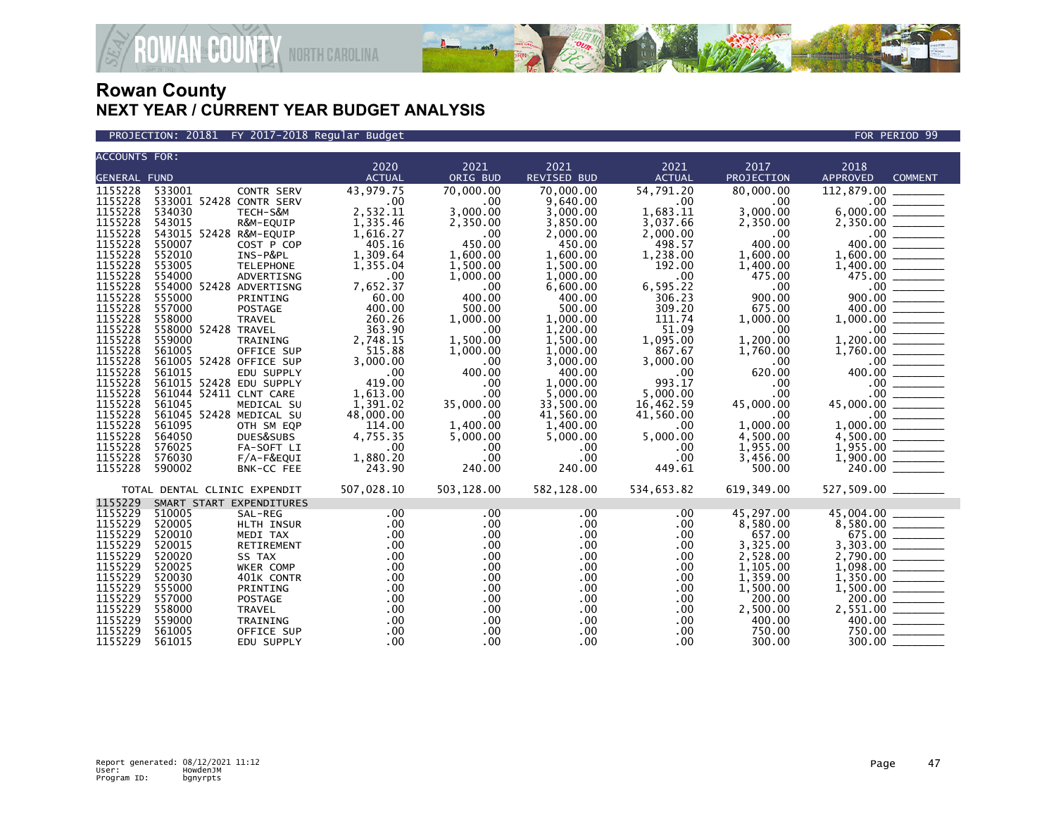

PROJECTION: 20181 FY 2017-2018 Regular Budget FOR PERIOD 99

| <b>ACCOUNTS FOR:</b> |                              |                   |               |            |              |               |            |                                                                                                                                                                                                                                                                                                                                                                                                                                      |
|----------------------|------------------------------|-------------------|---------------|------------|--------------|---------------|------------|--------------------------------------------------------------------------------------------------------------------------------------------------------------------------------------------------------------------------------------------------------------------------------------------------------------------------------------------------------------------------------------------------------------------------------------|
|                      |                              |                   | 2020          | 2021       | 2021         | 2021          | 2017       | 2018                                                                                                                                                                                                                                                                                                                                                                                                                                 |
| <b>GENERAL FUND</b>  |                              |                   | <b>ACTUAL</b> | ORIG BUD   | REVISED BUD  | <b>ACTUAL</b> | PROJECTION | <b>APPROVED</b><br><b>COMMENT</b>                                                                                                                                                                                                                                                                                                                                                                                                    |
| 1155228              | 533001                       | <b>CONTR SERV</b> | 43,979.75     | 70,000.00  | 70,000.00    | 54,791.20     | 80,000.00  | 112,879.00                                                                                                                                                                                                                                                                                                                                                                                                                           |
| 1155228              | 533001 52428 CONTR SERV      |                   | .00           | .00        | 9,640.00     | .00           | .00        | .00                                                                                                                                                                                                                                                                                                                                                                                                                                  |
| 1155228              | 534030                       | TECH-S&M          | 2,532.11      | 3,000.00   | 3,000.00     | 1,683.11      | 3,000.00   | 6,000.00                                                                                                                                                                                                                                                                                                                                                                                                                             |
| 1155228              | 543015                       | R&M-EQUIP         | 1,335.46      | 2,350.00   | 3,850.00     | 3,037.66      | 2,350.00   | 2,350.00                                                                                                                                                                                                                                                                                                                                                                                                                             |
| 1155228              | 543015 52428 R&M-EQUIP       |                   | 1,616.27      | .00        | 2,000.00     | 2,000.00      | .00        | $.00 \,$                                                                                                                                                                                                                                                                                                                                                                                                                             |
| 1155228              | 550007                       | COST P COP        | 405.16        | 450.00     | 450.00       | 498.57        | 400.00     | 400.00                                                                                                                                                                                                                                                                                                                                                                                                                               |
| 1155228              | 552010                       | INS-P&PL          | 1,309.64      | 1,600.00   | 1,600.00     | 1,238.00      | 1,600.00   |                                                                                                                                                                                                                                                                                                                                                                                                                                      |
| 1155228              | 553005                       | <b>TELEPHONE</b>  | 1,355.04      | 1,500.00   | 1,500.00     | 192.00        | 1,400.00   |                                                                                                                                                                                                                                                                                                                                                                                                                                      |
| 1155228              | 554000                       | ADVERTISNG        | .00           | 1,000.00   | 1.000.00     | .00           | 475.00     | 475.00                                                                                                                                                                                                                                                                                                                                                                                                                               |
| 1155228              | 554000 52428 ADVERTISNG      |                   | 7,652.37      | .00        | 6,600.00     | 6,595.22      | .00        | $.00 \,$<br>$\frac{1}{1}$                                                                                                                                                                                                                                                                                                                                                                                                            |
| 1155228              | 555000                       | PRINTING          | 60.00         | 400.00     | 400.00       | 306.23        | 900.00     | <b>Contract Contract</b><br>900.00                                                                                                                                                                                                                                                                                                                                                                                                   |
| 1155228              | 557000                       | <b>POSTAGE</b>    | 400.00        | 500.00     | 500.00       | 309.20        | 675.00     | 400.00                                                                                                                                                                                                                                                                                                                                                                                                                               |
| 1155228              | 558000                       | <b>TRAVEL</b>     | 260.26        | 1,000.00   | 1,000.00     | 111.74        | 1,000.00   |                                                                                                                                                                                                                                                                                                                                                                                                                                      |
| 1155228              | 558000 52428 TRAVEL          |                   | 363.90        | .00        | 1.200.00     | 51.09         | .00        | .00                                                                                                                                                                                                                                                                                                                                                                                                                                  |
| 1155228              | 559000                       | TRAINING          | 2,748.15      | 1,500.00   | 1,500.00     | 1,095.00      | 1,200.00   | 1,200.00                                                                                                                                                                                                                                                                                                                                                                                                                             |
| 1155228              | 561005                       | OFFICE SUP        | 515.88        | 1,000.00   | 1,000.00     | 867.67        | 1,760.00   | 1,760.00                                                                                                                                                                                                                                                                                                                                                                                                                             |
| 1155228              | 561005 52428 OFFICE SUP      |                   | 3,000.00      | .00        | 3,000.00     | 3,000.00      | .00        | .00                                                                                                                                                                                                                                                                                                                                                                                                                                  |
| 1155228              | 561015                       | EDU SUPPLY        | .00           | 400.00     | 400.00       | .00           | 620.00     | 400.00                                                                                                                                                                                                                                                                                                                                                                                                                               |
| 1155228              | 561015 52428 EDU SUPPLY      |                   | 419.00        | .00        | 1,000.00     | 993.17        | .00        | .00                                                                                                                                                                                                                                                                                                                                                                                                                                  |
| 1155228              | 561044 52411 CLNT CARE       |                   | 1,613.00      | .00        | 5,000.00     | 5,000.00      | .00        | $.00 \,$<br>$\begin{tabular}{lcccccc} \multicolumn{2}{c }{\textbf{1} & \textbf{2} & \textbf{3} & \textbf{4} & \textbf{5} & \textbf{5} & \textbf{6} & \textbf{7} & \textbf{8} & \textbf{8} & \textbf{9} & \textbf{10} & \textbf{10} & \textbf{10} & \textbf{10} & \textbf{10} & \textbf{10} & \textbf{10} & \textbf{10} & \textbf{10} & \textbf{10} & \textbf{10} & \textbf{10} & \textbf{10} & \textbf{10} & \textbf{10} & \textbf$  |
| 1155228              | 561045                       | MEDICAL SU        | 1,391.02      | 35,000.00  | 33,500.00    | 16,462.59     | 45,000.00  | 45,000.00                                                                                                                                                                                                                                                                                                                                                                                                                            |
| 1155228              | 561045 52428 MEDICAL SU      |                   | 48,000.00     | .00        | 41,560.00    | 41,560.00     | .00        | $.00 \,$                                                                                                                                                                                                                                                                                                                                                                                                                             |
| 1155228              | 561095                       | OTH SM EOP        | 114.00        | 1.400.00   | 1.400.00     | .00           | 1.000.00   | 1.000.00                                                                                                                                                                                                                                                                                                                                                                                                                             |
| 1155228              | 564050                       | DUES&SUBS         | 4.755.35      | 5,000.00   | 5.000.00     | 5,000.00      | 4,500.00   |                                                                                                                                                                                                                                                                                                                                                                                                                                      |
| 1155228              | 576025                       | FA-SOFT LI        | .00           | .00        | $.00 \ \,$   | .00           | 1,955.00   |                                                                                                                                                                                                                                                                                                                                                                                                                                      |
| 1155228              | 576030                       | F/A-F&EQUI        | 1,880.20      | .00        | .00          | .00           | 3,456.00   |                                                                                                                                                                                                                                                                                                                                                                                                                                      |
| 1155228              | 590002                       | BNK-CC FEE        | 243.90        | 240.00     | 240.00       | 449.61        | 500.00     |                                                                                                                                                                                                                                                                                                                                                                                                                                      |
|                      |                              |                   |               |            |              |               |            |                                                                                                                                                                                                                                                                                                                                                                                                                                      |
|                      | TOTAL DENTAL CLINIC EXPENDIT |                   | 507,028.10    | 503,128.00 | 582,128.00   | 534,653.82    | 619,349.00 |                                                                                                                                                                                                                                                                                                                                                                                                                                      |
| 1155229              | SMART START EXPENDITURES     |                   |               |            |              |               |            |                                                                                                                                                                                                                                                                                                                                                                                                                                      |
| 1155229              | 510005                       | SAL-REG           | .00           | .00        | .00          | .00           | 45,297.00  | 45.004.00                                                                                                                                                                                                                                                                                                                                                                                                                            |
| 1155229              | 520005                       | HLTH INSUR        | .00           | $.00 \,$   | $.00 \,$     | .00           | 8,580.00   |                                                                                                                                                                                                                                                                                                                                                                                                                                      |
| 1155229              | 520010                       | MEDI TAX          | .00           | .00        | $.00 \,$     | .00           | 657.00     |                                                                                                                                                                                                                                                                                                                                                                                                                                      |
| 1155229              | 520015                       | RETIREMENT        | .00           | .00        | $.00 \,$     | .00           | 3,325.00   | 3,303.00                                                                                                                                                                                                                                                                                                                                                                                                                             |
| 1155229              | 520020                       | SS TAX            | .00           | .00        | $.00 \,$     | .00           | 2,528.00   | 2,790.00                                                                                                                                                                                                                                                                                                                                                                                                                             |
| 1155229              | 520025                       | WKER COMP         | .00           | .00        | $.00 \,$     | .00           | 1,105.00   | 1,098.00                                                                                                                                                                                                                                                                                                                                                                                                                             |
| 1155229              | 520030                       | 401K CONTR        | .00           | .00.       | $.00 \,$     | $.00 \,$      | 1,359.00   | 1,350.00                                                                                                                                                                                                                                                                                                                                                                                                                             |
| 1155229              | 555000                       | PRINTING          | .00           | $.00 \,$   | $.00 \,$     | .00.          | 1,500.00   |                                                                                                                                                                                                                                                                                                                                                                                                                                      |
| 1155229              | 557000                       | <b>POSTAGE</b>    | .00           | .00        | $.00 \times$ | .00.          | 200.00     | 200.00                                                                                                                                                                                                                                                                                                                                                                                                                               |
| 1155229              | 558000                       | <b>TRAVEL</b>     | .00           | $.00 \,$   | $.00 \times$ | $.00 \times$  | 2,500.00   | 2,551.00<br>$\begin{array}{ccccccccc} \multicolumn{2}{c }{\textbf{1} & \textbf{2} & \textbf{3} & \textbf{4} & \textbf{5} & \textbf{5} & \textbf{6} & \textbf{6} & \textbf{7} & \textbf{8} & \textbf{8} & \textbf{9} & \textbf{10} & \textbf{10} & \textbf{10} & \textbf{10} & \textbf{10} & \textbf{10} & \textbf{10} & \textbf{10} & \textbf{10} & \textbf{10} & \textbf{10} & \textbf{10} & \textbf{10} & \textbf{10} & \textbf{1$ |
| 1155229              | 559000                       | TRAINING          | .00           | $.00 \,$   | $.00 \,$     | $.00 \,$      | 400.00     | 400.00                                                                                                                                                                                                                                                                                                                                                                                                                               |
| 1155229              | 561005                       | OFFICE SUP        | .00           | .00        | .00          | .00           | 750.00     | 750.00                                                                                                                                                                                                                                                                                                                                                                                                                               |
| 1155229              | 561015                       | EDU SUPPLY        | .00           | .00        | $.00 \,$     | .00           | 300.00     | 300.00                                                                                                                                                                                                                                                                                                                                                                                                                               |
|                      |                              |                   |               |            |              |               |            |                                                                                                                                                                                                                                                                                                                                                                                                                                      |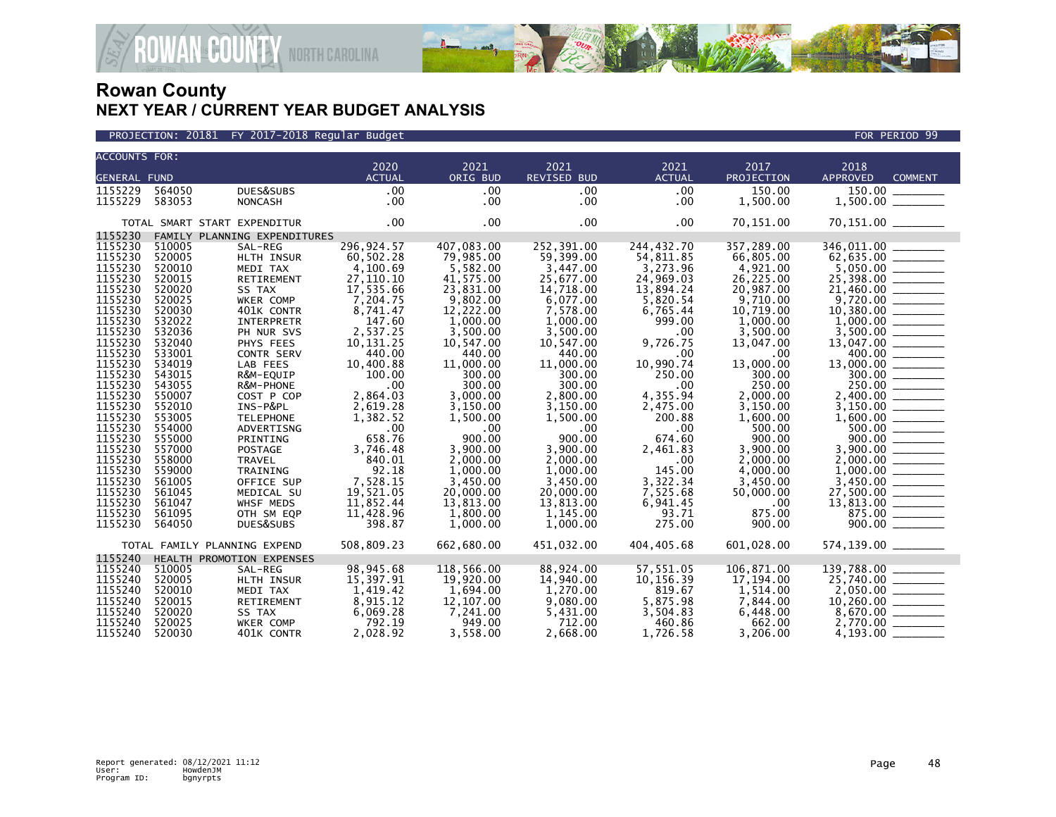



| <b>ACCOUNTS FOR:</b> |                  |                              | 2020                   | 2021                 | 2021                 |                       | 2017               |                                                                                                                                                                                                                                                                                                                         |
|----------------------|------------------|------------------------------|------------------------|----------------------|----------------------|-----------------------|--------------------|-------------------------------------------------------------------------------------------------------------------------------------------------------------------------------------------------------------------------------------------------------------------------------------------------------------------------|
| <b>GENERAL FUND</b>  |                  |                              | <b>ACTUAL</b>          | ORIG BUD             | <b>REVISED BUD</b>   | 2021<br><b>ACTUAL</b> | <b>PROJECTION</b>  | 2018<br><b>APPROVED</b><br><b>COMMENT</b>                                                                                                                                                                                                                                                                               |
|                      |                  |                              |                        |                      |                      |                       |                    |                                                                                                                                                                                                                                                                                                                         |
| 1155229              | 564050           | DUES&SUBS                    | .00                    | .00                  | .00                  | .00                   | 150.00             |                                                                                                                                                                                                                                                                                                                         |
| 1155229              | 583053           | <b>NONCASH</b>               | $.00 \,$               | $.00 \,$             | $.00 \,$             | .00                   | 1,500.00           |                                                                                                                                                                                                                                                                                                                         |
|                      |                  | TOTAL SMART START EXPENDITUR | .00                    | $.00 \times$         | $.00 \,$             | $.00 \times$          | 70,151.00          | 70,151.00 ______                                                                                                                                                                                                                                                                                                        |
| 1155230              |                  | FAMILY PLANNING EXPENDITURES |                        |                      |                      |                       |                    |                                                                                                                                                                                                                                                                                                                         |
| 1155230              | 510005           | SAL-REG                      | 296,924.57             | 407,083.00           | 252.391.00           | 244,432.70            | 357,289.00         |                                                                                                                                                                                                                                                                                                                         |
| 1155230              | 520005           | HLTH INSUR                   | 60,502.28              | 79,985.00            | 59,399.00            | 54,811.85             | 66,805.00          |                                                                                                                                                                                                                                                                                                                         |
| 1155230              | 520010           | MEDI TAX                     | 4,100.69               | 5,582.00             | 3,447.00             | 3,273.96              | 4,921.00           |                                                                                                                                                                                                                                                                                                                         |
| 1155230              | 520015           | RETIREMENT                   | 27,110.10              | 41,575.00            | 25,677.00            | 24,969.03             | 26,225.00          | $\begin{array}{r} 62,635.00 \ \hline 62,635.00 \ \hline 5,050.00 \ \hline 25,398.00 \ \hline 21,460.00 \ \hline 9,720.00 \ \hline \end{array}$                                                                                                                                                                          |
| 1155230              | 520020           | SS TAX                       | 17,535.66              | 23,831.00            | 14,718.00            | 13,894.24             | 20,987.00          |                                                                                                                                                                                                                                                                                                                         |
| 1155230              | 520025           | WKER COMP                    | 7,204.75               | 9,802.00             | 6,077.00             | 5,820.54              | 9,710.00           |                                                                                                                                                                                                                                                                                                                         |
| 1155230              | 520030           | 401K CONTR                   | 8,741.47               | 12,222.00            | 7,578.00             | 6,765.44              | 10,719.00          |                                                                                                                                                                                                                                                                                                                         |
| 1155230              | 532022           | <b>INTERPRETR</b>            | 147.60                 | 1,000.00             | 1.000.00             | 999.00                | 1.000.00           |                                                                                                                                                                                                                                                                                                                         |
| 1155230              | 532036           | PH NUR SVS                   | 2,537.25               | 3,500.00             | 3,500.00             | .00                   | 3,500.00           |                                                                                                                                                                                                                                                                                                                         |
| 1155230              | 532040           | PHYS FEES                    | 10,131.25              | 10,547.00            | 10,547.00            | 9,726.75              | 13.047.00          |                                                                                                                                                                                                                                                                                                                         |
| 1155230              | 533001           | CONTR SERV                   | 440.00                 | 440.00               | 440.00               | .00                   | $.00 \,$           |                                                                                                                                                                                                                                                                                                                         |
| 1155230              | 534019           | LAB FEES                     | 10,400.88              | 11,000.00            | 11,000.00            | 10,990.74             | 13,000.00          |                                                                                                                                                                                                                                                                                                                         |
| 1155230              | 543015           | R&M-EQUIP                    | 100.00                 | 300.00               | 300.00               | 250.00                | 300.00             |                                                                                                                                                                                                                                                                                                                         |
| 1155230              | 543055           | R&M-PHONE                    | .00                    | 300.00               | 300.00               | .00                   | 250.00             |                                                                                                                                                                                                                                                                                                                         |
| 1155230              | 550007           | COST P COP                   | 2,864.03               | 3,000.00             | 2,800.00             | 4,355.94              | 2,000.00           | $\begin{array}{r} 9,720.00 \ \hline 10,380.00 \ \hline 1,000.00 \ \hline 3,500.00 \ \hline 13,047.00 \ \hline 13,047.00 \ \hline 13,000.00 \ \hline 250.00 \ \hline 250.00 \ \hline 2,400.00 \ \hline 3,150.00 \ \hline 500.00 \ \hline 5,000.00 \ \hline 5,000.00 \ \hline 3,900.00 \ \hline 1,000.00 \ \hline 1,000.$ |
| 1155230              | 552010           | INS-P&PL                     | 2,619.28               | 3,150.00             | 3,150.00             | 2,475.00              | 3,150.00           |                                                                                                                                                                                                                                                                                                                         |
| 1155230              | 553005           | <b>TELEPHONE</b>             | 1,382.52               | 1,500.00             | 1,500.00             | 200.88                | 1,600.00           |                                                                                                                                                                                                                                                                                                                         |
| 1155230              | 554000           | ADVERTISNG                   | .00                    | .00                  | $.00 \,$             | $.00 \,$              | 500.00             |                                                                                                                                                                                                                                                                                                                         |
| 1155230              | 555000           | PRINTING                     | 658.76                 | 900.00               | 900.00               | 674.60                | 900.00             |                                                                                                                                                                                                                                                                                                                         |
| 1155230              | 557000           | <b>POSTAGE</b>               | 3,746.48               | 3,900.00             | 3,900.00             | 2,461.83              | 3,900.00           |                                                                                                                                                                                                                                                                                                                         |
| 1155230<br>1155230   | 558000           | TRAVEL                       | 840.01                 | 2,000.00             | 2,000.00             | $.00 \,$              | 2,000.00           |                                                                                                                                                                                                                                                                                                                         |
| 1155230              | 559000           | TRAINING                     | 92.18                  | 1,000.00             | 1,000.00             | 145.00                | 4,000.00           |                                                                                                                                                                                                                                                                                                                         |
| 1155230              | 561005           | OFFICE SUP                   | 7,528.15<br>19,521.05  | 3,450.00             | 3,450.00             | 3,322.34              | 3,450.00           |                                                                                                                                                                                                                                                                                                                         |
| 1155230              | 561045           | MEDICAL SU                   |                        | 20,000.00            | 20,000.00            | 7,525.68              | 50,000.00          |                                                                                                                                                                                                                                                                                                                         |
| 1155230              | 561047<br>561095 | WHSF MEDS                    | 11,852.44<br>11,428.96 | 13,813.00            | 13,813.00            | 6,941.45<br>93.71     | $.00 \,$<br>875.00 | $\frac{13,813.00}{875.00}$                                                                                                                                                                                                                                                                                              |
| 1155230              | 564050           | OTH SM EQP<br>DUES&SUBS      | 398.87                 | 1,800.00<br>1,000.00 | 1,145.00<br>1,000.00 | 275.00                | 900.00             |                                                                                                                                                                                                                                                                                                                         |
|                      |                  |                              |                        |                      |                      |                       |                    |                                                                                                                                                                                                                                                                                                                         |
|                      |                  | TOTAL FAMILY PLANNING EXPEND | 508,809.23             | 662,680.00           | 451,032.00           | 404,405.68            | 601,028.00         | 574,139.00 _______                                                                                                                                                                                                                                                                                                      |
| 1155240              |                  | HEALTH PROMOTION EXPENSES    |                        |                      |                      |                       |                    |                                                                                                                                                                                                                                                                                                                         |
| 1155240              | 510005           | SAL-REG                      | 98,945.68              | 118,566.00           | 88,924.00            | 57,551.05             | 106,871.00         |                                                                                                                                                                                                                                                                                                                         |
| 1155240              | 520005           | HLTH INSUR                   | 15,397.91              | 19,920.00            | 14,940.00            | 10,156.39             | 17.194.00          | $\begin{array}{r} 139,788.00 \\ 25,740.00 \\ 2,050.00 \\ 10,260.00 \\ 8,670.00 \\ \hline \end{array}$                                                                                                                                                                                                                   |
| 1155240              | 520010           | MEDI TAX                     | 1,419.42               | 1,694.00             | 1,270.00             | 819.67                | 1,514.00           |                                                                                                                                                                                                                                                                                                                         |
| 1155240              | 520015           | <b>RETIREMENT</b>            | 8,915.12               | 12,107.00            | 9,080.00             | 5,875.98              | 7,844.00           |                                                                                                                                                                                                                                                                                                                         |
| 1155240              | 520020           | SS TAX                       | 6,069.28               | 7,241.00             | 5,431.00             | 3,504.83              | 6,448.00           |                                                                                                                                                                                                                                                                                                                         |
| 1155240              | 520025           | WKER COMP                    | 792.19                 | 949.00               | 712.00               | 460.86                | 662.00             |                                                                                                                                                                                                                                                                                                                         |
| 1155240              | 520030           | 401K CONTR                   | 2,028.92               | 3,558.00             | 2,668.00             | 1,726.58              | 3.206.00           | 4,193.00                                                                                                                                                                                                                                                                                                                |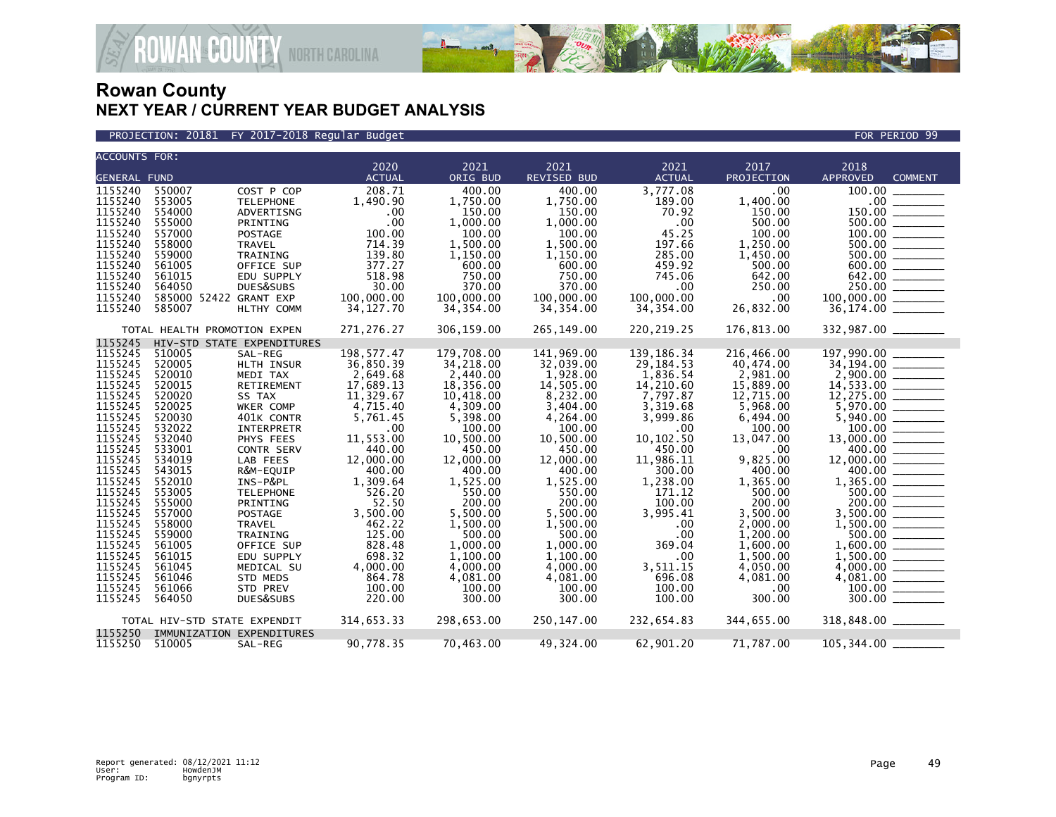

PROJECTION: 20181 FY 2017-2018 Regular Budget FOR PERIOD 99

| <b>ACCOUNTS FOR:</b> |                              |                            |               |            |             |               |            |                                                                          |                |
|----------------------|------------------------------|----------------------------|---------------|------------|-------------|---------------|------------|--------------------------------------------------------------------------|----------------|
|                      |                              |                            | 2020          | 2021       | 2021        | 2021          | 2017       | 2018                                                                     |                |
| <b>GENERAL FUND</b>  |                              |                            | <b>ACTUAL</b> | ORIG BUD   | REVISED BUD | <b>ACTUAL</b> | PROJECTION | APPROVED                                                                 | <b>COMMENT</b> |
| 1155240              | 550007                       | COST P COP                 | 208.71        | 400.00     | 400.00      | 3.777.08      | .00.       | 100.00                                                                   |                |
| 1155240              | 553005                       | <b>TELEPHONE</b>           | 1,490.90      | 1,750.00   | 1,750.00    | 189.00        | 1,400.00   |                                                                          |                |
| 1155240              | 554000                       | ADVERTISNG                 | .00           | 150.00     | 150.00      | 70.92         | 150.00     |                                                                          |                |
| 1155240              | 555000                       | PRINTING                   | .00           | 1,000.00   | 1,000.00    | .00           | 500.00     | $500.00$ _________                                                       |                |
| 1155240              | 557000                       | <b>POSTAGE</b>             | 100.00        | 100.00     | 100.00      | 45.25         | 100.00     |                                                                          |                |
| 1155240              | 558000                       | TRAVEL                     | 714.39        | 1,500.00   | 1,500.00    | 197.66        | 1,250.00   | $500.00$ ______                                                          |                |
| 1155240              | 559000                       | TRAINING                   | 139.80        | 1,150.00   | 1,150.00    | 285.00        | 1,450.00   |                                                                          |                |
| 1155240              | 561005                       | OFFICE SUP                 | 377.27        | 600.00     | 600.00      | 459.92        | 500.00     | 600.00                                                                   |                |
| 1155240              | 561015                       | EDU SUPPLY                 | 518.98        | 750.00     | 750.00      | 745.06        | 642.00     | $642.00$ $\overline{\phantom{27721}}$                                    |                |
| 1155240              | 564050                       | DUES&SUBS                  | 30.00         | 370.00     | 370.00      | $.00 \,$      | 250.00     | $250.00$ $\frac{1}{250}$                                                 |                |
| 1155240              | 585000 52422 GRANT EXP       |                            | 100,000.00    | 100,000.00 | 100,000.00  | 100,000.00    | $.00 \,$   | 100,000.00 _______                                                       |                |
| 1155240              | 585007                       | HLTHY COMM                 | 34,127.70     | 34, 354.00 | 34,354.00   | 34,354.00     | 26,832.00  | 36,174.00 _______                                                        |                |
|                      |                              |                            |               |            |             |               |            |                                                                          |                |
|                      | TOTAL HEALTH PROMOTION EXPEN |                            | 271,276.27    | 306,159.00 | 265,149.00  | 220, 219. 25  | 176,813.00 |                                                                          |                |
| 1155245              |                              | HIV-STD STATE EXPENDITURES |               |            |             |               |            |                                                                          |                |
| 1155245              | 510005                       | SAL-REG                    | 198, 577.47   | 179,708.00 | 141.969.00  | 139, 186. 34  | 216,466.00 | 197,990.00                                                               |                |
| 1155245              | 520005                       | HLTH INSUR                 | 36,850.39     | 34,218.00  | 32,039.00   | 29,184.53     | 40,474.00  | 34,194.00 ______                                                         |                |
| 1155245              | 520010                       | MEDI TAX                   | 2,649.68      | 2,440.00   | 1,928.00    | 1,836.54      | 2,981.00   |                                                                          |                |
| 1155245              | 520015                       | RETIREMENT                 | 17,689.13     | 18,356.00  | 14,505.00   | 14,210.60     | 15,889.00  |                                                                          |                |
| 1155245              | 520020                       | SS TAX                     | 11,329.67     | 10,418.00  | 8,232.00    | 7,797.87      | 12,715.00  |                                                                          |                |
| 1155245              | 520025                       | WKER COMP                  | 4,715.40      | 4,309.00   | 3,404.00    | 3,319.68      | 5,968.00   |                                                                          |                |
| 1155245              | 520030                       | 401K CONTR                 | 5,761.45      | 5,398.00   | 4,264.00    | 3,999.86      | 6,494.00   | $5,940.00$ $\overline{\phantom{0}}$                                      |                |
| 1155245              | 532022                       | INTERPRETR                 | .00           | 100.00     | 100.00      | .00           | 100.00     |                                                                          |                |
| 1155245              | 532040                       | PHYS FEES                  | 11,553.00     | 10,500.00  | 10,500.00   | 10, 102.50    | 13,047.00  | 13,000.00 _______                                                        |                |
| 1155245              | 533001                       | CONTR SERV                 | 440.00        | 450.00     | 450.00      | 450.00        | .00.       | 400.00                                                                   |                |
| 1155245              | 534019                       | LAB FEES                   | 12,000.00     | 12,000.00  | 12,000.00   | 11,986.11     | 9,825.00   | 12,000.00 _______                                                        |                |
| 1155245              | 543015                       | R&M-EQUIP                  | 400.00        | 400.00     | 400.00      | 300.00        | 400.00     |                                                                          |                |
| 1155245              | 552010                       | INS-P&PL                   | 1,309.64      | 1,525.00   | 1,525.00    | 1,238.00      | 1,365.00   | $400.00$ $\overline{\hspace{1cm}}$<br>1,365.00 $\overline{\hspace{1cm}}$ |                |
| 1155245              | 553005                       | <b>TELEPHONE</b>           | 526.20        | 550.00     | 550.00      | 171.12        | 500.00     | 500.00                                                                   |                |
| 1155245              | 555000                       | PRINTING                   | 52.50         | 200.00     | 200.00      | 100.00        | 200.00     | 200.00                                                                   |                |
| 1155245              | 557000                       | POSTAGE                    | 3,500.00      | 5,500.00   | 5,500.00    | 3,995.41      | 3,500.00   | 3,500.00 _______                                                         |                |
| 1155245              | 558000                       | TRAVEL                     | 462.22        | 1,500.00   | 1,500.00    | .00           | 2,000.00   |                                                                          |                |
| 1155245              | 559000                       | TRAINING                   | 125.00        | 500.00     | 500.00      | .00           | 1,200.00   | 500.00 ________                                                          |                |
| 1155245              | 561005                       | OFFICE SUP                 | 828.48        | 1.000.00   | 1.000.00    | 369.04        | 1,600.00   |                                                                          |                |
| 1155245              | 561015                       | EDU SUPPLY                 | 698.32        | 1,100.00   | 1,100.00    | .00           | 1,500.00   | $1,500.00$ _________                                                     |                |
| 1155245              | 561045                       |                            |               | 4.000.00   | 4.000.00    |               | 4.050.00   |                                                                          |                |
|                      |                              | MEDICAL SU                 | 4,000.00      |            |             | 3,511.15      |            |                                                                          |                |
| 1155245              | 561046                       | STD MEDS                   | 864.78        | 4,081.00   | 4,081.00    | 696.08        | 4,081.00   |                                                                          |                |
| 1155245              | 561066                       | STD PREV                   | 100.00        | 100.00     | 100.00      | 100.00        | $.00 \,$   |                                                                          |                |
| 1155245              | 564050                       | DUES&SUBS                  | 220.00        | 300.00     | 300.00      | 100.00        | 300.00     | 300.00                                                                   |                |
|                      | TOTAL HIV-STD STATE EXPENDIT |                            | 314,653.33    | 298,653.00 | 250,147.00  | 232,654.83    | 344,655.00 | 318,848.00 _______                                                       |                |
| 1155250              | IMMUNIZATION EXPENDITURES    |                            |               |            |             |               |            |                                                                          |                |
| 1155250              | 510005                       | SAL-REG                    | 90,778.35     | 70,463.00  | 49,324.00   | 62,901.20     | 71,787.00  | 105,344.00                                                               |                |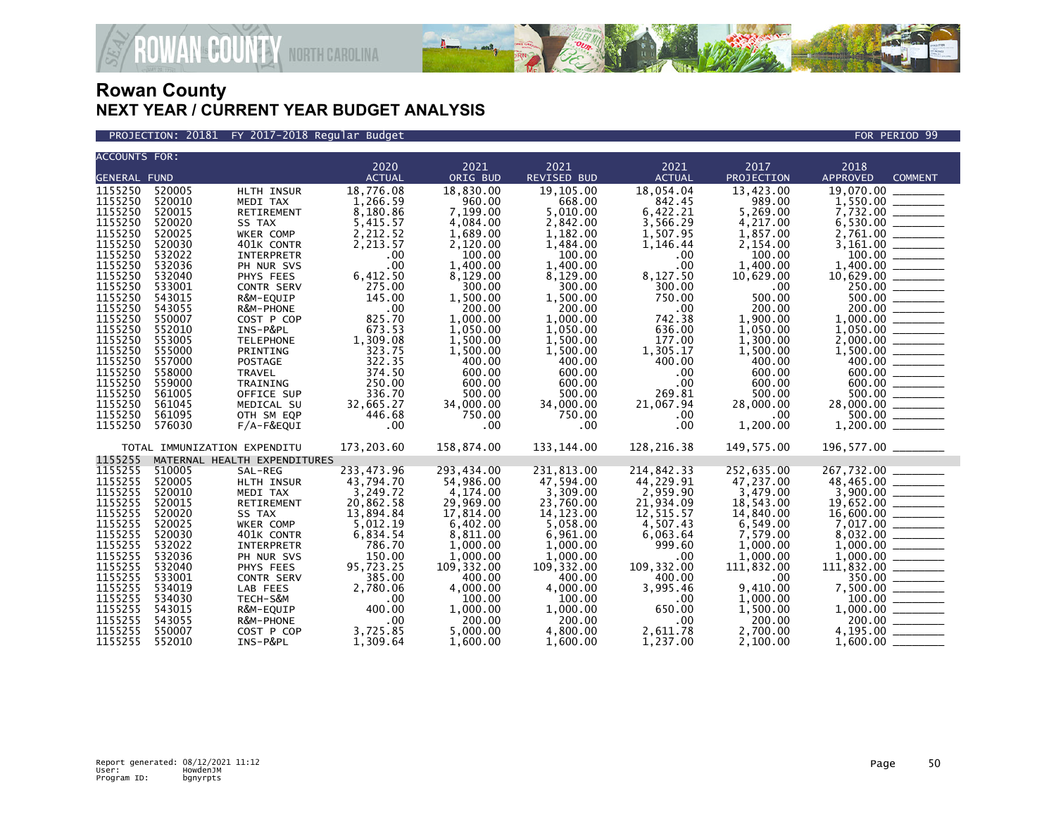

PROJECTION: 20181 FY 2017-2018 Regular Budget FOR PERIOD 99

| <b>ACCOUNTS FOR:</b> |                              |                              |               |            |             |               |            |                                                                                                                                                                                                                                                                                                                              |
|----------------------|------------------------------|------------------------------|---------------|------------|-------------|---------------|------------|------------------------------------------------------------------------------------------------------------------------------------------------------------------------------------------------------------------------------------------------------------------------------------------------------------------------------|
|                      |                              |                              | 2020          | 2021       | 2021        | 2021          | 2017       | 2018                                                                                                                                                                                                                                                                                                                         |
| <b>GENERAL FUND</b>  |                              |                              | <b>ACTUAL</b> | ORIG BUD   | REVISED BUD | <b>ACTUAL</b> | PROJECTION | APPROVED<br><b>COMMENT</b>                                                                                                                                                                                                                                                                                                   |
| 1155250              | 520005                       | HLTH INSUR                   | 18,776.08     | 18,830.00  | 19,105.00   | 18,054.04     | 13,423.00  | 19,070.00                                                                                                                                                                                                                                                                                                                    |
| 1155250              | 520010                       | MEDI TAX                     | 1,266.59      | 960.00     | 668.00      | 842.45        | 989.00     |                                                                                                                                                                                                                                                                                                                              |
| 1155250              | 520015                       | RETIREMENT                   | 8,180.86      | 7,199.00   | 5,010.00    | 6,422.21      | 5,269.00   |                                                                                                                                                                                                                                                                                                                              |
| 1155250              | 520020                       | SS TAX                       | 5,415.57      | 4,084.00   | 2,842.00    | 3,566.29      | 4,217.00   |                                                                                                                                                                                                                                                                                                                              |
| 1155250              | 520025                       | WKER COMP                    | 2,212.52      | 1,689.00   | 1,182.00    | 1,507.95      | 1,857.00   |                                                                                                                                                                                                                                                                                                                              |
| 1155250              | 520030                       | 401K CONTR                   | 2,213.57      | 2,120.00   | 1,484.00    | 1,146.44      | 2,154.00   |                                                                                                                                                                                                                                                                                                                              |
| 1155250              | 532022                       | INTERPRETR                   | .00           | 100.00     | 100.00      | $.00 \,$      | 100.00     |                                                                                                                                                                                                                                                                                                                              |
| 1155250              | 532036                       | PH NUR SVS                   | .00           | 1,400.00   | 1,400.00    | $.00 \,$      | 1,400.00   |                                                                                                                                                                                                                                                                                                                              |
| 1155250              | 532040                       | PHYS FEES                    | 6,412.50      | 8,129.00   | 8,129.00    | 8,127.50      | 10,629.00  |                                                                                                                                                                                                                                                                                                                              |
| 1155250              | 533001                       | CONTR SERV                   | 275.00        | 300.00     | 300.00      | 300.00        | $.00 \,$   |                                                                                                                                                                                                                                                                                                                              |
| 1155250              | 543015                       | R&M-EQUIP                    | 145.00        | 1,500.00   | 1,500.00    | 750.00        | 500.00     |                                                                                                                                                                                                                                                                                                                              |
| 1155250              | 543055                       | R&M-PHONE                    | .00           | 200.00     | 200.00      | $.00 \times$  | 200.00     |                                                                                                                                                                                                                                                                                                                              |
| 1155250              | 550007                       | COST P COP                   | 825.70        | 1,000.00   | 1,000.00    | 742.38        | 1,900.00   |                                                                                                                                                                                                                                                                                                                              |
| 1155250              | 552010                       | INS-P&PL                     | 673.53        | 1,050.00   | 1,050.00    | 636.00        | 1,050.00   |                                                                                                                                                                                                                                                                                                                              |
| 1155250              | 553005                       | <b>TELEPHONE</b>             | 1,309.08      | 1,500.00   | 1,500.00    | 177.00        | 1,300.00   |                                                                                                                                                                                                                                                                                                                              |
| 1155250              | 555000                       | PRINTING                     | 323.75        | 1,500.00   | 1,500.00    | 1,305.17      | 1,500.00   |                                                                                                                                                                                                                                                                                                                              |
| 1155250              | 557000                       | POSTAGE                      | 322.35        | 400.00     | 400.00      | 400.00        | 400.00     |                                                                                                                                                                                                                                                                                                                              |
| 1155250              | 558000                       | TRAVEL                       | 374.50        | 600.00     | 600.00      | $.00 \times$  | 600.00     |                                                                                                                                                                                                                                                                                                                              |
| 1155250              | 559000                       | TRAINING                     | 250.00        | 600.00     | 600.00      | $.00 \,$      | 600.00     | $\begin{array}{r} 6,530.00 \ \hline 2,761.00 \ \hline 3,161.00 \ \hline 100.00 \ \hline 1,400.00 \ \hline 1,400.00 \ \hline 10,629.00 \ \hline 250.00 \ \hline 500.00 \ \hline 1,000.00 \ \hline 1,050.00 \ \hline 2,000.00 \ \hline 4,000.00 \ \hline 600.00 \ \hline 600.00 \ \hline 500.00 \ \hline 500.00 \ \hline 500.$ |
| 1155250              | 561005                       | OFFICE SUP                   | 336.70        | 500.00     | 500.00      | 269.81        | 500.00     |                                                                                                                                                                                                                                                                                                                              |
| 1155250              | 561045                       | MEDICAL SU                   | 32,665.27     | 34,000.00  | 34,000.00   | 21,067.94     | 28,000.00  |                                                                                                                                                                                                                                                                                                                              |
| 1155250              | 561095                       | OTH SM EQP                   | 446.68        | 750.00     | 750.00      | .00.          | .00        |                                                                                                                                                                                                                                                                                                                              |
| 1155250              | 576030                       | $F/A-F\&EQUI$                | .00           | .00        | .00         | .00           | 1,200.00   | $\frac{500.00}{1,200.00}$                                                                                                                                                                                                                                                                                                    |
|                      |                              |                              |               |            |             |               |            |                                                                                                                                                                                                                                                                                                                              |
|                      | TOTAL IMMUNIZATION EXPENDITU |                              | 173,203.60    | 158,874.00 | 133,144.00  | 128,216.38    | 149,575.00 | 196,577.00 _______                                                                                                                                                                                                                                                                                                           |
| 1155255              |                              | MATERNAL HEALTH EXPENDITURES |               |            |             |               |            |                                                                                                                                                                                                                                                                                                                              |
| 1155255              | 510005                       | SAL-REG                      | 233,473.96    | 293,434.00 | 231,813.00  | 214,842.33    | 252,635.00 | 267,732.00                                                                                                                                                                                                                                                                                                                   |
| 1155255              | 520005                       | HLTH INSUR                   | 43,794.70     | 54,986.00  | 47,594.00   | 44,229.91     | 47,237.00  |                                                                                                                                                                                                                                                                                                                              |
| 1155255              | 520010                       | MEDI TAX                     | 3,249.72      | 4,174.00   | 3,309.00    | 2,959.90      | 3,479.00   |                                                                                                                                                                                                                                                                                                                              |
| 1155255              | 520015                       | RETIREMENT                   | 20,862.58     | 29,969.00  | 23,760.00   | 21,934.09     | 18,543.00  | $\begin{array}{r} 207,732.00 \ \hline 48,465.00 \ \hline 3,900.00 \ \hline 19,652.00 \ \hline 15,600.00 \ \hline 7,017.00 \ \hline 8,032.00 \ \hline 1,000.00 \ \hline \end{array}$                                                                                                                                          |
| 1155255              | 520020                       | SS TAX                       | 13,894.84     | 17,814.00  | 14, 123.00  | 12,515.57     | 14,840.00  |                                                                                                                                                                                                                                                                                                                              |
| 1155255              | 520025                       | WKER COMP                    | 5,012.19      | 6,402.00   | 5,058.00    | 4,507.43      | 6,549.00   |                                                                                                                                                                                                                                                                                                                              |
| 1155255              | 520030                       | 401K CONTR                   | 6,834.54      | 8,811.00   | 6,961.00    | 6,063.64      | 7,579.00   |                                                                                                                                                                                                                                                                                                                              |
| 1155255              | 532022                       | INTERPRETR                   | 786.70        | 1,000.00   | 1,000.00    | 999.60        | 1,000.00   |                                                                                                                                                                                                                                                                                                                              |
| 1155255              | 532036                       | PH NUR SVS                   | 150.00        | 1,000.00   | 1,000.00    | $.00 \,$      | 1,000.00   |                                                                                                                                                                                                                                                                                                                              |
| 1155255              | 532040                       | PHYS FEES                    | 95,723.25     | 109,332.00 | 109, 332.00 | 109,332.00    | 111,832.00 |                                                                                                                                                                                                                                                                                                                              |
| 1155255              | 533001                       | CONTR SERV                   | 385.00        | 400.00     | 400.00      | 400.00        | .00        | $1,000.00$<br>$11,832.00$<br>$111,832.00$<br>$350.00$<br>$7,500.00$<br>$100.00$<br>$1,000.00$<br>$200.00$                                                                                                                                                                                                                    |
| 1155255              | 534019                       | LAB FEES                     | 2,780.06      | 4,000.00   | 4,000.00    | 3,995.46      | 9,410.00   |                                                                                                                                                                                                                                                                                                                              |
| 1155255              | 534030                       | TECH-S&M                     | .00           | 100.00     | 100.00      | $.00 \,$      | 1.000.00   |                                                                                                                                                                                                                                                                                                                              |
| 1155255              | 543015                       | R&M-EQUIP                    | 400.00        | 1,000.00   | 1,000.00    | 650.00        | 1,500.00   |                                                                                                                                                                                                                                                                                                                              |
| 1155255              | 543055                       | R&M-PHONE                    | .00           | 200.00     | 200.00      | $.00 \times$  | 200.00     |                                                                                                                                                                                                                                                                                                                              |
| 1155255              | 550007                       | COST P COP                   | 3,725.85      | 5,000.00   | 4,800.00    | 2,611.78      | 2.700.00   | 4,195.00 ______                                                                                                                                                                                                                                                                                                              |
| 1155255              | 552010                       | INS-P&PL                     | 1,309.64      | 1.600.00   | 1,600.00    | 1,237.00      | 2,100.00   |                                                                                                                                                                                                                                                                                                                              |
|                      |                              |                              |               |            |             |               |            |                                                                                                                                                                                                                                                                                                                              |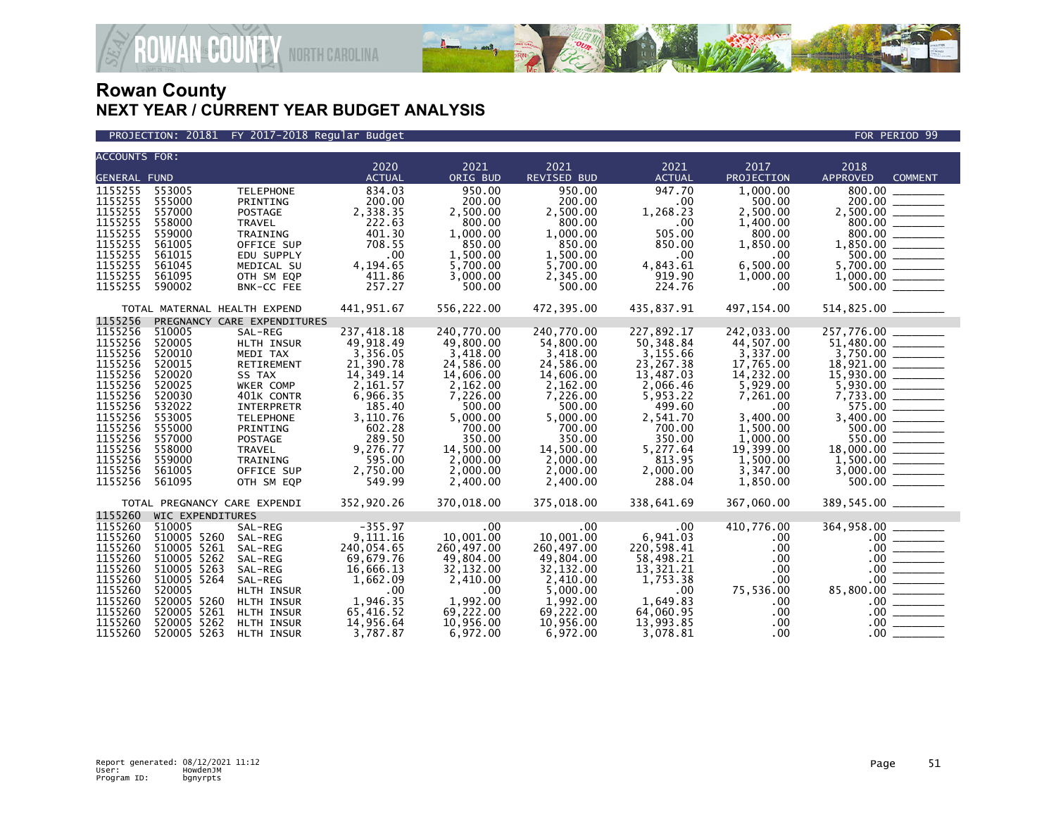

PROJECTION: 20181 FY 2017-2018 Regular Budget FOR PERIOD 99

| <b>ACCOUNTS FOR:</b> |                              |                             |               |            |                    |               |            |                                                       |                                                                                                                                                               |
|----------------------|------------------------------|-----------------------------|---------------|------------|--------------------|---------------|------------|-------------------------------------------------------|---------------------------------------------------------------------------------------------------------------------------------------------------------------|
|                      |                              |                             | 2020          | 2021       | 2021               | 2021          | 2017       | 2018                                                  |                                                                                                                                                               |
| <b>GENERAL FUND</b>  |                              |                             | <b>ACTUAL</b> | ORIG BUD   | <b>REVISED BUD</b> | <b>ACTUAL</b> | PROJECTION | <b>APPROVED</b>                                       | <b>COMMENT</b>                                                                                                                                                |
| 1155255              | 553005                       | <b>TELEPHONE</b>            | 834.03        | 950.00     | 950.00             | 947.70        | 1,000.00   | 800.00                                                |                                                                                                                                                               |
| 1155255              | 555000                       | PRINTING                    | 200.00        | 200.00     | 200.00             | .00           | 500.00     |                                                       |                                                                                                                                                               |
| 1155255              | 557000                       | <b>POSTAGE</b>              | 2,338.35      | 2,500.00   | 2,500.00           | 1,268.23      | 2,500.00   |                                                       |                                                                                                                                                               |
| 1155255              | 558000                       | TRAVEL                      | 222.63        | 800.00     | 800.00             | .00           | 1,400.00   |                                                       |                                                                                                                                                               |
| 1155255              | 559000                       | TRAINING                    | 401.30        | 1,000.00   | 1,000.00           | 505.00        | 800.00     |                                                       |                                                                                                                                                               |
| 1155255              | 561005                       | OFFICE SUP                  | 708.55        | 850.00     | 850.00             | 850.00        | 1,850.00   |                                                       |                                                                                                                                                               |
| 1155255              | 561015                       | EDU SUPPLY                  | .00           | 1,500.00   | 1,500.00           | .00           | .00.       | $800.00$<br>1,850.00                                  |                                                                                                                                                               |
| 1155255              | 561045                       | MEDICAL SU                  | 4,194.65      | 5,700.00   | 5,700.00           | 4,843.61      | 6.500.00   | 5,700.00 ______                                       |                                                                                                                                                               |
| 1155255              | 561095                       | OTH SM EQP                  | 411.86        | 3,000.00   | 2,345.00           | 919.90        | 1,000.00   |                                                       |                                                                                                                                                               |
| 1155255              | 590002                       | BNK-CC FEE                  | 257.27        | 500.00     | 500.00             | 224.76        | .00        |                                                       |                                                                                                                                                               |
|                      |                              |                             |               |            |                    |               |            |                                                       |                                                                                                                                                               |
|                      | TOTAL MATERNAL HEALTH EXPEND |                             | 441,951.67    | 556,222.00 | 472,395.00         | 435,837.91    | 497,154.00 |                                                       |                                                                                                                                                               |
| 1155256              |                              | PREGNANCY CARE EXPENDITURES |               |            |                    |               |            |                                                       |                                                                                                                                                               |
| 1155256              | 510005                       | SAL-REG                     | 237,418.18    | 240,770.00 | 240,770.00         | 227,892.17    | 242,033.00 | 257,776.00                                            |                                                                                                                                                               |
| 1155256              | 520005                       | HLTH INSUR                  | 49,918.49     | 49,800.00  | 54,800.00          | 50,348.84     | 44,507.00  |                                                       |                                                                                                                                                               |
| 1155256              | 520010                       | MEDI TAX                    | 3,356.05      | 3,418.00   | 3,418.00           | 3,155.66      | 3,337.00   | $51,480.00$<br>3,750.00                               |                                                                                                                                                               |
| 1155256              | 520015                       | RETIREMENT                  | 21,390.78     | 24,586.00  | 24,586.00          | 23,267.38     | 17,765.00  | 18,921.00 _______                                     |                                                                                                                                                               |
| 1155256              | 520020                       | SS TAX                      | 14,349.14     | 14,606.00  | 14,606.00          | 13,487.03     | 14,232.00  | $15,930.00$<br>$5,930.00$<br>$7,733.00$<br>$7,733.00$ |                                                                                                                                                               |
| 1155256              | 520025                       | WKER COMP                   | 2,161.57      | 2,162.00   | 2,162.00           | 2,066.46      | 5,929.00   |                                                       |                                                                                                                                                               |
| 1155256              | 520030                       | 401K CONTR                  | 6,966.35      | 7,226.00   | 7,226.00           | 5,953.22      | 7,261.00   |                                                       |                                                                                                                                                               |
| 1155256              | 532022                       | <b>INTERPRETR</b>           | 185.40        | 500.00     | 500.00             | 499.60        | .00        | 575.00                                                |                                                                                                                                                               |
| 1155256              | 553005                       | <b>TELEPHONE</b>            | 3,110.76      | 5,000.00   | 5,000.00           | 2,541.70      | 3,400.00   |                                                       |                                                                                                                                                               |
| 1155256              | 555000                       | PRINTING                    | 602.28        | 700.00     | 700.00             | 700.00        | 1,500.00   |                                                       |                                                                                                                                                               |
| 1155256              | 557000                       | POSTAGE                     | 289.50        | 350.00     | 350.00             | 350.00        | 1,000.00   | 550.00                                                |                                                                                                                                                               |
| 1155256              | 558000                       | <b>TRAVEL</b>               | 9,276.77      | 14,500.00  | 14,500.00          | 5,277.64      | 19,399.00  |                                                       |                                                                                                                                                               |
| 1155256              | 559000                       | TRAINING                    | 595.00        | 2,000.00   | 2,000.00           | 813.95        | 1,500.00   |                                                       |                                                                                                                                                               |
| 1155256              | 561005                       | OFFICE SUP                  | 2,750.00      | 2,000.00   | 2,000.00           | 2,000.00      | 3,347.00   |                                                       |                                                                                                                                                               |
| 1155256              | 561095                       | OTH SM EQP                  | 549.99        | 2,400.00   | 2,400.00           | 288.04        | 1,850.00   |                                                       |                                                                                                                                                               |
|                      |                              |                             |               |            |                    |               |            |                                                       |                                                                                                                                                               |
|                      | TOTAL PREGNANCY CARE EXPENDI |                             | 352,920.26    | 370,018.00 | 375,018.00         | 338,641.69    | 367,060.00 | 389,545.00 _______                                    |                                                                                                                                                               |
| 1155260              | <b>WIC EXPENDITURES</b>      |                             |               |            |                    |               |            |                                                       |                                                                                                                                                               |
| 1155260              | 510005                       | SAL-REG                     | $-355.97$     | .00        | .00                | $.00 \,$      | 410,776.00 | 364,958.00                                            |                                                                                                                                                               |
| 1155260              | 510005 5260                  | SAL-REG                     | 9,111.16      | 10,001.00  | 10,001.00          | 6,941.03      | .00.       |                                                       |                                                                                                                                                               |
| 1155260              | 510005 5261                  | SAL-REG                     | 240,054.65    | 260,497.00 | 260,497.00         | 220,598.41    | .00.       |                                                       | $\frac{100}{00}$ = 00.                                                                                                                                        |
| 1155260              | 510005 5262                  | SAL-REG                     | 69,679.76     | 49,804.00  | 49,804.00          | 58,498.21     | .00        |                                                       |                                                                                                                                                               |
| 1155260              | 510005 5263                  | SAL-REG                     | 16,666.13     | 32, 132.00 | 32,132.00          | 13,321.21     | .00        |                                                       |                                                                                                                                                               |
| 1155260              | 510005 5264                  | SAL-REG                     | 1,662.09      | 2,410.00   | 2,410.00           | 1,753.38      | .00        |                                                       |                                                                                                                                                               |
| 1155260              | 520005                       | HLTH INSUR                  | .00           | $.00 \,$   | 5,000.00           | .00.          | 75,536.00  | 85,800.00 _______                                     |                                                                                                                                                               |
| 1155260              | 520005 5260                  | HLTH INSUR                  | 1,946.35      | 1,992.00   | 1,992.00           | 1,649.83      | .00        |                                                       | $\begin{array}{c c} .00 & \overline{\hspace{1.5cm}} \\ \hline \rule{0cm}{0.15cm} & 00 & \overline{\hspace{1.5cm}} \\ \hline \rule{0cm}{0.15cm} & \end{array}$ |
| 1155260              | 520005 5261                  | HLTH INSUR                  | 65,416.52     | 69,222.00  | 69,222.00          | 64,060.95     | .00        |                                                       |                                                                                                                                                               |
| 1155260              | 520005 5262                  | HLTH INSUR                  | 14,956.64     | 10,956.00  | 10,956.00          | 13,993.85     | .00        | $.00 \,$                                              |                                                                                                                                                               |
| 1155260              | 520005 5263                  | HLTH INSUR                  | 3,787.87      | 6,972.00   | 6,972.00           | 3,078.81      | $.00 \,$   | $.00 \,$                                              |                                                                                                                                                               |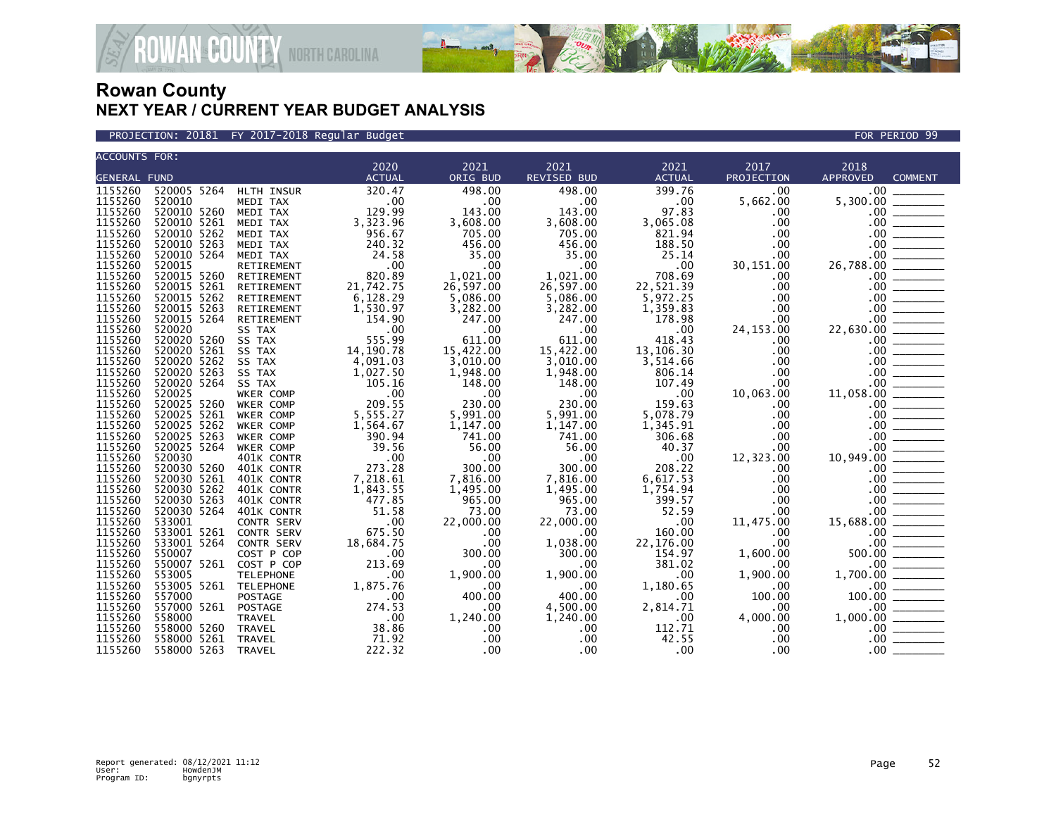

PROJECTION: 20181 FY 2017-2018 Regular Budget FOR PERIOD 99

| <b>ACCOUNTS FOR:</b> |                        |                   |                                                                  |                              |                              |                                        |                                                                               |                                                                                                                                                                                                                                                                                                                                                                                                                                                                                                                                                                                                                                       |
|----------------------|------------------------|-------------------|------------------------------------------------------------------|------------------------------|------------------------------|----------------------------------------|-------------------------------------------------------------------------------|---------------------------------------------------------------------------------------------------------------------------------------------------------------------------------------------------------------------------------------------------------------------------------------------------------------------------------------------------------------------------------------------------------------------------------------------------------------------------------------------------------------------------------------------------------------------------------------------------------------------------------------|
|                      |                        |                   | 2020                                                             | 2021                         | 2021                         | 2021                                   | 2017                                                                          | 2018                                                                                                                                                                                                                                                                                                                                                                                                                                                                                                                                                                                                                                  |
| <b>GENERAL FUND</b>  |                        |                   | <b>ACTUAL</b>                                                    | ORIG BUD                     | <b>REVISED BUD</b>           | <b>ACTUAL</b>                          | PROJECTION                                                                    | APPROVED<br><b>COMMENT</b>                                                                                                                                                                                                                                                                                                                                                                                                                                                                                                                                                                                                            |
| 1155260              | 520005 5264 HLTH INSUR |                   | 320.47                                                           | 498.00                       | 498.00                       | 399.76                                 | .00                                                                           | $.00 \,$                                                                                                                                                                                                                                                                                                                                                                                                                                                                                                                                                                                                                              |
| 1155260              | 520010                 | MEDI TAX          | $\overline{\phantom{0}}$ .00                                     | $\sim$ .00                   | .00                          | .00                                    | 5,662.00                                                                      | 5,300.00                                                                                                                                                                                                                                                                                                                                                                                                                                                                                                                                                                                                                              |
| 1155260              | 520010 5260            | MEDI TAX          | 129.99                                                           | 143.00                       | 143.00                       | 97.83                                  | .00.                                                                          | $.00 \,$                                                                                                                                                                                                                                                                                                                                                                                                                                                                                                                                                                                                                              |
| 1155260              | 520010 5261            | MEDI TAX          | 3,323.96                                                         | 3,608.00                     | 3,608.00                     | 3,065.08                               | .00                                                                           |                                                                                                                                                                                                                                                                                                                                                                                                                                                                                                                                                                                                                                       |
| 1155260              | 520010 5262            | MEDI TAX          | 956.67                                                           | 705.00                       | 705.00                       | 821.94                                 | .00                                                                           |                                                                                                                                                                                                                                                                                                                                                                                                                                                                                                                                                                                                                                       |
| 1155260              | 520010 5263            | MEDI TAX          | 240.32                                                           | 456.00                       | 456.00                       | 188.50                                 | .00                                                                           |                                                                                                                                                                                                                                                                                                                                                                                                                                                                                                                                                                                                                                       |
| 1155260              | 520010 5264            | MEDI TAX          | 24.58                                                            | 35.00                        | 35.00                        | 25.14                                  | .00                                                                           |                                                                                                                                                                                                                                                                                                                                                                                                                                                                                                                                                                                                                                       |
| 1155260              | 520015                 | RETIREMENT        | $\overline{\phantom{0}}$ .00                                     | $\overline{\phantom{0}}$ .00 | .00                          | .00                                    | 30,151.00                                                                     | 26,788.00                                                                                                                                                                                                                                                                                                                                                                                                                                                                                                                                                                                                                             |
| 1155260              | 520015 5260            | RETIREMENT        | 820.89                                                           | 1,021.00                     | 1,021.00                     | 708.69                                 | $.00 \,$                                                                      |                                                                                                                                                                                                                                                                                                                                                                                                                                                                                                                                                                                                                                       |
| 1155260              | 520015 5261            | RETIREMENT        | 21,742.75                                                        | 26,597.00                    | 26,597.00                    | 22,521.39                              |                                                                               |                                                                                                                                                                                                                                                                                                                                                                                                                                                                                                                                                                                                                                       |
| 1155260              | 520015 5262            | RETIREMENT        | 6,128.29                                                         | 5,086.00                     | 5,086.00                     | 5,972.25                               |                                                                               |                                                                                                                                                                                                                                                                                                                                                                                                                                                                                                                                                                                                                                       |
| 1155260              | 520015 5263            | RETIREMENT        | 1,530.97                                                         | 3,282.00                     | 3,282.00                     | 1,359.83                               |                                                                               |                                                                                                                                                                                                                                                                                                                                                                                                                                                                                                                                                                                                                                       |
| 1155260              | 520015 5264            | RETIREMENT        | 154.90                                                           | 247.00                       | 247.00                       | 178.98                                 | $\begin{array}{r} .00\ 0.00\ 0.00\ 0.00\ 0.00\ 0.00\ 0.00\ 0.00\ \end{array}$ |                                                                                                                                                                                                                                                                                                                                                                                                                                                                                                                                                                                                                                       |
| 1155260              | 520020                 | SS TAX            |                                                                  | $\sim$ .00                   | .00                          | $\overline{\phantom{0}}$ .00           |                                                                               | 22,630.00                                                                                                                                                                                                                                                                                                                                                                                                                                                                                                                                                                                                                             |
| 1155260              | 520020 5260            | SS TAX            | $00$<br>555.00<br>555.99                                         | 611.00                       | 611.00                       | 418.43                                 | $.00 \,$                                                                      |                                                                                                                                                                                                                                                                                                                                                                                                                                                                                                                                                                                                                                       |
| 1155260              | 520020 5261            | SS TAX            | 14, 190. 78                                                      | 15,422.00                    | 15,422.00                    | 13,106.30                              | .00                                                                           |                                                                                                                                                                                                                                                                                                                                                                                                                                                                                                                                                                                                                                       |
| 1155260              | 520020 5262            | SS TAX            | 4,091.03                                                         | 3,010.00                     | 3,010.00                     | 3,514.66                               | $.00 \,$                                                                      |                                                                                                                                                                                                                                                                                                                                                                                                                                                                                                                                                                                                                                       |
| 1155260              | 520020 5263            | SS TAX            | 1,027.50                                                         | 1,948.00                     | 1,948.00                     | 806.14                                 | .00                                                                           |                                                                                                                                                                                                                                                                                                                                                                                                                                                                                                                                                                                                                                       |
| 1155260              | 520020 5264            | SS TAX            | 105.16                                                           | 148.00                       | 148.00                       | 107.49                                 | $.00 \,$                                                                      |                                                                                                                                                                                                                                                                                                                                                                                                                                                                                                                                                                                                                                       |
| 1155260              | 520025                 | WKER COMP         | $\sim$ 00                                                        | $\sim$ .00                   | $\overline{\phantom{0}}$ .00 | $\overline{\phantom{0}}$ .00           | 10,063.00                                                                     | 11,058.00                                                                                                                                                                                                                                                                                                                                                                                                                                                                                                                                                                                                                             |
| 1155260              | 520025 5260            | WKER COMP         | 209.55                                                           | 230.00                       | 230.00                       | 159.63                                 | .00                                                                           | $\begin{tabular}{ c c } \hline \quad \quad & \quad \quad & \quad \quad & \quad \quad & \quad \quad \\ \hline \quad \quad & \quad \quad & \quad \quad & \quad \quad \\ \hline \quad \quad & \quad \quad & \quad \quad & \quad \quad \\ \hline \quad \quad & \quad \quad & \quad \quad \\ \hline \quad \quad & \quad \quad & \quad \quad \\ \hline \quad \quad & \quad \quad & \quad \quad \\ \hline \quad \quad & \quad \quad & \quad \quad \\ \hline \quad \quad & \quad \quad & \quad \quad \\ \hline \quad \quad & \quad \quad & \quad \quad \\ \hline \quad \quad & \quad \quad & \quad \quad \\ \hline \quad \quad &$<br>$.00 \,$ |
| 1155260              | 520025 5261            | WKER COMP         | 5,555.27                                                         | 5,991.00                     | 5,991.00                     | 5,078.79                               | .00                                                                           | $.00 \,$                                                                                                                                                                                                                                                                                                                                                                                                                                                                                                                                                                                                                              |
| 1155260              | 520025 5262            | WKER COMP         | 1,564.67                                                         | 1,147.00                     | 1,147.00                     | 1,345.91                               | .00                                                                           | $.00 \,$                                                                                                                                                                                                                                                                                                                                                                                                                                                                                                                                                                                                                              |
| 1155260              | 520025 5263            | <b>WKER COMP</b>  | 390.94                                                           | 741.00                       | 741.00                       | 306.68                                 | $.00 \,$                                                                      | $.00 \,$                                                                                                                                                                                                                                                                                                                                                                                                                                                                                                                                                                                                                              |
| 1155260              | 520025 5264            | WKER COMP         | 39.56                                                            | 56.00                        | 56.00                        | 40.37                                  | $.00 \,$                                                                      |                                                                                                                                                                                                                                                                                                                                                                                                                                                                                                                                                                                                                                       |
| 1155260              | 520030                 | 401K CONTR        | .00                                                              | .00                          | .00                          | .00                                    | 12,323.00                                                                     |                                                                                                                                                                                                                                                                                                                                                                                                                                                                                                                                                                                                                                       |
| 1155260              | 520030 5260            | 401K CONTR        | 273.28                                                           | 300.00                       | 300.00                       | 208.22                                 | .00                                                                           |                                                                                                                                                                                                                                                                                                                                                                                                                                                                                                                                                                                                                                       |
| 1155260              | 520030 5261            | 401K CONTR        | 7,218.61                                                         | 7,816.00                     | 7,816.00                     | 6,617.53                               | .00                                                                           |                                                                                                                                                                                                                                                                                                                                                                                                                                                                                                                                                                                                                                       |
| 1155260              | 520030 5262            | 401K CONTR        | 1,843.55                                                         | 1,495.00                     | 1,495.00                     | 1,754.94                               | .00                                                                           |                                                                                                                                                                                                                                                                                                                                                                                                                                                                                                                                                                                                                                       |
| 1155260              | 520030 5263            | 401K CONTR        | 477.85                                                           | 965.00                       | 965.00                       | 399.57                                 | $.00 \,$                                                                      |                                                                                                                                                                                                                                                                                                                                                                                                                                                                                                                                                                                                                                       |
| 1155260              | 520030 5264            |                   | 51.58                                                            | 73.00                        | 73.00                        | 52.59                                  | $.00 \,$                                                                      |                                                                                                                                                                                                                                                                                                                                                                                                                                                                                                                                                                                                                                       |
|                      | 533001                 | 401K CONTR        |                                                                  | 22,000.00                    | 22,000.00                    | $\overline{\phantom{0}}$ .00           |                                                                               |                                                                                                                                                                                                                                                                                                                                                                                                                                                                                                                                                                                                                                       |
| 1155260<br>1155260   | 533001 5261            | <b>CONTR SERV</b> | 00.<br>675.50                                                    | .00                          | $.00 \times$                 | 160.00                                 | 11,475.00<br>.00                                                              |                                                                                                                                                                                                                                                                                                                                                                                                                                                                                                                                                                                                                                       |
| 1155260              |                        | CONTR SERV        |                                                                  |                              |                              |                                        | .00                                                                           |                                                                                                                                                                                                                                                                                                                                                                                                                                                                                                                                                                                                                                       |
|                      | 533001 5264            | CONTR SERV        | 18,684.75                                                        | .00                          | 1,038.00                     | 22,176.00                              |                                                                               |                                                                                                                                                                                                                                                                                                                                                                                                                                                                                                                                                                                                                                       |
| 1155260              | 550007                 | COST P COP        | $\begin{array}{c} 00 \\ 213.69 \end{array}$                      | 300.00                       | 300.00                       | 154.97                                 | 1,600.00                                                                      |                                                                                                                                                                                                                                                                                                                                                                                                                                                                                                                                                                                                                                       |
| 1155260              | 550007 5261            | COST P COP        |                                                                  | $.00 \,$                     | $.00 \cdot$                  | 381.02                                 | $.00 \,$                                                                      |                                                                                                                                                                                                                                                                                                                                                                                                                                                                                                                                                                                                                                       |
| 1155260              | 553005                 | <b>TELEPHONE</b>  | .00                                                              | 1,900.00                     | 1,900.00                     | .00                                    | 1,900.00                                                                      |                                                                                                                                                                                                                                                                                                                                                                                                                                                                                                                                                                                                                                       |
| 1155260              | 553005 5261 TELEPHONE  |                   |                                                                  |                              | $\sim$ .00                   | 1,180.65                               | $\sim$ .00                                                                    |                                                                                                                                                                                                                                                                                                                                                                                                                                                                                                                                                                                                                                       |
| 1155260              | 557000                 | <b>POSTAGE</b>    |                                                                  | 400.00                       | 400.00                       | .00                                    | 100.00                                                                        |                                                                                                                                                                                                                                                                                                                                                                                                                                                                                                                                                                                                                                       |
| 1155260              | 557000 5261            | POSTAGE           | E<br>E<br>1,875.76<br>0.00<br>274.53<br>271.92<br>38.86<br>71.92 | .00                          | 4,500.00                     | $2,814.71$<br>.00<br>$112.71$<br>42.55 | $\overline{\phantom{0}}$ .00                                                  | $10,949.00$<br>$10,949.00$<br>$00$<br>$00$<br>$00$<br>$00$<br>$00$<br>$00$<br>$00$<br>$00$<br>$00$<br>$1,700.00$<br>$1,000.00$<br>$1,000.00$<br>$0,00$<br>$0,00$<br>$0,00$<br>$0,00$<br>$0,00$<br>$0,00$<br>$0,00$                                                                                                                                                                                                                                                                                                                                                                                                                    |
| 1155260              | 558000                 | TRAVEL            |                                                                  | 1,240.00                     | 1,240.00                     |                                        | 4,000.00                                                                      |                                                                                                                                                                                                                                                                                                                                                                                                                                                                                                                                                                                                                                       |
| 1155260              | 558000 5260            | TRAVEL            |                                                                  | $.00 \,$                     | $.00 \,$                     |                                        | $\begin{array}{c} .00 \\ .00 \end{array}$                                     |                                                                                                                                                                                                                                                                                                                                                                                                                                                                                                                                                                                                                                       |
| 1155260              | 558000 5261            | TRAVEL            |                                                                  | $.00 \,$                     | $.00 \,$                     |                                        |                                                                               | $.00 \,$                                                                                                                                                                                                                                                                                                                                                                                                                                                                                                                                                                                                                              |
| 1155260              | 558000 5263            | TRAVEL            | 222.32                                                           | $.00 \,$                     | $.00 \times$                 | $\overline{\phantom{0}}$ .00           | .00                                                                           | $.00 \,$                                                                                                                                                                                                                                                                                                                                                                                                                                                                                                                                                                                                                              |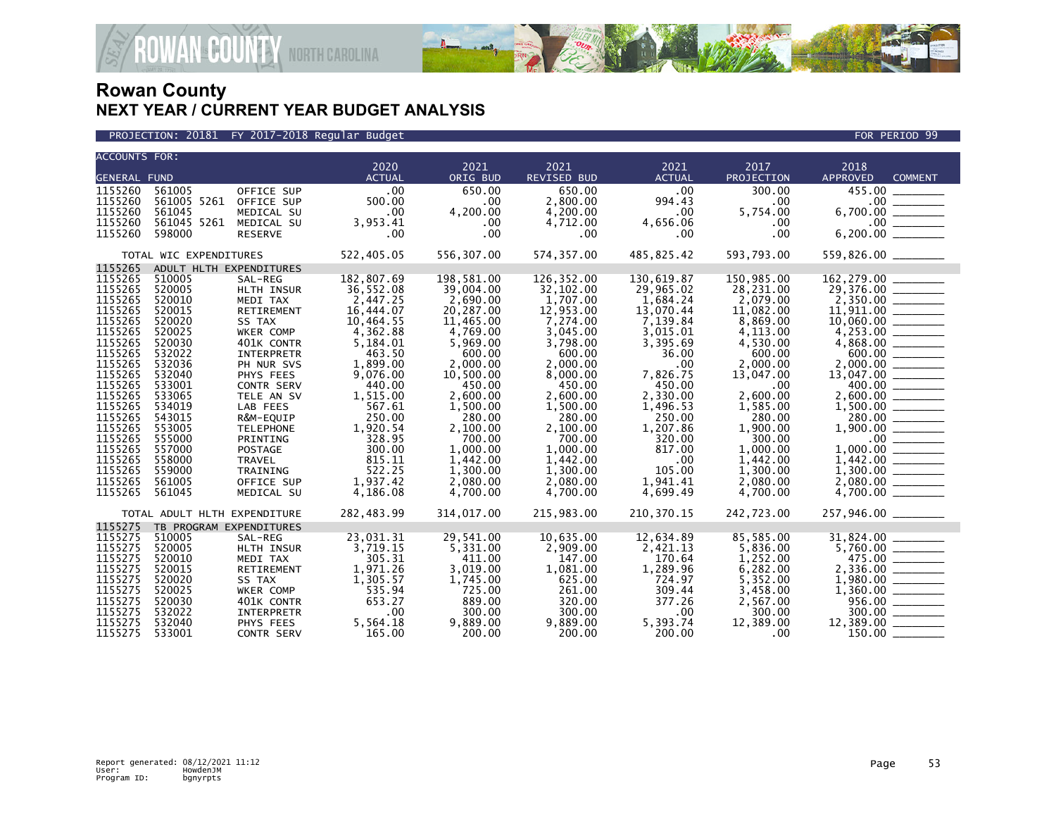



| <b>ACCOUNTS FOR:</b> |                              |                   | 2020          | 2021       | 2021               | 2021          | 2017       | 2018                                |  |
|----------------------|------------------------------|-------------------|---------------|------------|--------------------|---------------|------------|-------------------------------------|--|
| <b>GENERAL FUND</b>  |                              |                   | <b>ACTUAL</b> | ORIG BUD   | <b>REVISED BUD</b> | <b>ACTUAL</b> | PROJECTION | <b>APPROVED</b><br><b>COMMENT</b>   |  |
| 1155260              | 561005                       | OFFICE SUP        | .00           | 650.00     | 650.00             | $.00 \times$  | 300.00     | 455.00                              |  |
| 1155260              | 561005 5261                  | OFFICE SUP        | 500.00        | .00        | 2,800.00           | 994.43        | .00        | $.00 \,$                            |  |
| 1155260              | 561045                       | MEDICAL SU        | .00           | 4,200.00   | 4,200.00           | .00           | 5,754.00   |                                     |  |
| 1155260              | 561045 5261                  | MEDICAL SU        | 3,953.41      | .00        | 4,712.00           | 4,656.06      | .00.       |                                     |  |
| 1155260              | 598000                       | <b>RESERVE</b>    | .00           | .00        | .00.               | .00           | .00        |                                     |  |
|                      | TOTAL WIC EXPENDITURES       |                   | 522,405.05    | 556,307.00 | 574,357.00         | 485,825.42    | 593,793.00 | 559,826.00 ________                 |  |
| 1155265              | ADULT HLTH EXPENDITURES      |                   |               |            |                    |               |            |                                     |  |
| 1155265              | 510005                       | SAL-REG           | 182,807.69    | 198,581.00 | 126, 352.00        | 130,619.87    | 150,985.00 |                                     |  |
| 1155265              | 520005                       | HLTH INSUR        | 36,552.08     | 39,004.00  | 32,102.00          | 29,965.02     | 28,231.00  | 29,376.00 _______                   |  |
| 1155265              | 520010                       | MEDI TAX          | 2,447.25      | 2,690.00   | 1,707.00           | 1,684.24      | 2,079.00   |                                     |  |
| 1155265              | 520015                       | RETIREMENT        | 16,444.07     | 20,287.00  | 12,953.00          | 13,070.44     | 11,082.00  |                                     |  |
| 1155265              | 520020                       | SS TAX            | 10,464.55     | 11,465.00  | 7,274.00           | 7,139.84      | 8,869.00   |                                     |  |
| 1155265              | 520025                       | WKER COMP         | 4,362.88      | 4,769.00   | 3,045.00           | 3,015.01      | 4,113.00   |                                     |  |
| 1155265              | 520030                       | 401K CONTR        | 5,184.01      | 5,969.00   | 3,798.00           | 3,395.69      | 4,530.00   |                                     |  |
| 1155265              | 532022                       | INTERPRETR        | 463.50        | 600.00     | 600.00             | 36.00         | 600.00     |                                     |  |
| 1155265              | 532036                       | PH NUR SVS        | 1,899.00      | 2,000.00   | 2,000.00           | .00           | 2,000.00   | 2,000.00 ______                     |  |
| 1155265              | 532040                       | PHYS FEES         | 9,076.00      | 10,500.00  | 8,000.00           | 7,826.75      | 13,047.00  | $13,047.00$<br>$400.00$<br>2,600.00 |  |
| 1155265              | 533001                       | <b>CONTR SERV</b> | 440.00        | 450.00     | 450.00             | 450.00        | .00        |                                     |  |
| 1155265              | 533065                       | TELE AN SV        | 1,515.00      | 2,600.00   | 2,600.00           | 2,330.00      | 2,600.00   |                                     |  |
| 1155265              | 534019                       | LAB FEES          | 567.61        | 1,500.00   | 1,500.00           | 1,496.53      | 1,585.00   |                                     |  |
| 1155265              | 543015                       | R&M-EQUIP         | 250.00        | 280.00     | 280.00             | 250.00        | 280.00     | 280.00 ______                       |  |
| 1155265              | 553005                       | <b>TELEPHONE</b>  | 1,920.54      | 2,100.00   | 2,100.00           | 1,207.86      | 1,900.00   |                                     |  |
| 1155265              | 555000                       | PRINTING          | 328.95        | 700.00     | 700.00             | 320.00        | 300.00     |                                     |  |
| 1155265              | 557000                       | <b>POSTAGE</b>    | 300.00        | 1,000.00   | 1,000.00           | 817.00        | 1,000.00   | 1,000.00                            |  |
| 1155265              | 558000                       | TRAVEL            | 815.11        | 1,442.00   | 1,442.00           | .00           | 1,442.00   |                                     |  |
| 1155265              | 559000                       | TRAINING          | 522.25        | 1,300.00   | 1,300.00           | 105.00        | 1,300.00   |                                     |  |
| 1155265              | 561005                       | OFFICE SUP        | 1,937.42      | 2,080.00   | 2,080.00           | 1,941.41      | 2,080.00   |                                     |  |
| 1155265              | 561045                       | MEDICAL SU        | 4,186.08      | 4,700.00   | 4,700.00           | 4,699.49      | 4,700.00   |                                     |  |
|                      | TOTAL ADULT HLTH EXPENDITURE |                   | 282,483.99    | 314,017.00 | 215,983.00         | 210,370.15    | 242,723.00 | $257,946.00$ ________               |  |
| 1155275              | TB PROGRAM EXPENDITURES      |                   |               |            |                    |               |            |                                     |  |
| 1155275              | 510005                       | SAL-REG           | 23,031.31     | 29,541.00  | 10,635.00          | 12,634.89     | 85,585.00  |                                     |  |
| 1155275              | 520005                       | HLTH INSUR        | 3,719.15      | 5,331.00   | 2,909.00           | 2,421.13      | 5,836.00   |                                     |  |
| 1155275              | 520010                       | MEDI TAX          | 305.31        | 411.00     | 147.00             | 170.64        | 1,252.00   |                                     |  |
| 1155275              | 520015                       | RETIREMENT        | 1,971.26      | 3,019.00   | 1,081.00           | 1,289.96      | 6,282.00   | 2,336.00 _______                    |  |
| 1155275              | 520020                       | SS TAX            | 1.305.57      | 1,745.00   | 625.00             | 724.97        | 5,352.00   |                                     |  |
| 1155275              | 520025                       | WKER COMP         | 535.94        | 725.00     | 261.00             | 309.44        | 3,458.00   |                                     |  |
| 1155275              | 520030                       | 401K CONTR        | 653.27        | 889.00     | 320.00             | 377.26        | 2,567.00   | $\frac{956.00}{300.00}$             |  |
| 1155275              | 532022                       | INTERPRETR        | $.00 \,$      | 300.00     | 300.00             | $.00 \,$      | 300.00     |                                     |  |
| 1155275              | 532040                       | PHYS FEES         | 5,564.18      | 9,889.00   | 9,889.00           | 5,393.74      | 12,389.00  | $12,389.00$ ________                |  |
| 1155275              | 533001                       | <b>CONTR SERV</b> | 165.00        | 200.00     | 200.00             | 200.00        | .00        | $150.00$ $\_$                       |  |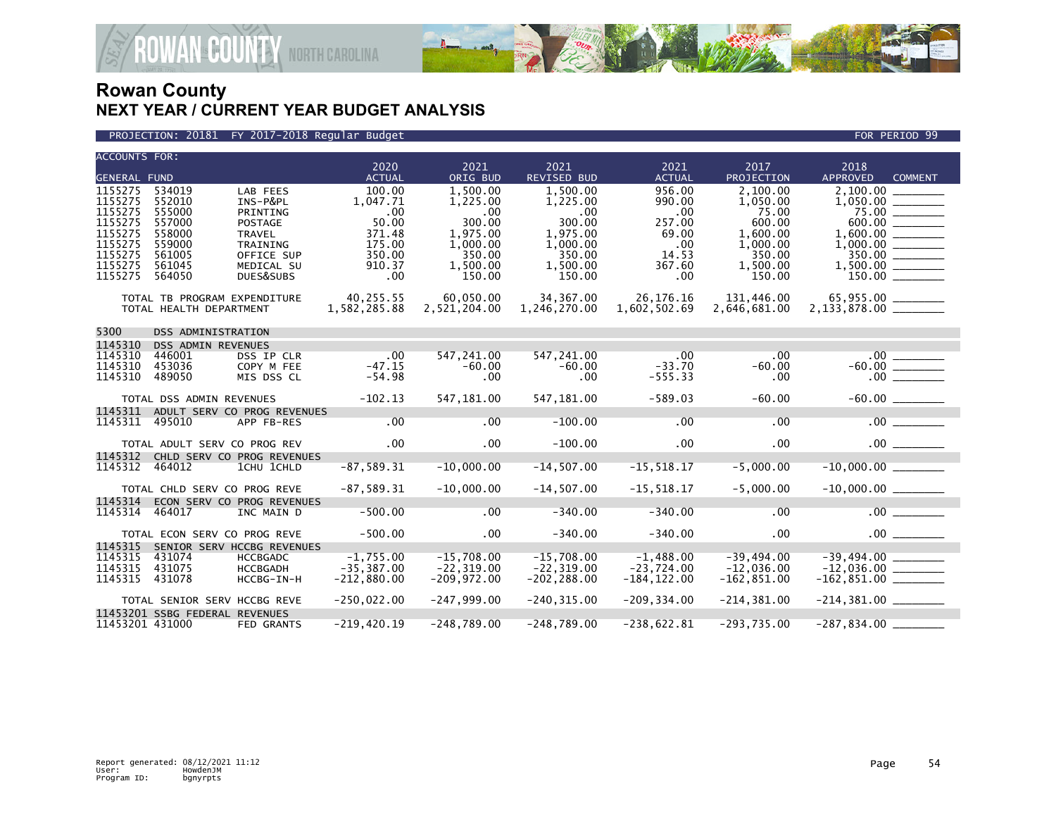

#### PROJECTION: 20181 FY 2017-2018 Regular Budget FOR PERIOD 99

| <b>ACCOUNTS FOR:</b>                                                                            |                                                                                        |                                                                                                            | 2020                                                                              | 2021                                                                                               | 2021                                                                                          | 2021                                                                        | 2017                                                                                            | 2018                                                         |  |
|-------------------------------------------------------------------------------------------------|----------------------------------------------------------------------------------------|------------------------------------------------------------------------------------------------------------|-----------------------------------------------------------------------------------|----------------------------------------------------------------------------------------------------|-----------------------------------------------------------------------------------------------|-----------------------------------------------------------------------------|-------------------------------------------------------------------------------------------------|--------------------------------------------------------------|--|
| <b>GENERAL FUND</b>                                                                             |                                                                                        |                                                                                                            | <b>ACTUAL</b>                                                                     | ORIG BUD                                                                                           | REVISED BUD                                                                                   | <b>ACTUAL</b>                                                               | <b>PROJECTION</b>                                                                               | <b>APPROVED</b><br><b>COMMENT</b>                            |  |
| 1155275<br>1155275<br>1155275<br>1155275<br>1155275<br>1155275<br>1155275<br>1155275<br>1155275 | 534019<br>552010<br>555000<br>557000<br>558000<br>559000<br>561005<br>561045<br>564050 | LAB FEES<br>INS-P&PL<br>PRINTING<br>POSTAGE<br>TRAVEL<br>TRAINING<br>OFFICE SUP<br>MEDICAL SU<br>DUES&SUBS | 100.00<br>1.047.71<br>.00<br>50.00<br>371.48<br>175.00<br>350.00<br>910.37<br>.00 | 1.500.00<br>1.225.00<br>$.00 \,$<br>300.00<br>1,975.00<br>1,000.00<br>350.00<br>1,500.00<br>150.00 | 1.500.00<br>1.225.00<br>.00<br>300.00<br>1,975.00<br>1,000.00<br>350.00<br>1.500.00<br>150.00 | 956.00<br>990.00<br>.00<br>257.00<br>69.00<br>.00<br>14.53<br>367.60<br>.00 | 2.100.00<br>1,050.00<br>75.00<br>600.00<br>1,600.00<br>1,000.00<br>350.00<br>1,500.00<br>150.00 | 2,100.00<br>$75.00$ $\overline{\phantom{25.00}}$<br>1,600.00 |  |
|                                                                                                 | TOTAL TB PROGRAM EXPENDITURE<br>TOTAL HEALTH DEPARTMENT                                |                                                                                                            | 40,255.55<br>1,582,285.88                                                         | 60,050.00<br>2,521,204.00                                                                          | 34, 367.00<br>1,246,270.00                                                                    | 26, 176. 16<br>1,602,502.69                                                 | 131,446.00<br>2,646,681.00                                                                      |                                                              |  |
| 5300                                                                                            | DSS ADMINISTRATION                                                                     |                                                                                                            |                                                                                   |                                                                                                    |                                                                                               |                                                                             |                                                                                                 |                                                              |  |
| 1145310                                                                                         | DSS ADMIN REVENUES                                                                     |                                                                                                            |                                                                                   |                                                                                                    |                                                                                               |                                                                             |                                                                                                 |                                                              |  |
| 1145310<br>1145310<br>1145310                                                                   | 446001<br>453036<br>489050                                                             | DSS IP CLR<br>COPY M FEE<br>MIS DSS CL                                                                     | $.00 \,$<br>$-47.15$<br>$-54.98$                                                  | 547,241.00<br>$-60.00$<br>$.00 \,$                                                                 | 547,241.00<br>$-60.00$<br>.00                                                                 | $.00 \,$<br>$-33.70$<br>$-555.33$                                           | .00<br>$-60.00$<br>.00                                                                          |                                                              |  |
|                                                                                                 | TOTAL DSS ADMIN REVENUES                                                               |                                                                                                            | $-102.13$                                                                         | 547,181.00                                                                                         | 547,181.00                                                                                    | $-589.03$                                                                   | $-60.00$                                                                                        |                                                              |  |
| 1145311                                                                                         |                                                                                        | ADULT SERV CO PROG REVENUES                                                                                |                                                                                   |                                                                                                    |                                                                                               |                                                                             |                                                                                                 |                                                              |  |
| 1145311                                                                                         | 495010                                                                                 | APP FB-RES                                                                                                 | .00                                                                               | .00                                                                                                | $-100.00$                                                                                     | .00                                                                         | .00                                                                                             | $.00$ $\qquad \qquad$                                        |  |
|                                                                                                 | TOTAL ADULT SERV CO PROG REV                                                           |                                                                                                            | $.00 \,$                                                                          | .00                                                                                                | $-100.00$                                                                                     | .00                                                                         | .00                                                                                             |                                                              |  |
| 1145312<br>1145312                                                                              | 464012                                                                                 | CHLD SERV CO PROG REVENUES<br>1CHU 1CHLD                                                                   | $-87,589.31$                                                                      | $-10,000.00$                                                                                       | $-14,507.00$                                                                                  | $-15, 518.17$                                                               | $-5,000.00$                                                                                     | $-10,000.00$                                                 |  |
|                                                                                                 | TOTAL CHLD SERV CO PROG REVE                                                           |                                                                                                            | $-87,589.31$                                                                      | $-10,000.00$                                                                                       | $-14,507.00$                                                                                  | $-15, 518.17$                                                               | $-5,000.00$                                                                                     |                                                              |  |
| 1145314<br>1145314                                                                              | 464017                                                                                 | ECON SERV CO PROG REVENUES<br>INC MAIN D                                                                   | $-500.00$                                                                         | .00                                                                                                | $-340.00$                                                                                     | $-340.00$                                                                   | .00                                                                                             | .00                                                          |  |
|                                                                                                 | TOTAL ECON SERV CO PROG REVE                                                           |                                                                                                            | $-500.00$                                                                         | $.00 \times$                                                                                       | $-340.00$                                                                                     | $-340.00$                                                                   | $.00 \times$                                                                                    | .00                                                          |  |
| 1145315<br>1145315<br>1145315<br>1145315                                                        | 431074<br>431075<br>431078                                                             | SENIOR SERV HCCBG REVENUES<br><b>HCCBGADC</b><br><b>HCCBGADH</b><br>HCCBG-IN-H                             | $-1,755.00$<br>$-35, 387.00$<br>$-212.880.00$                                     | $-15,708.00$<br>$-22, 319.00$<br>$-209,972.00$                                                     | $-15,708.00$<br>$-22, 319.00$<br>$-202, 288.00$                                               | $-1,488.00$<br>$-23,724.00$<br>$-184, 122.00$                               | -39,494.00<br>$-12.036.00$<br>$-162, 851.00$                                                    | $-39,494.00$ _________<br>$-12,036.00$ ________              |  |
|                                                                                                 | TOTAL SENIOR SERV HCCBG REVE                                                           |                                                                                                            | $-250,022.00$                                                                     | $-247,999.00$                                                                                      | $-240, 315.00$                                                                                | $-209, 334.00$                                                              | $-214, 381.00$                                                                                  |                                                              |  |
| 11453201 431000                                                                                 | 11453201 SSBG FEDERAL REVENUES                                                         | <b>FED GRANTS</b>                                                                                          | $-219,420.19$                                                                     | $-248,789.00$                                                                                      | $-248,789.00$                                                                                 | $-238,622.81$                                                               | $-293,735.00$                                                                                   |                                                              |  |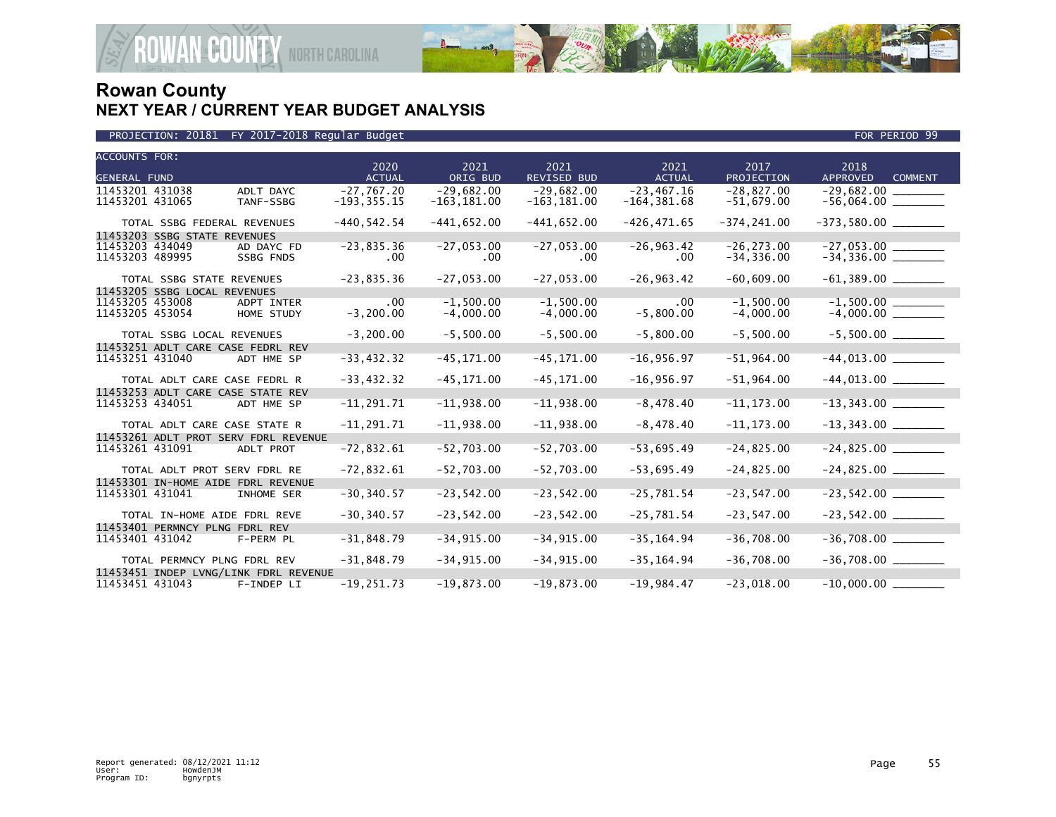

| <b>ACCOUNTS FOR:</b><br><b>GENERAL FUND</b>              |                        | 2020<br><b>ACTUAL</b>          | 2021<br>ORIG BUD               | 2021<br><b>REVISED BUD</b>     | 2021<br><b>ACTUAL</b>           | 2017<br>PROJECTION           | 2018<br><b>APPROVED</b><br><b>COMMENT</b> |
|----------------------------------------------------------|------------------------|--------------------------------|--------------------------------|--------------------------------|---------------------------------|------------------------------|-------------------------------------------|
| 11453201 431038<br>11453201 431065                       | ADLT DAYC<br>TANF-SSBG | $-27,767.20$<br>$-193, 355.15$ | $-29,682.00$<br>$-163, 181.00$ | $-29,682.00$<br>$-163, 181.00$ | $-23, 467.16$<br>$-164, 381.68$ | $-28,827.00$<br>$-51,679.00$ | $-29,682.00$ ________                     |
| TOTAL SSBG FEDERAL REVENUES                              |                        | $-440, 542.54$                 | $-441,652.00$                  | $-441,652.00$                  | $-426, 471.65$                  | $-374, 241.00$               |                                           |
| 11453203 SSBG STATE REVENUES<br>11453203 434049          | AD DAYC FD             | $-23,835.36$                   | $-27,053.00$                   | $-27,053.00$                   | $-26, 963.42$                   | $-26, 273.00$                |                                           |
| 11453203 489995                                          | SSBG FNDS              | .00.                           | $.00 \,$                       | .00.                           | $.00 \,$                        | $-34, 336.00$                |                                           |
| TOTAL SSBG STATE REVENUES                                |                        | $-23,835.36$                   | $-27,053.00$                   | $-27,053.00$                   | $-26, 963.42$                   | $-60,609.00$                 |                                           |
| 11453205 SSBG LOCAL REVENUES<br>11453205 453008          | ADPT INTER             | .00                            | $-1,500.00$                    | $-1,500.00$                    | .00                             | $-1,500.00$                  |                                           |
| 11453205 453054                                          | HOME STUDY             | $-3,200.00$                    | $-4,000.00$                    | $-4,000.00$                    | $-5,800.00$                     | $-4,000.00$                  |                                           |
| TOTAL SSBG LOCAL REVENUES                                |                        | $-3, 200.00$                   | $-5,500.00$                    | $-5,500.00$                    | $-5,800.00$                     | $-5,500.00$                  |                                           |
| 11453251 ADLT CARE CASE FEDRL REV<br>11453251 431040     | ADT HME SP             | $-33,432.32$                   | $-45, 171.00$                  | $-45, 171.00$                  | $-16,956.97$                    | $-51,964.00$                 |                                           |
| TOTAL ADLT CARE CASE FEDRL R                             |                        | $-33,432.32$                   | $-45, 171.00$                  | $-45, 171.00$                  | $-16,956.97$                    | $-51,964.00$                 |                                           |
| 11453253 ADLT CARE CASE STATE REV<br>11453253 434051     | ADT HME SP             | $-11, 291.71$                  | $-11,938.00$                   | $-11,938.00$                   | $-8,478.40$                     | $-11, 173.00$                |                                           |
| TOTAL ADLT CARE CASE STATE R                             |                        | $-11, 291.71$                  | $-11,938.00$                   | $-11,938.00$                   | $-8,478.40$                     | $-11, 173.00$                | $-13,343.00$ ________                     |
| 11453261 ADLT PROT SERV FDRL REVENUE<br>11453261 431091  | ADLT PROT              | $-72,832.61$                   | $-52,703.00$                   | $-52,703.00$                   | $-53,695.49$                    | $-24,825.00$                 |                                           |
| TOTAL ADLT PROT SERV FDRL RE                             |                        | $-72,832.61$                   | $-52,703.00$                   | $-52,703.00$                   | $-53,695.49$                    | $-24,825.00$                 |                                           |
| 11453301 IN-HOME AIDE FDRL REVENUE<br>11453301 431041    | INHOME SER             | $-30, 340.57$                  | $-23,542.00$                   | $-23,542.00$                   | $-25,781.54$                    | $-23,547.00$                 |                                           |
| TOTAL IN-HOME AIDE FDRL REVE                             |                        | $-30, 340.57$                  | $-23,542.00$                   | $-23,542.00$                   | $-25,781.54$                    | $-23, 547.00$                | $-23,542.00$ ________                     |
| 11453401 PERMNCY PLNG FDRL REV<br>11453401 431042        | F-PERM PL              | $-31,848.79$                   | $-34, 915.00$                  | $-34,915.00$                   | $-35, 164.94$                   | $-36,708.00$                 | $-36,708.00$ ________                     |
| TOTAL PERMNCY PLNG FDRL REV                              |                        | $-31,848.79$                   | $-34, 915.00$                  | $-34,915.00$                   | $-35, 164.94$                   | $-36,708.00$                 |                                           |
| 11453451 INDEP LVNG/LINK FDRL REVENUE<br>11453451 431043 | F-INDEP LI             | $-19, 251.73$                  | $-19,873.00$                   | $-19,873.00$                   | $-19,984.47$                    | $-23,018.00$                 | $-10,000.00$                              |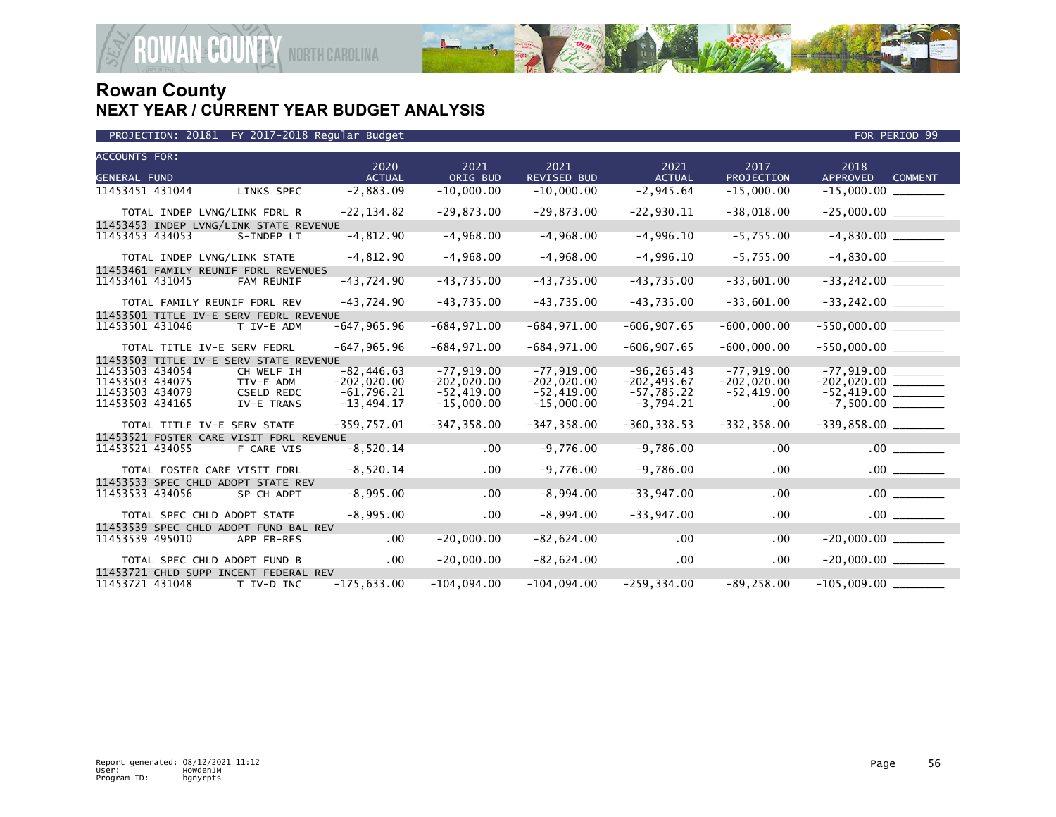

|  |  |  | PROJECTION: 20181 FY 2017-2018 Regular Budget |
|--|--|--|-----------------------------------------------|
|--|--|--|-----------------------------------------------|

| <b>ACCOUNTS FOR:</b><br><b>GENERAL FUND</b> |                                         |                                 | 2020<br><b>ACTUAL</b>          | 2021<br>ORIG BUD              | 2021<br>REVISED BUD           | 2021<br><b>ACTUAL</b>           | 2017<br>PROJECTION            | 2018<br><b>APPROVED</b><br><b>COMMENT</b> |
|---------------------------------------------|-----------------------------------------|---------------------------------|--------------------------------|-------------------------------|-------------------------------|---------------------------------|-------------------------------|-------------------------------------------|
| 11453451 431044                             |                                         | LINKS SPEC                      | $-2,883.09$                    | $-10,000.00$                  | $-10,000.00$                  | $-2,945.64$                     | $-15,000.00$                  |                                           |
|                                             | TOTAL INDEP LVNG/LINK FDRL R            |                                 | $-22, 134.82$                  | $-29,873.00$                  | $-29,873.00$                  | $-22,930.11$                    | $-38,018.00$                  |                                           |
| 11453453 434053                             | 11453453 INDEP LVNG/LINK STATE REVENUE  | S-INDEP LI                      | $-4,812.90$                    | $-4,968.00$                   | $-4,968.00$                   | $-4,996.10$                     | $-5,755.00$                   | $-4,830.00$                               |
|                                             | TOTAL INDEP LVNG/LINK STATE             |                                 | $-4,812.90$                    | $-4,968.00$                   | $-4,968.00$                   | $-4,996.10$                     | $-5,755.00$                   |                                           |
| 11453461 431045                             | 11453461 FAMILY REUNIF FDRL REVENUES    | FAM REUNIF                      | $-43,724.90$                   | $-43,735.00$                  | $-43,735.00$                  | $-43,735.00$                    | $-33,601.00$                  |                                           |
|                                             | TOTAL FAMILY REUNIF FDRL REV            |                                 | $-43,724.90$                   | $-43,735.00$                  | $-43,735.00$                  | $-43,735.00$                    | $-33,601.00$                  | $-33, 242.00$ _________                   |
| 11453501 431046                             | 11453501 TITLE IV-E SERV FEDRL REVENUE  | T IV-E ADM                      | $-647, 965.96$                 | $-684,971.00$                 | $-684,971.00$                 | $-606, 907.65$                  | $-600,000.00$                 |                                           |
|                                             | TOTAL TITLE IV-E SERV FEDRL             |                                 | $-647, 965.96$                 | $-684, 971.00$                | $-684, 971.00$                | $-606, 907.65$                  | $-600,000.00$                 | $-550,000.00$ _________                   |
| 11453503 434054<br>11453503 434075          | 11453503 TITLE IV-E SERV STATE REVENUE  | CH WELF IH<br>TIV-E ADM         | $-82, 446.63$<br>$-202,020.00$ | $-77,919.00$<br>$-202,020.00$ | $-77,919.00$<br>$-202,020.00$ | $-96, 265.43$<br>$-202, 493.67$ | $-77,919.00$<br>$-202,020.00$ | $-77,919.00$<br>$-202,020.00$             |
| 11453503 434079<br>11453503 434165          |                                         | <b>CSELD REDC</b><br>IV-E TRANS | $-61,796.21$<br>$-13,494.17$   | $-52,419.00$<br>$-15,000.00$  | $-52,419.00$<br>$-15,000.00$  | $-57,785.22$<br>$-3,794.21$     | $-52,419.00$<br>.00           |                                           |
|                                             | TOTAL TITLE IV-E SERV STATE             |                                 | $-359,757.01$                  | $-347, 358.00$                | $-347, 358.00$                | $-360, 338.53$                  | $-332, 358.00$                |                                           |
| 11453521 434055                             | 11453521 FOSTER CARE VISIT FDRL REVENUE | F CARE VIS                      | $-8,520.14$                    | .00                           | $-9,776.00$                   | $-9,786.00$                     | .00                           |                                           |
|                                             | TOTAL FOSTER CARE VISIT FDRL            |                                 | $-8,520.14$                    | .00                           | $-9,776.00$                   | $-9,786.00$                     | $.00 \,$                      |                                           |
| 11453533 434056                             | 11453533 SPEC CHLD ADOPT STATE REV      | SP CH ADPT                      | $-8,995.00$                    | .00                           | $-8,994.00$                   | $-33,947.00$                    | .00                           | .00                                       |
|                                             | TOTAL SPEC CHLD ADOPT STATE             |                                 | $-8,995.00$                    | .00                           | $-8,994.00$                   | $-33,947.00$                    | .00                           |                                           |
| 11453539 495010                             | 11453539 SPEC CHLD ADOPT FUND BAL REV   | APP FB-RES                      | .00                            | $-20,000.00$                  | $-82,624.00$                  | .00                             | .00                           | $-20,000.00$                              |
|                                             | TOTAL SPEC CHLD ADOPT FUND B            |                                 | $.00 \,$                       | $-20,000.00$                  | $-82,624.00$                  | $.00 \,$                        | $.00 \,$                      | $-20,000.00$ ________                     |
| 11453721 431048                             | 11453721 CHLD SUPP INCENT FEDERAL REV   | T IV-D INC                      | $-175,633.00$                  | $-104,094.00$                 | $-104,094.00$                 | $-259, 334.00$                  | $-89, 258.00$                 |                                           |

FOR PERIOD 99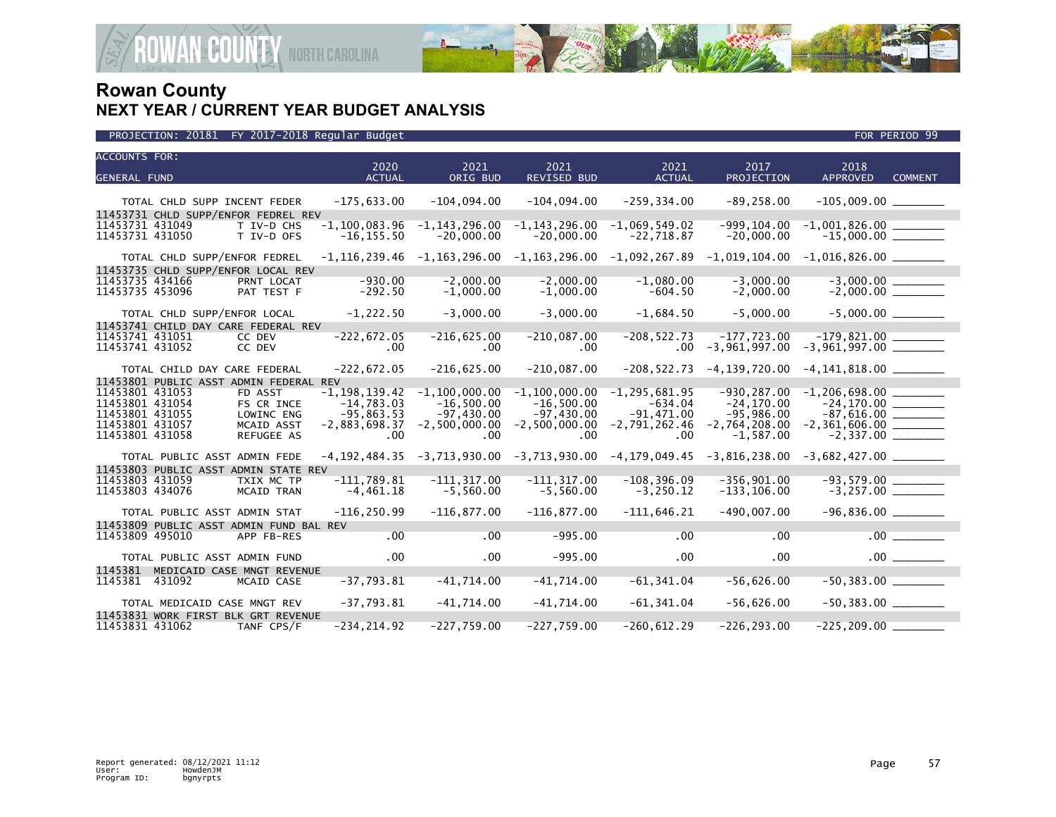

| <b>ACCOUNTS FOR:</b>                                           |                                    |                                   |                                                |                                 |                                                                                                        |                                         |                       |
|----------------------------------------------------------------|------------------------------------|-----------------------------------|------------------------------------------------|---------------------------------|--------------------------------------------------------------------------------------------------------|-----------------------------------------|-----------------------|
|                                                                | 2020<br><b>ACTUAL</b>              | 2021                              | 2021                                           | 2021                            | 2017<br>PROJECTION                                                                                     | 2018<br><b>APPROVED</b>                 |                       |
| <b>GENERAL FUND</b>                                            |                                    | ORIG BUD                          | REVISED BUD                                    | <b>ACTUAL</b>                   |                                                                                                        |                                         | <b>COMMENT</b>        |
| TOTAL CHLD SUPP INCENT FEDER                                   | $-175,633.00$                      | $-104.094.00$                     | $-104.094.00$                                  | $-259, 334.00$                  | $-89, 258.00$                                                                                          |                                         |                       |
| 11453731 CHLD SUPP/ENFOR FEDREL REV                            |                                    |                                   |                                                |                                 |                                                                                                        |                                         |                       |
| 11453731 431049<br>T IV-D CHS<br>11453731 431050<br>T IV-D OFS | $-1, 100, 083.96$<br>$-16, 155.50$ | $-1, 143, 296.00$<br>$-20,000.00$ | $-1, 143, 296.00$<br>$-20,000.00$              | $-1,069,549.02$<br>$-22,718.87$ | $-999.104.00$<br>$-20,000.00$                                                                          | $-15,000.00$ ________                   |                       |
| TOTAL CHLD SUPP/ENFOR FEDREL                                   |                                    |                                   |                                                |                                 | $-1,116,239.46$ $-1,163,296.00$ $-1,163,296.00$ $-1,092,267.89$ $-1,019,104.00$ $-1,016,826.00$ $\_\_$ |                                         |                       |
| 11453735 CHLD SUPP/ENFOR LOCAL REV                             |                                    |                                   |                                                |                                 |                                                                                                        |                                         |                       |
| 11453735 434166<br>PRNT LOCAT<br>11453735 453096<br>PAT TEST F | $-930.00$<br>$-292.50$             | $-2,000.00$<br>$-1,000.00$        | $-2,000.00$<br>$-1,000.00$                     | $-1,080.00$<br>$-604.50$        | $-3,000.00$<br>$-2,000.00$                                                                             |                                         |                       |
| TOTAL CHLD SUPP/ENFOR LOCAL                                    | $-1,222.50$                        | $-3,000.00$                       | $-3.000.00$                                    | $-1,684.50$                     | $-5,000.00$                                                                                            | $-5,000.00$                             |                       |
| 11453741 CHILD DAY CARE FEDERAL REV                            |                                    |                                   |                                                |                                 |                                                                                                        |                                         |                       |
| 11453741 431051<br>CC DEV<br>11453741 431052<br>CC DEV         | $-222,672.05$<br>.00.              | $-216,625.00$<br>.00              | $-210,087.00$<br>$.00 \,$                      | $-208, 522.73$                  | $-177,723.00$<br>$.00 - 3,961,997.00$                                                                  | $-3,961,997.00$ _______                 |                       |
| TOTAL CHILD DAY CARE FEDERAL                                   | $-222,672.05$                      | $-216,625.00$                     | $-210,087.00$                                  |                                 | $-208, 522.73$ $-4, 139, 720.00$ $-4, 141, 818.00$ $\_\_\_\_\_\_\_\_\_\_\_$                            |                                         |                       |
| 11453801 PUBLIC ASST ADMIN FEDERAL REV                         |                                    |                                   |                                                |                                 |                                                                                                        |                                         |                       |
| 11453801 431053<br>FD ASST                                     | $-1, 198, 139.42$                  | $-1, 100, 000.00$                 | $-1, 100, 000.00$                              | $-1, 295, 681.95$               | $-930, 287.00$                                                                                         | $-1, 206, 698.00$                       |                       |
| 11453801 431054<br>FS CR INCE                                  | $-14,783.03$                       | $-16,500.00$                      | $-16,500.00$                                   | $-634.04$                       | $-24.170.00$                                                                                           | $-24.170.00$                            |                       |
| 11453801 431055<br>LOWINC ENG<br>11453801 431057<br>MCAID ASST | $-95,863.53$<br>$-2,883,698.37$    | $-97,430.00$                      | $-97,430.00$<br>$-2,500,000.00 - 2,500,000.00$ | $-91,471.00$<br>$-2,791,262.46$ | $-95,986.00$<br>$-2,764,208.00$                                                                        | $-87,616.00$ _________                  |                       |
| 11453801 431058<br>REFUGEE AS                                  | .00                                | .00                               | .00                                            | .00                             | $-1,587.00$                                                                                            |                                         |                       |
| TOTAL PUBLIC ASST ADMIN FEDE                                   |                                    |                                   |                                                |                                 | $-4,192,484.35$ $-3,713,930.00$ $-3,713,930.00$ $-4,179,049.45$ $-3,816,238.00$ $-3,682,427.00$ $\_\_$ |                                         |                       |
| 11453803 PUBLIC ASST ADMIN STATE REV                           |                                    |                                   |                                                |                                 |                                                                                                        |                                         |                       |
| 11453803 431059<br>TXIX MC TP<br>11453803 434076<br>MCAID TRAN | $-111,789.81$<br>$-4, 461.18$      | $-111, 317.00$<br>$-5,560.00$     | $-111, 317.00$<br>$-5,560.00$                  | $-108, 396.09$<br>$-3,250.12$   | $-356.901.00$<br>$-133, 106.00$                                                                        | $-3,257.00$ $\overline{\qquad \qquad }$ |                       |
| TOTAL PUBLIC ASST ADMIN STAT                                   | $-116, 250.99$                     | $-116, 877.00$                    | $-116.877.00$                                  | $-111.646.21$                   | $-490.007.00$                                                                                          |                                         |                       |
| 11453809 PUBLIC ASST ADMIN FUND BAL REV                        |                                    |                                   |                                                |                                 |                                                                                                        |                                         |                       |
| 11453809 495010<br>APP FB-RES                                  | .00                                | .00                               | $-995.00$                                      | $.00 \,$                        | .00                                                                                                    |                                         | $.00$ $\qquad \qquad$ |
| TOTAL PUBLIC ASST ADMIN FUND                                   | $.00 \,$                           | $.00 \times$                      | $-995.00$                                      | $.00 \,$                        | .00                                                                                                    |                                         |                       |
| 1145381<br>MEDICAID CASE MNGT REVENUE                          |                                    |                                   |                                                |                                 |                                                                                                        |                                         |                       |
| 1145381 431092<br>MCAID CASE                                   | $-37,793.81$                       | $-41,714.00$                      | $-41,714.00$                                   | $-61,341.04$                    | $-56,626.00$                                                                                           | $-50,383.00$ ________                   |                       |
| TOTAL MEDICAID CASE MNGT REV                                   | $-37,793.81$                       | $-41,714.00$                      | $-41,714.00$                                   | $-61, 341.04$                   | $-56,626.00$                                                                                           | $-50,383.00$ ________                   |                       |
| 11453831 WORK FIRST BLK GRT REVENUE                            |                                    |                                   |                                                |                                 |                                                                                                        |                                         |                       |
| 11453831 431062<br>TANF CPS/F                                  | $-234, 214.92$                     | $-227,759.00$                     | $-227,759.00$                                  | $-260.612.29$                   | $-226.293.00$                                                                                          | $-225, 209.00$                          |                       |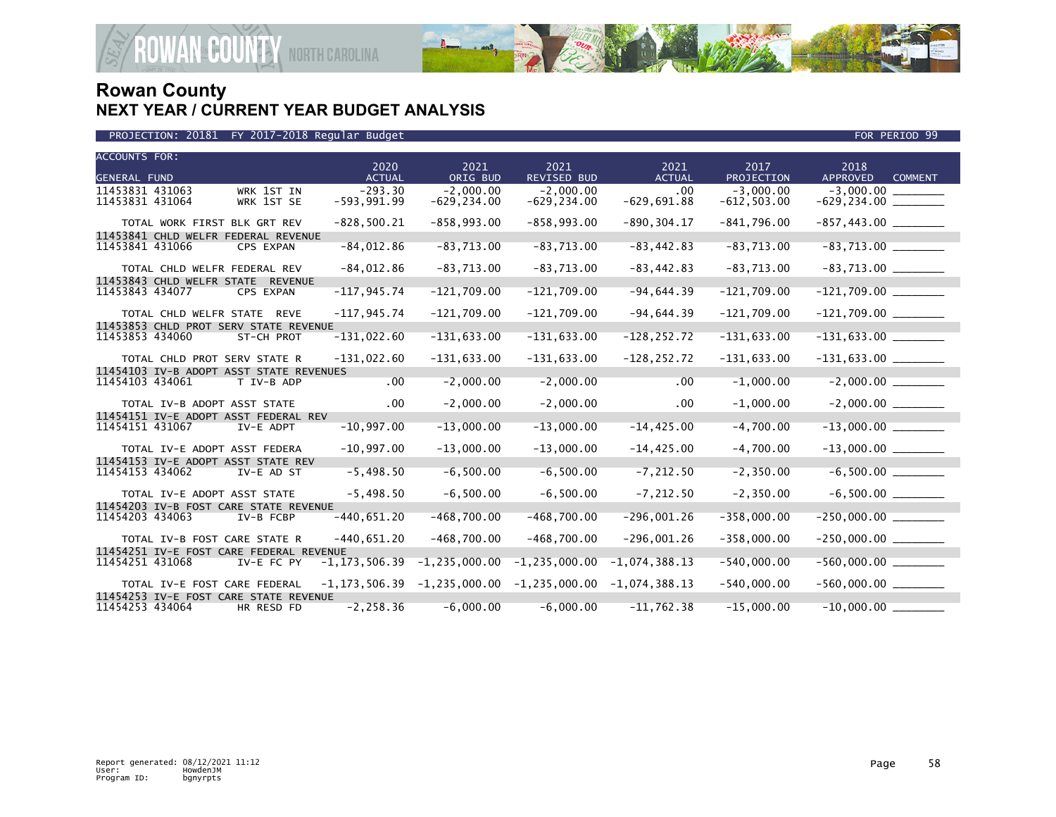

| <b>ACCOUNTS FOR:</b>                                                     | 2020                       | 2021                          | 2021                          | 2021                 | 2017                          | 2018                              |
|--------------------------------------------------------------------------|----------------------------|-------------------------------|-------------------------------|----------------------|-------------------------------|-----------------------------------|
| <b>GENERAL FUND</b>                                                      | <b>ACTUAL</b>              | ORIG BUD                      | <b>REVISED BUD</b>            | <b>ACTUAL</b>        | PROJECTION                    | <b>APPROVED</b><br><b>COMMENT</b> |
| 11453831 431063<br>WRK 1ST IN<br>11453831 431064<br>WRK 1ST SE           | $-293.30$<br>$-593,991.99$ | $-2.000.00$<br>$-629, 234.00$ | $-2.000.00$<br>$-629, 234.00$ | .00<br>$-629,691.88$ | $-3.000.00$<br>$-612, 503.00$ | $-3.000.00$                       |
| TOTAL WORK FIRST BLK GRT REV                                             | $-828,500.21$              | $-858, 993.00$                | $-858,993.00$                 | $-890, 304.17$       | $-841,796.00$                 | $-857, 443.00$ _________          |
| 11453841 CHLD WELFR FEDERAL REVENUE<br>11453841 431066<br>CPS EXPAN      | $-84,012.86$               | $-83,713.00$                  | $-83,713.00$                  | $-83, 442.83$        | $-83,713.00$                  |                                   |
| TOTAL CHLD WELFR FEDERAL REV                                             | $-84,012.86$               | $-83,713.00$                  | $-83,713.00$                  | $-83, 442.83$        | $-83,713.00$                  | $-83,713.00$ ________             |
| 11453843 CHLD WELFR STATE REVENUE<br>11453843 434077<br>CPS EXPAN        | $-117, 945.74$             | $-121,709.00$                 | $-121,709.00$                 | $-94,644.39$         | $-121,709.00$                 | $-121,709.00$                     |
| TOTAL CHLD WELFR STATE REVE                                              | $-117, 945.74$             | $-121,709.00$                 | $-121,709.00$                 | $-94,644.39$         | $-121,709.00$                 | $-121,709.00$ ________            |
| 11453853 CHLD PROT SERV STATE REVENUE                                    |                            |                               |                               |                      |                               |                                   |
| 11453853 434060<br>ST-CH PROT                                            | $-131,022.60$              | $-131,633.00$                 | $-131,633.00$                 | $-128, 252.72$       | $-131,633.00$                 |                                   |
| TOTAL CHLD PROT SERV STATE R                                             | $-131,022.60$              | $-131,633.00$                 | $-131,633.00$                 | $-128, 252.72$       | $-131,633.00$                 | $-131,633.00$ _______             |
| 11454103 IV-B ADOPT ASST STATE REVENUES                                  |                            |                               |                               |                      |                               |                                   |
| 11454103 434061<br>T IV-B ADP                                            | .00                        | $-2,000.00$                   | $-2,000.00$                   | .00                  | $-1,000.00$                   |                                   |
| TOTAL IV-B ADOPT ASST STATE                                              | .00                        | $-2,000.00$                   | $-2,000.00$                   | .00.                 | $-1,000.00$                   |                                   |
| 11454151 IV-E ADOPT ASST FEDERAL REV                                     |                            |                               |                               |                      |                               |                                   |
| 11454151 431067<br>IV-E ADPT                                             | $-10,997.00$               | $-13,000.00$                  | $-13,000.00$                  | $-14, 425.00$        | $-4,700.00$                   | $-13,000.00$ ________             |
| TOTAL IV-E ADOPT ASST FEDERA                                             | $-10,997.00$               | $-13,000.00$                  | $-13,000.00$                  | $-14, 425.00$        | $-4,700.00$                   |                                   |
| 11454153 IV-E ADOPT ASST STATE REV<br>11454153 434062<br>IV-E AD ST      | $-5,498.50$                | $-6, 500.00$                  | $-6, 500.00$                  | $-7, 212.50$         | $-2, 350.00$                  |                                   |
| TOTAL IV-E ADOPT ASST STATE                                              | $-5,498.50$                | $-6, 500.00$                  | $-6,500.00$                   | $-7, 212.50$         | $-2, 350.00$                  |                                   |
| 11454203 IV-B FOST CARE STATE REVENUE                                    |                            |                               |                               |                      |                               |                                   |
| 11454203 434063<br>IV-B FCBP                                             | $-440,651.20$              | $-468,700.00$                 | $-468,700.00$                 | $-296,001.26$        | $-358,000.00$                 | $-250,000.00$                     |
| TOTAL IV-B FOST CARE STATE R                                             | $-440,651.20$              | $-468,700.00$                 | $-468,700.00$                 | $-296,001.26$        | $-358,000.00$                 |                                   |
| 11454251 IV-E FOST CARE FEDERAL REVENUE<br>11454251 431068<br>IV-E FC PY | $-1, 173, 506.39$          | $-1, 235, 000.00$             | $-1, 235, 000.00$             | $-1,074,388.13$      | $-540,000.00$                 |                                   |
| TOTAL IV-E FOST CARE FEDERAL                                             | $-1, 173, 506.39$          | $-1, 235, 000.00$             | $-1, 235, 000.00$             | $-1,074,388.13$      | $-540,000.00$                 | $-560,000.00$ _________           |
| 11454253 IV-E FOST CARE STATE REVENUE                                    |                            |                               |                               |                      |                               |                                   |
| 11454253 434064<br>HR RESD FD                                            | $-2, 258.36$               | $-6,000.00$                   | $-6,000.00$                   | $-11,762.38$         | $-15,000.00$                  | $-10,000.00$                      |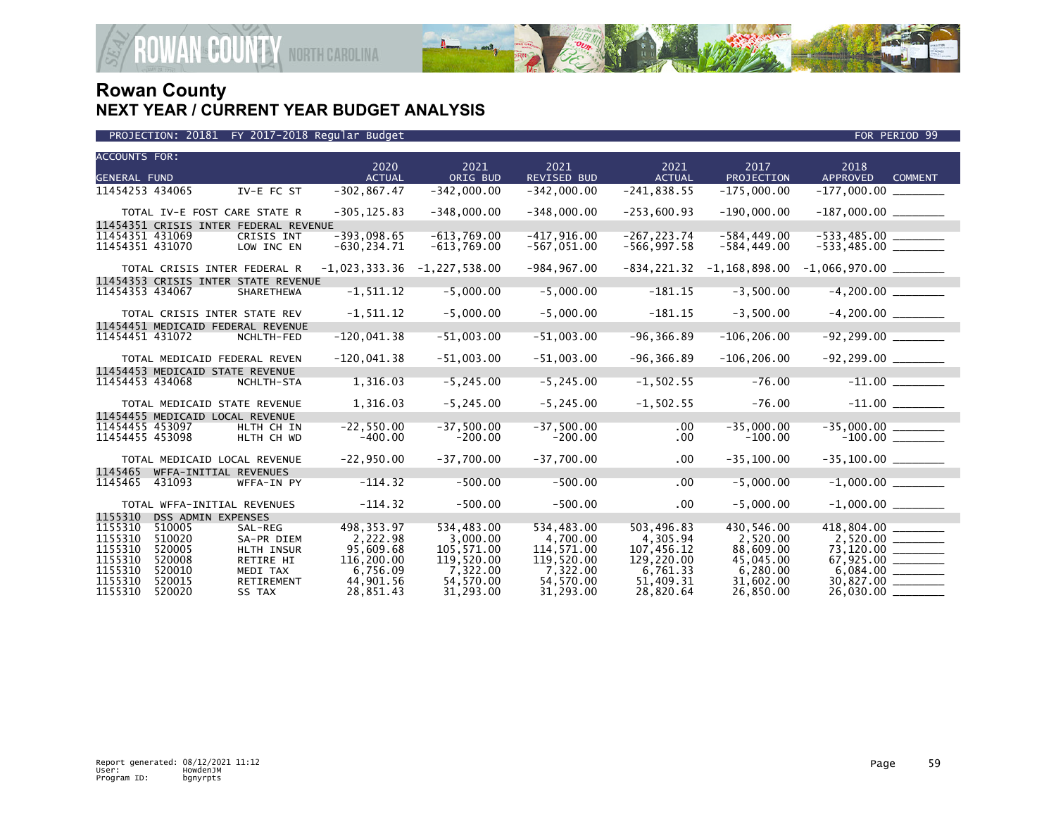

| PROJECTION: 20181 FY 2017-2018 Regular Budget | FOR PERIOD 99 |
|-----------------------------------------------|---------------|

| <b>ACCOUNTS FOR:</b> |                           |                                       | 2020            | 2021              | 2021               | 2021           | 2017              | 2018                   |                |
|----------------------|---------------------------|---------------------------------------|-----------------|-------------------|--------------------|----------------|-------------------|------------------------|----------------|
| <b>GENERAL FUND</b>  |                           |                                       | <b>ACTUAL</b>   | ORIG BUD          | <b>REVISED BUD</b> | <b>ACTUAL</b>  | PROJECTION        | APPROVED               | <b>COMMENT</b> |
| 11454253 434065      |                           | IV-E FC ST                            | $-302, 867.47$  | $-342,000.00$     | $-342,000.00$      | $-241, 838.55$ | $-175,000.00$     | $-177,000.00$          |                |
|                      |                           | TOTAL IV-E FOST CARE STATE R          | $-305, 125.83$  | $-348,000.00$     | $-348,000.00$      | $-253,600.93$  | $-190,000.00$     |                        |                |
|                      |                           | 11454351 CRISIS INTER FEDERAL REVENUE |                 |                   |                    |                |                   |                        |                |
| 11454351 431069      |                           | CRISIS INT                            | $-393.098.65$   | $-613,769.00$     | $-417, 916.00$     | $-267, 223.74$ | $-584, 449.00$    |                        |                |
| 11454351 431070      |                           | LOW INC EN                            | $-630, 234.71$  | $-613,769.00$     | $-567,051.00$      | $-566, 997.58$ | $-584, 449.00$    | $-533,485.00$ ________ |                |
|                      |                           | TOTAL CRISIS INTER FEDERAL R          | $-1,023,333.36$ | $-1, 227, 538.00$ | $-984, 967.00$     | $-834, 221.32$ | $-1, 168, 898.00$ |                        |                |
|                      |                           | 11454353 CRISIS INTER STATE REVENUE   |                 |                   |                    |                |                   |                        |                |
| 11454353 434067      |                           | <b>SHARETHEWA</b>                     | $-1, 511.12$    | $-5,000.00$       | $-5,000.00$        | $-181.15$      | $-3,500.00$       | $-4,200.00$            |                |
|                      |                           | TOTAL CRISIS INTER STATE REV          | $-1, 511.12$    | $-5,000.00$       | $-5,000.00$        | $-181.15$      | $-3,500.00$       | $-4,200.00$            |                |
|                      |                           | 11454451 MEDICAID FEDERAL REVENUE     |                 |                   |                    |                |                   |                        |                |
| 11454451 431072      |                           | NCHLTH-FED                            | $-120,041.38$   | $-51,003.00$      | $-51,003.00$       | $-96, 366.89$  | $-106, 206.00$    | $-92, 299.00$          |                |
|                      |                           | TOTAL MEDICAID FEDERAL REVEN          | $-120,041.38$   | $-51,003.00$      | $-51,003.00$       | $-96, 366.89$  | $-106, 206.00$    |                        |                |
|                      |                           | 11454453 MEDICAID STATE REVENUE       |                 |                   |                    |                |                   |                        |                |
| 11454453 434068      |                           | NCHLTH-STA                            | 1,316.03        | $-5, 245.00$      | $-5, 245.00$       | $-1, 502.55$   | $-76.00$          |                        |                |
|                      |                           | TOTAL MEDICAID STATE REVENUE          | 1,316.03        | $-5, 245.00$      | $-5, 245.00$       | $-1,502.55$    | $-76.00$          |                        |                |
|                      |                           | 11454455 MEDICAID LOCAL REVENUE       |                 |                   |                    |                |                   |                        |                |
| 11454455 453097      |                           | HLTH CH IN                            | $-22,550.00$    | $-37,500.00$      | $-37,500.00$       | $.00 \,$       | $-35,000.00$      |                        |                |
| 11454455 453098      |                           | HLTH CH WD                            | $-400.00$       | $-200.00$         | $-200.00$          | $.00 \,$       | $-100.00$         |                        |                |
|                      |                           | TOTAL MEDICAID LOCAL REVENUE          | $-22,950.00$    | $-37,700.00$      | $-37,700.00$       | $.00 \,$       | $-35, 100.00$     |                        |                |
| 1145465              |                           | WFFA-INITIAL REVENUES                 |                 |                   |                    |                |                   |                        |                |
| 1145465              | 431093                    | WFFA-IN PY                            | $-114.32$       | $-500.00$         | $-500.00$          | .00            | $-5,000.00$       | $-1,000.00$            |                |
|                      |                           | TOTAL WFFA-INITIAL REVENUES           | $-114.32$       | $-500.00$         | $-500.00$          | $.00 \,$       | $-5,000.00$       |                        |                |
| 1155310              | <b>DSS ADMIN EXPENSES</b> |                                       |                 |                   |                    |                |                   |                        |                |
| 1155310              | 510005                    | SAL-REG                               | 498, 353. 97    | 534,483.00        | 534,483.00         | 503,496.83     | 430,546.00        | 418,804.00 ______      |                |
| 1155310              | 510020                    | SA-PR DIEM                            | 2,222.98        | 3,000.00          | 4,700.00           | 4,305.94       | 2,520.00          |                        |                |
| 1155310              | 520005                    | HLTH INSUR                            | 95.609.68       | 105,571.00        | 114,571.00         | 107.456.12     | 88,609.00         | 73,120.00 ________     |                |
| 1155310              | 520008                    | RETIRE HI                             | 116,200.00      | 119,520.00        | 119,520.00         | 129,220.00     | 45,045.00         |                        |                |
| 1155310              | 520010                    | MEDI TAX                              | 6.756.09        | 7,322.00          | 7,322.00           | 6.761.33       | 6,280.00          | 6.084.00               |                |
| 1155310              | 520015                    | <b>RETIREMENT</b>                     | 44,901.56       | 54,570.00         | 54,570.00          | 51.409.31      | 31,602.00         |                        |                |
| 1155310              | 520020                    | SS TAX                                | 28.851.43       | 31.293.00         | 31.293.00          | 28.820.64      | 26.850.00         | 26,030.00              |                |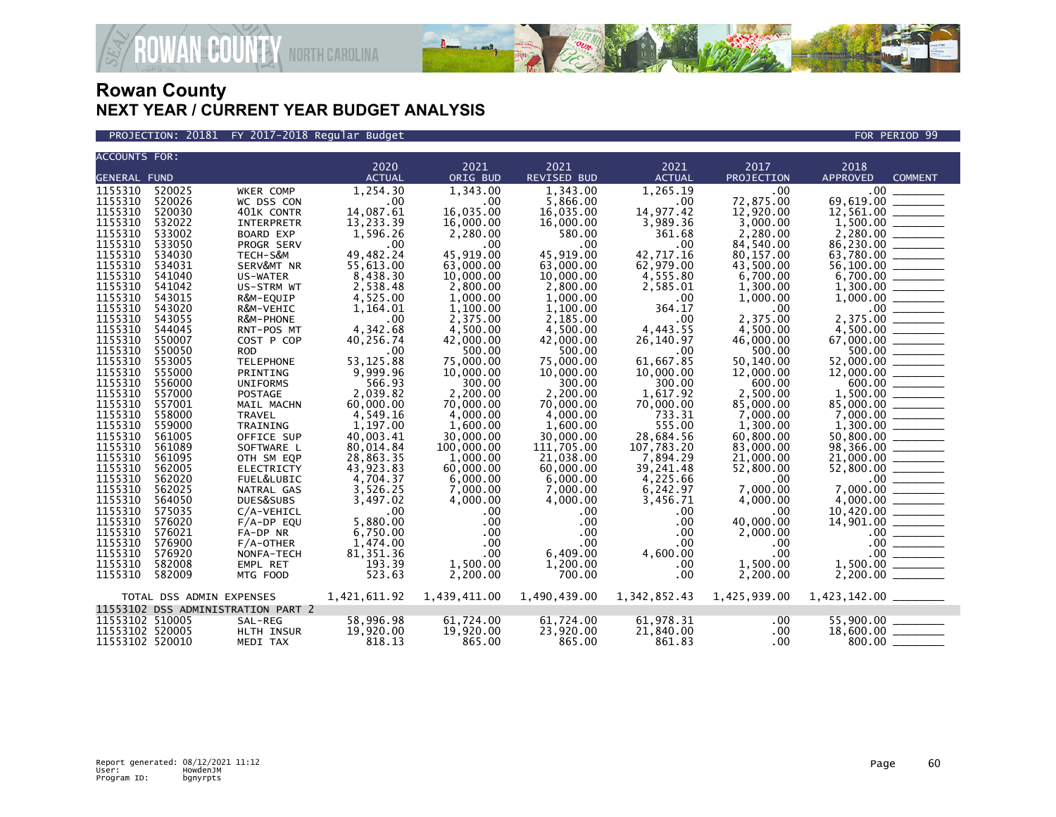

PROJECTION: 20181 FY 2017-2018 Regular Budget FOR PERIOD 99

| <b>ACCOUNTS FOR:</b> |                          |                                    | 2020                         | 2021         | 2021               | 2021                      | 2017         | 2018                                                                                                                                             |
|----------------------|--------------------------|------------------------------------|------------------------------|--------------|--------------------|---------------------------|--------------|--------------------------------------------------------------------------------------------------------------------------------------------------|
| <b>GENERAL FUND</b>  |                          |                                    | <b>ACTUAL</b>                | ORIG BUD     | <b>REVISED BUD</b> | <b>ACTUAL</b>             | PROJECTION   | <b>APPROVED</b><br><b>COMMENT</b>                                                                                                                |
|                      |                          |                                    |                              |              |                    |                           |              |                                                                                                                                                  |
| 1155310              | 520025                   | WKER COMP                          | 1,254.30                     | 1,343.00     | 1,343.00           | 1,265.19                  | .00          | $.00 \,$                                                                                                                                         |
| 1155310              | 520026                   | WC DSS CON                         | $\overline{\phantom{0}}$ .00 | .00          | 5,866.00           | .00                       | 72,875.00    | 69,619.00                                                                                                                                        |
| 1155310              | 520030                   | 401K CONTR                         | 14,087.61                    | 16,035.00    | 16,035.00          | 14,977.42                 | 12,920.00    |                                                                                                                                                  |
| 1155310              | 532022                   | <b>INTERPRETR</b>                  | 13,233.39                    | 16,000.00    | 16,000.00          | 3,989.36                  | 3,000.00     |                                                                                                                                                  |
| 1155310              | 533002                   | BOARD EXP                          | 1,596.26                     | 2,280.00     | 580.00             | 361.68                    | 2,280.00     |                                                                                                                                                  |
| 1155310              | 533050                   | PROGR SERV                         | .00                          | .00          | .00                | .00                       | 84,540.00    |                                                                                                                                                  |
| 1155310              | 534030                   | TECH-S&M                           | 49,482.24                    | 45,919.00    | 45,919.00          | 42,717.16                 | 80,157.00    | 63,780.00 _______                                                                                                                                |
| 1155310              | 534031                   | SERV&MT NR                         | 55,613.00                    | 63,000.00    | 63,000.00          | 62,979.00                 | 43,500.00    | 56,100.00 ________                                                                                                                               |
| 1155310              | 541040                   | US-WATER                           | 8,438.30                     | 10,000.00    | 10,000.00          | 4,555.80                  | 6,700.00     |                                                                                                                                                  |
| 1155310              | 541042                   | US-STRM WT                         | 2,538.48                     | 2,800.00     | 2,800.00           | 2,585.01                  | 1,300.00     |                                                                                                                                                  |
| 1155310              | 543015                   | R&M-EQUIP                          | 4,525.00                     | 1.000.00     | 1,000.00           | .00                       | 1,000.00     |                                                                                                                                                  |
| 1155310              | 543020                   | R&M-VEHIC                          | 1,164.01                     | 1,100.00     | 1,100.00           | 364.17                    | .00          | $.00 \,$                                                                                                                                         |
| 1155310              | 543055                   | R&M-PHONE                          | .00                          | 2,375.00     | 2.185.00           | .00                       | 2,375.00     |                                                                                                                                                  |
| 1155310              | 544045                   | RNT-POS MT                         | 4,342.68                     | 4,500.00     | 4,500.00           | 4,443.55                  | 4.500.00     | $4,500.00$<br>67,000.00                                                                                                                          |
| 1155310              | 550007                   | COST P COP                         | 40,256.74                    | 42,000.00    | 42,000.00          | 26,140.97                 | 46,000.00    |                                                                                                                                                  |
| 1155310              | 550050                   | <b>ROD</b>                         | .00                          | 500.00       | 500.00             | .00                       | 500.00       |                                                                                                                                                  |
| 1155310              | 553005                   | <b>TELEPHONE</b>                   | 53, 125.88                   | 75,000.00    | 75,000.00          | 61,667.85                 | 50,140.00    | 52,000.00 _______                                                                                                                                |
| 1155310              | 555000                   | PRINTING                           | 9,999.96                     | 10,000.00    | 10,000.00          | 10,000.00                 | 12,000.00    |                                                                                                                                                  |
| 1155310              | 556000                   | <b>UNIFORMS</b>                    | 566.93                       | 300.00       | 300.00             | 300.00                    | 600.00       | $600.00$ _______                                                                                                                                 |
| 1155310              | 557000                   | POSTAGE                            | 2,039.82                     | 2,200.00     | 2,200.00           | 1,617.92                  | 2,500.00     |                                                                                                                                                  |
| 1155310              | 557001                   | MAIL MACHN                         | 60,000.00                    | 70,000.00    | 70,000.00          | 70,000.00                 | 85,000.00    | 85,000.00                                                                                                                                        |
| 1155310              | 558000                   | <b>TRAVEL</b>                      | 4,549.16                     | 4,000.00     | 4,000.00           | 733.31                    | 7,000.00     |                                                                                                                                                  |
| 1155310              | 559000                   | TRAINING                           | 1,197.00                     | 1,600.00     | 1,600.00           | 555.00                    | 1,300.00     |                                                                                                                                                  |
| 1155310              | 561005                   | OFFICE SUP                         | 40,003.41                    | 30,000.00    | 30,000.00          | 28,684.56                 | 60,800.00    | $50,800.00$ _________                                                                                                                            |
| 1155310              | 561089                   | SOFTWARE L                         | 80,014.84                    | 100,000.00   | 111,705.00         | 107,783.20                | 83,000.00    |                                                                                                                                                  |
| 1155310              | 561095                   | OTH SM EQP                         | 28,863.35                    | 1,000.00     | 21.038.00          | 7,894.29                  | 21,000.00    | 21,000.00 _____                                                                                                                                  |
| 1155310              | 562005                   | <b>ELECTRICTY</b>                  | 43,923.83                    | 60,000.00    | 60,000.00          | 39,241.48                 | 52,800.00    | $\frac{52,800.00}{0.00}$                                                                                                                         |
| 1155310              | 562020                   | FUEL&LUBIC                         | 4,704.37                     | 6,000.00     | 6,000.00           | 4,225.66                  | .00          |                                                                                                                                                  |
| 1155310              | 562025                   | NATRAL GAS                         | 3,526.25                     | 7,000.00     | 7,000.00           | 6,242.97                  | 7,000.00     |                                                                                                                                                  |
| 1155310              | 564050                   | DUES&SUBS                          | 3,497.02                     | 4,000.00     | 4,000.00           | 3,456.71                  | 4,000.00     |                                                                                                                                                  |
| 1155310              | 575035                   | C/A-VEHICL                         | .00                          | .00          | .00                | .00                       | .00          |                                                                                                                                                  |
| 1155310              | 576020                   | $F/A-DP$ EQU                       | 5,880.00                     | $.00 \,$     | .00                | .00                       | 40,000.00    |                                                                                                                                                  |
| 1155310              | 576021                   | FA-DP NR                           | 6,750.00                     | .00          | $.00 \times$       | .00                       | 2,000.00     |                                                                                                                                                  |
| 1155310              | 576900                   | $F/A$ -OTHER                       | 1,474.00                     | $.00 \,$     | $.00 \times$       | .00                       | .00          |                                                                                                                                                  |
| 1155310              | 576920                   | NONFA-TECH                         | 81, 351.36                   | $.00 \,$     | 6,409.00           | 4,600.00                  | $.00 \,$     | $.00$ $\_\_$                                                                                                                                     |
| 1155310              | 582008                   | EMPL RET                           | 193.39                       | 1,500.00     | 1,200.00           | .00                       | 1,500.00     | 1,500.00<br>$\begin{array}{c} \begin{array}{c} \begin{array}{c} \begin{array}{c} \end{array} \\ \end{array} \end{array} \end{array} \end{array}$ |
| 1155310              | 582009                   | MTG FOOD                           | 523.63                       | 2,200.00     | 700.00             | .00                       | 2,200.00     |                                                                                                                                                  |
|                      |                          |                                    |                              |              |                    |                           |              |                                                                                                                                                  |
|                      | TOTAL DSS ADMIN EXPENSES |                                    | 1,421,611.92                 | 1,439,411.00 |                    | 1,490,439.00 1,342,852.43 | 1,425,939.00 |                                                                                                                                                  |
|                      |                          | 11553102 DSS ADMINISTRATION PART 2 |                              |              |                    |                           |              |                                                                                                                                                  |
| 11553102 510005      |                          | SAL-REG                            | 58,996.98                    | 61,724.00    | 61,724.00          | 61,978.31                 | .00          | $55,900.00$ ________                                                                                                                             |
| 11553102 520005      |                          | HLTH INSUR                         | 19,920.00                    | 19,920.00    | 23,920.00          | 21,840.00                 | .00          | 18,600.00 _______                                                                                                                                |
| 11553102 520010      |                          | MEDI TAX                           | 818.13                       | 865.00       | 865.00             | 861.83                    | $.00 \,$     | 800.00                                                                                                                                           |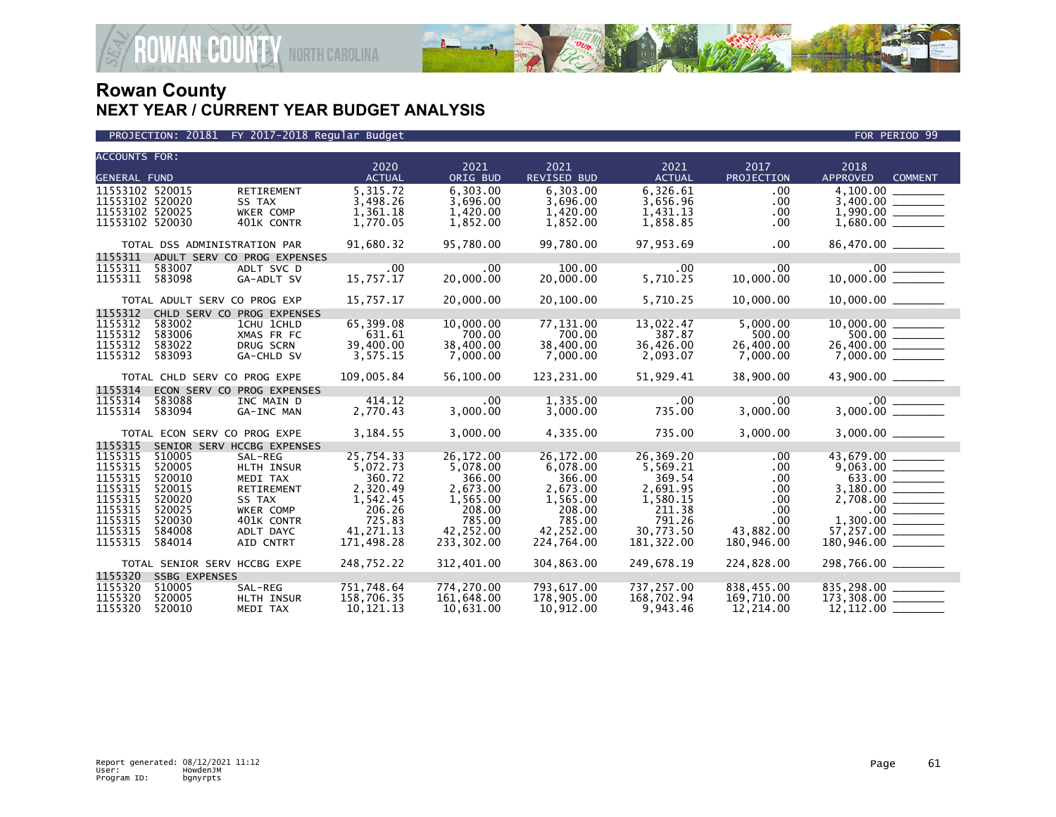

| <b>ACCOUNTS FOR:</b> |                              |                             |                         |                         |                         |                        |            |                                   |
|----------------------|------------------------------|-----------------------------|-------------------------|-------------------------|-------------------------|------------------------|------------|-----------------------------------|
|                      |                              |                             | 2020                    | 2021                    | 2021                    | 2021                   | 2017       | 2018                              |
| <b>GENERAL FUND</b>  |                              |                             | <b>ACTUAL</b>           | ORIG BUD                | REVISED BUD             | <b>ACTUAL</b>          | PROJECTION | <b>APPROVED</b><br><b>COMMENT</b> |
| 11553102 520015      |                              | RETIREMENT                  | 5.315.72                | 6.303.00                | 6.303.00                | 6,326.61               | .00        | $\overline{4}$ , 100.00           |
| 11553102 520020      |                              | SS TAX                      | 3,498.26                | 3.696.00                | 3,696.00                | 3,656.96               | .00        |                                   |
| 11553102 520025      |                              | WKER COMP                   | 1,361.18                | 1,420.00                | 1,420.00                | 1,431.13               | .00        |                                   |
| 11553102 520030      |                              | 401K CONTR                  | 1,770.05                | 1,852.00                | 1,852.00                | 1,858.85               | .00.       | $1,680.00$ ________               |
|                      | TOTAL DSS ADMINISTRATION PAR |                             | 91,680.32               | 95,780.00               | 99,780.00               | 97,953.69              | .00        | 86,470.00 _______                 |
| 1155311              |                              | ADULT SERV CO PROG EXPENSES |                         |                         |                         |                        |            |                                   |
| 1155311              | 583007                       | ADLT SVC D                  | .00                     | .00                     | 100.00                  | .00                    | $.00 \,$   | 10,000.00                         |
| 1155311              | 583098                       | GA-ADLT SV                  | 15,757.17               | 20,000.00               | 20,000,00               | 5,710.25               | 10,000.00  |                                   |
|                      | TOTAL ADULT SERV CO PROG EXP |                             | 15,757.17               | 20,000.00               | 20,100.00               | 5,710.25               | 10,000.00  |                                   |
| 1155312              |                              | CHLD SERV CO PROG EXPENSES  |                         |                         |                         |                        |            |                                   |
| 1155312              | 583002                       | 1CHU 1CHLD                  | 65,399.08               | 10,000.00               | 77,131.00               | 13,022.47              | 5,000.00   |                                   |
| 1155312              | 583006                       | XMAS FR FC                  | 631.61                  | 700.00                  | 700.00                  | 387.87                 | 500.00     |                                   |
| 1155312              | 583022                       | DRUG SCRN                   | 39,400.00               | 38,400.00               | 38,400.00               | 36,426.00              | 26,400.00  | $26,400.00$ ________              |
| 1155312              | 583093                       | GA-CHLD SV                  | 3,575.15                | 7,000.00                | 7,000.00                | 2,093.07               | 7,000.00   |                                   |
|                      | TOTAL CHLD SERV CO PROG EXPE |                             | 109,005.84              | 56,100.00               | 123,231.00              | 51,929.41              | 38,900.00  | 43,900.00 _______                 |
| 1155314              |                              | ECON SERV CO PROG EXPENSES  |                         |                         |                         |                        |            |                                   |
| 1155314              | 583088                       | INC MAIN D                  | 414.12                  | .00                     | 1,335.00                | .00                    | .00        |                                   |
| 1155314              | 583094                       | GA-INC MAN                  | 2,770.43                | 3,000.00                | 3,000.00                | 735.00                 | 3,000.00   |                                   |
|                      | TOTAL ECON SERV CO PROG EXPE |                             | 3,184.55                | 3,000.00                | 4,335.00                | 735.00                 | 3,000.00   |                                   |
| 1155315              |                              | SENIOR SERV HCCBG EXPENSES  |                         |                         |                         |                        |            |                                   |
| 1155315              | 510005                       | SAL-REG                     | 25,754.33               | 26,172.00               | 26,172.00               | 26,369.20              | .00.       |                                   |
| 1155315              | 520005                       | HLTH INSUR                  | 5,072.73                | 5,078.00                | 6,078.00                | 5,569.21               | .00.       | $43,679.00$<br>9,063.00           |
| 1155315              | 520010                       | MEDI TAX                    | 360.72                  | 366.00                  | 366.00                  | 369.54                 | .00        | $633.00$ _________                |
| 1155315              | 520015                       | RETIREMENT                  | 2,320.49                | 2,673.00                | 2,673.00                | 2,691.95               | $.00 \,$   |                                   |
| 1155315              | 520020<br>520025             | SS TAX                      | 1,542.45<br>206.26      | 1,565.00                | 1,565.00                | 1,580.15<br>211.38     | .00.       |                                   |
| 1155315<br>1155315   | 520030                       | WKER COMP                   | 725.83                  | 208.00<br>785.00        | 208.00<br>785.00        | 791.26                 | .00<br>.00 |                                   |
| 1155315              | 584008                       | 401K CONTR<br>ADLT DAYC     | 41,271.13               | 42,252.00               | 42,252.00               | 30,773.50              | 43,882.00  |                                   |
| 1155315              | 584014                       | AID CNTRT                   | 171,498.28              | 233,302.00              | 224,764.00              | 181,322.00             | 180,946.00 | $57,257.00$<br>180,946.00         |
|                      |                              |                             |                         |                         |                         |                        |            |                                   |
|                      | TOTAL SENIOR SERV HCCBG EXPE |                             | 248,752.22              | 312,401.00              | 304,863.00              | 249,678.19             | 224,828.00 |                                   |
| 1155320              | <b>SSBG EXPENSES</b>         |                             |                         |                         |                         |                        |            |                                   |
| 1155320              | 510005                       | SAL-REG                     | 751,748.64              | 774,270.00              | 793,617.00              | 737,257.00             | 838,455.00 | 835,298.00                        |
| 1155320<br>1155320   | 520005<br>520010             | HLTH INSUR                  | 158,706.35<br>10,121.13 | 161,648.00<br>10,631.00 | 178,905.00<br>10,912.00 | 168,702.94<br>9,943.46 | 169,710.00 | $173,308.00$ ________             |
|                      |                              | MEDI TAX                    |                         |                         |                         |                        | 12,214.00  |                                   |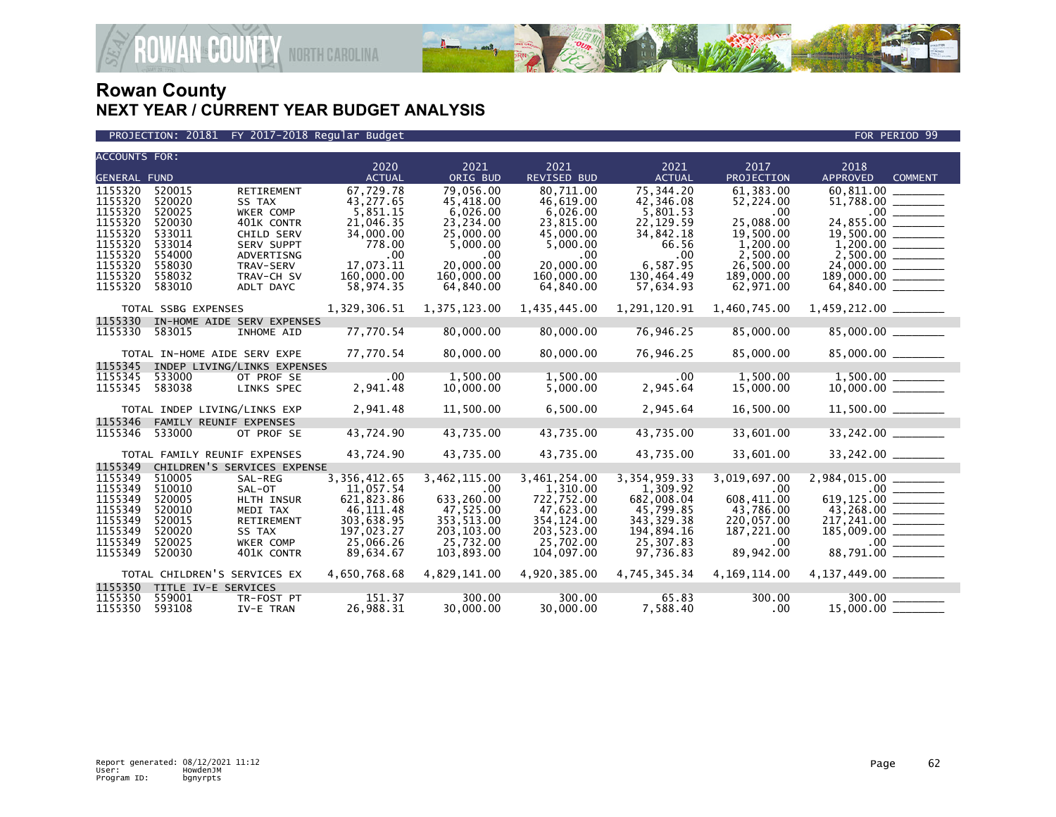

#### PROJECTION: 20181 FY 2017-2018 Regular Budget FOR PERIOD 99

| <b>ACCOUNTS FOR:</b> |                     |                                 |                         |                       |                            |                        |                        |                                           |
|----------------------|---------------------|---------------------------------|-------------------------|-----------------------|----------------------------|------------------------|------------------------|-------------------------------------------|
| <b>GENERAL FUND</b>  |                     |                                 | 2020<br><b>ACTUAL</b>   | 2021<br>ORIG BUD      | 2021<br><b>REVISED BUD</b> | 2021<br><b>ACTUAL</b>  | 2017<br>PROJECTION     | 2018<br><b>APPROVED</b><br><b>COMMENT</b> |
| 1155320              | 520015              | <b>RETIREMENT</b>               | 67,729.78               | 79.056.00             | 80.711.00                  | 75,344.20              | 61.383.00              |                                           |
| 1155320              | 520020              | SS TAX                          | 43,277.65               | 45.418.00             | 46,619.00                  | 42,346.08              | 52,224.00              |                                           |
| 1155320              | 520025              | <b>WKER COMP</b>                | 5,851.15                | 6,026.00              | 6,026.00                   | 5,801.53               | .00                    |                                           |
| 1155320              | 520030              | 401K CONTR                      | 21,046.35               | 23,234.00             | 23,815.00                  | 22,129.59              | 25.088.00              | 24,855.00 ________                        |
| 1155320<br>1155320   | 533011<br>533014    | CHILD SERV<br><b>SERV SUPPT</b> | 34,000.00<br>778.00     | 25,000.00<br>5,000.00 | 45,000.00<br>5,000.00      | 34,842.18<br>66.56     | 19,500.00<br>1,200.00  |                                           |
| 1155320              | 554000              | ADVERTISNG                      | $.00 \,$                | .00                   | $.00 \,$                   | .00                    | 2,500.00               |                                           |
| 1155320              | 558030              | TRAV-SERV                       | 17,073.11               | 20,000,00             | 20,000.00                  | 6,587.95               | 26,500.00              |                                           |
| 1155320              | 558032              | TRAV-CH SV                      | 160,000.00              | 160,000.00            | 160,000.00                 | 130,464.49             | 189,000.00             | $189,000.00$ ________                     |
| 1155320              | 583010              | ADLT DAYC                       | 58,974.35               | 64,840.00             | 64,840.00                  | 57,634.93              | 62,971.00              | $64,840.00$ ________                      |
|                      | TOTAL SSBG EXPENSES |                                 | 1,329,306.51            | 1,375,123.00          | 1,435,445.00               | 1,291,120.91           | 1,460,745.00           |                                           |
| 1155330              |                     | IN-HOME AIDE SERV EXPENSES      |                         |                       |                            |                        |                        |                                           |
| 1155330              | 583015              | INHOME AID                      | 77,770.54               | 80,000.00             | 80,000.00                  | 76,946.25              | 85,000.00              | 85,000.00 ______                          |
|                      |                     | TOTAL IN-HOME AIDE SERV EXPE    | 77,770.54               | 80,000.00             | 80,000.00                  | 76,946.25              | 85,000.00              | 85,000.00 _______                         |
| 1155345              |                     | INDEP LIVING/LINKS EXPENSES     |                         |                       |                            |                        |                        |                                           |
| 1155345              | 533000              | OT PROF SE                      | .00.<br>2,941.48        | 1.500.00              | 1,500.00                   | .00<br>2,945.64        | 1.500.00<br>15,000.00  |                                           |
| 1155345              | 583038              | LINKS SPEC                      |                         | 10,000.00             | 5,000.00                   |                        |                        |                                           |
|                      |                     | TOTAL INDEP LIVING/LINKS EXP    | 2,941.48                | 11,500.00             | 6,500.00                   | 2,945.64               | 16,500.00              | 11,500.00 ______                          |
| 1155346              |                     | FAMILY REUNIF EXPENSES          |                         |                       |                            |                        |                        |                                           |
| 1155346              | 533000              | OT PROF SE                      | 43,724.90               | 43,735.00             | 43,735.00                  | 43,735.00              | 33,601.00              | 33,242.00 _______                         |
|                      |                     | TOTAL FAMILY REUNIF EXPENSES    | 43,724.90               | 43,735.00             | 43,735.00                  | 43,735.00              | 33,601.00              | 33,242.00 _______                         |
| 1155349              |                     | CHILDREN'S SERVICES EXPENSE     |                         |                       |                            |                        |                        |                                           |
| 1155349              | 510005              | SAL-REG                         | 3, 356, 412.65          | 3,462,115.00          | 3,461,254.00               | 3, 354, 959. 33        | 3,019,697.00           |                                           |
| 1155349<br>1155349   | 510010<br>520005    | SAL-OT                          | 11,057.54<br>621,823.86 | .00<br>633,260.00     | 1,310.00<br>722,752.00     | 1,309.92<br>682,008.04 | $.00 \,$<br>608.411.00 | 619,125.00                                |
| 1155349              | 520010              | HLTH INSUR<br>MEDI TAX          | 46,111.48               | 47,525.00             | 47,623.00                  | 45,799.85              | 43,786.00              |                                           |
| 1155349              | 520015              | RETIREMENT                      | 303,638.95              | 353, 513.00           | 354, 124.00                | 343, 329. 38           | 220,057.00             |                                           |
| 1155349              | 520020              | SS TAX                          | 197,023.27              | 203,103.00            | 203,523.00                 | 194,894.16             | 187,221.00             | $217,241.00$<br>185,009.00<br>.00         |
| 1155349              | 520025              | WKER COMP                       | 25,066.26               | 25,732.00             | 25,702.00                  | 25,307.83              | .00.                   |                                           |
| 1155349              | 520030              | 401K CONTR                      | 89,634.67               | 103,893.00            | 104,097.00                 | 97,736.83              | 89,942.00              | 88,791.00 _______                         |
|                      |                     | TOTAL CHILDREN'S SERVICES EX    | 4,650,768.68            | 4,829,141.00          | 4,920,385.00               | 4,745,345.34           | 4,169,114.00           | 4, 137, 449.00                            |
| 1155350              |                     | TITLE IV-E SERVICES             |                         |                       |                            |                        |                        |                                           |
| 1155350<br>1155350   | 559001<br>593108    | TR-FOST PT<br>IV-E TRAN         | 151.37<br>26,988.31     | 300.00<br>30,000,00   | 300.00<br>30,000,00        | 65.83<br>7.588.40      | 300.00<br>$.00 \,$     | 300.00<br>15,000,00                       |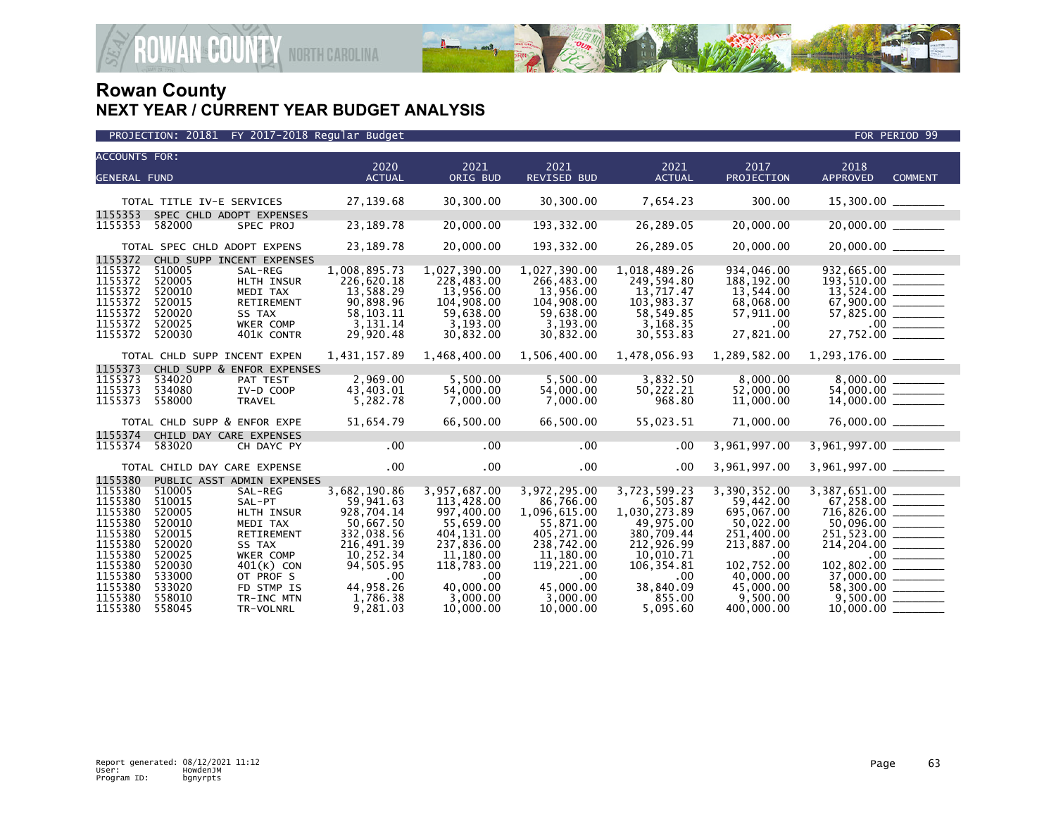

| <b>ACCOUNTS FOR:</b><br><b>GENERAL FUND</b>                               |                                                                    |                                                                                             | 2020<br><b>ACTUAL</b>                                                                        | 2021<br>ORIG BUD                                                                            | 2021<br><b>REVISED BUD</b>                                                                  | 2021<br><b>ACTUAL</b>                                                                       | 2017<br>PROJECTION                                                                        | 2018<br><b>APPROVED</b><br><b>COMMENT</b>                                                           |
|---------------------------------------------------------------------------|--------------------------------------------------------------------|---------------------------------------------------------------------------------------------|----------------------------------------------------------------------------------------------|---------------------------------------------------------------------------------------------|---------------------------------------------------------------------------------------------|---------------------------------------------------------------------------------------------|-------------------------------------------------------------------------------------------|-----------------------------------------------------------------------------------------------------|
|                                                                           | TOTAL TITLE IV-E SERVICES                                          |                                                                                             | 27,139.68                                                                                    | 30,300.00                                                                                   | 30,300.00                                                                                   | 7,654.23                                                                                    | 300.00                                                                                    | $15,300.00$ ________                                                                                |
| 1155353<br>1155353                                                        | SPEC CHLD ADOPT EXPENSES<br>582000                                 | SPEC PROJ                                                                                   | 23, 189. 78                                                                                  | 20,000.00                                                                                   | 193, 332.00                                                                                 | 26,289.05                                                                                   | 20,000.00                                                                                 | $20,000.00$ ________                                                                                |
| 1155372                                                                   | TOTAL SPEC CHLD ADOPT EXPENS                                       | CHLD SUPP INCENT EXPENSES                                                                   | 23,189.78                                                                                    | 20,000.00                                                                                   | 193, 332.00                                                                                 | 26,289.05                                                                                   | 20,000.00                                                                                 | 20,000.00 ______                                                                                    |
| 1155372<br>1155372<br>1155372<br>1155372<br>1155372<br>1155372<br>1155372 | 510005<br>520005<br>520010<br>520015<br>520020<br>520025<br>520030 | SAL-REG<br>HLTH INSUR<br>MEDI TAX<br>RETIREMENT<br>SS TAX<br><b>WKER COMP</b><br>401K CONTR | 1,008,895.73<br>226,620.18<br>13,588.29<br>90,898.96<br>58, 103. 11<br>3,131.14<br>29,920.48 | 1,027,390.00<br>228,483.00<br>13,956.00<br>104,908.00<br>59,638.00<br>3,193.00<br>30,832.00 | 1,027,390.00<br>266,483.00<br>13,956.00<br>104,908.00<br>59,638.00<br>3,193.00<br>30,832.00 | 1,018,489.26<br>249,594.80<br>13,717.47<br>103,983.37<br>58,549.85<br>3,168.35<br>30,553.83 | 934,046.00<br>188, 192.00<br>13,544.00<br>68,068.00<br>57,911.00<br>$.00 \,$<br>27,821.00 | 932,665.00<br>$193,510.00$ $13,524.00$<br>$57,825.00$<br>$\overline{\hspace{1.5cm}}$<br>$27,752.00$ |
|                                                                           | TOTAL CHLD SUPP INCENT EXPEN                                       |                                                                                             | 1,431,157.89                                                                                 | 1,468,400.00                                                                                | 1,506,400.00                                                                                | 1,478,056.93                                                                                | 1,289,582.00                                                                              |                                                                                                     |
| 1155373                                                                   |                                                                    | CHLD SUPP & ENFOR EXPENSES                                                                  |                                                                                              |                                                                                             |                                                                                             |                                                                                             |                                                                                           |                                                                                                     |
| 1155373<br>1155373<br>1155373                                             | 534020<br>534080<br>558000                                         | PAT TEST<br>IV-D COOP<br>TRAVEL                                                             | 2,969.00<br>43,403.01<br>5,282.78                                                            | 5,500.00<br>54,000.00<br>7,000.00                                                           | 5,500.00<br>54,000.00<br>7,000.00                                                           | 3,832.50<br>50,222.21<br>968.80                                                             | 8,000.00<br>52,000.00<br>11,000.00                                                        |                                                                                                     |
|                                                                           | TOTAL CHLD SUPP & ENFOR EXPE                                       |                                                                                             | 51,654.79                                                                                    | 66,500.00                                                                                   | 66,500.00                                                                                   | 55,023.51                                                                                   | 71,000.00                                                                                 | $76,000.00$ ________                                                                                |
| 1155374                                                                   | CHILD DAY CARE EXPENSES                                            |                                                                                             |                                                                                              |                                                                                             |                                                                                             |                                                                                             |                                                                                           |                                                                                                     |
| 1155374                                                                   | 583020                                                             | CH DAYC PY                                                                                  | .00                                                                                          | .00                                                                                         | .00                                                                                         | .00                                                                                         | 3,961,997.00                                                                              | 3,961,997.00 ______                                                                                 |
|                                                                           | TOTAL CHILD DAY CARE EXPENSE                                       |                                                                                             | $.00 \times$                                                                                 | .00                                                                                         | $.00 \,$                                                                                    | $.00 \,$                                                                                    | 3,961,997.00                                                                              | 3,961,997.00 _______                                                                                |
| 1155380                                                                   |                                                                    | PUBLIC ASST ADMIN EXPENSES                                                                  |                                                                                              |                                                                                             |                                                                                             |                                                                                             |                                                                                           |                                                                                                     |
| 1155380<br>1155380<br>1155380<br>1155380                                  | 510005<br>510015<br>520005<br>520010                               | SAL-REG<br>SAL-PT<br>HLTH INSUR<br>MEDI TAX                                                 | 3,682,190.86<br>59.941.63<br>928,704.14<br>50,667.50                                         | 3,957,687.00<br>113,428.00<br>997,400.00<br>55,659.00                                       | 3,972,295.00<br>86,766.00<br>1,096,615.00<br>55,871.00                                      | 3,723,599.23<br>6,505.87<br>1,030,273.89<br>49,975.00                                       | 3,390,352.00<br>59,442.00<br>695,067.00<br>50,022.00                                      | 3,387,651.00<br>$716,826.00$ _______<br>50,096.00 _______                                           |
| 1155380<br>1155380<br>1155380                                             | 520015<br>520020<br>520025                                         | <b>RETIREMENT</b><br>SS TAX<br><b>WKER COMP</b>                                             | 332,038.56<br>216,491.39<br>10,252.34                                                        | 404,131.00<br>237,836.00<br>11,180.00                                                       | 405,271.00<br>238,742.00<br>11,180.00                                                       | 380,709.44<br>212,926.99<br>10.010.71                                                       | 251,400.00<br>213,887.00<br>$.00 \,$                                                      | $214, 204.00$ ________                                                                              |
| 1155380<br>1155380<br>1155380                                             | 520030<br>533000<br>533020                                         | $401(K)$ CON<br>OT PROF S<br>FD STMP IS                                                     | 94.505.95<br>.00<br>44.958.26                                                                | 118,783.00<br>$.00 \,$<br>40,000,00                                                         | 119,221.00<br>$.00 \times$<br>45,000,00                                                     | 106.354.81<br>.00<br>38,840.09                                                              | 102,752.00<br>40,000.00<br>45,000.00                                                      | 102,802.00 _______<br>58,300.00 ______                                                              |
| 1155380<br>1155380                                                        | 558010<br>558045                                                   | TR-INC MTN<br>TR-VOLNRL                                                                     | 1.786.38<br>9,281.03                                                                         | 3,000.00<br>10,000.00                                                                       | 3.000.00<br>10,000.00                                                                       | 855.00<br>5,095.60                                                                          | 9.500.00<br>400,000.00                                                                    |                                                                                                     |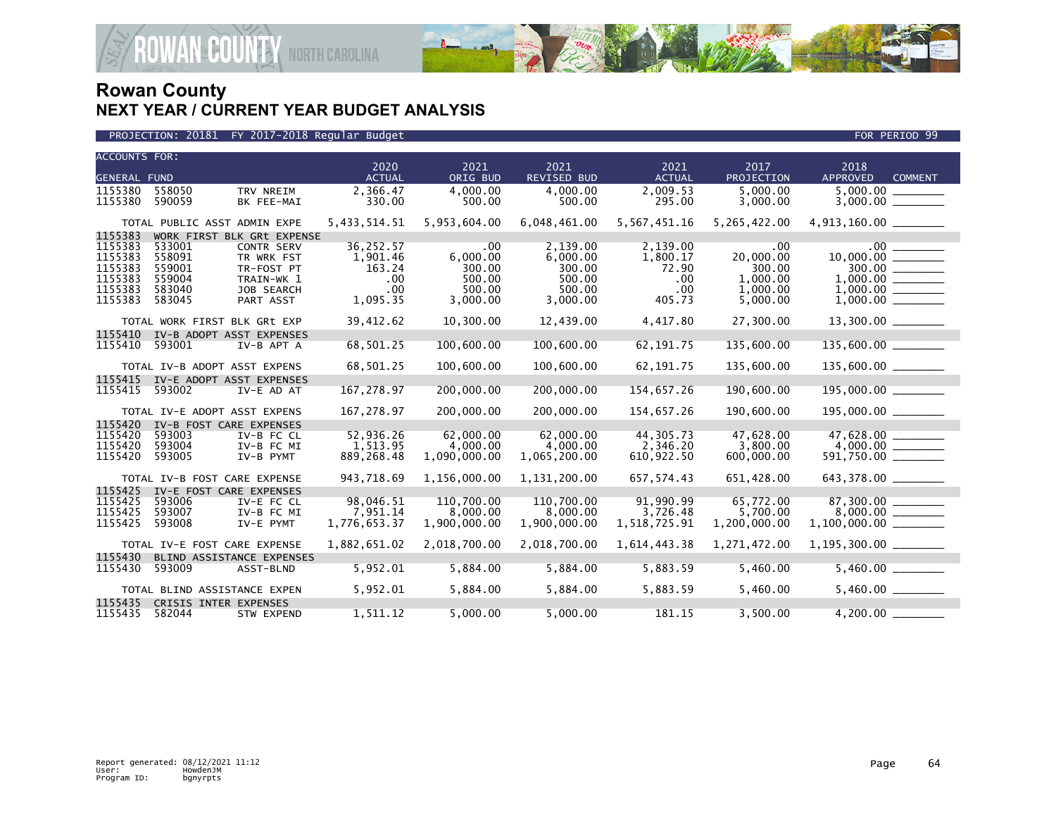

| <b>ACCOUNTS FOR:</b> |                  |                                 | 2020                  | 2021                   | 2021                   | 2021                  | 2017                  | 2018                              |  |
|----------------------|------------------|---------------------------------|-----------------------|------------------------|------------------------|-----------------------|-----------------------|-----------------------------------|--|
| <b>GENERAL FUND</b>  |                  |                                 | <b>ACTUAL</b>         | ORIG BUD               | <b>REVISED BUD</b>     | <b>ACTUAL</b>         | PROJECTION            | <b>APPROVED</b><br><b>COMMENT</b> |  |
| 1155380              | 558050           | TRV NREIM                       | 2,366.47              | 4,000.00               | 4,000.00               | 2,009.53              | 5,000.00              | 5,000.00                          |  |
| 1155380              | 590059           | BK FEE-MAI                      | 330.00                | 500.00                 | 500.00                 | 295.00                | 3,000.00              |                                   |  |
|                      |                  |                                 |                       |                        |                        |                       |                       |                                   |  |
|                      |                  | TOTAL PUBLIC ASST ADMIN EXPE    | 5,433,514.51          | 5,953,604.00           | 6,048,461.00           | 5,567,451.16          | 5,265,422.00          | $4,913,160.00$ _________          |  |
| 1155383              |                  | WORK FIRST BLK GRt EXPENSE      |                       |                        |                        |                       |                       |                                   |  |
| 1155383<br>1155383   | 533001<br>558091 | <b>CONTR SERV</b><br>TR WRK FST | 36,252.57<br>1,901.46 | .00<br>6,000.00        | 2.139.00<br>6,000.00   | 2,139.00<br>1,800.17  | .00<br>20,000.00      | .00                               |  |
| 1155383              | 559001           | TR-FOST PT                      | 163.24                | 300.00                 | 300.00                 | 72.90                 | 300.00                |                                   |  |
| 1155383              | 559004           | TRAIN-WK 1                      | .00                   | 500.00                 | 500.00                 | .00                   | 1,000.00              |                                   |  |
| 1155383              | 583040           | JOB SEARCH                      | .00.                  | 500.00                 | 500.00                 | .00                   | 1,000.00              |                                   |  |
| 1155383              | 583045           | PART ASST                       | 1,095.35              | 3,000.00               | 3,000.00               | 405.73                | 5,000.00              |                                   |  |
|                      |                  |                                 |                       |                        |                        |                       |                       |                                   |  |
|                      |                  | TOTAL WORK FIRST BLK GRt EXP    | 39,412.62             | 10,300.00              | 12,439.00              | 4,417.80              | 27,300.00             | $13,300.00$ _________             |  |
| 1155410              |                  | IV-B ADOPT ASST EXPENSES        |                       |                        |                        |                       |                       |                                   |  |
| 1155410              | 593001           | IV-B APT A                      | 68,501.25             | 100,600.00             | 100,600.00             | 62, 191.75            | 135,600.00            | $135,600.00$ _________            |  |
|                      |                  | TOTAL IV-B ADOPT ASST EXPENS    | 68,501.25             | 100,600.00             | 100,600.00             | 62, 191.75            | 135,600.00            | $135,600.00$ ________             |  |
| 1155415              |                  | IV-E ADOPT ASST EXPENSES        |                       |                        |                        |                       |                       |                                   |  |
| 1155415              | 593002           | IV-E AD AT                      | 167,278.97            | 200,000.00             | 200,000.00             | 154,657.26            | 190,600.00            | 195,000.00                        |  |
|                      |                  | TOTAL IV-E ADOPT ASST EXPENS    | 167,278.97            | 200,000.00             | 200,000.00             | 154,657.26            | 190,600.00            | $195,000.00$ _______              |  |
| 1155420              |                  | IV-B FOST CARE EXPENSES         |                       |                        |                        |                       |                       |                                   |  |
| 1155420              | 593003           | IV-B FC CL                      | 52,936.26             | 62,000.00              | 62,000.00              | 44,305.73             | 47,628.00             | 47,628.00                         |  |
| 1155420              | 593004           | IV-B FC MI                      | 1,513.95              | 4,000.00               | 4,000.00               | 2,346.20              | 3,800.00              |                                   |  |
| 1155420              | 593005           | IV-B PYMT                       | 889, 268.48           | 1,090,000.00           | 1,065,200.00           | 610,922.50            | 600,000.00            | 591,750.00 _______                |  |
|                      |                  |                                 |                       |                        |                        |                       |                       |                                   |  |
|                      |                  | TOTAL IV-B FOST CARE EXPENSE    | 943,718.69            | 1,156,000.00           | 1,131,200.00           | 657,574.43            | 651,428.00            | 643,378.00 _______                |  |
| 1155425              |                  | IV-E FOST CARE EXPENSES         |                       |                        |                        |                       |                       |                                   |  |
| 1155425<br>1155425   | 593006<br>593007 | IV-E FC CL<br>IV-B FC MI        | 98,046.51<br>7,951.14 | 110,700.00<br>8,000.00 | 110,700.00<br>8,000.00 | 91,990.99<br>3,726.48 | 65,772.00<br>5,700.00 |                                   |  |
| 1155425              | 593008           | IV-E PYMT                       | 1,776,653.37          | 1,900,000.00           | 1,900,000.00           | 1,518,725.91          | 1,200,000.00          |                                   |  |
|                      |                  |                                 |                       |                        |                        |                       |                       |                                   |  |
|                      |                  | TOTAL IV-E FOST CARE EXPENSE    | 1,882,651.02          | 2,018,700.00           | 2,018,700.00           | 1,614,443.38          | 1,271,472.00          |                                   |  |
| 1155430              |                  | BLIND ASSISTANCE EXPENSES       |                       |                        |                        |                       |                       |                                   |  |
| 1155430              | 593009           | ASST-BLND                       | 5,952.01              | 5,884.00               | 5,884.00               | 5,883.59              | 5,460.00              |                                   |  |
|                      |                  | TOTAL BLIND ASSISTANCE EXPEN    | 5,952.01              | 5,884.00               | 5,884.00               | 5,883.59              | 5,460.00              |                                   |  |
| 1155435              |                  | CRISIS INTER EXPENSES           |                       |                        |                        |                       |                       |                                   |  |
| 1155435              | 582044           | STW EXPEND                      | 1,511.12              | 5,000.00               | 5,000.00               | 181.15                | 3,500.00              | 4,200.00                          |  |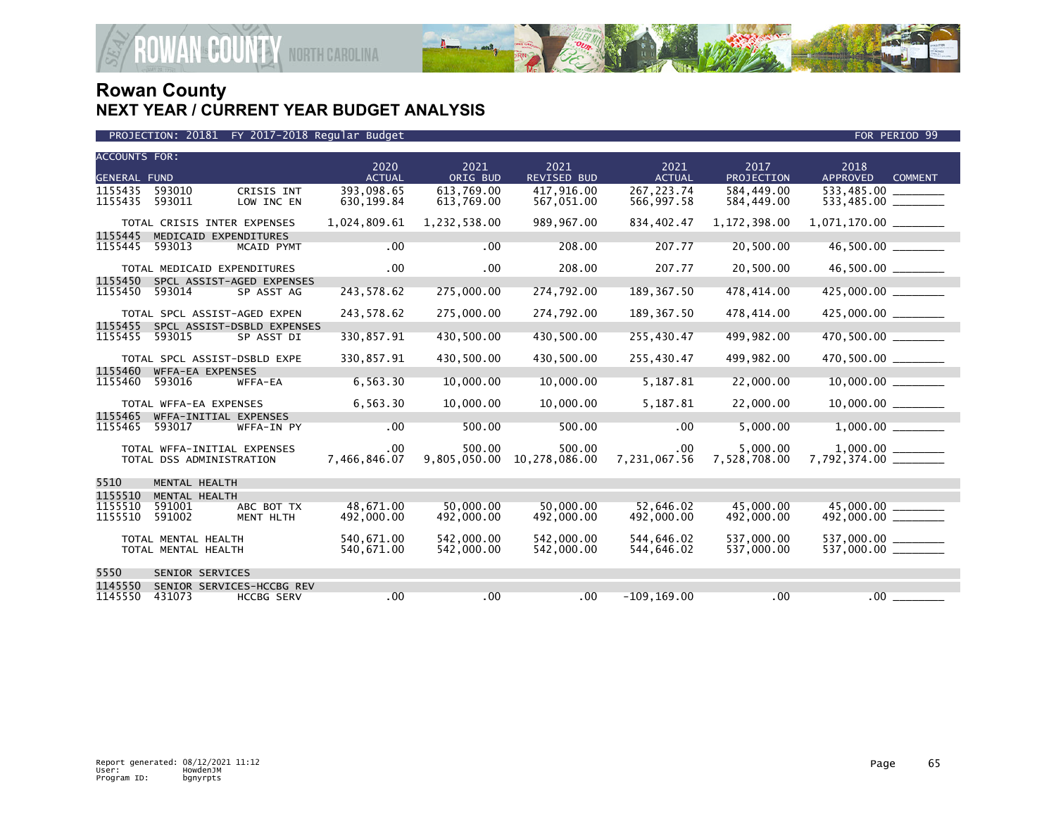

| FY 2017-2018 Regular Budget<br>PROJECTION: 20181 |
|--------------------------------------------------|
|--------------------------------------------------|

| <b>ACCOUNTS FOR:</b> |                              |                            | 2020          | 2021         | 2021               | 2021           | 2017         | 2018                 |                |
|----------------------|------------------------------|----------------------------|---------------|--------------|--------------------|----------------|--------------|----------------------|----------------|
| <b>GENERAL FUND</b>  |                              |                            | <b>ACTUAL</b> | ORIG BUD     | <b>REVISED BUD</b> | <b>ACTUAL</b>  | PROJECTION   | <b>APPROVED</b>      | <b>COMMENT</b> |
| 1155435              | 593010                       | CRISIS INT                 | 393,098.65    | 613,769.00   | 417,916.00         | 267, 223.74    | 584,449.00   |                      |                |
| 1155435              | 593011                       | LOW INC EN                 | 630, 199.84   | 613,769.00   | 567,051.00         | 566,997.58     | 584,449.00   |                      |                |
|                      |                              |                            |               |              |                    |                |              |                      |                |
|                      | TOTAL CRISIS INTER EXPENSES  |                            | 1,024,809.61  | 1,232,538.00 | 989,967.00         | 834,402.47     | 1,172,398.00 |                      |                |
| 1155445              | MEDICAID EXPENDITURES        |                            |               |              |                    |                |              |                      |                |
| 1155445              | 593013                       | MCAID PYMT                 | .00           | .00          | 208.00             | 207.77         | 20,500.00    | 46,500.00 ______     |                |
|                      |                              |                            |               |              |                    |                |              |                      |                |
|                      |                              |                            | .00           | .00          | 208.00             | 207.77         | 20,500.00    | 46,500.00            |                |
|                      | TOTAL MEDICAID EXPENDITURES  |                            |               |              |                    |                |              |                      |                |
| 1155450              |                              | SPCL ASSIST-AGED EXPENSES  |               |              |                    |                |              |                      |                |
| 1155450              | 593014                       | SP ASST AG                 | 243,578.62    | 275,000.00   | 274,792.00         | 189,367.50     | 478,414.00   | 425,000.00           |                |
|                      |                              |                            |               |              |                    |                |              |                      |                |
|                      | TOTAL SPCL ASSIST-AGED EXPEN |                            | 243,578.62    | 275,000.00   | 274,792.00         | 189, 367.50    | 478,414.00   | 425,000.00 _______   |                |
| 1155455              |                              | SPCL ASSIST-DSBLD EXPENSES |               |              |                    |                |              |                      |                |
| 1155455              | 593015                       | SP ASST DI                 | 330,857.91    | 430,500.00   | 430,500.00         | 255,430.47     | 499,982.00   | 470,500.00           |                |
|                      |                              |                            |               |              |                    |                |              |                      |                |
|                      | TOTAL SPCL ASSIST-DSBLD EXPE |                            | 330,857.91    | 430,500.00   | 430,500.00         | 255,430.47     | 499,982.00   | 470,500.00 _______   |                |
|                      |                              |                            |               |              |                    |                |              |                      |                |
| 1155460              | WFFA-EA EXPENSES             |                            |               |              |                    |                |              |                      |                |
| 1155460              | 593016                       | WFFA-EA                    | 6,563.30      | 10,000.00    | 10,000.00          | 5,187.81       | 22,000.00    | $10,000.00$ ________ |                |
|                      |                              |                            |               |              |                    |                |              |                      |                |
|                      | TOTAL WFFA-EA EXPENSES       |                            | 6,563.30      | 10,000.00    | 10,000.00          | 5,187.81       | 22,000.00    |                      |                |
| 1155465              | WFFA-INITIAL EXPENSES        |                            |               |              |                    |                |              |                      |                |
| 1155465              | 593017                       | WFFA-IN PY                 | .00           | 500.00       | 500.00             | .00            | 5,000.00     |                      |                |
|                      |                              |                            |               |              |                    |                |              |                      |                |
|                      | TOTAL WFFA-INITIAL EXPENSES  |                            | .00           | 500.00       | 500.00             | $.00 \,$       | 5.000.00     |                      |                |
|                      | TOTAL DSS ADMINISTRATION     |                            | 7,466,846.07  | 9,805,050.00 | 10,278,086.00      | 7,231,067.56   | 7,528,708.00 |                      |                |
|                      |                              |                            |               |              |                    |                |              |                      |                |
|                      |                              |                            |               |              |                    |                |              |                      |                |
| 5510                 | MENTAL HEALTH                |                            |               |              |                    |                |              |                      |                |
| 1155510              | MENTAL HEALTH                |                            |               |              |                    |                |              |                      |                |
| 1155510              | 591001                       | ABC BOT TX                 | 48.671.00     | 50,000,00    | 50.000.00          | 52.646.02      | 45,000,00    | 45,000.00            |                |
| 1155510              | 591002                       | MENT HLTH                  | 492,000.00    | 492,000.00   | 492,000.00         | 492,000.00     | 492,000.00   | 492,000.00 _______   |                |
|                      |                              |                            |               |              |                    |                |              |                      |                |
|                      | TOTAL MENTAL HEALTH          |                            | 540,671.00    | 542,000,00   | 542,000.00         | 544,646.02     | 537,000.00   | 537,000.00 ______    |                |
|                      | TOTAL MENTAL HEALTH          |                            | 540,671.00    | 542,000.00   | 542,000.00         | 544,646.02     | 537,000.00   |                      |                |
|                      |                              |                            |               |              |                    |                |              |                      |                |
| 5550                 | SENIOR SERVICES              |                            |               |              |                    |                |              |                      |                |
|                      |                              |                            |               |              |                    |                |              |                      |                |
| 1145550              |                              | SENIOR SERVICES-HCCBG REV  |               |              |                    |                |              |                      |                |
| 1145550              | 431073                       | <b>HCCBG SERV</b>          | .00           | .00          | .00                | $-109, 169.00$ | .00          | $.00 \,$             |                |

FOR PERIOD 99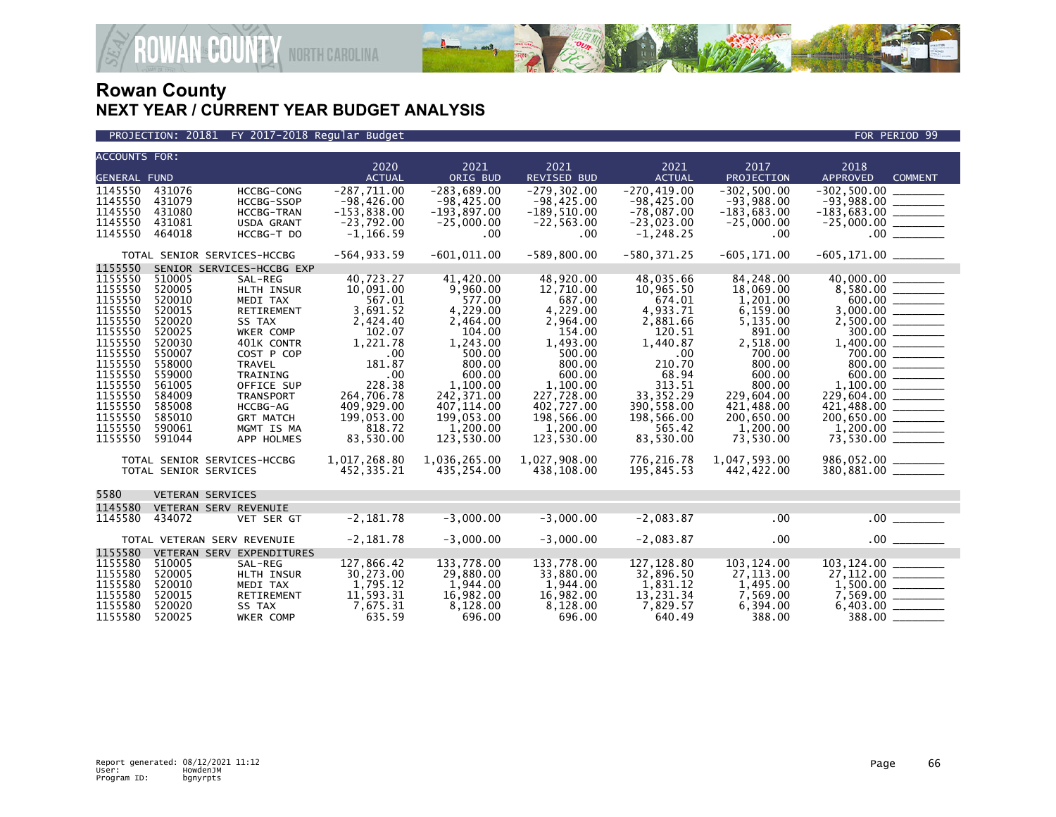

**COUNTY** NORTH CAROLINA

| <b>ACCOUNTS FOR:</b>                                                                                                                                                         |                                                                                                                                                              |                                                                                                                                                                                                                               | 2020                                                                                                                                                                              | 2021                                                                                                                                                                                        | 2021                                                                                                                                                                                         | 2021                                                                                                                                                                                | 2017                                                                                                                                                                                        | 2018                                                                                                                                                                                                                                                            |
|------------------------------------------------------------------------------------------------------------------------------------------------------------------------------|--------------------------------------------------------------------------------------------------------------------------------------------------------------|-------------------------------------------------------------------------------------------------------------------------------------------------------------------------------------------------------------------------------|-----------------------------------------------------------------------------------------------------------------------------------------------------------------------------------|---------------------------------------------------------------------------------------------------------------------------------------------------------------------------------------------|----------------------------------------------------------------------------------------------------------------------------------------------------------------------------------------------|-------------------------------------------------------------------------------------------------------------------------------------------------------------------------------------|---------------------------------------------------------------------------------------------------------------------------------------------------------------------------------------------|-----------------------------------------------------------------------------------------------------------------------------------------------------------------------------------------------------------------------------------------------------------------|
| <b>GENERAL FUND</b>                                                                                                                                                          |                                                                                                                                                              |                                                                                                                                                                                                                               | <b>ACTUAL</b>                                                                                                                                                                     | ORIG BUD                                                                                                                                                                                    | <b>REVISED BUD</b>                                                                                                                                                                           | <b>ACTUAL</b>                                                                                                                                                                       | PROJECTION                                                                                                                                                                                  | <b>APPROVED</b><br><b>COMMENT</b>                                                                                                                                                                                                                               |
| 1145550<br>1145550<br>1145550<br>1145550<br>1145550                                                                                                                          | 431076<br>431079<br>431080<br>431081<br>464018                                                                                                               | <b>HCCBG-CONG</b><br>HCCBG-SSOP<br><b>HCCBG-TRAN</b><br>USDA GRANT<br>HCCBG-T DO                                                                                                                                              | $-287.711.00$<br>$-98,426.00$<br>$-153,838.00$<br>$-23,792.00$<br>$-1, 166.59$                                                                                                    | $-283.689.00$<br>$-98,425.00$<br>$-193,897.00$<br>$-25,000.00$<br>$.00 \,$                                                                                                                  | $-279.302.00$<br>$-98,425.00$<br>$-189,510.00$<br>$-22, 563.00$<br>$.00 \,$                                                                                                                  | $-270.419.00$<br>$-98, 425.00$<br>$-78,087.00$<br>$-23,023.00$<br>$-1, 248.25$                                                                                                      | $-302.500.00$<br>$-93,988.00$<br>$-183,683.00$<br>$-25,000.00$<br>$.00 \,$                                                                                                                  | $-302.500.00$<br>$-183,683.00$ ________<br>.00                                                                                                                                                                                                                  |
|                                                                                                                                                                              |                                                                                                                                                              | TOTAL SENIOR SERVICES-HCCBG                                                                                                                                                                                                   | $-564, 933.59$                                                                                                                                                                    | $-601,011.00$                                                                                                                                                                               | $-589, 800.00$                                                                                                                                                                               | $-580, 371.25$                                                                                                                                                                      | $-605, 171.00$                                                                                                                                                                              |                                                                                                                                                                                                                                                                 |
| 1155550                                                                                                                                                                      |                                                                                                                                                              | SENIOR SERVICES-HCCBG EXP                                                                                                                                                                                                     |                                                                                                                                                                                   |                                                                                                                                                                                             |                                                                                                                                                                                              |                                                                                                                                                                                     |                                                                                                                                                                                             |                                                                                                                                                                                                                                                                 |
| 1155550<br>1155550<br>1155550<br>1155550<br>1155550<br>1155550<br>1155550<br>1155550<br>1155550<br>1155550<br>1155550<br>1155550<br>1155550<br>1155550<br>1155550<br>1155550 | 510005<br>520005<br>520010<br>520015<br>520020<br>520025<br>520030<br>550007<br>558000<br>559000<br>561005<br>584009<br>585008<br>585010<br>590061<br>591044 | SAL-REG<br>HLTH INSUR<br>MEDI TAX<br>RETIREMENT<br>SS TAX<br>WKER COMP<br>401K CONTR<br>COST P COP<br><b>TRAVEL</b><br>TRAINING<br>OFFICE SUP<br><b>TRANSPORT</b><br>HCCBG-AG<br><b>GRT MATCH</b><br>MGMT IS MA<br>APP HOLMES | 40,723.27<br>10,091.00<br>567.01<br>3,691.52<br>2,424.40<br>102.07<br>1,221.78<br>.00<br>181.87<br>.00<br>228.38<br>264,706.78<br>409,929.00<br>199,053.00<br>818.72<br>83,530.00 | 41,420.00<br>9,960.00<br>577.00<br>4,229.00<br>2,464.00<br>104.00<br>1,243.00<br>500.00<br>800.00<br>600.00<br>1,100.00<br>242,371.00<br>407,114.00<br>199,053.00<br>1,200.00<br>123,530.00 | 48,920.00<br>12,710.00<br>687.00<br>4,229.00<br>2,964.00<br>154.00<br>1,493.00<br>500.00<br>800.00<br>600.00<br>1,100.00<br>227,728.00<br>402,727.00<br>198,566.00<br>1,200.00<br>123,530.00 | 48,035.66<br>10,965.50<br>674.01<br>4,933.71<br>2,881.66<br>120.51<br>1.440.87<br>.00.<br>210.70<br>68.94<br>313.51<br>33.352.29<br>390,558.00<br>198,566.00<br>565.42<br>83,530.00 | 84,248.00<br>18,069.00<br>1,201.00<br>6,159.00<br>5,135.00<br>891.00<br>2,518.00<br>700.00<br>800.00<br>600.00<br>800.00<br>229.604.00<br>421,488.00<br>200,650.00<br>1.200.00<br>73,530.00 | $\begin{array}{r} 40,000.00 \ \hline 8,580.00 \ \hline 600.00 \end{array}$<br>$3,000.00$<br>$2,500.00$<br>$300.00$<br>$1,400.00$<br>$700.00$<br>$800.00$<br>$600.00$<br>$-1,100.00$<br>$-1,100.00$<br>$229,604.00$ ________<br>421,488.00 _______<br>200,650.00 |
|                                                                                                                                                                              | TOTAL SENIOR SERVICES                                                                                                                                        | TOTAL SENIOR SERVICES-HCCBG                                                                                                                                                                                                   | 1,017,268.80<br>452,335.21                                                                                                                                                        | 1,036,265.00<br>435,254.00                                                                                                                                                                  | 1,027,908.00<br>438,108.00                                                                                                                                                                   | 776,216.78<br>195,845.53                                                                                                                                                            | 1,047,593.00<br>442,422.00                                                                                                                                                                  | 986,052.00 _______<br>380,881.00 _______                                                                                                                                                                                                                        |
| 5580                                                                                                                                                                         | <b>VETERAN SERVICES</b>                                                                                                                                      |                                                                                                                                                                                                                               |                                                                                                                                                                                   |                                                                                                                                                                                             |                                                                                                                                                                                              |                                                                                                                                                                                     |                                                                                                                                                                                             |                                                                                                                                                                                                                                                                 |
| 1145580<br>1145580                                                                                                                                                           | VETERAN SERV REVENUIE<br>434072                                                                                                                              | VET SER GT                                                                                                                                                                                                                    | $-2,181.78$                                                                                                                                                                       | $-3,000.00$                                                                                                                                                                                 | $-3,000.00$                                                                                                                                                                                  | $-2,083.87$                                                                                                                                                                         | .00                                                                                                                                                                                         | $.00$ $\qquad \qquad$                                                                                                                                                                                                                                           |
|                                                                                                                                                                              | TOTAL VETERAN SERV REVENUIE                                                                                                                                  |                                                                                                                                                                                                                               | $-2,181.78$                                                                                                                                                                       | $-3,000.00$                                                                                                                                                                                 | $-3,000.00$                                                                                                                                                                                  | $-2,083.87$                                                                                                                                                                         | .00                                                                                                                                                                                         | .00                                                                                                                                                                                                                                                             |
| 1155580<br>1155580<br>1155580<br>1155580<br>1155580<br>1155580<br>1155580                                                                                                    | 510005<br>520005<br>520010<br>520015<br>520020<br>520025                                                                                                     | VETERAN SERV EXPENDITURES<br>SAL-REG<br>HLTH INSUR<br>MEDI TAX<br>RETIREMENT<br>SS TAX<br>WKER COMP                                                                                                                           | 127,866.42<br>30,273.00<br>1,795.12<br>11,593.31<br>7,675.31<br>635.59                                                                                                            | 133,778.00<br>29,880.00<br>1,944.00<br>16,982.00<br>8,128.00<br>696.00                                                                                                                      | 133.778.00<br>33,880.00<br>1,944.00<br>16,982.00<br>8,128.00<br>696.00                                                                                                                       | 127.128.80<br>32,896.50<br>1,831.12<br>13,231.34<br>7,829.57<br>640.49                                                                                                              | 103.124.00<br>27,113.00<br>1,495.00<br>7,569.00<br>6,394.00<br>388.00                                                                                                                       | 103, 124.00<br>$\frac{1,500.00}{7,569.00}$ ________<br>$388.00$ $-$                                                                                                                                                                                             |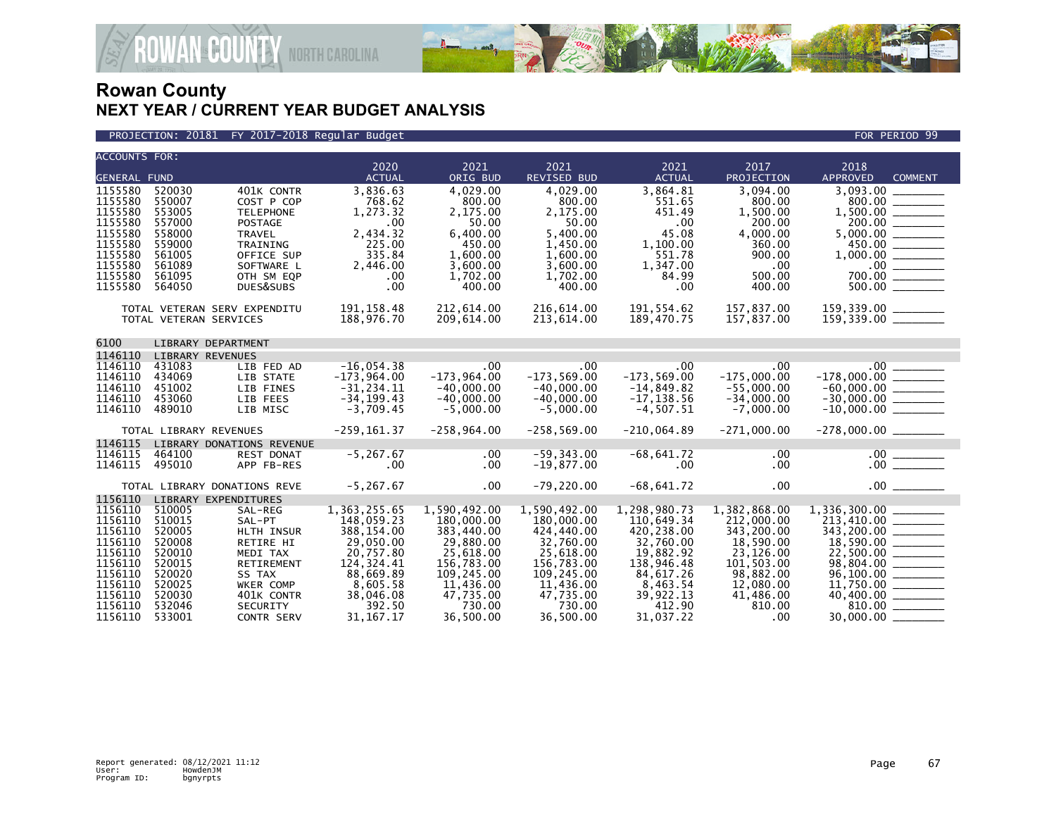

#### PROJECTION: 20181 FY 2017-2018 Regular Budget FOR PERIOD 99

| <b>ACCOUNTS FOR:</b> |                              |                           |                              |               |                             |                              |                             |                                              |
|----------------------|------------------------------|---------------------------|------------------------------|---------------|-----------------------------|------------------------------|-----------------------------|----------------------------------------------|
|                      |                              |                           | 2020                         | 2021          | 2021                        | 2021                         | 2017                        | 2018                                         |
| <b>GENERAL FUND</b>  |                              |                           | <b>ACTUAL</b>                | ORIG BUD      | REVISED BUD                 | <b>ACTUAL</b>                | PROJECTION                  | <b>APPROVED</b><br><b>COMMENT</b>            |
| 1155580              | 520030                       | 401K CONTR                | 3,836.63                     | 4,029.00      | 4,029.00                    | 3,864.81                     | 3,094.00                    | 3,093.00                                     |
| 1155580              | 550007                       | COST P COP                | 768.62                       | 800.00        | 800.00                      | 551.65                       | 800.00                      |                                              |
| 1155580              | 553005                       | <b>TELEPHONE</b>          | 1,273.32                     | 2,175.00      | 2,175.00                    | 451.49                       | 1,500.00                    |                                              |
| 1155580              | 557000                       | <b>POSTAGE</b>            | .00                          | 50.00         | 50.00                       | .00                          | 200.00                      |                                              |
| 1155580              | 558000                       | <b>TRAVEL</b>             | 2,434.32                     | 6,400.00      | 5,400.00                    | 45.08                        | 4,000.00                    | $1,500.00$<br>$200.00$<br>$5,000.00$         |
| 1155580              | 559000                       | TRAINING                  | 225.00                       | 450.00        | 1,450.00                    | 1,100.00                     | 360.00                      |                                              |
| 1155580              | 561005                       | OFFICE SUP                | 335.84                       | 1,600.00      | 1,600.00                    | 551.78                       | 900.00                      |                                              |
| 1155580              | 561089                       | SOFTWARE L                | 2,446.00                     | 3,600.00      | 3.600.00                    | 1,347.00                     | .00                         | $\frac{100}{700.00}$                         |
| 1155580              | 561095                       | OTH SM EQP                | .00                          | 1,702.00      | 1,702.00                    | 84.99                        | 500.00                      |                                              |
| 1155580              | 564050                       | DUES&SUBS                 | .00                          | 400.00        | 400.00                      | $.00 \,$                     | 400.00                      |                                              |
|                      | TOTAL VETERAN SERV EXPENDITU |                           | 191, 158.48                  | 212,614.00    | 216,614.00                  | 191,554.62                   | 157,837.00                  |                                              |
|                      | TOTAL VETERAN SERVICES       |                           | 188,976.70                   | 209,614.00    | 213,614.00                  | 189,470.75                   | 157,837.00                  | 159,339.00 ________<br>159,339.00 ________   |
|                      |                              |                           |                              |               |                             |                              |                             |                                              |
| 6100                 | LIBRARY DEPARTMENT           |                           |                              |               |                             |                              |                             |                                              |
| 1146110              | <b>LIBRARY REVENUES</b>      |                           |                              |               |                             |                              |                             |                                              |
| 1146110              | 431083                       | LIB FED AD                | $-16,054.38$                 | .00           | $.00 \ \,$                  | .00                          | .00                         | $-178,000.00$                                |
| 1146110              | 434069                       | LIB STATE                 | $-173,964.00$                | $-173,964.00$ | $-173,569.00$               | $-173, 569.00$               | $-175,000.00$               |                                              |
| 1146110              | 451002                       | LIB FINES                 | $-31, 234.11$                | $-40,000.00$  | $-40,000.00$                | $-14,849.82$                 | $-55,000.00$                |                                              |
| 1146110<br>1146110   | 453060<br>489010             | LIB FEES<br>LIB MISC      | $-34, 199.43$<br>$-3,709.45$ | $-40,000.00$  | $-40,000.00$<br>$-5,000.00$ | $-17, 138.56$<br>$-4,507.51$ | $-34,000.00$<br>$-7,000.00$ | $-60,000.00$<br>$-30,000.00$<br>$-10,000.00$ |
|                      |                              |                           |                              | $-5,000.00$   |                             |                              |                             |                                              |
|                      | TOTAL LIBRARY REVENUES       |                           | $-259, 161.37$               | $-258,964.00$ | $-258,569.00$               | $-210,064.89$                | $-271,000.00$               | $-278,000.00$ _________                      |
| 1146115              |                              | LIBRARY DONATIONS REVENUE |                              |               |                             |                              |                             |                                              |
| 1146115              | 464100                       | <b>REST DONAT</b>         | $-5, 267.67$                 | $.00 \ \,$    | $-59, 343.00$               | $-68,641.72$                 | $.00 \,$                    |                                              |
| 1146115              | 495010                       | APP FB-RES                | .00                          | $.00 \ \,$    | $-19,877.00$                | $.00 \,$                     | $.00 \,$                    |                                              |
|                      | TOTAL LIBRARY DONATIONS REVE |                           | $-5, 267.67$                 | $.00 \,$      | $-79,220.00$                | $-68,641.72$                 | $.00 \,$                    |                                              |
| 1156110              | LIBRARY EXPENDITURES         |                           |                              |               |                             |                              |                             |                                              |
| 1156110              | 510005                       | SAL-REG                   | 1, 363, 255.65               | 1,590,492.00  | 1,590,492.00                | 1,298,980.73                 | 1,382,868.00                |                                              |
| 1156110              | 510015                       | SAL-PT                    | 148,059.23                   | 180,000.00    | 180,000.00                  | 110,649.34                   | 212,000.00                  |                                              |
| 1156110              | 520005                       | HLTH INSUR                | 388,154.00                   | 383,440.00    | 424,440.00                  | 420,238.00                   | 343,200.00                  | $\frac{213,410.00}{343,200.00}$              |
| 1156110              | 520008                       | RETIRE HI                 | 29,050.00                    | 29,880.00     | 32,760.00                   | 32,760.00                    | 18,590.00                   | $18,590.00$ ________                         |
| 1156110              | 520010                       | MEDI TAX                  | 20,757.80                    | 25.618.00     | 25.618.00                   | 19,882.92                    | 23,126.00                   |                                              |
| 1156110              | 520015                       | <b>RETIREMENT</b>         | 124,324.41                   | 156,783.00    | 156,783.00                  | 138,946.48                   | 101.503.00                  |                                              |
| 1156110              | 520020                       | SS TAX                    | 88,669.89                    | 109,245.00    | 109,245.00                  | 84,617.26                    | 98,882.00                   |                                              |
| 1156110              | 520025                       | WKER COMP                 | 8,605.58                     | 11,436.00     | 11,436.00                   | 8,463.54                     | 12,080.00                   |                                              |
| 1156110              | 520030                       | 401K CONTR                | 38,046.08                    | 47,735.00     | 47,735.00                   | 39,922.13                    | 41,486.00                   | $11,750.00$<br>40,400.00                     |
| 1156110              | 532046                       | SECURITY                  | 392.50                       | 730.00        | 730.00                      | 412.90                       | 810.00                      |                                              |
| 1156110              | 533001                       | <b>CONTR SERV</b>         | 31, 167. 17                  | 36.500.00     | 36.500.00                   | 31,037.22                    | .00                         |                                              |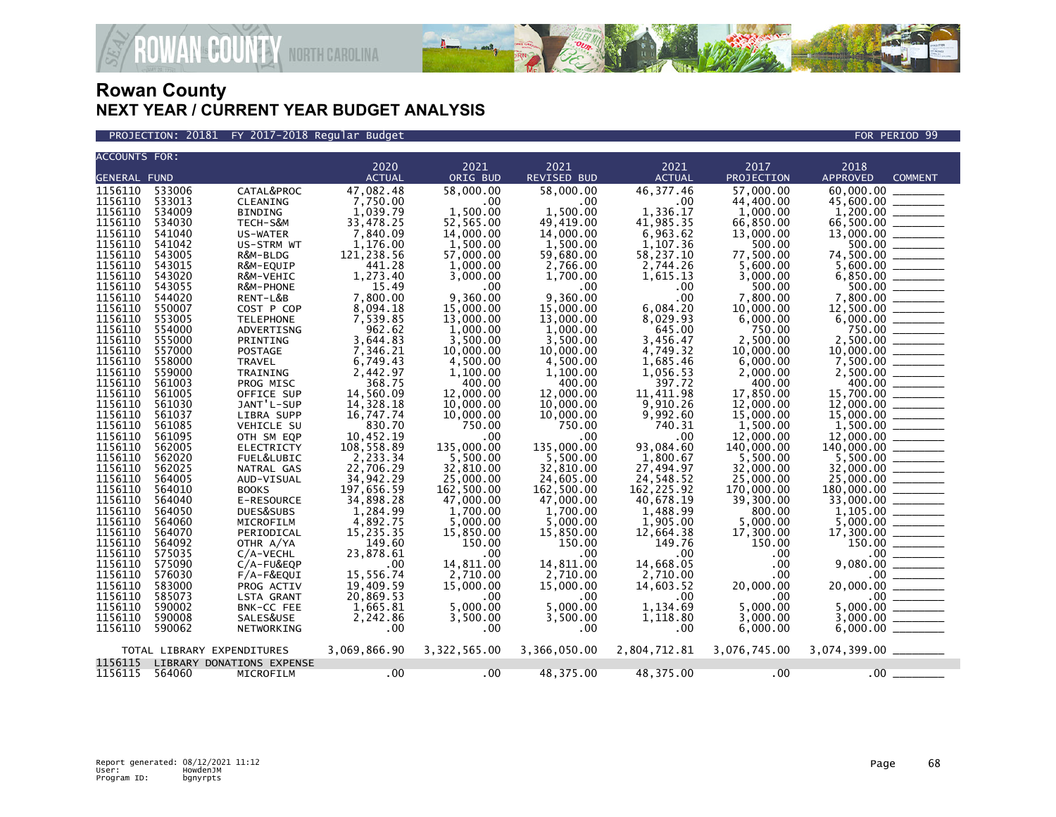

PROJECTION: 20181 FY 2017-2018 Regular Budget FOR PERIOD 99

| <b>ACCOUNTS FOR:</b> |        |                            |               |              |                    |               |              |                                                                                                                                                                                                                                                                                                                                                                                                                                     |
|----------------------|--------|----------------------------|---------------|--------------|--------------------|---------------|--------------|-------------------------------------------------------------------------------------------------------------------------------------------------------------------------------------------------------------------------------------------------------------------------------------------------------------------------------------------------------------------------------------------------------------------------------------|
|                      |        |                            | 2020          | 2021         | 2021               | 2021          | 2017         | 2018                                                                                                                                                                                                                                                                                                                                                                                                                                |
| <b>GENERAL FUND</b>  |        |                            | <b>ACTUAL</b> | ORIG BUD     | <b>REVISED BUD</b> | <b>ACTUAL</b> | PROJECTION   | <b>APPROVED</b><br><b>COMMENT</b>                                                                                                                                                                                                                                                                                                                                                                                                   |
| 1156110              | 533006 | CATAL&PROC                 | 47,082.48     | 58,000.00    | 58,000,00          | 46, 377.46    | 57.000.00    | 60.000.00                                                                                                                                                                                                                                                                                                                                                                                                                           |
| 1156110              | 533013 | CLEANING                   | 7,750.00      | .00          | .00                | .00           | 44,400.00    | 45,600.00<br>$\begin{tabular}{ccccc} \multicolumn{2}{c }{\textbf{1} & \textbf{2} & \textbf{3} & \textbf{4} & \textbf{5} & \textbf{5} & \textbf{6} & \textbf{7} & \textbf{8} & \textbf{8} & \textbf{9} & \textbf{10} & \textbf{10} & \textbf{10} & \textbf{10} & \textbf{10} & \textbf{10} & \textbf{10} & \textbf{10} & \textbf{10} & \textbf{10} & \textbf{10} & \textbf{10} & \textbf{10} & \textbf{10} & \textbf{10} & \textbf{$ |
| 1156110              | 534009 | BINDING                    | 1,039.79      | 1,500.00     | 1,500.00           | 1,336.17      | 1,000.00     |                                                                                                                                                                                                                                                                                                                                                                                                                                     |
| 1156110              | 534030 | TECH-S&M                   | 33,478.25     | 52,565.00    | 49,419.00          | 41,985.35     | 66,850.00    |                                                                                                                                                                                                                                                                                                                                                                                                                                     |
| 1156110              | 541040 | US-WATER                   | 7,840.09      | 14,000.00    | 14,000.00          | 6,963.62      | 13,000.00    |                                                                                                                                                                                                                                                                                                                                                                                                                                     |
| 1156110              | 541042 | US-STRM WT                 | 1,176.00      | 1,500.00     | 1,500.00           | 1,107.36      | 500.00       |                                                                                                                                                                                                                                                                                                                                                                                                                                     |
| 1156110              | 543005 | R&M-BLDG                   | 121,238.56    | 57,000.00    | 59,680.00          | 58,237.10     | 77,500.00    |                                                                                                                                                                                                                                                                                                                                                                                                                                     |
| 1156110              | 543015 | R&M-EQUIP                  | 441.28        | 1,000.00     | 2,766.00           | 2,744.26      | 5,600.00     | $\begin{array}{r} 1,200.00 \ \hline 66,500.00 \ \hline 13,000.00 \ \hline 500.00 \ \hline 74,500.00 \ \hline 74,500.00 \ \hline 6,850.00 \ \hline 6,850.00 \ \hline 7,800.00 \ \hline 12,500.00 \ \hline 6,000.00 \ \hline 6,000.00 \ \hline \end{array}$                                                                                                                                                                           |
| 1156110              | 543020 | R&M-VEHIC                  | 1,273.40      | 3,000.00     | 1,700.00           | 1,615.13      | 3,000.00     |                                                                                                                                                                                                                                                                                                                                                                                                                                     |
| 1156110              | 543055 | R&M-PHONE                  | 15.49         | .00          | .00                | .00           | 500.00       |                                                                                                                                                                                                                                                                                                                                                                                                                                     |
| 1156110              | 544020 | RENT-L&B                   | 7,800.00      | 9,360.00     | 9,360.00           | .00           | 7,800.00     |                                                                                                                                                                                                                                                                                                                                                                                                                                     |
| 1156110              | 550007 | COST P COP                 | 8,094.18      | 15,000.00    | 15,000.00          | 6,084.20      | 10,000.00    |                                                                                                                                                                                                                                                                                                                                                                                                                                     |
| 1156110              | 553005 | <b>TELEPHONE</b>           | 7,539.85      | 13,000.00    | 13,000.00          | 8,029.93      | 6,000.00     |                                                                                                                                                                                                                                                                                                                                                                                                                                     |
| 1156110              | 554000 | ADVERTISNG                 | 962.62        | 1.000.00     | 1.000.00           | 645.00        | 750.00       | $750.00$<br>$2,500.00$<br>$10,000.00$                                                                                                                                                                                                                                                                                                                                                                                               |
| 1156110              | 555000 | PRINTING                   | 3,644.83      | 3,500.00     | 3,500.00           | 3,456.47      | 2,500.00     |                                                                                                                                                                                                                                                                                                                                                                                                                                     |
| 1156110              | 557000 | POSTAGE                    | 7,346.21      | 10,000.00    | 10,000.00          | 4,749.32      | 10,000.00    |                                                                                                                                                                                                                                                                                                                                                                                                                                     |
| 1156110              | 558000 | TRAVEL                     | 6,749.43      | 4,500.00     | 4,500.00           | 1,685.46      | 6,000.00     | $7,500.00$<br>2,500.00<br>2,500.00                                                                                                                                                                                                                                                                                                                                                                                                  |
| 1156110              | 559000 | TRAINING                   | 2,442.97      | 1,100.00     | 1,100.00           | 1,056.53      | 2,000.00     |                                                                                                                                                                                                                                                                                                                                                                                                                                     |
| 1156110              | 561003 | PROG MISC                  | 368.75        | 400.00       | 400.00             | 397.72        | 400.00       |                                                                                                                                                                                                                                                                                                                                                                                                                                     |
| 1156110              | 561005 | OFFICE SUP                 | 14,560.09     | 12,000,00    | 12,000.00          | 11,411.98     | 17,850.00    | 15,700.00 _______                                                                                                                                                                                                                                                                                                                                                                                                                   |
| 1156110              | 561030 | JANT'L-SUP                 | 14,328.18     | 10,000.00    | 10,000.00          | 9,910.26      | 12,000.00    |                                                                                                                                                                                                                                                                                                                                                                                                                                     |
| 1156110              | 561037 | LIBRA SUPP                 | 16,747.74     | 10,000.00    | 10,000.00          | 9,992.60      | 15,000.00    | $\frac{12,000.00}{15,000.00}$                                                                                                                                                                                                                                                                                                                                                                                                       |
| 1156110              | 561085 | VEHICLE SU                 | 830.70        | 750.00       | 750.00             | 740.31        | 1,500.00     | $1,500.00$ 12,000.00                                                                                                                                                                                                                                                                                                                                                                                                                |
| 1156110              | 561095 | OTH SM EQP                 | 10,452.19     | .00          | .00                | .00           | 12,000.00    |                                                                                                                                                                                                                                                                                                                                                                                                                                     |
| 1156110              | 562005 | <b>ELECTRICTY</b>          | 108,558.89    | 135,000.00   | 135,000.00         | 93,084.60     | 140,000.00   |                                                                                                                                                                                                                                                                                                                                                                                                                                     |
| 1156110              | 562020 | FUEL&LUBIC                 | 2,233.34      | 5,500.00     | 5.500.00           | 1.800.67      | 5.500.00     | $5,500.00$ _________                                                                                                                                                                                                                                                                                                                                                                                                                |
| 1156110              | 562025 | NATRAL GAS                 | 22,706.29     | 32,810.00    | 32,810.00          | 27,494.97     | 32,000.00    |                                                                                                                                                                                                                                                                                                                                                                                                                                     |
| 1156110              | 564005 | AUD-VISUAL                 | 34,942.29     | 25,000.00    | 24,605.00          | 24,548.52     | 25,000.00    | $32,000.00$<br>25,000.00                                                                                                                                                                                                                                                                                                                                                                                                            |
| 1156110              | 564010 | <b>BOOKS</b>               | 197,656.59    | 162,500.00   | 162,500.00         | 162, 225.92   | 170,000.00   | 180,000.00                                                                                                                                                                                                                                                                                                                                                                                                                          |
| 1156110              | 564040 | E-RESOURCE                 | 34,898.28     | 47,000.00    | 47,000,00          | 40,678.19     | 39,300.00    | 33,000.00                                                                                                                                                                                                                                                                                                                                                                                                                           |
| 1156110              | 564050 | DUES&SUBS                  | 1,284.99      | 1,700.00     | 1,700.00           | 1,488.99      | 800.00       |                                                                                                                                                                                                                                                                                                                                                                                                                                     |
| 1156110              | 564060 | MICROFILM                  | 4,892.75      | 5,000.00     | 5.000.00           | 1,905.00      | 5,000.00     |                                                                                                                                                                                                                                                                                                                                                                                                                                     |
| 1156110              | 564070 | PERIODICAL                 | 15,235.35     | 15,850.00    | 15,850.00          | 12,664.38     | 17,300.00    | 17,300.00                                                                                                                                                                                                                                                                                                                                                                                                                           |
| 1156110              | 564092 | OTHR A/YA                  | 149.60        | 150.00       | 150.00             | 149.76        | 150.00       | $(300.00$<br>150.00<br>150.00<br>080.00                                                                                                                                                                                                                                                                                                                                                                                             |
| 1156110              | 575035 | $C/A-VECHL$                | 23,878.61     | .00          | .00 <sub>1</sub>   | .00           | .00          |                                                                                                                                                                                                                                                                                                                                                                                                                                     |
| 1156110              | 575090 | $C/A$ -FU&EQP              | .00           | 14,811.00    | 14.811.00          | 14.668.05     | $.00 \,$     | 9,080.00                                                                                                                                                                                                                                                                                                                                                                                                                            |
| 1156110              | 576030 | $F/A-F\&EQUI$              | 15,556.74     | 2,710.00     | 2,710.00           | 2,710.00      | $.00 \,$     | $20,000.00$<br>$5,000.00$<br>$5,000.00$                                                                                                                                                                                                                                                                                                                                                                                             |
| 1156110              | 583000 | PROG ACTIV                 | 19.409.59     | 15,000.00    | 15,000.00          | 14,603.52     | 20,000.00    | 20,000.00                                                                                                                                                                                                                                                                                                                                                                                                                           |
| 1156110              | 585073 | LSTA GRANT                 | 20,869.53     | .00          | .00.               | .00           | .00          |                                                                                                                                                                                                                                                                                                                                                                                                                                     |
| 1156110              | 590002 | BNK-CC FEE                 | 1,665.81      | 5,000.00     | 5.000.00           | 1,134.69      | 5,000.00     |                                                                                                                                                                                                                                                                                                                                                                                                                                     |
| 1156110              | 590008 | SALES&USE                  | 2,242.86      | 3,500.00     | 3.500.00           | 1.118.80      | 3.000.00     | 3,000.00                                                                                                                                                                                                                                                                                                                                                                                                                            |
| 1156110              | 590062 | NETWORKING                 | $.00 \times$  | $.00 \,$     | .00.               | .00           | 6,000.00     | 6,000.00                                                                                                                                                                                                                                                                                                                                                                                                                            |
|                      |        | TOTAL LIBRARY EXPENDITURES | 3,069,866.90  | 3,322,565.00 | 3,366,050.00       | 2,804,712.81  | 3,076,745.00 | 3,074,399.00 _______                                                                                                                                                                                                                                                                                                                                                                                                                |
| 1156115              |        | LIBRARY DONATIONS EXPENSE  |               |              |                    |               |              |                                                                                                                                                                                                                                                                                                                                                                                                                                     |
| 1156115              | 564060 | MICROFILM                  | $.00 \cdot$   | .00          | 48,375.00          | 48,375.00     | $.00 \cdot$  | $.00 \,$                                                                                                                                                                                                                                                                                                                                                                                                                            |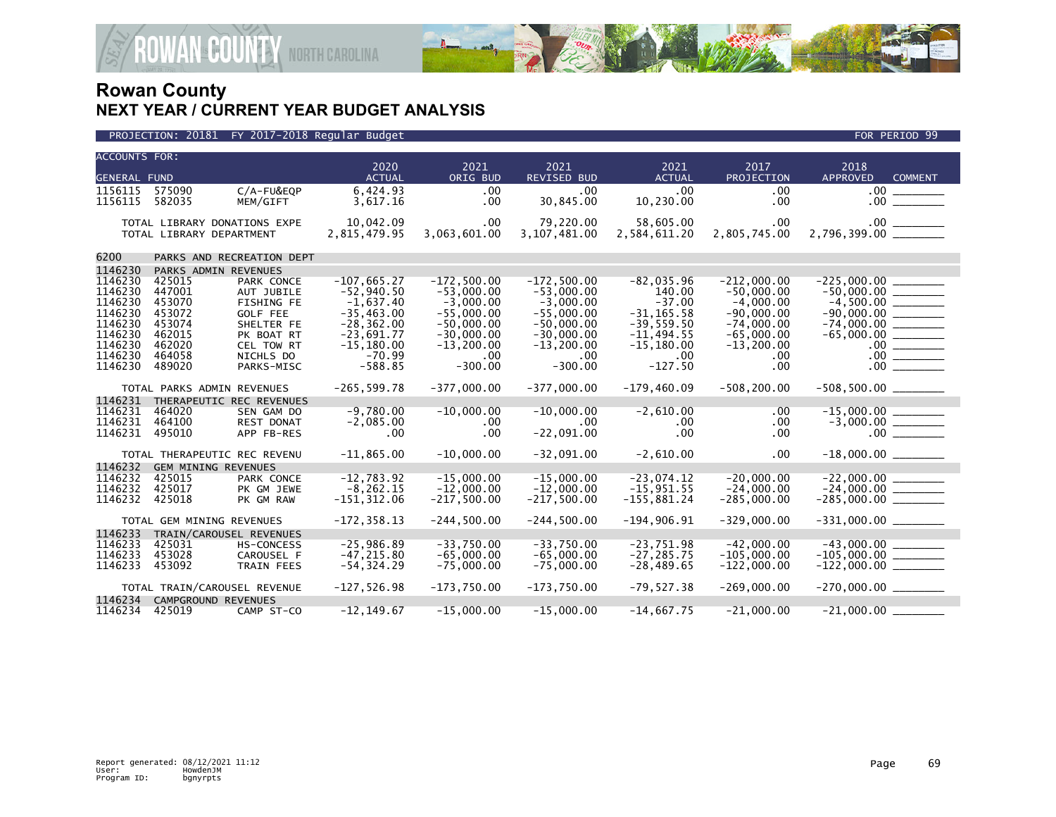

| PROJECTION: 20181 FY 2017-2018 Regular Budget | FOR PERIOD 99 |
|-----------------------------------------------|---------------|

| <b>ACCOUNTS FOR:</b><br><b>GENERAL FUND</b> |                          |                                 | 2020<br><b>ACTUAL</b>          | 2021<br>ORIG BUD              | 2021<br><b>REVISED BUD</b>   | 2021<br><b>ACTUAL</b>         | 2017<br>PROJECTION             | 2018<br>APPROVED<br><b>COMMENT</b> |
|---------------------------------------------|--------------------------|---------------------------------|--------------------------------|-------------------------------|------------------------------|-------------------------------|--------------------------------|------------------------------------|
| 1156115                                     | 575090                   | C/A-FU&EQP                      | 6,424.93                       | .00                           | .00.                         | .00.                          | .00                            | .00 <sub>1</sub>                   |
| 1156115                                     | 582035                   | MEM/GIFT                        | 3,617.16                       | .00                           | 30,845.00                    | 10,230.00                     | .00                            |                                    |
|                                             | TOTAL LIBRARY DEPARTMENT | TOTAL LIBRARY DONATIONS EXPE    | 10,042.09<br>2,815,479.95      | .00<br>3,063,601.00           | 79,220.00<br>3,107,481.00    | 58,605.00<br>2,584,611.20     | $.00 \,$<br>2,805,745.00       |                                    |
| 6200                                        |                          | PARKS AND RECREATION DEPT       |                                |                               |                              |                               |                                |                                    |
| 1146230                                     |                          | PARKS ADMIN REVENUES            |                                |                               |                              |                               |                                |                                    |
| 1146230                                     | 425015                   | PARK CONCE                      | $-107.665.27$                  | $-172.500.00$                 | $-172.500.00$                | $-82.035.96$                  | $-212.000.00$                  | $-225.000.00$                      |
| 1146230<br>1146230                          | 447001<br>453070         | AUT JUBILE<br><b>FISHING FE</b> | $-52.940.50$<br>$-1,637.40$    | $-53,000.00$<br>$-3,000.00$   | $-53,000.00$<br>$-3,000.00$  | 140.00<br>$-37.00$            | $-50.000.00$<br>$-4,000.00$    | $-4,500.00$ _________              |
| 1146230                                     | 453072                   | <b>GOLF FEE</b>                 | $-35.463.00$                   | $-55.000.00$                  | $-55.000.00$                 | $-31.165.58$                  | $-90.000.00$                   |                                    |
| 1146230                                     | 453074                   | SHELTER FE                      | $-28, 362.00$                  | $-50,000.00$                  | $-50,000.00$                 | $-39,559.50$                  | $-74,000.00$                   |                                    |
| 1146230                                     | 462015                   | PK BOAT RT                      | $-23,691.77$                   | $-30,000.00$                  | $-30,000.00$                 | $-11,494.55$                  | $-65,000.00$                   |                                    |
| 1146230                                     | 462020                   | CEL TOW RT                      | $-15, 180.00$                  | $-13.200.00$                  | $-13, 200.00$                | $-15, 180.00$                 | $-13, 200.00$                  |                                    |
| 1146230                                     | 464058                   | NICHLS DO                       | $-70.99$                       | .00                           | .00.                         | $.00 \,$                      | .00                            |                                    |
| 1146230                                     | 489020                   | PARKS-MISC                      | $-588.85$                      | $-300.00$                     | $-300.00$                    | $-127.50$                     | .00                            | 00                                 |
|                                             |                          | TOTAL PARKS ADMIN REVENUES      | $-265, 599.78$                 | $-377,000.00$                 | $-377,000.00$                | $-179,460.09$                 | $-508, 200.00$                 | $-508,500.00$ ________             |
| 1146231                                     |                          | THERAPEUTIC REC REVENUES        |                                |                               |                              |                               |                                |                                    |
| 1146231                                     | 464020                   | SEN GAM DO                      | $-9,780.00$                    | $-10,000.00$                  | $-10,000.00$                 | $-2,610.00$                   | .00                            |                                    |
| 1146231<br>1146231                          | 464100<br>495010         | <b>REST DONAT</b><br>APP FB-RES | $-2,085.00$<br>.00             | .00<br>.00                    | $.00 \,$<br>$-22,091.00$     | $.00 \,$<br>$.00 \,$          | .00<br>.00                     |                                    |
|                                             |                          |                                 |                                |                               |                              |                               |                                |                                    |
|                                             |                          | TOTAL THERAPEUTIC REC REVENU    | $-11,865.00$                   | $-10,000.00$                  | $-32,091.00$                 | $-2,610.00$                   | $.00 \,$                       |                                    |
| 1146232                                     |                          | <b>GEM MINING REVENUES</b>      |                                |                               |                              |                               |                                |                                    |
| 1146232                                     | 425015                   | PARK CONCE                      | $-12,783.92$                   | $-15,000.00$                  | $-15.000.00$                 | $-23.074.12$                  | $-20,000.00$                   | $-22,000.00$                       |
| 1146232<br>1146232                          | 425017<br>425018         | PK GM JEWE<br>PK GM RAW         | $-8, 262.15$                   | $-12,000.00$<br>$-217,500.00$ | $-12,000.00$                 | $-15,951.55$                  | $-24,000.00$                   | $-24,000.00$<br>$-285,000.00$      |
|                                             |                          |                                 | $-151, 312.06$                 |                               | $-217,500.00$                | $-155,881.24$                 | $-285,000.00$                  |                                    |
|                                             |                          | TOTAL GEM MINING REVENUES       | $-172, 358.13$                 | $-244.500.00$                 | $-244.500.00$                | $-194.906.91$                 | $-329.000.00$                  |                                    |
| 1146233<br>TRAIN/CAROUSEL REVENUES          |                          |                                 |                                |                               |                              |                               |                                |                                    |
| 1146233                                     | 425031                   | <b>HS-CONCESS</b>               | $-25,986.89$                   | $-33,750.00$                  | $-33,750.00$                 | $-23,751.98$                  | $-42,000.00$                   |                                    |
| 1146233<br>1146233                          | 453028<br>453092         | CAROUSEL F<br><b>TRAIN FEES</b> | $-47, 215.80$<br>$-54, 324.29$ | $-65,000.00$<br>$-75,000.00$  | $-65.000.00$<br>$-75,000.00$ | $-27, 285.75$<br>$-28,489.65$ | $-105.000.00$<br>$-122,000.00$ | $-105,000.00$ ________             |
|                                             |                          |                                 |                                |                               |                              |                               |                                |                                    |
|                                             |                          | TOTAL TRAIN/CAROUSEL REVENUE    | $-127,526.98$                  | $-173,750.00$                 | $-173,750.00$                | $-79,527.38$                  | $-269,000.00$                  | $-270,000.00$ ________             |
| 1146234                                     |                          | CAMPGROUND REVENUES             |                                |                               |                              |                               |                                |                                    |
| 1146234                                     | 425019                   | CAMP ST-CO                      | $-12, 149.67$                  | $-15,000.00$                  | $-15,000.00$                 | $-14,667.75$                  | $-21,000.00$                   |                                    |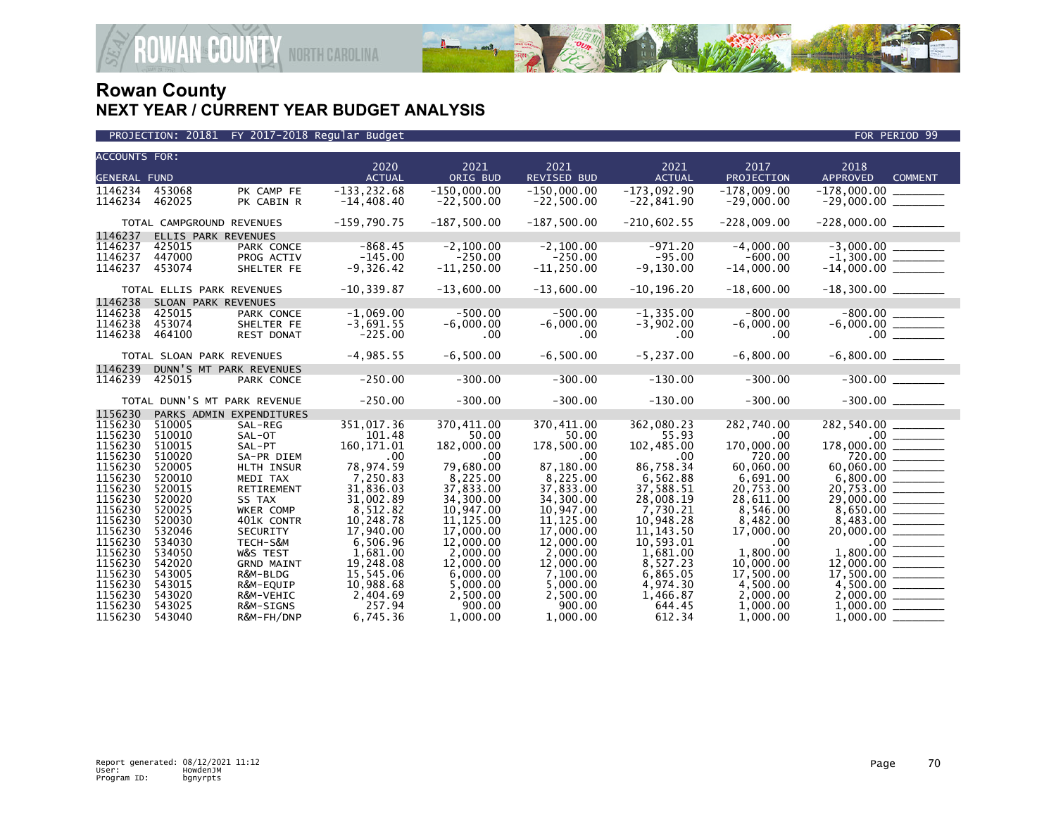

| <b>ACCOUNTS FOR:</b> |                  |                              |                        |                        |                        |                        |                        |                            |
|----------------------|------------------|------------------------------|------------------------|------------------------|------------------------|------------------------|------------------------|----------------------------|
|                      |                  |                              | 2020                   | 2021                   | 2021                   | 2021                   | 2017                   | 2018                       |
| <b>GENERAL FUND</b>  |                  |                              | <b>ACTUAL</b>          | ORIG BUD               | REVISED BUD            | <b>ACTUAL</b>          | PROJECTION             | APPROVED<br><b>COMMENT</b> |
| 1146234              | 453068           | PK CAMP FE                   | $-133, 232.68$         | $-150,000.00$          | $-150,000.00$          | $-173,092.90$          | $-178,009.00$          | $-178,000.00$              |
| 1146234              | 462025           | PK CABIN R                   | $-14,408.40$           | $-22,500.00$           | $-22,500.00$           | $-22,841.90$           | $-29,000.00$           | $-29,000.00$ ________      |
|                      |                  |                              | $-159,790.75$          | $-187,500.00$          | $-187,500.00$          | $-210,602.55$          | $-228,009.00$          |                            |
|                      |                  | TOTAL CAMPGROUND REVENUES    |                        |                        |                        |                        |                        |                            |
| 1146237<br>1146237   |                  | ELLIS PARK REVENUES          | $-868.45$              | $-2.100.00$            | $-2.100.00$            | $-971.20$              | $-4.000.00$            |                            |
| 1146237              | 425015<br>447000 | PARK CONCE<br>PROG ACTIV     | $-145.00$              | $-250.00$              | $-250.00$              | $-95.00$               | $-600.00$              |                            |
| 1146237              | 453074           | SHELTER FE                   | $-9,326.42$            | $-11, 250.00$          | $-11, 250.00$          | $-9,130.00$            | $-14,000.00$           |                            |
|                      |                  |                              |                        |                        |                        |                        |                        |                            |
|                      |                  | TOTAL ELLIS PARK REVENUES    | $-10, 339.87$          | $-13,600.00$           | $-13,600.00$           | $-10, 196.20$          | $-18,600.00$           |                            |
| 1146238              |                  | SLOAN PARK REVENUES          |                        |                        |                        |                        |                        |                            |
| 1146238              | 425015           | PARK CONCE                   | $-1,069.00$            | $-500.00$              | $-500.00$              | $-1, 335.00$           | $-800.00$              | $-800.00$<br>$-6,000.00$   |
| 1146238              | 453074           | SHELTER FE                   | $-3,691.55$            | $-6,000.00$            | $-6,000.00$            | $-3,902.00$            | $-6,000.00$            |                            |
| 1146238              | 464100           | <b>REST DONAT</b>            | $-225.00$              | .00                    | .00.                   | $.00 \,$               | .00.                   |                            |
|                      |                  | TOTAL SLOAN PARK REVENUES    | $-4,985.55$            | $-6,500.00$            | $-6,500.00$            | $-5, 237.00$           | $-6,800.00$            | $-6,800.00$ _________      |
| 1146239              |                  | DUNN'S MT PARK REVENUES      |                        |                        |                        |                        |                        |                            |
| 1146239              | 425015           | PARK CONCE                   | $-250.00$              | $-300.00$              | $-300.00$              | $-130.00$              | $-300.00$              | $-300.00$                  |
|                      |                  |                              |                        |                        |                        |                        |                        |                            |
|                      |                  | TOTAL DUNN'S MT PARK REVENUE | $-250.00$              | $-300.00$              | $-300.00$              | $-130.00$              | $-300.00$              | $-300.00$                  |
| 1156230              |                  | PARKS ADMIN EXPENDITURES     |                        |                        |                        |                        |                        |                            |
| 1156230              | 510005           | SAL-REG                      | 351,017.36             | 370,411.00             | 370,411.00             | 362,080.23             | 282,740.00             |                            |
| 1156230              | 510010           | SAL-OT                       | 101.48                 | 50.00                  | 50.00                  | 55.93                  | .00                    |                            |
| 1156230              | 510015           | SAL-PT                       | 160, 171.01            | 182,000.00             | 178,500.00             | 102,485.00             | 170,000.00             |                            |
| 1156230              | 510020           | SA-PR DIEM                   | .00                    | .00                    | .00                    | .00                    | 720.00                 |                            |
| 1156230<br>1156230   | 520005           | HLTH INSUR                   | 78,974.59              | 79,680.00              | 87,180.00              | 86,758.34              | 60,060.00              |                            |
|                      | 520010           | MEDI TAX                     | 7,250.83               | 8,225.00               | 8,225.00               | 6,562.88               | 6,691.00               |                            |
| 1156230<br>1156230   | 520015<br>520020 | RETIREMENT<br>SS TAX         | 31,836.03<br>31,002.89 | 37,833.00<br>34,300.00 | 37,833.00<br>34,300,00 | 37,588.51<br>28,008.19 | 20,753.00<br>28,611.00 | 20,753.00                  |
| 1156230              | 520025           | <b>WKER COMP</b>             | 8,512.82               | 10,947.00              | 10,947.00              | 7,730.21               | 8.546.00               |                            |
| 1156230              | 520030           | 401K CONTR                   | 10,248.78              | 11, 125.00             | 11, 125.00             | 10,948.28              | 8,482.00               |                            |
| 1156230              | 532046           | SECURITY                     | 17,940.00              | 17,000.00              | 17,000.00              | 11, 143.50             | 17,000.00              | 20,000.00 _______          |
| 1156230              | 534030           | TECH-S&M                     | 6,506.96               | 12,000.00              | 12,000.00              | 10,593.01              | .00                    |                            |
| 1156230              | 534050           | W&S TEST                     | 1,681.00               | 2.000.00               | 2.000.00               | 1,681.00               | 1.800.00               |                            |
| 1156230              | 542020           | <b>GRND MAINT</b>            | 19,248.08              | 12,000.00              | 12,000.00              | 8,527.23               | 10,000.00              |                            |
| 1156230              | 543005           | R&M-BLDG                     | 15,545.06              | 6,000.00               | 7,100.00               | 6,865.05               | 17,500.00              |                            |
| 1156230              | 543015           | R&M-EQUIP                    | 10,988.68              | 5,000.00               | 5,000.00               | 4,974.30               | 4,500.00               |                            |
| 1156230              | 543020           | R&M-VEHIC                    | 2,404.69               | 2,500.00               | 2,500.00               | 1,466.87               | 2,000.00               |                            |
| 1156230              | 543025           | R&M-SIGNS                    | 257.94                 | 900.00                 | 900.00                 | 644.45                 | 1,000.00               |                            |
| 1156230              | 543040           | R&M-FH/DNP                   | 6,745.36               | 1.000.00               | 1.000.00               | 612.34                 | 1.000.00               | 1.000.00                   |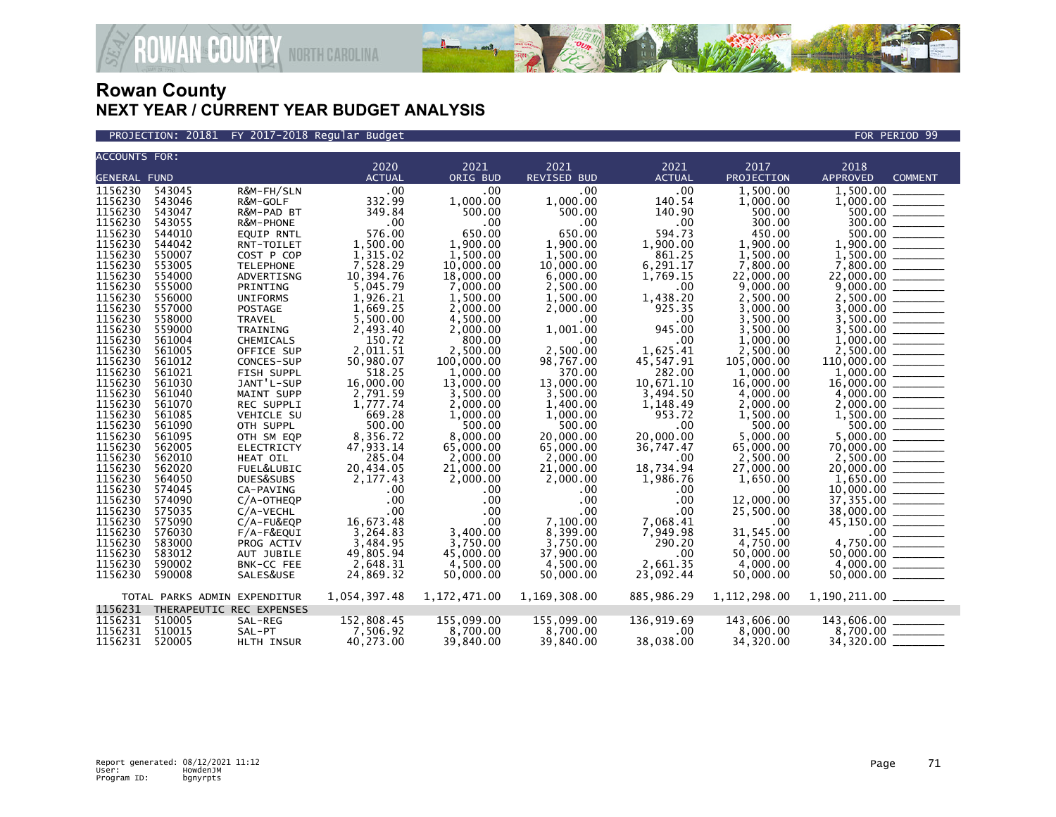

PROJECTION: 20181 FY 2017-2018 Regular Budget FOR PERIOD 99

| <b>ACCOUNTS FOR:</b>                                         |                  |                         |               |                 |                    |                  |                  |                                                                                                                                                                                                                                                                                                                                                                                                                                                                                      |
|--------------------------------------------------------------|------------------|-------------------------|---------------|-----------------|--------------------|------------------|------------------|--------------------------------------------------------------------------------------------------------------------------------------------------------------------------------------------------------------------------------------------------------------------------------------------------------------------------------------------------------------------------------------------------------------------------------------------------------------------------------------|
|                                                              |                  |                         | 2020          | 2021            | 2021               | 2021             | 2017             | 2018                                                                                                                                                                                                                                                                                                                                                                                                                                                                                 |
| <b>GENERAL FUND</b>                                          |                  |                         | <b>ACTUAL</b> | ORIG BUD        | <b>REVISED BUD</b> | <b>ACTUAL</b>    | PROJECTION       | <b>APPROVED</b><br><b>COMMENT</b>                                                                                                                                                                                                                                                                                                                                                                                                                                                    |
| 1156230                                                      | 543045           | R&M-FH/SLN              | .00           | .00             | .00                | .00              | 1.500.00         | 1.500.00                                                                                                                                                                                                                                                                                                                                                                                                                                                                             |
| 1156230                                                      | 543046           | R&M-GOLF                | 332.99        | 1,000.00        | 1,000.00           | 140.54           | 1,000.00         | 1,000.00                                                                                                                                                                                                                                                                                                                                                                                                                                                                             |
| 1156230                                                      | 543047           | R&M-PAD BT              | 349.84        | 500.00          | 500.00             | 140.90           | 500.00           | 500.00 _______                                                                                                                                                                                                                                                                                                                                                                                                                                                                       |
| 1156230                                                      | 543055           | R&M-PHONE               | .00           | .00             | $.00 \,$           | .00              | 300.00           |                                                                                                                                                                                                                                                                                                                                                                                                                                                                                      |
| 1156230                                                      | 544010           | EQUIP RNTL              | 576.00        | 650.00          | 650.00             | 594.73           | 450.00           | 500.00<br>$\frac{1}{2} \left( \frac{1}{2} \right) \left( \frac{1}{2} \right) \left( \frac{1}{2} \right) \left( \frac{1}{2} \right) \left( \frac{1}{2} \right) \left( \frac{1}{2} \right) \left( \frac{1}{2} \right) \left( \frac{1}{2} \right) \left( \frac{1}{2} \right) \left( \frac{1}{2} \right) \left( \frac{1}{2} \right) \left( \frac{1}{2} \right) \left( \frac{1}{2} \right) \left( \frac{1}{2} \right) \left( \frac{1}{2} \right) \left( \frac{1}{2} \right) \left( \frac$ |
| 1156230                                                      | 544042           | RNT-TOILET              | 1.500.00      | 1.900.00        | 1,900.00           | 1,900.00         | 1.900.00         | 1,900.00                                                                                                                                                                                                                                                                                                                                                                                                                                                                             |
| 1156230                                                      | 550007           | COST P COP              | 1,315.02      | 1,500.00        | 1,500.00           | 861.25           | 1,500.00         | 1,500.00                                                                                                                                                                                                                                                                                                                                                                                                                                                                             |
| 1156230                                                      | 553005           | <b>TELEPHONE</b>        | 7,528.29      | 10,000.00       | 10,000.00          | 6,291.17         | 7.800.00         |                                                                                                                                                                                                                                                                                                                                                                                                                                                                                      |
| 1156230                                                      | 554000           | ADVERTISNG              | 10,394.76     | 18,000.00       | 6,000.00           | 1,769.15         | 22,000.00        |                                                                                                                                                                                                                                                                                                                                                                                                                                                                                      |
| 1156230                                                      | 555000           | PRINTING                | 5,045.79      | 7,000.00        | 2,500.00           | .00              | 9,000.00         |                                                                                                                                                                                                                                                                                                                                                                                                                                                                                      |
| 1156230                                                      | 556000           | <b>UNIFORMS</b>         | 1,926.21      | 1,500.00        | 1,500.00           | 1,438.20         | 2,500.00         |                                                                                                                                                                                                                                                                                                                                                                                                                                                                                      |
| 1156230                                                      | 557000           | <b>POSTAGE</b>          | 1,669.25      | 2,000.00        | 2,000.00           | 925.35           | 3,000.00         | 3,000.00                                                                                                                                                                                                                                                                                                                                                                                                                                                                             |
| 1156230                                                      | 558000           | TRAVEL                  | 5,500.00      | 4,500.00        | $.00 \,$           | .00              | 3,500.00         |                                                                                                                                                                                                                                                                                                                                                                                                                                                                                      |
| 1156230                                                      | 559000           | TRAINING                | 2,493.40      | 2,000.00        | 1,001.00           | 945.00           | 3.500.00         |                                                                                                                                                                                                                                                                                                                                                                                                                                                                                      |
| 1156230                                                      | 561004           | CHEMICALS               | 150.72        | 800.00          | .00 <sub>1</sub>   | .00              | 1,000.00         |                                                                                                                                                                                                                                                                                                                                                                                                                                                                                      |
| 1156230                                                      | 561005           | OFFICE SUP              | 2,011.51      | 2,500.00        | 2,500.00           | 1,625.41         | 2,500.00         |                                                                                                                                                                                                                                                                                                                                                                                                                                                                                      |
| 1156230                                                      | 561012           | CONCES-SUP              | 50,980.07     | 100,000.00      | 98,767.00          | 45,547.91        | 105,000.00       |                                                                                                                                                                                                                                                                                                                                                                                                                                                                                      |
| 1156230                                                      | 561021           | FISH SUPPL              | 518.25        | 1,000.00        | 370.00             | 282.00           | 1,000.00         |                                                                                                                                                                                                                                                                                                                                                                                                                                                                                      |
| 1156230                                                      | 561030           | JANT'L-SUP              | 16,000.00     | 13,000.00       | 13,000.00          | 10,671.10        | 16,000.00        | $16,000.00$ ________                                                                                                                                                                                                                                                                                                                                                                                                                                                                 |
| 1156230                                                      | 561040           | MAINT SUPP              | 2,791.59      | 3.500.00        | 3,500.00           | 3,494.50         | 4.000.00         |                                                                                                                                                                                                                                                                                                                                                                                                                                                                                      |
| 1156230                                                      | 561070           | <b>REC SUPPLI</b>       | 1,777.74      | 2.000.00        | 1,400.00           | 1,148.49         | 2.000.00         | 2,000,00<br>$\frac{1}{1}$                                                                                                                                                                                                                                                                                                                                                                                                                                                            |
| 1156230                                                      | 561085           | VEHICLE SU              | 669.28        | 1,000.00        | 1,000.00           | 953.72           | 1,500.00         |                                                                                                                                                                                                                                                                                                                                                                                                                                                                                      |
| 1156230                                                      | 561090           | OTH SUPPL               | 500.00        | 500.00          | 500.00             | .00              | 500.00           | $500.00$ _______                                                                                                                                                                                                                                                                                                                                                                                                                                                                     |
| 1156230                                                      | 561095           | OTH SM EQP              | 8,356.72      | 8,000.00        | 20,000.00          | 20,000.00        | 5,000.00         | 5,000.00                                                                                                                                                                                                                                                                                                                                                                                                                                                                             |
| 1156230                                                      | 562005           | ELECTRICTY              | 47,933.14     | 65,000.00       | 65,000.00          | 36,747.47        | 65,000.00        |                                                                                                                                                                                                                                                                                                                                                                                                                                                                                      |
| 1156230                                                      | 562010           | <b>HEAT OIL</b>         | 285.04        | 2,000.00        | 2.000.00           | .00              | 2.500.00         |                                                                                                                                                                                                                                                                                                                                                                                                                                                                                      |
| 1156230                                                      | 562020           | FUEL&LUBIC              | 20,434.05     | 21,000.00       | 21,000.00          | 18,734.94        | 27,000.00        | $20,000.00$ _________                                                                                                                                                                                                                                                                                                                                                                                                                                                                |
| 1156230                                                      | 564050           | DUES&SUBS               | 2,177.43      | 2,000.00        | 2,000.00           | 1,986.76         | 1,650.00         |                                                                                                                                                                                                                                                                                                                                                                                                                                                                                      |
| 1156230<br>1156230                                           | 574045<br>574090 | CA-PAVING               | .00<br>.00    | .00             | .00<br>.00         | .00              | .00<br>12,000,00 |                                                                                                                                                                                                                                                                                                                                                                                                                                                                                      |
| 1156230                                                      | 575035           | C/A-OTHEQP<br>C/A-VECHL | .00           | .00             | $.00 \,$           | .00              |                  | $37,355.00$<br>$38,000.00$                                                                                                                                                                                                                                                                                                                                                                                                                                                           |
| 1156230                                                      | 575090           | C/A-FU&EQP              | 16,673.48     | .00<br>$.00 \,$ | 7,100.00           | .00<br>7,068.41  | 25,500.00<br>.00 |                                                                                                                                                                                                                                                                                                                                                                                                                                                                                      |
| 1156230                                                      | 576030           | F/A-F&EQUI              | 3,264.83      | 3,400.00        | 8,399.00           | 7,949.98         | 31,545.00        |                                                                                                                                                                                                                                                                                                                                                                                                                                                                                      |
| 1156230                                                      | 583000           | PROG ACTIV              | 3,484.95      | 3,750.00        | 3,750.00           | 290.20           | 4,750.00         |                                                                                                                                                                                                                                                                                                                                                                                                                                                                                      |
| 1156230                                                      | 583012           | AUT JUBILE              | 49,805.94     | 45,000,00       | 37,900.00          | .00 <sub>1</sub> | 50.000.00        |                                                                                                                                                                                                                                                                                                                                                                                                                                                                                      |
| 1156230                                                      | 590002           | BNK-CC FEE              | 2,648.31      | 4,500.00        | 4,500.00           | 2.661.35         | 4,000.00         | $50,000.00$ $\overline{\hspace{1cm}}$<br>4,000.00                                                                                                                                                                                                                                                                                                                                                                                                                                    |
| 1156230                                                      | 590008           | SALES&USE               | 24,869.32     | 50,000.00       | 50,000.00          | 23,092.44        | 50,000.00        |                                                                                                                                                                                                                                                                                                                                                                                                                                                                                      |
|                                                              |                  |                         |               |                 |                    |                  |                  |                                                                                                                                                                                                                                                                                                                                                                                                                                                                                      |
| 1,054,397.48<br>1,172,471.00<br>TOTAL PARKS ADMIN EXPENDITUR |                  |                         |               |                 | 1,169,308.00       | 885,986.29       | 1, 112, 298.00   |                                                                                                                                                                                                                                                                                                                                                                                                                                                                                      |
| 1156231 THERAPEUTIC REC EXPENSES                             |                  |                         |               |                 |                    |                  |                  |                                                                                                                                                                                                                                                                                                                                                                                                                                                                                      |
| 1156231                                                      | 510005           | SAL-REG                 | 152,808.45    | 155,099.00      | 155,099.00         | 136,919.69       | 143,606.00       | 143,606.00 _______                                                                                                                                                                                                                                                                                                                                                                                                                                                                   |
| 1156231                                                      | 510015           | SAL-PT                  | 7,506.92      | 8,700.00        | 8,700.00           | $.00 \,$         | 8,000.00         | 8,700.00 ______                                                                                                                                                                                                                                                                                                                                                                                                                                                                      |
| 1156231                                                      | 520005           | HLTH INSUR              | 40,273.00     | 39,840.00       | 39,840.00          | 38,038.00        | 34,320.00        | 34,320.00                                                                                                                                                                                                                                                                                                                                                                                                                                                                            |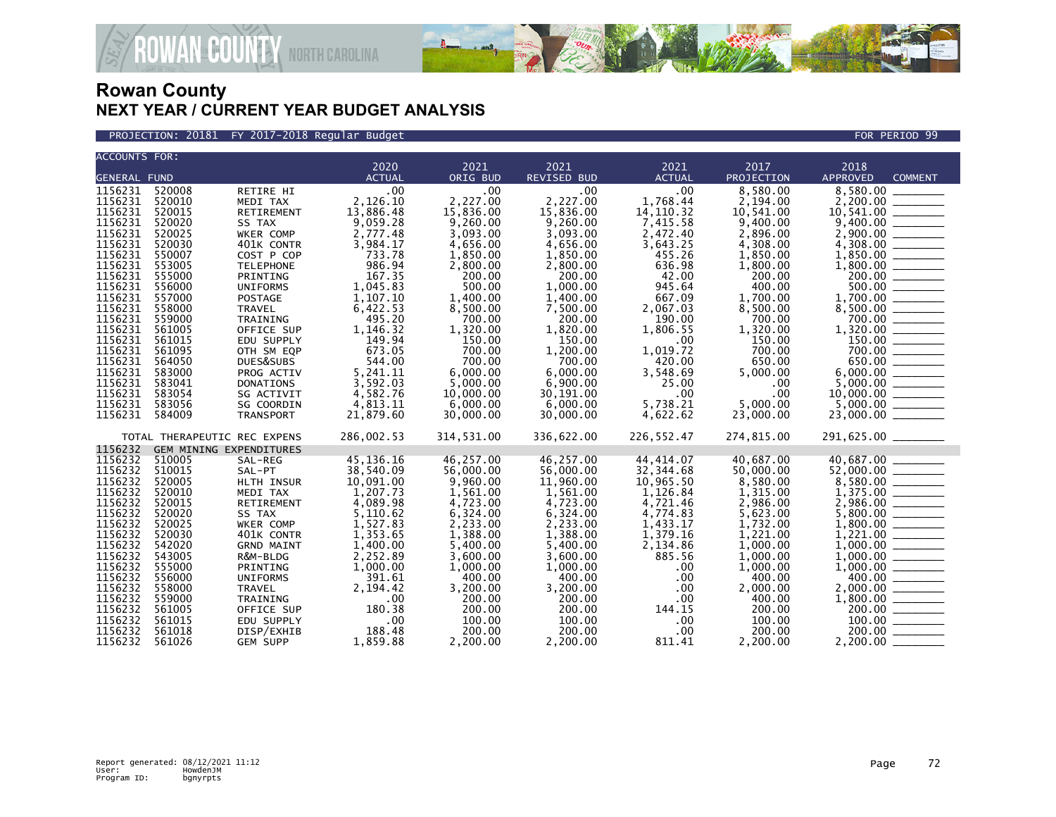

PROJECTION: 20181 FY 2017-2018 Regular Budget FOR PERIOD 99

| <b>ACCOUNTS FOR:</b>                                                                                                                                                                                                 |                                                                                                                                                                                  |                                                                                                                                                                                                                                                                            | 2020                                                                                                                                                                                                           | 2021                                                                                                                                                                                                             | 2021                                                                                                                                                                                                                 | 2021                                                                                                                                                                                                     | 2017                                                                                                                                                                                                             | 2018                                                                                                                                                                                                                     |
|----------------------------------------------------------------------------------------------------------------------------------------------------------------------------------------------------------------------|----------------------------------------------------------------------------------------------------------------------------------------------------------------------------------|----------------------------------------------------------------------------------------------------------------------------------------------------------------------------------------------------------------------------------------------------------------------------|----------------------------------------------------------------------------------------------------------------------------------------------------------------------------------------------------------------|------------------------------------------------------------------------------------------------------------------------------------------------------------------------------------------------------------------|----------------------------------------------------------------------------------------------------------------------------------------------------------------------------------------------------------------------|----------------------------------------------------------------------------------------------------------------------------------------------------------------------------------------------------------|------------------------------------------------------------------------------------------------------------------------------------------------------------------------------------------------------------------|--------------------------------------------------------------------------------------------------------------------------------------------------------------------------------------------------------------------------|
| <b>GENERAL FUND</b>                                                                                                                                                                                                  |                                                                                                                                                                                  |                                                                                                                                                                                                                                                                            | <b>ACTUAL</b>                                                                                                                                                                                                  | ORIG BUD                                                                                                                                                                                                         | <b>REVISED BUD</b>                                                                                                                                                                                                   | <b>ACTUAL</b>                                                                                                                                                                                            | PROJECTION                                                                                                                                                                                                       | <b>APPROVED</b><br><b>COMMENT</b>                                                                                                                                                                                        |
| 1156231<br>1156231 520010<br>1156231<br>1156231<br>1156231<br>1156231<br>1156231<br>1156231<br>1156231<br>1156231<br>1156231<br>1156231<br>1156231<br>1156231<br>1156231<br>1156231<br>1156231<br>1156231<br>1156231 | 520008<br>520015<br>520020<br>520025<br>520030<br>550007<br>553005<br>555000<br>556000<br>557000<br>558000<br>559000<br>561005<br>561015<br>561095<br>564050<br>583000<br>583041 | RETIRE HI<br>MEDI TAX<br>RETIREMENT<br>SS TAX<br>WKER COMP<br>401K CONTR<br>COST P COP<br><b>TELEPHONE</b><br>PRINTING<br><b>UNIFORMS</b><br>POSTAGE<br><b>TRAVEL</b><br>TRAINING<br>OFFICE SUP<br>EDU SUPPLY<br>OTH SM EQP<br>DUES&SUBS<br>PROG ACTIV<br><b>DONATIONS</b> | .00<br>2,126.10<br>13,886.48<br>9,059.28<br>2,777.48<br>3,984.17<br>733.78<br>986.94<br>167.35<br>1,045.83<br>1,107.10<br>6,422.53<br>495.20<br>1,146.32<br>149.94<br>673.05<br>544.00<br>5,241.11<br>3,592.03 | .00<br>2,227.00<br>15,836.00<br>9,260.00<br>3,093.00<br>4,656.00<br>1,850.00<br>2,800.00<br>200.00<br>500.00<br>1,400.00<br>8,500.00<br>700.00<br>1,320.00<br>150.00<br>700.00<br>700.00<br>6,000.00<br>5,000.00 | .00<br>2,227.00<br>15,836.00<br>9,260.00<br>3,093.00<br>4,656.00<br>1,850.00<br>2,800.00<br>200.00<br>1,000.00<br>1,400.00<br>7,500.00<br>200.00<br>1,820.00<br>150.00<br>1,200.00<br>700.00<br>6.000.00<br>6,900.00 | .00<br>1,768.44<br>14, 110. 32<br>7,415.58<br>2,472.40<br>3,643.25<br>455.26<br>636.98<br>42.00<br>945.64<br>667.09<br>2,067.03<br>190.00<br>1,806.55<br>.00.<br>1.019.72<br>420.00<br>3,548.69<br>25.00 | 8,580.00<br>2,194.00<br>10,541.00<br>9,400.00<br>2,896.00<br>4,308.00<br>1,850.00<br>1,800.00<br>200.00<br>400.00<br>1,700.00<br>8,500.00<br>700.00<br>1,320.00<br>150.00<br>700.00<br>650.00<br>5,000.00<br>.00 | 8,580.00<br>$10,541.00$<br>9,400.00<br>2,900.00<br>$\frac{4,308.00}{1,850.00}$<br>$1,800.00$<br>200.00<br>$\begin{array}{c} 1,700.00 \\ 8,500.00 \\ 700.00 \\ 1,320.00 \\ \hline \end{array}$<br>$\frac{150.00}{700.00}$ |
| 1156231<br>1156231<br>1156231                                                                                                                                                                                        | 583054<br>583056<br>584009                                                                                                                                                       | SG ACTIVIT<br>SG COORDIN<br>TRANSPORT                                                                                                                                                                                                                                      | 4,582.76<br>4,813.11<br>21,879.60                                                                                                                                                                              | 10,000.00<br>6,000.00<br>30,000.00                                                                                                                                                                               | 30,191.00<br>6.000.00<br>30,000.00                                                                                                                                                                                   | $.00 \,$<br>5,738.21<br>4,622.62                                                                                                                                                                         | .00<br>5.000.00<br>23,000.00                                                                                                                                                                                     |                                                                                                                                                                                                                          |
|                                                                                                                                                                                                                      | TOTAL THERAPEUTIC REC EXPENS                                                                                                                                                     |                                                                                                                                                                                                                                                                            | 286,002.53                                                                                                                                                                                                     | 314,531.00                                                                                                                                                                                                       | 336,622.00                                                                                                                                                                                                           | 226,552.47                                                                                                                                                                                               | 274,815.00                                                                                                                                                                                                       | 291,625.00 ________                                                                                                                                                                                                      |
| 1156232                                                                                                                                                                                                              | GEM MINING EXPENDITURES                                                                                                                                                          |                                                                                                                                                                                                                                                                            |                                                                                                                                                                                                                |                                                                                                                                                                                                                  |                                                                                                                                                                                                                      |                                                                                                                                                                                                          |                                                                                                                                                                                                                  |                                                                                                                                                                                                                          |
| 1156232<br>1156232<br>1156232<br>1156232<br>1156232<br>1156232<br>1156232                                                                                                                                            | 510005<br>510015<br>520005<br>520010<br>520015<br>520020<br>520025                                                                                                               | SAL-REG<br>SAL-PT<br>HLTH INSUR<br>MEDI TAX<br>RETIREMENT<br>SS TAX<br>WKER COMP                                                                                                                                                                                           | 45, 136. 16<br>38,540.09<br>10,091.00<br>1,207.73<br>4,089.98<br>5,110.62<br>1,527.83                                                                                                                          | 46,257.00<br>56,000.00<br>9,960.00<br>1,561.00<br>4,723.00<br>6,324.00<br>2,233.00                                                                                                                               | 46,257.00<br>56,000.00<br>11,960.00<br>1,561.00<br>4,723.00<br>6,324.00<br>2,233.00                                                                                                                                  | 44,414.07<br>32,344.68<br>10,965.50<br>1,126.84<br>4,721.46<br>4,774.83<br>1,433.17                                                                                                                      | 40,687.00<br>50,000.00<br>8,580.00<br>1,315.00<br>2,986.00<br>5,623.00<br>1,732.00                                                                                                                               | 40,687.00<br>$\begin{array}{r} 8,580.00 \\ 1,375.00 \\ 2,986.00 \\ 5,800.00 \\ 1,800.00 \\ 1,800.00 \end{array}$                                                                                                         |
| 1156232<br>1156232<br>1156232<br>1156232<br>1156232<br>1156232<br>1156232                                                                                                                                            | 520030<br>542020<br>543005<br>555000<br>556000<br>558000<br>559000                                                                                                               | 401K CONTR<br><b>GRND MAINT</b><br>R&M-BLDG<br>PRINTING<br><b>UNIFORMS</b><br><b>TRAVEL</b><br>TRAINING                                                                                                                                                                    | 1,353.65<br>1,400.00<br>2,252.89<br>1,000.00<br>391.61<br>2,194.42<br>.00                                                                                                                                      | 1,388.00<br>5,400.00<br>3,600.00<br>1,000.00<br>400.00<br>3,200.00<br>200.00                                                                                                                                     | 1,388.00<br>5,400.00<br>3,600.00<br>1,000.00<br>400.00<br>3,200.00<br>200.00                                                                                                                                         | 1,379.16<br>2,134.86<br>885.56<br>$.00 \times$<br>$.00 \,$<br>$.00 \,$<br>$.00 \,$                                                                                                                       | 1,221.00<br>1,000.00<br>1,000.00<br>1,000.00<br>400.00<br>2,000.00<br>400.00                                                                                                                                     | $1,000.00$<br>$1,000.00$<br>$400.00$<br>$2,000.00$<br>$2,000.00$<br>$200.00$<br>$1,800.00$<br>$100.00$                                                                                                                   |
| 1156232<br>1156232<br>1156232<br>1156232                                                                                                                                                                             | 561005<br>561015<br>561018<br>561026                                                                                                                                             | OFFICE SUP<br>EDU SUPPLY<br>DISP/EXHIB<br><b>GEM SUPP</b>                                                                                                                                                                                                                  | 180.38<br>.00<br>188.48<br>1,859.88                                                                                                                                                                            | 200.00<br>100.00<br>200.00<br>2,200.00                                                                                                                                                                           | 200.00<br>100.00<br>200.00<br>2.200.00                                                                                                                                                                               | 144.15<br>$.00 \times$<br>$.00 \times$<br>811.41                                                                                                                                                         | 200.00<br>100.00<br>200.00<br>2,200.00                                                                                                                                                                           | 200.00                                                                                                                                                                                                                   |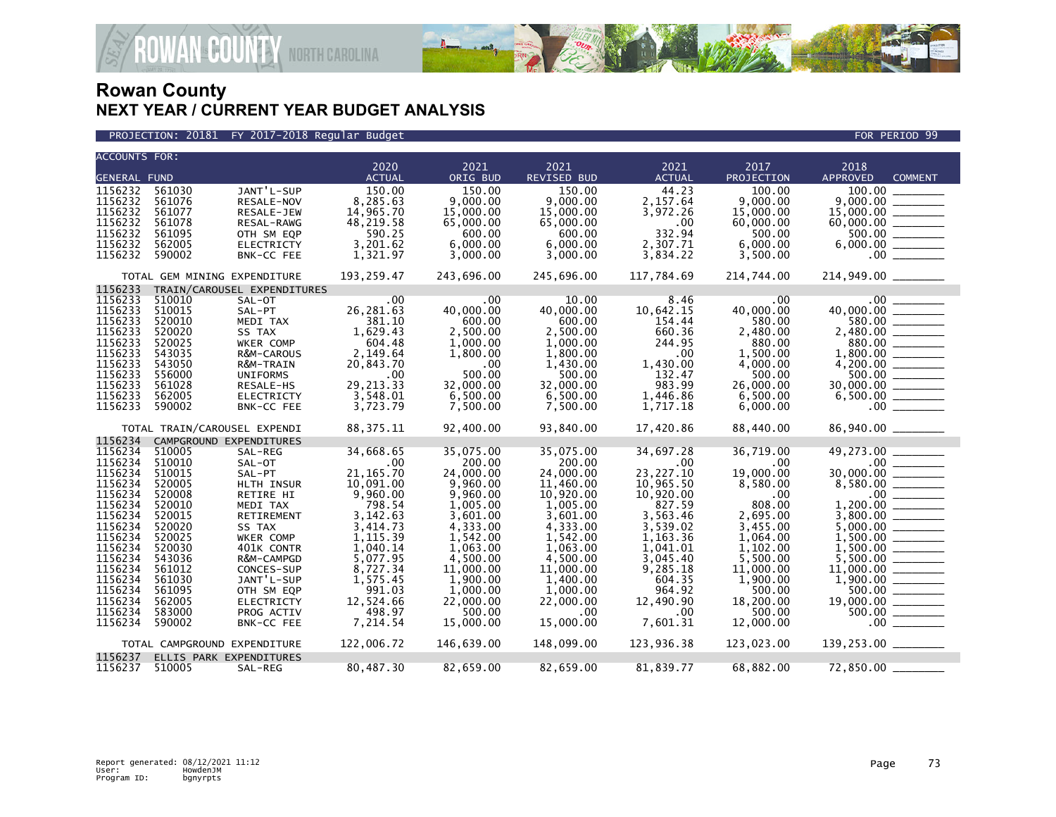

PROJECTION: 20181 FY 2017-2018 Regular Budget FOR PERIOD 99

| <b>ACCOUNTS FOR:</b> |                              |                             |                       |                       |                       |                       |                       |                                           |  |
|----------------------|------------------------------|-----------------------------|-----------------------|-----------------------|-----------------------|-----------------------|-----------------------|-------------------------------------------|--|
| <b>GENERAL FUND</b>  |                              |                             | 2020<br><b>ACTUAL</b> | 2021<br>ORIG BUD      | 2021<br>REVISED BUD   | 2021<br><b>ACTUAL</b> | 2017<br>PROJECTION    | 2018<br><b>APPROVED</b><br><b>COMMENT</b> |  |
| 1156232              | 561030                       | JANT'L-SUP                  | 150.00                | 150.00                | 150.00                | 44.23                 | 100.00                | 100.00                                    |  |
| 1156232              | 561076                       | RESALE-NOV                  | 8,285.63              | 9.000.00              | 9,000.00              | 2,157.64              | 9.000.00              | 9,000,00                                  |  |
| 1156232              | 561077                       | RESALE-JEW                  | 14,965.70             | 15,000.00             | 15,000.00             | 3,972.26              | 15,000.00             | 15,000.00                                 |  |
| 1156232              | 561078                       | RESAL-RAWG                  | 48,219.58             | 65,000.00             | 65,000.00             | .00                   | 60,000.00             |                                           |  |
| 1156232              | 561095                       | OTH SM EQP                  | 590.25                | 600.00                | 600.00                | 332.94                | 500.00                | 500.00                                    |  |
| 1156232              | 562005                       | <b>ELECTRICTY</b>           | 3,201.62              | 6.000.00              | 6,000.00              | 2,307.71              | 6,000.00              | 6,000.00                                  |  |
| 1156232              | 590002                       | BNK-CC FEE                  | 1,321.97              | 3,000.00              | 3,000.00              | 3,834.22              | 3,500.00              | $.00 \,$                                  |  |
|                      |                              |                             |                       |                       |                       |                       |                       |                                           |  |
|                      | TOTAL GEM MINING EXPENDITURE |                             | 193,259.47            | 243,696.00            | 245,696.00            | 117,784.69            | 214,744.00            | 214,949.00 _______                        |  |
| 1156233              |                              | TRAIN/CAROUSEL EXPENDITURES |                       |                       |                       |                       |                       |                                           |  |
| 1156233              | 510010                       | SAL-OT                      | .00                   | .00                   | 10.00                 | 8.46                  | $.00 \,$              | .00                                       |  |
| 1156233              | 510015                       | SAL-PT                      | 26,281.63             | 40,000.00             | 40,000.00             | 10,642.15             | 40,000.00             | 40,000.00                                 |  |
| 1156233              | 520010                       | MEDI TAX                    | 381.10                | 600.00                | 600.00                | 154.44                | 580.00                | 580.00                                    |  |
| 1156233              | 520020                       | SS TAX                      | 1,629.43              | 2.500.00              | 2.500.00              | 660.36                | 2,480.00              | 2.480.00<br><u> Louis Communica</u>       |  |
| 1156233              | 520025                       | WKER COMP                   | 604.48                | 1,000.00              | 1,000.00              | 244.95                | 880.00                | 880.00                                    |  |
| 1156233              | 543035                       | <b>R&amp;M-CAROUS</b>       | 2,149.64              | 1,800.00              | 1,800.00              | .00                   | 1.500.00              | 1.800.00                                  |  |
| 1156233              | 543050                       | R&M-TRAIN                   | 20,843.70             | .00                   | 1,430.00              | 1,430.00              | 4,000.00              |                                           |  |
| 1156233              | 556000                       | <b>UNIFORMS</b>             | .00                   | 500.00                | 500.00                | 132.47                | 500.00                | 500.00 _________                          |  |
| 1156233              | 561028                       | RESALE-HS                   | 29, 213.33            | 32,000.00             | 32,000.00             | 983.99                | 26,000.00             | 30,000.00                                 |  |
| 1156233              | 562005                       | <b>ELECTRICTY</b>           | 3,548.01              | 6,500.00              | 6.500.00              | 1,446.86              | 6,500.00              | 6,500.00                                  |  |
| 1156233              | 590002                       | BNK-CC FEE                  | 3,723.79              | 7,500.00              | 7,500.00              | 1,717.18              | 6,000.00              | $.00 \,$                                  |  |
|                      | TOTAL TRAIN/CAROUSEL EXPENDI |                             | 88, 375. 11           | 92,400.00             | 93,840.00             | 17,420.86             | 88,440.00             | 86,940.00 ______                          |  |
| 1156234              | CAMPGROUND EXPENDITURES      |                             |                       |                       |                       |                       |                       |                                           |  |
| 1156234              | 510005                       | SAL-REG                     | 34,668.65             | 35,075.00             | 35,075.00             | 34,697.28             | 36,719.00             | 49,273.00                                 |  |
| 1156234              | 510010                       | SAL-OT                      | .00                   | 200.00                | 200.00                | .00                   | .00                   | $.00 \,$                                  |  |
| 1156234              | 510015                       | SAL-PT                      | 21, 165.70            | 24,000.00             | 24,000.00             | 23, 227. 10           | 19,000.00             | 30,000.00                                 |  |
| 1156234              | 520005                       | HLTH INSUR                  | 10,091.00             | 9,960.00              | 11,460.00             | 10,965.50             | 8,580.00              | 8,580.00                                  |  |
| 1156234              | 520008                       | RETIRE HI                   | 9,960.00              | 9,960.00              | 10,920.00             | 10,920.00             | .00                   | $.00 \,$                                  |  |
| 1156234              | 520010                       | MEDI TAX                    | 798.54                | 1,005.00              | 1,005.00              | 827.59                | 808.00                | 1,200.00                                  |  |
| 1156234              | 520015                       | RETIREMENT                  | 3,142.63              | 3,601.00              | 3,601.00              | 3,563.46              | 2,695.00              | 3.800.00                                  |  |
| 1156234              | 520020                       | SS TAX                      | 3,414.73              | 4,333.00              | 4,333.00              | 3,539.02              | 3,455.00              | 5,000.00                                  |  |
| 1156234              | 520025                       | WKER COMP                   | 1,115.39              | 1,542.00              | 1,542.00              | 1,163.36              | 1,064.00              | 1,500.00                                  |  |
| 1156234              | 520030                       | 401K CONTR                  | 1,040.14              | 1,063.00              | 1,063.00              | 1,041.01              | 1,102.00              | 1,500.00                                  |  |
| 1156234              | 543036                       | R&M-CAMPGD                  | 5,077.95              | 4,500.00              | 4,500.00              | 3,045.40<br>9,285.18  | 5,500.00              | 5,500.00<br>11,000.00                     |  |
| 1156234<br>1156234   | 561012<br>561030             | CONCES-SUP<br>JANT'L-SUP    | 8,727.34<br>1,575.45  | 11,000.00<br>1,900.00 | 11,000.00<br>1,400.00 | 604.35                | 11,000.00<br>1,900.00 | 1,900.00                                  |  |
| 1156234              | 561095                       | OTH SM EQP                  | 991.03                | 1,000.00              | 1.000.00              | 964.92                | 500.00                | 500.00                                    |  |
| 1156234              | 562005                       | <b>ELECTRICTY</b>           | 12,524.66             | 22,000.00             | 22,000.00             | 12,490.90             | 18,200.00             | 19,000.00                                 |  |
| 1156234              | 583000                       | PROG ACTIV                  | 498.97                | 500.00                | $.00 \times$          | $.00 \,$              | 500.00                | 500.00                                    |  |
| 1156234              | 590002                       | BNK-CC FEE                  | 7,214.54              | 15,000.00             | 15,000.00             | 7,601.31              | 12,000.00             | $.00 \,$                                  |  |
|                      |                              |                             |                       |                       |                       |                       |                       |                                           |  |
|                      | TOTAL CAMPGROUND EXPENDITURE |                             | 122,006.72            | 146,639.00            | 148,099.00            | 123,936.38            | 123,023.00            | 139,253.00 _______                        |  |
| 1156237              | ELLIS PARK EXPENDITURES      |                             |                       |                       |                       |                       |                       |                                           |  |
| 1156237              | 510005                       | SAL-REG                     | 80,487.30             | 82,659.00             | 82,659.00             | 81,839.77             | 68,882.00             | 72,850.00                                 |  |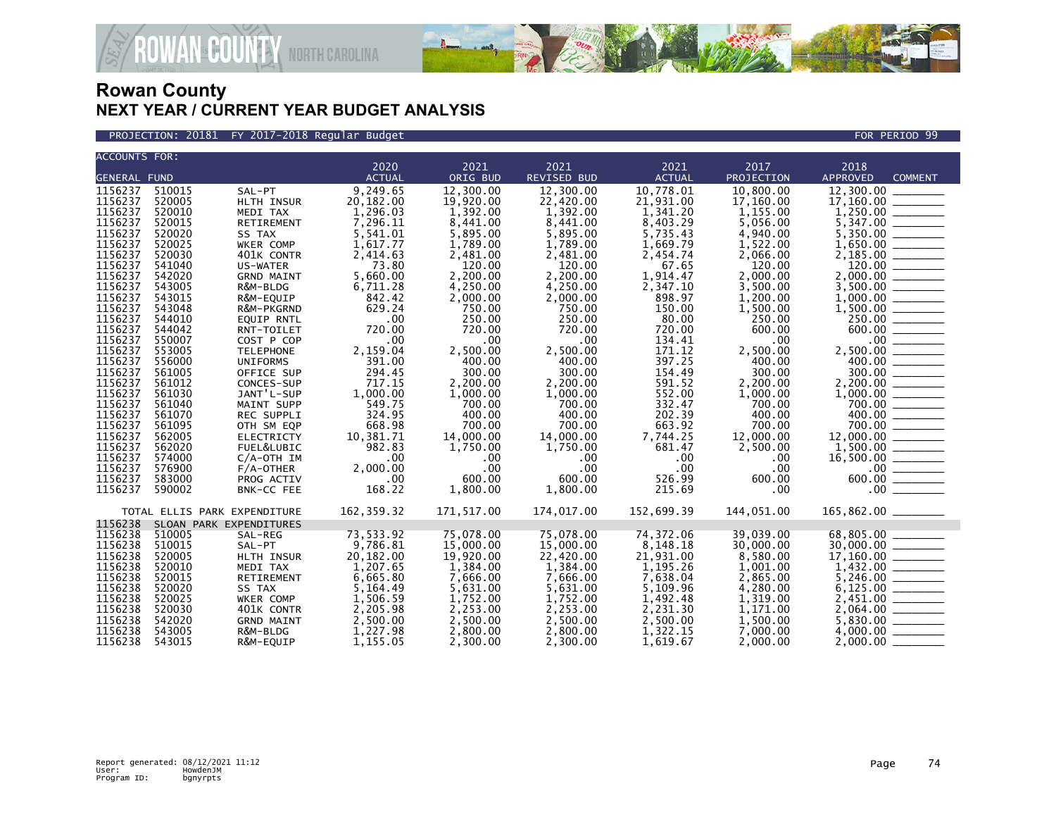

PROJECTION: 20181 FY 2017-2018 Regular Budget FOR PERIOD 99

| <b>ACCOUNTS FOR:</b> |        |                              |               |            |             |               |            |                                                                                                                                                                                                                                                                                                                                                                                                                                    |
|----------------------|--------|------------------------------|---------------|------------|-------------|---------------|------------|------------------------------------------------------------------------------------------------------------------------------------------------------------------------------------------------------------------------------------------------------------------------------------------------------------------------------------------------------------------------------------------------------------------------------------|
|                      |        |                              | 2020          | 2021       | 2021        | 2021          | 2017       | 2018                                                                                                                                                                                                                                                                                                                                                                                                                               |
| <b>GENERAL FUND</b>  |        |                              | <b>ACTUAL</b> | ORIG BUD   | REVISED BUD | <b>ACTUAL</b> | PROJECTION | <b>APPROVED</b><br><b>COMMENT</b>                                                                                                                                                                                                                                                                                                                                                                                                  |
| 1156237              | 510015 | SAL-PT                       | 9,249.65      | 12,300.00  | 12,300.00   | 10,778.01     | 10,800.00  | 12,300.00                                                                                                                                                                                                                                                                                                                                                                                                                          |
| 1156237              | 520005 | HLTH INSUR                   | 20,182.00     | 19,920.00  | 22,420.00   | 21,931.00     | 17,160.00  | 17,160.00                                                                                                                                                                                                                                                                                                                                                                                                                          |
| 1156237              | 520010 | MEDI TAX                     | 1,296.03      | 1,392.00   | 1,392.00    | 1,341.20      | 1,155.00   |                                                                                                                                                                                                                                                                                                                                                                                                                                    |
| 1156237              | 520015 | RETIREMENT                   | 7,296.11      | 8,441.00   | 8,441.00    | 8,403.29      | 5,056.00   | 5,347.00                                                                                                                                                                                                                                                                                                                                                                                                                           |
| 1156237              | 520020 | SS TAX                       | 5,541.01      | 5,895.00   | 5,895.00    | 5,735.43      | 4,940.00   | 5,350.00                                                                                                                                                                                                                                                                                                                                                                                                                           |
| 1156237              | 520025 | WKER COMP                    | 1,617.77      | 1,789.00   | 1,789.00    | 1,669.79      | 1,522.00   |                                                                                                                                                                                                                                                                                                                                                                                                                                    |
| 1156237              | 520030 | 401K CONTR                   | 2,414.63      | 2,481.00   | 2,481.00    | 2,454.74      | 2,066.00   |                                                                                                                                                                                                                                                                                                                                                                                                                                    |
| 1156237              | 541040 | US-WATER                     | 73.80         | 120.00     | 120.00      | 67.65         | 120.00     |                                                                                                                                                                                                                                                                                                                                                                                                                                    |
| 1156237              | 542020 | <b>GRND MAINT</b>            | 5,660.00      | 2.200.00   | 2.200.00    | 1.914.47      | 2.000.00   | 2,000.00 ________                                                                                                                                                                                                                                                                                                                                                                                                                  |
| 1156237              | 543005 | R&M-BLDG                     | 6,711.28      | 4,250.00   | 4,250.00    | 2,347.10      | 3,500.00   | 3,500.00                                                                                                                                                                                                                                                                                                                                                                                                                           |
| 1156237              | 543015 | R&M-EQUIP                    | 842.42        | 2,000.00   | 2.000.00    | 898.97        | 1.200.00   | 1,000,00                                                                                                                                                                                                                                                                                                                                                                                                                           |
| 1156237              | 543048 | R&M-PKGRND                   | 629.24        | 750.00     | 750.00      | 150.00        | 1,500.00   |                                                                                                                                                                                                                                                                                                                                                                                                                                    |
| 1156237              | 544010 | <b>EQUIP RNTL</b>            | .00           | 250.00     | 250.00      | 80.00         | 250.00     | 250.00 ______                                                                                                                                                                                                                                                                                                                                                                                                                      |
| 1156237              | 544042 | RNT-TOILET                   | 720.00        | 720.00     | 720.00      | 720.00        | 600.00     | 600.00                                                                                                                                                                                                                                                                                                                                                                                                                             |
| 1156237              | 550007 | COST P COP                   | .00           | .00        | .00         | 134.41        | .00        | $.00 \,$                                                                                                                                                                                                                                                                                                                                                                                                                           |
| 1156237              | 553005 | <b>TELEPHONE</b>             | 2,159.04      | 2,500.00   | 2,500.00    | 171.12        | 2,500.00   | 2,500.00                                                                                                                                                                                                                                                                                                                                                                                                                           |
| 1156237              | 556000 | <b>UNIFORMS</b>              | 391.00        | 400.00     | 400.00      | 397.25        | 400.00     |                                                                                                                                                                                                                                                                                                                                                                                                                                    |
| 1156237              | 561005 | OFFICE SUP                   | 294.45        | 300.00     | 300.00      | 154.49        | 300.00     |                                                                                                                                                                                                                                                                                                                                                                                                                                    |
| 1156237              | 561012 | CONCES-SUP                   | 717.15        | 2,200.00   | 2,200.00    | 591.52        | 2,200.00   | 2,200.00 _______                                                                                                                                                                                                                                                                                                                                                                                                                   |
| 1156237              | 561030 | JANT'L-SUP                   | 1,000.00      | 1,000.00   | 1,000.00    | 552.00        | 1,000.00   |                                                                                                                                                                                                                                                                                                                                                                                                                                    |
| 1156237              | 561040 | MAINT SUPP                   | 549.75        | 700.00     | 700.00      | 332.47        | 700.00     | 700.00                                                                                                                                                                                                                                                                                                                                                                                                                             |
| 1156237              | 561070 | REC SUPPLI                   | 324.95        | 400.00     | 400.00      | 202.39        | 400.00     | 400.00<br>$\begin{tabular}{ccccc} \multicolumn{2}{c }{\textbf{1} & \textbf{2} & \textbf{3} & \textbf{4} & \textbf{5} & \textbf{5} & \textbf{6} & \textbf{6} & \textbf{7} & \textbf{8} & \textbf{8} & \textbf{9} & \textbf{10} & \textbf{10} & \textbf{10} & \textbf{10} & \textbf{10} & \textbf{10} & \textbf{10} & \textbf{10} & \textbf{10} & \textbf{10} & \textbf{10} & \textbf{10} & \textbf{10} & \textbf{10} & \textbf{1$   |
| 1156237              | 561095 | OTH SM EQP                   | 668.98        | 700.00     | 700.00      | 663.92        | 700.00     | 700.00 ________                                                                                                                                                                                                                                                                                                                                                                                                                    |
| 1156237              | 562005 | <b>ELECTRICTY</b>            | 10,381.71     | 14,000.00  | 14,000.00   | 7,744.25      | 12,000.00  |                                                                                                                                                                                                                                                                                                                                                                                                                                    |
| 1156237              | 562020 | FUEL&LUBIC                   | 982.83        | 1,750.00   | 1,750.00    | 681.47        | 2,500.00   |                                                                                                                                                                                                                                                                                                                                                                                                                                    |
| 1156237              | 574000 | $C/A$ -OTH IM                | .00           | .00        | $.00 \,$    | .00           | .00        |                                                                                                                                                                                                                                                                                                                                                                                                                                    |
| 1156237              | 576900 | $F/A$ -OTHER                 | 2,000.00      | .00        | .00         | .00           | .00        | $.00 \,$                                                                                                                                                                                                                                                                                                                                                                                                                           |
| 1156237              | 583000 | PROG ACTIV                   | .00           | 600.00     | 600.00      | 526.99        | 600.00     |                                                                                                                                                                                                                                                                                                                                                                                                                                    |
| 1156237              | 590002 | BNK-CC FEE                   | 168.22        | 1,800.00   | 1,800.00    | 215.69        | .00        |                                                                                                                                                                                                                                                                                                                                                                                                                                    |
|                      |        |                              |               |            |             |               |            |                                                                                                                                                                                                                                                                                                                                                                                                                                    |
|                      |        | TOTAL ELLIS PARK EXPENDITURE | 162, 359.32   | 171,517.00 | 174,017.00  | 152,699.39    | 144,051.00 | 165,862.00 ________                                                                                                                                                                                                                                                                                                                                                                                                                |
| 1156238              |        | SLOAN PARK EXPENDITURES      |               |            |             |               |            |                                                                                                                                                                                                                                                                                                                                                                                                                                    |
| 1156238              | 510005 | SAL-REG                      | 73,533.92     | 75,078.00  | 75,078.00   | 74,372.06     | 39,039.00  | 68,805.00                                                                                                                                                                                                                                                                                                                                                                                                                          |
| 1156238              | 510015 | SAL-PT                       | 9,786.81      | 15,000.00  | 15,000.00   | 8,148.18      | 30,000.00  |                                                                                                                                                                                                                                                                                                                                                                                                                                    |
| 1156238              | 520005 | HLTH INSUR                   | 20,182.00     | 19,920.00  | 22,420.00   | 21,931.00     | 8,580.00   |                                                                                                                                                                                                                                                                                                                                                                                                                                    |
| 1156238              | 520010 | MEDI TAX                     | 1.207.65      | 1.384.00   | 1,384.00    | 1.195.26      | 1,001.00   |                                                                                                                                                                                                                                                                                                                                                                                                                                    |
| 1156238              | 520015 | <b>RETIREMENT</b>            | 6,665.80      | 7,666.00   | 7,666.00    | 7.638.04      | 2,865.00   |                                                                                                                                                                                                                                                                                                                                                                                                                                    |
| 1156238              | 520020 | SS TAX                       | 5,164.49      | 5,631.00   | 5,631.00    | 5,109.96      | 4,280.00   |                                                                                                                                                                                                                                                                                                                                                                                                                                    |
| 1156238              | 520025 | WKER COMP                    | 1,506.59      | 1,752.00   | 1,752.00    | 1,492.48      | 1,319.00   |                                                                                                                                                                                                                                                                                                                                                                                                                                    |
| 1156238              | 520030 | 401K CONTR                   | 2,205.98      | 2,253.00   | 2,253.00    | 2,231.30      | 1,171.00   | 2,064.00<br>$\begin{tabular}{ccccc} \multicolumn{2}{c }{\textbf{1} & \textbf{2} & \textbf{3} & \textbf{4} & \textbf{5} & \textbf{5} & \textbf{6} & \textbf{6} & \textbf{7} & \textbf{8} & \textbf{8} & \textbf{9} & \textbf{10} & \textbf{10} & \textbf{10} & \textbf{10} & \textbf{10} & \textbf{10} & \textbf{10} & \textbf{10} & \textbf{10} & \textbf{10} & \textbf{10} & \textbf{10} & \textbf{10} & \textbf{10} & \textbf{1$ |
| 1156238              | 542020 | <b>GRND MAINT</b>            | 2,500.00      | 2,500.00   | 2,500.00    | 2,500.00      | 1,500.00   | 5,830.00                                                                                                                                                                                                                                                                                                                                                                                                                           |
| 1156238              | 543005 | R&M-BLDG                     | 1,227.98      | 2.800.00   | 2.800.00    | 1,322.15      | 7,000.00   | 4,000,00                                                                                                                                                                                                                                                                                                                                                                                                                           |
| 1156238              | 543015 | R&M-EQUIP                    | 1,155.05      | 2,300.00   | 2,300.00    | 1,619.67      | 2,000.00   | 2.000.00                                                                                                                                                                                                                                                                                                                                                                                                                           |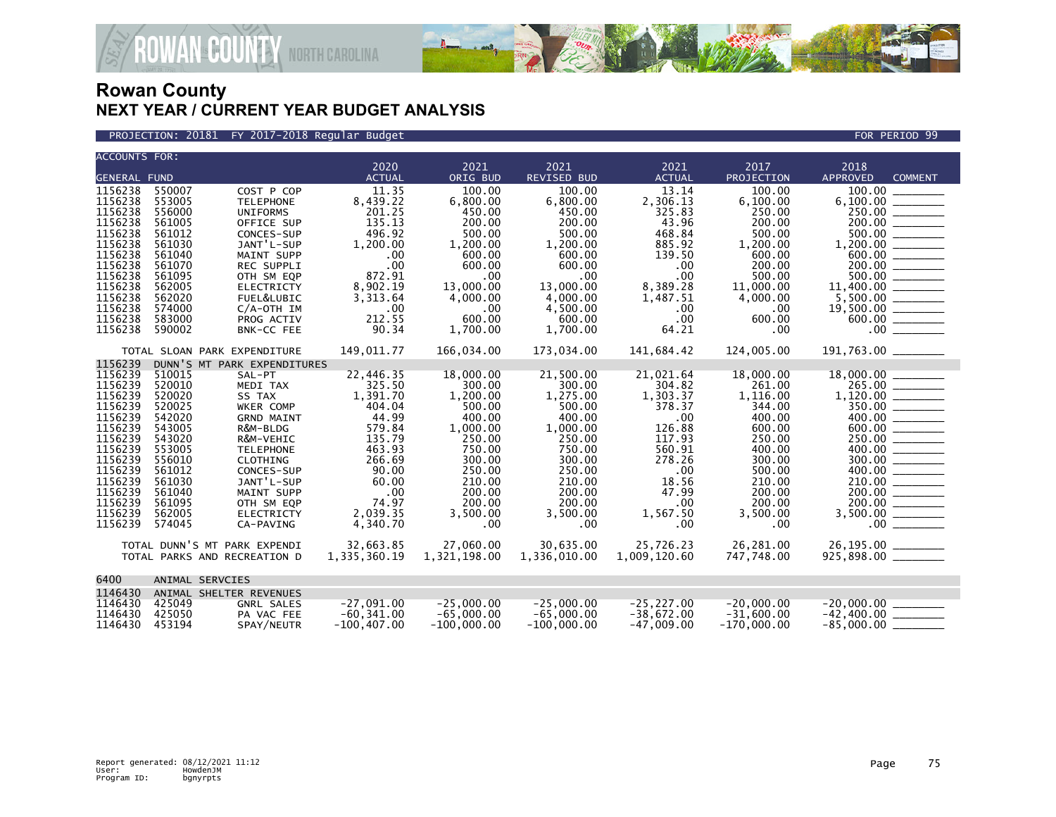

**ECOUNTY** NORTH CAROLINA

| <b>ACCOUNTS FOR:</b>                                                                                                                                              |                                                                                                                                                    |                                                                                                                                                                                                                   | 2020                                                                                                                                                 | 2021                                                                                                                                                          | 2021                                                                                                                                                      | 2021                                                                                                                                                 | 2017                                                                                                                                                   |                                                                                                                                    |  |
|-------------------------------------------------------------------------------------------------------------------------------------------------------------------|----------------------------------------------------------------------------------------------------------------------------------------------------|-------------------------------------------------------------------------------------------------------------------------------------------------------------------------------------------------------------------|------------------------------------------------------------------------------------------------------------------------------------------------------|---------------------------------------------------------------------------------------------------------------------------------------------------------------|-----------------------------------------------------------------------------------------------------------------------------------------------------------|------------------------------------------------------------------------------------------------------------------------------------------------------|--------------------------------------------------------------------------------------------------------------------------------------------------------|------------------------------------------------------------------------------------------------------------------------------------|--|
|                                                                                                                                                                   |                                                                                                                                                    |                                                                                                                                                                                                                   | <b>ACTUAL</b>                                                                                                                                        |                                                                                                                                                               | <b>REVISED BUD</b>                                                                                                                                        | <b>ACTUAL</b>                                                                                                                                        | PROJECTION                                                                                                                                             | 2018<br><b>APPROVED</b>                                                                                                            |  |
| <b>GENERAL FUND</b><br>1156238<br>1156238<br>1156238<br>1156238<br>1156238<br>1156238<br>1156238<br>1156238<br>1156238<br>1156238<br>1156238<br>1156238           | 550007<br>553005<br>556000<br>561005<br>561012<br>561030<br>561040<br>561070<br>561095<br>562005<br>562020<br>574000                               | COST P COP<br><b>TELEPHONE</b><br><b>UNIFORMS</b><br>OFFICE SUP<br>CONCES-SUP<br>JANT'L-SUP<br><b>MAINT SUPP</b><br>REC SUPPLI<br>OTH SM EQP<br><b>ELECTRICTY</b><br>FUEL&LUBIC<br>$C/A$ -OTH IM                  | 11.35<br>8,439.22<br>201.25<br>135.13<br>496.92<br>1,200.00<br>.00<br>.00<br>872.91<br>8,902.19<br>3,313.64<br>.00                                   | ORIG BUD<br>100.00<br>6,800.00<br>450.00<br>200.00<br>500.00<br>1,200.00<br>600.00<br>600.00<br>.00<br>13,000.00<br>4,000.00<br>$.00 \times$                  | 100.00<br>6,800.00<br>450.00<br>200.00<br>500.00<br>1,200.00<br>600.00<br>600.00<br>.00<br>13,000.00<br>4,000.00<br>4,500.00                              | 13.14<br>2,306.13<br>325.83<br>43.96<br>468.84<br>885.92<br>139.50<br>.00 <sub>1</sub><br>.00<br>8,389.28<br>1,487.51<br>$.00 \,$                    | 100.00<br>6.100.00<br>250.00<br>200.00<br>500.00<br>1,200.00<br>600.00<br>200.00<br>500.00<br>11,000.00<br>4,000.00<br>.00                             | <b>COMMENT</b><br>100.00<br>200.00<br>$1,200.00$<br>$0.00$<br>$0.00$<br>$200.00$<br>$200.00$<br>$1,500.00$<br>$11,400.00$ ________ |  |
| 1156238                                                                                                                                                           | 583000                                                                                                                                             | PROG ACTIV                                                                                                                                                                                                        | 212.55                                                                                                                                               | 600.00                                                                                                                                                        | 600.00                                                                                                                                                    | .00                                                                                                                                                  | 600.00                                                                                                                                                 |                                                                                                                                    |  |
| 1156238                                                                                                                                                           | 590002                                                                                                                                             | BNK-CC FEE                                                                                                                                                                                                        | 90.34                                                                                                                                                | 1,700.00                                                                                                                                                      | 1,700.00                                                                                                                                                  | 64.21                                                                                                                                                | .00                                                                                                                                                    |                                                                                                                                    |  |
| 1156239                                                                                                                                                           |                                                                                                                                                    | TOTAL SLOAN PARK EXPENDITURE<br>DUNN'S MT PARK EXPENDITURES                                                                                                                                                       | 149,011.77                                                                                                                                           | 166,034.00                                                                                                                                                    | 173,034.00                                                                                                                                                | 141,684.42                                                                                                                                           | 124,005.00                                                                                                                                             | 191,763.00 _______                                                                                                                 |  |
| 1156239<br>1156239<br>1156239<br>1156239<br>1156239<br>1156239<br>1156239<br>1156239<br>1156239<br>1156239<br>1156239<br>1156239<br>1156239<br>1156239<br>1156239 | 510015<br>520010<br>520020<br>520025<br>542020<br>543005<br>543020<br>553005<br>556010<br>561012<br>561030<br>561040<br>561095<br>562005<br>574045 | SAL-PT<br>MEDI TAX<br>SS TAX<br>WKER COMP<br><b>GRND MAINT</b><br>R&M-BLDG<br>R&M-VEHIC<br><b>TELEPHONE</b><br>CLOTHING<br>CONCES-SUP<br>JANT'L-SUP<br>MAINT SUPP<br>OTH SM EQP<br><b>ELECTRICTY</b><br>CA-PAVING | 22,446.35<br>325.50<br>1,391.70<br>404.04<br>44.99<br>579.84<br>135.79<br>463.93<br>266.69<br>90.00<br>60.00<br>.00<br>74.97<br>2,039.35<br>4,340.70 | 18,000.00<br>300.00<br>1,200.00<br>500.00<br>400.00<br>1,000.00<br>250.00<br>750.00<br>300.00<br>250.00<br>210.00<br>200.00<br>200.00<br>3,500.00<br>$.00 \,$ | 21,500.00<br>300.00<br>1,275.00<br>500.00<br>400.00<br>1,000.00<br>250.00<br>750.00<br>300.00<br>250.00<br>210.00<br>200.00<br>200.00<br>3,500.00<br>.00. | 21,021.64<br>304.82<br>1,303.37<br>378.37<br>.00<br>126.88<br>117.93<br>560.91<br>278.26<br>.00<br>18.56<br>47.99<br>$.00 \times$<br>1,567.50<br>.00 | 18,000,00<br>261.00<br>1,116.00<br>344.00<br>400.00<br>600.00<br>250.00<br>400.00<br>300.00<br>500.00<br>210.00<br>200.00<br>200.00<br>3,500.00<br>.00 | 265.00<br>$1,120.00$<br>$350.00$<br>$400.00$<br>$600.00$<br>$250.00$<br>$400.00$<br>$300.00$<br>210.00<br>200.00<br>200.00         |  |
|                                                                                                                                                                   |                                                                                                                                                    | TOTAL DUNN'S MT PARK EXPENDI<br>TOTAL PARKS AND RECREATION D                                                                                                                                                      | 32,663.85<br>1,335,360.19                                                                                                                            | 27,060.00<br>1,321,198.00                                                                                                                                     | 30,635.00<br>1,336,010.00                                                                                                                                 | 25,726.23<br>1,009,120.60                                                                                                                            | 26,281.00<br>747,748.00                                                                                                                                | 26,195.00 ______                                                                                                                   |  |
| 6400                                                                                                                                                              |                                                                                                                                                    | ANIMAL SERVCIES                                                                                                                                                                                                   |                                                                                                                                                      |                                                                                                                                                               |                                                                                                                                                           |                                                                                                                                                      |                                                                                                                                                        |                                                                                                                                    |  |
| 1146430<br>1146430<br>1146430<br>1146430                                                                                                                          | 425049<br>425050<br>453194                                                                                                                         | ANIMAL SHELTER REVENUES<br>GNRL SALES<br>PA VAC FEE<br>SPAY/NEUTR                                                                                                                                                 | $-27,091.00$<br>$-60, 341.00$<br>$-100.407.00$                                                                                                       | $-25,000.00$<br>$-65,000.00$<br>$-100,000.00$                                                                                                                 | $-25.000.00$<br>$-65,000.00$<br>$-100,000.00$                                                                                                             | $-25, 227.00$<br>$-38,672.00$<br>$-47,009.00$                                                                                                        | $-20,000.00$<br>$-31,600.00$<br>$-170.000.00$                                                                                                          | $-20.000.00$<br>$-42,400.00$ ________<br>$-85,000.00$ $-$                                                                          |  |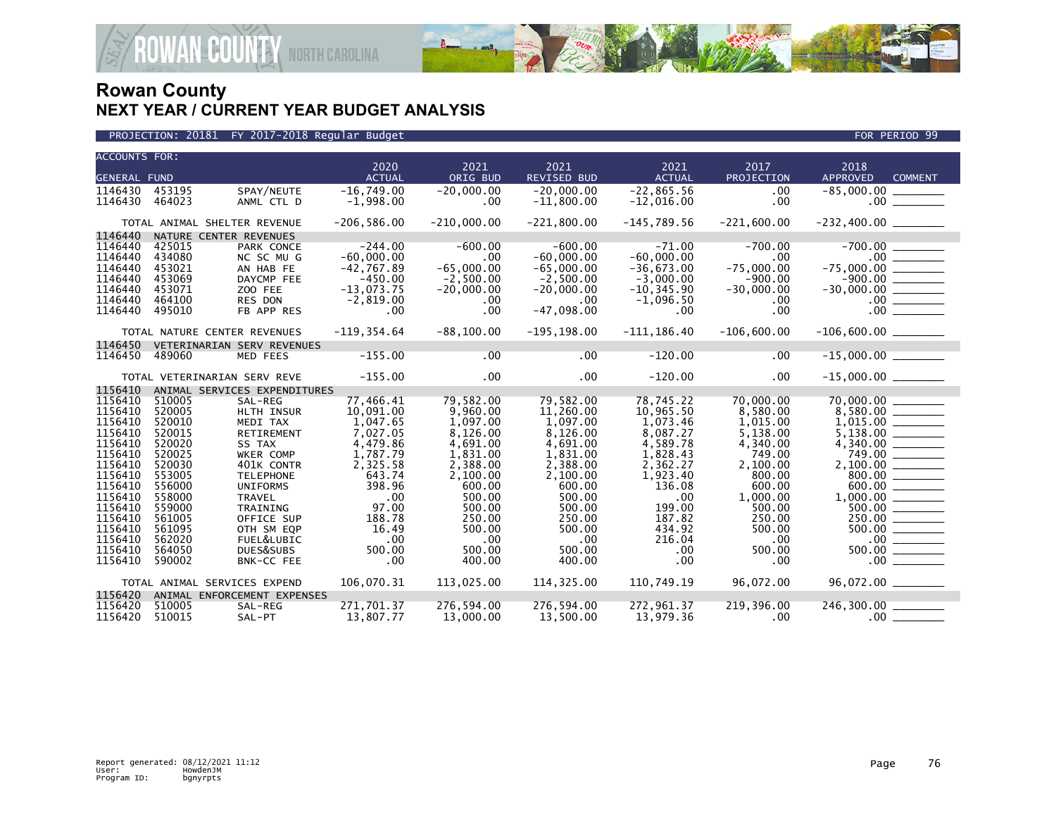

| <b>ACCOUNTS FOR:</b>                                                                              |        |                              |                       |                  |                     |                       |                    |                                                                                                         |
|---------------------------------------------------------------------------------------------------|--------|------------------------------|-----------------------|------------------|---------------------|-----------------------|--------------------|---------------------------------------------------------------------------------------------------------|
| <b>GENERAL FUND</b>                                                                               |        |                              | 2020<br><b>ACTUAL</b> | 2021<br>ORIG BUD | 2021<br>REVISED BUD | 2021<br><b>ACTUAL</b> | 2017<br>PROJECTION | 2018<br><b>APPROVED</b><br><b>COMMENT</b>                                                               |
|                                                                                                   |        |                              |                       |                  |                     |                       |                    |                                                                                                         |
| 1146430                                                                                           | 453195 | SPAY/NEUTE                   | $-16,749.00$          | $-20,000.00$     | $-20,000.00$        | $-22,865.56$          | .00                | $-85,000.00$                                                                                            |
| 1146430                                                                                           | 464023 | ANML CTL D                   | $-1,998.00$           | .00              | $-11,800.00$        | $-12,016.00$          | .00                | $.00$ $\qquad \qquad$                                                                                   |
|                                                                                                   |        | TOTAL ANIMAL SHELTER REVENUE | $-206, 586.00$        | $-210,000.00$    | $-221,800.00$       | $-145,789.56$         | $-221.600.00$      | $-232,400.00$ ________                                                                                  |
| 1146440                                                                                           |        | NATURE CENTER REVENUES       |                       |                  |                     |                       |                    |                                                                                                         |
| 1146440                                                                                           | 425015 | PARK CONCE                   | $-244.00$             | $-600.00$        | $-600.00$           | $-71.00$              | $-700.00$          | $-700.00$                                                                                               |
| 1146440                                                                                           | 434080 | NC SC MU G                   | $-60,000.00$          | $.00 \,$         | $-60,000.00$        | $-60,000.00$          | $.00 \,$           |                                                                                                         |
| 1146440                                                                                           | 453021 | AN HAB FE                    | $-42,767.89$          | $-65,000.00$     | $-65.000.00$        | $-36,673.00$          | $-75,000.00$       | $-75,000.00$ ________                                                                                   |
| 1146440                                                                                           | 453069 | DAYCMP FEE                   | $-450.00$             | $-2,500.00$      | $-2,500.00$         | $-3,000.00$           | $-900.00$          | $-30,000.00$<br>$-30,000.00$<br>$\overline{\qquad \qquad }$<br>$-000.00$<br>$\overline{\qquad \qquad }$ |
| 1146440                                                                                           | 453071 | ZOO FEE                      | $-13,073.75$          | $-20,000.00$     | $-20,000.00$        | $-10, 345.90$         | $-30,000.00$       |                                                                                                         |
| 1146440                                                                                           | 464100 | RES DON                      | $-2,819.00$           | $.00 \,$         | .00.                | $-1,096.50$           | .00                |                                                                                                         |
| 1146440                                                                                           | 495010 | FB APP RES                   | .00                   | .00              | $-47,098.00$        | .00.                  | .00                |                                                                                                         |
|                                                                                                   |        | TOTAL NATURE CENTER REVENUES | $-119, 354.64$        | $-88, 100.00$    | $-195, 198.00$      | $-111, 186.40$        | $-106,600.00$      |                                                                                                         |
| 1146450                                                                                           |        | VETERINARIAN SERV REVENUES   |                       |                  |                     |                       |                    |                                                                                                         |
| 1146450                                                                                           | 489060 | MED FEES                     | $-155.00$             | .00              | .00                 | $-120.00$             | .00                |                                                                                                         |
|                                                                                                   |        | TOTAL VETERINARIAN SERV REVE | $-155.00$             | $.00 \,$         | .00 <sub>1</sub>    | $-120.00$             | .00                |                                                                                                         |
| 1156410                                                                                           |        | ANIMAL SERVICES EXPENDITURES |                       |                  |                     |                       |                    |                                                                                                         |
| 1156410                                                                                           | 510005 | SAL-REG                      | 77,466.41             | 79,582.00        | 79,582.00           | 78,745.22             | 70,000.00          | 70,000.00                                                                                               |
| 1156410                                                                                           | 520005 | HLTH INSUR                   | 10,091.00             | 9,960.00         | 11,260.00           | 10,965.50             | 8,580.00           | 70,000.00 ________<br>8,580.00 ________                                                                 |
| 1156410                                                                                           | 520010 | MEDI TAX                     | 1,047.65              | 1,097.00         | 1,097.00            | 1,073.46              | 1,015.00           |                                                                                                         |
| 1156410                                                                                           | 520015 | RETIREMENT                   | 7,027.05              | 8,126.00         | 8,126.00            | 8,087.27              | 5,138.00           |                                                                                                         |
| 1156410                                                                                           | 520020 | SS TAX                       | 4,479.86              | 4,691.00         | 4,691.00            | 4,589.78              | 4,340.00           |                                                                                                         |
| 1156410                                                                                           | 520025 | WKER COMP                    | 1,787.79              | 1,831.00         | 1,831.00            | 1,828.43              | 749.00             | 749.00 ______                                                                                           |
| 1156410                                                                                           | 520030 | 401K CONTR                   | 2,325.58              | 2,388.00         | 2,388.00            | 2,362.27              | 2,100.00           |                                                                                                         |
| 1156410                                                                                           | 553005 | <b>TELEPHONE</b>             | 643.74                | 2,100.00         | 2,100.00            | 1,923.40              | 800.00             |                                                                                                         |
| 1156410                                                                                           | 556000 | <b>UNIFORMS</b>              | 398.96                | 600.00           | 600.00              | 136.08                | 600.00             | 600.00                                                                                                  |
| 1156410                                                                                           | 558000 | <b>TRAVEL</b>                | .00                   | 500.00           | 500.00              | .00                   | 1,000.00           |                                                                                                         |
| 1156410                                                                                           | 559000 | <b>TRAINING</b>              | 97.00                 | 500.00           | 500.00              | 199.00                | 500.00             |                                                                                                         |
| 1156410                                                                                           | 561005 | OFFICE SUP                   | 188.78                | 250.00           | 250.00              | 187.82                | 250.00             | 250.00                                                                                                  |
| 1156410                                                                                           | 561095 | OTH SM EQP                   | 16.49                 | 500.00           | 500.00              | 434.92                | 500.00             |                                                                                                         |
| 1156410                                                                                           | 562020 | FUEL&LUBIC                   | .00                   | $.00 \,$         | $.00 \times$        | 216.04                | .00                | $\frac{0.00}{0.00}$                                                                                     |
| 1156410                                                                                           | 564050 | DUES&SUBS                    | 500.00                | 500.00           | 500.00              | .00                   | 500.00             | 500.00                                                                                                  |
| 1156410                                                                                           | 590002 | BNK-CC FEE                   | .00                   | 400.00           | 400.00              | .00                   | .00                | .00 <sub>1</sub>                                                                                        |
| 106,070.31<br>113,025.00<br>114,325.00<br>110,749.19<br>96,072.00<br>TOTAL ANIMAL SERVICES EXPEND |        |                              |                       |                  |                     |                       |                    |                                                                                                         |
| 1156420                                                                                           |        | ANIMAL ENFORCEMENT EXPENSES  |                       |                  |                     |                       |                    |                                                                                                         |
| 1156420                                                                                           | 510005 | SAL-REG                      | 271,701.37            | 276,594.00       | 276,594.00          | 272,961.37            | 219,396.00         | 246,300.00 _______                                                                                      |
| 1156420                                                                                           | 510015 | SAL-PT                       | 13.807.77             | 13,000,00        | 13.500.00           | 13.979.36             | $.00 \,$           | $.00$ $\_$                                                                                              |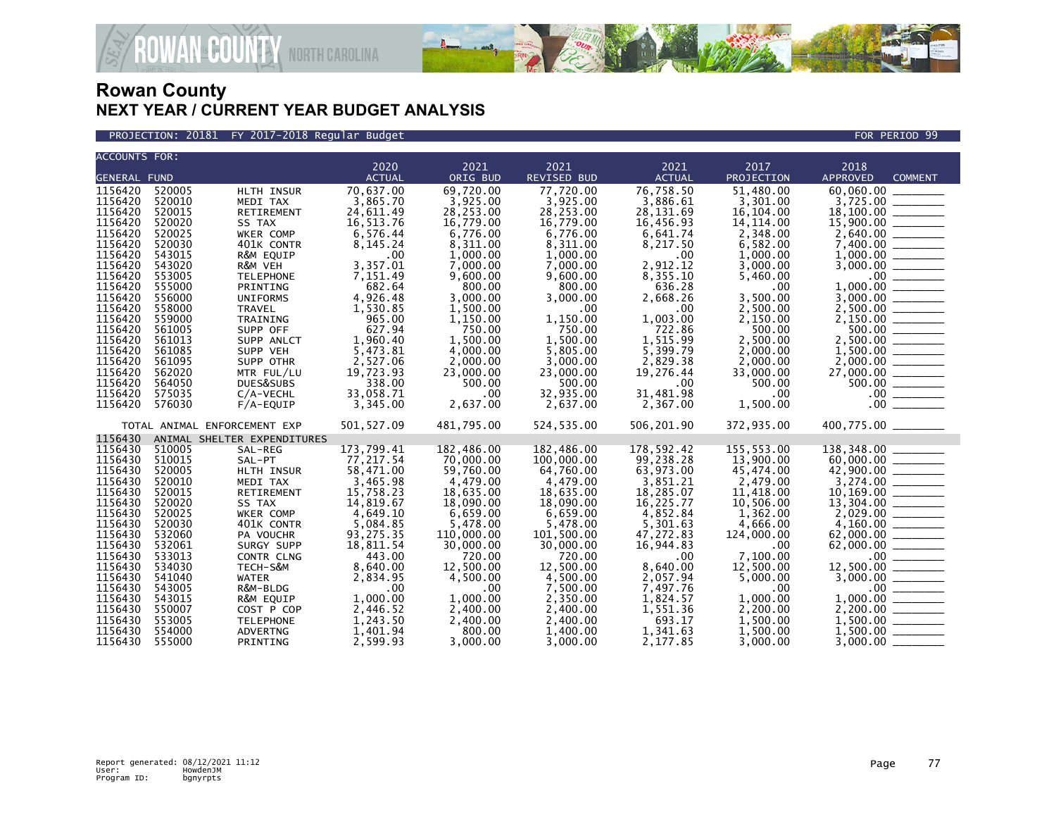

PROJECTION: 20181 FY 2017-2018 Regular Budget FOR PERIOD 99

| <b>ACCOUNTS FOR:</b> |                  |                              |                       |                       |                       |                       |                       |                                                                                                                                                                                     |
|----------------------|------------------|------------------------------|-----------------------|-----------------------|-----------------------|-----------------------|-----------------------|-------------------------------------------------------------------------------------------------------------------------------------------------------------------------------------|
|                      |                  |                              | 2020                  | 2021                  | 2021                  | 2021                  | 2017                  | 2018                                                                                                                                                                                |
| <b>GENERAL FUND</b>  |                  |                              | <b>ACTUAL</b>         | ORIG BUD              | <b>REVISED BUD</b>    | <b>ACTUAL</b>         | PROJECTION            | <b>APPROVED</b><br><b>COMMENT</b>                                                                                                                                                   |
| 1156420              | 520005           | HLTH INSUR                   | 70,637.00             | 69,720.00             | 77,720.00             | 76,758.50             | 51,480.00             |                                                                                                                                                                                     |
| 1156420              | 520010           | MEDI TAX                     | 3,865.70              | 3,925.00              | 3,925.00              | 3,886.61              | 3,301.00              |                                                                                                                                                                                     |
| 1156420              | 520015           | RETIREMENT                   | 24,611.49             | 28,253.00             | 28,253.00             | 28,131.69             | 16,104.00             |                                                                                                                                                                                     |
| 1156420              | 520020           | SS TAX                       | 16,513.76             | 16,779.00             | 16,779.00             | 16,456.93             | 14, 114.00            |                                                                                                                                                                                     |
| 1156420              | 520025           | WKER COMP                    | 6,576.44              | 6,776.00              | 6,776.00              | 6,641.74              | 2,348.00              |                                                                                                                                                                                     |
| 1156420              | 520030           | 401K CONTR                   | 8, 145. 24            | 8,311.00              | 8,311.00              | 8,217.50              | 6,582.00              |                                                                                                                                                                                     |
| 1156420              | 543015           | R&M EQUIP                    | .00                   | 1,000.00              | 1,000.00              | .00                   | 1,000.00              |                                                                                                                                                                                     |
| 1156420              | 543020           | R&M VEH                      | 3,357.01              | 7,000.00              | 7,000.00              | 2,912.12              | 3,000.00              |                                                                                                                                                                                     |
| 1156420              | 553005           | <b>TELEPHONE</b>             | 7,151.49              | 9,600.00              | 9,600.00              | 8,355.10              | 5,460.00              |                                                                                                                                                                                     |
| 1156420              | 555000           | PRINTING                     | 682.64                | 800.00                | 800.00                | 636.28                | $.00 \,$              |                                                                                                                                                                                     |
| 1156420              | 556000           | <b>UNIFORMS</b>              | 4,926.48              | 3,000.00              | 3,000.00              | 2,668.26              | 3,500.00              |                                                                                                                                                                                     |
| 1156420              | 558000           | TRAVEL                       | 1,530.85              | 1,500.00              | .00.                  | .00                   | 2,500.00              |                                                                                                                                                                                     |
| 1156420              | 559000           | TRAINING                     | 965.00                | 1,150.00              | 1,150.00              | 1,003.00              | 2,150.00              | $13,725.00$<br>$15,900.00$<br>$2,640.00$<br>$7,400.00$<br>$1,000.00$<br>$3,000.00$<br>$1,000.00$<br>$1,000.00$<br>$2,500.00$<br>$2,150.00$                                          |
| 1156420              | 561005           | SUPP OFF                     | 627.94                | 750.00                | 750.00                | 722.86                | 500.00                | 500.00                                                                                                                                                                              |
| 1156420              | 561013           | SUPP ANLCT                   | 1,960.40              | 1,500.00              | 1,500.00              | 1,515.99              | 2,500.00              |                                                                                                                                                                                     |
| 1156420<br>1156420   | 561085<br>561095 | SUPP VEH<br>SUPP OTHR        | 5,473.81              | 4,000.00              | 5,805.00              | 5,399.79              | 2,000.00              |                                                                                                                                                                                     |
| 1156420              | 562020           | MTR FUL/LU                   | 2,527.06<br>19,723.93 | 2,000.00<br>23,000.00 | 3,000.00<br>23,000.00 | 2,829.38<br>19,276.44 | 2,000.00<br>33,000.00 |                                                                                                                                                                                     |
| 1156420              | 564050           | DUES&SUBS                    | 338.00                | 500.00                | 500.00                | $.00 \,$              | 500.00                |                                                                                                                                                                                     |
| 1156420              | 575035           | C/A-VECHL                    | 33,058.71             | $.00 \times$          | 32,935.00             | 31,481.98             | $.00 \,$              |                                                                                                                                                                                     |
| 1156420              | 576030           | $F/A$ -EQUIP                 | 3,345.00              | 2,637.00              | 2,637.00              | 2,367.00              | 1,500.00              | $\begin{array}{r} 2,500.00 \ \hline 1,500.00 \ \hline 2,000.00 \ \hline 27,000.00 \ \hline 500.00 \ \hline 500.00 \ \hline 0.00 \ \hline 0.00 \ \hline 0.00 \ \hline \end{array}$   |
|                      |                  |                              |                       |                       |                       |                       |                       |                                                                                                                                                                                     |
|                      |                  | TOTAL ANIMAL ENFORCEMENT EXP | 501, 527.09           | 481,795.00            | 524,535.00            | 506,201.90            | 372,935.00            | 400,775.00 _______                                                                                                                                                                  |
| 1156430              |                  | ANIMAL SHELTER EXPENDITURES  |                       |                       |                       |                       |                       |                                                                                                                                                                                     |
| 1156430              | 510005           | SAL-REG                      | 173,799.41            | 182,486.00            | 182.486.00            | 178,592.42            | 155,553.00            | 138,348.00                                                                                                                                                                          |
| 1156430              | 510015           | SAL-PT                       | 77,217.54             | 70,000.00             | 100,000.00            | 99,238.28             | 13,900.00             |                                                                                                                                                                                     |
| 1156430              | 520005           | HLTH INSUR                   | 58,471.00             | 59,760.00             | 64,760.00             | 63,973.00             | 45,474.00             |                                                                                                                                                                                     |
| 1156430              | 520010           | MEDI TAX                     | 3,465.98              | 4,479.00              | 4,479.00              | 3,851.21              | 2,479.00              |                                                                                                                                                                                     |
| 1156430              | 520015           | RETIREMENT                   | 15,758.23             | 18,635.00             | 18,635.00             | 18,285.07             | 11,418.00             |                                                                                                                                                                                     |
| 1156430              | 520020           | SS TAX                       | 14,819.67             | 18,090.00             | 18,090.00             | 16,225.77             | 10,506.00             |                                                                                                                                                                                     |
| 1156430              | 520025           | WKER COMP                    | 4,649.10              | 6,659.00              | 6,659.00              | 4,852.84              | 1,362.00              |                                                                                                                                                                                     |
| 1156430              | 520030           | 401K CONTR                   | 5,084.85              | 5,478.00              | 5,478.00              | 5,301.63              | 4,666.00              | $\begin{array}{r} 42,900.00 \ \hline 60,000.00 \ \hline 3,274.00 \ \hline 11,169.00 \ \hline 3,274.00 \ \hline 11,169.00 \ \hline 12,029.00 \ \hline 4,160.00 \ \hline \end{array}$ |
| 1156430              | 532060           | PA VOUCHR                    | 93,275.35             | 110,000.00            | 101,500.00            | 47,272.83             | 124,000,00            |                                                                                                                                                                                     |
| 1156430              | 532061           | SURGY SUPP                   | 18,811.54             | 30,000.00             | 30,000.00             | 16,944.83             | .00                   |                                                                                                                                                                                     |
| 1156430              | 533013           | CONTR CLNG                   | 443.00                | 720.00                | 720.00                | .00                   | 7,100.00              |                                                                                                                                                                                     |
| 1156430              | 534030           | TECH-S&M                     | 8,640.00              | 12,500.00             | 12,500.00             | 8,640.00              | 12,500.00             |                                                                                                                                                                                     |
| 1156430              | 541040           | <b>WATER</b>                 | 2,834.95              | 4,500.00              | 4,500.00              | 2,057.94              | 5,000.00              |                                                                                                                                                                                     |
| 1156430              | 543005           | R&M-BLDG                     | .00                   | .00                   | 7,500.00              | 7,497.76              | .00                   | $62,000.00$<br>$62,000.00$<br>$12,500.00$<br>$3,000.00$<br>$1,000.00$<br>$2,200.00$<br>$1,500.00$                                                                                   |
| 1156430              | 543015           | R&M EQUIP                    | 1,000.00              | 1.000.00              | 2.350.00              | 1,824.57              | 1,000.00              |                                                                                                                                                                                     |
| 1156430              | 550007           | COST P COP                   | 2,446.52              | 2,400.00              | 2,400.00              | 1,551.36              | 2,200.00              |                                                                                                                                                                                     |
| 1156430              | 553005           | <b>TELEPHONE</b>             | 1,243.50              | 2,400.00              | 2,400.00              | 693.17                | 1,500.00              |                                                                                                                                                                                     |
| 1156430              | 554000           | <b>ADVERTNG</b>              | 1,401.94              | 800.00                | 1,400.00              | 1,341.63              | 1,500.00              |                                                                                                                                                                                     |
| 1156430              | 555000           | PRINTING                     | 2,599.93              | 3.000.00              | 3.000.00              | 2,177.85              | 3,000,00              |                                                                                                                                                                                     |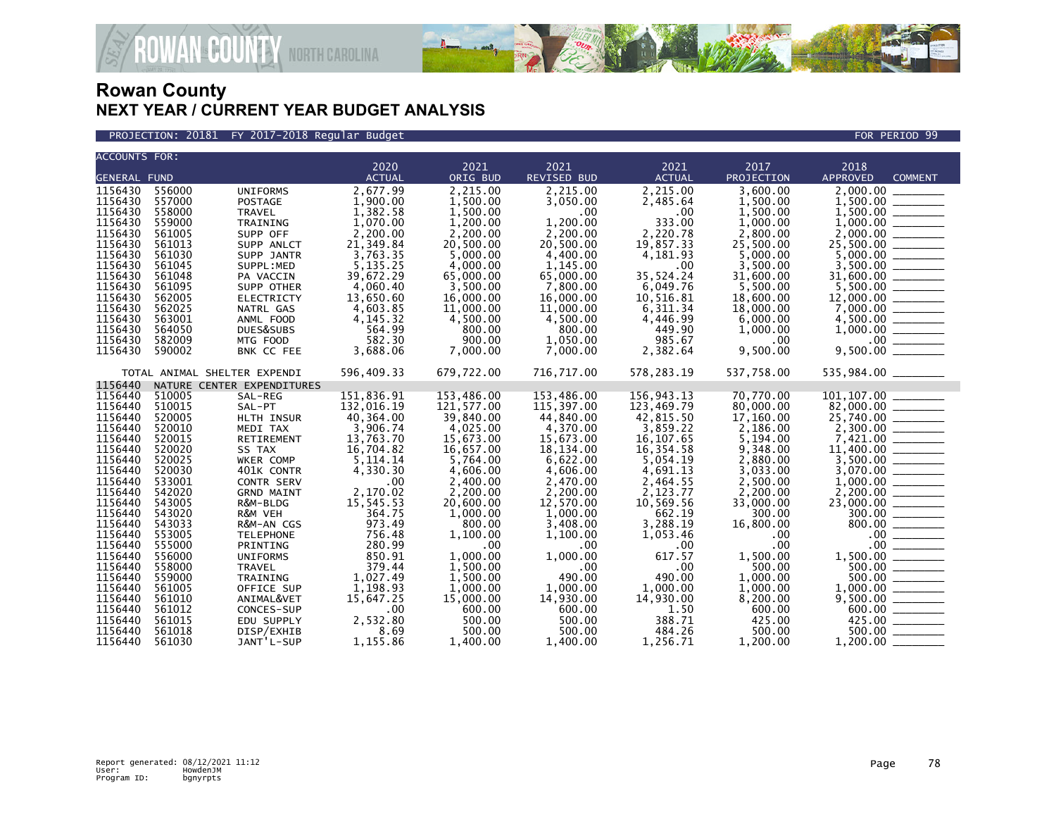

#### PROJECTION: 20181 FY 2017-2018 Regular Budget FOR PERIOD 99

| <b>ACCOUNTS FOR:</b> |                  |                              |                  |                    |                      |                      |                 |                                                                                                                                                                                                |
|----------------------|------------------|------------------------------|------------------|--------------------|----------------------|----------------------|-----------------|------------------------------------------------------------------------------------------------------------------------------------------------------------------------------------------------|
|                      |                  |                              | 2020             | 2021               | 2021                 | 2021                 | 2017            | 2018                                                                                                                                                                                           |
| <b>GENERAL FUND</b>  |                  |                              | <b>ACTUAL</b>    | ORIG BUD           | <b>REVISED BUD</b>   | <b>ACTUAL</b>        | PROJECTION      | APPROVED<br><b>COMMENT</b>                                                                                                                                                                     |
| 1156430              | 556000           | <b>UNIFORMS</b>              | 2,677.99         | 2,215.00           | 2,215.00             | 2,215.00             | 3,600.00        |                                                                                                                                                                                                |
| 1156430              | 557000           | <b>POSTAGE</b>               | 1,900.00         | 1,500.00           | 3,050.00             | 2,485.64             | 1,500.00        |                                                                                                                                                                                                |
| 1156430              | 558000           | TRAVEL                       | 1,382.58         | 1,500.00           | .00.                 | .00.                 | 1,500.00        | 1,500.00                                                                                                                                                                                       |
| 1156430              | 559000           | TRAINING                     | 1,070.00         | 1,200.00           | 1,200.00             | 333.00               | 1,000.00        |                                                                                                                                                                                                |
| 1156430              | 561005           | SUPP OFF                     | 2,200.00         | 2,200.00           | 2,200.00             | 2,220.78             | 2,800.00        | $1,500.00$<br>$1,000.00$<br>$2,000.00$                                                                                                                                                         |
| 1156430              | 561013           | SUPP ANLCT                   | 21,349.84        | 20,500.00          | 20,500.00            | 19,857.33            | 25,500.00       |                                                                                                                                                                                                |
| 1156430              | 561030           | SUPP JANTR                   | 3,763.35         | 5,000.00           | 4,400.00             | 4,181.93             | 5,000.00        | 25,500.00                                                                                                                                                                                      |
| 1156430              | 561045           | SUPPL:MED                    | 5, 135. 25       | 4,000.00           | 1,145.00             | .00                  | 3,500.00        |                                                                                                                                                                                                |
| 1156430              | 561048           | PA VACCIN                    | 39,672.29        | 65,000.00          | 65,000.00            | 35,524.24            | 31,600.00       | $3,500.00$<br>31,600.00                                                                                                                                                                        |
| 1156430              | 561095           | SUPP OTHER                   | 4,060.40         | 3,500.00           | 7,800.00             | 6,049.76             | 5,500.00        |                                                                                                                                                                                                |
| 1156430              | 562005           | <b>ELECTRICTY</b>            | 13,650.60        | 16,000.00          | 16,000.00            | 10,516.81            | 18,600.00       |                                                                                                                                                                                                |
| 1156430              | 562025           | NATRL GAS                    | 4,603.85         | 11,000.00          | 11,000.00            | 6,311.34             | 18,000.00       |                                                                                                                                                                                                |
| 1156430              | 563001           | ANML FOOD                    | 4, 145.32        | 4,500.00           | 4,500.00             | 4,446.99             | 6,000.00        |                                                                                                                                                                                                |
| 1156430              | 564050           | DUES&SUBS                    | 564.99           | 800.00             | 800.00               | 449.90               | 1,000.00        |                                                                                                                                                                                                |
| 1156430              | 582009           | MTG FOOD                     | 582.30           | 900.00             | 1,050.00             | 985.67               | .00             | $4,500.00$<br>$1,000.00$<br>$0$<br>$9,500.00$                                                                                                                                                  |
| 1156430              | 590002           | BNK CC FEE                   | 3,688.06         | 7,000.00           | 7,000.00             | 2,382.64             | 9,500.00        |                                                                                                                                                                                                |
|                      |                  | TOTAL ANIMAL SHELTER EXPENDI | 596,409.33       | 679,722.00         | 716,717.00           | 578,283.19           | 537,758.00      | 535,984.00 _______                                                                                                                                                                             |
| 1156440              |                  | NATURE CENTER EXPENDITURES   |                  |                    |                      |                      |                 |                                                                                                                                                                                                |
| 1156440              | 510005           | SAL-REG                      | 151,836.91       | 153,486.00         | 153,486.00           | 156,943.13           | 70,770.00       |                                                                                                                                                                                                |
| 1156440              | 510015           | SAL-PT                       | 132,016.19       | 121,577.00         | 115,397.00           | 123,469.79           | 80,000.00       | $82,000.00$<br>25,740.00                                                                                                                                                                       |
| 1156440              | 520005           | HLTH INSUR                   | 40,364.00        | 39,840.00          | 44,840.00            | 42,815.50            | 17,160.00       |                                                                                                                                                                                                |
| 1156440              | 520010           | MEDI TAX                     | 3,906.74         | 4,025.00           | 4,370.00             | 3,859.22             | 2,186.00        |                                                                                                                                                                                                |
| 1156440              | 520015           | RETIREMENT                   | 13,763.70        | 15,673.00          | 15,673.00            | 16.107.65            | 5,194.00        |                                                                                                                                                                                                |
| 1156440              | 520020           | SS TAX                       | 16,704.82        | 16,657.00          | 18,134.00            | 16,354.58            | 9,348.00        |                                                                                                                                                                                                |
| 1156440              | 520025           | WKER COMP                    | 5, 114. 14       | 5,764.00           | 6,622.00             | 5,054.19             | 2,880.00        | $\begin{array}{r} 2,700.00 \\ 7,421.00 \\ 11,400.00 \\ 3,500.00 \\ 3,500.00 \\ 3,070.00 \end{array}$                                                                                           |
| 1156440              | 520030           | 401K CONTR                   | 4,330.30         | 4,606.00           | 4,606.00             | 4,691.13             | 3,033.00        |                                                                                                                                                                                                |
| 1156440              | 533001           | CONTR SERV                   | .00              | 2,400.00           | 2,470.00             | 2,464.55             | 2.500.00        |                                                                                                                                                                                                |
| 1156440              | 542020           | <b>GRND MAINT</b>            | 2,170.02         | 2,200.00           | 2,200.00             | 2,123.77             | 2,200.00        |                                                                                                                                                                                                |
| 1156440              | 543005           | R&M-BLDG                     | 15,545.53        | 20,600.00          | 12,570.00            | 10,569.56            | 33,000,00       |                                                                                                                                                                                                |
| 1156440              | 543020           | R&M VEH                      | 364.75           | 1,000.00           | 1,000.00             | 662.19               | 300.00          |                                                                                                                                                                                                |
| 1156440<br>1156440   | 543033<br>553005 | R&M-AN CGS                   | 973.49<br>756.48 | 800.00<br>1.100.00 | 3,408.00             | 3,288.19             | 16,800.00       |                                                                                                                                                                                                |
| 1156440              | 555000           | <b>TELEPHONE</b>             | 280.99           | .00                | 1,100.00<br>$.00 \,$ | 1.053.46<br>$.00 \,$ | .00<br>$.00 \,$ |                                                                                                                                                                                                |
| 1156440              | 556000           | PRINTING<br><b>UNIFORMS</b>  | 850.91           | 1,000.00           | 1,000.00             | 617.57               | 1,500.00        |                                                                                                                                                                                                |
| 1156440              | 558000           | <b>TRAVEL</b>                | 379.44           | 1.500.00           | .00                  | .00                  | 500.00          |                                                                                                                                                                                                |
| 1156440              | 559000           | TRAINING                     | 1.027.49         | 1,500.00           | 490.00               | 490.00               | 1,000.00        |                                                                                                                                                                                                |
| 1156440              | 561005           | OFFICE SUP                   | 1,198.93         | 1,000.00           | 1,000.00             | 1,000.00             | 1,000.00        |                                                                                                                                                                                                |
| 1156440              | 561010           | ANIMAL&VET                   | 15,647.25        | 15,000.00          | 14,930.00            | 14,930.00            | 8,200.00        | $\begin{array}{r} 800.00 \ \hline 0.00 \ \hline 0.00 \ \hline 500.00 \ \hline 500.00 \ \hline 500.00 \ \hline 500.00 \ \hline 1,000.00 \ \hline 9,500.00 \ \hline 425.00 \ \hline \end{array}$ |
| 1156440              | 561012           | CONCES-SUP                   | .00              | 600.00             | 600.00               | 1.50                 | 600.00          |                                                                                                                                                                                                |
| 1156440              | 561015           | EDU SUPPLY                   | 2,532.80         | 500.00             | 500.00               | 388.71               | 425.00          |                                                                                                                                                                                                |
| 1156440              | 561018           | DISP/EXHIB                   | 8.69             | 500.00             | 500.00               | 484.26               | 500.00          | $500.00$ ________                                                                                                                                                                              |
| 1156440              | 561030           | JANT'L-SUP                   | 1,155.86         | 1,400.00           | 1.400.00             | 1,256.71             | 1,200.00        | 1,200.00                                                                                                                                                                                       |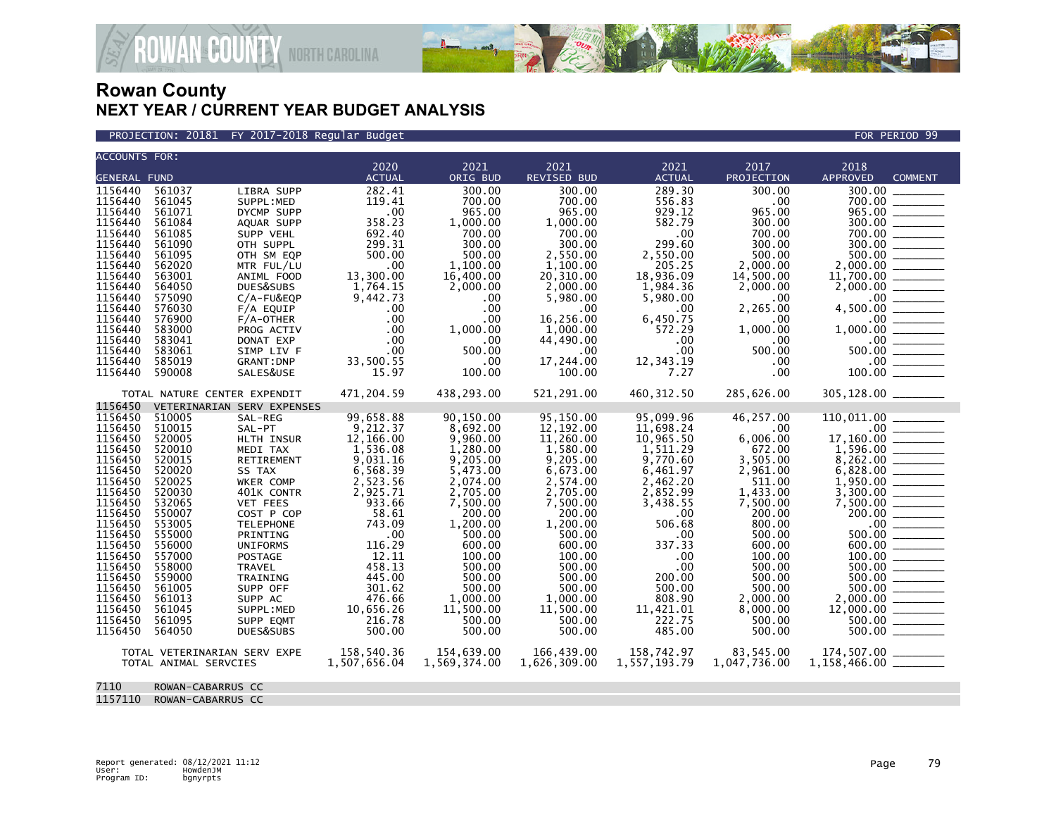

PROJECTION: 20181 FY 2017-2018 Regular Budget FOR PERIOD 99

**ROWAN COUNTY NORTH CAROLINA** 

| <b>ACCOUNTS FOR:</b>         |                              |                            | 2020          | 2021         | 2021               | 2021             | 2017         | 2018                                                                                                                                                                                                                                                                                                                                                                                                                                                   |
|------------------------------|------------------------------|----------------------------|---------------|--------------|--------------------|------------------|--------------|--------------------------------------------------------------------------------------------------------------------------------------------------------------------------------------------------------------------------------------------------------------------------------------------------------------------------------------------------------------------------------------------------------------------------------------------------------|
| <b>GENERAL FUND</b>          |                              |                            | <b>ACTUAL</b> | ORIG BUD     | <b>REVISED BUD</b> | <b>ACTUAL</b>    | PROJECTION   | <b>APPROVED</b><br><b>COMMENT</b>                                                                                                                                                                                                                                                                                                                                                                                                                      |
| 1156440                      | 561037                       | LIBRA SUPP                 | 282.41        | 300.00       | 300.00             | 289.30           | 300.00       | 300.00                                                                                                                                                                                                                                                                                                                                                                                                                                                 |
| 1156440                      | 561045                       |                            |               | 700.00       | 700.00             | 556.83           | .00          | 700.00                                                                                                                                                                                                                                                                                                                                                                                                                                                 |
|                              |                              | SUPPL:MED                  | 119.41        |              |                    | 929.12           |              |                                                                                                                                                                                                                                                                                                                                                                                                                                                        |
| 1156440                      | 561071                       | DYCMP SUPP                 | .00           | 965.00       | 965.00             |                  | 965.00       | 965.00                                                                                                                                                                                                                                                                                                                                                                                                                                                 |
| 1156440                      | 561084                       | AQUAR SUPP                 | 358.23        | 1,000.00     | 1,000.00           | 582.79           | 300.00       |                                                                                                                                                                                                                                                                                                                                                                                                                                                        |
| 1156440                      | 561085                       | SUPP VEHL                  | 692.40        | 700.00       | 700.00             | .00              | 700.00       |                                                                                                                                                                                                                                                                                                                                                                                                                                                        |
| 1156440                      | 561090                       | OTH SUPPL                  | 299.31        | 300.00       | 300.00             | 299.60           | 300.00       | 300.00                                                                                                                                                                                                                                                                                                                                                                                                                                                 |
| 1156440                      | 561095                       | OTH SM EOP                 | 500.00        | 500.00       | 2.550.00           | 2,550.00         | 500.00       | 500.00                                                                                                                                                                                                                                                                                                                                                                                                                                                 |
| 1156440                      | 562020                       | MTR FUL/LU                 | .00           | 1.100.00     | 1.100.00           | 205.25           | 2.000.00     | 2,000.00                                                                                                                                                                                                                                                                                                                                                                                                                                               |
| 1156440                      | 563001                       | ANIML FOOD                 | 13,300.00     | 16,400.00    | 20,310.00          | 18,936.09        | 14,500.00    | 11,700.00                                                                                                                                                                                                                                                                                                                                                                                                                                              |
| 1156440                      | 564050                       | DUES&SUBS                  | 1,764.15      | 2,000.00     | 2,000.00           | 1,984.36         | 2,000.00     | 2,000.00                                                                                                                                                                                                                                                                                                                                                                                                                                               |
| 1156440                      | 575090                       | C/A-FU&EQP                 | 9,442.73      | $.00 \,$     | 5,980.00           | 5,980.00         | .00          | .00 <sub>1</sub><br>$\equiv$                                                                                                                                                                                                                                                                                                                                                                                                                           |
| 1156440                      | 576030                       | F/A EQUIP                  | .00           | .00          | $.00 \times$       | .00.             | 2,265.00     | 4,500.00                                                                                                                                                                                                                                                                                                                                                                                                                                               |
| 1156440                      | 576900                       | $F/A$ -OTHER               | .00           | .00          | 16,256.00          | 6,450.75         | .00          | $.00 \,$                                                                                                                                                                                                                                                                                                                                                                                                                                               |
| 1156440                      | 583000                       | PROG ACTIV                 | .00           | 1,000.00     | 1,000.00           | 572.29           | 1,000.00     | —————<br>————<br>1,000.00                                                                                                                                                                                                                                                                                                                                                                                                                              |
| 1156440                      | 583041                       | DONAT EXP                  | .00           | .00          | 44,490.00          | .00              | .00          | $\frac{00}{00}$                                                                                                                                                                                                                                                                                                                                                                                                                                        |
| 1156440                      | 583061                       | SIMP LIV F                 | .00           | 500.00       | .00                | .00              | 500.00       | 500.00                                                                                                                                                                                                                                                                                                                                                                                                                                                 |
| 1156440                      | 585019                       | <b>GRANT: DNP</b>          | 33,500.55     | $.00 \times$ | 17,244.00          | 12,343.19        | .00          | $.00 \,$<br>$\frac{1}{\sqrt{1-\frac{1}{2}}}\left( \frac{1}{\sqrt{1-\frac{1}{2}}}\right) ^{2}+\left( \frac{1}{\sqrt{1-\frac{1}{2}}}\right) ^{2}+\left( \frac{1}{\sqrt{1-\frac{1}{2}}}\right) ^{2}+\left( \frac{1}{\sqrt{1-\frac{1}{2}}}\right) ^{2}+\left( \frac{1}{\sqrt{1-\frac{1}{2}}}\right) ^{2}+\left( \frac{1}{\sqrt{1-\frac{1}{2}}}\right) ^{2}+\left( \frac{1}{\sqrt{1-\frac{1}{2}}}\right) ^{2}+\left( \frac{1}{\sqrt{1-\frac{1}{2}}}\right)$ |
| 1156440                      | 590008                       | SALES&USE                  | 15.97         | 100.00       | 100.00             | 7.27             | .00          | 100.00                                                                                                                                                                                                                                                                                                                                                                                                                                                 |
| TOTAL NATURE CENTER EXPENDIT |                              |                            | 471,204.59    | 438,293.00   | 521,291.00         | 460.312.50       | 285,626.00   | 305,128.00 _______                                                                                                                                                                                                                                                                                                                                                                                                                                     |
| 1156450                      |                              | VETERINARIAN SERV EXPENSES |               |              |                    |                  |              |                                                                                                                                                                                                                                                                                                                                                                                                                                                        |
| 1156450                      | 510005                       | SAL-REG                    | 99,658.88     | 90.150.00    | 95,150.00          | 95,099.96        | 46.257.00    | 110.011.00                                                                                                                                                                                                                                                                                                                                                                                                                                             |
| 1156450                      | 510015                       | SAL-PT                     | 9,212.37      | 8,692.00     | 12,192.00          | 11,698.24        | .00          | .00                                                                                                                                                                                                                                                                                                                                                                                                                                                    |
| 1156450                      | 520005                       | HLTH INSUR                 | 12,166.00     | 9,960.00     | 11,260.00          | 10,965.50        | 6,006.00     | 17,160.00                                                                                                                                                                                                                                                                                                                                                                                                                                              |
| 1156450                      | 520010                       | MEDI TAX                   | 1.536.08      | 1.280.00     | 1.580.00           | 1.511.29         | 672.00       | 1.596.00                                                                                                                                                                                                                                                                                                                                                                                                                                               |
| 1156450                      | 520015                       | RETIREMENT                 | 9,031.16      | 9,205.00     | 9,205.00           | 9,770.60         | 3,505.00     | 8,262.00                                                                                                                                                                                                                                                                                                                                                                                                                                               |
| 1156450                      | 520020                       | SS TAX                     | 6,568.39      | 5,473.00     | 6,673.00           | 6,461.97         | 2,961.00     | 6,828.00                                                                                                                                                                                                                                                                                                                                                                                                                                               |
| 1156450                      | 520025                       | WKER COMP                  | 2,523.56      | 2,074.00     | 2,574.00           | 2,462.20         | 511.00       | 1,950.00                                                                                                                                                                                                                                                                                                                                                                                                                                               |
| 1156450                      | 520030                       | 401K CONTR                 | 2,925.71      | 2,705.00     | 2,705.00           | 2,852.99         | 1,433.00     | 3,300.00                                                                                                                                                                                                                                                                                                                                                                                                                                               |
| 1156450                      | 532065                       | <b>VET FEES</b>            | 933.66        | 7,500.00     | 7,500.00           | 3,438.55         | 7,500.00     | 7,500.00<br>$\sim$ $\sim$ $\sim$ $\sim$ $\sim$ $\sim$                                                                                                                                                                                                                                                                                                                                                                                                  |
| 1156450                      | 550007                       | COST P COP                 | 58.61         | 200.00       | 200.00             | .00              | 200.00       | 200.00                                                                                                                                                                                                                                                                                                                                                                                                                                                 |
| 1156450                      | 553005                       | <b>TELEPHONE</b>           | 743.09        | 1,200.00     | 1,200.00           | 506.68           | 800.00       | $.00 \,$                                                                                                                                                                                                                                                                                                                                                                                                                                               |
| 1156450                      | 555000                       | PRINTING                   | .00           | 500.00       | 500.00             | .00.             | 500.00       | <u>estas e</u><br>500.00                                                                                                                                                                                                                                                                                                                                                                                                                               |
| 1156450                      | 556000                       | <b>UNIFORMS</b>            | 116.29        | 600.00       | 600.00             | 337.33           | 600.00       | 600.00                                                                                                                                                                                                                                                                                                                                                                                                                                                 |
| 1156450                      | 557000                       | <b>POSTAGE</b>             | 12.11         | 100.00       | 100.00             | .00              | 100.00       | 100.00                                                                                                                                                                                                                                                                                                                                                                                                                                                 |
| 1156450                      | 558000                       | <b>TRAVEL</b>              | 458.13        | 500.00       | 500.00             | .00 <sub>1</sub> | 500.00       | 500.00                                                                                                                                                                                                                                                                                                                                                                                                                                                 |
| 1156450                      | 559000                       | TRAINING                   | 445.00        | 500.00       | 500.00             | 200.00           | 500.00       | 500.00                                                                                                                                                                                                                                                                                                                                                                                                                                                 |
| 1156450                      | 561005                       | SUPP OFF                   | 301.62        | 500.00       | 500.00             | 500.00           | 500.00       | 500.00                                                                                                                                                                                                                                                                                                                                                                                                                                                 |
| 1156450                      | 561013                       | SUPP AC                    | 476.66        | 1,000.00     | 1,000.00           | 808.90           | 2,000.00     |                                                                                                                                                                                                                                                                                                                                                                                                                                                        |
| 1156450                      | 561045                       | SUPPL: MED                 | 10,656.26     | 11,500.00    | 11,500.00          | 11,421.01        | 8,000.00     | 12,000.00                                                                                                                                                                                                                                                                                                                                                                                                                                              |
| 1156450                      | 561095                       | SUPP EQMT                  | 216.78        | 500.00       | 500.00             | 222.75           | 500.00       | 500.00                                                                                                                                                                                                                                                                                                                                                                                                                                                 |
| 1156450                      | 564050                       | DUES&SUBS                  | 500.00        | 500.00       | 500.00             | 485.00           | 500.00       |                                                                                                                                                                                                                                                                                                                                                                                                                                                        |
|                              |                              |                            |               |              |                    |                  |              |                                                                                                                                                                                                                                                                                                                                                                                                                                                        |
|                              | TOTAL VETERINARIAN SERV EXPE |                            | 158,540.36    | 154,639.00   | 166,439.00         | 158,742.97       | 83,545.00    |                                                                                                                                                                                                                                                                                                                                                                                                                                                        |
|                              | TOTAL ANIMAL SERVCIES        |                            | 1,507,656.04  | 1,569,374.00 | 1,626,309.00       | 1,557,193.79     | 1,047,736.00 |                                                                                                                                                                                                                                                                                                                                                                                                                                                        |
|                              |                              |                            |               |              |                    |                  |              |                                                                                                                                                                                                                                                                                                                                                                                                                                                        |
| 7110                         | ROWAN-CABARRUS CC            |                            |               |              |                    |                  |              |                                                                                                                                                                                                                                                                                                                                                                                                                                                        |

1157110 ROWAN-CABARRUS CC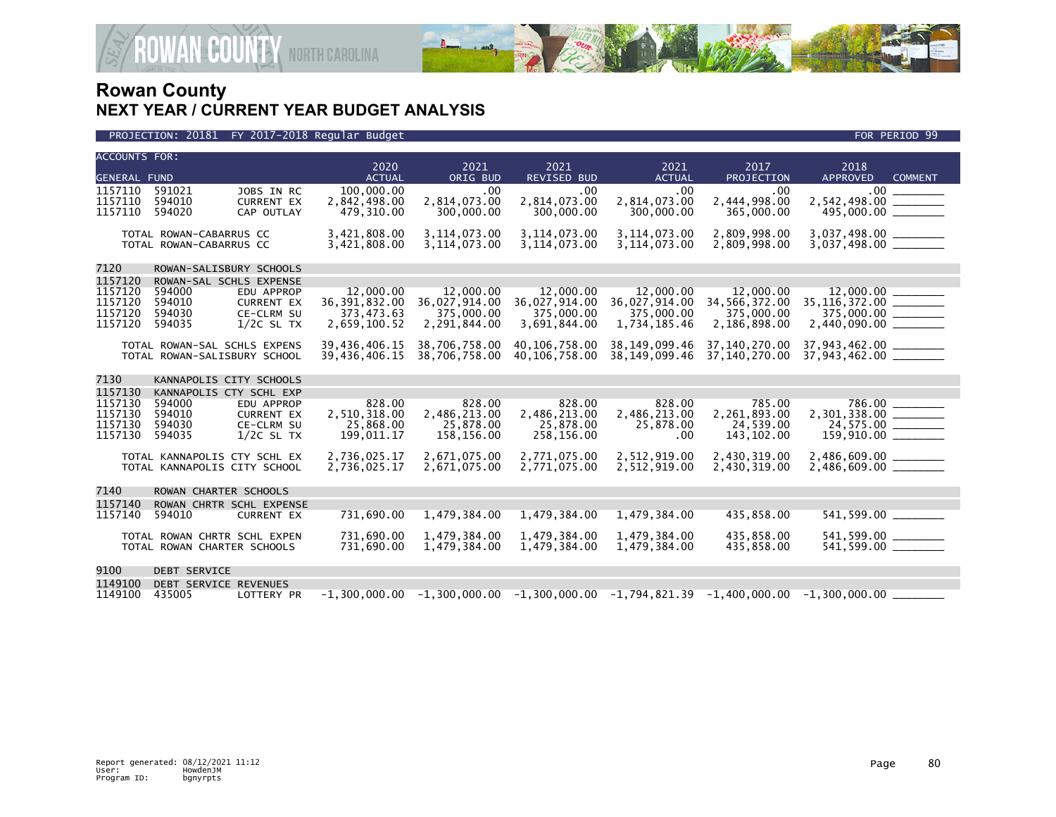



| <b>ACCOUNTS FOR:</b>                                |                                                                                                                                 |                                                               | 2020                                                                                         | 2021                                                                                       | 2021                                                                                            | 2021                                                                                             | 2017                                                                                       | 2018                                                                      |  |
|-----------------------------------------------------|---------------------------------------------------------------------------------------------------------------------------------|---------------------------------------------------------------|----------------------------------------------------------------------------------------------|--------------------------------------------------------------------------------------------|-------------------------------------------------------------------------------------------------|--------------------------------------------------------------------------------------------------|--------------------------------------------------------------------------------------------|---------------------------------------------------------------------------|--|
| <b>GENERAL FUND</b>                                 |                                                                                                                                 |                                                               | <b>ACTUAL</b>                                                                                | ORIG BUD                                                                                   | <b>REVISED BUD</b>                                                                              | <b>ACTUAL</b>                                                                                    | PROJECTION                                                                                 | <b>APPROVED</b><br><b>COMMENT</b>                                         |  |
| 1157110<br>1157110<br>1157110                       | 591021<br>594010<br>594020                                                                                                      | JOBS IN RC<br><b>CURRENT EX</b><br>CAP OUTLAY                 | 100,000.00<br>2,842,498.00<br>479,310.00                                                     | .00<br>2,814,073.00<br>300,000.00                                                          | .00<br>2,814,073.00<br>300,000.00                                                               | .00<br>2,814,073.00<br>300,000.00                                                                | .00<br>2,444,998.00<br>365,000.00                                                          | $.00 \,$<br>2,542,498.00<br>495,000.00 _______                            |  |
|                                                     | TOTAL ROWAN-CABARRUS CC<br>TOTAL ROWAN-CABARRUS CC                                                                              |                                                               | 3,421,808.00<br>3,421,808.00                                                                 | 3, 114, 073.00<br>3,114,073.00                                                             | 3, 114, 073.00<br>3, 114, 073.00                                                                | 3, 114, 073.00<br>3, 114, 073.00                                                                 | 2,809,998.00<br>2,809,998.00                                                               | 3,037,498.00 _______                                                      |  |
| 7120                                                | ROWAN-SALISBURY SCHOOLS                                                                                                         |                                                               |                                                                                              |                                                                                            |                                                                                                 |                                                                                                  |                                                                                            |                                                                           |  |
| 1157120<br>1157120<br>1157120<br>1157120<br>1157120 | ROWAN-SAL SCHLS EXPENSE<br>594000<br>594010<br>594030<br>594035<br>TOTAL ROWAN-SAL SCHLS EXPENS<br>TOTAL ROWAN-SALISBURY SCHOOL | EDU APPROP<br><b>CURRENT EX</b><br>CE-CLRM SU<br>$1/2C$ SL TX | 12,000,00<br>36, 391, 832.00<br>373,473.63<br>2,659,100.52<br>39,436,406.15<br>39,436,406.15 | 12,000.00<br>36,027,914.00<br>375,000.00<br>2,291,844.00<br>38,706,758.00<br>38,706,758.00 | 12,000.00<br>36,027,914.00<br>375,000.00<br>3,691,844.00<br>40, 106, 758, 00<br>40,106,758.00   | 12,000.00<br>36,027,914.00<br>375,000.00<br>1,734,185.46<br>38, 149, 099. 46<br>38, 149, 099. 46 | 12,000,00<br>34,566,372.00<br>375,000.00<br>2,186,898.00<br>37,140,270.00<br>37,140,270.00 | 35, 116, 372.00 ______<br>37,943,462.00 _______<br>37,943,462.00 ________ |  |
| 7130                                                | KANNAPOLIS CITY SCHOOLS                                                                                                         |                                                               |                                                                                              |                                                                                            |                                                                                                 |                                                                                                  |                                                                                            |                                                                           |  |
| 1157130<br>1157130<br>1157130<br>1157130<br>1157130 | KANNAPOLIS CTY SCHL EXP<br>594000<br>594010<br>594030<br>594035                                                                 | EDU APPROP<br><b>CURRENT EX</b><br>CE-CLRM SU<br>$1/2C$ SL TX | 828.00<br>2,510,318.00<br>25,868.00<br>199,011.17                                            | 828.00<br>2,486,213.00<br>25,878.00<br>158,156.00                                          | 828.00<br>2,486,213.00<br>25,878.00<br>258,156.00                                               | 828.00<br>2,486,213.00<br>25,878.00<br>.00                                                       | 785.00<br>2,261,893.00<br>24,539.00<br>143, 102.00                                         | 786.00<br>2,301,338.00 _______<br>24,575.00 ______<br>159,910.00 ________ |  |
|                                                     | TOTAL KANNAPOLIS CTY SCHL EX<br>TOTAL KANNAPOLIS CITY SCHOOL                                                                    |                                                               | 2,736,025.17<br>2,736,025.17                                                                 | 2,671,075.00<br>2,671,075.00                                                               | 2,771,075.00<br>2,771,075.00                                                                    | 2,512,919.00<br>2,512,919.00                                                                     | 2,430,319.00<br>2,430,319.00                                                               | 2,486,609.00 ______                                                       |  |
| 7140                                                | ROWAN CHARTER SCHOOLS                                                                                                           |                                                               |                                                                                              |                                                                                            |                                                                                                 |                                                                                                  |                                                                                            |                                                                           |  |
| 1157140<br>1157140                                  | 594010                                                                                                                          | ROWAN CHRTR SCHL EXPENSE<br><b>CURRENT EX</b>                 | 731,690.00                                                                                   | 1,479,384.00                                                                               | 1,479,384.00                                                                                    | 1,479,384.00                                                                                     | 435,858.00                                                                                 | 541,599.00 ________                                                       |  |
|                                                     | TOTAL ROWAN CHRTR SCHL EXPEN<br>TOTAL ROWAN CHARTER SCHOOLS                                                                     |                                                               | 731,690.00<br>731,690.00                                                                     | 1,479,384.00<br>1,479,384.00                                                               | 1,479,384.00<br>1,479,384.00                                                                    | 1,479,384.00<br>1,479,384.00                                                                     | 435,858.00<br>435,858.00                                                                   | 541,599.00 _______<br>541,599.00 _______                                  |  |
| 9100<br>1149100                                     | <b>DEBT SERVICE</b><br>DEBT SERVICE REVENUES                                                                                    |                                                               |                                                                                              |                                                                                            |                                                                                                 |                                                                                                  |                                                                                            |                                                                           |  |
| 1149100                                             | 435005                                                                                                                          | <b>LOTTERY PR</b>                                             |                                                                                              |                                                                                            | $-1.300.000.00$ $-1.300.000.00$ $-1.300.000.00$ $-1.794.821.39$ $-1.400.000.00$ $-1.300.000.00$ |                                                                                                  |                                                                                            |                                                                           |  |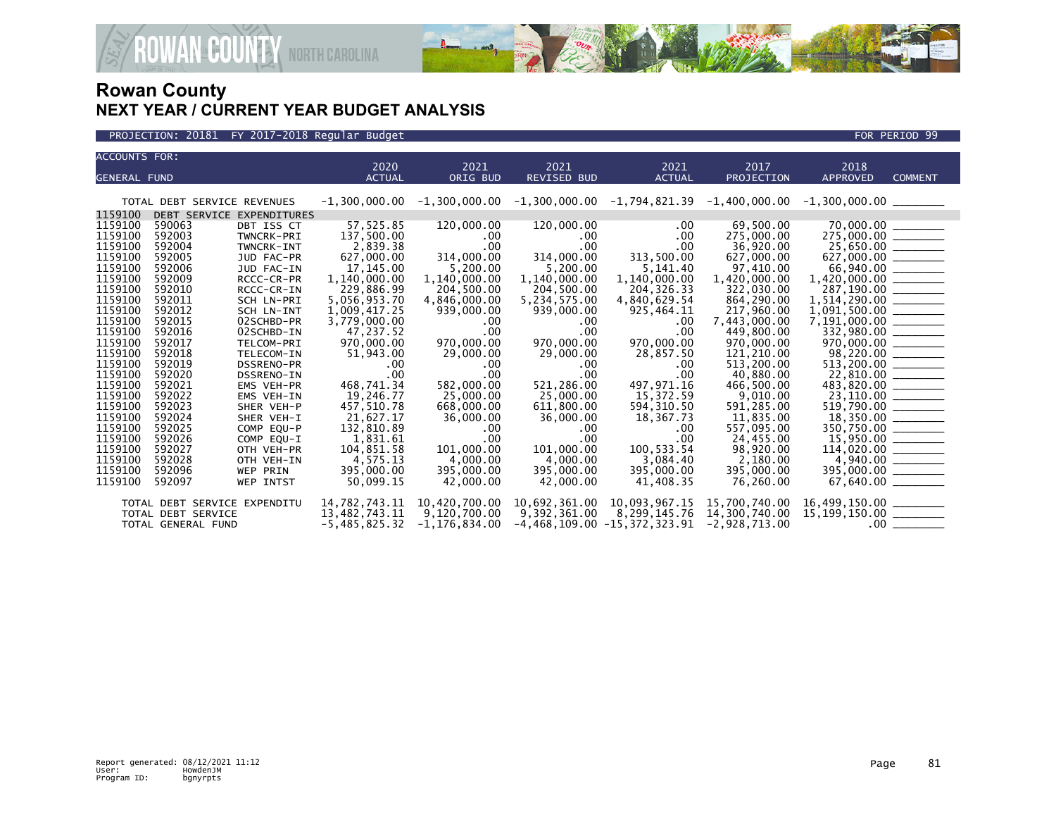



| <b>ACCOUNTS FOR:</b> |                              |                           |                       |                   |                            |                                                                                     |                           |                                                                                                                                                                                                                                                                                                                                                                                                                         |                |
|----------------------|------------------------------|---------------------------|-----------------------|-------------------|----------------------------|-------------------------------------------------------------------------------------|---------------------------|-------------------------------------------------------------------------------------------------------------------------------------------------------------------------------------------------------------------------------------------------------------------------------------------------------------------------------------------------------------------------------------------------------------------------|----------------|
| <b>GENERAL FUND</b>  |                              |                           | 2020<br><b>ACTUAL</b> | 2021              | 2021<br><b>REVISED BUD</b> | 2021                                                                                | 2017<br><b>PROJECTION</b> | 2018<br><b>APPROVED</b>                                                                                                                                                                                                                                                                                                                                                                                                 | <b>COMMENT</b> |
|                      |                              |                           |                       | ORIG BUD          |                            | <b>ACTUAL</b>                                                                       |                           |                                                                                                                                                                                                                                                                                                                                                                                                                         |                |
|                      | TOTAL DEBT SERVICE REVENUES  |                           | $-1,300,000.00$       |                   |                            | $-1,300,000.00$ $-1,300,000.00$ $-1,794,821.39$ $-1,400,000.00$ $-1,300,000.00$ $-$ |                           |                                                                                                                                                                                                                                                                                                                                                                                                                         |                |
| 1159100              |                              | DEBT SERVICE EXPENDITURES |                       |                   |                            |                                                                                     |                           |                                                                                                                                                                                                                                                                                                                                                                                                                         |                |
| 1159100              | 590063                       | DBT ISS CT                | 57,525.85             | 120,000.00        | 120,000.00                 | .00                                                                                 | 69,500.00                 | $\begin{array}{r} 70,000.00 \ \underline{\hspace{1mm}70,000.00} \ \underline{\hspace{1mm}75,000.00} \ \underline{\hspace{1mm}75,000.00} \ \underline{\hspace{1mm}75,000.00} \ \underline{\hspace{1mm}85,000} \ \underline{\hspace{1mm}827,000.00} \ \underline{\hspace{1mm}827,000.00} \ \underline{\hspace{1mm}96,000} \ \underline{\hspace{1mm}96,000} \ \underline{\hspace{1mm}96,000} \ \underline{\hspace{1mm}96,$ |                |
| 1159100              | 592003                       | TWNCRK-PRI                | 137,500.00            | $.00 \,$          | $.00 \,$                   | .00                                                                                 | 275,000.00                |                                                                                                                                                                                                                                                                                                                                                                                                                         |                |
| 1159100              | 592004                       | TWNCRK-INT                | 2,839.38              | .00               | $.00 \,$                   | .00                                                                                 | 36,920.00                 |                                                                                                                                                                                                                                                                                                                                                                                                                         |                |
| 1159100              | 592005                       | JUD FAC-PR                | 627,000.00            | 314,000.00        | 314,000.00                 | 313,500.00                                                                          | 627,000.00                |                                                                                                                                                                                                                                                                                                                                                                                                                         |                |
| 1159100              | 592006                       | JUD FAC-IN                | 17, 145.00            | 5,200.00          | 5,200.00                   | 5,141.40                                                                            | 97,410.00                 |                                                                                                                                                                                                                                                                                                                                                                                                                         |                |
| 1159100              | 592009                       | RCCC-CR-PR                | 1,140,000.00          | 1,140,000.00      | 1,140,000.00               | 1,140,000.00                                                                        | 1,420,000.00              | 1,420,000.00 _______                                                                                                                                                                                                                                                                                                                                                                                                    |                |
| 1159100              | 592010                       | RCCC-CR-IN                | 229,886.99            | 204,500.00        | 204,500.00                 | 204, 326, 33                                                                        | 322,030.00                | 287,190.00                                                                                                                                                                                                                                                                                                                                                                                                              |                |
| 1159100              | 592011                       | SCH LN-PRI                | 5,056,953.70          | 4,846,000.00      | 5,234,575.00               | 4,840,629.54                                                                        | 864,290.00                | $1,514,290.00$ _________                                                                                                                                                                                                                                                                                                                                                                                                |                |
| 1159100              | 592012                       | SCH LN-INT                | 1,009,417.25          | 939,000.00        | 939,000.00                 | 925,464.11                                                                          | 217,960.00                | $1,091,500.00$ ________                                                                                                                                                                                                                                                                                                                                                                                                 |                |
| 1159100              | 592015                       | 02SCHBD-PR                | 3.779.000.00          | .00.              | .00                        | $.00 \times$                                                                        | 7,443,000.00              | 7,191,000.00 _______                                                                                                                                                                                                                                                                                                                                                                                                    |                |
| 1159100              | 592016                       | 02SCHBD-IN                | 47,237.52             | .00               | .00                        | .00                                                                                 | 449,800.00                |                                                                                                                                                                                                                                                                                                                                                                                                                         |                |
| 1159100              | 592017                       | TELCOM-PRI                | 970,000.00            | 970,000.00        | 970,000,00                 | 970,000.00                                                                          | 970,000,00                |                                                                                                                                                                                                                                                                                                                                                                                                                         |                |
| 1159100              | 592018                       | TELECOM-IN                | 51,943.00             | 29,000.00         | 29,000.00                  | 28,857.50                                                                           | 121,210.00                |                                                                                                                                                                                                                                                                                                                                                                                                                         |                |
| 1159100              | 592019                       | DSSRENO-PR                | .00                   | .00.              | .00                        | .00                                                                                 | 513,200.00                | $970,000.00$<br>$98,220.00$<br>$513,200.00$                                                                                                                                                                                                                                                                                                                                                                             |                |
| 1159100              | 592020                       | DSSRENO-IN                | .00                   | .00               | .00                        | .00                                                                                 | 40,880.00                 | $\frac{22,810.00}{483,820.00}$                                                                                                                                                                                                                                                                                                                                                                                          |                |
| 1159100              | 592021                       | EMS VEH-PR                | 468,741.34            | 582,000.00        | 521.286.00                 | 497,971.16                                                                          | 466,500.00                |                                                                                                                                                                                                                                                                                                                                                                                                                         |                |
| 1159100              | 592022                       | EMS VEH-IN                | 19,246.77             | 25,000.00         | 25,000.00                  | 15,372.59                                                                           | 9,010.00                  |                                                                                                                                                                                                                                                                                                                                                                                                                         |                |
| 1159100              | 592023                       | SHER VEH-P                | 457,510.78            | 668,000.00        | 611,800.00                 | 594, 310.50                                                                         | 591,285.00                |                                                                                                                                                                                                                                                                                                                                                                                                                         |                |
| 1159100              | 592024                       | SHER VEH-I                | 21,627.17             | 36,000.00         | 36,000.00                  | 18,367.73                                                                           | 11,835.00                 |                                                                                                                                                                                                                                                                                                                                                                                                                         |                |
| 1159100              | 592025                       | COMP EQU-P                | 132,810.89            | .00.              | .00                        | .00                                                                                 | 557,095.00                | $519,790.00$ $18,350.00$ $350,750.00$ $500,750.00$                                                                                                                                                                                                                                                                                                                                                                      |                |
| 1159100              | 592026                       | COMP EQU-I                | 1,831.61              | .00               | $.00 \,$                   | .00                                                                                 | 24,455.00                 | $114,020.00$<br>$4,940.00$                                                                                                                                                                                                                                                                                                                                                                                              |                |
| 1159100              | 592027                       | OTH VEH-PR                | 104,851.58            | 101,000.00        | 101,000.00                 | 100,533.54                                                                          | 98,920.00                 |                                                                                                                                                                                                                                                                                                                                                                                                                         |                |
| 1159100              | 592028                       | OTH VEH-IN                | 4,575.13              | 4,000.00          | 4,000.00                   | 3,084.40                                                                            | 2,180.00                  |                                                                                                                                                                                                                                                                                                                                                                                                                         |                |
| 1159100              | 592096                       | <b>WEP PRIN</b>           | 395,000.00            | 395,000,00        | 395,000,00                 | 395,000,00                                                                          | 395,000.00                | 395,000.00 ______                                                                                                                                                                                                                                                                                                                                                                                                       |                |
| 1159100              | 592097                       | <b>WEP INTST</b>          | 50,099.15             | 42,000.00         | 42,000,00                  | 41,408.35                                                                           | 76,260.00                 |                                                                                                                                                                                                                                                                                                                                                                                                                         |                |
|                      | TOTAL DEBT SERVICE EXPENDITU |                           | 14,782,743.11         | 10,420,700.00     |                            | 10,692,361.00 10,093,967.15                                                         | 15,700,740.00             |                                                                                                                                                                                                                                                                                                                                                                                                                         |                |
|                      | TOTAL DEBT SERVICE           |                           | 13,482,743.11         | 9,120,700.00      | 9,392,361.00               | 8,299,145.76                                                                        | 14,300,740.00             | 16,499,150.00 ________<br>15,199,150.00 ________                                                                                                                                                                                                                                                                                                                                                                        |                |
|                      | TOTAL GENERAL FUND           |                           | $-5,485,825.32$       | $-1, 176, 834.00$ |                            | $-4,468,109.00 -15,372,323.91$                                                      | $-2,928,713.00$           |                                                                                                                                                                                                                                                                                                                                                                                                                         |                |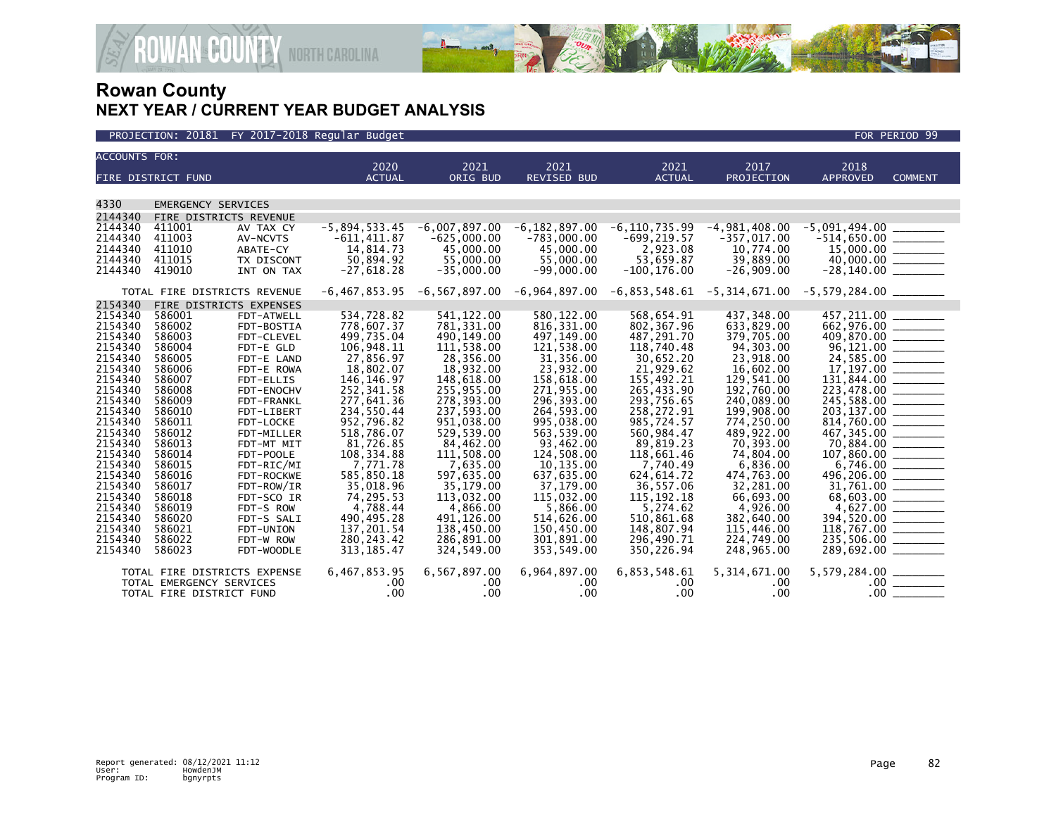

| <b>ACCOUNTS FOR:</b> |                              |                          |                         |                         |                         |                           |                                                        |                                                                                |                |
|----------------------|------------------------------|--------------------------|-------------------------|-------------------------|-------------------------|---------------------------|--------------------------------------------------------|--------------------------------------------------------------------------------|----------------|
|                      |                              |                          | 2020                    | 2021                    | 2021                    | 2021                      | 2017                                                   | 2018                                                                           |                |
|                      | FIRE DISTRICT FUND           |                          | <b>ACTUAL</b>           | ORIG BUD                | <b>REVISED BUD</b>      | <b>ACTUAL</b>             | PROJECTION                                             | <b>APPROVED</b>                                                                | <b>COMMENT</b> |
|                      |                              |                          |                         |                         |                         |                           |                                                        |                                                                                |                |
| 4330                 | <b>EMERGENCY SERVICES</b>    |                          |                         |                         |                         |                           |                                                        |                                                                                |                |
| 2144340              | FIRE DISTRICTS REVENUE       |                          |                         |                         |                         |                           |                                                        |                                                                                |                |
| 2144340              | 411001                       | AV TAX CY                | $-5,894,533.45$         | $-6,007,897.00$         | $-6, 182, 897.00$       | $-6, 110, 735.99$         | $-4,981,408.00$                                        | $-5,091,494.00$                                                                |                |
| 2144340              | 411003                       | AV-NCVTS                 | $-611, 411.87$          | $-625,000.00$           | $-783,000.00$           | $-699, 219.57$            | $-357,017.00$                                          |                                                                                |                |
| 2144340              | 411010                       | ABATE-CY                 | 14,814.73               | 45,000.00               | 45,000.00               | 2,923.08                  | 10,774.00                                              | $15,000.00$<br>40,000.00<br>-28,140.00                                         |                |
| 2144340              | 411015                       | TX DISCONT               | 50,894.92               | 55,000,00               | 55,000.00               | 53,659.87                 | 39,889.00                                              |                                                                                |                |
| 2144340              | 419010                       | INT ON TAX               | $-27,618.28$            | $-35,000.00$            | $-99,000.00$            | $-100, 176.00$            | $-26,909.00$                                           |                                                                                |                |
|                      | TOTAL FIRE DISTRICTS REVENUE |                          | $-6, 467, 853.95$       | -6,567,897.00           | -6,964,897.00           |                           | $-6,853,548.61$ $-5,314,671.00$ $-5,579,284.00$ $\_\_$ |                                                                                |                |
| 2154340              | FIRE DISTRICTS EXPENSES      |                          |                         |                         |                         |                           |                                                        |                                                                                |                |
| 2154340              | 586001                       | FDT-ATWELL               | 534,728.82              | 541, 122.00             | 580, 122.00             | 568,654.91                | 437,348.00                                             | 457, 211.00                                                                    |                |
| 2154340              | 586002                       | FDT-BOSTIA               | 778,607.37              | 781,331.00              | 816, 331.00             | 802.367.96                | 633,829.00                                             | $662,976.00$ $\overline{\hspace{1cm}}$<br>409,870.00 $\overline{\hspace{1cm}}$ |                |
| 2154340<br>2154340   | 586003                       | FDT-CLEVEL               | 499.735.04              | 490,149.00              | 497,149.00              | 487,291.70                | 379,705.00                                             |                                                                                |                |
| 2154340              | 586004<br>586005             | FDT-E GLD                | 106,948.11<br>27,856.97 | 111,538.00<br>28,356.00 | 121,538.00<br>31,356.00 | 118,740.48<br>30,652.20   | 94,303.00<br>23,918.00                                 |                                                                                |                |
| 2154340              | 586006                       | FDT-E LAND<br>FDT-E ROWA | 18,802.07               | 18,932.00               | 23,932.00               | 21,929.62                 | 16,602.00                                              |                                                                                |                |
| 2154340              | 586007                       | FDT-ELLIS                | 146, 146.97             | 148,618.00              | 158,618.00              | 155,492.21                | 129,541.00                                             | $131,844.00$ ________                                                          |                |
| 2154340              | 586008                       | FDT-ENOCHV               | 252,341.58              | 255,955.00              | 271,955.00              | 265,433.90                | 192,760.00                                             |                                                                                |                |
| 2154340              | 586009                       | FDT-FRANKL               | 277,641.36              | 278,393.00              | 296,393.00              | 293,756.65                | 240,089.00                                             | 245,588.00                                                                     |                |
| 2154340              | 586010                       | FDT-LIBERT               | 234,550.44              | 237,593.00              | 264,593.00              | 258,272.91                | 199,908.00                                             | 203,137.00                                                                     |                |
| 2154340              | 586011                       | FDT-LOCKE                | 952,796.82              | 951,038.00              | 995,038.00              | 985,724.57                | 774,250.00                                             |                                                                                |                |
| 2154340              | 586012                       | FDT-MILLER               | 518,786.07              | 529,539.00              | 563,539.00              | 560,984.47                | 489,922.00                                             |                                                                                |                |
| 2154340              | 586013                       | FDT-MT MIT               | 81,726.85               | 84,462.00               | 93,462.00               | 89,819.23                 | 70,393.00                                              |                                                                                |                |
| 2154340              | 586014                       | FDT-POOLE                | 108, 334.88             | 111,508.00              | 124,508.00              | 118,661.46                | 74,804.00                                              |                                                                                |                |
| 2154340              | 586015                       | FDT-RIC/MI               | 7,771.78                | 7,635.00                | 10,135.00               | 7,740.49                  | 6,836.00                                               |                                                                                |                |
| 2154340<br>2154340   | 586016                       | FDT-ROCKWE               | 585,850.18              | 597,635.00              | 637,635.00              | 624, 614.72               | 474,763.00                                             | 496,206.00                                                                     |                |
| 2154340              | 586017<br>586018             | FDT-ROW/IR<br>FDT-SCO IR | 35,018.96<br>74,295.53  | 35,179.00<br>113,032.00 | 37,179.00<br>115,032.00 | 36,557.06<br>115, 192. 18 | 32,281.00<br>66,693.00                                 | 31,761.00                                                                      |                |
| 2154340              | 586019                       | FDT-S ROW                | 4,788.44                | 4,866.00                | 5,866.00                | 5,274.62                  | 4,926.00                                               |                                                                                |                |
| 2154340              | 586020                       | FDT-S SALI               | 490,495.28              | 491,126.00              | 514,626.00              | 510.861.68                | 382,640.00                                             |                                                                                |                |
| 2154340              | 586021                       | FDT-UNION                | 137,201.54              | 138,450.00              | 150,450.00              | 148,807.94                | 115,446.00                                             |                                                                                |                |
| 2154340              | 586022                       | FDT-W ROW                | 280, 243.42             | 286,891.00              | 301,891.00              | 296,490.71                | 224,749.00                                             |                                                                                |                |
| 2154340              | 586023                       | FDT-WOODLE               | 313, 185.47             | 324,549.00              | 353,549.00              | 350,226.94                | 248,965.00                                             | 289,692.00 ________                                                            |                |
|                      | TOTAL FIRE DISTRICTS EXPENSE |                          | 6,467,853.95            | 6,567,897.00            | 6,964,897.00            | 6,853,548.61              | 5, 314, 671.00                                         | 5,579,284.00 _________                                                         |                |
|                      | TOTAL EMERGENCY SERVICES     |                          | .00                     | .00                     | .00                     | $.00 \,$                  | .00                                                    |                                                                                |                |
|                      |                              |                          |                         |                         |                         |                           |                                                        |                                                                                |                |
|                      | TOTAL FIRE DISTRICT FUND     |                          | .00                     | .00                     | .00                     | $.00 \,$                  | .00.                                                   | .00 <sub>1</sub>                                                               |                |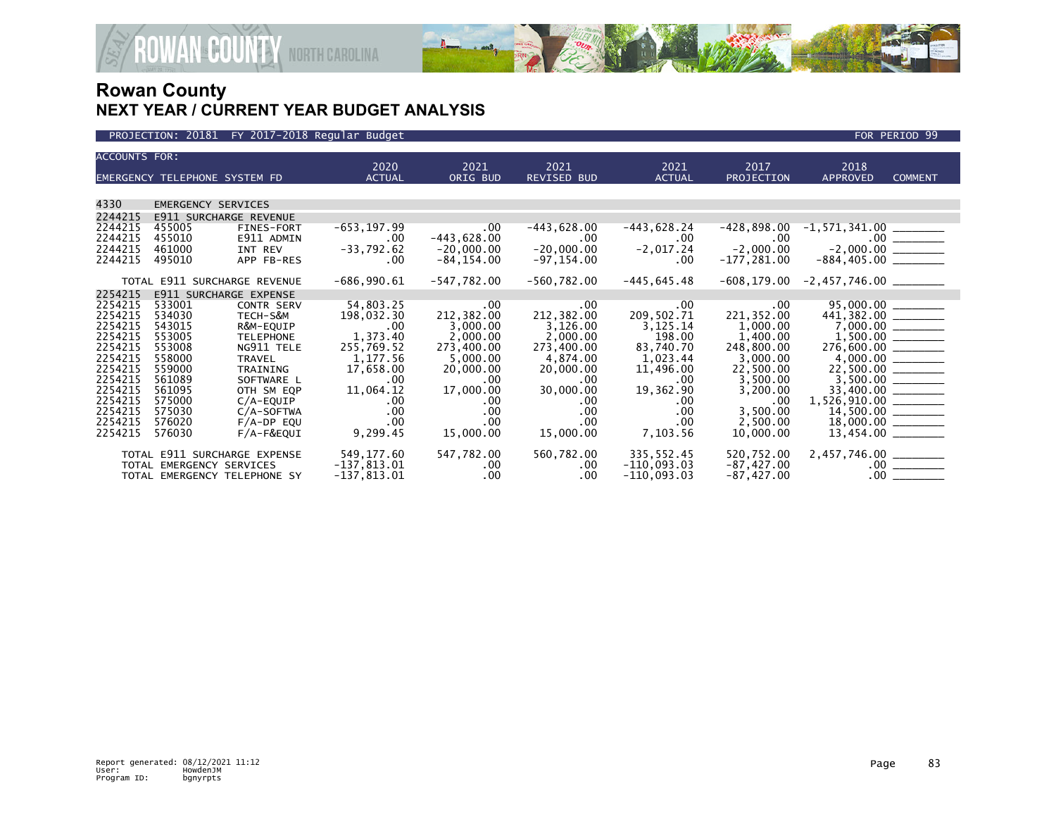

| <b>ACCOUNTS FOR:</b> | EMERGENCY TELEPHONE SYSTEM FD |                               | 2020<br><b>ACTUAL</b>  | 2021<br>ORIG BUD              | 2021<br><b>REVISED BUD</b>    | 2021<br><b>ACTUAL</b>       | 2017<br><b>PROJECTION</b>  | 2018<br><b>APPROVED</b>                                               | <b>COMMENT</b>        |
|----------------------|-------------------------------|-------------------------------|------------------------|-------------------------------|-------------------------------|-----------------------------|----------------------------|-----------------------------------------------------------------------|-----------------------|
|                      |                               |                               |                        |                               |                               |                             |                            |                                                                       |                       |
| 4330                 | <b>EMERGENCY SERVICES</b>     |                               |                        |                               |                               |                             |                            |                                                                       |                       |
| 2244215              |                               | <b>E911 SURCHARGE REVENUE</b> |                        |                               |                               |                             |                            |                                                                       |                       |
| 2244215<br>2244215   | 455005<br>455010              | FINES-FORT<br>E911 ADMIN      | $-653, 197.99$<br>.00. | $.00 \cdot$<br>$-443,628.00$  | $-443,628.00$<br>$.00 \,$     | -443,628.24<br>$.00 \cdot$  | $-428,898.00$<br>$.00 \,$  |                                                                       |                       |
| 2244215<br>2244215   | 461000<br>495010              | INT REV<br>APP FB-RES         | $-33,792.62$<br>.00    | $-20,000.00$<br>$-84, 154.00$ | $-20,000.00$<br>$-97, 154.00$ | $-2,017.24$<br>$.00 \times$ | $-2,000.00$<br>-177,281.00 |                                                                       |                       |
|                      |                               | TOTAL E911 SURCHARGE REVENUE  | $-686,990.61$          | $-547,782.00$                 | $-560,782.00$                 | $-445, 645.48$              | -608,179.00                | $-2,457,746.00$ _________                                             |                       |
| 2254215              |                               | <b>E911 SURCHARGE EXPENSE</b> |                        |                               |                               |                             |                            |                                                                       |                       |
| 2254215<br>2254215   | 533001<br>534030              | <b>CONTR SERV</b>             | 54,803.25              | $.00 \,$                      | $.00 \,$                      | $.00 \,$                    | .00                        | $95,000.00$<br>441,382.00                                             |                       |
| 2254215              | 543015                        | TECH-S&M                      | 198,032.30             | 212,382.00                    | 212,382.00                    | 209,502.71                  | 221,352.00                 |                                                                       |                       |
| 2254215              | 553005                        | R&M-EQUIP<br><b>TELEPHONE</b> | $.00 \,$<br>1,373.40   | 3,000.00<br>2,000.00          | 3,126.00<br>2,000.00          | 3,125.14<br>198.00          | 1,000.00<br>1,400.00       | $7,000.00$<br>1,500.00                                                |                       |
| 2254215              | 553008                        | NG911 TELE                    | 255,769.52             | 273,400.00                    | 273,400.00                    | 83,740.70                   | 248,800.00                 |                                                                       |                       |
| 2254215              | 558000                        | <b>TRAVEL</b>                 | 1,177.56               | 5,000.00                      | 4,874.00                      | 1,023.44                    | 3,000.00                   | $4,000.00$ _________                                                  |                       |
| 2254215              | 559000                        | TRAINING                      | 17,658.00              | 20,000.00                     | 20,000.00                     | 11,496.00                   | 22,500.00                  |                                                                       |                       |
| 2254215              | 561089                        | SOFTWARE L                    | .00                    | $.00 \,$                      | .00                           | .00                         | 3,500.00                   |                                                                       |                       |
| 2254215              | 561095                        | OTH SM EOP                    | 11,064.12              | 17,000.00                     | 30,000.00                     | 19,362.90                   | 3,200.00                   |                                                                       |                       |
| 2254215              | 575000                        | C/A-EQUIP                     | .00                    | $.00 \,$                      | .00                           | .00                         | .00                        |                                                                       |                       |
| 2254215              | 575030                        | $C/A$ -SOFTWA                 | .00                    | $.00 \,$                      | .00.                          | $.00 \,$                    | 3,500.00                   | $\begin{array}{r} 33,400.00 \\ 1,526,910.00 \\ 14,500.00 \end{array}$ |                       |
| 2254215              | 576020                        | $F/A-DP$ EOU                  | .00                    | .00                           | .00                           | $.00 \,$                    | 2,500.00                   | $18,000.00$ ________                                                  |                       |
| 2254215              | 576030                        | $F/A-F\&EQUI$                 | 9,299.45               | 15,000.00                     | 15,000.00                     | 7,103.56                    | 10,000.00                  |                                                                       |                       |
|                      |                               | TOTAL E911 SURCHARGE EXPENSE  | 549,177.60             | 547,782.00                    | 560,782.00                    | 335,552.45                  | 520,752.00                 |                                                                       |                       |
|                      | TOTAL EMERGENCY SERVICES      |                               | $-137,813.01$          | $.00 \,$                      | $.00 \,$                      | $-110,093.03$               | $-87,427.00$               |                                                                       |                       |
|                      |                               | TOTAL EMERGENCY TELEPHONE SY  | $-137,813.01$          | $.00 \,$                      | .00                           | $-110,093.03$               | -87,427.00                 |                                                                       | $.00$ $\qquad \qquad$ |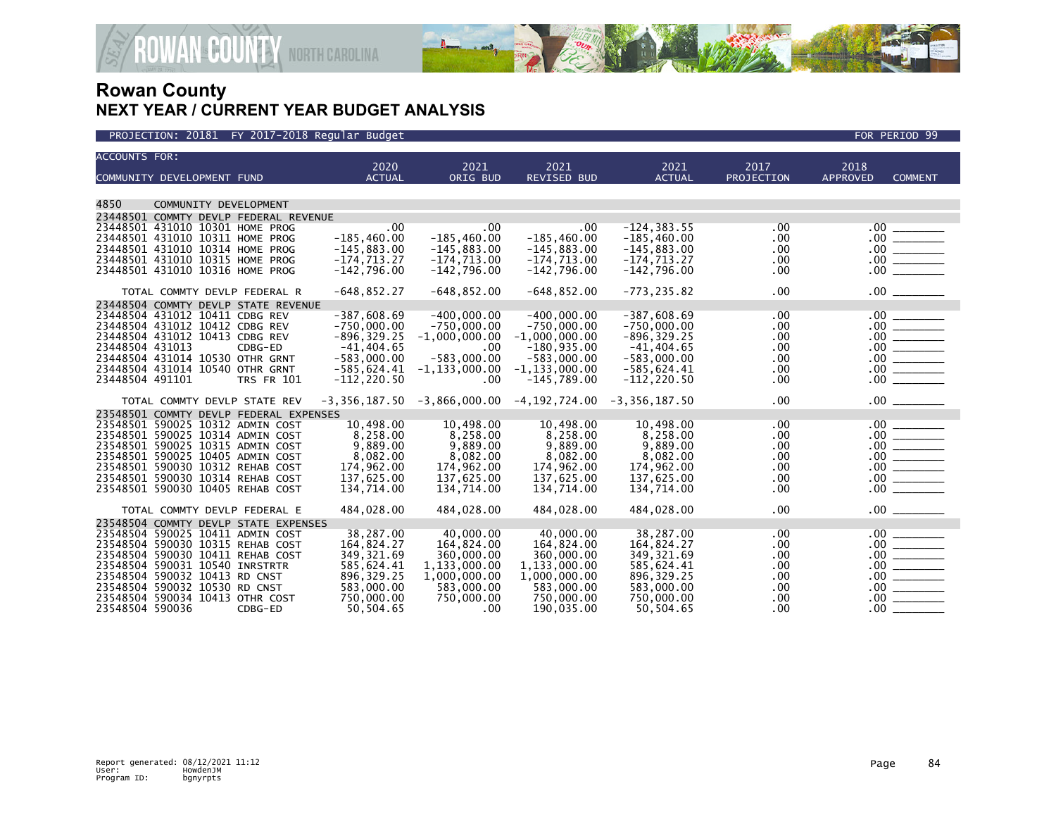

| <b>ACCOUNTS FOR:</b> |                                                                    |                                        |                                 |                                |                                                                 |                                 |            |                                                                                                                                                    |  |
|----------------------|--------------------------------------------------------------------|----------------------------------------|---------------------------------|--------------------------------|-----------------------------------------------------------------|---------------------------------|------------|----------------------------------------------------------------------------------------------------------------------------------------------------|--|
|                      |                                                                    |                                        | 2020                            | 2021                           | 2021                                                            | 2021                            | 2017       | 2018                                                                                                                                               |  |
|                      | COMMUNITY DEVELOPMENT FUND                                         |                                        | <b>ACTUAL</b>                   | ORIG BUD                       | <b>REVISED BUD</b>                                              | <b>ACTUAL</b>                   | PROJECTION | <b>APPROVED</b><br><b>COMMENT</b>                                                                                                                  |  |
|                      |                                                                    |                                        |                                 |                                |                                                                 |                                 |            |                                                                                                                                                    |  |
| 4850                 | COMMUNITY DEVELOPMENT                                              |                                        |                                 |                                |                                                                 |                                 |            |                                                                                                                                                    |  |
|                      |                                                                    | 23448501 COMMTY DEVLP FEDERAL REVENUE  |                                 |                                |                                                                 |                                 |            |                                                                                                                                                    |  |
|                      | 23448501 431010 10301 HOME PROG                                    |                                        | .00.                            | .00                            | .00.                                                            | $-124, 383.55$                  | .00.       |                                                                                                                                                    |  |
|                      | 23448501 431010 10311 HOME PROG<br>23448501 431010 10314 HOME PROG |                                        | $-185, 460.00$<br>$-145,883.00$ | $-185,460.00$<br>$-145,883.00$ | $-185,460.00$<br>$-145,883.00$                                  | $-185,460.00$                   | .00        |                                                                                                                                                    |  |
|                      | 23448501 431010 10315 HOME PROG                                    |                                        | $-174, 713.27$                  | $-174, 713.00$                 | $-174, 713.00$                                                  | $-145,883.00$<br>$-174, 713.27$ | .00<br>.00 |                                                                                                                                                    |  |
|                      | 23448501 431010 10316 HOME PROG                                    |                                        | $-142,796.00$                   | $-142,796.00$                  | $-142,796.00$                                                   | $-142,796.00$                   | .00        |                                                                                                                                                    |  |
|                      |                                                                    |                                        |                                 |                                |                                                                 |                                 |            |                                                                                                                                                    |  |
|                      | TOTAL COMMTY DEVLP FEDERAL R                                       |                                        | $-648, 852.27$                  | $-648, 852.00$                 | $-648, 852.00$                                                  | $-773, 235.82$                  | .00.       | $.00$ $\qquad$                                                                                                                                     |  |
|                      |                                                                    | 23448504 COMMTY DEVLP STATE REVENUE    |                                 |                                |                                                                 |                                 |            |                                                                                                                                                    |  |
|                      | 23448504 431012 10411 CDBG REV                                     |                                        | $-387,608.69$                   | $-400,000.00$                  | $-400.000.00$                                                   | $-387,608.69$                   | .00.       |                                                                                                                                                    |  |
|                      | 23448504 431012 10412 CDBG REV                                     |                                        | $-750,000.00$                   | $-750,000.00$                  | $-750,000.00$                                                   | $-750,000.00$                   | .00        |                                                                                                                                                    |  |
|                      | 23448504 431012 10413 CDBG REV                                     |                                        | $-896, 329.25$                  | $-1,000,000.00$                | $-1,000,000.00$                                                 | $-896, 329.25$                  | .00        |                                                                                                                                                    |  |
| 23448504 431013      |                                                                    | CDBG-ED                                | $-41,404.65$                    | $.00 \,$                       | $-180,935.00$                                                   | $-41,404.65$                    | .00        |                                                                                                                                                    |  |
|                      | 23448504 431014 10530 OTHR GRNT                                    |                                        | $-583,000.00$                   | $-583,000.00$                  | $-583,000.00$                                                   | $-583,000.00$                   | .00        |                                                                                                                                                    |  |
|                      | 23448504 431014 10540 OTHR GRNT                                    |                                        | $-585,624.41$                   | $-1, 133, 000.00$              | $-1, 133, 000.00$                                               | $-585,624.41$                   | .00        |                                                                                                                                                    |  |
| 23448504 491101      |                                                                    | <b>TRS FR 101</b>                      | $-112, 220.50$                  | .00                            | $-145,789.00$                                                   | $-112, 220.50$                  | .00.       |                                                                                                                                                    |  |
|                      | TOTAL COMMTY DEVLP STATE REV                                       |                                        |                                 |                                | $-3,356,187.50$ $-3,866,000.00$ $-4,192,724.00$ $-3,356,187.50$ |                                 | .00        |                                                                                                                                                    |  |
|                      |                                                                    | 23548501 COMMTY DEVLP FEDERAL EXPENSES |                                 |                                |                                                                 |                                 |            |                                                                                                                                                    |  |
|                      | 23548501 590025 10312 ADMIN COST                                   |                                        | 10,498.00                       | 10,498.00                      | 10,498.00                                                       | 10,498.00                       | .00        |                                                                                                                                                    |  |
|                      | 23548501 590025 10314 ADMIN COST                                   |                                        | 8,258.00                        | 8,258.00                       | 8,258.00                                                        | 8,258.00                        | .00        |                                                                                                                                                    |  |
|                      | 23548501 590025 10315 ADMIN COST                                   |                                        | 9,889.00                        | 9,889.00                       | 9,889.00                                                        | 9,889.00                        | .00        |                                                                                                                                                    |  |
|                      | 23548501 590025 10405 ADMIN COST                                   |                                        | 8.082.00                        | 8,082.00                       | 8.082.00                                                        | 8.082.00                        | .00        |                                                                                                                                                    |  |
|                      | 23548501 590030 10312 REHAB COST                                   |                                        | 174,962.00                      | 174,962.00                     | 174,962.00                                                      | 174,962.00                      | .00        |                                                                                                                                                    |  |
|                      | 23548501 590030 10314 REHAB COST                                   |                                        | 137,625.00                      | 137,625.00                     | 137,625.00                                                      | 137,625.00                      | .00        |                                                                                                                                                    |  |
|                      | 23548501 590030 10405 REHAB COST                                   |                                        | 134,714.00                      | 134,714.00                     | 134,714.00                                                      | 134,714.00                      | .00        | .00                                                                                                                                                |  |
|                      | TOTAL COMMTY DEVLP FEDERAL E                                       |                                        | 484,028.00                      | 484,028.00                     | 484,028.00                                                      | 484,028.00                      | .00        | $.00$ $\qquad$                                                                                                                                     |  |
|                      |                                                                    | 23548504 COMMTY DEVLP STATE EXPENSES   |                                 |                                |                                                                 |                                 |            |                                                                                                                                                    |  |
|                      | 23548504 590025 10411 ADMIN COST                                   |                                        | 38,287.00                       | 40,000.00                      | 40,000.00                                                       | 38,287.00                       | .00.       |                                                                                                                                                    |  |
|                      | 23548504 590030 10315 REHAB COST                                   |                                        | 164,824.27                      | 164,824.00                     | 164,824.00                                                      | 164,824.27                      | .00        |                                                                                                                                                    |  |
|                      | 23548504 590030 10411 REHAB COST                                   |                                        | 349, 321.69                     | 360,000.00                     | 360,000.00                                                      | 349, 321.69                     | .00        |                                                                                                                                                    |  |
|                      | 23548504 590031 10540 INRSTRTR                                     |                                        | 585,624.41                      | 1,133,000.00                   | 1,133,000.00                                                    | 585,624.41                      | .00        |                                                                                                                                                    |  |
|                      | 23548504 590032 10413 RD CNST                                      |                                        | 896, 329.25                     | 1,000,000.00                   | 1,000,000.00                                                    | 896, 329. 25                    | .00        | $\begin{array}{c c} 0.0 & \overline{\hspace{1.5cm}} \\ 0.00 & \overline{\hspace{1.5cm}} \\ 0.00 & \overline{\hspace{1.5cm}} \\ \hline \end{array}$ |  |
|                      | 23548504 590032 10530 RD CNST                                      |                                        | 583,000.00                      | 583,000.00                     | 583,000.00                                                      | 583,000.00                      | .00        |                                                                                                                                                    |  |
| 23548504 590036      | 23548504 590034 10413 OTHR COST                                    |                                        | 750,000.00                      | 750,000.00                     | 750,000.00                                                      | 750,000.00                      | .00        | $.00\,$                                                                                                                                            |  |
|                      |                                                                    | CDBG-ED                                | 50.504.65                       | .00                            | 190,035.00                                                      | 50.504.65                       | $.00 \,$   | $.00 \,$                                                                                                                                           |  |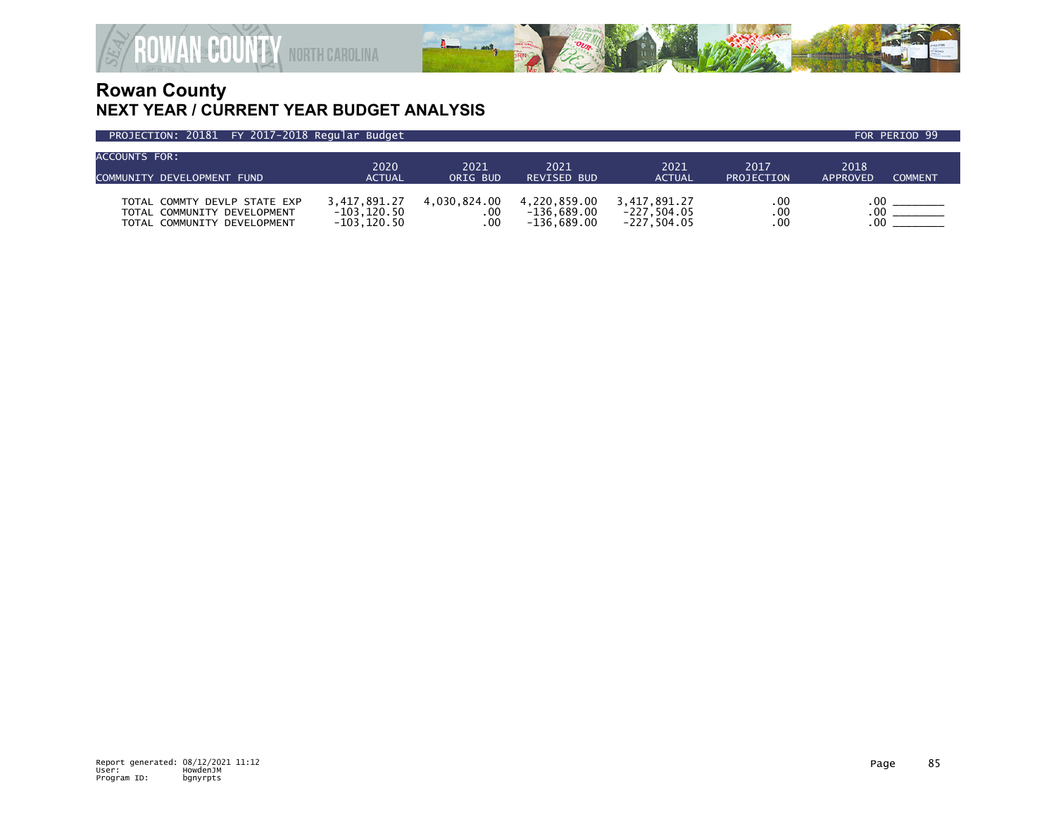

| ACCOUNTS FOR:                |                |              |                    |               |            |                            |  |
|------------------------------|----------------|--------------|--------------------|---------------|------------|----------------------------|--|
|                              | 2020           | 2021         | 2021               | 2021          | 2017       | 2018                       |  |
| COMMUNITY DEVELOPMENT FUND   | <b>ACTUAL</b>  | ORIG BUD     | <b>REVISED BUD</b> | <b>ACTUAL</b> | PROJECTION | <b>COMMENT</b><br>APPROVED |  |
|                              |                |              |                    |               |            |                            |  |
| TOTAL COMMTY DEVLP STATE EXP | 3.417.891.27   | 4.030.824.00 | 4.220.859.00       | 3.417.891.27  | .00        |                            |  |
| TOTAL COMMUNITY DEVELOPMENT  | $-103.120.50$  | . 00         | $-136.689.00$      | $-227.504.05$ | .00        | .00                        |  |
| TOTAL COMMUNITY DEVELOPMENT  | $-103, 120.50$ | .00          | $-136.689.00$      | $-227.504.05$ | .00        |                            |  |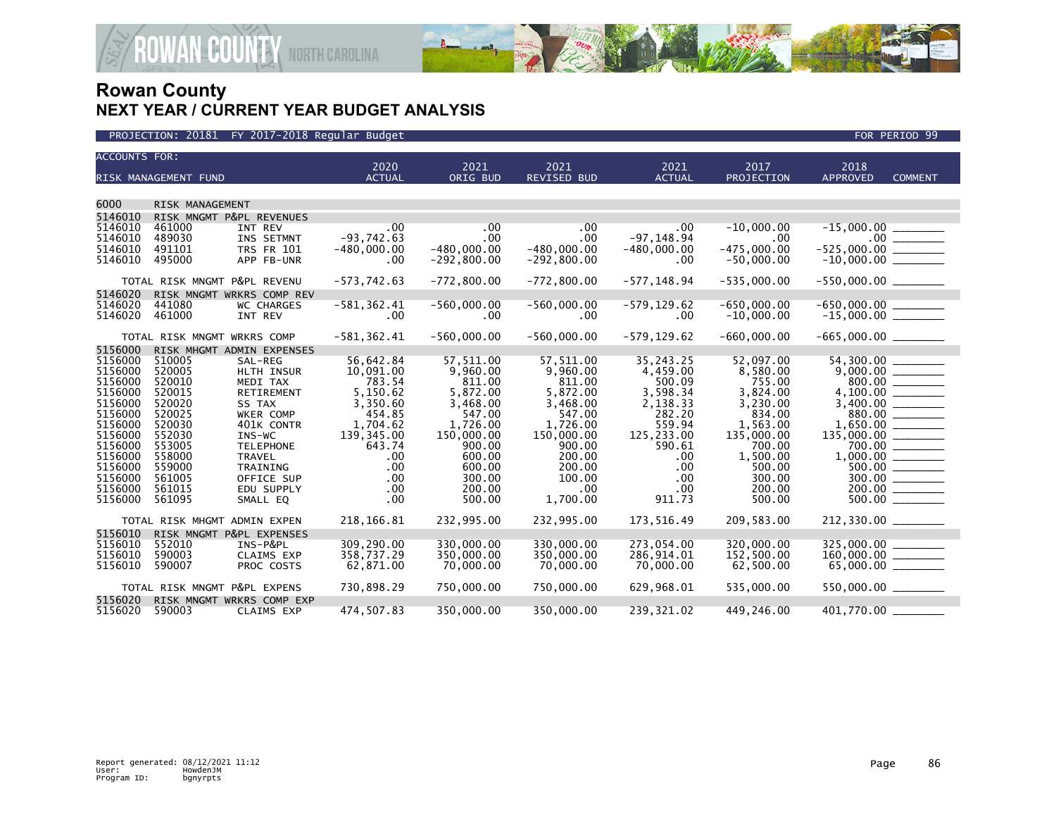

| <b>ACCOUNTS FOR:</b>                                                                                       |                                                                                                  |                                                                                                                                              | 2020                                                                                                          | 2021                                                                                                            | 2021                                                                                                            | 2021                                                                                                       | 2017                                                                                                              | 2018                                                                                                                                                                                                                                                                                                                                                           |                |
|------------------------------------------------------------------------------------------------------------|--------------------------------------------------------------------------------------------------|----------------------------------------------------------------------------------------------------------------------------------------------|---------------------------------------------------------------------------------------------------------------|-----------------------------------------------------------------------------------------------------------------|-----------------------------------------------------------------------------------------------------------------|------------------------------------------------------------------------------------------------------------|-------------------------------------------------------------------------------------------------------------------|----------------------------------------------------------------------------------------------------------------------------------------------------------------------------------------------------------------------------------------------------------------------------------------------------------------------------------------------------------------|----------------|
|                                                                                                            | RISK MANAGEMENT FUND                                                                             |                                                                                                                                              | <b>ACTUAL</b>                                                                                                 | ORIG BUD                                                                                                        | <b>REVISED BUD</b>                                                                                              | <b>ACTUAL</b>                                                                                              | PROJECTION                                                                                                        | <b>APPROVED</b>                                                                                                                                                                                                                                                                                                                                                | <b>COMMENT</b> |
| 6000                                                                                                       | RISK MANAGEMENT                                                                                  |                                                                                                                                              |                                                                                                               |                                                                                                                 |                                                                                                                 |                                                                                                            |                                                                                                                   |                                                                                                                                                                                                                                                                                                                                                                |                |
| 5146010                                                                                                    | RISK MNGMT P&PL REVENUES                                                                         |                                                                                                                                              |                                                                                                               |                                                                                                                 |                                                                                                                 |                                                                                                            |                                                                                                                   |                                                                                                                                                                                                                                                                                                                                                                |                |
| 5146010<br>5146010<br>5146010<br>5146010                                                                   | 461000<br>489030<br>491101<br>495000                                                             | INT REV<br>INS SETMNT<br><b>TRS FR 101</b><br>APP FB-UNR                                                                                     | .00<br>$-93,742.63$<br>$-480,000.00$<br>.00                                                                   | .00<br>$.00 \,$<br>$-480,000.00$<br>$-292,800.00$                                                               | .00<br>.00<br>$-480,000.00$<br>$-292,800.00$                                                                    | .00<br>$-97, 148.94$<br>$-480,000.00$<br>.00                                                               | $-10.000.00$<br>$.00 \,$<br>$-475,000.00$<br>$-50,000.00$                                                         | $-15,000.00$<br>$-525,000.00$ _________<br>$-10,000.00$ ________                                                                                                                                                                                                                                                                                               |                |
|                                                                                                            | TOTAL RISK MNGMT P&PL REVENU                                                                     |                                                                                                                                              | $-573,742.63$                                                                                                 | $-772,800.00$                                                                                                   | $-772,800.00$                                                                                                   | $-577, 148.94$                                                                                             | $-535.000.00$                                                                                                     | $-550,000.00$ _________                                                                                                                                                                                                                                                                                                                                        |                |
| 5146020                                                                                                    | RISK MNGMT WRKRS COMP REV                                                                        |                                                                                                                                              |                                                                                                               |                                                                                                                 |                                                                                                                 |                                                                                                            |                                                                                                                   |                                                                                                                                                                                                                                                                                                                                                                |                |
| 5146020<br>5146020                                                                                         | 441080<br>461000                                                                                 | <b>WC CHARGES</b><br>INT REV                                                                                                                 | $-581, 362.41$<br>.00                                                                                         | $-560,000.00$<br>$.00 \,$                                                                                       | $-560,000.00$<br>.00                                                                                            | -579,129.62<br>.00                                                                                         | $-650,000.00$<br>$-10,000.00$                                                                                     | $-650,000.00$ _________<br>-15,000.00 ________                                                                                                                                                                                                                                                                                                                 |                |
|                                                                                                            | TOTAL RISK MNGMT WRKRS COMP                                                                      |                                                                                                                                              | $-581, 362.41$                                                                                                | $-560,000.00$                                                                                                   | $-560,000.00$                                                                                                   | $-579, 129.62$                                                                                             | $-660,000.00$                                                                                                     |                                                                                                                                                                                                                                                                                                                                                                |                |
| 5156000                                                                                                    | RISK MHGMT ADMIN EXPENSES                                                                        |                                                                                                                                              |                                                                                                               |                                                                                                                 |                                                                                                                 |                                                                                                            |                                                                                                                   |                                                                                                                                                                                                                                                                                                                                                                |                |
| 5156000<br>5156000<br>5156000<br>5156000<br>5156000<br>5156000<br>5156000<br>5156000<br>5156000<br>5156000 | 510005<br>520005<br>520010<br>520015<br>520020<br>520025<br>520030<br>552030<br>553005<br>558000 | SAL-REG<br>HLTH INSUR<br>MEDI TAX<br><b>RETIREMENT</b><br>SS TAX<br>WKER COMP<br>401K CONTR<br>$INS-WC$<br><b>TELEPHONE</b><br><b>TRAVEL</b> | 56,642.84<br>10,091.00<br>783.54<br>5,150.62<br>3,350.60<br>454.85<br>1,704.62<br>139,345.00<br>643.74<br>.00 | 57,511.00<br>9,960.00<br>811.00<br>5,872.00<br>3,468.00<br>547.00<br>1.726.00<br>150,000.00<br>900.00<br>600.00 | 57,511.00<br>9,960.00<br>811.00<br>5,872.00<br>3,468.00<br>547.00<br>1.726.00<br>150,000.00<br>900.00<br>200.00 | 35,243.25<br>4,459.00<br>500.09<br>3,598.34<br>2,138.33<br>282.20<br>559.94<br>125,233.00<br>590.61<br>.00 | 52,097.00<br>8,580.00<br>755.00<br>3,824.00<br>3,230.00<br>834.00<br>1,563.00<br>135,000.00<br>700.00<br>1,500.00 |                                                                                                                                                                                                                                                                                                                                                                | 700.00         |
| 5156000<br>5156000<br>5156000<br>5156000                                                                   | 559000<br>561005<br>561015<br>561095                                                             | <b>TRAINING</b><br>OFFICE SUP<br>EDU SUPPLY<br>SMALL EQ                                                                                      | .00<br>.00<br>.00<br>.00                                                                                      | 600.00<br>300.00<br>200.00<br>500.00                                                                            | 200.00<br>100.00<br>$.00 \cdot$<br>1,700.00                                                                     | .00<br>.00<br>.00<br>911.73                                                                                | 500.00<br>300.00<br>200.00<br>500.00                                                                              |                                                                                                                                                                                                                                                                                                                                                                |                |
|                                                                                                            | TOTAL RISK MHGMT ADMIN EXPEN                                                                     |                                                                                                                                              | 218, 166.81                                                                                                   | 232,995.00                                                                                                      | 232,995.00                                                                                                      | 173,516.49                                                                                                 | 209,583.00                                                                                                        | 212,330.00                                                                                                                                                                                                                                                                                                                                                     |                |
| 5156010<br>5156010<br>5156010<br>5156010                                                                   | RISK MNGMT P&PL EXPENSES<br>552010<br>590003<br>590007                                           | INS-P&PL<br><b>CLAIMS EXP</b><br>PROC COSTS                                                                                                  | 309,290.00<br>358,737.29<br>62,871.00                                                                         | 330,000.00<br>350,000.00<br>70,000.00                                                                           | 330,000.00<br>350,000,00<br>70,000.00                                                                           | 273,054.00<br>286,914.01<br>70,000.00                                                                      | 320,000.00<br>152,500.00<br>62,500.00                                                                             | $\begin{array}{r} 325,000.00 \ \rule{0mm}{1.1mm} \rule{0mm}{2.2mm} \\ 160,000.00 \ \rule{0mm}{2.2mm} \\ \rule{0mm}{3.2mm} 65,000.00 \ \rule{0mm}{2.2mm} \rule{0mm}{2.2mm} \rule{0mm}{2.2mm} \rule{0mm}{2.2mm} \rule{0mm}{2.2mm} \rule{0mm}{2.2mm} \rule{0mm}{2.2mm} \rule{0mm}{2.2mm} \rule{0mm}{2.2mm} \rule{0mm}{2.2mm} \rule{0mm}{2.2mm} \rule{0mm}{2.2mm}$ |                |
|                                                                                                            | TOTAL RISK MNGMT P&PL EXPENS                                                                     |                                                                                                                                              | 730,898.29                                                                                                    | 750,000.00                                                                                                      | 750,000.00                                                                                                      | 629,968.01                                                                                                 | 535,000.00                                                                                                        | 550,000.00 _______                                                                                                                                                                                                                                                                                                                                             |                |
| 5156020<br>5156020                                                                                         | RISK MNGMT WRKRS COMP EXP<br>590003                                                              | <b>CLAIMS EXP</b>                                                                                                                            | 474,507.83                                                                                                    | 350,000.00                                                                                                      | 350,000.00                                                                                                      | 239,321.02                                                                                                 | 449,246.00                                                                                                        | 401,770.00                                                                                                                                                                                                                                                                                                                                                     |                |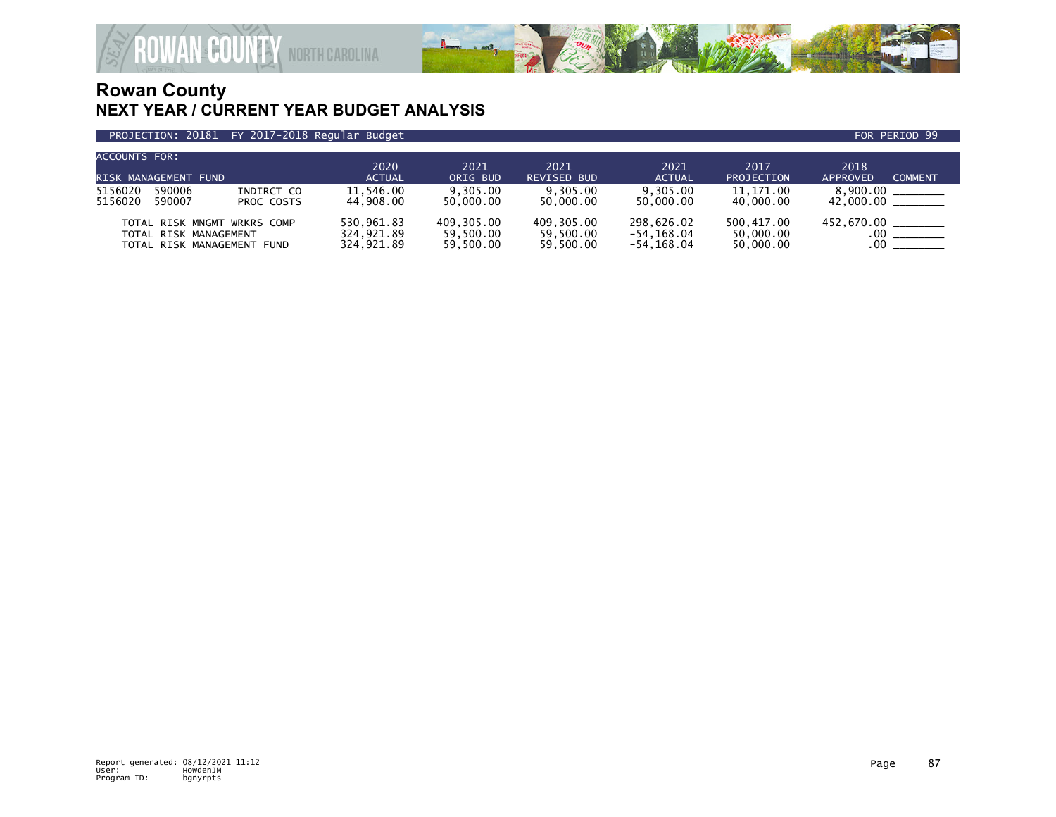

| <b>ACCOUNTS FOR:</b><br>RISK MANAGEMENT FUND                                       |                          | 2020<br><b>ACTUAL</b>                  | 2021<br>ORIG BUD                     | 2021<br><b>REVISED BUD</b>           | 2021<br><b>ACTUAL</b>                  | 2017<br><b>PROJECTION</b>            | 2018<br><b>COMMENT</b><br>APPROVED   |
|------------------------------------------------------------------------------------|--------------------------|----------------------------------------|--------------------------------------|--------------------------------------|----------------------------------------|--------------------------------------|--------------------------------------|
| 590006<br>5156020<br>5156020<br>590007                                             | INDIRCT CO<br>PROC COSTS | 11.546.00<br>44.908.00                 | 9.305.00<br>50,000,00                | 9.305.00<br>50.000.00                | 9.305.00<br>50.000.00                  | 11.171.00<br>40,000.00               | 8.900.00<br>$42,000.00$ ________     |
| TOTAL RISK MNGMT WRKRS COMP<br>TOTAL RISK MANAGEMENT<br>TOTAL RISK MANAGEMENT FUND |                          | 530.961.83<br>324.921.89<br>324.921.89 | 409.305.00<br>59.500.00<br>59.500.00 | 409.305.00<br>59,500.00<br>59.500.00 | 298.626.02<br>-54,168.04<br>-54.168.04 | 500.417.00<br>50,000.00<br>50,000.00 | 452,670.00 _______<br>$.00\,$<br>.00 |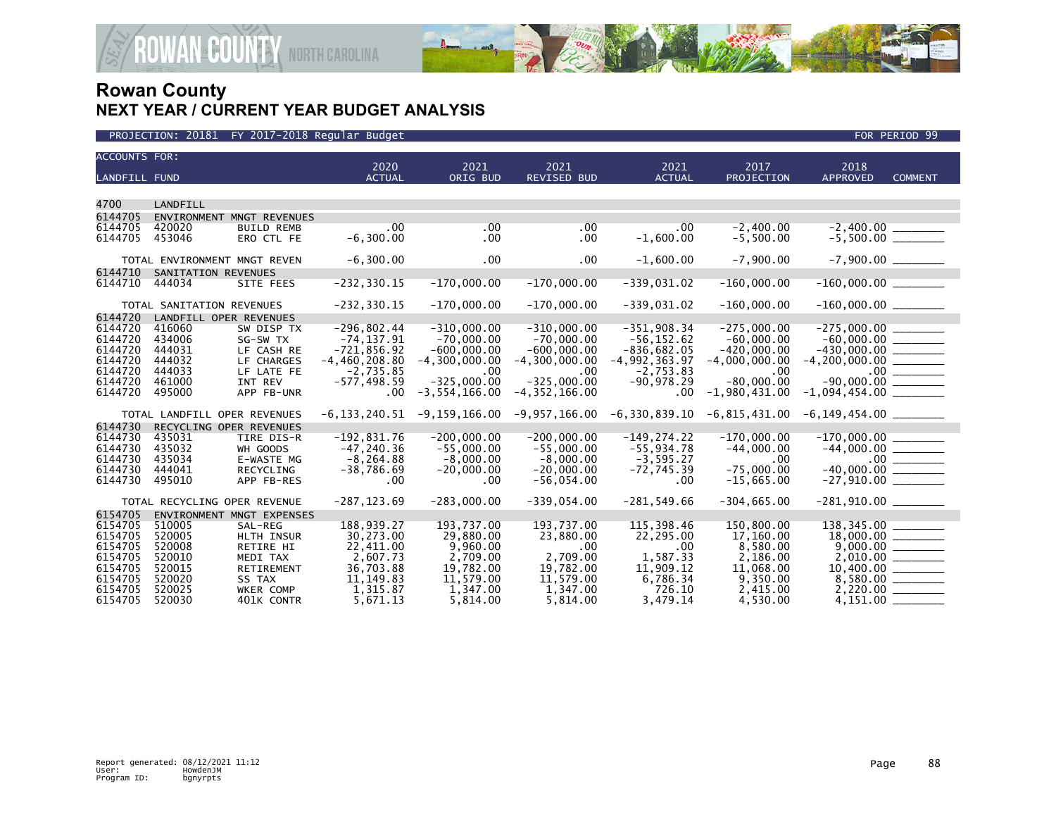

| <b>ACCOUNTS FOR:</b> |                              |                                |                              |                             |                             |                             |                          |                            |                                 |
|----------------------|------------------------------|--------------------------------|------------------------------|-----------------------------|-----------------------------|-----------------------------|--------------------------|----------------------------|---------------------------------|
| <b>LANDFILL FUND</b> |                              |                                | 2020<br><b>ACTUAL</b>        | 2021<br>ORIG BUD            | 2021<br><b>REVISED BUD</b>  | 2021<br><b>ACTUAL</b>       | 2017<br>PROJECTION       | 2018<br><b>APPROVED</b>    | <b>COMMENT</b>                  |
|                      |                              |                                |                              |                             |                             |                             |                          |                            |                                 |
| 4700                 | LANDFILL                     |                                |                              |                             |                             |                             |                          |                            |                                 |
| 6144705              |                              | ENVIRONMENT MNGT REVENUES      |                              |                             |                             |                             |                          |                            |                                 |
| 6144705              | 420020                       | <b>BUILD REMB</b>              | .00.                         | .00                         | .00                         | .00.                        | $-2.400.00$              |                            |                                 |
| 6144705              | 453046                       | ERO CTL FE                     | $-6, 300.00$                 | .00.                        | .00                         | $-1,600.00$                 | $-5,500.00$              | $-2,400.00$<br>$-5,500.00$ |                                 |
|                      |                              |                                |                              |                             |                             |                             |                          |                            |                                 |
|                      | TOTAL ENVIRONMENT MNGT REVEN |                                | $-6,300.00$                  | .00                         | .00                         | $-1,600.00$                 | $-7.900.00$              |                            |                                 |
| 6144710              | SANITATION REVENUES          |                                |                              |                             |                             |                             |                          |                            |                                 |
| 6144710              | 444034                       | SITE FEES                      | $-232, 330.15$               | $-170,000.00$               | $-170,000.00$               | $-339,031.02$               | $-160,000.00$            | $-160,000.00$ ________     |                                 |
|                      |                              |                                |                              |                             |                             |                             |                          |                            |                                 |
|                      | TOTAL SANITATION REVENUES    |                                | $-232, 330.15$               | $-170,000.00$               | $-170,000.00$               | $-339,031.02$               | $-160,000.00$            | $-160,000.00$ ________     |                                 |
| 6144720              | LANDFILL OPER REVENUES       |                                |                              |                             |                             |                             |                          |                            |                                 |
| 6144720              | 416060                       | SW DISP TX                     | $-296,802.44$                | $-310,000.00$               | $-310,000.00$               | $-351,908.34$               | $-275,000.00$            | $-275,000.00$              |                                 |
| 6144720              | 434006                       | SG-SW TX                       | $-74, 137.91$                | $-70,000.00$                | $-70,000.00$                | $-56, 152.62$               | $-60.000.00$             |                            |                                 |
| 6144720              | 444031                       | LF CASH RE                     | $-721,856.92$                | $-600,000.00$               | $-600,000.00$               | $-836,682.05$               | $-420,000.00$            | $-430,000.00$ ________     |                                 |
| 6144720              | 444032                       | LF CHARGES                     | $-4,460,208.80$              | $-4.300.000.00$             | $-4, 300, 000.00$           | $-4,992,363.97$             | $-4,000,000.00$          |                            |                                 |
| 6144720              | 444033                       | LF LATE FE                     | $-2,735.85$                  | .00                         | .00                         | $-2,753.83$                 | .00                      |                            | $\frac{1}{100}$ $\frac{1}{100}$ |
| 6144720              | 461000                       | INT REV                        | $-577, 498.59$               | $-325.000.00$               | $-325.000.00$               | $-90,978.29$                | $-80.000.00$             | $-90.000.00$               |                                 |
| 6144720              | 495000                       | APP FB-UNR                     | $.00 \times$                 | $-3,554,166.00$             | $-4, 352, 166.00$           | .00                         | $-1,980,431.00$          |                            |                                 |
|                      | TOTAL LANDFILL OPER REVENUES |                                | $-6, 133, 240.51$            | -9,159,166.00               | $-9,957,166.00$             | $-6,330,839.10$             | -6,815,431.00            | -6,149,454.00 ________     |                                 |
|                      |                              |                                |                              |                             |                             |                             |                          |                            |                                 |
| 6144730              | RECYCLING OPER REVENUES      |                                |                              |                             |                             |                             |                          |                            |                                 |
| 6144730<br>6144730   | 435031                       | TIRE DIS-R                     | $-192,831.76$                | $-200,000.00$               | $-200,000.00$               | $-149.274.22$               | $-170.000.00$            |                            |                                 |
| 6144730              | 435032<br>435034             | WH GOODS                       | $-47, 240.36$                | $-55.000.00$                | $-55.000.00$                | $-55,934.78$                | $-44,000.00$             |                            |                                 |
| 6144730              | 444041                       | E-WASTE MG<br><b>RECYCLING</b> | $-8, 264.88$<br>$-38,786.69$ | $-8,000.00$<br>$-20,000.00$ | $-8,000.00$<br>$-20,000.00$ | $-3,595.27$<br>$-72,745.39$ | $.00 \,$<br>$-75,000.00$ |                            |                                 |
| 6144730              | 495010                       | APP FB-RES                     | .00                          | .00.                        | $-56,054.00$                | .00.                        | $-15,665.00$             |                            |                                 |
|                      |                              |                                |                              |                             |                             |                             |                          |                            |                                 |
|                      | TOTAL RECYCLING OPER REVENUE |                                | $-287, 123.69$               | $-283,000.00$               | $-339,054.00$               | $-281.549.66$               | $-304.665.00$            | $-281,910.00$ ________     |                                 |
| 6154705              |                              | ENVIRONMENT MNGT EXPENSES      |                              |                             |                             |                             |                          |                            |                                 |
| 6154705              | 510005                       | SAL-REG                        | 188,939.27                   | 193,737.00                  | 193,737.00                  | 115,398.46                  | 150,800.00               | 138,345.00                 |                                 |
| 6154705              | 520005                       | HLTH INSUR                     | 30,273.00                    | 29,880.00                   | 23,880.00                   | 22,295.00                   | 17,160.00                | $18,000.00$ _______        |                                 |
| 6154705              | 520008                       | RETIRE HI                      | 22,411.00                    | 9.960.00                    | .00                         | .00                         | 8,580.00                 |                            |                                 |
| 6154705              | 520010                       | MEDI TAX                       | 2.607.73                     | 2.709.00                    | 2.709.00                    | 1.587.33                    | 2.186.00                 |                            |                                 |
| 6154705              | 520015                       | <b>RETIREMENT</b>              | 36,703.88                    | 19,782.00                   | 19,782.00                   | 11,909.12                   | 11,068.00                |                            |                                 |
| 6154705              | 520020                       | SS TAX                         | 11.149.83                    | 11.579.00                   | 11.579.00                   | 6,786.34                    | 9.350.00                 |                            |                                 |
| 6154705              | 520025                       | WKER COMP                      | 1,315.87                     | 1,347.00                    | 1,347.00                    | 726.10                      | 2,415.00                 |                            |                                 |
| 6154705              | 520030                       | 401K CONTR                     | 5,671.13                     | 5,814.00                    | 5,814.00                    | 3,479.14                    | 4,530.00                 | 4,151.00                   |                                 |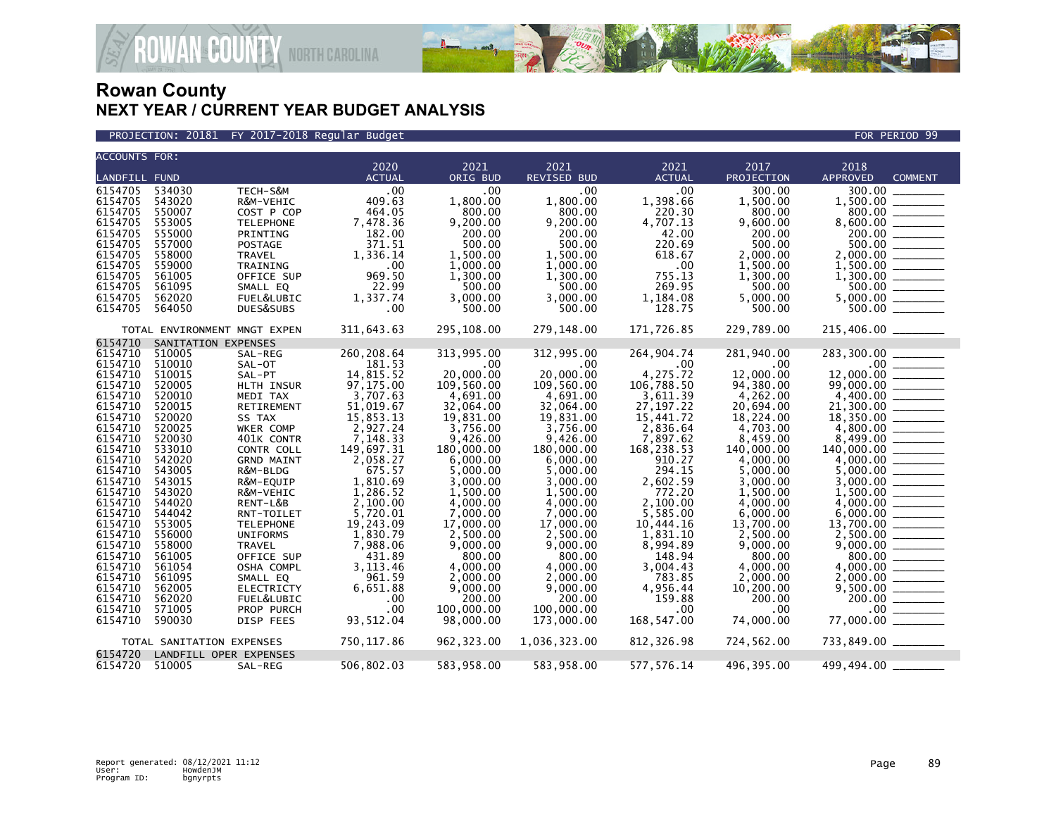

PROJECTION: 20181 FY 2017-2018 Regular Budget FOR PERIOD 99

| <b>ACCOUNTS FOR:</b> |                              |                   |               |            |                    |                  |            |                            |
|----------------------|------------------------------|-------------------|---------------|------------|--------------------|------------------|------------|----------------------------|
|                      |                              |                   | 2020          | 2021       | 2021               | 2021             | 2017       | 2018                       |
| <b>LANDFILL FUND</b> |                              |                   | <b>ACTUAL</b> | ORIG BUD   | <b>REVISED BUD</b> | <b>ACTUAL</b>    | PROJECTION | <b>COMMENT</b><br>APPROVED |
| 6154705              | 534030                       | TECH-S&M          | .00           | .00        | .00 <sub>1</sub>   | .00              | 300.00     | 300.00                     |
| 6154705              | 543020                       | R&M-VEHIC         | 409.63        | 1,800.00   | 1,800.00           | 1,398.66         | 1,500.00   | 1,500.00                   |
| 6154705              | 550007                       | COST P COP        | 464.05        | 800.00     | 800.00             | 220.30           | 800.00     | 800.00                     |
| 6154705              | 553005                       | <b>TELEPHONE</b>  | 7,478.36      | 9,200.00   | 9,200.00           | 4,707.13         | 9,600.00   | 8,600.00                   |
| 6154705              | 555000                       | PRINTING          | 182.00        | 200.00     | 200.00             | 42.00            | 200.00     |                            |
| 6154705              | 557000                       | POSTAGE           | 371.51        | 500.00     | 500.00             | 220.69           | 500.00     | 500.00                     |
| 6154705              | 558000                       | <b>TRAVEL</b>     | 1,336.14      | 1,500.00   | 1,500.00           | 618.67           | 2,000.00   | 2.000.00                   |
| 6154705              | 559000                       | TRAINING          | .00           | 1,000.00   | 1.000.00           | $.00 \,$         | 1,500.00   | 1,500.00                   |
| 6154705              | 561005                       | OFFICE SUP        | 969.50        | 1,300.00   | 1,300.00           | 755.13           | 1,300.00   | 1,300.00                   |
| 6154705              | 561095                       | SMALL EQ          | 22.99         | 500.00     | 500.00             | 269.95           | 500.00     | 500.00                     |
| 6154705              | 562020                       | FUEL&LUBIC        | 1,337.74      | 3,000.00   | 3,000.00           | 1,184.08         | 5,000.00   | 5,000.00                   |
| 6154705              | 564050                       | DUES&SUBS         | .00           | 500.00     | 500.00             | 128.75           | 500.00     | 500.00                     |
|                      |                              |                   |               |            |                    |                  |            |                            |
|                      | TOTAL ENVIRONMENT MNGT EXPEN |                   | 311,643.63    | 295,108.00 | 279,148.00         | 171,726.85       | 229,789.00 | $215,406.00$ _______       |
| 6154710              | SANITATION EXPENSES          |                   |               |            |                    |                  |            |                            |
| 6154710              | 510005                       | SAL-REG           | 260, 208.64   | 313,995.00 | 312,995.00         | 264,904.74       | 281,940.00 | 283,300.00                 |
| 6154710              | 510010                       | SAL-OT            | 181.53        | $.00 \,$   | $.00 \,$           | $.00 \,$         | .00        | $.00 \,$                   |
| 6154710              | 510015                       | SAL-PT            | 14,815.52     | 20,000.00  | 20,000.00          | 4,275.72         | 12,000.00  | 12,000.00                  |
| 6154710              | 520005                       | HLTH INSUR        | 97,175.00     | 109,560.00 | 109,560.00         | 106,788.50       | 94,380.00  | 99,000.00                  |
| 6154710              | 520010                       | MEDI TAX          | 3,707.63      | 4,691.00   | 4,691.00           | 3,611.39         | 4,262.00   | 4,400.00                   |
| 6154710              | 520015                       | RETIREMENT        | 51,019.67     | 32,064.00  | 32,064.00          | 27, 197. 22      | 20,694.00  | 21,300.00                  |
| 6154710              | 520020                       | SS TAX            | 15,853.13     | 19.831.00  | 19,831.00          | 15.441.72        | 18.224.00  | 18.350.00                  |
| 6154710              | 520025                       | WKER COMP         | 2,927.24      | 3,756.00   | 3,756.00           | 2,836.64         | 4,703.00   | 4,800.00                   |
| 6154710              | 520030                       | 401K CONTR        | 7,148.33      | 9,426.00   | 9,426.00           | 7,897.62         | 8,459.00   | 8,499.00                   |
| 6154710              | 533010                       | CONTR COLL        | 149,697.31    | 180,000.00 | 180,000.00         | 168,238.53       | 140,000.00 | 140,000.00                 |
| 6154710              | 542020                       | <b>GRND MAINT</b> | 2,058.27      | 6,000.00   | 6,000.00           | 910.27           | 4,000.00   | 4,000.00                   |
| 6154710              | 543005                       | R&M-BLDG          | 675.57        | 5,000.00   | 5,000.00           | 294.15           | 5,000.00   | 5,000.00                   |
| 6154710              | 543015                       | R&M-EQUIP         | 1,810.69      | 3,000.00   | 3.000.00           | 2,602.59         | 3,000.00   | 3.000.00                   |
| 6154710              | 543020                       | R&M-VEHIC         | 1,286.52      | 1,500.00   | 1,500.00           | 772.20           | 1,500.00   | 1,500.00                   |
| 6154710              | 544020                       | RENT-L&B          | 2.100.00      | 4.000.00   | 4.000.00           | 2,100.00         | 4.000.00   | 4.000.00                   |
| 6154710              | 544042                       | RNT-TOILET        | 5,720.01      | 7,000.00   | 7.000.00           | 5,585.00         | 6,000.00   | 6,000.00                   |
| 6154710              | 553005                       | <b>TELEPHONE</b>  | 19,243.09     | 17,000.00  | 17,000.00          | 10,444.16        | 13,700.00  | 13,700.00                  |
| 6154710              | 556000                       | <b>UNIFORMS</b>   | 1,830.79      | 2,500.00   | 2,500.00           | 1,831.10         | 2,500.00   |                            |
| 6154710              | 558000                       | <b>TRAVEL</b>     | 7,988.06      | 9,000.00   | 9,000.00           | 8,994.89         | 9,000.00   |                            |
| 6154710              | 561005                       | OFFICE SUP        | 431.89        | 800.00     | 800.00             | 148.94           | 800.00     | 800.00                     |
| 6154710              | 561054                       | OSHA COMPL        | 3, 113.46     | 4.000.00   | 4,000.00           | 3,004.43         | 4,000.00   |                            |
| 6154710              | 561095                       | SMALL EQ          | 961.59        | 2,000.00   | 2,000.00           | 783.85           | 2,000.00   | 2,000.00                   |
| 6154710              | 562005                       | <b>ELECTRICTY</b> | 6,651.88      | 9,000.00   | 9,000.00           | 4,956.44         | 10,200.00  |                            |
| 6154710              | 562020                       | FUEL&LUBIC        |               | 200.00     | 200.00             | 159.88           | 200.00     | 200.00                     |
|                      |                              |                   | .00<br>.00    | 100,000,00 | 100,000.00         | .00 <sub>1</sub> |            | .00 <sub>1</sub>           |
| 6154710              | 571005                       | PROP PURCH        |               |            |                    |                  | .00        |                            |
| 6154710              | 590030                       | DISP FEES         | 93,512.04     | 98,000.00  | 173,000.00         | 168,547.00       | 74,000.00  | 77,000.00                  |
|                      | TOTAL SANITATION EXPENSES    |                   | 750,117.86    | 962,323.00 | 1,036,323.00       | 812,326.98       | 724,562.00 | 733,849.00 ________        |
| 6154720              | LANDFILL OPER EXPENSES       |                   |               |            |                    |                  |            |                            |
| 6154720 510005       |                              | SAL-REG           | 506,802.03    | 583,958.00 | 583,958.00         | 577,576.14       | 496,395.00 | 499,494.00 _               |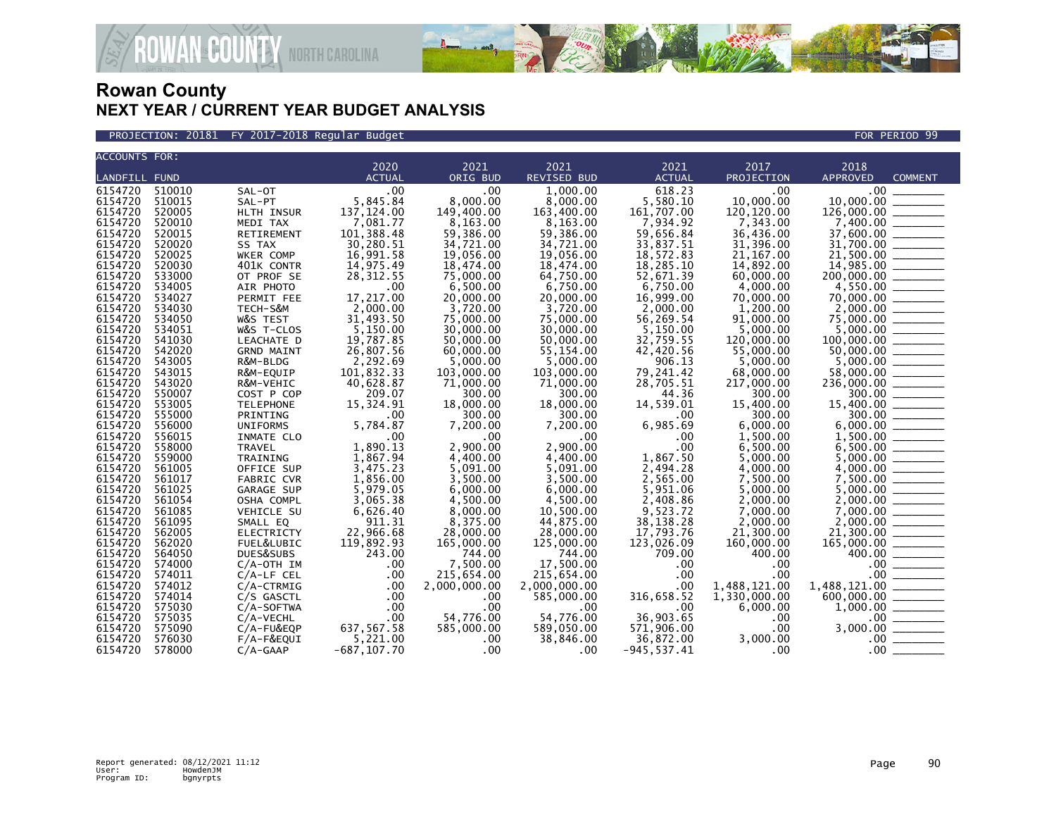

PROJECTION: 20181 FY 2017-2018 Regular Budget FOR PERIOD 99

| 2020<br>2021<br>2021<br>2021<br>2017<br>2018<br>ORIG BUD<br><b>REVISED BUD</b><br><b>LANDFILL FUND</b><br><b>ACTUAL</b><br><b>ACTUAL</b><br>PROJECTION<br><b>APPROVED</b><br><b>COMMENT</b><br>6154720<br>510010<br>.00<br>.00<br>1.000.00<br>618.23<br>.00<br>$.00 \,$<br>SAL-OT<br>5,845.84<br>8,000.00<br>10,000.00<br>6154720<br>8,000.00<br>5,580.10<br>10,000.00<br>510015<br>SAL-PT<br>137, 124.00<br>6154720<br>149,400.00<br>163,400.00<br>161.707.00<br>120, 120, 00<br>126,000,00<br>520005<br>HLTH INSUR<br>$\frac{1}{2}$<br>6154720<br>520010<br>7,081.77<br>8,163.00<br>8,163.00<br>7,934.92<br>7,343.00<br>$7,400.00$<br>37,600.00<br>31,700.00<br>31,700.00<br>MEDI TAX<br>6154720<br>520015<br>101,388.48<br>59,386.00<br>59,386.00<br>59,656.84<br>36,436.00<br>RETIREMENT<br>30,280.51<br>33,837.51<br>6154720<br>520020<br>34,721.00<br>34,721.00<br>31,396.00<br>SS TAX<br>6154720<br>520025<br>WKER COMP<br>16,991.58<br>21, 167.00<br>19,056.00<br>19,056.00<br>18,572.83<br>6154720<br>520030<br>14,975.49<br>18,474.00<br>18,474.00<br>18,285.10<br>14,892.00<br>401K CONTR<br>6154720<br>533000<br>52,671.39<br>200,000.00<br>$\begin{tabular}{ccccc} \multicolumn{2}{c }{\textbf{1} & \multicolumn{2}{c }{\textbf{2} & \multicolumn{2}{c }{\textbf{3} & \multicolumn{2}{c }{\textbf{4} & \multicolumn{2}{c }{\textbf{5} & \multicolumn{2}{c }{\textbf{6} & \multicolumn{2}{c }{\textbf{6} & \multicolumn{2}{c }{\textbf{6} & \multicolumn{2}{c }{\textbf{6} & \multicolumn{2}{c }{\textbf{6} & \multicolumn{2}{c }{\textbf{6} & \multicolumn{2}{c }{\textbf{6} & \multicolumn{2}{$<br>28, 312.55<br>75,000.00<br>64,750.00<br>60,000.00<br>OT PROF SE<br>6.750.00<br>6154720<br>4,000,00<br>534005<br>AIR PHOTO<br>.00<br>6,500.00<br>6.750.00<br>6154720<br>534027<br>PERMIT FEE<br>17,217.00<br>20,000,00<br>20,000.00<br>16,999.00<br>70.000.00<br>$70,000.00$<br>$75,000.00$<br>$75,000.00$<br>$5,000.00$<br>$100,000.00$<br>$50,000.00$<br>$50,000.00$<br>2,000.00<br>3,720.00<br>3,720.00<br>1,200.00<br>6154720<br>534030<br>TECH-S&M<br>2,000.00<br>6154720<br>31,493.50<br>75,000.00<br>56,269.54<br>534050<br>W&S TEST<br>75,000.00<br>91,000.00<br>6154720<br>5,150.00<br>534051<br>30,000.00<br>30,000.00<br>5,150.00<br>5.000.00<br>W&S T-CLOS<br>6154720<br>541030<br>LEACHATE D<br>19,787.85<br>50,000.00<br>50,000.00<br>32,759.55<br>120,000.00<br>6154720<br>542020<br>26,807.56<br>42,420.56<br>55,000.00<br>60,000.00<br>55, 154.00<br><b>GRND MAINT</b><br>6154720<br>2,292.69<br>5,000,00<br>906.13<br>543005<br>5.000.00<br>5.000.00<br>5.000.00<br>R&M-BLDG<br>$\frac{1}{2} \left( \frac{1}{2} \right) \left( \frac{1}{2} \right) \left( \frac{1}{2} \right) \left( \frac{1}{2} \right) \left( \frac{1}{2} \right) \left( \frac{1}{2} \right) \left( \frac{1}{2} \right) \left( \frac{1}{2} \right) \left( \frac{1}{2} \right) \left( \frac{1}{2} \right) \left( \frac{1}{2} \right) \left( \frac{1}{2} \right) \left( \frac{1}{2} \right) \left( \frac{1}{2} \right) \left( \frac{1}{2} \right) \left( \frac{1}{2} \right) \left( \frac$<br>101,832.33<br>79,241.42<br>$\begin{array}{r} 58,000.00 \ \hline 300.00 \ \hline 300.00 \ \hline 15,400.00 \ \hline 300.00 \ \hline \end{array}$<br>543015<br>R&M-EQUIP<br>103,000.00<br>103,000.00<br>68,000.00<br>6154720<br>543020<br>40,628.87<br>71,000.00<br>71,000.00<br>28,705.51<br>217,000.00<br>R&M-VEHIC<br>550007<br>209.07<br>300.00<br>300.00<br>44.36<br>300.00<br>COST P COP<br>15,324.91<br>18,000.00<br>14,539.01<br>6154720<br>553005<br>18,000,00<br>15,400.00<br><b>TELEPHONE</b><br>6154720<br>300.00<br>300.00<br>555000<br>PRINTING<br>.00<br>300.00<br>.00<br>6154720<br>5,784.87<br>6,985.69<br>6,000.00<br>556000<br>7,200.00<br>7,200.00<br><b>UNIFORMS</b><br>6154720<br>.00<br>.00<br>1,500.00<br>556015<br>.00<br>INMATE CLO<br>.00<br>1,890.13<br>2,900.00<br>2,900.00<br>558000<br>.00<br>6,500.00<br><b>TRAVEL</b><br>1,867.94<br>1,867.50<br>6154720<br>559000<br>4.400.00<br>4.400.00<br>5.000.00<br>TRAINING<br>6154720<br>3,475.23<br>5,091.00<br>2,494.28<br>561005<br>5,091.00<br>4,000.00<br>OFFICE SUP<br>6154720<br>3,500.00<br>3,500.00<br>2,565.00<br>7,500.00<br>561017<br>1,856.00<br>FABRIC CVR<br>5,979.05<br>5,951.06<br>6154720<br>561025<br>6.000.00<br>6.000.00<br>5,000.00<br>GARAGE SUP<br>6154720<br>561054<br>3,065.38<br>4.500.00<br>4.500.00<br>2,408.86<br>2.000.00<br>OSHA COMPL<br>6154720<br>6,626.40<br>9,523.72<br>7,000.00<br>561085<br>8,000.00<br>10,500.00<br>VEHICLE SU<br>6154720<br>911.31<br>44,875.00<br>38, 138. 28<br>2,000.00<br>2,000.00<br>561095<br>8,375.00<br>SMALL EQ<br>$\frac{1}{10000000}$<br>$\frac{1}{10000000}$<br>$\frac{1}{10000000}$<br>$\frac{1}{100000000}$<br>$\frac{1}{1000000000}$<br>$\frac{1}{10000000000}$<br>22,966.68<br>6154720<br>28,000.00<br>17.793.76<br>21,300.00<br>21,300.00<br>562005<br><b>ELECTRICTY</b><br>28,000.00<br>6154720<br>562020<br>119,892.93<br>165,000.00<br>125,000.00<br>123,026.09<br>160,000.00<br>165,000.00<br>FUEL&LUBIC<br>243.00<br>6154720<br>564050<br>744.00<br>744.00<br>709.00<br>400.00<br>DUES&SUBS<br>7,500.00<br>6154720<br>17.500.00<br>574000<br>$C/A$ -OTH IM<br>.00<br>.00<br>$.00 \,$<br>$.00 \,$<br>6154720<br>574011<br>215,654.00<br>.00<br>$C/A$ -LF CEL<br>.00<br>215,654.00<br>.00<br>$\begin{tabular}{ccccc} \multicolumn{2}{c }{\textbf{1} & \textbf{2} & \textbf{3} & \textbf{4} & \textbf{5} & \textbf{5} & \textbf{6} & \textbf{6} & \textbf{7} & \textbf{8} & \textbf{8} & \textbf{9} & \textbf{10} & \textbf{10} & \textbf{10} & \textbf{10} & \textbf{10} & \textbf{10} & \textbf{10} & \textbf{10} & \textbf{10} & \textbf{10} & \textbf{10} & \textbf{10} & \textbf{10} & \textbf{10} & \textbf{1$<br><u> Tanzania (</u><br>6154720<br>2,000,000.00<br>1.488.121.00<br>574012<br>$C/A$ -CTRMIG<br>.00<br>2.000.000.00<br>.00<br>1.488.121.00<br>316,658.52<br>6154720<br>1,330,000.00<br>600,000.00<br>574014<br>.00<br>585,000.00<br>C/S GASCTL<br>$.00 \times$<br>6154720<br>.00<br>1,000.00<br>575030<br>.00<br>.00<br>.00<br>6,000.00<br>C/A-SOFTWA<br>54,776.00<br>36,903.65<br>6154720<br>575035<br>.00<br>54,776.00<br>$C/A$ -VECHL<br>.00<br>637,567.58<br>571,906.00<br>$.00 \,$<br>6154720<br>575090<br>585,000.00<br>589,050.00<br>$C/A$ -FU&EQP<br>6154720<br>576030<br>5,221.00<br>36,872.00<br>3,000.00<br>.00<br>38,846.00<br>$F/A-F\&EQUI$<br>$.00 \,$ | <b>ACCOUNTS FOR:</b> |        |            |                |              |     |                |     |          |
|---------------------------------------------------------------------------------------------------------------------------------------------------------------------------------------------------------------------------------------------------------------------------------------------------------------------------------------------------------------------------------------------------------------------------------------------------------------------------------------------------------------------------------------------------------------------------------------------------------------------------------------------------------------------------------------------------------------------------------------------------------------------------------------------------------------------------------------------------------------------------------------------------------------------------------------------------------------------------------------------------------------------------------------------------------------------------------------------------------------------------------------------------------------------------------------------------------------------------------------------------------------------------------------------------------------------------------------------------------------------------------------------------------------------------------------------------------------------------------------------------------------------------------------------------------------------------------------------------------------------------------------------------------------------------------------------------------------------------------------------------------------------------------------------------------------------------------------------------------------------------------------------------------------------------------------------------------------------------------------------------------------------------------------------------------------------------------------------------------------------------------------------------------------------------------------------------------------------------------------------------------------------------------------------------------------------------------------------------------------------------------------------------------------------------------------------------------------------------------------------------------------------------------------------------------------------------------------------------------------------------------------------------------------------------------------------------------------------------------------------------------------------------------------------------------------------------------------------------------------------------------------------------------------------------------------------------------------------------------------------------------------------------------------------------------------------------------------------------------------------------------------------------------------------------------------------------------------------------------------------------------------------------------------------------------------------------------------------------------------------------------------------------------------------------------------------------------------------------------------------------------------------------------------------------------------------------------------------------------------------------------------------------------------------------------------------------------------------------------------------------------------------------------------------------------------------------------------------------------------------------------------------------------------------------------------------------------------------------------------------------------------------------------------------------------------------------------------------------------------------------------------------------------------------------------------------------------------------------------------------------------------------------------------------------------------------------------------------------------------------------------------------------------------------------------------------------------------------------------------------------------------------------------------------------------------------------------------------------------------------------------------------------------------------------------------------------------------------------------------------------------------------------------------------------------------------------------------------------------------------------------------------------------------------------------------------------------------------------------------------------------------------------------------------------------------------------------------------------------------------------------------------------------------------------------------------------------------------------------------------------------------------------------------------------------------------------------------------------------------------------------------------------------------------------------------------------------------------------------------------------------------------------------------------------------------------------------------------------------------------------------------------------------------------------------------------------------------------------------------------------------------------------------------------------------------------------------------------------------------------------------------------------------------------------------------------------------------------------------------------------------------------------------------------------------------------------------------------------------------------------------------------------------------------------------------------------------------------------------------------------------------------------------------------------------------------------------------------------------------------------------------------------------------------------------------------|----------------------|--------|------------|----------------|--------------|-----|----------------|-----|----------|
|                                                                                                                                                                                                                                                                                                                                                                                                                                                                                                                                                                                                                                                                                                                                                                                                                                                                                                                                                                                                                                                                                                                                                                                                                                                                                                                                                                                                                                                                                                                                                                                                                                                                                                                                                                                                                                                                                                                                                                                                                                                                                                                                                                                                                                                                                                                                                                                                                                                                                                                                                                                                                                                                                                                                                                                                                                                                                                                                                                                                                                                                                                                                                                                                                                                                                                                                                                                                                                                                                                                                                                                                                                                                                                                                                                                                                                                                                                                                                                                                                                                                                                                                                                                                                                                                                                                                                                                                                                                                                                                                                                                                                                                                                                                                                                                                                                                                                                                                                                                                                                                                                                                                                                                                                                                                                                                                                                                                                                                                                                                                                                                                                                                                                                                                                                                                                                                                                                                                                                                                                                                                                                                                                                                                                                                                                                                                                                                                                                             |                      |        |            |                |              |     |                |     |          |
|                                                                                                                                                                                                                                                                                                                                                                                                                                                                                                                                                                                                                                                                                                                                                                                                                                                                                                                                                                                                                                                                                                                                                                                                                                                                                                                                                                                                                                                                                                                                                                                                                                                                                                                                                                                                                                                                                                                                                                                                                                                                                                                                                                                                                                                                                                                                                                                                                                                                                                                                                                                                                                                                                                                                                                                                                                                                                                                                                                                                                                                                                                                                                                                                                                                                                                                                                                                                                                                                                                                                                                                                                                                                                                                                                                                                                                                                                                                                                                                                                                                                                                                                                                                                                                                                                                                                                                                                                                                                                                                                                                                                                                                                                                                                                                                                                                                                                                                                                                                                                                                                                                                                                                                                                                                                                                                                                                                                                                                                                                                                                                                                                                                                                                                                                                                                                                                                                                                                                                                                                                                                                                                                                                                                                                                                                                                                                                                                                                             |                      |        |            |                |              |     |                |     |          |
|                                                                                                                                                                                                                                                                                                                                                                                                                                                                                                                                                                                                                                                                                                                                                                                                                                                                                                                                                                                                                                                                                                                                                                                                                                                                                                                                                                                                                                                                                                                                                                                                                                                                                                                                                                                                                                                                                                                                                                                                                                                                                                                                                                                                                                                                                                                                                                                                                                                                                                                                                                                                                                                                                                                                                                                                                                                                                                                                                                                                                                                                                                                                                                                                                                                                                                                                                                                                                                                                                                                                                                                                                                                                                                                                                                                                                                                                                                                                                                                                                                                                                                                                                                                                                                                                                                                                                                                                                                                                                                                                                                                                                                                                                                                                                                                                                                                                                                                                                                                                                                                                                                                                                                                                                                                                                                                                                                                                                                                                                                                                                                                                                                                                                                                                                                                                                                                                                                                                                                                                                                                                                                                                                                                                                                                                                                                                                                                                                                             |                      |        |            |                |              |     |                |     |          |
|                                                                                                                                                                                                                                                                                                                                                                                                                                                                                                                                                                                                                                                                                                                                                                                                                                                                                                                                                                                                                                                                                                                                                                                                                                                                                                                                                                                                                                                                                                                                                                                                                                                                                                                                                                                                                                                                                                                                                                                                                                                                                                                                                                                                                                                                                                                                                                                                                                                                                                                                                                                                                                                                                                                                                                                                                                                                                                                                                                                                                                                                                                                                                                                                                                                                                                                                                                                                                                                                                                                                                                                                                                                                                                                                                                                                                                                                                                                                                                                                                                                                                                                                                                                                                                                                                                                                                                                                                                                                                                                                                                                                                                                                                                                                                                                                                                                                                                                                                                                                                                                                                                                                                                                                                                                                                                                                                                                                                                                                                                                                                                                                                                                                                                                                                                                                                                                                                                                                                                                                                                                                                                                                                                                                                                                                                                                                                                                                                                             |                      |        |            |                |              |     |                |     |          |
|                                                                                                                                                                                                                                                                                                                                                                                                                                                                                                                                                                                                                                                                                                                                                                                                                                                                                                                                                                                                                                                                                                                                                                                                                                                                                                                                                                                                                                                                                                                                                                                                                                                                                                                                                                                                                                                                                                                                                                                                                                                                                                                                                                                                                                                                                                                                                                                                                                                                                                                                                                                                                                                                                                                                                                                                                                                                                                                                                                                                                                                                                                                                                                                                                                                                                                                                                                                                                                                                                                                                                                                                                                                                                                                                                                                                                                                                                                                                                                                                                                                                                                                                                                                                                                                                                                                                                                                                                                                                                                                                                                                                                                                                                                                                                                                                                                                                                                                                                                                                                                                                                                                                                                                                                                                                                                                                                                                                                                                                                                                                                                                                                                                                                                                                                                                                                                                                                                                                                                                                                                                                                                                                                                                                                                                                                                                                                                                                                                             |                      |        |            |                |              |     |                |     |          |
|                                                                                                                                                                                                                                                                                                                                                                                                                                                                                                                                                                                                                                                                                                                                                                                                                                                                                                                                                                                                                                                                                                                                                                                                                                                                                                                                                                                                                                                                                                                                                                                                                                                                                                                                                                                                                                                                                                                                                                                                                                                                                                                                                                                                                                                                                                                                                                                                                                                                                                                                                                                                                                                                                                                                                                                                                                                                                                                                                                                                                                                                                                                                                                                                                                                                                                                                                                                                                                                                                                                                                                                                                                                                                                                                                                                                                                                                                                                                                                                                                                                                                                                                                                                                                                                                                                                                                                                                                                                                                                                                                                                                                                                                                                                                                                                                                                                                                                                                                                                                                                                                                                                                                                                                                                                                                                                                                                                                                                                                                                                                                                                                                                                                                                                                                                                                                                                                                                                                                                                                                                                                                                                                                                                                                                                                                                                                                                                                                                             |                      |        |            |                |              |     |                |     |          |
|                                                                                                                                                                                                                                                                                                                                                                                                                                                                                                                                                                                                                                                                                                                                                                                                                                                                                                                                                                                                                                                                                                                                                                                                                                                                                                                                                                                                                                                                                                                                                                                                                                                                                                                                                                                                                                                                                                                                                                                                                                                                                                                                                                                                                                                                                                                                                                                                                                                                                                                                                                                                                                                                                                                                                                                                                                                                                                                                                                                                                                                                                                                                                                                                                                                                                                                                                                                                                                                                                                                                                                                                                                                                                                                                                                                                                                                                                                                                                                                                                                                                                                                                                                                                                                                                                                                                                                                                                                                                                                                                                                                                                                                                                                                                                                                                                                                                                                                                                                                                                                                                                                                                                                                                                                                                                                                                                                                                                                                                                                                                                                                                                                                                                                                                                                                                                                                                                                                                                                                                                                                                                                                                                                                                                                                                                                                                                                                                                                             |                      |        |            |                |              |     |                |     |          |
|                                                                                                                                                                                                                                                                                                                                                                                                                                                                                                                                                                                                                                                                                                                                                                                                                                                                                                                                                                                                                                                                                                                                                                                                                                                                                                                                                                                                                                                                                                                                                                                                                                                                                                                                                                                                                                                                                                                                                                                                                                                                                                                                                                                                                                                                                                                                                                                                                                                                                                                                                                                                                                                                                                                                                                                                                                                                                                                                                                                                                                                                                                                                                                                                                                                                                                                                                                                                                                                                                                                                                                                                                                                                                                                                                                                                                                                                                                                                                                                                                                                                                                                                                                                                                                                                                                                                                                                                                                                                                                                                                                                                                                                                                                                                                                                                                                                                                                                                                                                                                                                                                                                                                                                                                                                                                                                                                                                                                                                                                                                                                                                                                                                                                                                                                                                                                                                                                                                                                                                                                                                                                                                                                                                                                                                                                                                                                                                                                                             |                      |        |            |                |              |     |                |     |          |
|                                                                                                                                                                                                                                                                                                                                                                                                                                                                                                                                                                                                                                                                                                                                                                                                                                                                                                                                                                                                                                                                                                                                                                                                                                                                                                                                                                                                                                                                                                                                                                                                                                                                                                                                                                                                                                                                                                                                                                                                                                                                                                                                                                                                                                                                                                                                                                                                                                                                                                                                                                                                                                                                                                                                                                                                                                                                                                                                                                                                                                                                                                                                                                                                                                                                                                                                                                                                                                                                                                                                                                                                                                                                                                                                                                                                                                                                                                                                                                                                                                                                                                                                                                                                                                                                                                                                                                                                                                                                                                                                                                                                                                                                                                                                                                                                                                                                                                                                                                                                                                                                                                                                                                                                                                                                                                                                                                                                                                                                                                                                                                                                                                                                                                                                                                                                                                                                                                                                                                                                                                                                                                                                                                                                                                                                                                                                                                                                                                             |                      |        |            |                |              |     |                |     |          |
|                                                                                                                                                                                                                                                                                                                                                                                                                                                                                                                                                                                                                                                                                                                                                                                                                                                                                                                                                                                                                                                                                                                                                                                                                                                                                                                                                                                                                                                                                                                                                                                                                                                                                                                                                                                                                                                                                                                                                                                                                                                                                                                                                                                                                                                                                                                                                                                                                                                                                                                                                                                                                                                                                                                                                                                                                                                                                                                                                                                                                                                                                                                                                                                                                                                                                                                                                                                                                                                                                                                                                                                                                                                                                                                                                                                                                                                                                                                                                                                                                                                                                                                                                                                                                                                                                                                                                                                                                                                                                                                                                                                                                                                                                                                                                                                                                                                                                                                                                                                                                                                                                                                                                                                                                                                                                                                                                                                                                                                                                                                                                                                                                                                                                                                                                                                                                                                                                                                                                                                                                                                                                                                                                                                                                                                                                                                                                                                                                                             |                      |        |            |                |              |     |                |     |          |
|                                                                                                                                                                                                                                                                                                                                                                                                                                                                                                                                                                                                                                                                                                                                                                                                                                                                                                                                                                                                                                                                                                                                                                                                                                                                                                                                                                                                                                                                                                                                                                                                                                                                                                                                                                                                                                                                                                                                                                                                                                                                                                                                                                                                                                                                                                                                                                                                                                                                                                                                                                                                                                                                                                                                                                                                                                                                                                                                                                                                                                                                                                                                                                                                                                                                                                                                                                                                                                                                                                                                                                                                                                                                                                                                                                                                                                                                                                                                                                                                                                                                                                                                                                                                                                                                                                                                                                                                                                                                                                                                                                                                                                                                                                                                                                                                                                                                                                                                                                                                                                                                                                                                                                                                                                                                                                                                                                                                                                                                                                                                                                                                                                                                                                                                                                                                                                                                                                                                                                                                                                                                                                                                                                                                                                                                                                                                                                                                                                             |                      |        |            |                |              |     |                |     |          |
|                                                                                                                                                                                                                                                                                                                                                                                                                                                                                                                                                                                                                                                                                                                                                                                                                                                                                                                                                                                                                                                                                                                                                                                                                                                                                                                                                                                                                                                                                                                                                                                                                                                                                                                                                                                                                                                                                                                                                                                                                                                                                                                                                                                                                                                                                                                                                                                                                                                                                                                                                                                                                                                                                                                                                                                                                                                                                                                                                                                                                                                                                                                                                                                                                                                                                                                                                                                                                                                                                                                                                                                                                                                                                                                                                                                                                                                                                                                                                                                                                                                                                                                                                                                                                                                                                                                                                                                                                                                                                                                                                                                                                                                                                                                                                                                                                                                                                                                                                                                                                                                                                                                                                                                                                                                                                                                                                                                                                                                                                                                                                                                                                                                                                                                                                                                                                                                                                                                                                                                                                                                                                                                                                                                                                                                                                                                                                                                                                                             |                      |        |            |                |              |     |                |     |          |
|                                                                                                                                                                                                                                                                                                                                                                                                                                                                                                                                                                                                                                                                                                                                                                                                                                                                                                                                                                                                                                                                                                                                                                                                                                                                                                                                                                                                                                                                                                                                                                                                                                                                                                                                                                                                                                                                                                                                                                                                                                                                                                                                                                                                                                                                                                                                                                                                                                                                                                                                                                                                                                                                                                                                                                                                                                                                                                                                                                                                                                                                                                                                                                                                                                                                                                                                                                                                                                                                                                                                                                                                                                                                                                                                                                                                                                                                                                                                                                                                                                                                                                                                                                                                                                                                                                                                                                                                                                                                                                                                                                                                                                                                                                                                                                                                                                                                                                                                                                                                                                                                                                                                                                                                                                                                                                                                                                                                                                                                                                                                                                                                                                                                                                                                                                                                                                                                                                                                                                                                                                                                                                                                                                                                                                                                                                                                                                                                                                             |                      |        |            |                |              |     |                |     |          |
|                                                                                                                                                                                                                                                                                                                                                                                                                                                                                                                                                                                                                                                                                                                                                                                                                                                                                                                                                                                                                                                                                                                                                                                                                                                                                                                                                                                                                                                                                                                                                                                                                                                                                                                                                                                                                                                                                                                                                                                                                                                                                                                                                                                                                                                                                                                                                                                                                                                                                                                                                                                                                                                                                                                                                                                                                                                                                                                                                                                                                                                                                                                                                                                                                                                                                                                                                                                                                                                                                                                                                                                                                                                                                                                                                                                                                                                                                                                                                                                                                                                                                                                                                                                                                                                                                                                                                                                                                                                                                                                                                                                                                                                                                                                                                                                                                                                                                                                                                                                                                                                                                                                                                                                                                                                                                                                                                                                                                                                                                                                                                                                                                                                                                                                                                                                                                                                                                                                                                                                                                                                                                                                                                                                                                                                                                                                                                                                                                                             |                      |        |            |                |              |     |                |     |          |
|                                                                                                                                                                                                                                                                                                                                                                                                                                                                                                                                                                                                                                                                                                                                                                                                                                                                                                                                                                                                                                                                                                                                                                                                                                                                                                                                                                                                                                                                                                                                                                                                                                                                                                                                                                                                                                                                                                                                                                                                                                                                                                                                                                                                                                                                                                                                                                                                                                                                                                                                                                                                                                                                                                                                                                                                                                                                                                                                                                                                                                                                                                                                                                                                                                                                                                                                                                                                                                                                                                                                                                                                                                                                                                                                                                                                                                                                                                                                                                                                                                                                                                                                                                                                                                                                                                                                                                                                                                                                                                                                                                                                                                                                                                                                                                                                                                                                                                                                                                                                                                                                                                                                                                                                                                                                                                                                                                                                                                                                                                                                                                                                                                                                                                                                                                                                                                                                                                                                                                                                                                                                                                                                                                                                                                                                                                                                                                                                                                             |                      |        |            |                |              |     |                |     |          |
|                                                                                                                                                                                                                                                                                                                                                                                                                                                                                                                                                                                                                                                                                                                                                                                                                                                                                                                                                                                                                                                                                                                                                                                                                                                                                                                                                                                                                                                                                                                                                                                                                                                                                                                                                                                                                                                                                                                                                                                                                                                                                                                                                                                                                                                                                                                                                                                                                                                                                                                                                                                                                                                                                                                                                                                                                                                                                                                                                                                                                                                                                                                                                                                                                                                                                                                                                                                                                                                                                                                                                                                                                                                                                                                                                                                                                                                                                                                                                                                                                                                                                                                                                                                                                                                                                                                                                                                                                                                                                                                                                                                                                                                                                                                                                                                                                                                                                                                                                                                                                                                                                                                                                                                                                                                                                                                                                                                                                                                                                                                                                                                                                                                                                                                                                                                                                                                                                                                                                                                                                                                                                                                                                                                                                                                                                                                                                                                                                                             |                      |        |            |                |              |     |                |     |          |
|                                                                                                                                                                                                                                                                                                                                                                                                                                                                                                                                                                                                                                                                                                                                                                                                                                                                                                                                                                                                                                                                                                                                                                                                                                                                                                                                                                                                                                                                                                                                                                                                                                                                                                                                                                                                                                                                                                                                                                                                                                                                                                                                                                                                                                                                                                                                                                                                                                                                                                                                                                                                                                                                                                                                                                                                                                                                                                                                                                                                                                                                                                                                                                                                                                                                                                                                                                                                                                                                                                                                                                                                                                                                                                                                                                                                                                                                                                                                                                                                                                                                                                                                                                                                                                                                                                                                                                                                                                                                                                                                                                                                                                                                                                                                                                                                                                                                                                                                                                                                                                                                                                                                                                                                                                                                                                                                                                                                                                                                                                                                                                                                                                                                                                                                                                                                                                                                                                                                                                                                                                                                                                                                                                                                                                                                                                                                                                                                                                             |                      |        |            |                |              |     |                |     |          |
|                                                                                                                                                                                                                                                                                                                                                                                                                                                                                                                                                                                                                                                                                                                                                                                                                                                                                                                                                                                                                                                                                                                                                                                                                                                                                                                                                                                                                                                                                                                                                                                                                                                                                                                                                                                                                                                                                                                                                                                                                                                                                                                                                                                                                                                                                                                                                                                                                                                                                                                                                                                                                                                                                                                                                                                                                                                                                                                                                                                                                                                                                                                                                                                                                                                                                                                                                                                                                                                                                                                                                                                                                                                                                                                                                                                                                                                                                                                                                                                                                                                                                                                                                                                                                                                                                                                                                                                                                                                                                                                                                                                                                                                                                                                                                                                                                                                                                                                                                                                                                                                                                                                                                                                                                                                                                                                                                                                                                                                                                                                                                                                                                                                                                                                                                                                                                                                                                                                                                                                                                                                                                                                                                                                                                                                                                                                                                                                                                                             |                      |        |            |                |              |     |                |     |          |
|                                                                                                                                                                                                                                                                                                                                                                                                                                                                                                                                                                                                                                                                                                                                                                                                                                                                                                                                                                                                                                                                                                                                                                                                                                                                                                                                                                                                                                                                                                                                                                                                                                                                                                                                                                                                                                                                                                                                                                                                                                                                                                                                                                                                                                                                                                                                                                                                                                                                                                                                                                                                                                                                                                                                                                                                                                                                                                                                                                                                                                                                                                                                                                                                                                                                                                                                                                                                                                                                                                                                                                                                                                                                                                                                                                                                                                                                                                                                                                                                                                                                                                                                                                                                                                                                                                                                                                                                                                                                                                                                                                                                                                                                                                                                                                                                                                                                                                                                                                                                                                                                                                                                                                                                                                                                                                                                                                                                                                                                                                                                                                                                                                                                                                                                                                                                                                                                                                                                                                                                                                                                                                                                                                                                                                                                                                                                                                                                                                             |                      |        |            |                |              |     |                |     |          |
|                                                                                                                                                                                                                                                                                                                                                                                                                                                                                                                                                                                                                                                                                                                                                                                                                                                                                                                                                                                                                                                                                                                                                                                                                                                                                                                                                                                                                                                                                                                                                                                                                                                                                                                                                                                                                                                                                                                                                                                                                                                                                                                                                                                                                                                                                                                                                                                                                                                                                                                                                                                                                                                                                                                                                                                                                                                                                                                                                                                                                                                                                                                                                                                                                                                                                                                                                                                                                                                                                                                                                                                                                                                                                                                                                                                                                                                                                                                                                                                                                                                                                                                                                                                                                                                                                                                                                                                                                                                                                                                                                                                                                                                                                                                                                                                                                                                                                                                                                                                                                                                                                                                                                                                                                                                                                                                                                                                                                                                                                                                                                                                                                                                                                                                                                                                                                                                                                                                                                                                                                                                                                                                                                                                                                                                                                                                                                                                                                                             | 6154720              |        |            |                |              |     |                |     |          |
|                                                                                                                                                                                                                                                                                                                                                                                                                                                                                                                                                                                                                                                                                                                                                                                                                                                                                                                                                                                                                                                                                                                                                                                                                                                                                                                                                                                                                                                                                                                                                                                                                                                                                                                                                                                                                                                                                                                                                                                                                                                                                                                                                                                                                                                                                                                                                                                                                                                                                                                                                                                                                                                                                                                                                                                                                                                                                                                                                                                                                                                                                                                                                                                                                                                                                                                                                                                                                                                                                                                                                                                                                                                                                                                                                                                                                                                                                                                                                                                                                                                                                                                                                                                                                                                                                                                                                                                                                                                                                                                                                                                                                                                                                                                                                                                                                                                                                                                                                                                                                                                                                                                                                                                                                                                                                                                                                                                                                                                                                                                                                                                                                                                                                                                                                                                                                                                                                                                                                                                                                                                                                                                                                                                                                                                                                                                                                                                                                                             |                      |        |            |                |              |     |                |     |          |
|                                                                                                                                                                                                                                                                                                                                                                                                                                                                                                                                                                                                                                                                                                                                                                                                                                                                                                                                                                                                                                                                                                                                                                                                                                                                                                                                                                                                                                                                                                                                                                                                                                                                                                                                                                                                                                                                                                                                                                                                                                                                                                                                                                                                                                                                                                                                                                                                                                                                                                                                                                                                                                                                                                                                                                                                                                                                                                                                                                                                                                                                                                                                                                                                                                                                                                                                                                                                                                                                                                                                                                                                                                                                                                                                                                                                                                                                                                                                                                                                                                                                                                                                                                                                                                                                                                                                                                                                                                                                                                                                                                                                                                                                                                                                                                                                                                                                                                                                                                                                                                                                                                                                                                                                                                                                                                                                                                                                                                                                                                                                                                                                                                                                                                                                                                                                                                                                                                                                                                                                                                                                                                                                                                                                                                                                                                                                                                                                                                             | 6154720              |        |            |                |              |     |                |     |          |
|                                                                                                                                                                                                                                                                                                                                                                                                                                                                                                                                                                                                                                                                                                                                                                                                                                                                                                                                                                                                                                                                                                                                                                                                                                                                                                                                                                                                                                                                                                                                                                                                                                                                                                                                                                                                                                                                                                                                                                                                                                                                                                                                                                                                                                                                                                                                                                                                                                                                                                                                                                                                                                                                                                                                                                                                                                                                                                                                                                                                                                                                                                                                                                                                                                                                                                                                                                                                                                                                                                                                                                                                                                                                                                                                                                                                                                                                                                                                                                                                                                                                                                                                                                                                                                                                                                                                                                                                                                                                                                                                                                                                                                                                                                                                                                                                                                                                                                                                                                                                                                                                                                                                                                                                                                                                                                                                                                                                                                                                                                                                                                                                                                                                                                                                                                                                                                                                                                                                                                                                                                                                                                                                                                                                                                                                                                                                                                                                                                             |                      |        |            |                |              |     |                |     |          |
|                                                                                                                                                                                                                                                                                                                                                                                                                                                                                                                                                                                                                                                                                                                                                                                                                                                                                                                                                                                                                                                                                                                                                                                                                                                                                                                                                                                                                                                                                                                                                                                                                                                                                                                                                                                                                                                                                                                                                                                                                                                                                                                                                                                                                                                                                                                                                                                                                                                                                                                                                                                                                                                                                                                                                                                                                                                                                                                                                                                                                                                                                                                                                                                                                                                                                                                                                                                                                                                                                                                                                                                                                                                                                                                                                                                                                                                                                                                                                                                                                                                                                                                                                                                                                                                                                                                                                                                                                                                                                                                                                                                                                                                                                                                                                                                                                                                                                                                                                                                                                                                                                                                                                                                                                                                                                                                                                                                                                                                                                                                                                                                                                                                                                                                                                                                                                                                                                                                                                                                                                                                                                                                                                                                                                                                                                                                                                                                                                                             |                      |        |            |                |              |     |                |     |          |
|                                                                                                                                                                                                                                                                                                                                                                                                                                                                                                                                                                                                                                                                                                                                                                                                                                                                                                                                                                                                                                                                                                                                                                                                                                                                                                                                                                                                                                                                                                                                                                                                                                                                                                                                                                                                                                                                                                                                                                                                                                                                                                                                                                                                                                                                                                                                                                                                                                                                                                                                                                                                                                                                                                                                                                                                                                                                                                                                                                                                                                                                                                                                                                                                                                                                                                                                                                                                                                                                                                                                                                                                                                                                                                                                                                                                                                                                                                                                                                                                                                                                                                                                                                                                                                                                                                                                                                                                                                                                                                                                                                                                                                                                                                                                                                                                                                                                                                                                                                                                                                                                                                                                                                                                                                                                                                                                                                                                                                                                                                                                                                                                                                                                                                                                                                                                                                                                                                                                                                                                                                                                                                                                                                                                                                                                                                                                                                                                                                             |                      |        |            |                |              |     |                |     |          |
|                                                                                                                                                                                                                                                                                                                                                                                                                                                                                                                                                                                                                                                                                                                                                                                                                                                                                                                                                                                                                                                                                                                                                                                                                                                                                                                                                                                                                                                                                                                                                                                                                                                                                                                                                                                                                                                                                                                                                                                                                                                                                                                                                                                                                                                                                                                                                                                                                                                                                                                                                                                                                                                                                                                                                                                                                                                                                                                                                                                                                                                                                                                                                                                                                                                                                                                                                                                                                                                                                                                                                                                                                                                                                                                                                                                                                                                                                                                                                                                                                                                                                                                                                                                                                                                                                                                                                                                                                                                                                                                                                                                                                                                                                                                                                                                                                                                                                                                                                                                                                                                                                                                                                                                                                                                                                                                                                                                                                                                                                                                                                                                                                                                                                                                                                                                                                                                                                                                                                                                                                                                                                                                                                                                                                                                                                                                                                                                                                                             |                      |        |            |                |              |     |                |     |          |
|                                                                                                                                                                                                                                                                                                                                                                                                                                                                                                                                                                                                                                                                                                                                                                                                                                                                                                                                                                                                                                                                                                                                                                                                                                                                                                                                                                                                                                                                                                                                                                                                                                                                                                                                                                                                                                                                                                                                                                                                                                                                                                                                                                                                                                                                                                                                                                                                                                                                                                                                                                                                                                                                                                                                                                                                                                                                                                                                                                                                                                                                                                                                                                                                                                                                                                                                                                                                                                                                                                                                                                                                                                                                                                                                                                                                                                                                                                                                                                                                                                                                                                                                                                                                                                                                                                                                                                                                                                                                                                                                                                                                                                                                                                                                                                                                                                                                                                                                                                                                                                                                                                                                                                                                                                                                                                                                                                                                                                                                                                                                                                                                                                                                                                                                                                                                                                                                                                                                                                                                                                                                                                                                                                                                                                                                                                                                                                                                                                             | 6154720              |        |            |                |              |     |                |     |          |
|                                                                                                                                                                                                                                                                                                                                                                                                                                                                                                                                                                                                                                                                                                                                                                                                                                                                                                                                                                                                                                                                                                                                                                                                                                                                                                                                                                                                                                                                                                                                                                                                                                                                                                                                                                                                                                                                                                                                                                                                                                                                                                                                                                                                                                                                                                                                                                                                                                                                                                                                                                                                                                                                                                                                                                                                                                                                                                                                                                                                                                                                                                                                                                                                                                                                                                                                                                                                                                                                                                                                                                                                                                                                                                                                                                                                                                                                                                                                                                                                                                                                                                                                                                                                                                                                                                                                                                                                                                                                                                                                                                                                                                                                                                                                                                                                                                                                                                                                                                                                                                                                                                                                                                                                                                                                                                                                                                                                                                                                                                                                                                                                                                                                                                                                                                                                                                                                                                                                                                                                                                                                                                                                                                                                                                                                                                                                                                                                                                             |                      |        |            |                |              |     |                |     |          |
|                                                                                                                                                                                                                                                                                                                                                                                                                                                                                                                                                                                                                                                                                                                                                                                                                                                                                                                                                                                                                                                                                                                                                                                                                                                                                                                                                                                                                                                                                                                                                                                                                                                                                                                                                                                                                                                                                                                                                                                                                                                                                                                                                                                                                                                                                                                                                                                                                                                                                                                                                                                                                                                                                                                                                                                                                                                                                                                                                                                                                                                                                                                                                                                                                                                                                                                                                                                                                                                                                                                                                                                                                                                                                                                                                                                                                                                                                                                                                                                                                                                                                                                                                                                                                                                                                                                                                                                                                                                                                                                                                                                                                                                                                                                                                                                                                                                                                                                                                                                                                                                                                                                                                                                                                                                                                                                                                                                                                                                                                                                                                                                                                                                                                                                                                                                                                                                                                                                                                                                                                                                                                                                                                                                                                                                                                                                                                                                                                                             |                      |        |            |                |              |     |                |     |          |
|                                                                                                                                                                                                                                                                                                                                                                                                                                                                                                                                                                                                                                                                                                                                                                                                                                                                                                                                                                                                                                                                                                                                                                                                                                                                                                                                                                                                                                                                                                                                                                                                                                                                                                                                                                                                                                                                                                                                                                                                                                                                                                                                                                                                                                                                                                                                                                                                                                                                                                                                                                                                                                                                                                                                                                                                                                                                                                                                                                                                                                                                                                                                                                                                                                                                                                                                                                                                                                                                                                                                                                                                                                                                                                                                                                                                                                                                                                                                                                                                                                                                                                                                                                                                                                                                                                                                                                                                                                                                                                                                                                                                                                                                                                                                                                                                                                                                                                                                                                                                                                                                                                                                                                                                                                                                                                                                                                                                                                                                                                                                                                                                                                                                                                                                                                                                                                                                                                                                                                                                                                                                                                                                                                                                                                                                                                                                                                                                                                             |                      |        |            |                |              |     |                |     |          |
|                                                                                                                                                                                                                                                                                                                                                                                                                                                                                                                                                                                                                                                                                                                                                                                                                                                                                                                                                                                                                                                                                                                                                                                                                                                                                                                                                                                                                                                                                                                                                                                                                                                                                                                                                                                                                                                                                                                                                                                                                                                                                                                                                                                                                                                                                                                                                                                                                                                                                                                                                                                                                                                                                                                                                                                                                                                                                                                                                                                                                                                                                                                                                                                                                                                                                                                                                                                                                                                                                                                                                                                                                                                                                                                                                                                                                                                                                                                                                                                                                                                                                                                                                                                                                                                                                                                                                                                                                                                                                                                                                                                                                                                                                                                                                                                                                                                                                                                                                                                                                                                                                                                                                                                                                                                                                                                                                                                                                                                                                                                                                                                                                                                                                                                                                                                                                                                                                                                                                                                                                                                                                                                                                                                                                                                                                                                                                                                                                                             |                      |        |            |                |              |     |                |     |          |
|                                                                                                                                                                                                                                                                                                                                                                                                                                                                                                                                                                                                                                                                                                                                                                                                                                                                                                                                                                                                                                                                                                                                                                                                                                                                                                                                                                                                                                                                                                                                                                                                                                                                                                                                                                                                                                                                                                                                                                                                                                                                                                                                                                                                                                                                                                                                                                                                                                                                                                                                                                                                                                                                                                                                                                                                                                                                                                                                                                                                                                                                                                                                                                                                                                                                                                                                                                                                                                                                                                                                                                                                                                                                                                                                                                                                                                                                                                                                                                                                                                                                                                                                                                                                                                                                                                                                                                                                                                                                                                                                                                                                                                                                                                                                                                                                                                                                                                                                                                                                                                                                                                                                                                                                                                                                                                                                                                                                                                                                                                                                                                                                                                                                                                                                                                                                                                                                                                                                                                                                                                                                                                                                                                                                                                                                                                                                                                                                                                             |                      |        |            |                |              |     |                |     |          |
|                                                                                                                                                                                                                                                                                                                                                                                                                                                                                                                                                                                                                                                                                                                                                                                                                                                                                                                                                                                                                                                                                                                                                                                                                                                                                                                                                                                                                                                                                                                                                                                                                                                                                                                                                                                                                                                                                                                                                                                                                                                                                                                                                                                                                                                                                                                                                                                                                                                                                                                                                                                                                                                                                                                                                                                                                                                                                                                                                                                                                                                                                                                                                                                                                                                                                                                                                                                                                                                                                                                                                                                                                                                                                                                                                                                                                                                                                                                                                                                                                                                                                                                                                                                                                                                                                                                                                                                                                                                                                                                                                                                                                                                                                                                                                                                                                                                                                                                                                                                                                                                                                                                                                                                                                                                                                                                                                                                                                                                                                                                                                                                                                                                                                                                                                                                                                                                                                                                                                                                                                                                                                                                                                                                                                                                                                                                                                                                                                                             |                      |        |            |                |              |     |                |     |          |
|                                                                                                                                                                                                                                                                                                                                                                                                                                                                                                                                                                                                                                                                                                                                                                                                                                                                                                                                                                                                                                                                                                                                                                                                                                                                                                                                                                                                                                                                                                                                                                                                                                                                                                                                                                                                                                                                                                                                                                                                                                                                                                                                                                                                                                                                                                                                                                                                                                                                                                                                                                                                                                                                                                                                                                                                                                                                                                                                                                                                                                                                                                                                                                                                                                                                                                                                                                                                                                                                                                                                                                                                                                                                                                                                                                                                                                                                                                                                                                                                                                                                                                                                                                                                                                                                                                                                                                                                                                                                                                                                                                                                                                                                                                                                                                                                                                                                                                                                                                                                                                                                                                                                                                                                                                                                                                                                                                                                                                                                                                                                                                                                                                                                                                                                                                                                                                                                                                                                                                                                                                                                                                                                                                                                                                                                                                                                                                                                                                             |                      |        |            |                |              |     |                |     |          |
|                                                                                                                                                                                                                                                                                                                                                                                                                                                                                                                                                                                                                                                                                                                                                                                                                                                                                                                                                                                                                                                                                                                                                                                                                                                                                                                                                                                                                                                                                                                                                                                                                                                                                                                                                                                                                                                                                                                                                                                                                                                                                                                                                                                                                                                                                                                                                                                                                                                                                                                                                                                                                                                                                                                                                                                                                                                                                                                                                                                                                                                                                                                                                                                                                                                                                                                                                                                                                                                                                                                                                                                                                                                                                                                                                                                                                                                                                                                                                                                                                                                                                                                                                                                                                                                                                                                                                                                                                                                                                                                                                                                                                                                                                                                                                                                                                                                                                                                                                                                                                                                                                                                                                                                                                                                                                                                                                                                                                                                                                                                                                                                                                                                                                                                                                                                                                                                                                                                                                                                                                                                                                                                                                                                                                                                                                                                                                                                                                                             |                      |        |            |                |              |     |                |     |          |
|                                                                                                                                                                                                                                                                                                                                                                                                                                                                                                                                                                                                                                                                                                                                                                                                                                                                                                                                                                                                                                                                                                                                                                                                                                                                                                                                                                                                                                                                                                                                                                                                                                                                                                                                                                                                                                                                                                                                                                                                                                                                                                                                                                                                                                                                                                                                                                                                                                                                                                                                                                                                                                                                                                                                                                                                                                                                                                                                                                                                                                                                                                                                                                                                                                                                                                                                                                                                                                                                                                                                                                                                                                                                                                                                                                                                                                                                                                                                                                                                                                                                                                                                                                                                                                                                                                                                                                                                                                                                                                                                                                                                                                                                                                                                                                                                                                                                                                                                                                                                                                                                                                                                                                                                                                                                                                                                                                                                                                                                                                                                                                                                                                                                                                                                                                                                                                                                                                                                                                                                                                                                                                                                                                                                                                                                                                                                                                                                                                             |                      |        |            |                |              |     |                |     |          |
|                                                                                                                                                                                                                                                                                                                                                                                                                                                                                                                                                                                                                                                                                                                                                                                                                                                                                                                                                                                                                                                                                                                                                                                                                                                                                                                                                                                                                                                                                                                                                                                                                                                                                                                                                                                                                                                                                                                                                                                                                                                                                                                                                                                                                                                                                                                                                                                                                                                                                                                                                                                                                                                                                                                                                                                                                                                                                                                                                                                                                                                                                                                                                                                                                                                                                                                                                                                                                                                                                                                                                                                                                                                                                                                                                                                                                                                                                                                                                                                                                                                                                                                                                                                                                                                                                                                                                                                                                                                                                                                                                                                                                                                                                                                                                                                                                                                                                                                                                                                                                                                                                                                                                                                                                                                                                                                                                                                                                                                                                                                                                                                                                                                                                                                                                                                                                                                                                                                                                                                                                                                                                                                                                                                                                                                                                                                                                                                                                                             |                      |        |            |                |              |     |                |     |          |
|                                                                                                                                                                                                                                                                                                                                                                                                                                                                                                                                                                                                                                                                                                                                                                                                                                                                                                                                                                                                                                                                                                                                                                                                                                                                                                                                                                                                                                                                                                                                                                                                                                                                                                                                                                                                                                                                                                                                                                                                                                                                                                                                                                                                                                                                                                                                                                                                                                                                                                                                                                                                                                                                                                                                                                                                                                                                                                                                                                                                                                                                                                                                                                                                                                                                                                                                                                                                                                                                                                                                                                                                                                                                                                                                                                                                                                                                                                                                                                                                                                                                                                                                                                                                                                                                                                                                                                                                                                                                                                                                                                                                                                                                                                                                                                                                                                                                                                                                                                                                                                                                                                                                                                                                                                                                                                                                                                                                                                                                                                                                                                                                                                                                                                                                                                                                                                                                                                                                                                                                                                                                                                                                                                                                                                                                                                                                                                                                                                             |                      |        |            |                |              |     |                |     |          |
|                                                                                                                                                                                                                                                                                                                                                                                                                                                                                                                                                                                                                                                                                                                                                                                                                                                                                                                                                                                                                                                                                                                                                                                                                                                                                                                                                                                                                                                                                                                                                                                                                                                                                                                                                                                                                                                                                                                                                                                                                                                                                                                                                                                                                                                                                                                                                                                                                                                                                                                                                                                                                                                                                                                                                                                                                                                                                                                                                                                                                                                                                                                                                                                                                                                                                                                                                                                                                                                                                                                                                                                                                                                                                                                                                                                                                                                                                                                                                                                                                                                                                                                                                                                                                                                                                                                                                                                                                                                                                                                                                                                                                                                                                                                                                                                                                                                                                                                                                                                                                                                                                                                                                                                                                                                                                                                                                                                                                                                                                                                                                                                                                                                                                                                                                                                                                                                                                                                                                                                                                                                                                                                                                                                                                                                                                                                                                                                                                                             |                      |        |            |                |              |     |                |     |          |
|                                                                                                                                                                                                                                                                                                                                                                                                                                                                                                                                                                                                                                                                                                                                                                                                                                                                                                                                                                                                                                                                                                                                                                                                                                                                                                                                                                                                                                                                                                                                                                                                                                                                                                                                                                                                                                                                                                                                                                                                                                                                                                                                                                                                                                                                                                                                                                                                                                                                                                                                                                                                                                                                                                                                                                                                                                                                                                                                                                                                                                                                                                                                                                                                                                                                                                                                                                                                                                                                                                                                                                                                                                                                                                                                                                                                                                                                                                                                                                                                                                                                                                                                                                                                                                                                                                                                                                                                                                                                                                                                                                                                                                                                                                                                                                                                                                                                                                                                                                                                                                                                                                                                                                                                                                                                                                                                                                                                                                                                                                                                                                                                                                                                                                                                                                                                                                                                                                                                                                                                                                                                                                                                                                                                                                                                                                                                                                                                                                             |                      |        |            |                |              |     |                |     |          |
|                                                                                                                                                                                                                                                                                                                                                                                                                                                                                                                                                                                                                                                                                                                                                                                                                                                                                                                                                                                                                                                                                                                                                                                                                                                                                                                                                                                                                                                                                                                                                                                                                                                                                                                                                                                                                                                                                                                                                                                                                                                                                                                                                                                                                                                                                                                                                                                                                                                                                                                                                                                                                                                                                                                                                                                                                                                                                                                                                                                                                                                                                                                                                                                                                                                                                                                                                                                                                                                                                                                                                                                                                                                                                                                                                                                                                                                                                                                                                                                                                                                                                                                                                                                                                                                                                                                                                                                                                                                                                                                                                                                                                                                                                                                                                                                                                                                                                                                                                                                                                                                                                                                                                                                                                                                                                                                                                                                                                                                                                                                                                                                                                                                                                                                                                                                                                                                                                                                                                                                                                                                                                                                                                                                                                                                                                                                                                                                                                                             |                      |        |            |                |              |     |                |     |          |
|                                                                                                                                                                                                                                                                                                                                                                                                                                                                                                                                                                                                                                                                                                                                                                                                                                                                                                                                                                                                                                                                                                                                                                                                                                                                                                                                                                                                                                                                                                                                                                                                                                                                                                                                                                                                                                                                                                                                                                                                                                                                                                                                                                                                                                                                                                                                                                                                                                                                                                                                                                                                                                                                                                                                                                                                                                                                                                                                                                                                                                                                                                                                                                                                                                                                                                                                                                                                                                                                                                                                                                                                                                                                                                                                                                                                                                                                                                                                                                                                                                                                                                                                                                                                                                                                                                                                                                                                                                                                                                                                                                                                                                                                                                                                                                                                                                                                                                                                                                                                                                                                                                                                                                                                                                                                                                                                                                                                                                                                                                                                                                                                                                                                                                                                                                                                                                                                                                                                                                                                                                                                                                                                                                                                                                                                                                                                                                                                                                             |                      |        |            |                |              |     |                |     |          |
|                                                                                                                                                                                                                                                                                                                                                                                                                                                                                                                                                                                                                                                                                                                                                                                                                                                                                                                                                                                                                                                                                                                                                                                                                                                                                                                                                                                                                                                                                                                                                                                                                                                                                                                                                                                                                                                                                                                                                                                                                                                                                                                                                                                                                                                                                                                                                                                                                                                                                                                                                                                                                                                                                                                                                                                                                                                                                                                                                                                                                                                                                                                                                                                                                                                                                                                                                                                                                                                                                                                                                                                                                                                                                                                                                                                                                                                                                                                                                                                                                                                                                                                                                                                                                                                                                                                                                                                                                                                                                                                                                                                                                                                                                                                                                                                                                                                                                                                                                                                                                                                                                                                                                                                                                                                                                                                                                                                                                                                                                                                                                                                                                                                                                                                                                                                                                                                                                                                                                                                                                                                                                                                                                                                                                                                                                                                                                                                                                                             |                      |        |            |                |              |     |                |     |          |
|                                                                                                                                                                                                                                                                                                                                                                                                                                                                                                                                                                                                                                                                                                                                                                                                                                                                                                                                                                                                                                                                                                                                                                                                                                                                                                                                                                                                                                                                                                                                                                                                                                                                                                                                                                                                                                                                                                                                                                                                                                                                                                                                                                                                                                                                                                                                                                                                                                                                                                                                                                                                                                                                                                                                                                                                                                                                                                                                                                                                                                                                                                                                                                                                                                                                                                                                                                                                                                                                                                                                                                                                                                                                                                                                                                                                                                                                                                                                                                                                                                                                                                                                                                                                                                                                                                                                                                                                                                                                                                                                                                                                                                                                                                                                                                                                                                                                                                                                                                                                                                                                                                                                                                                                                                                                                                                                                                                                                                                                                                                                                                                                                                                                                                                                                                                                                                                                                                                                                                                                                                                                                                                                                                                                                                                                                                                                                                                                                                             |                      |        |            |                |              |     |                |     |          |
|                                                                                                                                                                                                                                                                                                                                                                                                                                                                                                                                                                                                                                                                                                                                                                                                                                                                                                                                                                                                                                                                                                                                                                                                                                                                                                                                                                                                                                                                                                                                                                                                                                                                                                                                                                                                                                                                                                                                                                                                                                                                                                                                                                                                                                                                                                                                                                                                                                                                                                                                                                                                                                                                                                                                                                                                                                                                                                                                                                                                                                                                                                                                                                                                                                                                                                                                                                                                                                                                                                                                                                                                                                                                                                                                                                                                                                                                                                                                                                                                                                                                                                                                                                                                                                                                                                                                                                                                                                                                                                                                                                                                                                                                                                                                                                                                                                                                                                                                                                                                                                                                                                                                                                                                                                                                                                                                                                                                                                                                                                                                                                                                                                                                                                                                                                                                                                                                                                                                                                                                                                                                                                                                                                                                                                                                                                                                                                                                                                             |                      |        |            |                |              |     |                |     |          |
|                                                                                                                                                                                                                                                                                                                                                                                                                                                                                                                                                                                                                                                                                                                                                                                                                                                                                                                                                                                                                                                                                                                                                                                                                                                                                                                                                                                                                                                                                                                                                                                                                                                                                                                                                                                                                                                                                                                                                                                                                                                                                                                                                                                                                                                                                                                                                                                                                                                                                                                                                                                                                                                                                                                                                                                                                                                                                                                                                                                                                                                                                                                                                                                                                                                                                                                                                                                                                                                                                                                                                                                                                                                                                                                                                                                                                                                                                                                                                                                                                                                                                                                                                                                                                                                                                                                                                                                                                                                                                                                                                                                                                                                                                                                                                                                                                                                                                                                                                                                                                                                                                                                                                                                                                                                                                                                                                                                                                                                                                                                                                                                                                                                                                                                                                                                                                                                                                                                                                                                                                                                                                                                                                                                                                                                                                                                                                                                                                                             | 6154720              | 578000 | $C/A-GAAP$ | $-687, 107.70$ | $.00 \times$ | .00 | $-945, 537.41$ | .00 | $.00 \,$ |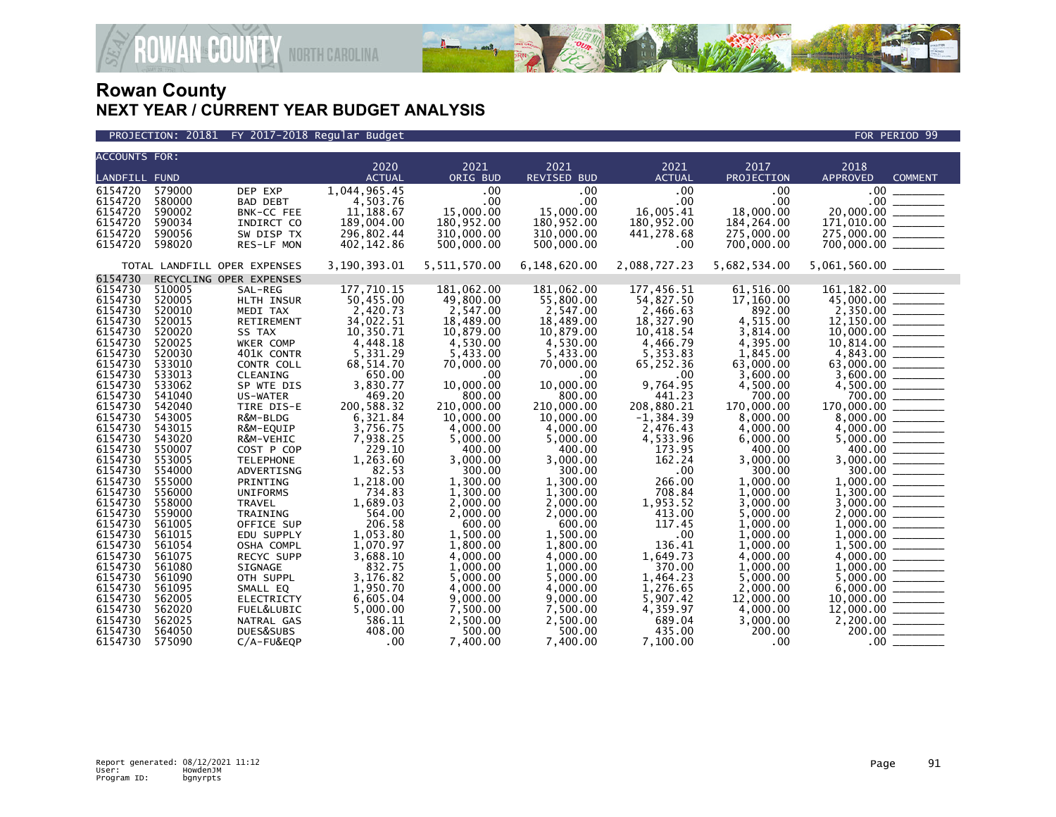

| <b>ACCOUNTS FOR:</b><br>2021<br>2017<br>2018<br>2020<br>2021<br>2021<br><b>LANDFILL FUND</b><br>ORIG BUD<br>REVISED BUD<br><b>ACTUAL</b><br>PROJECTION<br><b>APPROVED</b><br><b>ACTUAL</b><br>1,044,965.45<br>.00<br>.00<br>.00<br>6154720<br>579000<br>.00<br>$.00 \cdot$<br>DEP EXP<br>.00<br>.00<br>6154720<br>580000<br><b>BAD DEBT</b><br>4,503.76<br>.00<br>$.00 \,$<br>6154720<br>590002<br>BNK-CC FEE<br>11,188.67<br>15,000.00<br>15,000.00<br>16,005.41<br>18,000.00<br>189,004.00<br>180,952.00<br>180,952.00<br>180,952.00<br>184, 264.00<br>6154720<br>590034<br>INDIRCT CO<br>310,000.00<br>310,000.00<br>590056<br>SW DISP TX<br>296,802.44<br>441,278.68<br>275,000.00 | <b>COMMENT</b> |
|----------------------------------------------------------------------------------------------------------------------------------------------------------------------------------------------------------------------------------------------------------------------------------------------------------------------------------------------------------------------------------------------------------------------------------------------------------------------------------------------------------------------------------------------------------------------------------------------------------------------------------------------------------------------------------------|----------------|
|                                                                                                                                                                                                                                                                                                                                                                                                                                                                                                                                                                                                                                                                                        |                |
|                                                                                                                                                                                                                                                                                                                                                                                                                                                                                                                                                                                                                                                                                        |                |
|                                                                                                                                                                                                                                                                                                                                                                                                                                                                                                                                                                                                                                                                                        |                |
|                                                                                                                                                                                                                                                                                                                                                                                                                                                                                                                                                                                                                                                                                        |                |
|                                                                                                                                                                                                                                                                                                                                                                                                                                                                                                                                                                                                                                                                                        |                |
| 6154720                                                                                                                                                                                                                                                                                                                                                                                                                                                                                                                                                                                                                                                                                |                |
|                                                                                                                                                                                                                                                                                                                                                                                                                                                                                                                                                                                                                                                                                        |                |
|                                                                                                                                                                                                                                                                                                                                                                                                                                                                                                                                                                                                                                                                                        |                |
| 6154720<br>598020<br>500,000.00<br>700,000.00<br>402,142.86<br>500,000.00<br>.00<br>RES-LF MON                                                                                                                                                                                                                                                                                                                                                                                                                                                                                                                                                                                         |                |
| 2,088,727.23<br>3,190,393.01<br>5,511,570.00<br>6,148,620.00<br>5,682,534.00<br>5,061,560.00 _______<br>TOTAL LANDFILL OPER EXPENSES                                                                                                                                                                                                                                                                                                                                                                                                                                                                                                                                                   |                |
| 6154730<br>RECYCLING OPER EXPENSES                                                                                                                                                                                                                                                                                                                                                                                                                                                                                                                                                                                                                                                     |                |
| 177,710.15<br>177,456.51<br>61,516.00<br>6154730<br>181,062.00<br>181,062.00<br>510005<br>SAL-REG                                                                                                                                                                                                                                                                                                                                                                                                                                                                                                                                                                                      |                |
| 50,455.00<br>6154730<br>520005<br>HLTH INSUR<br>49,800.00<br>55,800.00<br>54,827.50<br>17,160.00                                                                                                                                                                                                                                                                                                                                                                                                                                                                                                                                                                                       |                |
| 2,547.00<br>892.00<br>$2,350.00$<br>12,150.00<br>10,000.00<br>6154730<br>520010<br>2,420.73<br>2,547.00<br>2,466.63<br>MEDI TAX                                                                                                                                                                                                                                                                                                                                                                                                                                                                                                                                                        |                |
| 18,489.00<br>6154730<br>34,022.51<br>18,489.00<br>18,327.90<br>4,515.00<br>520015<br>RETIREMENT                                                                                                                                                                                                                                                                                                                                                                                                                                                                                                                                                                                        |                |
| 6154730<br>520020<br>10,350.71<br>10,879.00<br>10,879.00<br>10,418.54<br>3,814.00<br>SS TAX                                                                                                                                                                                                                                                                                                                                                                                                                                                                                                                                                                                            |                |
| 4,448.18<br>4,395.00<br>6154730<br>520025<br>4.530.00<br>4.530.00<br>4,466.79<br>WKER COMP                                                                                                                                                                                                                                                                                                                                                                                                                                                                                                                                                                                             |                |
| 6154730<br>520030<br>401K CONTR<br>5,331.29<br>5,433.00<br>5,433.00<br>5,353.83<br>1,845.00                                                                                                                                                                                                                                                                                                                                                                                                                                                                                                                                                                                            |                |
| 533010<br>68,514.70<br>6154730<br>CONTR COLL<br>70,000.00<br>70,000.00<br>65,252.36<br>63,000.00                                                                                                                                                                                                                                                                                                                                                                                                                                                                                                                                                                                       |                |
| 6154730<br>533013<br>650.00<br>3,600.00<br>CLEANING<br>.00<br>$.00 \,$<br>$.00 \,$                                                                                                                                                                                                                                                                                                                                                                                                                                                                                                                                                                                                     |                |
| 3,830.77<br>9,764.95<br>6154730<br>533062<br>10,000.00<br>10,000.00<br>SP WTE DIS<br>4,500.00                                                                                                                                                                                                                                                                                                                                                                                                                                                                                                                                                                                          |                |
| $3,600.00$<br>$4,500.00$<br>$700.00$<br>6154730<br>541040<br>469.20<br>800.00<br>800.00<br>441.23<br>700.00<br>US-WATER                                                                                                                                                                                                                                                                                                                                                                                                                                                                                                                                                                |                |
| 170,000.00 _______<br>6154730<br>542040<br>200,588.32<br>210,000.00<br>208,880.21<br>210,000.00<br>170,000.00<br>TIRE DIS-E                                                                                                                                                                                                                                                                                                                                                                                                                                                                                                                                                            |                |
| 6154730<br>543005<br>R&M-BLDG<br>6,321.84<br>10,000.00<br>10,000.00<br>$-1, 384.39$<br>8,000.00                                                                                                                                                                                                                                                                                                                                                                                                                                                                                                                                                                                        |                |
| 6154730<br>543015<br>3,756.75<br>4,000.00<br>4,000.00<br>R&M-EQUIP<br>2,476.43<br>4,000.00                                                                                                                                                                                                                                                                                                                                                                                                                                                                                                                                                                                             |                |
| $\begin{array}{r} 8,000.00 \\ 8,000.00 \\ 4,000.00 \\ 5,000.00 \\ 400.00 \\ 3,000.00 \\ 3,000.00 \\ 1,000.00 \\ 1,000.00 \\ 1,000.00 \\ 1,000.00 \\ 1,000.00 \\ 1,000.00 \\ 1,000.00 \\ 1,000.00 \\ 1,000.00 \\ 1,000.00 \\ 1,000.00 \\ 1,000.00 \\ 1,000.00 \\ 1,000.00 \\ 1,00$<br>6154730<br>543020<br>7,938.25<br>5,000.00<br>5,000.00<br>4,533.96<br>6,000.00<br>R&M-VEHIC                                                                                                                                                                                                                                                                                                        |                |
| 6154730<br>550007<br>229.10<br>400.00<br>400.00<br>173.95<br>400.00<br>COST P COP                                                                                                                                                                                                                                                                                                                                                                                                                                                                                                                                                                                                      |                |
| 6154730<br>553005<br>1,263.60<br>3,000.00<br>3,000.00<br>162.24<br>3,000.00<br><b>TELEPHONE</b>                                                                                                                                                                                                                                                                                                                                                                                                                                                                                                                                                                                        |                |
| 82.53<br>6154730<br>554000<br>300.00<br>300.00<br>.00<br>300.00<br>ADVERTISNG                                                                                                                                                                                                                                                                                                                                                                                                                                                                                                                                                                                                          |                |
| 1,218.00<br>6154730<br>555000<br>1,300.00<br>1,300.00<br>266.00<br>1.000.00<br>PRINTING                                                                                                                                                                                                                                                                                                                                                                                                                                                                                                                                                                                                |                |
| 6154730<br>556000<br><b>UNIFORMS</b><br>734.83<br>1,300.00<br>1,300.00<br>708.84<br>1,000.00                                                                                                                                                                                                                                                                                                                                                                                                                                                                                                                                                                                           |                |
| $1,300.00$<br>$3,000.00$<br>$2,000.00$<br>$1,000.00$<br>$1,000.00$<br>6154730<br>558000<br>1.689.03<br>2,000.00<br>2.000.00<br>1,953.52<br>3.000.00<br><b>TRAVEL</b>                                                                                                                                                                                                                                                                                                                                                                                                                                                                                                                   |                |
| 6154730<br>564.00<br>413.00<br>559000<br>2,000.00<br>2,000.00<br>5,000.00<br>TRAINING<br>6154730<br>561005<br>206.58<br>600.00                                                                                                                                                                                                                                                                                                                                                                                                                                                                                                                                                         |                |
| OFFICE SUP<br>600.00<br>117.45<br>1,000.00<br>6154730<br>1,053.80<br>561015<br>.00                                                                                                                                                                                                                                                                                                                                                                                                                                                                                                                                                                                                     |                |
| 1,500.00<br>1,500.00<br>1,000.00<br>EDU SUPPLY<br>6154730<br>1,070.97<br>1,800.00<br>1,800.00<br>136.41<br>1,000.00<br>561054                                                                                                                                                                                                                                                                                                                                                                                                                                                                                                                                                          |                |
| OSHA COMPL<br>6154730<br>3,688.10<br>1,649.73<br>561075<br>RECYC SUPP<br>4,000.00<br>4,000.00<br>4,000.00                                                                                                                                                                                                                                                                                                                                                                                                                                                                                                                                                                              |                |
| 832.75<br>1,000.00<br>1,000.00<br>370.00<br>6154730<br>561080<br>SIGNAGE<br>1,000.00                                                                                                                                                                                                                                                                                                                                                                                                                                                                                                                                                                                                   |                |
| 3.176.82<br>6154730<br>561090<br>5,000.00<br>5,000.00<br>1,464.23<br>5,000.00<br>OTH SUPPL                                                                                                                                                                                                                                                                                                                                                                                                                                                                                                                                                                                             |                |
| $\begin{array}{c} 1,000.00 \ \hline 5,000.00 \ \hline 6,000.00 \ \hline 10,000.00 \ \hline \end{array}$<br>6154730<br>561095<br>1,950.70<br>4,000.00<br>4,000.00<br>SMALL EQ<br>1,276.65<br>2,000.00                                                                                                                                                                                                                                                                                                                                                                                                                                                                                   |                |
| 6154730<br>6,605.04<br>9,000.00<br>9,000.00<br>5,907.42<br>12,000.00<br>562005<br><b>ELECTRICTY</b>                                                                                                                                                                                                                                                                                                                                                                                                                                                                                                                                                                                    |                |
| 4,359.97<br>6154730<br>562020<br>5,000.00<br>7,500.00<br>7,500.00<br>4,000.00<br>FUEL&LUBIC                                                                                                                                                                                                                                                                                                                                                                                                                                                                                                                                                                                            |                |
| $\frac{12,000.00}{2,200.00}$<br>6154730<br>562025<br>586.11<br>2,500.00<br>2,500.00<br>689.04<br>3,000.00<br>NATRAL GAS                                                                                                                                                                                                                                                                                                                                                                                                                                                                                                                                                                |                |
| 200.00<br>6154730<br>564050<br>408.00<br>500.00<br>200.00<br>DUES&SUBS<br>500.00<br>435.00                                                                                                                                                                                                                                                                                                                                                                                                                                                                                                                                                                                             |                |
| $\sim$ .00<br>$.00 \,$<br>6154730<br>575090<br>C/A-FU&EQP<br>7.400.00<br>7.400.00<br>7,100.00                                                                                                                                                                                                                                                                                                                                                                                                                                                                                                                                                                                          |                |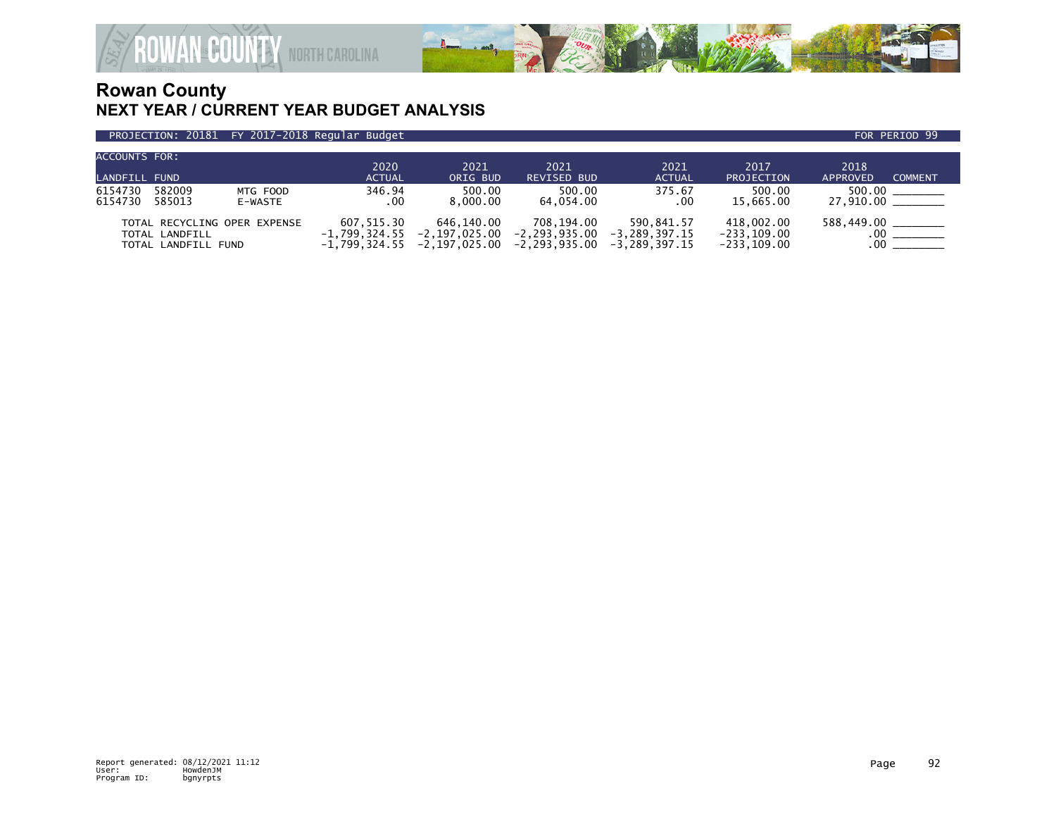

#### PROJECTION: 20181 FY 2017-2018 Regular Budget FOR PERIOD 99

| ACCOUNTS FOR:        |                                                                       |                     | $20\overline{20}$                                | 2021                                         | 2021                                         | 2021                                             | 2017                                           | 2018                                  |
|----------------------|-----------------------------------------------------------------------|---------------------|--------------------------------------------------|----------------------------------------------|----------------------------------------------|--------------------------------------------------|------------------------------------------------|---------------------------------------|
| <b>LANDFILL FUND</b> |                                                                       |                     | <b>ACTUAL</b>                                    | ORIG BUD                                     | <b>REVISED BUD</b>                           | <b>ACTUAL</b>                                    | PROJECTION                                     | <b>COMMENT</b><br>APPROVED            |
| 6154730<br>6154730   | 582009<br>585013                                                      | MTG FOOD<br>E-WASTE | 346.94<br>$.00 \,$                               | 500.00<br>8.000.00                           | 500.00<br>64.054.00                          | 375.67<br>.00                                    | 500.00<br>15,665.00                            | 500.00<br>27,910.00 _______           |
|                      | TOTAL RECYCLING OPER EXPENSE<br>TOTAL LANDFILL<br>TOTAL LANDFILL FUND |                     | 607.515.30<br>$-1.799.324.55$<br>$-1,799,324.55$ | 646.140.00<br>-2.197.025.00<br>-2.197.025.00 | 708.194.00<br>-2,293,935.00<br>-2,293,935.00 | 590.841.57<br>$-3.289.397.15$<br>$-3.289.397.15$ | 418.002.00<br>$-233, 109.00$<br>$-233, 109.00$ | 588,449.00 ________<br>$.00\,$<br>.00 |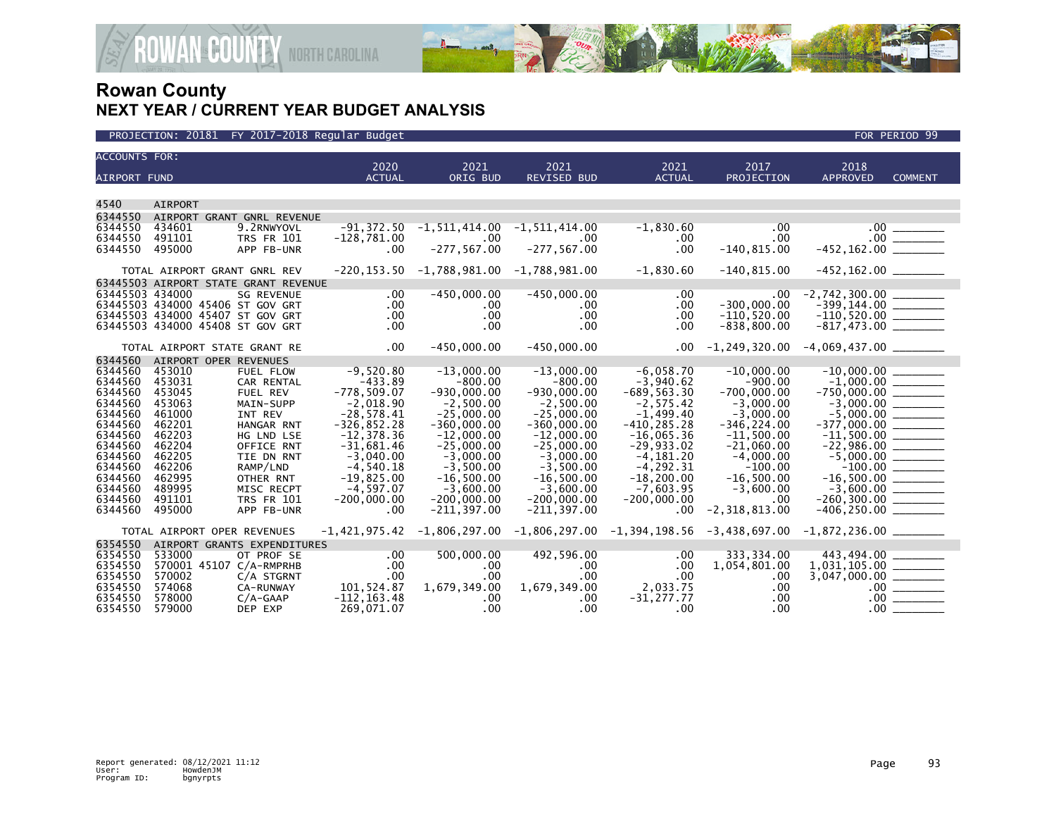

| <b>ACCOUNTS FOR:</b><br>2020<br>2021<br>2021<br>2021<br>2017<br>2018<br><b>ACTUAL</b><br>PROJECTION<br><b>APPROVED</b><br><b>AIRPORT FUND</b><br><b>ACTUAL</b><br>ORIG BUD<br><b>REVISED BUD</b><br><b>COMMENT</b><br>4540<br><b>AIRPORT</b><br>6344550<br>AIRPORT GRANT GNRL REVENUE<br>6344550<br>9.2RNWYOVL<br>$-1,830.60$<br>$\begin{array}{r} .00 \\ .00 \\ -452,162.00 \end{array}$<br>434601<br>$-91,372.50$<br>-1,511,414.00<br>$-1, 511, 414.00$<br>.00<br>6344550<br>491101<br><b>TRS FR 101</b><br>$-128,781.00$<br>.00<br>$.00 \,$<br>.00<br>$.00 \,$<br>$-277, 567.00$<br>$-277, 567.00$<br>.00<br>$-140, 815.00$<br>6344550<br>495000<br>$.00 \,$<br>APP FB-UNR<br>$-1,830.60$<br>$-220, 153.50 -1, 788, 981.00 -1, 788, 981.00$<br>$-140, 815.00$<br>TOTAL AIRPORT GRANT GNRL REV<br>63445503 AIRPORT STATE GRANT REVENUE<br>$-450,000.00$<br>$-450,000.00$<br>$-2,742,300.00$<br>63445503 434000<br><b>SG REVENUE</b><br>$.00 \,$<br>.00<br>$.00 \cdot$<br>.00<br>$-300,000.00$<br>$-399,144.00$ $\overline{\hspace{1.5cm}}$<br>-110,520.00 $\overline{\hspace{1.5cm}}$<br>63445503 434000 45406 ST GOV GRT<br>.00<br>$.00 \,$<br>$.00 \cdot$<br>.00<br>63445503 434000 45407 ST GOV GRT<br>$.00 \,$<br>$.00 \,$<br>.00<br>$-110,520.00$<br>63445503 434000 45408 ST GOV GRT<br>.00<br>$.00 \cdot$<br>.00<br>$-838, 800.00$<br>.00<br>$-817,473.00$ ________<br>$.00 \,$<br>$-450,000.00$<br>$-450,000.00$<br>$.00 \,$<br>TOTAL AIRPORT STATE GRANT RE<br>AIRPORT OPER REVENUES<br>$-9,520.80$<br>$-13,000.00$<br>$-13,000.00$<br>$-6,058.70$<br>$-10,000.00$<br>6344560<br>453010<br>FUEL FLOW<br>6344560<br>$-433.89$<br>$-800.00$<br>$-3,940.62$<br>453031<br>$-800.00$<br>$-900.00$<br>CAR RENTAL<br>$-778,509.07$<br>$-930.000.00$<br>$-700.000.00$<br>6344560<br>$-930,000.00$<br>$-689, 563.30$<br>453045<br><b>FUEL REV</b><br>6344560<br>$-2,018.90$<br>$-2,500.00$<br>$-2, 575.42$<br>$-3,000.00$<br>453063<br>MAIN-SUPP<br>$-2,500.00$<br>6344560<br>$-28,578.41$<br>$-1,499.40$<br>$-3,000.00$<br>461000<br>INT REV<br>$-25,000.00$<br>$-25,000.00$<br>$-326, 852.28$<br>6344560<br>$-360,000.00$<br>$-410, 285.28$<br>$-346, 224.00$<br>$-360,000.00$<br>462201<br>HANGAR RNT<br>6344560<br>$-12, 378.36$<br>$-12,000.00$<br>$-12,000.00$<br>$-16,065.36$<br>$-11,500.00$<br>462203<br>HG LND LSE<br>6344560<br>$-25,000.00$<br>$-25,000.00$<br>$-29,933.02$<br>$-21,060.00$<br>462204<br>$-31,681.46$<br>OFFICE RNT<br>6344560<br>462205<br>$-3.040.00$<br>$-3.000.00$<br>$-3.000.00$<br>$-4.181.20$<br>$-4.000.00$<br>TIE DN RNT<br>6344560<br>$-4,540.18$<br>$-3,500.00$<br>$-3,500.00$<br>$-4, 292.31$<br>$-100.00$<br>462206<br>RAMP/LND<br>6344560<br>$-16,500.00$<br>$-19,825.00$<br>$-16,500.00$<br>$-16,500.00$ ________<br>462995<br>OTHER RNT<br>$-16,500.00$<br>$-18, 200.00$<br>6344560<br>489995<br>$-4,597.07$<br>$-3,600.00$<br>$-3.600.00$<br>$-7,603.95$<br>$-3,600.00$<br>MISC RECPT<br>6344560<br>$-200,000,00$<br>$-200,000,00$<br>$-260, 300.00$ ________<br>491101<br><b>TRS FR 101</b><br>$-200,000.00$<br>$-200,000.00$<br>.00<br>6344560<br>$-211, 397.00$<br>$-2,318,813.00$<br>495000<br>APP FB-UNR<br>.00<br>$-211, 397.00$<br>.00<br>$-1,806,297.00$ $-1,806,297.00$ $-1,394,198.56$ $-3,438,697.00$ $-1,872,236.00$ $\ldots$<br>$-1,421,975.42$<br>TOTAL AIRPORT OPER REVENUES<br>6354550<br>AIRPORT GRANTS EXPENDITURES<br>500,000.00<br>492,596.00<br>443,494.00<br>6354550<br>533000<br>$.00 \,$<br>.00<br>333,334.00<br>OT PROF SE<br>6354550<br>570001 45107 C/A-RMPRHB<br>.00<br>$.00 \cdot$<br>.00<br>.00<br>1,054,801.00<br>.00<br>.00<br>$.00 \cdot$<br>6354550<br>.00<br>570002<br>C/A STGRNT<br>.00.<br>2,033.75<br>6354550<br>574068<br>101,524.87<br>1,679,349.00<br>1,679,349.00<br>CA-RUNWAY<br>.00<br>$.00$ $\_\_$<br>6354550<br>$-112, 163.48$<br>$-31,277.77$<br>578000<br>.00<br>.00<br>$C/A-GAAP$<br>$.00 \ \,$ |         |        |            |              |                  |          |     |                  |  |
|-------------------------------------------------------------------------------------------------------------------------------------------------------------------------------------------------------------------------------------------------------------------------------------------------------------------------------------------------------------------------------------------------------------------------------------------------------------------------------------------------------------------------------------------------------------------------------------------------------------------------------------------------------------------------------------------------------------------------------------------------------------------------------------------------------------------------------------------------------------------------------------------------------------------------------------------------------------------------------------------------------------------------------------------------------------------------------------------------------------------------------------------------------------------------------------------------------------------------------------------------------------------------------------------------------------------------------------------------------------------------------------------------------------------------------------------------------------------------------------------------------------------------------------------------------------------------------------------------------------------------------------------------------------------------------------------------------------------------------------------------------------------------------------------------------------------------------------------------------------------------------------------------------------------------------------------------------------------------------------------------------------------------------------------------------------------------------------------------------------------------------------------------------------------------------------------------------------------------------------------------------------------------------------------------------------------------------------------------------------------------------------------------------------------------------------------------------------------------------------------------------------------------------------------------------------------------------------------------------------------------------------------------------------------------------------------------------------------------------------------------------------------------------------------------------------------------------------------------------------------------------------------------------------------------------------------------------------------------------------------------------------------------------------------------------------------------------------------------------------------------------------------------------------------------------------------------------------------------------------------------------------------------------------------------------------------------------------------------------------------------------------------------------------------------------------------------------------------------------------------------------------------------------------------------------------------------------------------------------------------------------------------------------------------------------------------------------------------------------------------------------------------------------------------------------------------------------------------------------------------------------------------------|---------|--------|------------|--------------|------------------|----------|-----|------------------|--|
|                                                                                                                                                                                                                                                                                                                                                                                                                                                                                                                                                                                                                                                                                                                                                                                                                                                                                                                                                                                                                                                                                                                                                                                                                                                                                                                                                                                                                                                                                                                                                                                                                                                                                                                                                                                                                                                                                                                                                                                                                                                                                                                                                                                                                                                                                                                                                                                                                                                                                                                                                                                                                                                                                                                                                                                                                                                                                                                                                                                                                                                                                                                                                                                                                                                                                                                                                                                                                                                                                                                                                                                                                                                                                                                                                                                                                                                                                                 |         |        |            |              |                  |          |     |                  |  |
|                                                                                                                                                                                                                                                                                                                                                                                                                                                                                                                                                                                                                                                                                                                                                                                                                                                                                                                                                                                                                                                                                                                                                                                                                                                                                                                                                                                                                                                                                                                                                                                                                                                                                                                                                                                                                                                                                                                                                                                                                                                                                                                                                                                                                                                                                                                                                                                                                                                                                                                                                                                                                                                                                                                                                                                                                                                                                                                                                                                                                                                                                                                                                                                                                                                                                                                                                                                                                                                                                                                                                                                                                                                                                                                                                                                                                                                                                                 |         |        |            |              |                  |          |     |                  |  |
|                                                                                                                                                                                                                                                                                                                                                                                                                                                                                                                                                                                                                                                                                                                                                                                                                                                                                                                                                                                                                                                                                                                                                                                                                                                                                                                                                                                                                                                                                                                                                                                                                                                                                                                                                                                                                                                                                                                                                                                                                                                                                                                                                                                                                                                                                                                                                                                                                                                                                                                                                                                                                                                                                                                                                                                                                                                                                                                                                                                                                                                                                                                                                                                                                                                                                                                                                                                                                                                                                                                                                                                                                                                                                                                                                                                                                                                                                                 |         |        |            |              |                  |          |     |                  |  |
|                                                                                                                                                                                                                                                                                                                                                                                                                                                                                                                                                                                                                                                                                                                                                                                                                                                                                                                                                                                                                                                                                                                                                                                                                                                                                                                                                                                                                                                                                                                                                                                                                                                                                                                                                                                                                                                                                                                                                                                                                                                                                                                                                                                                                                                                                                                                                                                                                                                                                                                                                                                                                                                                                                                                                                                                                                                                                                                                                                                                                                                                                                                                                                                                                                                                                                                                                                                                                                                                                                                                                                                                                                                                                                                                                                                                                                                                                                 |         |        |            |              |                  |          |     |                  |  |
|                                                                                                                                                                                                                                                                                                                                                                                                                                                                                                                                                                                                                                                                                                                                                                                                                                                                                                                                                                                                                                                                                                                                                                                                                                                                                                                                                                                                                                                                                                                                                                                                                                                                                                                                                                                                                                                                                                                                                                                                                                                                                                                                                                                                                                                                                                                                                                                                                                                                                                                                                                                                                                                                                                                                                                                                                                                                                                                                                                                                                                                                                                                                                                                                                                                                                                                                                                                                                                                                                                                                                                                                                                                                                                                                                                                                                                                                                                 |         |        |            |              |                  |          |     |                  |  |
|                                                                                                                                                                                                                                                                                                                                                                                                                                                                                                                                                                                                                                                                                                                                                                                                                                                                                                                                                                                                                                                                                                                                                                                                                                                                                                                                                                                                                                                                                                                                                                                                                                                                                                                                                                                                                                                                                                                                                                                                                                                                                                                                                                                                                                                                                                                                                                                                                                                                                                                                                                                                                                                                                                                                                                                                                                                                                                                                                                                                                                                                                                                                                                                                                                                                                                                                                                                                                                                                                                                                                                                                                                                                                                                                                                                                                                                                                                 |         |        |            |              |                  |          |     |                  |  |
|                                                                                                                                                                                                                                                                                                                                                                                                                                                                                                                                                                                                                                                                                                                                                                                                                                                                                                                                                                                                                                                                                                                                                                                                                                                                                                                                                                                                                                                                                                                                                                                                                                                                                                                                                                                                                                                                                                                                                                                                                                                                                                                                                                                                                                                                                                                                                                                                                                                                                                                                                                                                                                                                                                                                                                                                                                                                                                                                                                                                                                                                                                                                                                                                                                                                                                                                                                                                                                                                                                                                                                                                                                                                                                                                                                                                                                                                                                 |         |        |            |              |                  |          |     |                  |  |
|                                                                                                                                                                                                                                                                                                                                                                                                                                                                                                                                                                                                                                                                                                                                                                                                                                                                                                                                                                                                                                                                                                                                                                                                                                                                                                                                                                                                                                                                                                                                                                                                                                                                                                                                                                                                                                                                                                                                                                                                                                                                                                                                                                                                                                                                                                                                                                                                                                                                                                                                                                                                                                                                                                                                                                                                                                                                                                                                                                                                                                                                                                                                                                                                                                                                                                                                                                                                                                                                                                                                                                                                                                                                                                                                                                                                                                                                                                 |         |        |            |              |                  |          |     |                  |  |
|                                                                                                                                                                                                                                                                                                                                                                                                                                                                                                                                                                                                                                                                                                                                                                                                                                                                                                                                                                                                                                                                                                                                                                                                                                                                                                                                                                                                                                                                                                                                                                                                                                                                                                                                                                                                                                                                                                                                                                                                                                                                                                                                                                                                                                                                                                                                                                                                                                                                                                                                                                                                                                                                                                                                                                                                                                                                                                                                                                                                                                                                                                                                                                                                                                                                                                                                                                                                                                                                                                                                                                                                                                                                                                                                                                                                                                                                                                 |         |        |            |              |                  |          |     |                  |  |
|                                                                                                                                                                                                                                                                                                                                                                                                                                                                                                                                                                                                                                                                                                                                                                                                                                                                                                                                                                                                                                                                                                                                                                                                                                                                                                                                                                                                                                                                                                                                                                                                                                                                                                                                                                                                                                                                                                                                                                                                                                                                                                                                                                                                                                                                                                                                                                                                                                                                                                                                                                                                                                                                                                                                                                                                                                                                                                                                                                                                                                                                                                                                                                                                                                                                                                                                                                                                                                                                                                                                                                                                                                                                                                                                                                                                                                                                                                 |         |        |            |              |                  |          |     |                  |  |
|                                                                                                                                                                                                                                                                                                                                                                                                                                                                                                                                                                                                                                                                                                                                                                                                                                                                                                                                                                                                                                                                                                                                                                                                                                                                                                                                                                                                                                                                                                                                                                                                                                                                                                                                                                                                                                                                                                                                                                                                                                                                                                                                                                                                                                                                                                                                                                                                                                                                                                                                                                                                                                                                                                                                                                                                                                                                                                                                                                                                                                                                                                                                                                                                                                                                                                                                                                                                                                                                                                                                                                                                                                                                                                                                                                                                                                                                                                 |         |        |            |              |                  |          |     |                  |  |
|                                                                                                                                                                                                                                                                                                                                                                                                                                                                                                                                                                                                                                                                                                                                                                                                                                                                                                                                                                                                                                                                                                                                                                                                                                                                                                                                                                                                                                                                                                                                                                                                                                                                                                                                                                                                                                                                                                                                                                                                                                                                                                                                                                                                                                                                                                                                                                                                                                                                                                                                                                                                                                                                                                                                                                                                                                                                                                                                                                                                                                                                                                                                                                                                                                                                                                                                                                                                                                                                                                                                                                                                                                                                                                                                                                                                                                                                                                 |         |        |            |              |                  |          |     |                  |  |
|                                                                                                                                                                                                                                                                                                                                                                                                                                                                                                                                                                                                                                                                                                                                                                                                                                                                                                                                                                                                                                                                                                                                                                                                                                                                                                                                                                                                                                                                                                                                                                                                                                                                                                                                                                                                                                                                                                                                                                                                                                                                                                                                                                                                                                                                                                                                                                                                                                                                                                                                                                                                                                                                                                                                                                                                                                                                                                                                                                                                                                                                                                                                                                                                                                                                                                                                                                                                                                                                                                                                                                                                                                                                                                                                                                                                                                                                                                 |         |        |            |              |                  |          |     |                  |  |
|                                                                                                                                                                                                                                                                                                                                                                                                                                                                                                                                                                                                                                                                                                                                                                                                                                                                                                                                                                                                                                                                                                                                                                                                                                                                                                                                                                                                                                                                                                                                                                                                                                                                                                                                                                                                                                                                                                                                                                                                                                                                                                                                                                                                                                                                                                                                                                                                                                                                                                                                                                                                                                                                                                                                                                                                                                                                                                                                                                                                                                                                                                                                                                                                                                                                                                                                                                                                                                                                                                                                                                                                                                                                                                                                                                                                                                                                                                 |         |        |            |              |                  |          |     |                  |  |
|                                                                                                                                                                                                                                                                                                                                                                                                                                                                                                                                                                                                                                                                                                                                                                                                                                                                                                                                                                                                                                                                                                                                                                                                                                                                                                                                                                                                                                                                                                                                                                                                                                                                                                                                                                                                                                                                                                                                                                                                                                                                                                                                                                                                                                                                                                                                                                                                                                                                                                                                                                                                                                                                                                                                                                                                                                                                                                                                                                                                                                                                                                                                                                                                                                                                                                                                                                                                                                                                                                                                                                                                                                                                                                                                                                                                                                                                                                 |         |        |            |              |                  |          |     |                  |  |
|                                                                                                                                                                                                                                                                                                                                                                                                                                                                                                                                                                                                                                                                                                                                                                                                                                                                                                                                                                                                                                                                                                                                                                                                                                                                                                                                                                                                                                                                                                                                                                                                                                                                                                                                                                                                                                                                                                                                                                                                                                                                                                                                                                                                                                                                                                                                                                                                                                                                                                                                                                                                                                                                                                                                                                                                                                                                                                                                                                                                                                                                                                                                                                                                                                                                                                                                                                                                                                                                                                                                                                                                                                                                                                                                                                                                                                                                                                 | 6344560 |        |            |              |                  |          |     |                  |  |
|                                                                                                                                                                                                                                                                                                                                                                                                                                                                                                                                                                                                                                                                                                                                                                                                                                                                                                                                                                                                                                                                                                                                                                                                                                                                                                                                                                                                                                                                                                                                                                                                                                                                                                                                                                                                                                                                                                                                                                                                                                                                                                                                                                                                                                                                                                                                                                                                                                                                                                                                                                                                                                                                                                                                                                                                                                                                                                                                                                                                                                                                                                                                                                                                                                                                                                                                                                                                                                                                                                                                                                                                                                                                                                                                                                                                                                                                                                 |         |        |            |              |                  |          |     |                  |  |
|                                                                                                                                                                                                                                                                                                                                                                                                                                                                                                                                                                                                                                                                                                                                                                                                                                                                                                                                                                                                                                                                                                                                                                                                                                                                                                                                                                                                                                                                                                                                                                                                                                                                                                                                                                                                                                                                                                                                                                                                                                                                                                                                                                                                                                                                                                                                                                                                                                                                                                                                                                                                                                                                                                                                                                                                                                                                                                                                                                                                                                                                                                                                                                                                                                                                                                                                                                                                                                                                                                                                                                                                                                                                                                                                                                                                                                                                                                 |         |        |            |              |                  |          |     |                  |  |
|                                                                                                                                                                                                                                                                                                                                                                                                                                                                                                                                                                                                                                                                                                                                                                                                                                                                                                                                                                                                                                                                                                                                                                                                                                                                                                                                                                                                                                                                                                                                                                                                                                                                                                                                                                                                                                                                                                                                                                                                                                                                                                                                                                                                                                                                                                                                                                                                                                                                                                                                                                                                                                                                                                                                                                                                                                                                                                                                                                                                                                                                                                                                                                                                                                                                                                                                                                                                                                                                                                                                                                                                                                                                                                                                                                                                                                                                                                 |         |        |            |              |                  |          |     |                  |  |
|                                                                                                                                                                                                                                                                                                                                                                                                                                                                                                                                                                                                                                                                                                                                                                                                                                                                                                                                                                                                                                                                                                                                                                                                                                                                                                                                                                                                                                                                                                                                                                                                                                                                                                                                                                                                                                                                                                                                                                                                                                                                                                                                                                                                                                                                                                                                                                                                                                                                                                                                                                                                                                                                                                                                                                                                                                                                                                                                                                                                                                                                                                                                                                                                                                                                                                                                                                                                                                                                                                                                                                                                                                                                                                                                                                                                                                                                                                 |         |        |            |              |                  |          |     |                  |  |
|                                                                                                                                                                                                                                                                                                                                                                                                                                                                                                                                                                                                                                                                                                                                                                                                                                                                                                                                                                                                                                                                                                                                                                                                                                                                                                                                                                                                                                                                                                                                                                                                                                                                                                                                                                                                                                                                                                                                                                                                                                                                                                                                                                                                                                                                                                                                                                                                                                                                                                                                                                                                                                                                                                                                                                                                                                                                                                                                                                                                                                                                                                                                                                                                                                                                                                                                                                                                                                                                                                                                                                                                                                                                                                                                                                                                                                                                                                 |         |        |            |              |                  |          |     |                  |  |
|                                                                                                                                                                                                                                                                                                                                                                                                                                                                                                                                                                                                                                                                                                                                                                                                                                                                                                                                                                                                                                                                                                                                                                                                                                                                                                                                                                                                                                                                                                                                                                                                                                                                                                                                                                                                                                                                                                                                                                                                                                                                                                                                                                                                                                                                                                                                                                                                                                                                                                                                                                                                                                                                                                                                                                                                                                                                                                                                                                                                                                                                                                                                                                                                                                                                                                                                                                                                                                                                                                                                                                                                                                                                                                                                                                                                                                                                                                 |         |        |            |              |                  |          |     |                  |  |
|                                                                                                                                                                                                                                                                                                                                                                                                                                                                                                                                                                                                                                                                                                                                                                                                                                                                                                                                                                                                                                                                                                                                                                                                                                                                                                                                                                                                                                                                                                                                                                                                                                                                                                                                                                                                                                                                                                                                                                                                                                                                                                                                                                                                                                                                                                                                                                                                                                                                                                                                                                                                                                                                                                                                                                                                                                                                                                                                                                                                                                                                                                                                                                                                                                                                                                                                                                                                                                                                                                                                                                                                                                                                                                                                                                                                                                                                                                 |         |        |            |              |                  |          |     |                  |  |
|                                                                                                                                                                                                                                                                                                                                                                                                                                                                                                                                                                                                                                                                                                                                                                                                                                                                                                                                                                                                                                                                                                                                                                                                                                                                                                                                                                                                                                                                                                                                                                                                                                                                                                                                                                                                                                                                                                                                                                                                                                                                                                                                                                                                                                                                                                                                                                                                                                                                                                                                                                                                                                                                                                                                                                                                                                                                                                                                                                                                                                                                                                                                                                                                                                                                                                                                                                                                                                                                                                                                                                                                                                                                                                                                                                                                                                                                                                 |         |        |            |              |                  |          |     |                  |  |
|                                                                                                                                                                                                                                                                                                                                                                                                                                                                                                                                                                                                                                                                                                                                                                                                                                                                                                                                                                                                                                                                                                                                                                                                                                                                                                                                                                                                                                                                                                                                                                                                                                                                                                                                                                                                                                                                                                                                                                                                                                                                                                                                                                                                                                                                                                                                                                                                                                                                                                                                                                                                                                                                                                                                                                                                                                                                                                                                                                                                                                                                                                                                                                                                                                                                                                                                                                                                                                                                                                                                                                                                                                                                                                                                                                                                                                                                                                 |         |        |            |              |                  |          |     |                  |  |
|                                                                                                                                                                                                                                                                                                                                                                                                                                                                                                                                                                                                                                                                                                                                                                                                                                                                                                                                                                                                                                                                                                                                                                                                                                                                                                                                                                                                                                                                                                                                                                                                                                                                                                                                                                                                                                                                                                                                                                                                                                                                                                                                                                                                                                                                                                                                                                                                                                                                                                                                                                                                                                                                                                                                                                                                                                                                                                                                                                                                                                                                                                                                                                                                                                                                                                                                                                                                                                                                                                                                                                                                                                                                                                                                                                                                                                                                                                 |         |        |            |              |                  |          |     |                  |  |
|                                                                                                                                                                                                                                                                                                                                                                                                                                                                                                                                                                                                                                                                                                                                                                                                                                                                                                                                                                                                                                                                                                                                                                                                                                                                                                                                                                                                                                                                                                                                                                                                                                                                                                                                                                                                                                                                                                                                                                                                                                                                                                                                                                                                                                                                                                                                                                                                                                                                                                                                                                                                                                                                                                                                                                                                                                                                                                                                                                                                                                                                                                                                                                                                                                                                                                                                                                                                                                                                                                                                                                                                                                                                                                                                                                                                                                                                                                 |         |        |            |              |                  |          |     |                  |  |
|                                                                                                                                                                                                                                                                                                                                                                                                                                                                                                                                                                                                                                                                                                                                                                                                                                                                                                                                                                                                                                                                                                                                                                                                                                                                                                                                                                                                                                                                                                                                                                                                                                                                                                                                                                                                                                                                                                                                                                                                                                                                                                                                                                                                                                                                                                                                                                                                                                                                                                                                                                                                                                                                                                                                                                                                                                                                                                                                                                                                                                                                                                                                                                                                                                                                                                                                                                                                                                                                                                                                                                                                                                                                                                                                                                                                                                                                                                 |         |        |            |              |                  |          |     |                  |  |
|                                                                                                                                                                                                                                                                                                                                                                                                                                                                                                                                                                                                                                                                                                                                                                                                                                                                                                                                                                                                                                                                                                                                                                                                                                                                                                                                                                                                                                                                                                                                                                                                                                                                                                                                                                                                                                                                                                                                                                                                                                                                                                                                                                                                                                                                                                                                                                                                                                                                                                                                                                                                                                                                                                                                                                                                                                                                                                                                                                                                                                                                                                                                                                                                                                                                                                                                                                                                                                                                                                                                                                                                                                                                                                                                                                                                                                                                                                 |         |        |            |              |                  |          |     |                  |  |
|                                                                                                                                                                                                                                                                                                                                                                                                                                                                                                                                                                                                                                                                                                                                                                                                                                                                                                                                                                                                                                                                                                                                                                                                                                                                                                                                                                                                                                                                                                                                                                                                                                                                                                                                                                                                                                                                                                                                                                                                                                                                                                                                                                                                                                                                                                                                                                                                                                                                                                                                                                                                                                                                                                                                                                                                                                                                                                                                                                                                                                                                                                                                                                                                                                                                                                                                                                                                                                                                                                                                                                                                                                                                                                                                                                                                                                                                                                 |         |        |            |              |                  |          |     |                  |  |
|                                                                                                                                                                                                                                                                                                                                                                                                                                                                                                                                                                                                                                                                                                                                                                                                                                                                                                                                                                                                                                                                                                                                                                                                                                                                                                                                                                                                                                                                                                                                                                                                                                                                                                                                                                                                                                                                                                                                                                                                                                                                                                                                                                                                                                                                                                                                                                                                                                                                                                                                                                                                                                                                                                                                                                                                                                                                                                                                                                                                                                                                                                                                                                                                                                                                                                                                                                                                                                                                                                                                                                                                                                                                                                                                                                                                                                                                                                 |         |        |            |              |                  |          |     |                  |  |
|                                                                                                                                                                                                                                                                                                                                                                                                                                                                                                                                                                                                                                                                                                                                                                                                                                                                                                                                                                                                                                                                                                                                                                                                                                                                                                                                                                                                                                                                                                                                                                                                                                                                                                                                                                                                                                                                                                                                                                                                                                                                                                                                                                                                                                                                                                                                                                                                                                                                                                                                                                                                                                                                                                                                                                                                                                                                                                                                                                                                                                                                                                                                                                                                                                                                                                                                                                                                                                                                                                                                                                                                                                                                                                                                                                                                                                                                                                 |         |        |            |              |                  |          |     |                  |  |
|                                                                                                                                                                                                                                                                                                                                                                                                                                                                                                                                                                                                                                                                                                                                                                                                                                                                                                                                                                                                                                                                                                                                                                                                                                                                                                                                                                                                                                                                                                                                                                                                                                                                                                                                                                                                                                                                                                                                                                                                                                                                                                                                                                                                                                                                                                                                                                                                                                                                                                                                                                                                                                                                                                                                                                                                                                                                                                                                                                                                                                                                                                                                                                                                                                                                                                                                                                                                                                                                                                                                                                                                                                                                                                                                                                                                                                                                                                 |         |        |            |              |                  |          |     |                  |  |
|                                                                                                                                                                                                                                                                                                                                                                                                                                                                                                                                                                                                                                                                                                                                                                                                                                                                                                                                                                                                                                                                                                                                                                                                                                                                                                                                                                                                                                                                                                                                                                                                                                                                                                                                                                                                                                                                                                                                                                                                                                                                                                                                                                                                                                                                                                                                                                                                                                                                                                                                                                                                                                                                                                                                                                                                                                                                                                                                                                                                                                                                                                                                                                                                                                                                                                                                                                                                                                                                                                                                                                                                                                                                                                                                                                                                                                                                                                 |         |        |            |              |                  |          |     |                  |  |
| DEP EXP                                                                                                                                                                                                                                                                                                                                                                                                                                                                                                                                                                                                                                                                                                                                                                                                                                                                                                                                                                                                                                                                                                                                                                                                                                                                                                                                                                                                                                                                                                                                                                                                                                                                                                                                                                                                                                                                                                                                                                                                                                                                                                                                                                                                                                                                                                                                                                                                                                                                                                                                                                                                                                                                                                                                                                                                                                                                                                                                                                                                                                                                                                                                                                                                                                                                                                                                                                                                                                                                                                                                                                                                                                                                                                                                                                                                                                                                                         | 6354550 | 579000 | 269,071.07 | $.00 \times$ | .00 <sub>1</sub> | $.00 \,$ | .00 | .00 <sub>1</sub> |  |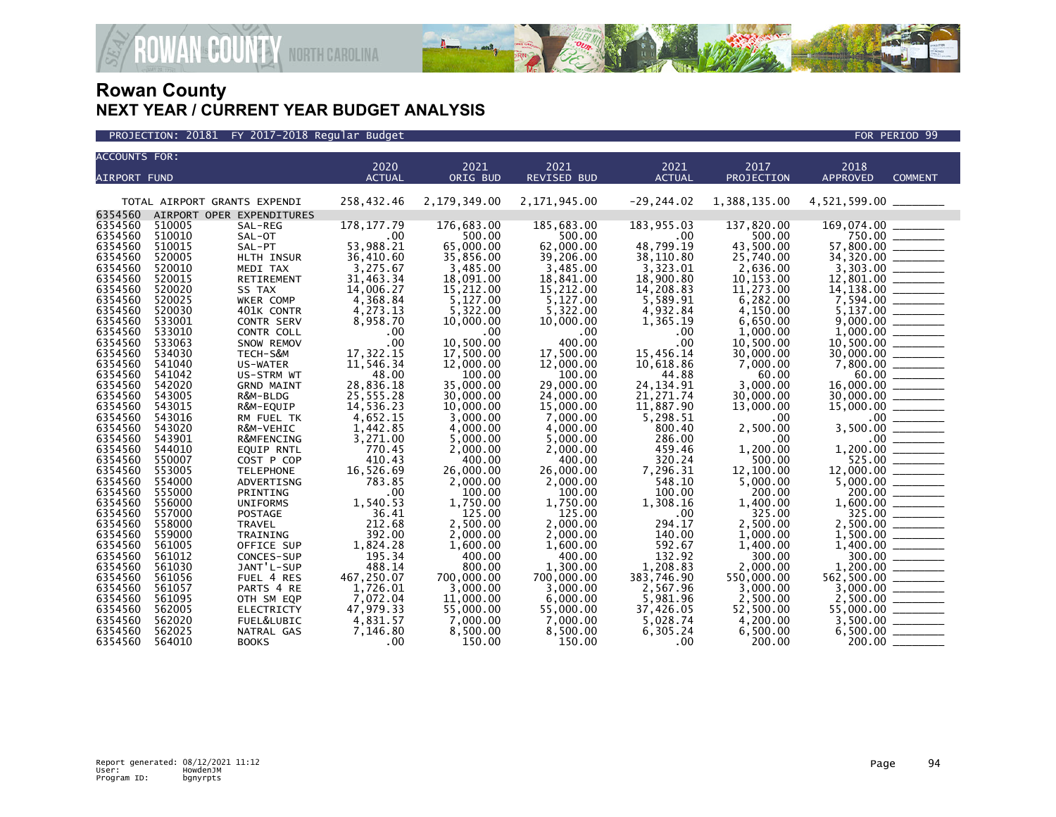

#### PROJECTION: 20181 FY 2017-2018 Regular Budget FOR PERIOD 99 PROJECTION: 20181 FOR PERIOD 99

| <b>ACCOUNTS FOR:</b> |                              |                               | 2020                   | 2021                   | 2021                   | 2021                    | 2017                   | 2018                   |                |
|----------------------|------------------------------|-------------------------------|------------------------|------------------------|------------------------|-------------------------|------------------------|------------------------|----------------|
| <b>AIRPORT FUND</b>  |                              |                               | <b>ACTUAL</b>          | ORIG BUD               | <b>REVISED BUD</b>     | <b>ACTUAL</b>           | PROJECTION             | <b>APPROVED</b>        | <b>COMMENT</b> |
|                      |                              |                               |                        |                        |                        |                         |                        |                        |                |
|                      | TOTAL AIRPORT GRANTS EXPENDI |                               | 258,432.46             | 2,179,349.00           | 2,171,945.00           | $-29, 244.02$           | 1,388,135.00           | 4,521,599.00 _____     |                |
| 6354560              | AIRPORT OPER EXPENDITURES    |                               |                        |                        |                        |                         |                        |                        |                |
| 6354560              | 510005                       | SAL-REG                       | 178, 177.79            | 176,683.00             | 185,683.00             | 183,955.03              | 137,820.00             | 169,074.00             |                |
| 6354560              | 510010                       | SAL-OT                        | .00                    | 500.00                 | 500.00                 | .00                     | 500.00                 |                        | 750.00         |
| 6354560              | 510015                       | SAL-PT                        | 53,988.21              | 65,000,00              | 62,000,00              | 48,799.19               | 43,500.00              | 57.800.00              |                |
| 6354560<br>6354560   | 520005<br>520010             | HLTH INSUR<br>MEDI TAX        | 36,410.60<br>3,275.67  | 35,856.00<br>3,485.00  | 39,206.00<br>3,485.00  | 38,110.80<br>3,323.01   | 25,740.00<br>2,636.00  | 34,320.00              |                |
| 6354560              | 520015                       | <b>RETIREMENT</b>             | 31,463.34              | 18,091.00              | 18,841.00              | 18,900.80               | 10,153.00              | 12,801.00              |                |
| 6354560              | 520020                       | SS TAX                        | 14,006.27              | 15,212.00              | 15,212.00              | 14,208.83               | 11,273.00              | 14,138.00              |                |
| 6354560              | 520025                       | WKER COMP                     | 4,368.84               | 5,127.00               | 5,127.00               | 5,589.91                | 6,282.00               |                        |                |
| 6354560              | 520030                       | 401K CONTR                    | 4,273.13               | 5,322.00               | 5,322.00               | 4,932.84                | 4,150.00               | 5,137.00               |                |
| 6354560              | 533001                       | CONTR SERV                    | 8,958.70               | 10,000.00              | 10,000.00              | 1,365.19                | 6,650.00               | 9,000.00               |                |
| 6354560              | 533010                       | CONTR COLL                    | .00                    | .00                    | $.00 \times$           | .00                     | 1,000.00               | 1,000.00               |                |
| 6354560              | 533063                       | SNOW REMOV                    | .00                    | 10.500.00              | 400.00                 | .00                     | 10.500.00              | 10.500.00              |                |
| 6354560              | 534030                       | TECH-S&M                      | 17,322.15              | 17,500.00              | 17,500.00              | 15,456.14               | 30,000.00              | 30,000.00              |                |
| 6354560              | 541040                       | US-WATER                      | 11,546.34              | 12,000.00              | 12,000.00              | 10,618.86               | 7,000.00               |                        |                |
| 6354560              | 541042                       | US-STRM WT                    | 48.00                  | 100.00                 | 100.00                 | 44.88                   | 60.00                  | 60.00                  |                |
| 6354560              | 542020                       | <b>GRND MAINT</b>             | 28,836.18              | 35,000.00              | 29,000,00              | 24, 134. 91             | 3.000.00               | 16,000,00              |                |
| 6354560<br>6354560   | 543005<br>543015             | R&M-BLDG<br>R&M-EQUIP         | 25,555.28<br>14,536.23 | 30,000.00<br>10,000.00 | 24,000.00<br>15,000,00 | 21, 271.74<br>11,887.90 | 30,000.00<br>13.000.00 | 30,000.00<br>15,000.00 |                |
| 6354560              | 543016                       | RM FUEL TK                    | 4,652.15               | 3,000.00               | 7,000.00               | 5,298.51                | .00                    | .00 <sub>1</sub>       |                |
| 6354560              | 543020                       | R&M-VEHIC                     | 1,442.85               | 4,000.00               | 4,000.00               | 800.40                  | 2,500.00               | 3,500.00               |                |
| 6354560              | 543901                       | R&MFENCING                    | 3,271.00               | 5,000.00               | 5.000.00               | 286.00                  | .00                    | .00 <sub>1</sub>       |                |
| 6354560              | 544010                       | <b>EQUIP RNTL</b>             | 770.45                 | 2,000.00               | 2,000.00               | 459.46                  | 1,200.00               | 1,200.00               |                |
| 6354560              | 550007                       | COST P COP                    | 410.43                 | 400.00                 | 400.00                 | 320.24                  | 500.00                 | 525.00                 |                |
| 6354560              | 553005                       | <b>TELEPHONE</b>              | 16,526.69              | 26,000.00              | 26,000.00              | 7,296.31                | 12,100.00              | 12,000.00              |                |
| 6354560              | 554000                       | ADVERTISNG                    | 783.85                 | 2,000.00               | 2,000.00               | 548.10                  | 5,000.00               | 5,000.00               |                |
| 6354560              | 555000                       | PRINTING                      | .00                    | 100.00                 | 100.00                 | 100.00                  | 200.00                 | 200.00                 |                |
| 6354560              | 556000                       | <b>UNIFORMS</b>               | 1,540.53               | 1,750.00               | 1,750.00               | 1,308.16                | 1,400.00               | 1,600.00               |                |
| 6354560              | 557000                       | <b>POSTAGE</b>                | 36.41                  | 125.00                 | 125.00                 | .00                     | 325.00                 |                        | 325.00         |
| 6354560<br>6354560   | 558000<br>559000             | TRAVEL                        | 212.68<br>392.00       | 2,500.00               | 2,000.00<br>2.000.00   | 294.17<br>140.00        | 2,500.00               | 2,500.00               |                |
| 6354560              | 561005                       | <b>TRAINING</b><br>OFFICE SUP | 1,824.28               | 2,000.00<br>1,600.00   | 1,600.00               | 592.67                  | 1,000.00<br>1,400.00   | 1,500.00<br>1,400.00   |                |
| 6354560              | 561012                       | CONCES-SUP                    | 195.34                 | 400.00                 | 400.00                 | 132.92                  | 300.00                 | 300.00                 |                |
| 6354560              | 561030                       | JANT'L-SUP                    | 488.14                 | 800.00                 | 1,300.00               | 1,208.83                | 2,000.00               | 1,200.00               |                |
| 6354560              | 561056                       | FUEL 4 RES                    | 467,250.07             | 700,000.00             | 700,000.00             | 383,746.90              | 550,000.00             | 562,500.00             |                |
| 6354560              | 561057                       | PARTS 4 RE                    | 1,726.01               | 3,000.00               | 3,000.00               | 2,567.96                | 3,000.00               | 3,000.00               |                |
| 6354560              | 561095                       | OTH SM EQP                    | 7,072.04               | 11,000.00              | 6,000.00               | 5,981.96                | 2,500.00               | 2,500.00               |                |
| 6354560              | 562005                       | ELECTRICTY                    | 47,979.33              | 55,000.00              | 55,000.00              | 37,426.05               | 52,500.00              | 55,000.00              |                |
| 6354560              | 562020                       | FUEL&LUBIC                    | 4,831.57               | 7,000.00               | 7,000.00               | 5,028.74                | 4,200.00               | 3.500.00               |                |
| 6354560              | 562025                       | NATRAL GAS                    | 7,146.80               | 8,500.00               | 8,500.00               | 6.305.24                | 6,500.00               | 6,500.00               |                |
| 6354560              | 564010                       | <b>BOOKS</b>                  | .00                    | 150.00                 | 150.00                 | .00 <sub>1</sub>        | 200.00                 | 200.00                 |                |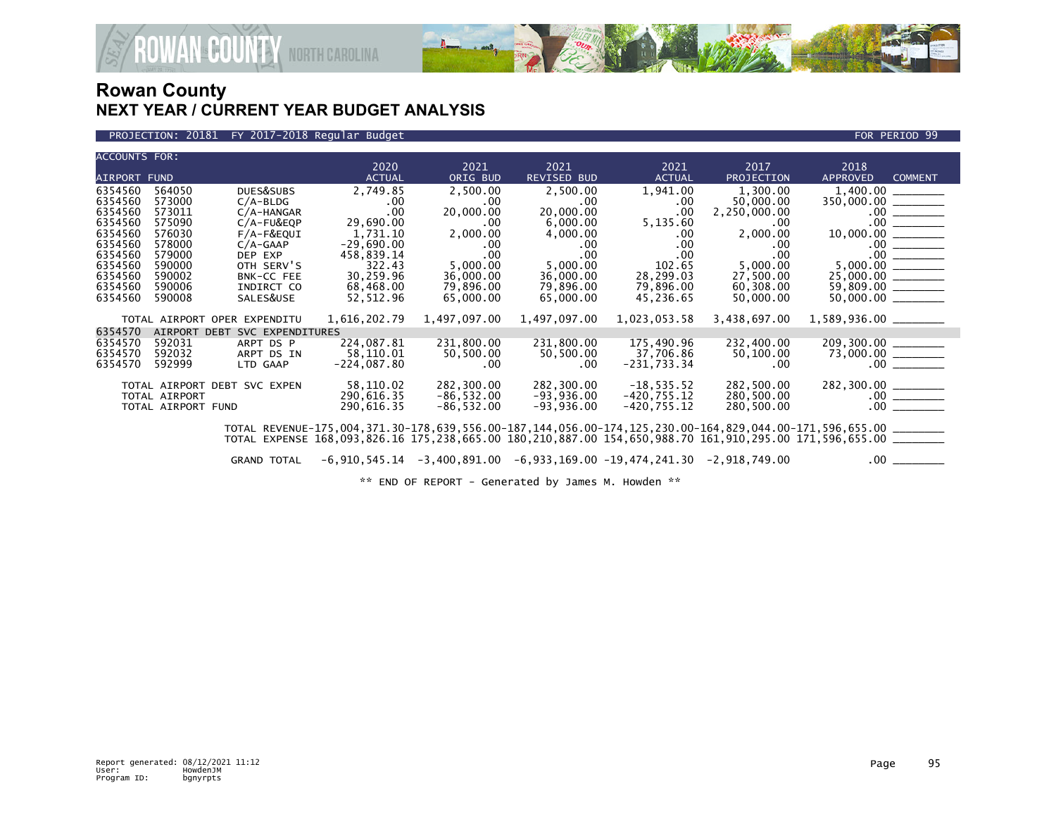

AN<sup>&COUNTY</sup> NORTH CAROLINA

#### PROJECTION: 20181 FY 2017-2018 Regular Budget FOR PERIOD 99

| <b>ACCOUNTS FOR:</b> |                    |                              | 2020          | 2021         | 2021         | 2021           | 2017                                                                             | 2018                                                                                                           |
|----------------------|--------------------|------------------------------|---------------|--------------|--------------|----------------|----------------------------------------------------------------------------------|----------------------------------------------------------------------------------------------------------------|
| <b>AIRPORT FUND</b>  |                    |                              | <b>ACTUAL</b> | ORIG BUD     | REVISED BUD  | <b>ACTUAL</b>  | PROJECTION                                                                       | <b>APPROVED</b><br><b>COMMENT</b>                                                                              |
| 6354560              | 564050             | DUES&SUBS                    | 2,749.85      | 2,500.00     | 2,500.00     | 1,941.00       | 1,300.00                                                                         |                                                                                                                |
| 6354560              | 573000             | $C/A-BLDG$                   | .00.          | .00          | .00          | .00            | 50,000.00                                                                        | $350,000.00$ ________                                                                                          |
| 6354560              | 573011             | $C/A$ -HANGAR                | .00           | 20,000.00    | 20,000.00    | .00            | 2,250,000.00                                                                     |                                                                                                                |
| 6354560              | 575090             | $C/A$ -FU&EQP                | 29,690.00     | $.00 \,$     | 6,000.00     | 5,135.60       | .00.                                                                             | 10,000.00                                                                                                      |
| 6354560              | 576030             | F/A-F&EQUI                   | 1.731.10      | 2,000.00     | 4,000.00     | $.00 \,$       | 2,000.00                                                                         |                                                                                                                |
| 6354560              | 578000             | $C/A-GAAP$                   | $-29,690.00$  | $.00 \,$     | .00.         | .00            | .00.                                                                             | $\frac{00}{00}$                                                                                                |
| 6354560              | 579000             | DEP EXP                      | 458,839.14    | $.00 \,$     | $.00 \,$     | $.00 \times$   | .00                                                                              |                                                                                                                |
| 6354560              | 590000             | OTH SERV'S                   | 322.43        | 5,000.00     | 5,000.00     | 102.65         | 5,000.00                                                                         |                                                                                                                |
| 6354560              | 590002             | BNK-CC FEE                   | 30,259.96     | 36,000.00    | 36,000.00    | 28,299.03      | 27,500.00                                                                        |                                                                                                                |
| 6354560              | 590006             | INDIRCT CO                   | 68,468.00     | 79,896.00    | 79,896.00    | 79,896.00      | 60,308.00                                                                        | $59,809.00$ ________                                                                                           |
| 6354560              | 590008             | SALES&USE                    | 52,512.96     | 65,000.00    | 65,000.00    | 45,236.65      | 50,000.00                                                                        | $50,000.00$ ________                                                                                           |
|                      |                    | TOTAL AIRPORT OPER EXPENDITU | 1,616,202.79  | 1,497,097.00 | 1,497,097.00 | 1,023,053.58   | 3,438,697.00                                                                     | $1,589,936.00$ _________                                                                                       |
| 6354570              | AIRPORT DEBT       | SVC EXPENDITURES             |               |              |              |                |                                                                                  |                                                                                                                |
| 6354570              | 592031             | ARPT DS P                    | 224,087.81    | 231,800.00   | 231,800.00   | 175,490.96     | 232,400.00                                                                       |                                                                                                                |
| 6354570              | 592032             | ARPT DS IN                   | 58,110.01     | 50,500.00    | 50,500.00    | 37,706.86      | 50,100.00                                                                        |                                                                                                                |
| 6354570              | 592999             | LTD GAAP                     | $-224,087.80$ | $.00 \,$     | $.00 \cdot$  | $-231,733.34$  | .00.                                                                             |                                                                                                                |
|                      |                    | TOTAL AIRPORT DEBT SVC EXPEN | 58,110.02     | 282,300.00   | 282,300.00   | $-18,535.52$   | 282,500.00                                                                       |                                                                                                                |
|                      | TOTAL AIRPORT      |                              | 290,616.35    | $-86,532.00$ | $-93,936.00$ | $-420, 755.12$ | 280,500.00                                                                       |                                                                                                                |
|                      | TOTAL AIRPORT FUND |                              | 290,616.35    | $-86,532.00$ | $-93,936.00$ | $-420, 755.12$ | 280,500.00                                                                       |                                                                                                                |
|                      |                    |                              |               |              |              |                |                                                                                  | TOTAL REVENUE-175,004,371.30-178,639,556.00-187,144,056.00-174,125,230.00-164,829,044.00-171,596,655.00 ______ |
|                      |                    |                              |               |              |              |                |                                                                                  | TOTAL EXPENSE 168,093,826.16 175,238,665.00 180,210,887.00 154,650,988.70 161,910,295.00 171,596,655.00 ______ |
|                      |                    | <b>GRAND TOTAL</b>           |               |              |              |                | $-6,910,545.14$ $-3,400,891.00$ $-6,933,169.00$ $-19,474,241.30$ $-2,918,749.00$ |                                                                                                                |

\*\* END OF REPORT - Generated by James M. Howden \*\*